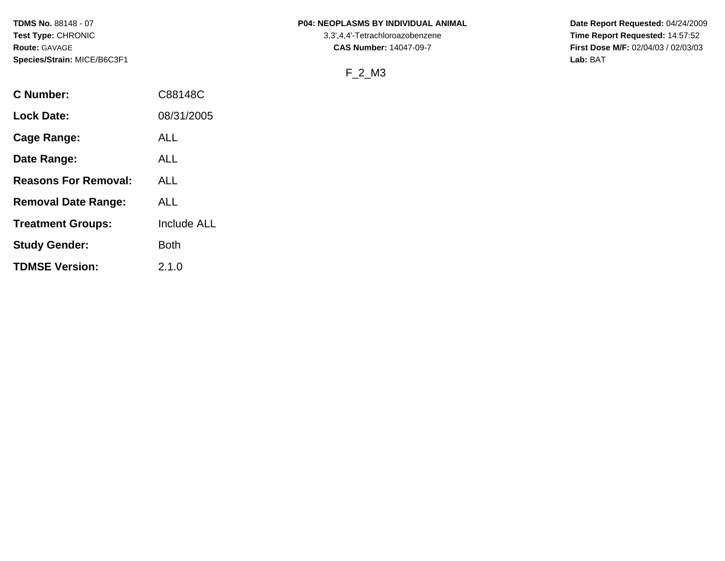### **TDMS No.** 88148 - 07 **P04: NEOPLASMS BY INDIVIDUAL ANIMAL** Date Report Requested: 04/24/2009

## F\_2\_M3

Test Type: CHRONIC **Test Type:** CHRONIC **3,3',4,4'-Tetrachloroazobenzene** 3,3',4,4'-Tetrachloroazobenzene **Time Report Requested:** 14:57:52 **Route:** GAVAGE **CAS Number:** 14047-09-7 **First Dose M/F:** 02/04/03 / 02/03/03

| C Number:                   | C88148C            |
|-----------------------------|--------------------|
| <b>Lock Date:</b>           | 08/31/2005         |
| Cage Range:                 | ALL                |
| Date Range:                 | ALL                |
| <b>Reasons For Removal:</b> | ALL                |
| <b>Removal Date Range:</b>  | ALL                |
| <b>Treatment Groups:</b>    | <b>Include ALL</b> |
| <b>Study Gender:</b>        | Both               |
| <b>TDMSE Version:</b>       | 2.1.0              |
|                             |                    |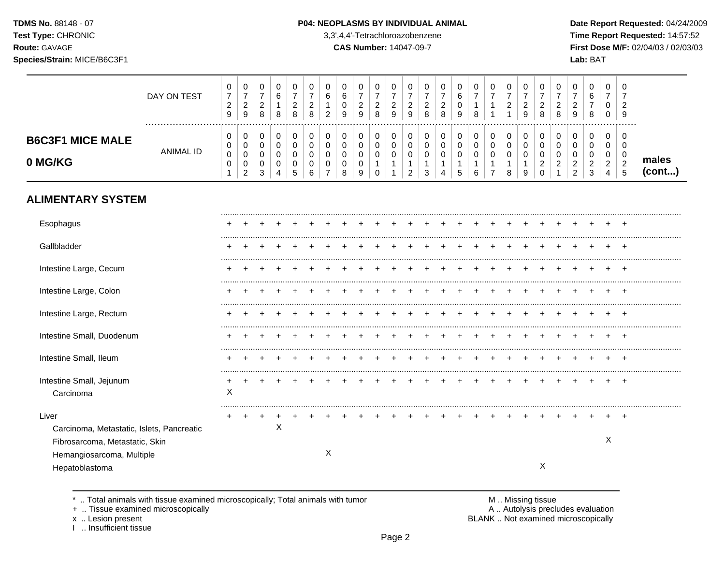TDMS No. 88148 - 07 Test Type: CHRONIC

Species/Strain: MICE/B6C3F1

Route: GAVAGE

#### P04: NEOPLASMS BY INDIVIDUAL ANIMAL

3,3',4,4'-Tetrachloroazobenzene

**CAS Number: 14047-09-7** 

Date Report Requested: 04/24/2009 Time Report Requested: 14:57:52 First Dose M/F: 02/04/03 / 02/03/03 Lab: BAT

|                                                                                      | DAY ON TEST      | 0<br>$\overline{7}$<br>$\sqrt{2}$<br>$\boldsymbol{9}$ | 0<br>$\boldsymbol{7}$<br>$\sqrt{2}$<br>$\boldsymbol{9}$ | 0<br>$\boldsymbol{7}$<br>$\overline{c}$<br>$\,8\,$       | 0<br>6<br>$\mathbf{1}$<br>8 | 0<br>$\overline{7}$<br>$\overline{2}$<br>8 | 0<br>7<br>2<br>8      | 0<br>6<br>2      | 0<br>6<br>$\mathbf 0$<br>9      | 0<br>$\overline{7}$<br>$\overline{c}$<br>9 | 0<br>$\boldsymbol{7}$<br>$\overline{2}$<br>8 | 0<br>$\boldsymbol{7}$<br>$\overline{c}$<br>9 | 0<br>$\overline{7}$<br>$\overline{2}$<br>$\boldsymbol{9}$ | 0<br>$\overline{7}$<br>$\overline{c}$<br>8 | 0<br>$\overline{7}$<br>$\overline{2}$<br>8 | 0<br>6<br>0<br>9      | 0<br>$\overline{7}$<br>1<br>8   | 0<br>$\overline{7}$<br>1 | 0<br>$\boldsymbol{7}$<br>$\overline{c}$ | 0<br>$\overline{7}$<br>$\overline{c}$<br>9 | 0<br>$\overline{7}$<br>$\overline{2}$<br>8             | 0<br>$\overline{7}$<br>$\overline{c}$<br>8 | 0<br>$\overline{7}$<br>$\overline{c}$<br>9 | 0<br>6<br>7<br>8                | 0<br>$\overline{7}$<br>0<br>0                   | 0<br>$\overline{7}$<br>$\overline{2}$<br>9 |                 |
|--------------------------------------------------------------------------------------|------------------|-------------------------------------------------------|---------------------------------------------------------|----------------------------------------------------------|-----------------------------|--------------------------------------------|-----------------------|------------------|---------------------------------|--------------------------------------------|----------------------------------------------|----------------------------------------------|-----------------------------------------------------------|--------------------------------------------|--------------------------------------------|-----------------------|---------------------------------|--------------------------|-----------------------------------------|--------------------------------------------|--------------------------------------------------------|--------------------------------------------|--------------------------------------------|---------------------------------|-------------------------------------------------|--------------------------------------------|-----------------|
| <b>B6C3F1 MICE MALE</b><br>0 MG/KG                                                   | <b>ANIMAL ID</b> | 0<br>0<br>0<br>0<br>1                                 | 0<br>$\pmb{0}$<br>0<br>$\pmb{0}$<br>$\overline{2}$      | $\boldsymbol{0}$<br>$\mathbf 0$<br>$\mathbf 0$<br>0<br>3 | 0<br>0<br>0<br>0<br>4       | 0<br>0<br>0<br>0<br>$5\phantom{.0}$        | 0<br>0<br>0<br>0<br>6 | 0<br>0<br>0<br>0 | 0<br>$\mathbf 0$<br>0<br>0<br>8 | 0<br>0<br>0<br>0<br>9                      | 0<br>0<br>0<br>$\Omega$                      | 0<br>$\pmb{0}$<br>0<br>1                     | 0<br>$\mathbf 0$<br>0<br>1<br>$\overline{2}$              | 0<br>$\mathbf 0$<br>0<br>1<br>3            | 0<br>$\mathbf 0$<br>0<br>$\mathbf{1}$<br>4 | 0<br>0<br>0<br>1<br>5 | 0<br>$\mathbf 0$<br>0<br>1<br>6 | 0<br>$\pmb{0}$<br>0      | 0<br>0<br>0<br>8                        | 0<br>$\mathbf 0$<br>0<br>1<br>9            | 0<br>$\mathbf 0$<br>0<br>$\overline{c}$<br>$\mathbf 0$ | 0<br>0<br>0<br>2                           | 0<br>0<br>0<br>2<br>$\overline{c}$         | 0<br>$\mathbf 0$<br>0<br>2<br>3 | 0<br>0<br>0<br>$\overline{c}$<br>$\overline{4}$ | 0<br>0<br>0<br>$\sqrt{2}$<br>5             | males<br>(cont) |
| <b>ALIMENTARY SYSTEM</b>                                                             |                  |                                                       |                                                         |                                                          |                             |                                            |                       |                  |                                 |                                            |                                              |                                              |                                                           |                                            |                                            |                       |                                 |                          |                                         |                                            |                                                        |                                            |                                            |                                 |                                                 |                                            |                 |
| Esophagus                                                                            |                  |                                                       |                                                         |                                                          |                             |                                            |                       |                  |                                 |                                            |                                              |                                              |                                                           |                                            |                                            |                       |                                 |                          |                                         |                                            |                                                        |                                            |                                            |                                 |                                                 |                                            |                 |
| Gallbladder                                                                          |                  |                                                       |                                                         |                                                          |                             |                                            |                       |                  |                                 |                                            |                                              |                                              |                                                           |                                            |                                            |                       |                                 |                          |                                         |                                            |                                                        |                                            |                                            |                                 |                                                 |                                            |                 |
| Intestine Large, Cecum                                                               |                  |                                                       |                                                         |                                                          |                             |                                            |                       |                  |                                 |                                            |                                              |                                              |                                                           |                                            |                                            |                       |                                 |                          |                                         |                                            |                                                        |                                            |                                            |                                 |                                                 |                                            |                 |
| Intestine Large, Colon                                                               |                  |                                                       |                                                         |                                                          |                             |                                            |                       |                  |                                 |                                            |                                              |                                              |                                                           |                                            |                                            |                       |                                 |                          |                                         |                                            |                                                        |                                            |                                            |                                 |                                                 | $^{+}$                                     |                 |
| Intestine Large, Rectum                                                              |                  |                                                       |                                                         |                                                          |                             |                                            |                       |                  |                                 |                                            |                                              |                                              |                                                           |                                            |                                            |                       |                                 |                          |                                         |                                            |                                                        |                                            |                                            |                                 |                                                 |                                            |                 |
| Intestine Small, Duodenum                                                            |                  |                                                       |                                                         |                                                          |                             |                                            |                       |                  |                                 |                                            |                                              |                                              |                                                           |                                            |                                            |                       |                                 |                          |                                         |                                            |                                                        |                                            |                                            |                                 |                                                 |                                            |                 |
| Intestine Small, Ileum                                                               |                  |                                                       |                                                         |                                                          |                             |                                            |                       |                  |                                 |                                            |                                              |                                              |                                                           |                                            |                                            |                       |                                 |                          |                                         |                                            |                                                        |                                            |                                            |                                 |                                                 |                                            |                 |
| Intestine Small, Jejunum<br>Carcinoma                                                |                  | X                                                     |                                                         |                                                          |                             |                                            |                       |                  |                                 |                                            |                                              |                                              |                                                           |                                            |                                            |                       |                                 |                          |                                         |                                            |                                                        |                                            |                                            |                                 |                                                 |                                            |                 |
| Liver<br>Carcinoma, Metastatic, Islets, Pancreatic<br>Fibrosarcoma, Metastatic, Skin |                  |                                                       |                                                         |                                                          | X                           |                                            |                       |                  |                                 |                                            |                                              |                                              |                                                           |                                            |                                            |                       |                                 |                          |                                         |                                            |                                                        |                                            |                                            |                                 | Χ                                               |                                            |                 |

X

Hepatoblastoma

\* .. Total animals with tissue examined microscopically; Total animals with tumor

+ .. Tissue examined microscopically

Hemangiosarcoma, Multiple

x .. Lesion present<br>I .. Insufficient tissue

M .. Missing tissue<br>A .. Autolysis precludes evaluation

 $\mathsf{X}$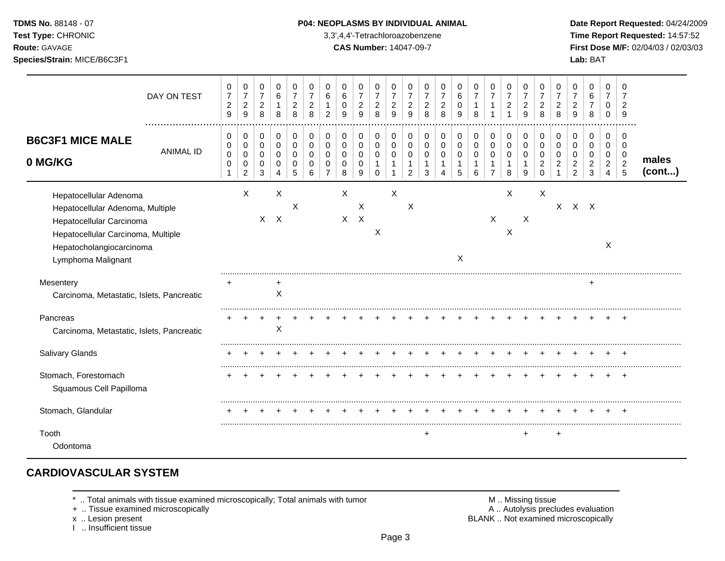**Test Type:** CHRONIC 3,3',4,4'-Tetrachloroazobenzene **Time Report Requested:** 14:57:52 **Route:** GAVAGE **CAS Number:** 14047-09-7 **First Dose M/F:** 02/04/03 / 02/03/03 **Species/Strain:** MICE/B6C3F1 **Lab:** BAT

|                                                                                                                                                                                | DAY ON TEST      | 0<br>$\boldsymbol{7}$<br>$\overline{c}$<br>$\boldsymbol{9}$ | 0<br>$\overline{7}$<br>$\boldsymbol{2}$<br>$\boldsymbol{9}$ | 0<br>$\overline{7}$<br>$\overline{c}$<br>8          | 0<br>$\,6\,$<br>8                       | 0<br>$\overline{7}$<br>$\overline{c}$<br>8 | 0<br>$\overline{7}$<br>$\overline{c}$<br>8 | 0<br>6<br>$\mathbf{1}$<br>$\overline{2}$             | 0<br>$\,6\,$<br>0<br>9 | 0<br>$\overline{7}$<br>$\sqrt{2}$<br>9                        | 0<br>$\boldsymbol{7}$<br>$\overline{c}$<br>8        | 0<br>$\overline{7}$<br>$\overline{c}$<br>9 | 0<br>$\overline{7}$<br>$\overline{c}$<br>9 | 0<br>$\overline{7}$<br>$\overline{c}$<br>8 | 0<br>$\overline{7}$<br>$\overline{c}$<br>8 | 0<br>6<br>$\mathbf 0$<br>9         | 0<br>$\overline{7}$<br>1<br>8    | 0<br>$\boldsymbol{7}$<br>$\mathbf{1}$<br>$\overline{1}$ | 0<br>$\overline{7}$<br>$\overline{c}$<br>1 | 0<br>$\overline{7}$<br>$\overline{c}$<br>$\boldsymbol{9}$ | 0<br>$\overline{7}$<br>$\overline{2}$<br>8                    | 0<br>$\overline{7}$<br>$\overline{c}$<br>8 | $\Omega$<br>$\overline{c}$<br>9                        | 0<br>6<br>$\overline{7}$<br>8                | 0<br>$\overline{7}$<br>0<br>$\Omega$                      | 0<br>7<br>$\overline{2}$<br>9                             |                 |
|--------------------------------------------------------------------------------------------------------------------------------------------------------------------------------|------------------|-------------------------------------------------------------|-------------------------------------------------------------|-----------------------------------------------------|-----------------------------------------|--------------------------------------------|--------------------------------------------|------------------------------------------------------|------------------------|---------------------------------------------------------------|-----------------------------------------------------|--------------------------------------------|--------------------------------------------|--------------------------------------------|--------------------------------------------|------------------------------------|----------------------------------|---------------------------------------------------------|--------------------------------------------|-----------------------------------------------------------|---------------------------------------------------------------|--------------------------------------------|--------------------------------------------------------|----------------------------------------------|-----------------------------------------------------------|-----------------------------------------------------------|-----------------|
| <b>B6C3F1 MICE MALE</b><br>0 MG/KG                                                                                                                                             | <b>ANIMAL ID</b> | $\mathbf 0$<br>0<br>$\pmb{0}$<br>$\mathbf 0$<br>1           | 0<br>$\pmb{0}$<br>$\mathbf 0$<br>0<br>$\overline{2}$        | 0<br>$\mathsf 0$<br>$\mathbf 0$<br>$\mathbf 0$<br>3 | 0<br>$\pmb{0}$<br>$\mathbf 0$<br>0<br>4 | 0<br>$\mathbf 0$<br>$\Omega$<br>0<br>5     | 0<br>$\mathbf 0$<br>0<br>0<br>6            | $\pmb{0}$<br>$\mathbf 0$<br>0<br>0<br>$\overline{7}$ | 0<br>0<br>0<br>0<br>8  | $\mathbf 0$<br>$\mathbf 0$<br>$\mathbf 0$<br>$\mathbf 0$<br>9 | 0<br>$\mathbf 0$<br>$\mathbf 0$<br>1<br>$\mathbf 0$ | 0<br>$\mathbf 0$<br>$\mathbf 0$            | 0<br>0<br>0<br>2                           | 0<br>$\mathbf 0$<br>0<br>3                 | 0<br>$\mathbf 0$<br>0                      | 0<br>$\pmb{0}$<br>$\mathbf 0$<br>5 | 0<br>$\mathsf{O}$<br>0<br>1<br>6 | 0<br>$\pmb{0}$<br>0<br>$\mathbf 1$<br>$\overline{7}$    | 0<br>$\pmb{0}$<br>$\mathbf 0$<br>1<br>8    | 0<br>$\mathbf 0$<br>$\mathbf 0$<br>9                      | $\mathbf 0$<br>$\mathbf 0$<br>0<br>$\overline{c}$<br>$\Omega$ | 0<br>$\mathbf 0$<br>$\Omega$               | $\mathbf 0$<br>$\mathbf 0$<br>0<br>2<br>$\overline{2}$ | 0<br>$\mathbf 0$<br>0<br>$\overline{c}$<br>3 | 0<br>$\mathsf 0$<br>0<br>$\overline{a}$<br>$\overline{4}$ | $\Omega$<br>$\mathbf 0$<br>$\mathbf 0$<br>$\sqrt{2}$<br>5 | males<br>(cont) |
| Hepatocellular Adenoma<br>Hepatocellular Adenoma, Multiple<br>Hepatocellular Carcinoma<br>Hepatocellular Carcinoma, Multiple<br>Hepatocholangiocarcinoma<br>Lymphoma Malignant |                  |                                                             | X                                                           |                                                     | X<br>$X$ $X$                            | $\times$                                   |                                            |                                                      | Χ                      | X<br>$X$ $X$                                                  | X                                                   | X                                          | $\boldsymbol{\mathsf{X}}$                  |                                            |                                            | X                                  |                                  | X                                                       | X<br>X                                     | X                                                         | X                                                             | $X -$                                      |                                                        | $X$ $X$                                      | X                                                         |                                                           |                 |
| Mesentery<br>Carcinoma, Metastatic, Islets, Pancreatic                                                                                                                         |                  |                                                             |                                                             |                                                     | $\times$                                |                                            |                                            |                                                      |                        |                                                               |                                                     |                                            |                                            |                                            |                                            |                                    |                                  |                                                         |                                            |                                                           |                                                               |                                            |                                                        |                                              |                                                           |                                                           |                 |
| Pancreas<br>Carcinoma, Metastatic, Islets, Pancreatic                                                                                                                          |                  |                                                             |                                                             |                                                     | $\boldsymbol{\mathsf{X}}$               |                                            |                                            |                                                      |                        |                                                               |                                                     |                                            |                                            |                                            |                                            |                                    |                                  |                                                         |                                            |                                                           |                                                               |                                            |                                                        |                                              |                                                           |                                                           |                 |
| Salivary Glands                                                                                                                                                                |                  |                                                             |                                                             |                                                     |                                         |                                            |                                            |                                                      |                        |                                                               |                                                     |                                            |                                            |                                            |                                            |                                    |                                  |                                                         |                                            |                                                           |                                                               |                                            |                                                        |                                              |                                                           |                                                           |                 |
| Stomach, Forestomach<br>Squamous Cell Papilloma                                                                                                                                |                  |                                                             |                                                             |                                                     |                                         |                                            |                                            |                                                      |                        |                                                               |                                                     |                                            |                                            |                                            |                                            |                                    |                                  |                                                         |                                            |                                                           |                                                               |                                            |                                                        |                                              |                                                           |                                                           |                 |
| Stomach, Glandular                                                                                                                                                             |                  |                                                             |                                                             |                                                     |                                         |                                            |                                            |                                                      |                        |                                                               |                                                     |                                            |                                            |                                            |                                            |                                    |                                  |                                                         |                                            |                                                           |                                                               |                                            |                                                        |                                              |                                                           |                                                           |                 |
| Tooth<br>Odontoma                                                                                                                                                              |                  |                                                             |                                                             |                                                     |                                         |                                            |                                            |                                                      |                        |                                                               |                                                     |                                            |                                            | $\ddot{}$                                  |                                            |                                    |                                  |                                                         |                                            | $\ddot{}$                                                 |                                                               | +                                          |                                                        |                                              |                                                           |                                                           |                 |

## **CARDIOVASCULAR SYSTEM**

+ .. Tissue examined microscopically

x .. Lesion present<br>I .. Insufficient tissue

\* .. Total animals with tissue examined microscopically; Total animals with tumor <br>
+ .. Tissue examined microscopically<br>
+ .. Tissue examined microscopically BLANK .. Not examined microscopically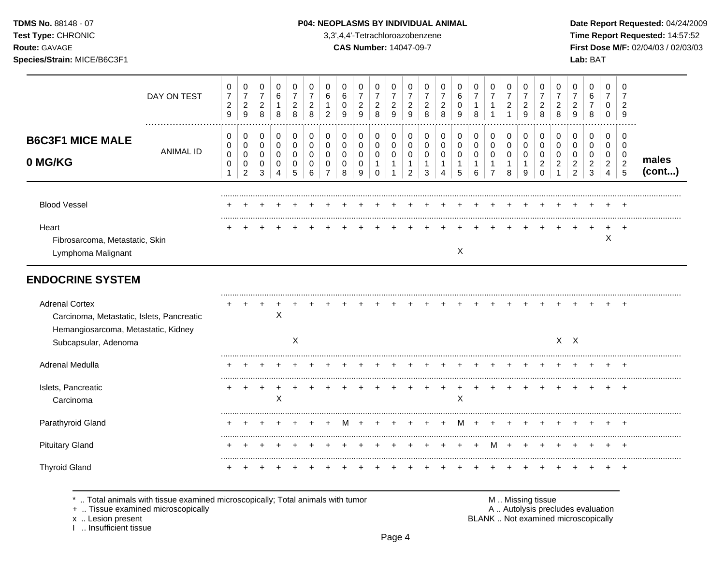I .. Insufficient tissue

### TDMS No. 88148 - 07 **P04: NEOPLASMS BY INDIVIDUAL ANIMAL** Date Report Requested: 04/24/2009

**Test Type:** CHRONIC 3,3',4,4'-Tetrachloroazobenzene **Time Report Requested:** 14:57:52 **Route:** GAVAGE **CAS Number:** 14047-09-7 **First Dose M/F:** 02/04/03 / 02/03/03 **Species/Strain:** MICE/B6C3F1 **Lab:** BAT

|                                                                                                                                   | DAY ON TEST                                                                                                        | 0<br>$\overline{7}$<br>$\overline{c}$<br>$\boldsymbol{9}$ | $\pmb{0}$<br>$\boldsymbol{7}$<br>$\overline{a}$<br>$\boldsymbol{9}$ | 0<br>$\overline{7}$<br>$\overline{c}$<br>$\, 8$     | 0<br>6<br>1<br>8                              | 0<br>$\overline{7}$<br>$\overline{c}$<br>8 | 0<br>$\overline{7}$<br>$\overline{c}$<br>8              | 0<br>$\,6\,$<br>1<br>$\overline{2}$                 | 0<br>$6\phantom{1}6$<br>$\mathbf 0$<br>9            | 0<br>$\overline{7}$<br>$\overline{c}$<br>9 | $\mathbf 0$<br>$\overline{7}$<br>$\overline{c}$<br>8        | 0<br>$\overline{7}$<br>$\overline{c}$<br>9            | 0<br>$\overline{7}$<br>$\boldsymbol{2}$<br>9                    | 0<br>$\overline{7}$<br>$\boldsymbol{2}$<br>8         | $\mathbf 0$<br>$\overline{7}$<br>$\overline{c}$<br>8    | 0<br>$\,6$<br>$\pmb{0}$<br>9                         | 0<br>$\overline{7}$<br>$\mathbf{1}$<br>8   | 0<br>$\overline{7}$<br>$\mathbf{1}$<br>$\mathbf{1}$               | 0<br>$\overline{7}$<br>$\boldsymbol{2}$<br>$\mathbf{1}$ | 0<br>$\overline{7}$<br>$\boldsymbol{2}$<br>9 | 0<br>$\overline{7}$<br>$\overline{c}$<br>8                    | 0<br>$\overline{7}$<br>$\boldsymbol{2}$<br>8                             | 0<br>$\overline{7}$<br>$\overline{c}$<br>9                          | 0<br>$\,6\,$<br>$\overline{7}$<br>$\, 8$               | 0<br>$\overline{7}$<br>0<br>$\mathbf 0$                             | 0<br>$\overline{7}$<br>$\overline{2}$<br>9                   |                 |
|-----------------------------------------------------------------------------------------------------------------------------------|--------------------------------------------------------------------------------------------------------------------|-----------------------------------------------------------|---------------------------------------------------------------------|-----------------------------------------------------|-----------------------------------------------|--------------------------------------------|---------------------------------------------------------|-----------------------------------------------------|-----------------------------------------------------|--------------------------------------------|-------------------------------------------------------------|-------------------------------------------------------|-----------------------------------------------------------------|------------------------------------------------------|---------------------------------------------------------|------------------------------------------------------|--------------------------------------------|-------------------------------------------------------------------|---------------------------------------------------------|----------------------------------------------|---------------------------------------------------------------|--------------------------------------------------------------------------|---------------------------------------------------------------------|--------------------------------------------------------|---------------------------------------------------------------------|--------------------------------------------------------------|-----------------|
| <b>B6C3F1 MICE MALE</b><br>0 MG/KG                                                                                                | <b>ANIMAL ID</b>                                                                                                   | 0<br>$\mathbf 0$<br>$\mathbf 0$<br>0<br>$\mathbf{1}$      | 0<br>0<br>0<br>0<br>$\overline{c}$                                  | $\mathbf 0$<br>$\mathbf 0$<br>$\mathbf 0$<br>0<br>3 | 0<br>$\Omega$<br>$\Omega$<br>$\mathbf 0$<br>4 | 0<br>$\mathbf 0$<br>$\mathbf 0$<br>0<br>5  | $\mathbf 0$<br>$\Omega$<br>$\Omega$<br>$\mathbf 0$<br>6 | 0<br>$\mathbf 0$<br>$\Omega$<br>0<br>$\overline{7}$ | 0<br>$\mathbf 0$<br>$\mathbf 0$<br>$\mathbf 0$<br>8 | 0<br>0<br>$\mathbf 0$<br>0<br>9            | 0<br>$\mathbf 0$<br>$\mathbf 0$<br>$\mathbf{1}$<br>$\Omega$ | 0<br>$\mathbf 0$<br>0<br>$\mathbf{1}$<br>$\mathbf{1}$ | 0<br>$\pmb{0}$<br>$\mathbf 0$<br>$\mathbf{1}$<br>$\overline{2}$ | 0<br>$\mathbf 0$<br>$\mathbf 0$<br>$\mathbf{1}$<br>3 | 0<br>$\mathbf 0$<br>0<br>$\mathbf{1}$<br>$\overline{4}$ | 0<br>$\mathbf 0$<br>$\mathbf 0$<br>$\mathbf{1}$<br>5 | 0<br>$\mathbf 0$<br>0<br>$\mathbf{1}$<br>6 | 0<br>$\mathbf 0$<br>$\mathbf 0$<br>$\mathbf{1}$<br>$\overline{7}$ | 0<br>$\mathbf 0$<br>$\mathbf 0$<br>1<br>8               | 0<br>$\mathbf 0$<br>$\mathbf 0$<br>1<br>9    | 0<br>$\mathbf 0$<br>$\mathbf 0$<br>$\overline{c}$<br>$\Omega$ | 0<br>$\Omega$<br>$\Omega$<br>2<br>1                                      | 0<br>$\mathbf 0$<br>$\mathbf 0$<br>$\overline{c}$<br>$\overline{2}$ | 0<br>$\mathbf 0$<br>$\mathbf 0$<br>$\overline{2}$<br>3 | 0<br>$\mathbf 0$<br>$\mathbf 0$<br>$\overline{a}$<br>$\overline{4}$ | $\mathbf 0$<br>$\mathbf 0$<br>$\mathbf 0$<br>$\sqrt{2}$<br>5 | males<br>(cont) |
| <b>Blood Vessel</b>                                                                                                               |                                                                                                                    |                                                           |                                                                     |                                                     |                                               |                                            |                                                         |                                                     |                                                     |                                            |                                                             |                                                       |                                                                 |                                                      |                                                         |                                                      |                                            |                                                                   |                                                         |                                              |                                                               |                                                                          |                                                                     | ÷                                                      |                                                                     | $\overline{+}$                                               |                 |
| Heart<br>Fibrosarcoma, Metastatic, Skin<br>Lymphoma Malignant                                                                     |                                                                                                                    |                                                           |                                                                     |                                                     |                                               |                                            |                                                         |                                                     |                                                     |                                            |                                                             |                                                       |                                                                 |                                                      |                                                         | X                                                    |                                            |                                                                   |                                                         |                                              |                                                               |                                                                          |                                                                     |                                                        | $\mathsf X$                                                         |                                                              |                 |
| <b>ENDOCRINE SYSTEM</b>                                                                                                           |                                                                                                                    |                                                           |                                                                     |                                                     |                                               |                                            |                                                         |                                                     |                                                     |                                            |                                                             |                                                       |                                                                 |                                                      |                                                         |                                                      |                                            |                                                                   |                                                         |                                              |                                                               |                                                                          |                                                                     |                                                        |                                                                     |                                                              |                 |
| <b>Adrenal Cortex</b><br>Carcinoma, Metastatic, Islets, Pancreatic<br>Hemangiosarcoma, Metastatic, Kidney<br>Subcapsular, Adenoma |                                                                                                                    |                                                           |                                                                     |                                                     | Χ                                             | X                                          |                                                         |                                                     |                                                     |                                            |                                                             |                                                       |                                                                 |                                                      |                                                         |                                                      |                                            |                                                                   |                                                         |                                              |                                                               |                                                                          | $X$ $X$                                                             |                                                        |                                                                     |                                                              |                 |
| Adrenal Medulla                                                                                                                   |                                                                                                                    |                                                           |                                                                     |                                                     |                                               |                                            |                                                         |                                                     |                                                     |                                            |                                                             |                                                       |                                                                 |                                                      |                                                         |                                                      |                                            |                                                                   |                                                         |                                              |                                                               |                                                                          |                                                                     |                                                        |                                                                     |                                                              |                 |
| Islets, Pancreatic<br>Carcinoma                                                                                                   |                                                                                                                    |                                                           | $\ddot{}$                                                           | $\ddot{}$                                           | $\sf X$                                       |                                            |                                                         |                                                     |                                                     |                                            |                                                             |                                                       |                                                                 |                                                      |                                                         | X                                                    |                                            |                                                                   |                                                         |                                              |                                                               |                                                                          |                                                                     |                                                        |                                                                     | $+$                                                          |                 |
| Parathyroid Gland                                                                                                                 |                                                                                                                    |                                                           |                                                                     |                                                     |                                               |                                            |                                                         |                                                     | м                                                   |                                            |                                                             |                                                       |                                                                 |                                                      |                                                         | м                                                    | $\pm$                                      |                                                                   |                                                         |                                              |                                                               |                                                                          |                                                                     |                                                        |                                                                     |                                                              |                 |
| <b>Pituitary Gland</b>                                                                                                            |                                                                                                                    |                                                           |                                                                     |                                                     |                                               |                                            |                                                         |                                                     |                                                     |                                            |                                                             |                                                       |                                                                 |                                                      |                                                         |                                                      |                                            | м                                                                 |                                                         |                                              |                                                               |                                                                          |                                                                     |                                                        |                                                                     |                                                              |                 |
| <b>Thyroid Gland</b>                                                                                                              |                                                                                                                    |                                                           |                                                                     |                                                     |                                               |                                            |                                                         |                                                     |                                                     |                                            |                                                             |                                                       |                                                                 |                                                      |                                                         |                                                      |                                            |                                                                   |                                                         |                                              |                                                               |                                                                          |                                                                     |                                                        |                                                                     | $\overline{ }$                                               |                 |
| x  Lesion present                                                                                                                 | Total animals with tissue examined microscopically; Total animals with tumor<br>+  Tissue examined microscopically |                                                           |                                                                     |                                                     |                                               |                                            |                                                         |                                                     |                                                     |                                            |                                                             |                                                       |                                                                 |                                                      |                                                         |                                                      |                                            |                                                                   |                                                         |                                              | M  Missing tissue                                             | A  Autolysis precludes evaluation<br>BLANK  Not examined microscopically |                                                                     |                                                        |                                                                     |                                                              |                 |

Page 4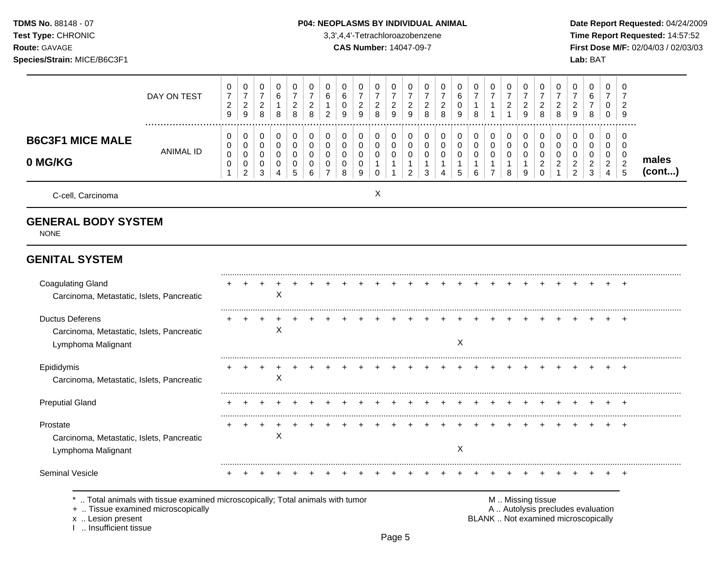TDMS No. 88148 - 07 Test Type: CHRONIC Route: GAVAGE

### Species/Strain: MICE/B6C3F1

#### P04: NEOPLASMS BY INDIVIDUAL ANIMAL

3,3',4,4'-Tetrachloroazobenzene

**CAS Number: 14047-09-7** 

Date Report Requested: 04/24/2009 Time Report Requested: 14:57:52 First Dose M/F: 02/04/03 / 02/03/03 Lab: BAT

|                                                                                                                                                                   | DAY ON TEST      | 0<br>$\boldsymbol{7}$<br>$\overline{c}$<br>9 | 0<br>$\overline{7}$<br>$\overline{c}$<br>$\boldsymbol{9}$ | 0<br>$\boldsymbol{7}$<br>$\begin{array}{c} 2 \\ 8 \end{array}$ | 0<br>6<br>1<br>8                       | 0<br>$\overline{7}$<br>$\overline{c}$<br>8 | 0<br>$\overline{7}$<br>$\overline{c}$<br>$\bf8$ | $\Omega$<br>6<br>1<br>$\overline{c}$ | 0<br>6<br>$\mathbf 0$<br>9                | 0<br>$\overline{7}$<br>$\boldsymbol{2}$<br>9 | 0<br>$\overline{7}$<br>$\overline{c}$<br>8 | $\Omega$<br>$\overline{7}$<br>$\overline{c}$<br>$9\,$           | 0<br>$\overline{7}$<br>$\overline{\mathbf{c}}$<br>9 | 0<br>$\overline{7}$<br>$\overline{c}$<br>8                      | 0<br>$\overline{7}$<br>$\boldsymbol{2}$<br>8         | 0<br>$\,6\,$<br>0<br>9          | 0<br>$\overline{7}$<br>$\overline{1}$<br>$\,8\,$               | 0<br>$\overline{7}$<br>1<br>$\mathbf{1}$                        | 0<br>$\overline{7}$<br>$\overline{c}$<br>$\mathbf{1}$ | 0<br>$\overline{7}$<br>$\overline{c}$<br>9           | 0<br>$\overline{7}$<br>$\overline{a}$<br>8             | 0<br>$\overline{7}$<br>$\boldsymbol{2}$<br>$\,8\,$                | 0<br>$\overline{7}$<br>$\overline{c}$<br>9                               | 0<br>6<br>$\overline{7}$<br>8                                   | $\Omega$<br>$\overline{7}$<br>$\mathbf 0$<br>0 | $\Omega$<br>$\overline{7}$<br>$\overline{2}$<br>9 |                 |
|-------------------------------------------------------------------------------------------------------------------------------------------------------------------|------------------|----------------------------------------------|-----------------------------------------------------------|----------------------------------------------------------------|----------------------------------------|--------------------------------------------|-------------------------------------------------|--------------------------------------|-------------------------------------------|----------------------------------------------|--------------------------------------------|-----------------------------------------------------------------|-----------------------------------------------------|-----------------------------------------------------------------|------------------------------------------------------|---------------------------------|----------------------------------------------------------------|-----------------------------------------------------------------|-------------------------------------------------------|------------------------------------------------------|--------------------------------------------------------|-------------------------------------------------------------------|--------------------------------------------------------------------------|-----------------------------------------------------------------|------------------------------------------------|---------------------------------------------------|-----------------|
| <b>B6C3F1 MICE MALE</b><br>0 MG/KG                                                                                                                                | <b>ANIMAL ID</b> | 0<br>0<br>$\pmb{0}$<br>0<br>$\mathbf{1}$     | 0<br>$\pmb{0}$<br>0<br>0<br>$\overline{2}$                | 0<br>$\mathsf 0$<br>0<br>0<br>$\mathbf{3}$                     | 0<br>0<br>$\mathbf 0$<br>0<br>4        | 0<br>$\mathsf 0$<br>$\mathbf 0$<br>0<br>5  | $\mathbf 0$<br>$\mathbf 0$<br>0<br>0<br>6       | 0<br>0<br>0<br>0<br>$\overline{7}$   | 0<br>$\mathbf 0$<br>$\mathbf 0$<br>0<br>8 | 0<br>0<br>$\mathbf 0$<br>0<br>9              | 0<br>0<br>$\mathbf 0$<br>$\mathbf{1}$<br>0 | 0<br>$\mathbf 0$<br>$\mathbf 0$<br>$\mathbf{1}$<br>$\mathbf{1}$ | 0<br>0<br>$\mathbf 0$<br>1<br>$\overline{2}$        | 0<br>$\mathbf 0$<br>$\mathsf 0$<br>$\mathbf{1}$<br>$\mathbf{3}$ | 0<br>$\mathbf 0$<br>$\mathbf 0$<br>$\mathbf{1}$<br>4 | 0<br>0<br>$\mathbf 0$<br>1<br>5 | 0<br>$\mathsf{O}\xspace$<br>$\mathbf 0$<br>$\overline{1}$<br>6 | 0<br>$\pmb{0}$<br>$\mathbf 0$<br>$\mathbf{1}$<br>$\overline{7}$ | 0<br>$\pmb{0}$<br>$\mathbf 0$<br>$\mathbf{1}$<br>8    | 0<br>$\mathbf 0$<br>$\mathbf 0$<br>$\mathbf{1}$<br>9 | 0<br>0<br>$\mathbf 0$<br>$\overline{2}$<br>$\mathbf 0$ | 0<br>$\mathbf 0$<br>$\mathbf 0$<br>$\overline{2}$<br>$\mathbf{1}$ | 0<br>$\mathbf 0$<br>$\mathbf 0$<br>$\overline{c}$<br>$\overline{2}$      | 0<br>$\pmb{0}$<br>$\mathbf 0$<br>$\overline{2}$<br>$\mathbf{3}$ | 0<br>0<br>$\mathbf 0$<br>$\overline{2}$<br>4   | 0<br>0<br>0<br>$\overline{c}$<br>5                | males<br>(cont) |
| C-cell, Carcinoma                                                                                                                                                 |                  |                                              |                                                           |                                                                |                                        |                                            |                                                 |                                      |                                           |                                              | X                                          |                                                                 |                                                     |                                                                 |                                                      |                                 |                                                                |                                                                 |                                                       |                                                      |                                                        |                                                                   |                                                                          |                                                                 |                                                |                                                   |                 |
| <b>GENERAL BODY SYSTEM</b><br><b>NONE</b>                                                                                                                         |                  |                                              |                                                           |                                                                |                                        |                                            |                                                 |                                      |                                           |                                              |                                            |                                                                 |                                                     |                                                                 |                                                      |                                 |                                                                |                                                                 |                                                       |                                                      |                                                        |                                                                   |                                                                          |                                                                 |                                                |                                                   |                 |
| <b>GENITAL SYSTEM</b>                                                                                                                                             |                  |                                              |                                                           |                                                                |                                        |                                            |                                                 |                                      |                                           |                                              |                                            |                                                                 |                                                     |                                                                 |                                                      |                                 |                                                                |                                                                 |                                                       |                                                      |                                                        |                                                                   |                                                                          |                                                                 |                                                |                                                   |                 |
| <b>Coagulating Gland</b><br>Carcinoma, Metastatic, Islets, Pancreatic                                                                                             |                  |                                              |                                                           |                                                                | $\times$                               |                                            |                                                 |                                      |                                           |                                              |                                            |                                                                 |                                                     |                                                                 |                                                      |                                 |                                                                |                                                                 |                                                       |                                                      |                                                        |                                                                   |                                                                          |                                                                 |                                                |                                                   |                 |
| <b>Ductus Deferens</b><br>Carcinoma, Metastatic, Islets, Pancreatic<br>Lymphoma Malignant                                                                         |                  |                                              |                                                           |                                                                | X                                      |                                            |                                                 |                                      |                                           |                                              |                                            |                                                                 |                                                     |                                                                 |                                                      | $\boldsymbol{\mathsf{X}}$       |                                                                |                                                                 |                                                       |                                                      |                                                        |                                                                   |                                                                          |                                                                 |                                                |                                                   |                 |
| Epididymis<br>Carcinoma, Metastatic, Islets, Pancreatic                                                                                                           |                  |                                              |                                                           |                                                                | X                                      |                                            |                                                 |                                      |                                           |                                              |                                            |                                                                 |                                                     |                                                                 |                                                      |                                 |                                                                |                                                                 |                                                       |                                                      |                                                        |                                                                   |                                                                          |                                                                 |                                                | $\div$                                            |                 |
| <b>Preputial Gland</b>                                                                                                                                            |                  |                                              |                                                           |                                                                |                                        |                                            |                                                 |                                      |                                           |                                              |                                            |                                                                 |                                                     |                                                                 |                                                      | $\div$                          | +                                                              |                                                                 | $\ddot{}$                                             |                                                      |                                                        |                                                                   | $\ddot{}$                                                                |                                                                 |                                                | $+$                                               |                 |
| Prostate<br>Carcinoma, Metastatic, Islets, Pancreatic<br>Lymphoma Malignant                                                                                       |                  |                                              | $\ddot{}$                                                 | $\overline{+}$                                                 | $\ddot{}$<br>$\boldsymbol{\mathsf{X}}$ | <b>+</b>                                   |                                                 |                                      |                                           |                                              |                                            |                                                                 |                                                     |                                                                 |                                                      | X                               |                                                                |                                                                 |                                                       |                                                      |                                                        |                                                                   |                                                                          |                                                                 |                                                |                                                   |                 |
| <b>Seminal Vesicle</b>                                                                                                                                            |                  |                                              |                                                           |                                                                |                                        |                                            |                                                 |                                      |                                           |                                              |                                            |                                                                 |                                                     |                                                                 |                                                      |                                 |                                                                |                                                                 |                                                       |                                                      |                                                        |                                                                   |                                                                          |                                                                 |                                                |                                                   |                 |
| Total animals with tissue examined microscopically; Total animals with tumor<br>+  Tissue examined microscopically<br>x  Lesion present<br>1  Insufficient tissue |                  |                                              |                                                           |                                                                |                                        |                                            |                                                 |                                      |                                           |                                              |                                            |                                                                 |                                                     |                                                                 |                                                      |                                 |                                                                |                                                                 |                                                       | M  Missing tissue                                    |                                                        |                                                                   | A  Autolysis precludes evaluation<br>BLANK  Not examined microscopically |                                                                 |                                                |                                                   |                 |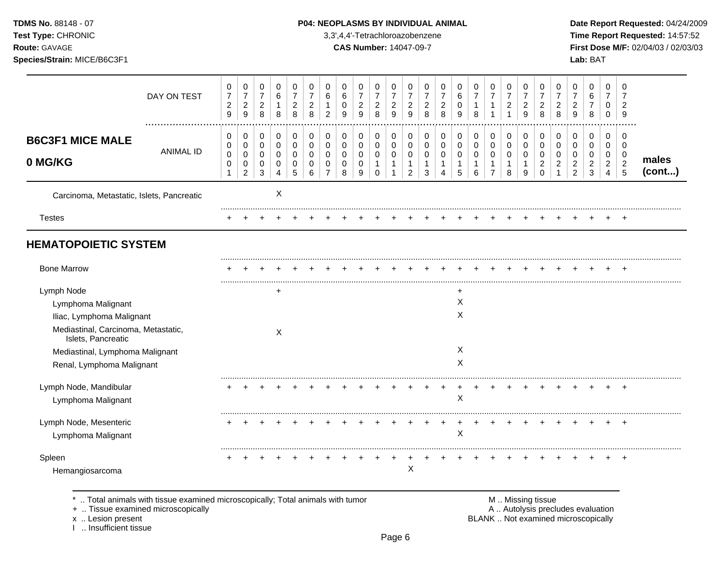### **TDMS No.** 88148 - 07 **P04: NEOPLASMS BY INDIVIDUAL ANIMAL** Date Report Requested: 04/24/2009

**Test Type:** CHRONIC 3,3',4,4'-Tetrachloroazobenzene **Time Report Requested:** 14:57:52 **Route:** GAVAGE **CAS Number:** 14047-09-7 **First Dose M/F:** 02/04/03 / 02/03/03

|                                                           | DAY ON TEST      | 0<br>$\overline{7}$<br>$\sqrt{2}$<br>$\mathsf g$ | 0<br>$\overline{7}$<br>$\sqrt{2}$<br>9 | 0<br>$\overline{7}$<br>$\boldsymbol{2}$<br>8 | 0<br>6<br>$\mathbf{1}$<br>8 | 0<br>$\overline{7}$<br>$\overline{c}$<br>8 | 0<br>$\overline{7}$<br>$\overline{c}$<br>8 | 0<br>6<br>$\mathbf 1$<br>$\overline{2}$   | 0<br>6<br>0<br>9      | 0<br>$\overline{7}$<br>$\sqrt{2}$<br>$\boldsymbol{9}$ | 0<br>7<br>$\overline{c}$<br>8 | 0<br>$\overline{7}$<br>$\overline{\mathbf{c}}$<br>9 | 0<br>$\overline{7}$<br>$\overline{c}$<br>9    | 0<br>7<br>$\boldsymbol{2}$<br>8  | 0<br>$\overline{7}$<br>$\overline{c}$<br>8 | 0<br>$\,6$<br>$\mathbf 0$<br>9 | 0<br>$\overline{7}$<br>$\mathbf{1}$<br>8 | 0<br>$\overline{7}$<br>$\mathbf{1}$<br>-1     | 0<br>$\overline{7}$<br>$\boldsymbol{2}$<br>1 | 0<br>7<br>$\overline{c}$<br>9 | 0<br>7<br>$\overline{c}$<br>8          | 0<br>$\overline{7}$<br>$\boldsymbol{2}$<br>8 | 0<br>$\overline{7}$<br>$\overline{c}$<br>9      | 0<br>6<br>$\boldsymbol{7}$<br>8      | $\mathbf 0$<br>$\overline{7}$<br>0<br>0         | 0<br>7<br>$\overline{2}$<br>9      |                 |
|-----------------------------------------------------------|------------------|--------------------------------------------------|----------------------------------------|----------------------------------------------|-----------------------------|--------------------------------------------|--------------------------------------------|-------------------------------------------|-----------------------|-------------------------------------------------------|-------------------------------|-----------------------------------------------------|-----------------------------------------------|----------------------------------|--------------------------------------------|--------------------------------|------------------------------------------|-----------------------------------------------|----------------------------------------------|-------------------------------|----------------------------------------|----------------------------------------------|-------------------------------------------------|--------------------------------------|-------------------------------------------------|------------------------------------|-----------------|
| <b>B6C3F1 MICE MALE</b><br>0 MG/KG                        | <b>ANIMAL ID</b> | 0<br>0<br>$\pmb{0}$<br>0<br>1                    | 0<br>0<br>0<br>0<br>$\overline{c}$     | 0<br>0<br>0<br>$\mathbf 0$<br>3              | 0<br>0<br>0<br>0<br>4       | 0<br>0<br>0<br>0<br>5                      | 0<br>0<br>0<br>0<br>6                      | 0<br>$\Omega$<br>0<br>0<br>$\overline{7}$ | 0<br>0<br>0<br>0<br>8 | 0<br>0<br>0<br>0<br>9                                 | 0<br>0<br>0<br>1<br>0         | 0<br>0<br>0<br>1<br>1                               | 0<br>0<br>0<br>$\mathbf{1}$<br>$\overline{2}$ | 0<br>0<br>0<br>$\mathbf{1}$<br>3 | 0<br>$\mathbf 0$<br>0<br>Δ                 | 0<br>0<br>0<br>5               | 0<br>0<br>0<br>$\mathbf{1}$<br>6         | 0<br>0<br>0<br>$\mathbf{1}$<br>$\overline{7}$ | 0<br>0<br>0<br>$\mathbf 1$<br>8              | 0<br>0<br>0<br>1<br>9         | 0<br>$\mathbf 0$<br>0<br>2<br>$\Omega$ | 0<br>0<br>$\Omega$<br>$\overline{2}$<br>1    | 0<br>0<br>0<br>$\overline{c}$<br>$\overline{c}$ | 0<br>0<br>0<br>$\boldsymbol{2}$<br>3 | 0<br>0<br>0<br>$\overline{2}$<br>$\overline{4}$ | 0<br>0<br>0<br>$\overline{2}$<br>5 | males<br>(cont) |
| Carcinoma, Metastatic, Islets, Pancreatic                 |                  |                                                  |                                        |                                              | Χ                           |                                            |                                            |                                           |                       |                                                       |                               |                                                     |                                               |                                  |                                            |                                |                                          |                                               |                                              |                               |                                        |                                              |                                                 |                                      |                                                 |                                    |                 |
| <b>Testes</b>                                             |                  |                                                  |                                        |                                              |                             |                                            |                                            |                                           |                       |                                                       |                               |                                                     |                                               |                                  |                                            |                                |                                          |                                               |                                              |                               |                                        |                                              |                                                 |                                      |                                                 |                                    |                 |
| <b>HEMATOPOIETIC SYSTEM</b>                               |                  |                                                  |                                        |                                              |                             |                                            |                                            |                                           |                       |                                                       |                               |                                                     |                                               |                                  |                                            |                                |                                          |                                               |                                              |                               |                                        |                                              |                                                 |                                      |                                                 |                                    |                 |
| <b>Bone Marrow</b>                                        |                  |                                                  |                                        |                                              |                             |                                            |                                            |                                           |                       |                                                       |                               |                                                     |                                               |                                  |                                            |                                |                                          |                                               |                                              |                               |                                        |                                              |                                                 |                                      |                                                 |                                    |                 |
| Lymph Node                                                |                  |                                                  |                                        |                                              |                             |                                            |                                            |                                           |                       |                                                       |                               |                                                     |                                               |                                  |                                            | ٠                              |                                          |                                               |                                              |                               |                                        |                                              |                                                 |                                      |                                                 |                                    |                 |
| Lymphoma Malignant                                        |                  |                                                  |                                        |                                              |                             |                                            |                                            |                                           |                       |                                                       |                               |                                                     |                                               |                                  |                                            | X                              |                                          |                                               |                                              |                               |                                        |                                              |                                                 |                                      |                                                 |                                    |                 |
| Iliac, Lymphoma Malignant                                 |                  |                                                  |                                        |                                              |                             |                                            |                                            |                                           |                       |                                                       |                               |                                                     |                                               |                                  |                                            | X                              |                                          |                                               |                                              |                               |                                        |                                              |                                                 |                                      |                                                 |                                    |                 |
| Mediastinal, Carcinoma, Metastatic,<br>Islets, Pancreatic |                  |                                                  |                                        |                                              | X                           |                                            |                                            |                                           |                       |                                                       |                               |                                                     |                                               |                                  |                                            |                                |                                          |                                               |                                              |                               |                                        |                                              |                                                 |                                      |                                                 |                                    |                 |
| Mediastinal, Lymphoma Malignant                           |                  |                                                  |                                        |                                              |                             |                                            |                                            |                                           |                       |                                                       |                               |                                                     |                                               |                                  |                                            | Χ                              |                                          |                                               |                                              |                               |                                        |                                              |                                                 |                                      |                                                 |                                    |                 |
| Renal, Lymphoma Malignant                                 |                  |                                                  |                                        |                                              |                             |                                            |                                            |                                           |                       |                                                       |                               |                                                     |                                               |                                  |                                            | X                              |                                          |                                               |                                              |                               |                                        |                                              |                                                 |                                      |                                                 |                                    |                 |
| Lymph Node, Mandibular<br>Lymphoma Malignant              |                  |                                                  |                                        |                                              |                             |                                            |                                            |                                           |                       |                                                       |                               |                                                     |                                               |                                  |                                            | X                              |                                          |                                               |                                              |                               |                                        |                                              |                                                 |                                      |                                                 | $\div$                             |                 |
| Lymph Node, Mesenteric                                    |                  |                                                  |                                        |                                              |                             |                                            |                                            |                                           |                       |                                                       |                               |                                                     |                                               |                                  |                                            |                                |                                          |                                               |                                              |                               |                                        |                                              |                                                 |                                      |                                                 | $\pm$                              |                 |
| Lymphoma Malignant                                        |                  |                                                  |                                        |                                              |                             |                                            |                                            |                                           |                       |                                                       |                               |                                                     |                                               |                                  |                                            | X                              |                                          |                                               |                                              |                               |                                        |                                              |                                                 |                                      |                                                 |                                    |                 |
| Spleen                                                    |                  |                                                  |                                        |                                              |                             |                                            |                                            |                                           |                       |                                                       |                               |                                                     |                                               |                                  |                                            |                                |                                          |                                               |                                              |                               |                                        |                                              |                                                 |                                      |                                                 |                                    |                 |
|                                                           |                  |                                                  |                                        |                                              |                             |                                            |                                            |                                           |                       |                                                       |                               |                                                     | X                                             |                                  |                                            |                                |                                          |                                               |                                              |                               |                                        |                                              |                                                 |                                      |                                                 |                                    |                 |

x .. Lesion present<br>I .. Insufficient tissue

+ .. Tissue examined microscopically and the state of the state of the state of the A .. Autolysis precludes evaluation BLANK .. Not examined microscopically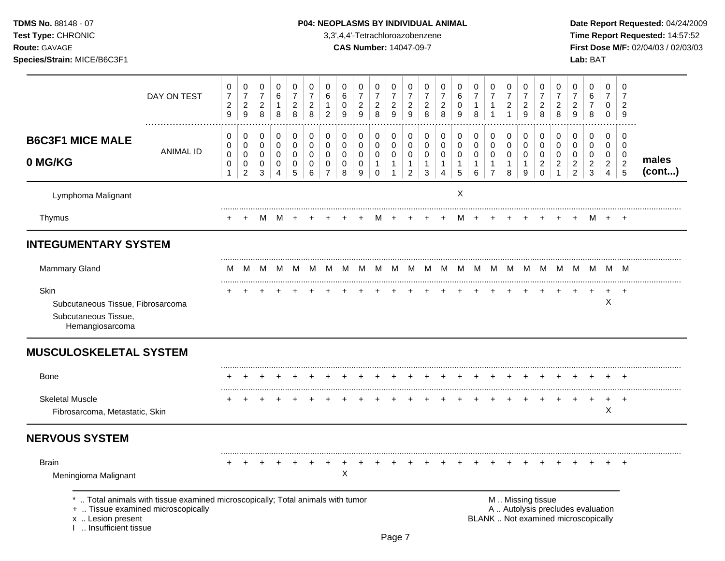### **TDMS No.** 88148 - 07 **P04: NEOPLASMS BY INDIVIDUAL ANIMAL** Date Report Requested: 04/24/2009

**Test Type:** CHRONIC 3,3',4,4'-Tetrachloroazobenzene **Time Report Requested:** 14:57:52 **Route:** GAVAGE **CAS Number:** 14047-09-7 **First Dose M/F:** 02/04/03 / 02/03/03

|                                                                                      | DAY ON TEST                                                                                                           | 0<br>$\overline{7}$<br>$\overline{c}$<br>9 | 0<br>$\overline{7}$<br>$\overline{c}$<br>9   | 0<br>$\overline{7}$<br>$\sqrt{2}$<br>$\,8\,$ | 0<br>6<br>$\mathbf{1}$<br>8               | 0<br>$\overline{7}$<br>$\overline{c}$<br>8 | 0<br>$\overline{7}$<br>$\overline{c}$<br>8 | 0<br>6<br>$\mathbf{1}$<br>$\overline{2}$         | 0<br>6<br>0<br>9                                 | 0<br>$\overline{7}$<br>$\overline{2}$<br>9 | 0<br>$\overline{7}$<br>$\overline{a}$<br>8           | 0<br>$\overline{7}$<br>$\overline{2}$<br>9                   | 0<br>$\overline{7}$<br>$\overline{a}$<br>9              | 0<br>$\overline{7}$<br>$\overline{c}$<br>8            | 0<br>$\overline{7}$<br>$\overline{c}$<br>8                        | 0<br>6<br>0<br>9                          | 0<br>$\overline{7}$<br>$\overline{1}$<br>8 | 0<br>$\overline{7}$<br>$\mathbf{1}$<br>$\mathbf{1}$    | 0<br>$\overline{7}$<br>$\overline{c}$<br>$\mathbf{1}$ | 0<br>$\overline{7}$<br>$\overline{c}$<br>9 | 0<br>$\overline{7}$<br>$\overline{a}$<br>8          | 0<br>$\overline{7}$<br>$\overline{2}$<br>8                     | 0<br>$\overline{7}$<br>$\overline{c}$<br>9                               | 0<br>6<br>$\overline{7}$<br>8                          | 0<br>$\overline{7}$<br>0<br>$\mathbf 0$                | 0<br>7<br>$\overline{2}$<br>9                       |                 |
|--------------------------------------------------------------------------------------|-----------------------------------------------------------------------------------------------------------------------|--------------------------------------------|----------------------------------------------|----------------------------------------------|-------------------------------------------|--------------------------------------------|--------------------------------------------|--------------------------------------------------|--------------------------------------------------|--------------------------------------------|------------------------------------------------------|--------------------------------------------------------------|---------------------------------------------------------|-------------------------------------------------------|-------------------------------------------------------------------|-------------------------------------------|--------------------------------------------|--------------------------------------------------------|-------------------------------------------------------|--------------------------------------------|-----------------------------------------------------|----------------------------------------------------------------|--------------------------------------------------------------------------|--------------------------------------------------------|--------------------------------------------------------|-----------------------------------------------------|-----------------|
| <b>B6C3F1 MICE MALE</b><br>0 MG/KG                                                   | <b>ANIMAL ID</b>                                                                                                      | 0<br>0<br>$\mathbf 0$<br>0<br>$\mathbf{1}$ | 0<br>$\mathbf 0$<br>0<br>0<br>$\overline{2}$ | 0<br>$\mathbf 0$<br>0<br>0<br>3              | 0<br>$\mathbf 0$<br>$\mathbf 0$<br>0<br>4 | 0<br>$\mathbf 0$<br>$\mathbf 0$<br>0<br>5  | 0<br>$\mathbf 0$<br>$\mathbf 0$<br>0<br>6  | 0<br>$\Omega$<br>$\Omega$<br>0<br>$\overline{7}$ | 0<br>$\Omega$<br>$\mathbf 0$<br>$\mathbf 0$<br>8 | 0<br>0<br>$\mathbf 0$<br>0<br>9            | 0<br>$\mathbf 0$<br>0<br>$\mathbf{1}$<br>$\mathbf 0$ | 0<br>$\Omega$<br>$\mathbf 0$<br>$\mathbf{1}$<br>$\mathbf{1}$ | 0<br>$\mathbf 0$<br>0<br>$\mathbf{1}$<br>$\overline{c}$ | 0<br>$\mathbf 0$<br>0<br>$\mathbf{1}$<br>$\mathbf{3}$ | 0<br>$\mathbf 0$<br>$\mathbf 0$<br>$\mathbf{1}$<br>$\overline{4}$ | 0<br>$\mathbf 0$<br>$\mathbf 0$<br>1<br>5 | 0<br>$\mathbf 0$<br>$\mathbf 0$<br>-1<br>6 | 0<br>$\mathbf 0$<br>$\mathbf 0$<br>1<br>$\overline{7}$ | 0<br>$\mathbf 0$<br>$\mathbf 0$<br>$\mathbf{1}$<br>8  | 0<br>$\mathbf 0$<br>$\mathbf 0$<br>1<br>9  | 0<br>$\mathbf 0$<br>0<br>$\overline{a}$<br>$\Omega$ | 0<br>$\Omega$<br>$\mathbf 0$<br>$\overline{c}$<br>$\mathbf{1}$ | 0<br>$\mathbf 0$<br>$\mathbf 0$<br>$\overline{c}$<br>$\overline{2}$      | 0<br>$\mathbf 0$<br>$\mathbf 0$<br>$\overline{c}$<br>3 | 0<br>$\Omega$<br>0<br>$\overline{2}$<br>$\overline{4}$ | 0<br>$\Omega$<br>$\mathbf 0$<br>$\overline{2}$<br>5 | males<br>(cont) |
| Lymphoma Malignant                                                                   |                                                                                                                       |                                            |                                              |                                              |                                           |                                            |                                            |                                                  |                                                  |                                            |                                                      |                                                              |                                                         |                                                       |                                                                   | X                                         |                                            |                                                        |                                                       |                                            |                                                     |                                                                |                                                                          |                                                        |                                                        |                                                     |                 |
| Thymus                                                                               |                                                                                                                       |                                            |                                              | M                                            | M                                         |                                            |                                            |                                                  |                                                  |                                            | M                                                    |                                                              |                                                         |                                                       |                                                                   | м                                         |                                            |                                                        |                                                       |                                            |                                                     |                                                                |                                                                          | M                                                      |                                                        |                                                     |                 |
| <b>INTEGUMENTARY SYSTEM</b>                                                          |                                                                                                                       |                                            |                                              |                                              |                                           |                                            |                                            |                                                  |                                                  |                                            |                                                      |                                                              |                                                         |                                                       |                                                                   |                                           |                                            |                                                        |                                                       |                                            |                                                     |                                                                |                                                                          |                                                        |                                                        |                                                     |                 |
| <b>Mammary Gland</b>                                                                 |                                                                                                                       | M                                          | м                                            | M                                            | M                                         | M                                          | M                                          | М                                                | M                                                | M                                          | M                                                    | M                                                            | M                                                       | M                                                     |                                                                   | M M M                                     |                                            | M                                                      | M <sub>1</sub>                                        |                                            |                                                     |                                                                | M M M M M M M                                                            |                                                        |                                                        |                                                     |                 |
| Skin<br>Subcutaneous Tissue, Fibrosarcoma<br>Subcutaneous Tissue,<br>Hemangiosarcoma |                                                                                                                       |                                            |                                              |                                              |                                           |                                            |                                            |                                                  |                                                  |                                            |                                                      |                                                              |                                                         |                                                       |                                                                   |                                           |                                            |                                                        |                                                       |                                            |                                                     |                                                                |                                                                          | $\ddot{}$                                              | X                                                      | $\ddot{}$                                           |                 |
| <b>MUSCULOSKELETAL SYSTEM</b>                                                        |                                                                                                                       |                                            |                                              |                                              |                                           |                                            |                                            |                                                  |                                                  |                                            |                                                      |                                                              |                                                         |                                                       |                                                                   |                                           |                                            |                                                        |                                                       |                                            |                                                     |                                                                |                                                                          |                                                        |                                                        |                                                     |                 |
| <b>Bone</b>                                                                          |                                                                                                                       |                                            |                                              |                                              |                                           |                                            |                                            |                                                  |                                                  |                                            |                                                      |                                                              |                                                         |                                                       |                                                                   |                                           |                                            |                                                        |                                                       |                                            |                                                     |                                                                |                                                                          |                                                        |                                                        |                                                     |                 |
| <b>Skeletal Muscle</b><br>Fibrosarcoma, Metastatic, Skin                             |                                                                                                                       |                                            |                                              |                                              |                                           |                                            |                                            |                                                  |                                                  |                                            |                                                      |                                                              |                                                         |                                                       |                                                                   |                                           |                                            |                                                        |                                                       |                                            |                                                     |                                                                |                                                                          |                                                        | +<br>X                                                 | $\ddot{}$                                           |                 |
| <b>NERVOUS SYSTEM</b>                                                                |                                                                                                                       |                                            |                                              |                                              |                                           |                                            |                                            |                                                  |                                                  |                                            |                                                      |                                                              |                                                         |                                                       |                                                                   |                                           |                                            |                                                        |                                                       |                                            |                                                     |                                                                |                                                                          |                                                        |                                                        |                                                     |                 |
| <b>Brain</b><br>Meningioma Malignant                                                 |                                                                                                                       |                                            |                                              |                                              |                                           |                                            |                                            |                                                  | X                                                |                                            |                                                      |                                                              |                                                         |                                                       |                                                                   |                                           |                                            |                                                        |                                                       |                                            |                                                     |                                                                |                                                                          |                                                        |                                                        | <b>+</b>                                            |                 |
| x  Lesion present<br>1  Insufficient tissue                                          | *  Total animals with tissue examined microscopically; Total animals with tumor<br>+  Tissue examined microscopically |                                            |                                              |                                              |                                           |                                            |                                            |                                                  |                                                  |                                            |                                                      |                                                              |                                                         |                                                       |                                                                   |                                           |                                            |                                                        |                                                       |                                            | M  Missing tissue                                   |                                                                | A  Autolysis precludes evaluation<br>BLANK  Not examined microscopically |                                                        |                                                        |                                                     |                 |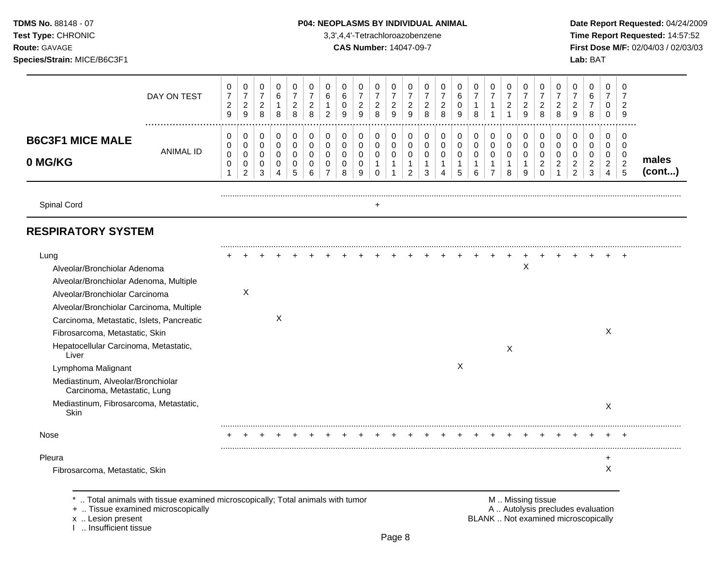**Test Type:** CHRONIC 3,3',4,4'-Tetrachloroazobenzene **Time Report Requested:** 14:57:52 **Route:** GAVAGE **CAS Number:** 14047-09-7 **First Dose M/F:** 02/04/03 / 02/03/03 **Species/Strain:** MICE/B6C3F1 **Lab:** BAT

|                                                                                                                                                                                                                                                                                                                                                                                                                                           | DAY ON TEST                                                                  | 0<br>$\overline{\mathcal{I}}$<br>$\overline{\mathbf{c}}$<br>$\boldsymbol{9}$ | 0<br>$\overline{7}$<br>$\overline{\mathbf{c}}$<br>9 | 0<br>$\overline{7}$<br>$\overline{c}$<br>8 | 0<br>6<br>1<br>8    | 0<br>$\boldsymbol{7}$<br>$\overline{c}$<br>8 | 0<br>$\overline{7}$<br>$\overline{c}$<br>8 | 0<br>6<br>$\overline{2}$ | 0<br>6<br>$\pmb{0}$<br>9 | 0<br>$\boldsymbol{7}$<br>$\overline{\mathbf{c}}$<br>9 | 0<br>$\overline{7}$<br>$\overline{\mathbf{c}}$<br>8 | 0<br>$\overline{7}$<br>$\boldsymbol{2}$<br>9 | 0<br>$\overline{7}$<br>$\overline{c}$<br>9 | 0<br>$\overline{7}$<br>$\overline{\mathbf{c}}$<br>8 | 0<br>$\overline{7}$<br>$\overline{\mathbf{c}}$<br>8 | 0<br>6<br>0<br>9 | 0<br>$\overline{7}$<br>1<br>8   | 0<br>$\overline{7}$<br>1<br>1  | 0<br>$\overline{7}$<br>$\overline{c}$<br>1 | 0<br>$\overline{7}$<br>$\overline{c}$<br>9 | 0<br>$\overline{7}$<br>$\overline{c}$<br>8 | 0<br>$\overline{7}$<br>$\overline{c}$<br>8 | 0<br>$\overline{7}$<br>$\overline{\mathbf{c}}$<br>9 | 0<br>6<br>7<br>8                 | 0<br>$\overline{7}$<br>0<br>0    | 0<br>$\overline{7}$<br>$\overline{2}$<br>9 |                 |
|-------------------------------------------------------------------------------------------------------------------------------------------------------------------------------------------------------------------------------------------------------------------------------------------------------------------------------------------------------------------------------------------------------------------------------------------|------------------------------------------------------------------------------|------------------------------------------------------------------------------|-----------------------------------------------------|--------------------------------------------|---------------------|----------------------------------------------|--------------------------------------------|--------------------------|--------------------------|-------------------------------------------------------|-----------------------------------------------------|----------------------------------------------|--------------------------------------------|-----------------------------------------------------|-----------------------------------------------------|------------------|---------------------------------|--------------------------------|--------------------------------------------|--------------------------------------------|--------------------------------------------|--------------------------------------------|-----------------------------------------------------|----------------------------------|----------------------------------|--------------------------------------------|-----------------|
| <b>B6C3F1 MICE MALE</b>                                                                                                                                                                                                                                                                                                                                                                                                                   | <b>ANIMAL ID</b>                                                             | 0<br>0<br>$\mathsf 0$                                                        | 0<br>0<br>0                                         | 0<br>$\mathbf 0$<br>0                      | 0<br>0<br>$\pmb{0}$ | 0<br>$\mathbf 0$<br>0                        | 0<br>$\mathbf 0$<br>0                      | 0<br>$\mathbf 0$<br>0    | 0<br>$\mathbf 0$<br>0    | 0<br>0<br>0                                           | 0<br>$\mathbf 0$<br>0                               | 0<br>0<br>$\pmb{0}$                          | 0<br>0<br>0                                | 0<br>0<br>0                                         | 0<br>0<br>0                                         | 0<br>0<br>0      | 0<br>$\mathbf 0$<br>$\mathbf 0$ | 0<br>0<br>$\pmb{0}$            | 0<br>$\mathbf 0$<br>0                      | 0<br>0<br>0                                | 0<br>0<br>0                                | 0<br>$\mathbf 0$<br>0                      | 0<br>0<br>0                                         | 0<br>$\mathbf 0$<br>0            | 0<br>0<br>0                      | 0<br>$\mathbf 0$<br>0                      |                 |
| 0 MG/KG                                                                                                                                                                                                                                                                                                                                                                                                                                   |                                                                              | 0<br>1                                                                       | 0<br>$\overline{c}$                                 | $\mathbf 0$<br>3                           | 0<br>4              | $\mathbf 0$<br>5                             | 0<br>6                                     | 0<br>$\overline{7}$      | 0<br>8                   | 0<br>9                                                | $\overline{1}$<br>0                                 | $\mathbf{1}$<br>1                            | $\mathbf{1}$<br>$\overline{c}$             | 1<br>3                                              | 1<br>$\overline{\mathbf{4}}$                        | $\mathbf 1$<br>5 | 1<br>6                          | $\mathbf{1}$<br>$\overline{7}$ | 1<br>8                                     | $\mathbf 1$<br>9                           | $\overline{c}$<br>$\Omega$                 | $\overline{c}$<br>1                        | $\overline{c}$<br>$\overline{c}$                    | $\boldsymbol{2}$<br>$\mathbf{3}$ | $\overline{2}$<br>$\overline{4}$ | $\sqrt{2}$<br>5                            | males<br>(cont) |
| Spinal Cord                                                                                                                                                                                                                                                                                                                                                                                                                               |                                                                              |                                                                              |                                                     |                                            |                     |                                              |                                            |                          |                          |                                                       | $\ddot{}$                                           |                                              |                                            |                                                     |                                                     |                  |                                 |                                |                                            |                                            |                                            |                                            |                                                     |                                  |                                  |                                            |                 |
| <b>RESPIRATORY SYSTEM</b>                                                                                                                                                                                                                                                                                                                                                                                                                 |                                                                              |                                                                              |                                                     |                                            |                     |                                              |                                            |                          |                          |                                                       |                                                     |                                              |                                            |                                                     |                                                     |                  |                                 |                                |                                            |                                            |                                            |                                            |                                                     |                                  |                                  |                                            |                 |
| Lung<br>Alveolar/Bronchiolar Adenoma<br>Alveolar/Bronchiolar Adenoma, Multiple<br>Alveolar/Bronchiolar Carcinoma<br>Alveolar/Bronchiolar Carcinoma, Multiple<br>Carcinoma, Metastatic, Islets, Pancreatic<br>Fibrosarcoma, Metastatic, Skin<br>Hepatocellular Carcinoma, Metastatic,<br>Liver<br>Lymphoma Malignant<br>Mediastinum, Alveolar/Bronchiolar<br>Carcinoma, Metastatic, Lung<br>Mediastinum, Fibrosarcoma, Metastatic,<br>Skin |                                                                              |                                                                              | X                                                   |                                            | X                   |                                              |                                            |                          |                          |                                                       |                                                     |                                              |                                            |                                                     |                                                     | X                |                                 |                                | X                                          | X                                          |                                            |                                            |                                                     |                                  | X<br>X                           |                                            |                 |
| <b>Nose</b>                                                                                                                                                                                                                                                                                                                                                                                                                               |                                                                              |                                                                              |                                                     |                                            |                     |                                              |                                            |                          |                          |                                                       |                                                     |                                              |                                            |                                                     |                                                     |                  |                                 |                                |                                            |                                            |                                            |                                            |                                                     |                                  |                                  |                                            |                 |
| Pleura<br>Fibrosarcoma, Metastatic, Skin                                                                                                                                                                                                                                                                                                                                                                                                  | Total animals with tissue examined microscopically; Total animals with tumor |                                                                              |                                                     |                                            |                     |                                              |                                            |                          |                          |                                                       |                                                     |                                              |                                            |                                                     |                                                     |                  |                                 |                                |                                            |                                            | M  Missing tissue                          |                                            |                                                     |                                  | +<br>X                           |                                            |                 |

x .. Lesion present<br>I .. Insufficient tissue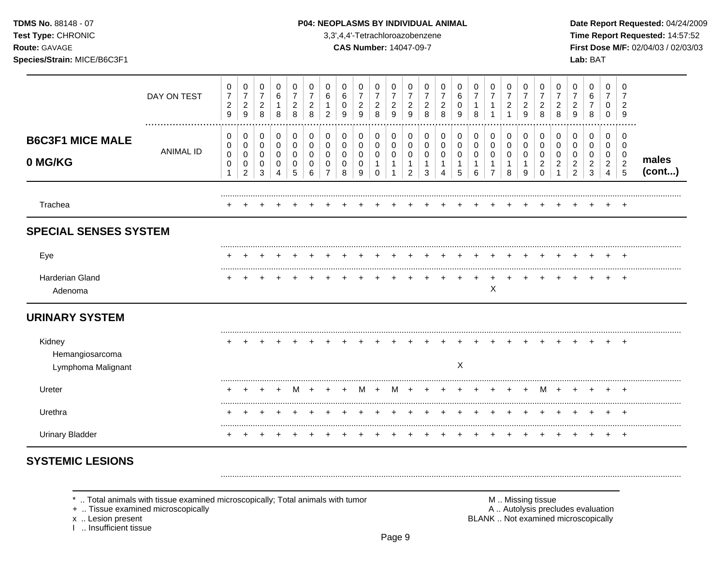TDMS No. 88148 - 07

#### Test Type: CHRONIC

Route: GAVAGE

Species/Strain: MICE/B6C3F1

#### P04: NEOPLASMS BY INDIVIDUAL ANIMAL

3,3',4,4'-Tetrachloroazobenzene

**CAS Number: 14047-09-7** 

Date Report Requested: 04/24/2009 Time Report Requested: 14:57:52 First Dose M/F: 02/04/03 / 02/03/03 Lab: BAT

|                                                 | DAY ON TEST      | 0<br>$\boldsymbol{7}$<br>$\boldsymbol{2}$<br>$\overline{9}$ | 0<br>$\boldsymbol{7}$<br>$\overline{2}$<br>9 | 0<br>$\boldsymbol{7}$<br>$\sqrt{2}$<br>8 | 0<br>6<br>1<br>8      | 0<br>7<br>2<br>8      | 0<br>7<br>$\overline{c}$<br>8 | 0<br>6<br>$\overline{2}$ | 0<br>6<br>0<br>9      | 0<br>$\overline{7}$<br>$\sqrt{2}$<br>9 | 0<br>7<br>$\overline{c}$<br>8 | 0<br>7<br>$\overline{c}$<br>9 | 0<br>7<br>$\overline{c}$<br>9 | 0<br>7<br>$\overline{c}$<br>8 | 0<br>7<br>$\overline{c}$<br>8 | 0<br>6<br>0<br>9 | 0<br>7<br>-1<br>8      | 0<br>7<br>$\mathbf{1}$                        | 0<br>7<br>$\overline{c}$ | 0<br>7<br>$\overline{c}$<br>9 | 0<br>7<br>$\overline{c}$<br>8             | 0<br>$\overline{7}$<br>$\overline{2}$<br>8 | 0<br>7<br>$\overline{c}$<br>9                   | 0<br>6<br>$\overline{7}$<br>8      | 0<br>7<br>0<br>0                   | 0<br>7<br>$\overline{c}$<br>9               |                 |
|-------------------------------------------------|------------------|-------------------------------------------------------------|----------------------------------------------|------------------------------------------|-----------------------|-----------------------|-------------------------------|--------------------------|-----------------------|----------------------------------------|-------------------------------|-------------------------------|-------------------------------|-------------------------------|-------------------------------|------------------|------------------------|-----------------------------------------------|--------------------------|-------------------------------|-------------------------------------------|--------------------------------------------|-------------------------------------------------|------------------------------------|------------------------------------|---------------------------------------------|-----------------|
| <b>B6C3F1 MICE MALE</b><br>0 MG/KG              | <b>ANIMAL ID</b> | 0<br>0<br>$\pmb{0}$<br>$\pmb{0}$                            | 0<br>0<br>0<br>0<br>$\overline{2}$           | 0<br>0<br>0<br>0<br>3                    | 0<br>0<br>0<br>0<br>4 | 0<br>0<br>0<br>0<br>5 | 0<br>0<br>0<br>0<br>6         | 0<br>0<br>0<br>0         | 0<br>0<br>0<br>0<br>8 | 0<br>0<br>0<br>0<br>9                  | 0<br>0<br>0<br>1<br>$\Omega$  | 0<br>0<br>0                   | 0<br>0<br>0<br>$\overline{c}$ | 0<br>0<br>0<br>3              | 0<br>0<br>0<br>Δ              | 0<br>0<br>0<br>5 | 0<br>0<br>0<br>-1<br>6 | 0<br>0<br>0<br>$\mathbf{1}$<br>$\overline{7}$ | 0<br>0<br>0<br>-1<br>8   | 0<br>0<br>0<br>1<br>9         | 0<br>0<br>0<br>$\overline{2}$<br>$\Omega$ | 0<br>0<br>0<br>$\overline{2}$              | 0<br>0<br>0<br>$\overline{c}$<br>$\overline{2}$ | 0<br>0<br>0<br>$\overline{c}$<br>3 | 0<br>0<br>0<br>$\overline{2}$<br>4 | 0<br>0<br>0<br>$\sqrt{2}$<br>$\overline{5}$ | males<br>(cont) |
| Trachea                                         |                  |                                                             |                                              |                                          |                       |                       |                               |                          |                       |                                        |                               |                               |                               |                               |                               |                  |                        |                                               |                          |                               |                                           |                                            |                                                 |                                    |                                    | $^{+}$                                      |                 |
| <b>SPECIAL SENSES SYSTEM</b>                    |                  |                                                             |                                              |                                          |                       |                       |                               |                          |                       |                                        |                               |                               |                               |                               |                               |                  |                        |                                               |                          |                               |                                           |                                            |                                                 |                                    |                                    |                                             |                 |
| Eye                                             |                  |                                                             |                                              |                                          |                       |                       |                               |                          |                       |                                        |                               |                               |                               |                               |                               |                  |                        |                                               |                          |                               |                                           |                                            |                                                 |                                    |                                    | $\mathbf +$                                 |                 |
| Harderian Gland<br>Adenoma                      |                  |                                                             |                                              |                                          |                       |                       |                               |                          |                       |                                        |                               |                               |                               |                               |                               |                  |                        | X                                             |                          |                               |                                           |                                            |                                                 |                                    |                                    | $+$                                         |                 |
| <b>URINARY SYSTEM</b>                           |                  |                                                             |                                              |                                          |                       |                       |                               |                          |                       |                                        |                               |                               |                               |                               |                               |                  |                        |                                               |                          |                               |                                           |                                            |                                                 |                                    |                                    |                                             |                 |
| Kidney<br>Hemangiosarcoma<br>Lymphoma Malignant |                  |                                                             |                                              |                                          |                       |                       |                               |                          |                       |                                        |                               |                               |                               |                               |                               | X                |                        |                                               |                          |                               |                                           |                                            |                                                 |                                    |                                    |                                             |                 |
| Ureter                                          |                  |                                                             |                                              |                                          |                       | M                     |                               |                          |                       | M                                      |                               | M                             |                               |                               |                               |                  |                        |                                               |                          |                               | м                                         |                                            |                                                 |                                    |                                    |                                             |                 |
| Urethra                                         |                  |                                                             |                                              |                                          |                       |                       |                               |                          |                       |                                        |                               |                               |                               |                               |                               |                  |                        |                                               |                          |                               |                                           |                                            |                                                 |                                    |                                    |                                             |                 |
| <b>Urinary Bladder</b>                          |                  | $\ddot{}$                                                   | $^+$                                         | $\div$                                   |                       |                       |                               |                          |                       |                                        |                               |                               |                               |                               |                               |                  | $\ddot{}$              |                                               | $\pm$                    | $\ddot{}$                     |                                           |                                            | $\div$                                          | $\pm$                              | $+$                                | $+$                                         |                 |

# **SYSTEMIC LESIONS**

\* .. Total animals with tissue examined microscopically; Total animals with tumor

+ .. Tissue examined microscopically

x .. Lesion present

1 .. Insufficient tissue

M .. Missing tissue A .. Autolysis precludes evaluation BLANK .. Not examined microscopically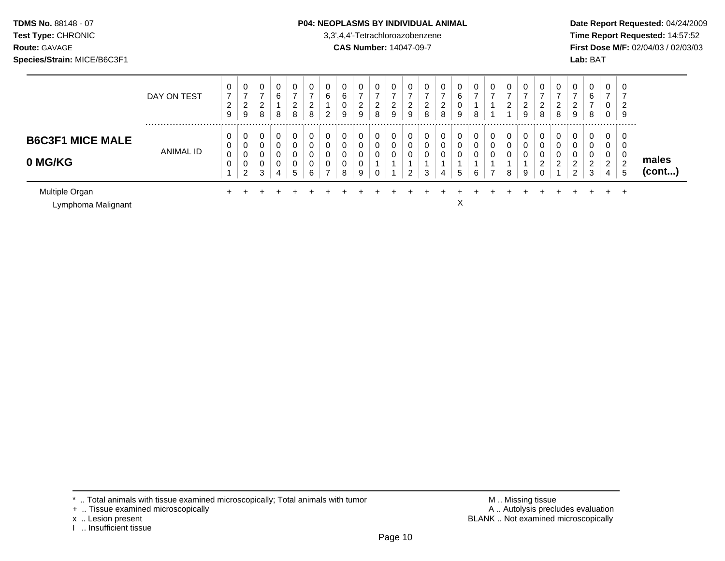#### **TDMS No.** 88148 - 07 **P04: NEOPLASMS BY INDIVIDUAL ANIMAL** Date Report Requested: 04/24/2009

**Test Type:** CHRONIC 3,3',4,4'-Tetrachloroazobenzene **Time Report Requested:** 14:57:52 **Route:** GAVAGE **CAS Number:** 14047-09-7 **First Dose M/F:** 02/04/03 / 02/03/03

|                                      | DAY ON TEST      | 0<br>$\overline{7}$<br>າ<br>$\epsilon$<br>9 | 0<br>$\overline{ }$<br>ົ<br>∠<br>9      | 0<br>$\overline{\phantom{a}}$<br>$\sim$<br><u>_</u><br>8 | 0<br>6<br>8           | 0<br>$\overline{ }$<br>2<br>8            | 0<br>-<br>ົ<br>$\epsilon$<br>8 | 0<br>6<br>$\overline{2}$           | 0<br>6<br>0<br>9 | 0<br>$\rightarrow$<br>ົ<br>∠<br>9 | 0<br>⇁<br>າ<br>$\epsilon$<br>8 | 0<br>2<br>9 | 0<br>ົ<br>∠<br>9 | 0<br>ົ<br>$\epsilon$<br>8 | 0<br>-<br>ົ<br>∼<br>8 | 0<br>6<br>U<br>9       | 0<br>$\overline{ }$<br>8 | 0<br>$\overline{ }$ | $\sim$<br>U<br>7<br>2                  | 0<br>$\overline{\phantom{0}}$<br>$\overline{2}$<br>9 | 0<br>⇁<br>2<br>8           | 0<br>2<br>8 | 0<br>◠<br>∠<br>9           | 0<br>6<br>⇁<br>8           | 0<br>$\rightarrow$<br>υ<br>0 | 0<br>∠<br>-9 |                       |
|--------------------------------------|------------------|---------------------------------------------|-----------------------------------------|----------------------------------------------------------|-----------------------|------------------------------------------|--------------------------------|------------------------------------|------------------|-----------------------------------|--------------------------------|-------------|------------------|---------------------------|-----------------------|------------------------|--------------------------|---------------------|----------------------------------------|------------------------------------------------------|----------------------------|-------------|----------------------------|----------------------------|------------------------------|--------------|-----------------------|
| <b>B6C3F1 MICE MALE</b><br>0 MG/KG   | <b>ANIMAL ID</b> | υ<br>0<br>0<br>$\mathbf 0$                  | 0<br>0<br>0<br>⌒<br>U<br>$\overline{2}$ | 0<br>0<br>3                                              | 0<br>0<br>0<br>0<br>4 | υ<br>$\sim$<br>υ<br>$\sqrt{2}$<br>υ<br>5 | 0<br>0<br>0<br>0<br>6          | 0<br>0<br>0<br>0<br>$\overline{ }$ | 0<br>8           | 0<br>0<br>0<br>0<br>9             | 0<br>0<br>0<br>0               | 0<br>0      | 0<br>0<br>0<br>ົ | 0<br>0<br>$\Omega$<br>3   | 0<br>0<br>0<br>4      | 0<br>0<br>0<br>-4<br>5 | 0<br>0<br>0<br>6         | 0<br>0<br>0<br>⇁    | <b>U</b><br>$\sim$<br>◡<br>$\sim$<br>8 | 0<br>0<br>0<br>9                                     | 0<br>0<br>0<br>C<br>∠<br>0 | 0<br>റ<br>٠ | 0<br>0<br>0<br>$\sim$<br>ົ | 0<br>0<br>0<br>ົ<br>∠<br>3 | 0<br>0<br>0<br>ົ<br>∼<br>4   | 0<br>U<br>-0 | males<br>$($ cont $)$ |
| Multiple Organ<br>Lymphoma Malignant |                  | ÷                                           |                                         |                                                          |                       |                                          |                                |                                    |                  |                                   |                                |             |                  |                           |                       | $\check{ }$<br>⋏       |                          |                     |                                        |                                                      |                            |             |                            |                            |                              | $\pm$        |                       |

<sup>+ ..</sup> Tissue examined microscopically

x .. Lesion present<br>I .. Insufficient tissue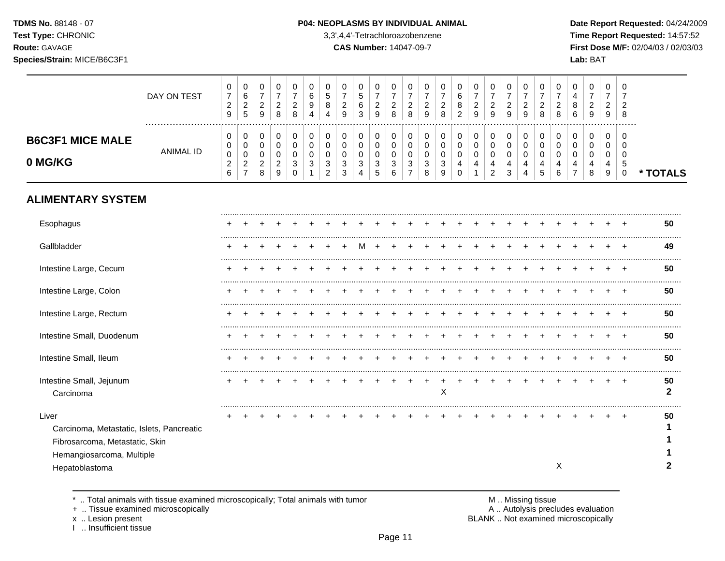**Test Type:** CHRONIC 3,3',4,4'-Tetrachloroazobenzene **Time Report Requested:** 14:57:52 **Route:** GAVAGE **CAS Number:** 14047-09-7 **First Dose M/F:** 02/04/03 / 02/03/03 **Species/Strain:** MICE/B6C3F1 **Lab:** BAT

| DAY ON TEST      | 0<br>$\overline{7}$<br>$\sqrt{2}$<br>$\boldsymbol{9}$                                                                                | $\pmb{0}$<br>$\,6\,$<br>$\overline{2}$<br>$\overline{5}$  | 0<br>$\overline{7}$<br>$\sqrt{2}$<br>9                        | 0<br>$\overline{7}$<br>$\overline{c}$<br>8          | 0<br>$\overline{7}$<br>$\overline{2}$<br>8    | 0<br>6<br>9<br>Δ                            | 0<br>5<br>8<br>4                                              | 0<br>$\overline{7}$<br>$\boldsymbol{2}$<br>9 | 0<br>$\sqrt{5}$<br>6<br>3                           | 0<br>$\overline{7}$<br>$\overline{c}$<br>9 | 0<br>$\overline{7}$<br>$\overline{c}$<br>8 | 0<br>$\overline{7}$<br>$\overline{2}$<br>8          | 0<br>$\overline{7}$<br>$\overline{a}$<br>9 | 0<br>$\overline{7}$<br>$\overline{c}$<br>8 | 0<br>6<br>$\bf 8$<br>$\overline{2}$ | 0<br>$\overline{7}$<br>$\overline{2}$<br>9 | 0<br>$\overline{7}$<br>$\overline{2}$<br>9                                   | 0<br>$\overline{7}$<br>$\overline{c}$<br>9 | 0<br>$\overline{7}$<br>$\overline{c}$<br>9 | 0<br>$\overline{7}$<br>$\overline{2}$<br>8 | 0<br>$\overline{7}$<br>$\overline{2}$<br>8 | 0<br>4<br>8<br>6                            | 0<br>$\overline{7}$<br>$\overline{c}$<br>$\boldsymbol{9}$ | 0<br>$\overline{7}$<br>$\overline{2}$<br>9 | $\mathbf 0$<br>$\overline{7}$<br>$\overline{2}$<br>8 |                    |
|------------------|--------------------------------------------------------------------------------------------------------------------------------------|-----------------------------------------------------------|---------------------------------------------------------------|-----------------------------------------------------|-----------------------------------------------|---------------------------------------------|---------------------------------------------------------------|----------------------------------------------|-----------------------------------------------------|--------------------------------------------|--------------------------------------------|-----------------------------------------------------|--------------------------------------------|--------------------------------------------|-------------------------------------|--------------------------------------------|------------------------------------------------------------------------------|--------------------------------------------|--------------------------------------------|--------------------------------------------|--------------------------------------------|---------------------------------------------|-----------------------------------------------------------|--------------------------------------------|------------------------------------------------------|--------------------|
| <b>ANIMAL ID</b> | 0<br>0<br>$\mathbf 0$<br>$\overline{2}$<br>$6\phantom{1}$                                                                            | 0<br>0<br>$\mathbf 0$<br>$\overline{2}$<br>$\overline{7}$ | $\mathbf 0$<br>$\Omega$<br>$\mathbf 0$<br>$\overline{c}$<br>8 | 0<br>$\Omega$<br>$\mathbf 0$<br>$\overline{c}$<br>9 | 0<br>$\Omega$<br>$\Omega$<br>3<br>$\mathbf 0$ | $\mathbf 0$<br>$\Omega$<br>$\mathbf 0$<br>3 | $\mathbf 0$<br>$\Omega$<br>$\mathbf 0$<br>3<br>$\overline{2}$ | 0<br>0<br>$\mathbf 0$<br>$\mathbf{3}$<br>3   | 0<br>0<br>$\pmb{0}$<br>$\sqrt{3}$<br>$\overline{4}$ | 0<br>$\mathbf 0$<br>$\mathbf 0$<br>3<br>5  | 0<br>0<br>$\mathbf 0$<br>3<br>6            | 0<br>$\Omega$<br>$\mathbf 0$<br>3<br>$\overline{7}$ | 0<br>0<br>$\pmb{0}$<br>3<br>8              | 0<br>0<br>$\mathbf 0$<br>$\sqrt{3}$<br>9   | 0<br>0<br>0<br>4<br>$\mathbf 0$     | 0<br>$\mathbf 0$<br>$\mathbf 0$<br>4<br>1  | 0<br>$\mathbf 0$<br>$\mathbf 0$<br>$\overline{\mathbf{4}}$<br>$\overline{c}$ | 0<br>$\mathbf 0$<br>$\mathbf 0$<br>4<br>3  | 0<br>$\Omega$<br>$\mathbf 0$<br>4<br>4     | 0<br>$\Omega$<br>$\Omega$<br>4<br>5        | $\mathbf 0$<br>$\Omega$<br>$\Omega$<br>6   | $\mathbf 0$<br>$\Omega$<br>$\mathbf 0$<br>4 | 0<br>$\Omega$<br>$\mathbf 0$<br>4<br>8                    | 0<br>$\Omega$<br>0<br>4<br>9               | 0<br>$\Omega$<br>$\mathbf 0$<br>5<br>$\mathbf 0$     | * TOTALS           |
|                  |                                                                                                                                      |                                                           |                                                               |                                                     |                                               |                                             |                                                               |                                              |                                                     |                                            |                                            |                                                     |                                            |                                            |                                     |                                            |                                                                              |                                            |                                            |                                            |                                            |                                             |                                                           |                                            |                                                      |                    |
|                  |                                                                                                                                      |                                                           |                                                               |                                                     |                                               |                                             |                                                               |                                              |                                                     |                                            |                                            |                                                     |                                            |                                            |                                     |                                            |                                                                              |                                            |                                            |                                            |                                            |                                             |                                                           |                                            |                                                      | 50                 |
|                  |                                                                                                                                      |                                                           |                                                               |                                                     |                                               |                                             |                                                               |                                              | м                                                   |                                            |                                            |                                                     |                                            |                                            |                                     |                                            |                                                                              |                                            |                                            |                                            |                                            |                                             |                                                           |                                            |                                                      | 49                 |
|                  |                                                                                                                                      |                                                           |                                                               |                                                     |                                               |                                             |                                                               |                                              |                                                     |                                            |                                            |                                                     |                                            |                                            |                                     |                                            |                                                                              |                                            |                                            |                                            |                                            |                                             |                                                           |                                            |                                                      | 50                 |
|                  |                                                                                                                                      |                                                           |                                                               |                                                     |                                               |                                             |                                                               |                                              |                                                     |                                            |                                            |                                                     |                                            |                                            |                                     |                                            |                                                                              |                                            |                                            |                                            |                                            |                                             |                                                           |                                            | $\pm$                                                | 50                 |
|                  |                                                                                                                                      |                                                           |                                                               |                                                     |                                               |                                             |                                                               |                                              |                                                     |                                            |                                            |                                                     |                                            |                                            |                                     |                                            |                                                                              |                                            |                                            |                                            |                                            |                                             |                                                           |                                            | $\div$                                               | 50                 |
|                  |                                                                                                                                      |                                                           |                                                               |                                                     |                                               |                                             |                                                               |                                              |                                                     |                                            |                                            |                                                     |                                            |                                            |                                     |                                            |                                                                              |                                            |                                            |                                            |                                            |                                             |                                                           |                                            | $\div$                                               | 50                 |
|                  |                                                                                                                                      |                                                           |                                                               |                                                     |                                               |                                             |                                                               |                                              |                                                     |                                            |                                            |                                                     |                                            |                                            |                                     |                                            |                                                                              |                                            |                                            |                                            |                                            |                                             |                                                           |                                            | $\pm$                                                | 50                 |
|                  |                                                                                                                                      |                                                           |                                                               |                                                     |                                               |                                             |                                                               |                                              |                                                     |                                            |                                            |                                                     |                                            | $\boldsymbol{\mathsf{X}}$                  |                                     |                                            |                                                                              |                                            |                                            |                                            |                                            |                                             |                                                           |                                            | $\overline{+}$                                       | 50<br>$\mathbf{2}$ |
|                  |                                                                                                                                      |                                                           |                                                               |                                                     |                                               |                                             |                                                               |                                              |                                                     |                                            |                                            |                                                     |                                            |                                            |                                     |                                            |                                                                              |                                            |                                            |                                            | $\boldsymbol{X}$                           |                                             |                                                           |                                            |                                                      | 50<br>2            |
|                  | <b>ALIMENTARY SYSTEM</b><br>Carcinoma, Metastatic, Islets, Pancreatic<br>Fibrosarcoma, Metastatic, Skin<br>Hemangiosarcoma, Multiple |                                                           |                                                               |                                                     |                                               |                                             |                                                               |                                              |                                                     |                                            |                                            |                                                     |                                            |                                            |                                     |                                            |                                                                              |                                            |                                            |                                            |                                            |                                             |                                                           |                                            |                                                      |                    |

\* .. Total animals with tissue examined microscopically; Total animals with tumor **M** metal metal M .. Missing tissue<br>  $\blacksquare$  . Tissue examined microscopically

+ .. Tissue examined microscopically

I .. Insufficient tissue

x .. Lesion present **BLANK** .. Not examined microscopically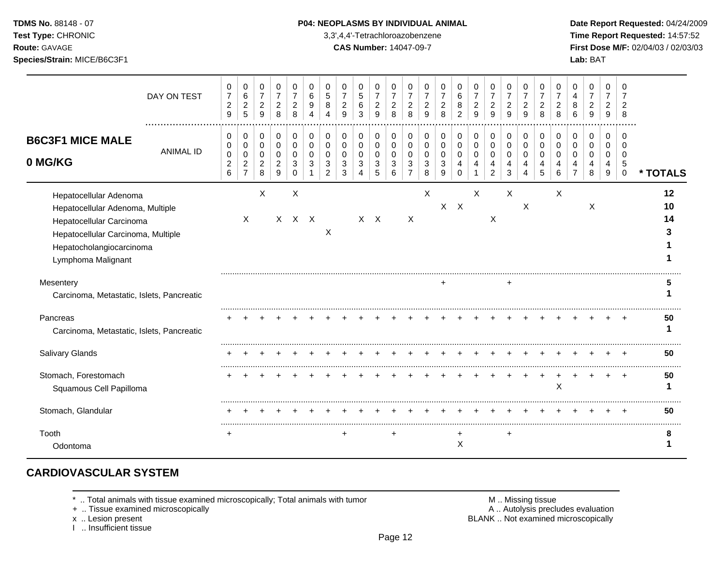**Test Type:** CHRONIC 3,3',4,4'-Tetrachloroazobenzene **Time Report Requested:** 14:57:52 **Route:** GAVAGE **CAS Number:** 14047-09-7 **First Dose M/F:** 02/04/03 / 02/03/03 **Species/Strain:** MICE/B6C3F1 **Lab:** BAT

|                                                                                                                                                                                | DAY ON TEST      | 0<br>$\overline{7}$<br>$\overline{c}$<br>9 | 0<br>$\,6\,$<br>$\overline{2}$<br>$\overline{5}$ | 0<br>$\overline{7}$<br>$\overline{c}$<br>9 | 0<br>$\overline{7}$<br>$\boldsymbol{2}$<br>8 | 0<br>$\overline{7}$<br>$\overline{c}$<br>8 | $\mathbf 0$<br>6<br>9<br>4 | 0<br>5<br>8               | 0<br>$\overline{2}$<br>9  | 0<br>5<br>6<br>3 | 0<br>$\overline{7}$<br>$\sqrt{2}$<br>9 | 0<br>$\overline{7}$<br>$\overline{c}$<br>8 | 0<br>$\overline{7}$<br>$\overline{c}$<br>8 | 0<br>$\overline{7}$<br>$\overline{2}$<br>9 | 0<br>$\overline{7}$<br>$\overline{c}$<br>8 | 0<br>$\,6\,$<br>8<br>$\overline{2}$ | 0<br>$\overline{7}$<br>$\overline{c}$<br>9 | 0<br>$\overline{7}$<br>$\overline{c}$<br>9 | 0<br>$\overline{7}$<br>$\overline{c}$<br>9 | 0<br>$\overline{7}$<br>$\overline{c}$<br>9 | 0<br>$\overline{7}$<br>$\overline{2}$<br>8 | 0<br>$\overline{7}$<br>$\overline{2}$<br>8 | 0<br>4<br>8<br>6   | 0<br>$\overline{7}$<br>$\overline{c}$<br>9 | 0<br>$\overline{7}$<br>2<br>9 | 0<br>8                        |                |
|--------------------------------------------------------------------------------------------------------------------------------------------------------------------------------|------------------|--------------------------------------------|--------------------------------------------------|--------------------------------------------|----------------------------------------------|--------------------------------------------|----------------------------|---------------------------|---------------------------|------------------|----------------------------------------|--------------------------------------------|--------------------------------------------|--------------------------------------------|--------------------------------------------|-------------------------------------|--------------------------------------------|--------------------------------------------|--------------------------------------------|--------------------------------------------|--------------------------------------------|--------------------------------------------|--------------------|--------------------------------------------|-------------------------------|-------------------------------|----------------|
| <b>B6C3F1 MICE MALE</b><br>0 MG/KG                                                                                                                                             | <b>ANIMAL ID</b> | 0<br>0<br>$\pmb{0}$                        | 0<br>0<br>$\mathbf 0$                            | 0<br>$\mathsf 0$<br>0                      | 0<br>$\mathbf 0$<br>$\mathbf 0$              | 0<br>$\Omega$<br>$\Omega$                  | 0<br>$\Omega$<br>$\Omega$  | 0<br>$\Omega$<br>$\Omega$ | 0<br>$\Omega$<br>$\Omega$ | 0<br>0<br>0      | 0<br>0<br>0                            | 0<br>$\mathbf 0$<br>$\mathbf 0$            | 0<br>$\Omega$<br>0                         | 0<br>$\Omega$<br>$\Omega$                  | 0<br>$\Omega$<br>0                         | 0<br>$\Omega$<br>$\mathbf 0$        | 0<br>$\mathbf 0$<br>$\mathbf 0$            | 0<br>$\mathbf 0$<br>$\mathbf 0$            | 0<br>$\mathbf 0$<br>$\mathbf 0$            | 0<br>$\Omega$<br>0                         | 0<br>$\Omega$<br>$\Omega$                  | 0<br>$\Omega$<br>$\Omega$                  | 0<br>$\Omega$<br>0 | 0<br>$\Omega$<br>$\Omega$                  | 0<br>$\Omega$<br>$\mathbf 0$  | n<br><sup>0</sup><br>$\Omega$ |                |
|                                                                                                                                                                                |                  | $\boldsymbol{2}$<br>$6\phantom{a}$         | $\overline{c}$<br>$\overline{7}$                 | $\overline{c}$<br>8                        | $\overline{c}$<br>9                          | 3<br>$\Omega$                              | 3                          | 3<br>$\overline{2}$       | 3<br>3                    | 3                | 3<br>5                                 | 3<br>6                                     | 3<br>$\overline{7}$                        | 3<br>8                                     | 3<br>9                                     | 4<br>$\Omega$                       | 4                                          | 4<br>$\overline{2}$                        | 4<br>3                                     | 4<br>4                                     | 4<br>5                                     | 4<br>6                                     | 4                  | 4<br>8                                     | 4<br>9                        | 5<br>$\mathbf 0$              | * TOTALS       |
| Hepatocellular Adenoma<br>Hepatocellular Adenoma, Multiple<br>Hepatocellular Carcinoma<br>Hepatocellular Carcinoma, Multiple<br>Hepatocholangiocarcinoma<br>Lymphoma Malignant |                  |                                            | X                                                | X                                          |                                              | Χ<br>$X$ $X$ $X$                           |                            | X                         |                           |                  | $X \times X$                           |                                            | X                                          | X                                          |                                            | $X$ $X$                             | X                                          | X                                          | X                                          | X                                          |                                            | X                                          |                    | $\boldsymbol{\mathsf{X}}$                  |                               |                               | 12<br>10<br>14 |
| Mesentery<br>Carcinoma, Metastatic, Islets, Pancreatic                                                                                                                         |                  |                                            |                                                  |                                            |                                              |                                            |                            |                           |                           |                  |                                        |                                            |                                            |                                            | +                                          |                                     |                                            |                                            |                                            |                                            |                                            |                                            |                    |                                            |                               |                               |                |
| Pancreas<br>Carcinoma, Metastatic, Islets, Pancreatic                                                                                                                          |                  |                                            |                                                  |                                            |                                              |                                            |                            |                           |                           |                  |                                        |                                            |                                            |                                            |                                            |                                     |                                            |                                            |                                            |                                            |                                            |                                            |                    |                                            |                               |                               | 50             |
| Salivary Glands                                                                                                                                                                |                  |                                            |                                                  |                                            |                                              |                                            |                            |                           |                           |                  |                                        |                                            |                                            |                                            |                                            |                                     |                                            |                                            |                                            |                                            |                                            |                                            |                    |                                            |                               |                               | 50             |
| Stomach, Forestomach<br>Squamous Cell Papilloma                                                                                                                                |                  |                                            |                                                  |                                            |                                              |                                            |                            |                           |                           |                  |                                        |                                            |                                            |                                            |                                            |                                     |                                            |                                            |                                            |                                            |                                            | X                                          |                    |                                            |                               |                               | 50             |
| Stomach, Glandular                                                                                                                                                             |                  |                                            |                                                  |                                            |                                              |                                            |                            |                           |                           |                  |                                        |                                            |                                            |                                            |                                            |                                     |                                            |                                            |                                            |                                            |                                            |                                            |                    |                                            |                               |                               | 50             |
| Tooth<br>Odontoma                                                                                                                                                              |                  |                                            |                                                  |                                            |                                              |                                            |                            |                           |                           |                  |                                        |                                            |                                            |                                            |                                            | X                                   |                                            |                                            |                                            |                                            |                                            |                                            |                    |                                            |                               |                               |                |

## **CARDIOVASCULAR SYSTEM**

\* .. Total animals with tissue examined microscopically; Total animals with tumor <br>
+ .. Tissue examined microscopically<br>
+ .. Tissue examined microscopically

+ .. Tissue examined microscopically

x .. Lesion present<br>I .. Insufficient tissue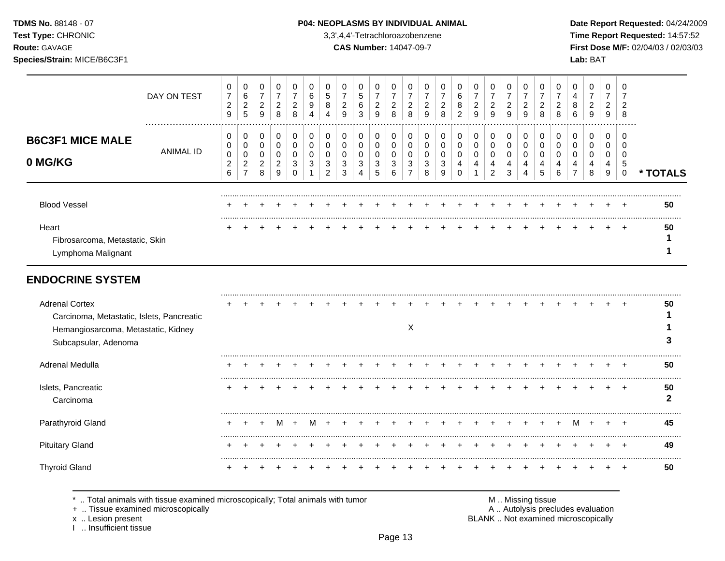#### **TDMS No.** 88148 - 07 **P04: NEOPLASMS BY INDIVIDUAL ANIMAL** Date Report Requested: 04/24/2009

**Test Type:** CHRONIC 3,3',4,4'-Tetrachloroazobenzene **Time Report Requested:** 14:57:52 **Route:** GAVAGE **CAS Number:** 14047-09-7 **First Dose M/F:** 02/04/03 / 02/03/03

|                                                                    |               | 0                                     | 0                                         | 0                                     | 7                            | 0           | 0           |   |                     | 0           | 0                        |             |        |        |        |             | 0      | 0                        | 0           | 0<br>7 |   |        | 0           | 0      | 0<br>$\overline{ }$ |              |          |
|--------------------------------------------------------------------|---------------|---------------------------------------|-------------------------------------------|---------------------------------------|------------------------------|-------------|-------------|---|---------------------|-------------|--------------------------|-------------|--------|--------|--------|-------------|--------|--------------------------|-------------|--------|---|--------|-------------|--------|---------------------|--------------|----------|
|                                                                    | DAY ON TEST   | $\overline{7}$<br>$\overline{c}$<br>9 | 6<br>$\overline{\mathbf{c}}$<br>5         | $\overline{7}$<br>$\overline{c}$<br>9 | $\overline{\mathbf{c}}$<br>8 | 2<br>8      | 6<br>9<br>4 | 5 | $\overline{c}$<br>9 | 5<br>6<br>3 | $\overline{7}$<br>2<br>9 | 7<br>2<br>8 | 2<br>8 | 2<br>9 | 2<br>8 | 6<br>8<br>2 | 2<br>9 | $\overline{7}$<br>2<br>9 | 7<br>2<br>9 | 2<br>9 | 8 | ∠<br>8 | 4<br>8<br>6 | 2<br>9 | 2<br>9              | 2<br>8       |          |
| <b>B6C3F1 MICE MALE</b>                                            | <br>ANIMAL ID | 0<br>0                                | 0                                         | 0<br>0                                | 0                            | 0<br>0      | 0           |   | 0                   | 0<br>0      | 0<br>0                   | 0           | 0<br>0 | 0      |        | 0           | 0      | 0<br>0                   | 0           | 0<br>0 | 0 |        | 0<br>0      | 0      | 0                   | <br>$\Omega$ |          |
| 0 MG/KG                                                            |               | 0<br>$\overline{\mathbf{c}}$<br>6     | $\overline{\mathbf{c}}$<br>$\overline{ }$ | 0<br>$\overline{\mathbf{c}}$<br>8     | 2<br>9                       | 0<br>3<br>0 |             | 2 | 3<br>3              | 0<br>3      | 0<br>3<br>5              | 3<br>6      | 3      | 8      | 9      |             |        | 0<br>4<br>$\overline{2}$ | 4<br>3      |        | 5 | 6      | 0           | 4<br>8 | 4<br>9              | 5<br>0       | * TOTALS |
| <b>Blood Vessel</b>                                                |               |                                       |                                           |                                       |                              |             |             |   |                     |             |                          |             |        |        |        |             |        |                          |             |        |   |        |             |        |                     |              | 50       |
| Heart<br>Fibrosarcoma, Metastatic, Skin<br>Lymphoma Malignant      |               |                                       |                                           |                                       |                              |             |             |   |                     |             |                          |             |        |        |        |             |        |                          |             |        |   |        |             |        |                     | $+$          | 50       |
| <b>ENDOCRINE SYSTEM</b>                                            |               |                                       |                                           |                                       |                              |             |             |   |                     |             |                          |             |        |        |        |             |        |                          |             |        |   |        |             |        |                     |              |          |
| <b>Adrenal Cortex</b><br>Carcinoma, Metastatic, Islets, Pancreatic |               |                                       |                                           |                                       |                              |             |             |   |                     |             |                          |             |        |        |        |             |        |                          |             |        |   |        |             |        |                     | $\div$       | 50       |
| Hemangiosarcoma Metastatic Kidney                                  |               |                                       |                                           |                                       |                              |             |             |   |                     |             |                          |             | X      |        |        |             |        |                          |             |        |   |        |             |        |                     |              |          |

| <b>Tioniangiosarcoma, Motastatio, Nancy</b><br>Subcapsular, Adenoma |  |  |  |  |  |  |  |  |  |  |  |  |    |
|---------------------------------------------------------------------|--|--|--|--|--|--|--|--|--|--|--|--|----|
| Adrenal Medulla                                                     |  |  |  |  |  |  |  |  |  |  |  |  | 50 |
| Islets, Pancreatic<br>Carcinoma                                     |  |  |  |  |  |  |  |  |  |  |  |  | 50 |
| Parathyroid Gland                                                   |  |  |  |  |  |  |  |  |  |  |  |  | 45 |
| <b>Pituitary Gland</b>                                              |  |  |  |  |  |  |  |  |  |  |  |  | 49 |
| <b>Thyroid Gland</b>                                                |  |  |  |  |  |  |  |  |  |  |  |  | 50 |

\* .. Total animals with tissue examined microscopically; Total animals with tumor <br>
+ .. Tissue examined microscopically<br>
+ .. Tissue examined microscopically

+ .. Tissue examined microscopically

x .. Lesion present<br>I .. Insufficient tissue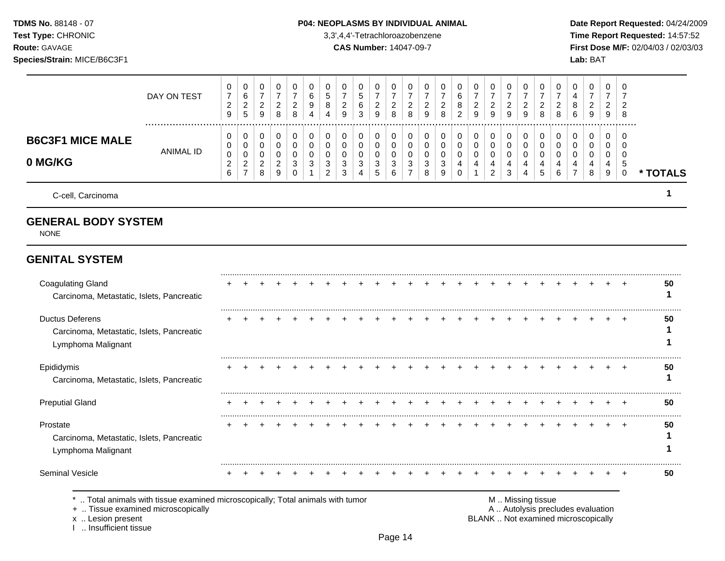### **TDMS No.** 88148 - 07 **P04: NEOPLASMS BY INDIVIDUAL ANIMAL** Date Report Requested: 04/24/2009

**Test Type:** CHRONIC 3,3',4,4'-Tetrachloroazobenzene **Time Report Requested:** 14:57:52 **Route:** GAVAGE **CAS Number:** 14047-09-7 **First Dose M/F:** 02/04/03 / 02/03/03

|                                                                                                                                            | DAY ON TEST      | 0<br>$\overline{7}$<br>$\overline{a}$<br>9  | 0<br>6<br>$\overline{c}$<br>5                                   | 0<br>$\overline{7}$<br>$\overline{c}$<br>9     | 0<br>$\overline{7}$<br>$\overline{c}$<br>8   | 0<br>$\overline{7}$<br>$\overline{2}$<br>8          | 0<br>$\,6$<br>9<br>$\overline{4}$          | 0<br>$\sqrt{5}$<br>8<br>$\overline{4}$                 | 0<br>$\overline{7}$<br>$\overline{2}$<br>9 | 0<br>$\overline{5}$<br>6<br>3                 | 0<br>$\overline{7}$<br>$\overline{c}$<br>9 | 0<br>$\overline{7}$<br>$\overline{a}$<br>8 | 0<br>$\overline{7}$<br>$\overline{c}$<br>8             | 0<br>$\overline{7}$<br>$\overline{c}$<br>$\boldsymbol{9}$ | 0<br>7<br>$\overline{2}$<br>8                        | 0<br>6<br>8<br>$\overline{2}$             | 0<br>$\overline{7}$<br>$\overline{c}$<br>$\boldsymbol{9}$ | 0<br>$\overline{7}$<br>$\overline{a}$<br>9   | 0<br>$\overline{7}$<br>$\overline{a}$<br>$\overline{9}$ | 0<br>$\overline{7}$<br>$\overline{a}$<br>9             | 0<br>$\overline{7}$<br>$\overline{c}$<br>8 | 0<br>7<br>$\overline{c}$<br>8             | 0<br>4<br>8<br>6                                                         | 0<br>$\overline{7}$<br>$\overline{c}$<br>9 | 0<br>$\overline{7}$<br>$\overline{c}$<br>9 | 0<br>7<br>$\overline{2}$<br>8                 |          |
|--------------------------------------------------------------------------------------------------------------------------------------------|------------------|---------------------------------------------|-----------------------------------------------------------------|------------------------------------------------|----------------------------------------------|-----------------------------------------------------|--------------------------------------------|--------------------------------------------------------|--------------------------------------------|-----------------------------------------------|--------------------------------------------|--------------------------------------------|--------------------------------------------------------|-----------------------------------------------------------|------------------------------------------------------|-------------------------------------------|-----------------------------------------------------------|----------------------------------------------|---------------------------------------------------------|--------------------------------------------------------|--------------------------------------------|-------------------------------------------|--------------------------------------------------------------------------|--------------------------------------------|--------------------------------------------|-----------------------------------------------|----------|
| <b>B6C3F1 MICE MALE</b><br>0 MG/KG                                                                                                         | <b>ANIMAL ID</b> | 0<br>0<br>0<br>$\overline{\mathbf{c}}$<br>6 | 0<br>$\mathbf 0$<br>$\mathbf 0$<br>$\sqrt{2}$<br>$\overline{7}$ | 0<br>0<br>$\mathbf 0$<br>$\boldsymbol{2}$<br>8 | 0<br>0<br>$\mathbf 0$<br>$\overline{c}$<br>9 | 0<br>$\mathbf 0$<br>$\mathbf 0$<br>3<br>$\mathbf 0$ | 0<br>0<br>$\mathbf 0$<br>3<br>$\mathbf{1}$ | 0<br>$\mathbf 0$<br>$\mathbf 0$<br>3<br>$\overline{c}$ | 0<br>$\mathbf 0$<br>$\Omega$<br>3<br>3     | 0<br>$\mathbf 0$<br>$\Omega$<br>3<br>$\Delta$ | 0<br>0<br>$\mathbf 0$<br>3<br>5            | 0<br>0<br>$\mathbf 0$<br>3<br>6            | 0<br>$\mathbf 0$<br>$\mathbf 0$<br>3<br>$\overline{7}$ | 0<br>$\mathbf 0$<br>$\mathbf 0$<br>3<br>8                 | 0<br>$\mathbf 0$<br>$\mathbf 0$<br>$\mathbf{3}$<br>9 | 0<br>0<br>$\mathbf 0$<br>4<br>$\mathbf 0$ | 0<br>$\mathbf 0$<br>$\mathbf 0$<br>4                      | 0<br>0<br>$\mathbf 0$<br>4<br>$\overline{2}$ | 0<br>0<br>0<br>$\overline{4}$<br>3                      | 0<br>$\mathbf 0$<br>$\mathbf 0$<br>4<br>$\overline{4}$ | 0<br>$\mathbf 0$<br>$\mathbf 0$<br>4<br>5  | 0<br>$\mathbf 0$<br>$\mathbf 0$<br>4<br>6 | 0<br>$\Omega$<br>$\Omega$<br>4<br>$\overline{7}$                         | 0<br>$\mathbf 0$<br>$\mathbf 0$<br>4<br>8  | 0<br>$\mathbf 0$<br>$\mathbf 0$<br>4<br>9  | 0<br>$\Omega$<br>$\Omega$<br>5<br>$\mathbf 0$ | * TOTALS |
| C-cell, Carcinoma                                                                                                                          |                  |                                             |                                                                 |                                                |                                              |                                                     |                                            |                                                        |                                            |                                               |                                            |                                            |                                                        |                                                           |                                                      |                                           |                                                           |                                              |                                                         |                                                        |                                            |                                           |                                                                          |                                            |                                            |                                               | 1        |
| <b>GENERAL BODY SYSTEM</b><br><b>NONE</b>                                                                                                  |                  |                                             |                                                                 |                                                |                                              |                                                     |                                            |                                                        |                                            |                                               |                                            |                                            |                                                        |                                                           |                                                      |                                           |                                                           |                                              |                                                         |                                                        |                                            |                                           |                                                                          |                                            |                                            |                                               |          |
| <b>GENITAL SYSTEM</b>                                                                                                                      |                  |                                             |                                                                 |                                                |                                              |                                                     |                                            |                                                        |                                            |                                               |                                            |                                            |                                                        |                                                           |                                                      |                                           |                                                           |                                              |                                                         |                                                        |                                            |                                           |                                                                          |                                            |                                            |                                               |          |
| <b>Coagulating Gland</b><br>Carcinoma, Metastatic, Islets, Pancreatic                                                                      |                  |                                             |                                                                 |                                                |                                              |                                                     |                                            |                                                        |                                            |                                               |                                            |                                            |                                                        |                                                           |                                                      |                                           |                                                           |                                              |                                                         |                                                        |                                            |                                           |                                                                          |                                            |                                            |                                               | 50<br>1  |
| <b>Ductus Deferens</b><br>Carcinoma, Metastatic, Islets, Pancreatic<br>Lymphoma Malignant                                                  |                  |                                             |                                                                 |                                                |                                              |                                                     |                                            |                                                        |                                            |                                               |                                            |                                            |                                                        |                                                           |                                                      |                                           |                                                           |                                              |                                                         |                                                        |                                            |                                           |                                                                          |                                            |                                            |                                               | 50<br>1  |
| Epididymis<br>Carcinoma, Metastatic, Islets, Pancreatic                                                                                    |                  |                                             |                                                                 |                                                |                                              |                                                     |                                            |                                                        |                                            |                                               |                                            |                                            |                                                        |                                                           |                                                      |                                           |                                                           |                                              |                                                         |                                                        |                                            |                                           |                                                                          |                                            |                                            |                                               | 50<br>1  |
| <b>Preputial Gland</b>                                                                                                                     |                  |                                             |                                                                 |                                                |                                              |                                                     |                                            |                                                        |                                            |                                               |                                            |                                            |                                                        |                                                           |                                                      |                                           |                                                           |                                              |                                                         |                                                        |                                            |                                           |                                                                          |                                            |                                            |                                               | 50       |
| Prostate<br>Carcinoma, Metastatic, Islets, Pancreatic<br>Lymphoma Malignant                                                                |                  |                                             |                                                                 |                                                |                                              |                                                     |                                            |                                                        |                                            |                                               |                                            |                                            |                                                        |                                                           |                                                      |                                           |                                                           |                                              |                                                         |                                                        |                                            |                                           |                                                                          |                                            |                                            | $\pm$                                         | 50<br>1  |
| Seminal Vesicle                                                                                                                            |                  |                                             |                                                                 |                                                |                                              |                                                     |                                            |                                                        |                                            |                                               |                                            |                                            |                                                        | $\div$                                                    |                                                      |                                           |                                                           |                                              |                                                         |                                                        |                                            |                                           |                                                                          |                                            |                                            | $\pm$                                         | 50       |
| *  Total animals with tissue examined microscopically; Total animals with tumor<br>+  Tissue examined microscopically<br>x  Lesion present |                  |                                             |                                                                 |                                                |                                              |                                                     |                                            |                                                        |                                            |                                               |                                            |                                            |                                                        |                                                           |                                                      |                                           |                                                           |                                              | M  Missing tissue                                       |                                                        |                                            |                                           | A  Autolysis precludes evaluation<br>BLANK  Not examined microscopically |                                            |                                            |                                               |          |

x .. Lesion present<br>I .. Insufficient tissue

Page 14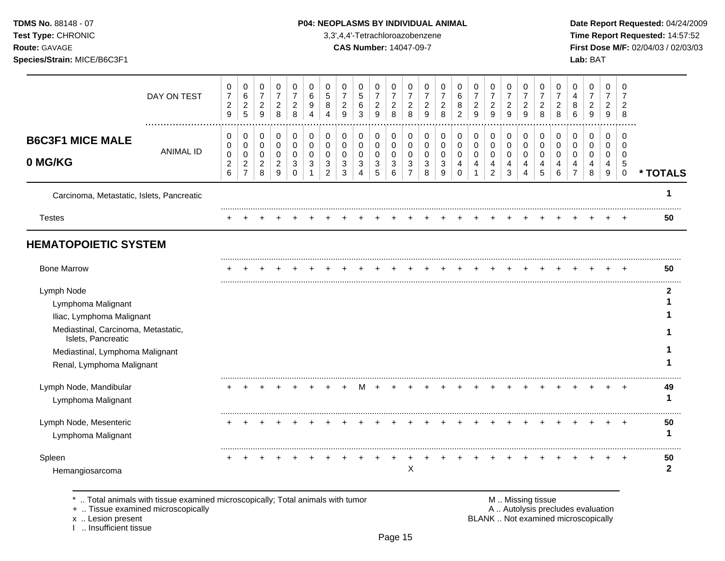**Test Type:** CHRONIC 3,3',4,4'-Tetrachloroazobenzene **Time Report Requested:** 14:57:52 **Route:** GAVAGE **CAS Number:** 14047-09-7 **First Dose M/F:** 02/04/03 / 02/03/03 **Species/Strain:** MICE/B6C3F1 **Lab:** BAT

|                                                                                                                           | DAY ON TEST      | 0<br>$\boldsymbol{7}$<br>$\boldsymbol{2}$<br>$\boldsymbol{9}$ | 0<br>$\,6$<br>$\overline{a}$<br>$\overline{5}$                  | 0<br>$\overline{7}$<br>$\overline{2}$<br>9 | 0<br>$\overline{7}$<br>$\overline{c}$<br>8 | 0<br>$\overline{7}$<br>$\overline{c}$<br>8       | 0<br>6<br>9      | 0<br>5<br>8<br>Δ                       | 0<br>$\overline{7}$<br>$\overline{c}$<br>9 | 0<br>$\,$ 5 $\,$<br>$\,6\,$<br>3 | 0<br>$\overline{7}$<br>$\overline{a}$<br>9 | 0<br>$\overline{7}$<br>$\boldsymbol{2}$<br>$\,8\,$ | 0<br>$\overline{7}$<br>$\overline{2}$<br>$\,8\,$ | 0<br>$\overline{7}$<br>$\overline{c}$<br>9 | 0<br>$\overline{7}$<br>$\overline{2}$<br>8 | 0<br>6<br>8<br>$\overline{2}$                              | 0<br>$\overline{7}$<br>$\overline{c}$<br>9  | 0<br>$\boldsymbol{7}$<br>$\overline{a}$<br>9         | 0<br>$\overline{7}$<br>$\overline{c}$<br>9                      | 0<br>$\overline{7}$<br>$\overline{a}$<br>9 | 0<br>$\overline{7}$<br>$\overline{c}$<br>8 | 0<br>$\overline{7}$<br>$\overline{c}$<br>8 | 0<br>4<br>8<br>6                                    | 0<br>$\overline{7}$<br>$\overline{2}$<br>9 | 0<br>$\overline{7}$<br>2<br>9        | $\mathbf 0$<br>$\overline{7}$<br>$\overline{c}$<br>8          |                   |
|---------------------------------------------------------------------------------------------------------------------------|------------------|---------------------------------------------------------------|-----------------------------------------------------------------|--------------------------------------------|--------------------------------------------|--------------------------------------------------|------------------|----------------------------------------|--------------------------------------------|----------------------------------|--------------------------------------------|----------------------------------------------------|--------------------------------------------------|--------------------------------------------|--------------------------------------------|------------------------------------------------------------|---------------------------------------------|------------------------------------------------------|-----------------------------------------------------------------|--------------------------------------------|--------------------------------------------|--------------------------------------------|-----------------------------------------------------|--------------------------------------------|--------------------------------------|---------------------------------------------------------------|-------------------|
| <b>B6C3F1 MICE MALE</b><br>0 MG/KG                                                                                        | <b>ANIMAL ID</b> | 0<br>0<br>$\pmb{0}$<br>$\boldsymbol{2}$<br>6                  | 0<br>$\mathbf 0$<br>$\mathbf 0$<br>$\sqrt{2}$<br>$\overline{7}$ | 0<br>0<br>0<br>$\overline{c}$<br>8         | 0<br>$\pmb{0}$<br>0<br>$\overline{c}$<br>9 | $\mathbf 0$<br>0<br>$\mathbf 0$<br>3<br>$\Omega$ | 0<br>0<br>0<br>3 | 0<br>$\mathbf 0$<br>$\Omega$<br>3<br>2 | 0<br>0<br>0<br>3<br>3                      | 0<br>0<br>0<br>3<br>4            | 0<br>$\mathbf 0$<br>$\mathbf 0$<br>3<br>5  | 0<br>$\mathbf 0$<br>$\mathbf 0$<br>3<br>6          | 0<br>0<br>0<br>3<br>$\overline{7}$               | $\mathbf 0$<br>0<br>0<br>3<br>8            | 0<br>$\mathbf 0$<br>0<br>3<br>9            | $\,0\,$<br>$\pmb{0}$<br>0<br>$\overline{4}$<br>$\mathbf 0$ | 0<br>$\mathsf{O}$<br>0<br>4<br>$\mathbf{1}$ | 0<br>$\mathsf{O}\xspace$<br>0<br>4<br>$\overline{c}$ | 0<br>$\mathbf 0$<br>$\mathbf 0$<br>$\overline{4}$<br>$\sqrt{3}$ | 0<br>$\mathbf 0$<br>0<br>4<br>4            | $\mathbf 0$<br>0<br>$\mathbf 0$<br>4<br>5  | 0<br>0<br>0<br>4<br>6                      | 0<br>$\mathbf 0$<br>$\Omega$<br>4<br>$\overline{7}$ | 0<br>$\mathbf 0$<br>$\mathbf 0$<br>4<br>8  | 0<br>0<br>0<br>4<br>$\boldsymbol{9}$ | $\mathbf 0$<br>$\mathbf 0$<br>$\mathbf 0$<br>5<br>$\mathbf 0$ | * TOTALS          |
| Carcinoma, Metastatic, Islets, Pancreatic                                                                                 |                  |                                                               |                                                                 |                                            |                                            |                                                  |                  |                                        |                                            |                                  |                                            |                                                    |                                                  |                                            |                                            |                                                            |                                             |                                                      |                                                                 |                                            |                                            |                                            |                                                     |                                            |                                      |                                                               |                   |
| <b>Testes</b>                                                                                                             |                  |                                                               |                                                                 |                                            |                                            |                                                  |                  |                                        |                                            |                                  |                                            |                                                    |                                                  |                                            |                                            |                                                            |                                             |                                                      |                                                                 |                                            |                                            |                                            |                                                     |                                            |                                      |                                                               | 50                |
| <b>HEMATOPOIETIC SYSTEM</b>                                                                                               |                  |                                                               |                                                                 |                                            |                                            |                                                  |                  |                                        |                                            |                                  |                                            |                                                    |                                                  |                                            |                                            |                                                            |                                             |                                                      |                                                                 |                                            |                                            |                                            |                                                     |                                            |                                      |                                                               |                   |
| <b>Bone Marrow</b>                                                                                                        |                  |                                                               |                                                                 |                                            |                                            |                                                  |                  |                                        |                                            |                                  |                                            |                                                    |                                                  |                                            |                                            |                                                            |                                             |                                                      |                                                                 |                                            |                                            |                                            |                                                     |                                            |                                      |                                                               | 50                |
| Lymph Node<br>Lymphoma Malignant<br>Iliac, Lymphoma Malignant                                                             |                  |                                                               |                                                                 |                                            |                                            |                                                  |                  |                                        |                                            |                                  |                                            |                                                    |                                                  |                                            |                                            |                                                            |                                             |                                                      |                                                                 |                                            |                                            |                                            |                                                     |                                            |                                      |                                                               | 2                 |
| Mediastinal, Carcinoma, Metastatic,<br>Islets, Pancreatic<br>Mediastinal, Lymphoma Malignant<br>Renal, Lymphoma Malignant |                  |                                                               |                                                                 |                                            |                                            |                                                  |                  |                                        |                                            |                                  |                                            |                                                    |                                                  |                                            |                                            |                                                            |                                             |                                                      |                                                                 |                                            |                                            |                                            |                                                     |                                            |                                      |                                                               |                   |
| Lymph Node, Mandibular<br>Lymphoma Malignant                                                                              |                  |                                                               |                                                                 |                                            |                                            |                                                  |                  |                                        |                                            |                                  |                                            |                                                    |                                                  |                                            |                                            |                                                            |                                             |                                                      |                                                                 |                                            |                                            |                                            |                                                     |                                            |                                      |                                                               | 49                |
| Lymph Node, Mesenteric<br>Lymphoma Malignant                                                                              |                  |                                                               |                                                                 |                                            |                                            |                                                  |                  |                                        |                                            |                                  |                                            |                                                    |                                                  |                                            |                                            |                                                            |                                             |                                                      |                                                                 |                                            |                                            |                                            |                                                     |                                            |                                      |                                                               | 50                |
| Spleen                                                                                                                    |                  |                                                               |                                                                 |                                            |                                            |                                                  |                  |                                        |                                            |                                  |                                            |                                                    | Χ                                                |                                            |                                            |                                                            |                                             |                                                      |                                                                 |                                            |                                            |                                            |                                                     |                                            |                                      |                                                               | 50<br>$\mathbf 2$ |

\* .. Total animals with tissue examined microscopically; Total animals with tumor **M** . M . Missing tissue examined microscopically<br>
+ .. Tissue examined microscopically

+ .. Tissue examined microscopically

x .. Lesion present<br>I .. Insufficient tissue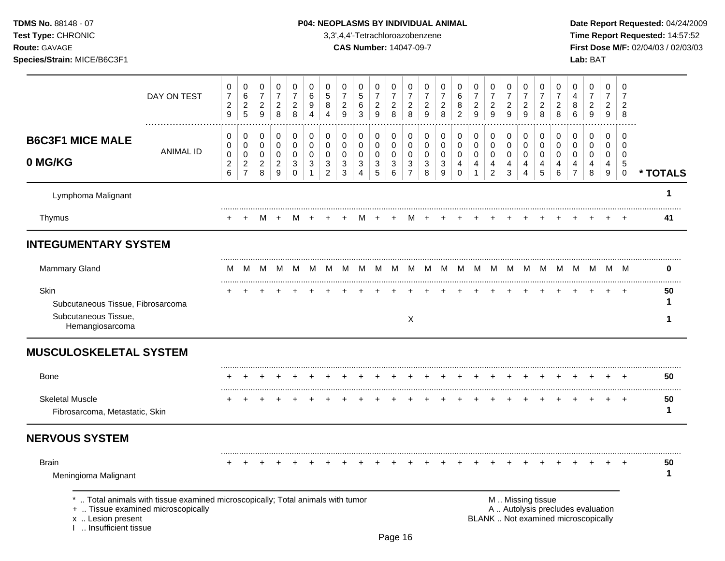**Test Type:** CHRONIC 3,3',4,4'-Tetrachloroazobenzene **Time Report Requested:** 14:57:52 **Route:** GAVAGE **CAS Number:** 14047-09-7 **First Dose M/F:** 02/04/03 / 02/03/03 **Species/Strain:** MICE/B6C3F1 **Lab:** BAT

|                                                                                      | DAY ON TEST                                                                                                        | 0<br>$\boldsymbol{7}$<br>$\sqrt{2}$<br>9 | 0<br>$\,6\,$<br>$\sqrt{2}$<br>5                               | 0<br>$\overline{7}$<br>$\overline{c}$<br>9       | 0<br>$\overline{7}$<br>$\sqrt{2}$<br>8                                            | 0<br>$\overline{7}$<br>$\overline{c}$<br>8          | 0<br>$\,6$<br>9<br>$\overline{4}$                | $\mathbf 0$<br>$\sqrt{5}$<br>8<br>$\overline{4}$                  | $\mathbf 0$<br>$\overline{7}$<br>$\overline{c}$<br>9 | $\mathbf 0$<br>$\overline{5}$<br>6<br>3              | 0<br>$\overline{7}$<br>$\sqrt{2}$<br>9           | 0<br>$\overline{7}$<br>$\overline{c}$<br>8 | 0<br>$\overline{7}$<br>$\overline{c}$<br>8              | 0<br>$\boldsymbol{7}$<br>$\overline{c}$<br>$\boldsymbol{9}$   | $\mathbf 0$<br>$\overline{7}$<br>$\overline{c}$<br>8 | 0<br>6<br>8<br>$\overline{2}$                        | 0<br>$\overline{7}$<br>$\overline{c}$<br>$\boldsymbol{9}$ | 0<br>$\overline{7}$<br>$\sqrt{2}$<br>9       | 0<br>$\overline{7}$<br>$\overline{c}$<br>$\boldsymbol{9}$ | 0<br>$\overline{7}$<br>$\overline{c}$<br>$\boldsymbol{9}$ | 0<br>$\overline{7}$<br>$\overline{c}$<br>8 | 0<br>$\overline{7}$<br>$\overline{c}$<br>8 | 0<br>$\overline{4}$<br>8<br>6                                            | 0<br>$\overline{7}$<br>$\overline{c}$<br>9          | 0<br>$\overline{7}$<br>$\overline{c}$<br>$9\,$              | 0<br>$\overline{7}$<br>$\overline{2}$<br>8                      |              |
|--------------------------------------------------------------------------------------|--------------------------------------------------------------------------------------------------------------------|------------------------------------------|---------------------------------------------------------------|--------------------------------------------------|-----------------------------------------------------------------------------------|-----------------------------------------------------|--------------------------------------------------|-------------------------------------------------------------------|------------------------------------------------------|------------------------------------------------------|--------------------------------------------------|--------------------------------------------|---------------------------------------------------------|---------------------------------------------------------------|------------------------------------------------------|------------------------------------------------------|-----------------------------------------------------------|----------------------------------------------|-----------------------------------------------------------|-----------------------------------------------------------|--------------------------------------------|--------------------------------------------|--------------------------------------------------------------------------|-----------------------------------------------------|-------------------------------------------------------------|-----------------------------------------------------------------|--------------|
| <b>B6C3F1 MICE MALE</b><br>0 MG/KG                                                   | <b>ANIMAL ID</b>                                                                                                   | 0<br>0<br>0<br>$\overline{c}$<br>6       | 0<br>$\mathbf 0$<br>$\pmb{0}$<br>$\sqrt{2}$<br>$\overline{7}$ | 0<br>$\mathbf 0$<br>$\pmb{0}$<br>$\sqrt{2}$<br>8 | $\pmb{0}$<br>$\mathsf{O}\xspace$<br>$\mathbf 0$<br>$\sqrt{2}$<br>$\boldsymbol{9}$ | 0<br>$\mathbf 0$<br>$\mathbf 0$<br>3<br>$\mathsf 0$ | $\pmb{0}$<br>$\pmb{0}$<br>0<br>3<br>$\mathbf{1}$ | $\mathbf 0$<br>$\mathbf 0$<br>0<br>$\mathbf{3}$<br>$\overline{c}$ | $\mathbf 0$<br>$\mathbf 0$<br>$\mathbf 0$<br>3<br>3  | 0<br>$\mathbf 0$<br>$\mathbf 0$<br>$\mathbf{3}$<br>Δ | 0<br>$\pmb{0}$<br>$\mathbf 0$<br>$\sqrt{3}$<br>5 | 0<br>$\mathsf 0$<br>0<br>$\mathbf{3}$<br>6 | 0<br>$\mathbf 0$<br>0<br>$\mathbf{3}$<br>$\overline{7}$ | 0<br>0<br>$\mathbf 0$<br>$\ensuremath{\mathsf{3}}$<br>$\,8\,$ | $\mathbf 0$<br>$\mathbf 0$<br>0<br>$\mathbf{3}$<br>9 | 0<br>$\mathbf 0$<br>$\mathbf 0$<br>4<br>$\mathbf{0}$ | $\mathbf 0$<br>$\mathbf 0$<br>$\mathbf 0$<br>4            | 0<br>$\mathsf 0$<br>0<br>4<br>$\overline{c}$ | 0<br>0<br>0<br>$\overline{\mathbf{4}}$<br>3               | $\mathbf 0$<br>$\mathbf 0$<br>0<br>$\overline{4}$<br>4    | 0<br>$\mathbf 0$<br>0<br>4<br>5            | 0<br>$\mathbf 0$<br>$\mathbf 0$<br>4<br>6  | 0<br>$\mathbf 0$<br>0<br>4<br>$\overline{7}$                             | $\mathbf 0$<br>$\mathbf 0$<br>$\mathbf 0$<br>4<br>8 | 0<br>$\mathbf 0$<br>0<br>$\overline{4}$<br>$\boldsymbol{9}$ | $\Omega$<br>$\Omega$<br>$\mathbf 0$<br>$\,$ 5 $\,$<br>$\pmb{0}$ | * TOTALS     |
| Lymphoma Malignant                                                                   |                                                                                                                    |                                          |                                                               |                                                  |                                                                                   |                                                     |                                                  |                                                                   |                                                      |                                                      |                                                  |                                            |                                                         |                                                               |                                                      |                                                      |                                                           |                                              |                                                           |                                                           |                                            |                                            |                                                                          |                                                     |                                                             |                                                                 | 1            |
| Thymus                                                                               |                                                                                                                    |                                          |                                                               | M                                                | $\overline{+}$                                                                    | M                                                   | $\ddot{}$                                        |                                                                   |                                                      |                                                      |                                                  |                                            | M                                                       |                                                               |                                                      |                                                      |                                                           |                                              |                                                           |                                                           |                                            |                                            |                                                                          |                                                     |                                                             |                                                                 | 41           |
| <b>INTEGUMENTARY SYSTEM</b>                                                          |                                                                                                                    |                                          |                                                               |                                                  |                                                                                   |                                                     |                                                  |                                                                   |                                                      |                                                      |                                                  |                                            |                                                         |                                                               |                                                      |                                                      |                                                           |                                              |                                                           |                                                           |                                            |                                            |                                                                          |                                                     |                                                             |                                                                 |              |
| <b>Mammary Gland</b>                                                                 |                                                                                                                    | м                                        | M                                                             | M                                                | M                                                                                 | M                                                   | M                                                | M                                                                 | M                                                    |                                                      |                                                  |                                            |                                                         | M M M M M                                                     | M                                                    |                                                      |                                                           |                                              |                                                           |                                                           |                                            |                                            | M M M M M M M M M M                                                      |                                                     |                                                             |                                                                 | 0            |
| Skin<br>Subcutaneous Tissue, Fibrosarcoma<br>Subcutaneous Tissue,<br>Hemangiosarcoma |                                                                                                                    |                                          |                                                               |                                                  |                                                                                   |                                                     |                                                  |                                                                   |                                                      |                                                      |                                                  |                                            | $\boldsymbol{X}$                                        |                                                               |                                                      |                                                      |                                                           |                                              |                                                           |                                                           |                                            |                                            |                                                                          |                                                     |                                                             |                                                                 | 50<br>1<br>1 |
| <b>MUSCULOSKELETAL SYSTEM</b>                                                        |                                                                                                                    |                                          |                                                               |                                                  |                                                                                   |                                                     |                                                  |                                                                   |                                                      |                                                      |                                                  |                                            |                                                         |                                                               |                                                      |                                                      |                                                           |                                              |                                                           |                                                           |                                            |                                            |                                                                          |                                                     |                                                             |                                                                 |              |
| <b>Bone</b>                                                                          |                                                                                                                    |                                          |                                                               |                                                  |                                                                                   |                                                     |                                                  |                                                                   |                                                      |                                                      |                                                  |                                            |                                                         |                                                               |                                                      |                                                      |                                                           |                                              |                                                           |                                                           |                                            |                                            |                                                                          |                                                     |                                                             |                                                                 | 50           |
| <b>Skeletal Muscle</b><br>Fibrosarcoma, Metastatic, Skin                             |                                                                                                                    |                                          |                                                               |                                                  |                                                                                   |                                                     |                                                  |                                                                   |                                                      |                                                      |                                                  |                                            |                                                         |                                                               |                                                      |                                                      |                                                           |                                              |                                                           |                                                           |                                            |                                            |                                                                          |                                                     | $\ddot{}$                                                   | $\overline{+}$                                                  | 50<br>1      |
| <b>NERVOUS SYSTEM</b>                                                                |                                                                                                                    |                                          |                                                               |                                                  |                                                                                   |                                                     |                                                  |                                                                   |                                                      |                                                      |                                                  |                                            |                                                         |                                                               |                                                      |                                                      |                                                           |                                              |                                                           |                                                           |                                            |                                            |                                                                          |                                                     |                                                             |                                                                 |              |
| <b>Brain</b><br>Meningioma Malignant                                                 |                                                                                                                    |                                          |                                                               |                                                  |                                                                                   |                                                     |                                                  |                                                                   |                                                      |                                                      |                                                  |                                            |                                                         |                                                               |                                                      |                                                      |                                                           |                                              |                                                           |                                                           |                                            |                                            |                                                                          |                                                     |                                                             |                                                                 | 50<br>1      |
| x  Lesion present<br>Insufficient tissue                                             | Total animals with tissue examined microscopically; Total animals with tumor<br>+  Tissue examined microscopically |                                          |                                                               |                                                  |                                                                                   |                                                     |                                                  |                                                                   |                                                      |                                                      |                                                  |                                            |                                                         |                                                               |                                                      |                                                      |                                                           |                                              |                                                           |                                                           | M  Missing tissue                          |                                            | A  Autolysis precludes evaluation<br>BLANK  Not examined microscopically |                                                     |                                                             |                                                                 |              |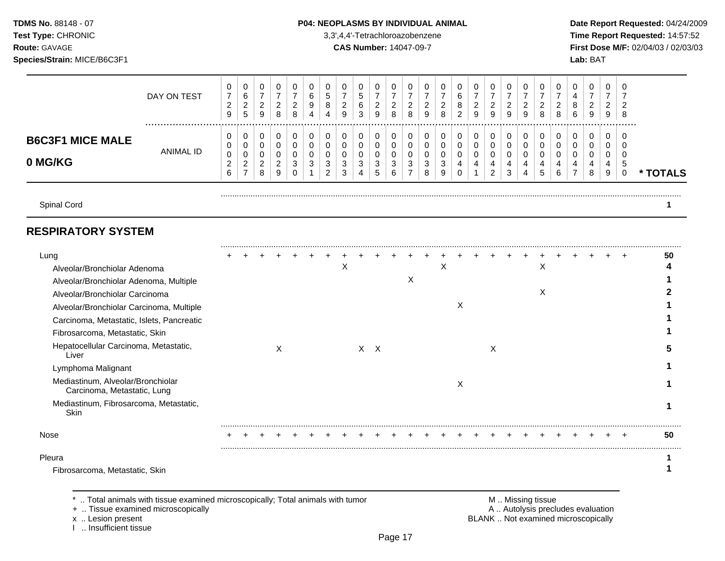**TDMS No.** 88148 - 07 **P04: NEOPLASMS BY INDIVIDUAL ANIMAL** Date Report Requested: 04/24/2009 **Test Type:** CHRONIC 3,3',4,4'-Tetrachloroazobenzene **Time Report Requested:** 14:57:52 **Route:** GAVAGE **CAS Number:** 14047-09-7 **First Dose M/F:** 02/04/03 / 02/03/03 **Species/Strain:** MICE/B6C3F1 **Lab:** BAT

|                         |                  | υ             | U                       |                 | 0             |               |   | 0      | υ             | u      |               |              | v               | υ             | 0      | υ      |               | 0             |               |   | 0            | υ             |   |          |                   | J    |          |
|-------------------------|------------------|---------------|-------------------------|-----------------|---------------|---------------|---|--------|---------------|--------|---------------|--------------|-----------------|---------------|--------|--------|---------------|---------------|---------------|---|--------------|---------------|---|----------|-------------------|------|----------|
|                         | DAY ON TEST      | ⇁             | 6                       |                 |               |               |   | b      |               | G      |               |              |                 |               |        | 6      |               |               |               |   |              |               |   |          |                   |      |          |
|                         |                  | ົ<br><u>.</u> | ົ<br><u>.</u>           | c<br><u>_</u>   | ົ<br><u>.</u> | ົ<br><u>.</u> |   | 8      | ◠<br><u>_</u> | 6      | c<br><u>_</u> | <u>_</u>     | ົ<br>$\epsilon$ | ົ<br><u>_</u> | ົ<br>∼ | 8      | ≏<br><u>_</u> | ົ<br><u>.</u> | ົ<br><u>_</u> |   | c            | ◠<br><u>_</u> | 8 | <u>_</u> |                   | ∼    |          |
|                         |                  | 9             | 5                       | 9               | 8             | 8             | 4 | 4      | 9             | 3      | 9             | $\circ$<br>o | 8               | 9             | 8      | ົ<br>∼ | 9             | 9             | 9             | 9 | 8            | 8             | 6 | 9        | <sup>o</sup><br>ັ | 8    |          |
|                         |                  |               |                         |                 |               |               |   |        |               |        |               |              |                 |               |        |        |               |               |               |   |              |               |   |          |                   |      |          |
| <b>B6C3F1 MICE MALE</b> |                  | υ             | U                       |                 | 0             | U             |   | 0      | v             | υ      |               |              | υ               | υ             | 0      | 0      |               | 0             | υ             |   | 0            | v             | υ |          |                   | C    |          |
|                         |                  | U             | U                       |                 | 0             |               |   |        | υ             |        |               |              | ∩               | ν             |        |        |               | 0             |               |   |              | υ             |   |          |                   |      |          |
|                         | <b>ANIMAL ID</b> | 0             | 0                       |                 | 0             | υ             |   | O      | v             | U      |               |              | U               | υ             | 0      | 0      |               | U             | υ             |   | O            | U             |   |          |                   |      |          |
| 0 MG/KG                 |                  | $\sim$        | $\sim$<br><u>_</u><br>- | $\sqrt{2}$<br>∼ | ົ<br><u>_</u> | ົ<br>ت        | × | c<br>د | $\sim$<br>ັ   | ົ<br>د | ◠<br>-3       |              | 2<br>J<br>-     | ີ<br>J        | ົ<br>C | 4      | 4             |               |               |   | 4            | 4             |   | 4        |                   | - 14 |          |
|                         |                  | 6             |                         | o               | 9             |               |   | ົ<br>▵ | ◠<br>ت        | 4      | $\mathbf{p}$  | 6            |                 | 8             | 9      |        |               | റ<br><u>_</u> | 3             |   | $\mathbf{p}$ | 6             |   | 8        | 9                 |      | * TOTALS |
|                         |                  |               |                         |                 |               |               |   |        |               |        |               |              |                 |               |        |        |               |               |               |   |              |               |   |          |                   |      |          |
|                         |                  |               |                         |                 |               |               |   |        |               |        |               |              |                 |               |        |        |               |               |               |   |              |               |   |          |                   |      |          |

Spinal Cord **1**

## **RESPIRATORY SYSTEM**

| Lung                                                             |  |   |  |   |    |          |   |   |   |   |  |   |  |  | 50 |
|------------------------------------------------------------------|--|---|--|---|----|----------|---|---|---|---|--|---|--|--|----|
| Alveolar/Bronchiolar Adenoma                                     |  |   |  | X |    |          |   | л |   |   |  | х |  |  |    |
| Alveolar/Bronchiolar Adenoma, Multiple                           |  |   |  |   |    |          | х |   |   |   |  |   |  |  |    |
| Alveolar/Bronchiolar Carcinoma                                   |  |   |  |   |    |          |   |   |   |   |  | X |  |  |    |
| Alveolar/Bronchiolar Carcinoma, Multiple                         |  |   |  |   |    |          |   |   | X |   |  |   |  |  |    |
| Carcinoma, Metastatic, Islets, Pancreatic                        |  |   |  |   |    |          |   |   |   |   |  |   |  |  |    |
| Fibrosarcoma, Metastatic, Skin                                   |  |   |  |   |    |          |   |   |   |   |  |   |  |  |    |
| Hepatocellular Carcinoma, Metastatic,<br>Liver                   |  | х |  |   | X. | $\times$ |   |   |   | X |  |   |  |  |    |
| Lymphoma Malignant                                               |  |   |  |   |    |          |   |   |   |   |  |   |  |  |    |
| Mediastinum, Alveolar/Bronchiolar<br>Carcinoma, Metastatic, Lung |  |   |  |   |    |          |   |   | X |   |  |   |  |  |    |
| Mediastinum, Fibrosarcoma, Metastatic,<br>Skin                   |  |   |  |   |    |          |   |   |   |   |  |   |  |  |    |
| Nose                                                             |  |   |  |   |    |          |   |   |   |   |  |   |  |  | 50 |
| Pleura                                                           |  |   |  |   |    |          |   |   |   |   |  |   |  |  |    |
| Fibrosarcoma, Metastatic, Skin                                   |  |   |  |   |    |          |   |   |   |   |  |   |  |  |    |

.. Total animals with tissue examined microscopically; Total animals with tumor **M** .. Missing tissue M .. Missing tissue<br>M .. Tissue examined microscopically M .. Autolysis precludes evaluation

+ .. Tissue examined microscopically

I .. Insufficient tissue

x .. Lesion present **EXALL EXALL EXACL** BLANK .. Not examined microscopically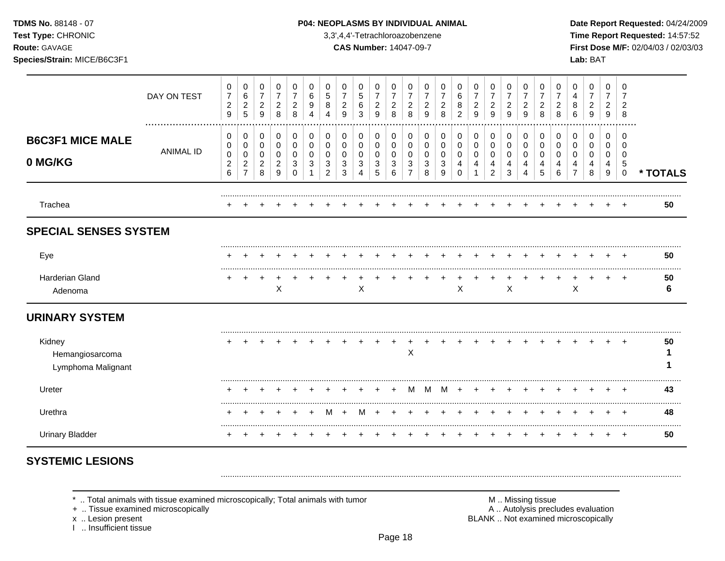TDMS No. 88148 - 07

#### Test Type: CHRONIC

Route: GAVAGE

Species/Strain: MICE/B6C3F1

#### P04: NEOPLASMS BY INDIVIDUAL ANIMAL

3,3',4,4'-Tetrachloroazobenzene

**CAS Number: 14047-09-7** 

Date Report Requested: 04/24/2009 Time Report Requested: 14:57:52 First Dose M/F: 02/04/03 / 02/03/03 Lab: BAT

|                                                 | DAY ON TEST      | $\pmb{0}$<br>$\overline{7}$<br>$\boldsymbol{2}$<br>$\boldsymbol{9}$ | 0<br>6<br>$\overline{2}$<br>$\overline{5}$            | 0<br>$\boldsymbol{7}$<br>$\overline{c}$<br>9                  | 0<br>$\overline{7}$<br>$\sqrt{2}$<br>8               | 0<br>7<br>$\overline{c}$<br>8 | 0<br>6<br>9<br>4 | 0<br>5<br>8           | 0<br>7<br>$\overline{c}$<br>9 | 0<br>5<br>6<br>3      | 0<br>$\overline{7}$<br>$\overline{c}$<br>9 | 0<br>$\overline{7}$<br>$\overline{c}$<br>8 | 0<br>7<br>$\overline{\mathbf{c}}$<br>8 | 0<br>$\overline{c}$<br>9 | 0<br>2<br>8           | 0<br>6<br>8<br>2             | 0<br>$\overline{7}$<br>$\overline{a}$<br>9 | 0<br>$\overline{7}$<br>$\sqrt{2}$<br>9 | 0<br>$\overline{7}$<br>$\overline{c}$<br>9 | 0<br>$\overline{7}$<br>$\overline{c}$<br>9 | 0<br>$\overline{7}$<br>2<br>8 | 2<br>8                | 0<br>4<br>8<br>6 | 0<br>$\overline{7}$<br>$\overline{c}$<br>9 | 0<br>$\overline{7}$<br>$\overline{c}$<br>9 | 0<br>7<br>$\overline{2}$<br>8                   |          |
|-------------------------------------------------|------------------|---------------------------------------------------------------------|-------------------------------------------------------|---------------------------------------------------------------|------------------------------------------------------|-------------------------------|------------------|-----------------------|-------------------------------|-----------------------|--------------------------------------------|--------------------------------------------|----------------------------------------|--------------------------|-----------------------|------------------------------|--------------------------------------------|----------------------------------------|--------------------------------------------|--------------------------------------------|-------------------------------|-----------------------|------------------|--------------------------------------------|--------------------------------------------|-------------------------------------------------|----------|
| <b>B6C3F1 MICE MALE</b><br>0 MG/KG              | <b>ANIMAL ID</b> | 0<br>$\,0\,$<br>$\pmb{0}$<br>$\overline{c}$<br>$6\phantom{a}$       | 0<br>0<br>$\mathbf 0$<br>$\sqrt{2}$<br>$\overline{7}$ | 0<br>$\pmb{0}$<br>$\mathbf 0$<br>$\overline{\mathbf{c}}$<br>8 | $\pmb{0}$<br>$\mathbf 0$<br>0<br>$\overline{c}$<br>9 | 0<br>0<br>0<br>3<br>$\Omega$  | 0<br>0<br>0<br>3 | 0<br>0<br>0<br>3<br>2 | 0<br>0<br>0<br>3<br>3         | 0<br>0<br>0<br>3<br>4 | 0<br>0<br>0<br>3<br>5                      | 0<br>0<br>0<br>3<br>6                      | 0<br>0<br>0<br>3<br>$\overline{7}$     | 0<br>0<br>0<br>3<br>8    | 0<br>0<br>0<br>3<br>9 | 0<br>0<br>0<br>4<br>$\Omega$ | 0<br>0<br>0<br>4<br>1                      | 0<br>0<br>0<br>4<br>$\overline{2}$     | 0<br>$\mathbf 0$<br>0<br>4<br>3            | 0<br>$\pmb{0}$<br>0<br>4<br>4              | 0<br>0<br>0<br>4<br>5         | 0<br>0<br>0<br>4<br>6 | 0<br>0<br>0<br>4 | 0<br>0<br>0<br>4<br>8                      | 0<br>0<br>0<br>4<br>9                      | $\Omega$<br>0<br>0<br>$\sqrt{5}$<br>$\mathbf 0$ | * TOTALS |
| Trachea                                         |                  |                                                                     |                                                       |                                                               |                                                      |                               |                  |                       |                               |                       |                                            |                                            |                                        |                          |                       |                              |                                            |                                        |                                            |                                            |                               |                       |                  |                                            |                                            |                                                 | 50       |
| <b>SPECIAL SENSES SYSTEM</b>                    |                  |                                                                     |                                                       |                                                               |                                                      |                               |                  |                       |                               |                       |                                            |                                            |                                        |                          |                       |                              |                                            |                                        |                                            |                                            |                               |                       |                  |                                            |                                            |                                                 |          |
| Eye                                             |                  |                                                                     |                                                       |                                                               |                                                      |                               |                  |                       |                               |                       |                                            |                                            |                                        |                          |                       |                              |                                            |                                        |                                            |                                            |                               |                       |                  |                                            |                                            |                                                 | 50       |
| <b>Harderian Gland</b><br>Adenoma               |                  |                                                                     |                                                       |                                                               | $\boldsymbol{\mathsf{X}}$                            |                               |                  |                       |                               | $\mathsf X$           |                                            |                                            |                                        |                          |                       | X                            |                                            |                                        | $\boldsymbol{\mathsf{X}}$                  |                                            |                               |                       | X                |                                            |                                            | $\overline{ }$                                  | 50<br>6  |
| <b>URINARY SYSTEM</b>                           |                  |                                                                     |                                                       |                                                               |                                                      |                               |                  |                       |                               |                       |                                            |                                            |                                        |                          |                       |                              |                                            |                                        |                                            |                                            |                               |                       |                  |                                            |                                            |                                                 |          |
| Kidney<br>Hemangiosarcoma<br>Lymphoma Malignant |                  |                                                                     |                                                       |                                                               |                                                      |                               |                  |                       |                               |                       |                                            |                                            | $\mathsf X$                            |                          |                       |                              |                                            |                                        |                                            |                                            |                               |                       |                  |                                            |                                            |                                                 | 50       |
| Ureter                                          |                  |                                                                     |                                                       |                                                               |                                                      |                               |                  |                       |                               |                       |                                            |                                            |                                        | м                        | м                     |                              |                                            |                                        |                                            |                                            |                               |                       |                  |                                            |                                            |                                                 | 43       |
| Urethra                                         |                  |                                                                     |                                                       |                                                               |                                                      |                               |                  |                       |                               |                       |                                            |                                            |                                        |                          |                       |                              |                                            |                                        |                                            |                                            |                               |                       |                  |                                            |                                            |                                                 | 48       |
| <b>Urinary Bladder</b>                          |                  | $\div$                                                              | +                                                     | +                                                             |                                                      |                               |                  |                       |                               |                       |                                            |                                            |                                        |                          |                       |                              |                                            | +                                      | +                                          | +                                          | +                             |                       |                  | +                                          | $\ddot{}$                                  | $^{+}$                                          | 50       |

# **SYSTEMIC LESIONS**

\* .. Total animals with tissue examined microscopically; Total animals with tumor

+ .. Tissue examined microscopically

x .. Lesion present

1 .. Insufficient tissue

M .. Missing tissue A .. Autolysis precludes evaluation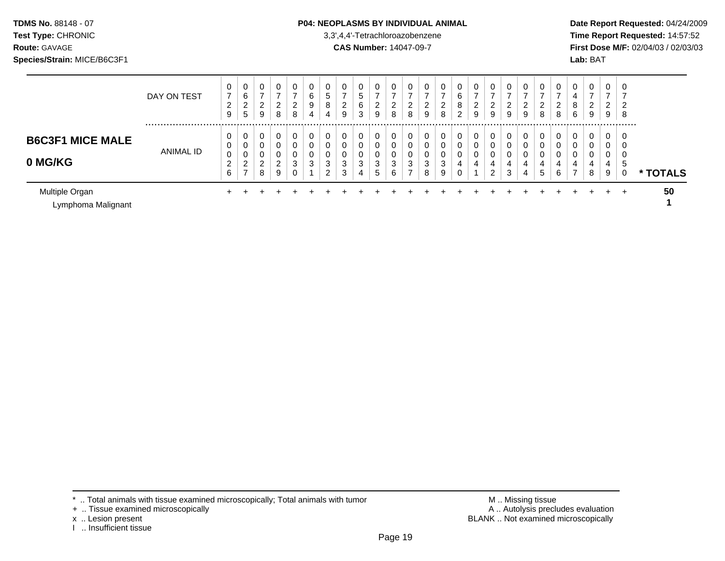#### **TDMS No.** 88148 - 07 **P04: NEOPLASMS BY INDIVIDUAL ANIMAL** Date Report Requested: 04/24/2009

**Test Type:** CHRONIC 3,3',4,4'-Tetrachloroazobenzene **Time Report Requested:** 14:57:52 **Route:** GAVAGE **CAS Number:** 14047-09-7 **First Dose M/F:** 02/04/03 / 02/03/03

|                                      | DAY ON TEST      | 0<br>$\overline{ }$     | 0<br>$\sim$<br>ь                     | 0<br>-                  | 0<br>$\overline{ }$ |        | 0<br>6 | 0<br>5.                 | 0<br>- | 0<br>.5 |                           | 0           | v      | 0           | 0<br>- | ⌒<br>b              | 0           | 0<br>–              | 0           | U      | 0                    | 0           | 4      | 0<br>-      | 0<br>$\rightarrow$ |        |          |
|--------------------------------------|------------------|-------------------------|--------------------------------------|-------------------------|---------------------|--------|--------|-------------------------|--------|---------|---------------------------|-------------|--------|-------------|--------|---------------------|-------------|---------------------|-------------|--------|----------------------|-------------|--------|-------------|--------------------|--------|----------|
|                                      |                  | ົ<br>∠<br>9             | $\overline{2}$<br>5                  | ົ<br>$\epsilon$<br>9    | 2<br>8              | 2<br>8 | 9<br>4 | 8<br>4                  | 2<br>9 | 6<br>3  | $\sim$<br>$\epsilon$<br>9 | 2<br>8      | 2<br>8 | 2<br>9      | 2<br>8 | 8<br>$\overline{2}$ | ົ<br>∠<br>9 | $\overline{2}$<br>9 | 2<br>9      | 2<br>9 | ົ<br>$\epsilon$<br>8 | ົ<br>∠<br>8 | 8<br>6 | 2<br>9      | 2<br>9             | 2<br>8 |          |
| <b>B6C3F1 MICE MALE</b>              | <b>ANIMAL ID</b> | 0<br>0                  | U<br>$\sim$<br>U<br>$\sim$           | 0<br>0                  | 0<br>0              |        | 0      | 0<br>0                  | υ<br>⌒ | 0<br>0  |                           | 0<br>0      | 0      | 0<br>0      | 0<br>0 |                     | 0<br>0      | 0<br>$\sim$<br>U    | 0<br>0      | υ      |                      | 0<br>0      |        | 0<br>0      | 0<br>0             |        |          |
| 0 MG/KG                              |                  | 0<br>ົ<br><u>_</u><br>6 | U<br>າ<br><u>_</u><br>$\overline{ }$ | 0<br>ົ<br><u>_</u><br>8 | 0<br>2<br>9         | 3      | 3      | 0<br>3<br>ົ<br><u>_</u> | 3<br>3 | 3<br>4  | ◠<br>د<br>5               | 0<br>3<br>6 | 3<br>⇁ | 0<br>3<br>8 | 3<br>9 |                     | 0<br>4      | 0<br>4<br>ົ<br>∼    | 0<br>4<br>3 | 4<br>4 | 4<br>5               | 4<br>6      | 4<br>⇁ | 0<br>4<br>8 | 0<br>4<br>9        | ৾৾৾    | * TOTALS |
| Multiple Organ<br>Lymphoma Malignant |                  |                         |                                      |                         |                     |        |        |                         |        |         |                           |             |        |             |        |                     |             |                     |             |        |                      |             |        |             |                    | $\div$ | 50       |

x .. Lesion present<br>I .. Insufficient tissue

\* .. Total animals with tissue examined microscopically; Total animals with tumor **M** metally more than M .. Missing tissue<br>  $\blacksquare$  Tissue examined microscopically BLANK .. Not examined microscopically

<sup>+ ..</sup> Tissue examined microscopically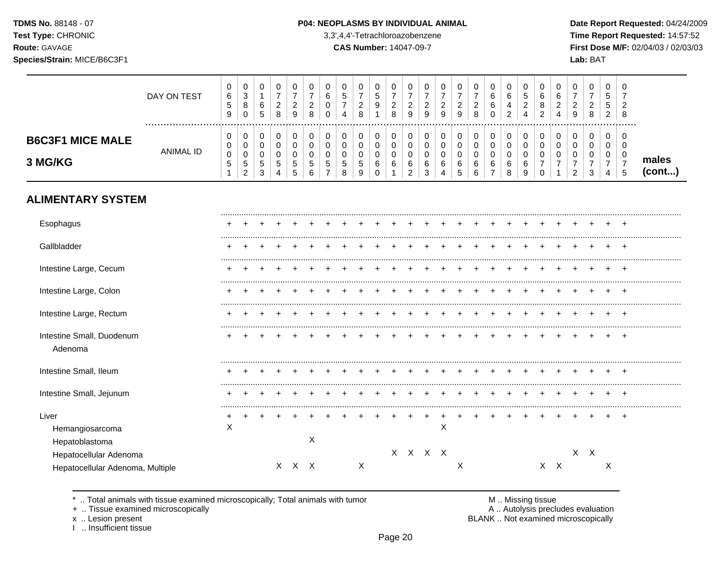TDMS No. 88148 - 07 Test Type: CHRONIC

Route: GAVAGE

#### P04: NEOPLASMS BY INDIVIDUAL ANIMAL

3,3',4,4'-Tetrachloroazobenzene

**CAS Number: 14047-09-7** 

Date Report Requested: 04/24/2009 Time Report Requested: 14:57:52 First Dose M/F: 02/04/03 / 02/03/03  $I$ ah:  $RAT$ 

| Species/Strain: MICE/B6C3F1        |             |                                        |                                      |             |                  |   |                         |                                              |                             |                         |        |                         |                         |        |             |                                  |             |                         |                                         |                       |                       |                  |                       | Lab: BAT    |                                |                    |                 |
|------------------------------------|-------------|----------------------------------------|--------------------------------------|-------------|------------------|---|-------------------------|----------------------------------------------|-----------------------------|-------------------------|--------|-------------------------|-------------------------|--------|-------------|----------------------------------|-------------|-------------------------|-----------------------------------------|-----------------------|-----------------------|------------------|-----------------------|-------------|--------------------------------|--------------------|-----------------|
|                                    | DAY ON TEST | 0<br>6<br><sub>5</sub><br>9            | U<br>◠<br>ັ<br>8<br>$\sim$<br>U      | υ<br>6<br>5 | v<br>ົ<br>_<br>8 |   | 0<br>⌒<br><u>_</u><br>8 | 0<br>⌒<br>b<br>U<br>0                        | 0<br>-<br>4                 | 0<br>ົ<br><u>.</u><br>8 | Đ<br>9 | 0<br>◠<br><u>_</u><br>8 | υ<br>ົ<br><u>_</u><br>9 | 9      | U<br>◠<br>9 | 0<br>ົ<br>_<br>9                 | υ<br>∠<br>8 | <b>U</b><br>6<br>6<br>0 | <b>U</b><br>6<br>4<br><sup>o</sup><br>∼ | 0<br>N<br>ົ<br>∠<br>4 | U<br>6<br>8<br>ົ<br>∠ | 6<br>ົ<br>▵<br>4 | 0<br>2<br>9           | υ<br>▵<br>8 | 0<br>đ<br>5<br>ົ<br>$\epsilon$ | -0<br>-2<br>8      |                 |
| <b>B6C3F1 MICE MALE</b><br>3 MG/KG | ANIMAL ID   | $\mathbf{0}$<br>0<br>0<br><sub>5</sub> | υ<br>v<br>$\sim$<br>v<br>G<br>$\sim$ | đ<br>3      | .5               | G | 0<br>0<br>0<br>5<br>6   | 0<br>0<br>U<br>G<br>$\overline{\phantom{0}}$ | 0<br>0<br><sub>5</sub><br>8 | 0<br>0<br>5<br>9        | 6      | 0<br>0<br>0<br>6        | 6<br>າ<br><u>_</u>      | 6<br>3 | 0<br>6      | 0<br>0<br>0<br>6<br><sub>5</sub> | 6<br>⌒      | 0<br>0<br>6<br>-        | 6<br>8                                  | 0<br>6<br>9           | υ<br>-                |                  | 0<br>0<br>0<br>ົ<br>∼ | υ<br>વ<br>J | 0<br>0<br>0                    | -0<br>0<br>0<br>-5 | males<br>(cont) |

## **ALIMENTARY SYSTEM**

| Esophagus                                                  |   |  |       |   |  |   |  |         |   |   |  |  |     |         |   |  |
|------------------------------------------------------------|---|--|-------|---|--|---|--|---------|---|---|--|--|-----|---------|---|--|
| Gallbladder                                                |   |  |       |   |  |   |  |         |   |   |  |  |     |         |   |  |
| Intestine Large, Cecum                                     |   |  |       |   |  |   |  |         |   |   |  |  |     |         |   |  |
| Intestine Large, Colon                                     |   |  |       |   |  |   |  |         |   |   |  |  |     |         |   |  |
| Intestine Large, Rectum                                    |   |  |       |   |  |   |  |         |   |   |  |  |     |         |   |  |
| Intestine Small, Duodenum<br>Adenoma                       |   |  |       |   |  |   |  |         |   |   |  |  |     |         |   |  |
| Intestine Small, Ileum                                     |   |  |       |   |  |   |  |         |   |   |  |  |     |         |   |  |
| Intestine Small, Jejunum                                   |   |  |       |   |  |   |  |         |   |   |  |  |     |         |   |  |
| Liver<br>Hemangiosarcoma<br>Hepatoblastoma                 | X |  |       | Χ |  |   |  | X X X X | X |   |  |  |     | $X$ $X$ |   |  |
| Hepatocellular Adenoma<br>Hepatocellular Adenoma, Multiple |   |  | X X X |   |  | Χ |  |         |   | Х |  |  | X X |         | X |  |

\* .. Total animals with tissue examined microscopically; Total animals with tumor

+ .. Tissue examined microscopically

x .. Lesion present

I .. Insufficient tissue

M .. Missing tissue

A .. Autolysis precludes evaluation BLANK .. Not examined microscopically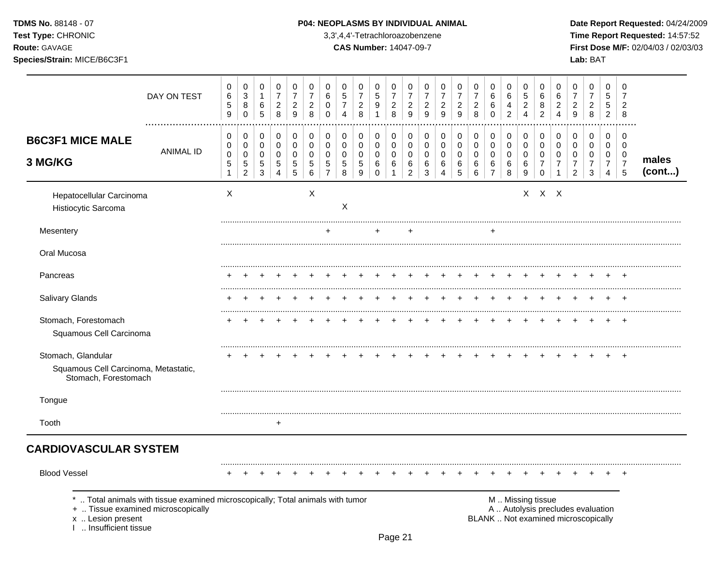TDMS No. 88148 - 07 Test Type: CHRONIC

Route: GAVAGE

Species/Strain: MICE/B6C3F1

#### P04: NEOPLASMS BY INDIVIDUAL ANIMAL

3,3',4,4'-Tetrachloroazobenzene

**CAS Number: 14047-09-7** 

Date Report Requested: 04/24/2009 Time Report Requested: 14:57:52 First Dose M/F: 02/04/03 / 02/03/03 Lab: BAT

|                                                                                   | DAY ON TEST                                                                  | 0<br>$\,6$<br>$\mathbf 5$<br>9                                | 0<br>$\mathbf{3}$<br>8<br>$\Omega$                                       | 0<br>$\mathbf{1}$<br>6<br>$\overline{5}$          | 0<br>$\overline{7}$<br>$\sqrt{2}$<br>8                         | 0<br>$\overline{7}$<br>$\overline{c}$<br>9 | 0<br>$\overline{7}$<br>$\overline{c}$<br>8 | 0<br>6<br>0<br>$\Omega$                                | 0<br>$\sqrt{5}$<br>$\overline{7}$<br>$\overline{4}$ | 0<br>$\overline{7}$<br>$\overline{\mathbf{c}}$<br>8          | 0<br>$\sqrt{5}$<br>9<br>$\mathbf{1}$    | 0<br>$\overline{7}$<br>$\sqrt{2}$<br>8     | 0<br>$\overline{7}$<br>$\overline{c}$<br>9         | 0<br>$\overline{7}$<br>$\overline{c}$<br>$\overline{9}$        | 0<br>$\overline{7}$<br>$\overline{c}$<br>9           | 0<br>$\overline{7}$<br>$\overline{\mathbf{c}}$<br>$\boldsymbol{9}$ | 0<br>$\overline{7}$<br>$\overline{c}$<br>8  | 0<br>6<br>6<br>$\Omega$                                    | 0<br>6<br>4<br>$\overline{c}$           | 0<br>$\,$ 5 $\,$<br>$\sqrt{2}$<br>$\overline{4}$             | 0<br>6<br>8<br>$\overline{2}$                                              | 0<br>6<br>$\overline{c}$<br>$\overline{4}$ | 0<br>$\overline{7}$<br>$\overline{c}$<br>9                               | 0<br>$\overline{7}$<br>$\overline{c}$<br>8                       | 0<br>5<br>5<br>$\overline{2}$                   | 0<br>$\overline{7}$<br>$\overline{c}$<br>8                       |                 |
|-----------------------------------------------------------------------------------|------------------------------------------------------------------------------|---------------------------------------------------------------|--------------------------------------------------------------------------|---------------------------------------------------|----------------------------------------------------------------|--------------------------------------------|--------------------------------------------|--------------------------------------------------------|-----------------------------------------------------|--------------------------------------------------------------|-----------------------------------------|--------------------------------------------|----------------------------------------------------|----------------------------------------------------------------|------------------------------------------------------|--------------------------------------------------------------------|---------------------------------------------|------------------------------------------------------------|-----------------------------------------|--------------------------------------------------------------|----------------------------------------------------------------------------|--------------------------------------------|--------------------------------------------------------------------------|------------------------------------------------------------------|-------------------------------------------------|------------------------------------------------------------------|-----------------|
| <b>B6C3F1 MICE MALE</b><br>3 MG/KG                                                | <b>ANIMAL ID</b>                                                             | $\pmb{0}$<br>$\,0\,$<br>$\,0\,$<br>$\sqrt{5}$<br>$\mathbf{1}$ | $\mathbf 0$<br>$\mathbf 0$<br>$\pmb{0}$<br>$\mathbf 5$<br>$\overline{c}$ | 0<br>$\mathbf 0$<br>$\pmb{0}$<br>$\,$ 5 $\,$<br>3 | $\mathbf 0$<br>$\mathbf 0$<br>$\pmb{0}$<br>5<br>$\overline{4}$ | $\pmb{0}$<br>$\mathbf 0$<br>0<br>5<br>5    | $\mathbf 0$<br>$\mathbf 0$<br>0<br>5<br>6  | 0<br>$\mathbf 0$<br>$\mathbf 0$<br>5<br>$\overline{7}$ | $\mathbf 0$<br>$\mathbf 0$<br>$\mathbf 0$<br>5<br>8 | $\pmb{0}$<br>$\pmb{0}$<br>$\mathbf 0$<br>$\sqrt{5}$<br>$9\,$ | 0<br>0<br>$\pmb{0}$<br>6<br>$\mathbf 0$ | $\mathbf 0$<br>$\mathbf 0$<br>0<br>6<br>-1 | $\pmb{0}$<br>$\pmb{0}$<br>0<br>6<br>$\overline{c}$ | $\mathbf 0$<br>$\mathbf 0$<br>$\mathbf 0$<br>6<br>$\mathbf{3}$ | 0<br>$\mathbf 0$<br>0<br>6<br>$\boldsymbol{\Lambda}$ | $\mathbf 0$<br>$\mathbf 0$<br>$\pmb{0}$<br>$\,6$<br>$\sqrt{5}$     | 0<br>$\mathbf 0$<br>$\pmb{0}$<br>6<br>$\,6$ | $\pmb{0}$<br>$\pmb{0}$<br>$\pmb{0}$<br>6<br>$\overline{7}$ | 0<br>$\mathbf 0$<br>$\pmb{0}$<br>6<br>8 | $\mathbf 0$<br>$\pmb{0}$<br>0<br>$\,6\,$<br>$\boldsymbol{9}$ | $\mathbf 0$<br>$\mathbf 0$<br>$\mathbf 0$<br>$\overline{7}$<br>$\mathbf 0$ | 0<br>$\mathbf 0$<br>0<br>$\overline{7}$    | 0<br>$\mathbf 0$<br>$\mathbf 0$<br>$\overline{7}$<br>$\mathcal{P}$       | $\mathbf 0$<br>$\mathbf 0$<br>$\mathbf 0$<br>$\overline{7}$<br>3 | 0<br>0<br>0<br>$\overline{7}$<br>$\overline{4}$ | $\mathbf 0$<br>$\mathbf 0$<br>$\mathbf 0$<br>$\overline{7}$<br>5 | males<br>(cont) |
| Hepatocellular Carcinoma<br>Histiocytic Sarcoma                                   |                                                                              | X                                                             |                                                                          |                                                   |                                                                |                                            | X                                          |                                                        | $\boldsymbol{\mathsf{X}}$                           |                                                              |                                         |                                            |                                                    |                                                                |                                                      |                                                                    |                                             |                                                            |                                         |                                                              | $X$ $X$ $X$                                                                |                                            |                                                                          |                                                                  |                                                 |                                                                  |                 |
| Mesentery                                                                         |                                                                              |                                                               |                                                                          |                                                   |                                                                |                                            |                                            |                                                        |                                                     |                                                              |                                         |                                            |                                                    |                                                                |                                                      |                                                                    |                                             |                                                            |                                         |                                                              |                                                                            |                                            |                                                                          |                                                                  |                                                 |                                                                  |                 |
| Oral Mucosa                                                                       |                                                                              |                                                               |                                                                          |                                                   |                                                                |                                            |                                            |                                                        |                                                     |                                                              |                                         |                                            |                                                    |                                                                |                                                      |                                                                    |                                             |                                                            |                                         |                                                              |                                                                            |                                            |                                                                          |                                                                  |                                                 |                                                                  |                 |
| Pancreas                                                                          |                                                                              |                                                               |                                                                          |                                                   |                                                                |                                            |                                            |                                                        |                                                     |                                                              |                                         |                                            |                                                    |                                                                |                                                      |                                                                    |                                             |                                                            |                                         |                                                              |                                                                            |                                            |                                                                          |                                                                  |                                                 |                                                                  |                 |
| Salivary Glands                                                                   |                                                                              |                                                               |                                                                          |                                                   |                                                                |                                            |                                            |                                                        |                                                     |                                                              |                                         |                                            |                                                    |                                                                |                                                      |                                                                    |                                             |                                                            |                                         |                                                              |                                                                            |                                            |                                                                          |                                                                  |                                                 |                                                                  |                 |
| Stomach, Forestomach<br>Squamous Cell Carcinoma                                   |                                                                              |                                                               |                                                                          |                                                   |                                                                |                                            |                                            |                                                        |                                                     |                                                              |                                         |                                            |                                                    |                                                                |                                                      |                                                                    |                                             |                                                            |                                         |                                                              |                                                                            |                                            |                                                                          |                                                                  |                                                 | $\overline{1}$                                                   |                 |
| Stomach, Glandular                                                                |                                                                              |                                                               |                                                                          |                                                   |                                                                |                                            |                                            |                                                        |                                                     |                                                              |                                         |                                            |                                                    |                                                                |                                                      |                                                                    |                                             |                                                            |                                         |                                                              |                                                                            |                                            |                                                                          |                                                                  |                                                 |                                                                  |                 |
| Squamous Cell Carcinoma, Metastatic,<br>Stomach, Forestomach                      |                                                                              |                                                               |                                                                          |                                                   |                                                                |                                            |                                            |                                                        |                                                     |                                                              |                                         |                                            |                                                    |                                                                |                                                      |                                                                    |                                             |                                                            |                                         |                                                              |                                                                            |                                            |                                                                          |                                                                  |                                                 |                                                                  |                 |
| Tongue                                                                            |                                                                              |                                                               |                                                                          |                                                   |                                                                |                                            |                                            |                                                        |                                                     |                                                              |                                         |                                            |                                                    |                                                                |                                                      |                                                                    |                                             |                                                            |                                         |                                                              |                                                                            |                                            |                                                                          |                                                                  |                                                 |                                                                  |                 |
| Tooth                                                                             |                                                                              |                                                               |                                                                          |                                                   | $\ddot{}$                                                      |                                            |                                            |                                                        |                                                     |                                                              |                                         |                                            |                                                    |                                                                |                                                      |                                                                    |                                             |                                                            |                                         |                                                              |                                                                            |                                            |                                                                          |                                                                  |                                                 |                                                                  |                 |
| <b>CARDIOVASCULAR SYSTEM</b>                                                      |                                                                              |                                                               |                                                                          |                                                   |                                                                |                                            |                                            |                                                        |                                                     |                                                              |                                         |                                            |                                                    |                                                                |                                                      |                                                                    |                                             |                                                            |                                         |                                                              |                                                                            |                                            |                                                                          |                                                                  |                                                 |                                                                  |                 |
| <b>Blood Vessel</b>                                                               |                                                                              |                                                               |                                                                          |                                                   |                                                                |                                            |                                            |                                                        |                                                     |                                                              |                                         |                                            |                                                    |                                                                |                                                      |                                                                    |                                             |                                                            |                                         |                                                              |                                                                            |                                            |                                                                          |                                                                  |                                                 | $\pm$                                                            |                 |
| +  Tissue examined microscopically<br>x  Lesion present<br>1  Insufficient tissue | Total animals with tissue examined microscopically; Total animals with tumor |                                                               |                                                                          |                                                   |                                                                |                                            |                                            |                                                        |                                                     |                                                              |                                         |                                            |                                                    |                                                                |                                                      |                                                                    |                                             |                                                            |                                         | M  Missing tissue                                            |                                                                            |                                            | A  Autolysis precludes evaluation<br>BLANK  Not examined microscopically |                                                                  |                                                 |                                                                  |                 |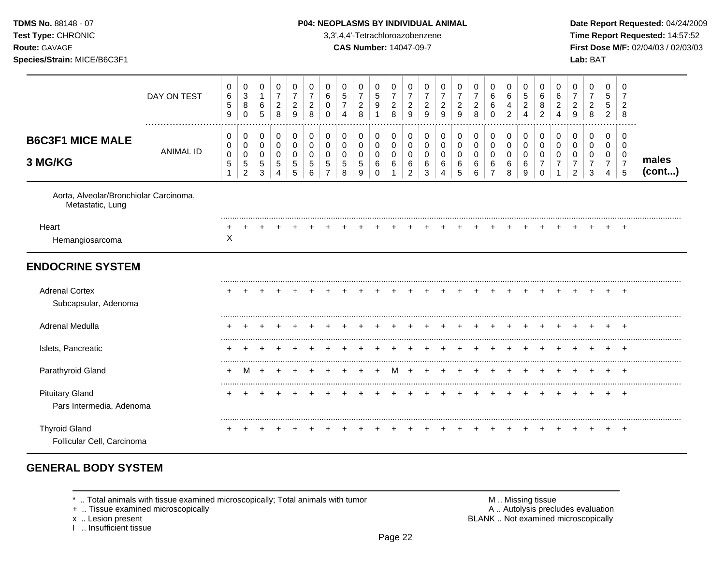| <b>TDMS No. 88148 - 07</b> |  |
|----------------------------|--|
| <b>Test Type: CHRONIC</b>  |  |

### **P04: NEOPLASMS BY INDIVIDUAL ANIMAL Date Report Requested: 04/24/2009**

**Time Report Requested:** 14:57:52 **Route:** GAVAGE **CAS Number:** 14047-09-7 **First Dose M/F:** 02/04/03 / 02/03/03 **Species/Strain:** MICE/B6C3F1 **Lab:** BAT

|                                                            | DAY ON TEST      | $\pmb{0}$<br>6<br>$\,$ 5 $\,$<br>9 | 0<br>$\ensuremath{\mathsf{3}}$<br>8<br>0              | 0<br>$\mathbf{1}$<br>$\,6\,$<br>5                      | 0<br>$\overline{7}$<br>$\overline{2}$<br>8 | 0<br>$\overline{7}$<br>$\overline{2}$<br>9 | 0<br>$\overline{7}$<br>$\overline{c}$<br>8 | 0<br>6<br>0<br>$\Omega$ | 0<br>$\sqrt{5}$<br>$\overline{7}$<br>4           | 0<br>$\overline{7}$<br>$\overline{c}$<br>8         | 0<br>$\sqrt{5}$<br>9                           | 0<br>$\overline{7}$<br>$\overline{2}$<br>8 | 0<br>$\overline{7}$<br>$\overline{c}$<br>9 | 0<br>$\overline{7}$<br>$\overline{2}$<br>9 | 0<br>$\overline{7}$<br>$\overline{c}$<br>9 | 0<br>$\overline{7}$<br>$\overline{c}$<br>9 | 0<br>$\overline{7}$<br>$\overline{c}$<br>8 | 0<br>6<br>6<br>$\Omega$                              | 0<br>6<br>4<br>2                       | 0<br>5<br>$\overline{c}$<br>4 | 0<br>$\,6$<br>8<br>$\overline{2}$      | 0<br>6<br>$\overline{2}$<br>$\overline{A}$   | 0<br>$\overline{7}$<br>$\overline{2}$<br>9                | 0<br>$\overline{7}$<br>$\overline{c}$<br>8             | 0<br>5<br>5<br>$\overline{2}$              | 0<br>7<br>$\overline{2}$<br>8                                    |                 |
|------------------------------------------------------------|------------------|------------------------------------|-------------------------------------------------------|--------------------------------------------------------|--------------------------------------------|--------------------------------------------|--------------------------------------------|-------------------------|--------------------------------------------------|----------------------------------------------------|------------------------------------------------|--------------------------------------------|--------------------------------------------|--------------------------------------------|--------------------------------------------|--------------------------------------------|--------------------------------------------|------------------------------------------------------|----------------------------------------|-------------------------------|----------------------------------------|----------------------------------------------|-----------------------------------------------------------|--------------------------------------------------------|--------------------------------------------|------------------------------------------------------------------|-----------------|
| <b>B6C3F1 MICE MALE</b><br>3 MG/KG                         | <b>ANIMAL ID</b> | 0<br>$\pmb{0}$<br>0<br>$\sqrt{5}$  | 0<br>0<br>$\mathbf 0$<br>$\sqrt{5}$<br>$\overline{c}$ | 0<br>$\mathbf 0$<br>$\mathbf 0$<br>$\overline{5}$<br>3 | 0<br>$\mathbf 0$<br>$\Omega$<br>5<br>4     | 0<br>0<br>0<br>5<br>5                      | 0<br>0<br>$\mathbf 0$<br>5<br>6            | 0<br>0<br>0<br>5        | 0<br>$\pmb{0}$<br>$\mathbf 0$<br>$\sqrt{5}$<br>8 | 0<br>$\mathbf 0$<br>$\mathbf 0$<br>$\sqrt{5}$<br>9 | 0<br>$\pmb{0}$<br>$\mathbf 0$<br>6<br>$\Omega$ | 0<br>0<br>$\mathbf 0$<br>6<br>1            | 0<br>0<br>0<br>6<br>2                      | 0<br>$\mathbf 0$<br>$\mathbf 0$<br>6<br>3  | 0<br>$\pmb{0}$<br>0<br>6<br>4              | 0<br>$\pmb{0}$<br>$\mathbf 0$<br>6<br>5    | 0<br>$\pmb{0}$<br>$\mathbf 0$<br>6<br>6    | 0<br>$\pmb{0}$<br>$\mathbf 0$<br>6<br>$\overline{7}$ | 0<br>$\mathbf 0$<br>$\Omega$<br>6<br>8 | 0<br>0<br>0<br>6<br>9         | 0<br>0<br>$\mathbf 0$<br>7<br>$\Omega$ | 0<br>$\mathbf 0$<br>0<br>$\overline{7}$<br>1 | 0<br>0<br>$\mathbf 0$<br>$\overline{7}$<br>$\overline{2}$ | 0<br>$\mathbf 0$<br>$\mathbf 0$<br>$\overline{7}$<br>3 | 0<br>0<br>$\pmb{0}$<br>$\overline{7}$<br>4 | $\mathbf 0$<br>$\mathbf 0$<br>$\mathbf 0$<br>$\overline{7}$<br>5 | males<br>(cont) |
| Aorta, Alveolar/Bronchiolar Carcinoma,<br>Metastatic, Lung |                  |                                    |                                                       |                                                        |                                            |                                            |                                            |                         |                                                  |                                                    |                                                |                                            |                                            |                                            |                                            |                                            |                                            |                                                      |                                        |                               |                                        |                                              |                                                           |                                                        |                                            |                                                                  |                 |
| Heart<br>Hemangiosarcoma                                   |                  | X                                  |                                                       |                                                        |                                            |                                            |                                            |                         |                                                  |                                                    |                                                |                                            |                                            |                                            |                                            |                                            |                                            |                                                      |                                        |                               |                                        |                                              |                                                           |                                                        |                                            | $\pm$                                                            |                 |
| <b>ENDOCRINE SYSTEM</b>                                    |                  |                                    |                                                       |                                                        |                                            |                                            |                                            |                         |                                                  |                                                    |                                                |                                            |                                            |                                            |                                            |                                            |                                            |                                                      |                                        |                               |                                        |                                              |                                                           |                                                        |                                            |                                                                  |                 |
| <b>Adrenal Cortex</b><br>Subcapsular, Adenoma              |                  |                                    |                                                       |                                                        |                                            |                                            |                                            |                         |                                                  |                                                    |                                                |                                            |                                            |                                            |                                            |                                            |                                            |                                                      |                                        |                               |                                        |                                              |                                                           |                                                        |                                            |                                                                  |                 |
| Adrenal Medulla                                            |                  |                                    |                                                       |                                                        |                                            |                                            |                                            |                         |                                                  |                                                    |                                                |                                            |                                            |                                            |                                            |                                            |                                            |                                                      |                                        |                               |                                        |                                              |                                                           |                                                        |                                            | $\pm$                                                            |                 |
| Islets, Pancreatic                                         |                  |                                    |                                                       |                                                        |                                            |                                            |                                            |                         |                                                  |                                                    |                                                |                                            |                                            |                                            |                                            |                                            |                                            |                                                      |                                        |                               |                                        |                                              |                                                           |                                                        |                                            |                                                                  |                 |
| Parathyroid Gland                                          |                  |                                    | M                                                     |                                                        |                                            |                                            |                                            |                         |                                                  |                                                    |                                                |                                            |                                            |                                            |                                            |                                            |                                            |                                                      |                                        |                               |                                        |                                              |                                                           |                                                        |                                            |                                                                  |                 |
| <b>Pituitary Gland</b><br>Pars Intermedia, Adenoma         |                  |                                    |                                                       |                                                        |                                            |                                            |                                            |                         |                                                  |                                                    |                                                |                                            |                                            |                                            |                                            |                                            |                                            |                                                      |                                        |                               |                                        |                                              |                                                           |                                                        |                                            |                                                                  |                 |
| <b>Thyroid Gland</b><br>Follicular Cell, Carcinoma         |                  |                                    |                                                       |                                                        |                                            |                                            |                                            |                         |                                                  |                                                    |                                                |                                            |                                            |                                            |                                            |                                            |                                            |                                                      |                                        |                               |                                        |                                              |                                                           |                                                        |                                            | $\ddot{}$                                                        |                 |

# **GENERAL BODY SYSTEM**

+ .. Tissue examined microscopically

x .. Lesion present<br>I .. Insufficient tissue

\* .. Total animals with tissue examined microscopically; Total animals with tumor **M** metally more than M .. Missing tissue<br>  $\blacksquare$  Tissue examined microscopically BLANK .. Not examined microscopically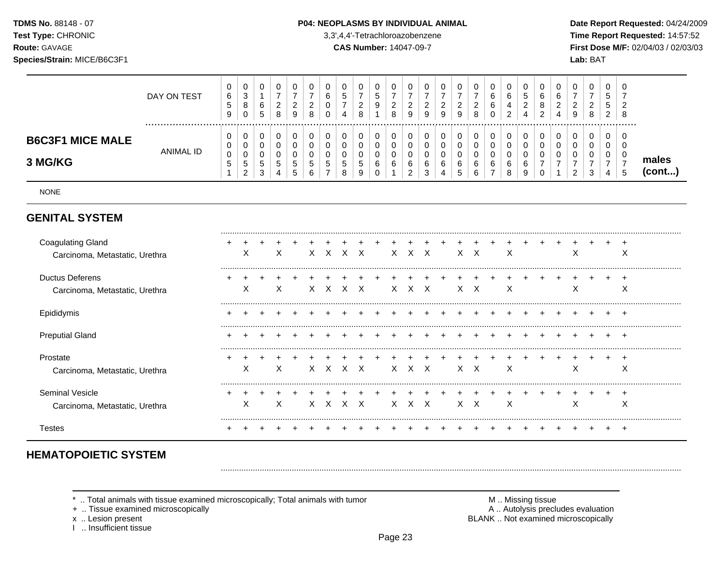TDMS No. 88148 - 07 Test Type: CHRONIC Route: GAVAGE

# Species/Strain: MICE/B6C3F1

#### P04: NEOPLASMS BY INDIVIDUAL ANIMAL

3,3',4,4'-Tetrachloroazobenzene

**CAS Number: 14047-09-7** 

Date Report Requested: 04/24/2009 Time Report Requested: 14:57:52 First Dose M/F: 02/04/03 / 02/03/03 Lab: BAT

|                                    | DAY ON TEST      | 0<br>6<br>C.<br>9 | ◡<br><sup>o</sup><br>J<br>8<br>0     | U<br>6<br>5              | v<br>▃<br>8 | 0<br>◠<br><u>_</u><br>9 | 0<br><sup>o</sup><br><u>_</u><br>8 |   | U<br>∽<br>Ñ<br>-<br>4 | 8 | v<br><sub>5</sub><br>9 | _<br>8 | υ<br><u>_</u><br>9           | 0<br><sup>o</sup><br>_<br>9          | ν<br>∼<br>9 | v<br>9      | $\sim$<br>8 | 0<br>6<br>6<br>0 | 4      | υ<br>∽<br>IJ<br>◠<br>4 | υ<br>6<br>8<br>$\sim$<br><u>_</u> | u<br>ຨ<br>▃<br>д | U<br>9      | $\overline{0}$<br>◠<br>∠<br>8 | U<br>$\mathbf{p}$<br>b.<br>$\sim$<br>$\epsilon$ | - ს<br>-8 |                 |
|------------------------------------|------------------|-------------------|--------------------------------------|--------------------------|-------------|-------------------------|------------------------------------|---|-----------------------|---|------------------------|--------|------------------------------|--------------------------------------|-------------|-------------|-------------|------------------|--------|------------------------|-----------------------------------|------------------|-------------|-------------------------------|-------------------------------------------------|-----------|-----------------|
| <b>B6C3F1 MICE MALE</b><br>3 MG/KG | <b>ANIMAL ID</b> | 0<br>0<br>0<br>G  | ◡<br>ν<br>⌒<br>◡<br>5<br>$\sim$<br>∼ | U<br>U<br>5<br>- 2<br>ູບ | đ           | 0<br>0<br>0<br>ა<br>ა   | 0<br>0<br>0<br>G<br>6              | J | 0<br>0<br>ಾ<br>8      |   | v<br>v<br>ν<br>6<br>ν  | 6      | 0<br>U<br>O<br>6<br><u>_</u> | 0<br>υ<br>υ<br>$\sim$<br>b<br>ົ<br>◡ | u<br>u<br>6 | 6<br>∽<br>Ñ | 6<br>6      | 0<br>U<br>6      | 6<br>o | 6<br>9                 |                                   | u                | υ<br>υ<br>υ | 0<br>0<br>د                   | 0<br>0<br><b>U</b><br>4                         | - 6<br>÷  | males<br>(cont) |

**NONE** 

## **GENITAL SYSTEM**

| <b>Coagulating Gland</b><br>Carcinoma, Metastatic, Urethra | ⋏ | х | X. | X | $\mathsf{X}$ | X   | X. | X.         | X |    | X X          | X |  | ∧ |  | ∧ |
|------------------------------------------------------------|---|---|----|---|--------------|-----|----|------------|---|----|--------------|---|--|---|--|---|
| <b>Ductus Deferens</b><br>Carcinoma, Metastatic, Urethra   | X | х |    |   | X.           | X   | X. | X.         | X | X. | $\mathsf{X}$ | X |  | ∧ |  | ∧ |
| Epididymis                                                 |   |   |    |   |              |     |    |            |   |    |              |   |  |   |  | + |
| <b>Preputial Gland</b>                                     |   |   |    |   |              |     |    |            |   |    |              |   |  |   |  |   |
| Prostate<br>Carcinoma, Metastatic, Urethra                 | ∧ | х | X. | X |              | X X | X. | $X \times$ |   |    | X X          | X |  | ∧ |  | ∧ |
| <b>Seminal Vesicle</b><br>Carcinoma, Metastatic, Urethra   | ∧ | Χ |    |   | X.           | X   | X. | X.         | X | X. | X            | X |  | ∧ |  | ∧ |
| l estes                                                    |   |   |    |   |              |     |    |            |   |    |              |   |  |   |  |   |

# **HEMATOPOIETIC SYSTEM**

\* .. Total animals with tissue examined microscopically; Total animals with tumor

+ .. Tissue examined microscopically

x .. Lesion present

I .. Insufficient tissue

M .. Missing tissue A .. Autolysis precludes evaluation BLANK .. Not examined microscopically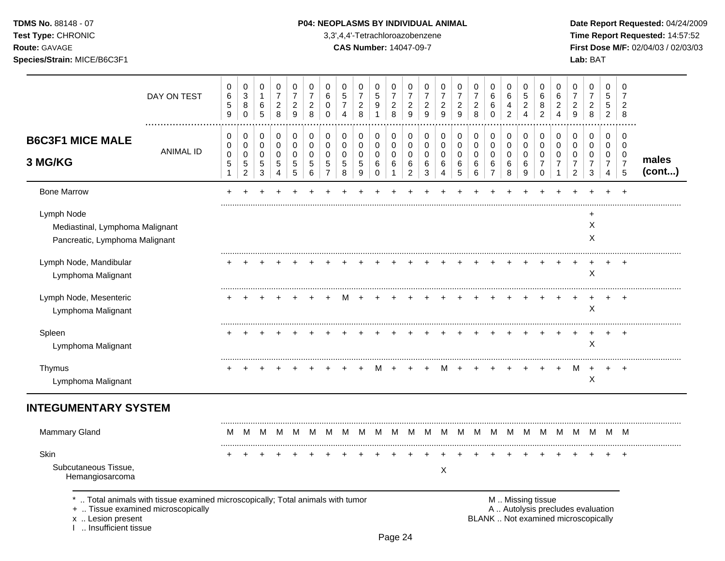**Test Type:** CHRONIC 3,3',4,4'-Tetrachloroazobenzene **Time Report Requested:** 14:57:52 **Route:** GAVAGE **CAS Number:** 14047-09-7 **First Dose M/F:** 02/04/03 / 02/03/03 **Species/Strain:** MICE/B6C3F1 **Lab:** BAT

|                                                                                 | DAY ON TEST                                                                                                        | 0<br>6<br>$\sqrt{5}$<br>9                 | 0<br>3<br>8<br>$\mathbf 0$                           | $\mathbf 0$<br>$\mathbf{1}$<br>$\,6$<br>$\sqrt{5}$     | $\mathbf 0$<br>$\overline{7}$<br>$\overline{2}$<br>8 | 0<br>$\overline{7}$<br>$\overline{2}$<br>9 | $\mathbf 0$<br>$\overline{7}$<br>$\overline{2}$<br>$\,8\,$ | $\mathbf 0$<br>6<br>0<br>$\mathbf 0$        | 0<br>5<br>$\overline{7}$<br>4 | 0<br>$\overline{7}$<br>$\overline{c}$<br>8 | 0<br>$\sqrt{5}$<br>$9\,$<br>$\overline{1}$ | $\mathbf 0$<br>$\overline{7}$<br>$\overline{2}$<br>8 | 0<br>$\overline{7}$<br>$\overline{2}$<br>9     | $\mathbf 0$<br>$\overline{7}$<br>$\overline{2}$<br>9 | 0<br>$\overline{7}$<br>$\overline{c}$<br>9 | 0<br>$\overline{7}$<br>$\overline{c}$<br>9 | 0<br>$\overline{7}$<br>$\overline{c}$<br>8 | 0<br>6<br>$\,6\,$<br>$\mathbf 0$                       | $\mathbf 0$<br>6<br>4<br>$\overline{c}$ | 0<br>5<br>$\overline{c}$<br>4     | 0<br>6<br>8<br>$\overline{c}$                               | 0<br>6<br>$\overline{c}$<br>$\overline{4}$ | 0<br>$\overline{7}$<br>$\overline{c}$<br>9                               | 0<br>$\overline{7}$<br>$\overline{c}$<br>$\,8\,$ | $\mathbf 0$<br>$\sqrt{5}$<br>$\sqrt{5}$<br>$\overline{2}$ | $\Omega$<br>7<br>$\overline{2}$<br>8         |                 |
|---------------------------------------------------------------------------------|--------------------------------------------------------------------------------------------------------------------|-------------------------------------------|------------------------------------------------------|--------------------------------------------------------|------------------------------------------------------|--------------------------------------------|------------------------------------------------------------|---------------------------------------------|-------------------------------|--------------------------------------------|--------------------------------------------|------------------------------------------------------|------------------------------------------------|------------------------------------------------------|--------------------------------------------|--------------------------------------------|--------------------------------------------|--------------------------------------------------------|-----------------------------------------|-----------------------------------|-------------------------------------------------------------|--------------------------------------------|--------------------------------------------------------------------------|--------------------------------------------------|-----------------------------------------------------------|----------------------------------------------|-----------------|
| <b>B6C3F1 MICE MALE</b><br>3 MG/KG                                              | <b>ANIMAL ID</b>                                                                                                   | 0<br>0<br>0<br>$\sqrt{5}$<br>$\mathbf{1}$ | 0<br>$\pmb{0}$<br>0<br>$\mathbf 5$<br>$\overline{2}$ | 0<br>0<br>0<br>$\sqrt{5}$<br>$\ensuremath{\mathsf{3}}$ | 0<br>$\mathbf 0$<br>0<br>5<br>4                      | 0<br>$\pmb{0}$<br>0<br>$\sqrt{5}$<br>5     | 0<br>$\mathbf 0$<br>0<br>5<br>6                            | 0<br>0<br>0<br>$\sqrt{5}$<br>$\overline{7}$ | 0<br>0<br>$\Omega$<br>5<br>8  | 0<br>0<br>0<br>5<br>9                      | 0<br>0<br>0<br>$\,6$<br>$\mathbf 0$        | 0<br>$\mathbf 0$<br>0<br>6<br>$\mathbf{1}$           | 0<br>$\pmb{0}$<br>0<br>$\,6$<br>$\overline{c}$ | 0<br>$\pmb{0}$<br>0<br>$\,6$<br>3                    | 0<br>0<br>0<br>6<br>$\overline{4}$         | 0<br>$\mathbf 0$<br>$\Omega$<br>6<br>5     | 0<br>0<br>0<br>6<br>$6\phantom{a}$         | 0<br>$\pmb{0}$<br>$\pmb{0}$<br>$\,6$<br>$\overline{7}$ | 0<br>0<br>0<br>6<br>8                   | 0<br>$\pmb{0}$<br>0<br>$\,6$<br>9 | 0<br>$\boldsymbol{0}$<br>0<br>$\overline{7}$<br>$\mathbf 0$ | 0<br>0<br>0<br>$\overline{7}$<br>1         | 0<br>0<br>$\Omega$<br>$\overline{7}$<br>$\overline{2}$                   | 0<br>0<br>$\Omega$<br>$\overline{7}$<br>3        | 0<br>0<br>0<br>$\overline{7}$<br>$\overline{4}$           | 0<br>$\mathbf 0$<br>0<br>$\overline{7}$<br>5 | males<br>(cont) |
| <b>Bone Marrow</b>                                                              |                                                                                                                    |                                           |                                                      |                                                        |                                                      |                                            |                                                            |                                             |                               |                                            |                                            |                                                      |                                                |                                                      |                                            |                                            |                                            |                                                        |                                         |                                   |                                                             |                                            |                                                                          |                                                  |                                                           |                                              |                 |
| Lymph Node<br>Mediastinal, Lymphoma Malignant<br>Pancreatic, Lymphoma Malignant |                                                                                                                    |                                           |                                                      |                                                        |                                                      |                                            |                                                            |                                             |                               |                                            |                                            |                                                      |                                                |                                                      |                                            |                                            |                                            |                                                        |                                         |                                   |                                                             |                                            |                                                                          | $\ddot{}$<br>X<br>X                              |                                                           |                                              |                 |
| Lymph Node, Mandibular<br>Lymphoma Malignant                                    |                                                                                                                    |                                           |                                                      |                                                        |                                                      |                                            |                                                            |                                             |                               |                                            |                                            |                                                      |                                                |                                                      |                                            |                                            |                                            |                                                        |                                         |                                   |                                                             |                                            | $\ddot{}$                                                                | $\ddot{}$<br>X                                   | $\ddot{}$                                                 | $+$                                          |                 |
| Lymph Node, Mesenteric<br>Lymphoma Malignant                                    |                                                                                                                    |                                           |                                                      |                                                        |                                                      |                                            |                                                            |                                             |                               |                                            |                                            |                                                      |                                                |                                                      |                                            |                                            |                                            |                                                        |                                         |                                   |                                                             |                                            |                                                                          | X                                                |                                                           |                                              |                 |
| Spleen<br>Lymphoma Malignant                                                    |                                                                                                                    |                                           |                                                      |                                                        |                                                      |                                            |                                                            |                                             |                               |                                            |                                            |                                                      |                                                |                                                      |                                            |                                            |                                            |                                                        |                                         |                                   |                                                             |                                            |                                                                          | $\div$<br>X                                      | $\ddot{}$                                                 |                                              |                 |
| Thymus<br>Lymphoma Malignant                                                    |                                                                                                                    |                                           |                                                      |                                                        |                                                      |                                            |                                                            |                                             |                               |                                            |                                            |                                                      |                                                |                                                      | м                                          |                                            |                                            |                                                        |                                         |                                   |                                                             |                                            | M                                                                        | $\ddot{}$<br>X                                   |                                                           |                                              |                 |
| <b>INTEGUMENTARY SYSTEM</b>                                                     |                                                                                                                    |                                           |                                                      |                                                        |                                                      |                                            |                                                            |                                             |                               |                                            |                                            |                                                      |                                                |                                                      |                                            |                                            |                                            |                                                        |                                         |                                   |                                                             |                                            |                                                                          |                                                  |                                                           |                                              |                 |
| Mammary Gland                                                                   |                                                                                                                    | м                                         | M                                                    | M                                                      | M                                                    | M                                          | M                                                          | M                                           | M                             | M                                          | M                                          | M                                                    | M                                              | M                                                    | M                                          | M                                          |                                            | M M                                                    | M                                       | M                                 | M                                                           | M                                          | M                                                                        | M                                                | M                                                         | M                                            |                 |
| Skin<br>Subcutaneous Tissue,<br>Hemangiosarcoma                                 |                                                                                                                    |                                           |                                                      |                                                        |                                                      |                                            |                                                            |                                             |                               |                                            |                                            |                                                      |                                                |                                                      | $\mathsf X$                                |                                            |                                            |                                                        |                                         |                                   |                                                             |                                            |                                                                          |                                                  |                                                           | $\ddot{}$                                    |                 |
| x  Lesion present<br>Insufficient tissue                                        | Total animals with tissue examined microscopically; Total animals with tumor<br>+  Tissue examined microscopically |                                           |                                                      |                                                        |                                                      |                                            |                                                            |                                             |                               |                                            |                                            |                                                      |                                                |                                                      |                                            |                                            |                                            |                                                        |                                         |                                   | M  Missing tissue                                           |                                            | A  Autolysis precludes evaluation<br>BLANK  Not examined microscopically |                                                  |                                                           |                                              |                 |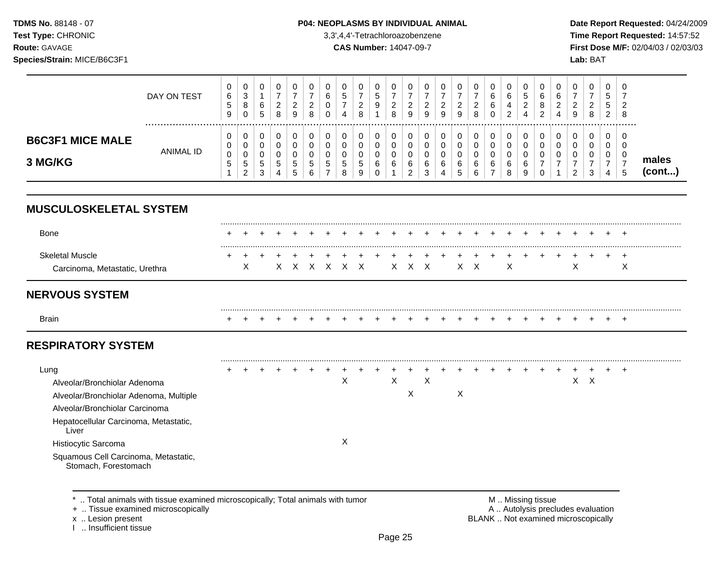TDMS No. 88148 - 07 Test Type: CHRONIC Route: GAVAGE

#### Species/Strain: MICE/B6C3F1

#### P04: NEOPLASMS BY INDIVIDUAL ANIMAL

3,3',4,4'-Tetrachloroazobenzene

**CAS Number: 14047-09-7** 

Date Report Requested: 04/24/2009 Time Report Requested: 14:57:52 First Dose M/F: 02/04/03 / 02/03/03 Lab: BAT

|                                    | DAY ON TEST | 0<br>6<br>.5<br>9 | 0<br>$\sim$<br>ت<br>8<br>0 | υ<br>6<br>5           | 2<br>8 | U<br>റ<br>▵<br>9           | 0<br>ົ<br>_<br>8      | O<br>◡ | 0<br>$\mathbf{p}$<br>$\overline{\phantom{0}}$<br>4 | 8  | U<br>5<br>9           | _<br>8 | 0<br>റ<br>∸<br>9           | 0<br>ົ<br>_<br>9      |             | 0<br>ົ<br>∠<br>9                | ◡<br><sup>o</sup><br><u>_</u><br>8 | U<br>6<br>6<br>0 | υ<br>b<br>4<br>ົ | 0<br>ა<br>റ<br>∼      | U<br>6<br>8<br>ົ<br>∼ | 6 | 0<br>-<br>റ<br>9 | U<br><sup>o</sup><br><u>_</u><br>8 | 0<br>∽<br>J<br>5<br>2 | $\overline{0}$<br>っ<br>8 |                 |
|------------------------------------|-------------|-------------------|----------------------------|-----------------------|--------|----------------------------|-----------------------|--------|----------------------------------------------------|----|-----------------------|--------|----------------------------|-----------------------|-------------|---------------------------------|------------------------------------|------------------|------------------|-----------------------|-----------------------|---|------------------|------------------------------------|-----------------------|--------------------------|-----------------|
| <b>B6C3F1 MICE MALE</b><br>3 MG/KG | ANIMAL ID   | 0<br>0<br>0<br>.5 | -<br>$\mathbf b$<br>ົ      | v<br>v<br>v<br>5<br>3 | 5<br>4 | 0<br>0<br>0<br>-<br>ა<br>b | 0<br>0<br>0<br>G<br>6 | G<br>- | 0<br>0<br>0<br>$\mathbf{p}$<br>8                   | b. | 0<br>υ<br>v<br>6<br>J | 6      | 0<br>0<br>0<br>6<br>ົ<br>▃ | 0<br>0<br>0<br>6<br>3 | $\sim$<br>6 | 0<br>0<br>0<br>6<br>$\mathbf b$ | 6<br>6                             | 0<br>U<br>6<br>- | 6<br>8           | 0<br>0<br>0<br>6<br>9 | U<br>U<br>-           |   | 0<br>0<br>0<br>ົ | ◠<br>J                             | 0<br>U<br>U<br>4      | 0<br>- 0<br>0<br>÷       | males<br>(cont) |

## **MUSCULOSKELETAL SYSTEM**

| Bone                                                     |              |   |  |  |             |  |  |       |  |     |   |  |  |  |   |
|----------------------------------------------------------|--------------|---|--|--|-------------|--|--|-------|--|-----|---|--|--|--|---|
| <b>Skeletal Muscle</b><br>Carcinoma, Metastatic, Urethra | $\leftarrow$ | X |  |  | X X X X X X |  |  | X X X |  | XX. | X |  |  |  | ∧ |

## **NERVOUS SYSTEM**

| <b>Brain</b> |  |  |  |  |  |  |  |  |  |  | . |  |  |  |
|--------------|--|--|--|--|--|--|--|--|--|--|---|--|--|--|

# **RESPIRATORY SYSTEM**

| Lung                                                         |  |  |  |   |  |   |   |   |  |  |  |    |  |  |
|--------------------------------------------------------------|--|--|--|---|--|---|---|---|--|--|--|----|--|--|
| Alveolar/Bronchiolar Adenoma                                 |  |  |  | X |  |   | Х |   |  |  |  | X. |  |  |
| Alveolar/Bronchiolar Adenoma, Multiple                       |  |  |  |   |  | ⋏ |   | X |  |  |  |    |  |  |
| Alveolar/Bronchiolar Carcinoma                               |  |  |  |   |  |   |   |   |  |  |  |    |  |  |
| Hepatocellular Carcinoma, Metastatic,<br>Liver               |  |  |  |   |  |   |   |   |  |  |  |    |  |  |
| Histiocytic Sarcoma                                          |  |  |  |   |  |   |   |   |  |  |  |    |  |  |
| Squamous Cell Carcinoma, Metastatic,<br>Stomach, Forestomach |  |  |  |   |  |   |   |   |  |  |  |    |  |  |

\* .. Total animals with tissue examined microscopically; Total animals with tumor

+ .. Tissue examined microscopically

x .. Lesion present

I .. Insufficient tissue

M .. Missing tissue A .. Autolysis precludes evaluation BLANK .. Not examined microscopically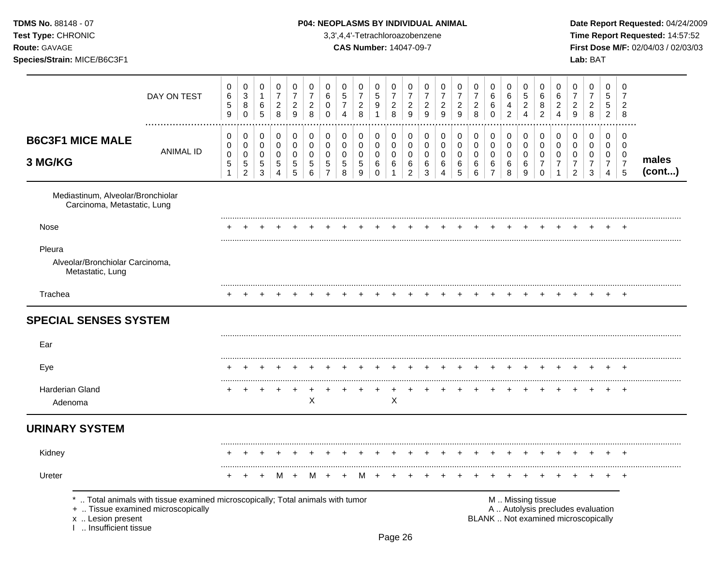### TDMS No. 88148 - 07 **P04: NEOPLASMS BY INDIVIDUAL ANIMAL** Date Report Requested: 04/24/2009

**Test Type:** CHRONIC 3,3',4,4'-Tetrachloroazobenzene **Time Report Requested:** 14:57:52 **Route:** GAVAGE **CAS Number:** 14047-09-7 **First Dose M/F:** 02/04/03 / 02/03/03

|                                                                                   | DAY ON TEST                                                                  | 0<br>6<br>$\mathbf 5$<br>$\boldsymbol{9}$ | 0<br>$\sqrt{3}$<br>8<br>$\mathbf 0$                 | 0<br>$\mathbf{1}$<br>6<br>5                | $\mathbf 0$<br>$\overline{7}$<br>$\overline{a}$<br>8 | 0<br>$\overline{7}$<br>$\overline{a}$<br>9 | 0<br>$\overline{7}$<br>$\overline{2}$<br>8 | 0<br>6<br>0<br>$\mathbf 0$         | 0<br>5<br>$\overline{7}$<br>$\boldsymbol{\Lambda}$ | 0<br>$\overline{7}$<br>$\overline{c}$<br>8 | 0<br>$\sqrt{5}$<br>9<br>$\overline{1}$ | 0<br>$\overline{7}$<br>$\overline{a}$<br>8 | 0<br>$\overline{7}$<br>$\overline{a}$<br>$\overline{9}$    | 0<br>$\overline{7}$<br>$\overline{2}$<br>$9\,$ | 0<br>$\overline{7}$<br>$\overline{c}$<br>9 | 0<br>$\overline{7}$<br>$\boldsymbol{2}$<br>9 | 0<br>$\overline{7}$<br>$\overline{a}$<br>8                 | 0<br>6<br>6<br>$\mathbf{0}$                  | 0<br>6<br>4<br>$\overline{2}$                 | 0<br>5<br>$\overline{c}$<br>4   | 0<br>6<br>8<br>$\overline{2}$             | 0<br>6<br>$\overline{2}$<br>$\overline{4}$        | 0<br>$\overline{7}$<br>$\overline{2}$<br>9                               | 0<br>$\overline{7}$<br>$\overline{a}$<br>8   | $\Omega$<br>5<br>5<br>$\overline{2}$                                          | 0<br>7<br>$\overline{c}$<br>8                          |                 |
|-----------------------------------------------------------------------------------|------------------------------------------------------------------------------|-------------------------------------------|-----------------------------------------------------|--------------------------------------------|------------------------------------------------------|--------------------------------------------|--------------------------------------------|------------------------------------|----------------------------------------------------|--------------------------------------------|----------------------------------------|--------------------------------------------|------------------------------------------------------------|------------------------------------------------|--------------------------------------------|----------------------------------------------|------------------------------------------------------------|----------------------------------------------|-----------------------------------------------|---------------------------------|-------------------------------------------|---------------------------------------------------|--------------------------------------------------------------------------|----------------------------------------------|-------------------------------------------------------------------------------|--------------------------------------------------------|-----------------|
| <b>B6C3F1 MICE MALE</b><br>3 MG/KG                                                | <b>ANIMAL ID</b>                                                             | 0<br>0<br>$\pmb{0}$<br>5<br>$\mathbf{1}$  | 0<br>0<br>$\pmb{0}$<br>$\sqrt{5}$<br>$\overline{2}$ | 0<br>0<br>$\mathbf 0$<br>5<br>$\mathbf{3}$ | 0<br>0<br>$\pmb{0}$<br>$\sqrt{5}$<br>$\overline{4}$  | 0<br>0<br>$\mathbf 0$<br>$\sqrt{5}$<br>5   | 0<br>0<br>$\mathbf 0$<br>5<br>6            | 0<br>0<br>0<br>5<br>$\overline{7}$ | 0<br>$\mathbf 0$<br>$\mathbf 0$<br>5<br>8          | 0<br>$\mathbf 0$<br>$\mathbf 0$<br>5<br>9  | 0<br>0<br>0<br>6<br>$\mathbf 0$        | 0<br>0<br>$\mathbf 0$<br>6<br>1            | 0<br>$\mathbf 0$<br>$\pmb{0}$<br>$\,6\,$<br>$\overline{c}$ | 0<br>0<br>0<br>6<br>3                          | 0<br>0<br>$\mathbf 0$<br>6<br>4            | 0<br>$\pmb{0}$<br>0<br>6<br>5                | $\pmb{0}$<br>$\pmb{0}$<br>$\pmb{0}$<br>6<br>$6\phantom{a}$ | 0<br>0<br>$\mathbf 0$<br>6<br>$\overline{7}$ | 0<br>$\mathbf 0$<br>$\mathbf 0$<br>$\,6$<br>8 | 0<br>0<br>$\mathbf 0$<br>6<br>9 | 0<br>0<br>0<br>$\overline{7}$<br>$\Omega$ | 0<br>$\mathbf 0$<br>$\mathbf 0$<br>$\overline{7}$ | 0<br>0<br>$\mathbf 0$<br>$\overline{7}$<br>$\overline{2}$                | 0<br>0<br>$\mathbf 0$<br>$\overline{7}$<br>3 | $\mathbf 0$<br>$\mathbf 0$<br>$\mathbf 0$<br>$\overline{7}$<br>$\overline{4}$ | $\mathbf 0$<br>$\mathbf 0$<br>0<br>$\overline{7}$<br>5 | males<br>(cont) |
| Mediastinum, Alveolar/Bronchiolar<br>Carcinoma, Metastatic, Lung                  |                                                                              |                                           |                                                     |                                            |                                                      |                                            |                                            |                                    |                                                    |                                            |                                        |                                            |                                                            |                                                |                                            |                                              |                                                            |                                              |                                               |                                 |                                           |                                                   |                                                                          |                                              |                                                                               |                                                        |                 |
| Nose                                                                              |                                                                              |                                           |                                                     |                                            |                                                      |                                            |                                            |                                    |                                                    |                                            |                                        |                                            |                                                            |                                                |                                            |                                              |                                                            |                                              |                                               |                                 |                                           |                                                   |                                                                          |                                              |                                                                               |                                                        |                 |
| Pleura<br>Alveolar/Bronchiolar Carcinoma,<br>Metastatic, Lung                     |                                                                              |                                           |                                                     |                                            |                                                      |                                            |                                            |                                    |                                                    |                                            |                                        |                                            |                                                            |                                                |                                            |                                              |                                                            |                                              |                                               |                                 |                                           |                                                   |                                                                          |                                              |                                                                               |                                                        |                 |
| Trachea                                                                           |                                                                              |                                           |                                                     |                                            |                                                      |                                            |                                            |                                    |                                                    |                                            |                                        |                                            |                                                            |                                                |                                            |                                              |                                                            |                                              |                                               |                                 |                                           |                                                   |                                                                          |                                              |                                                                               |                                                        |                 |
| <b>SPECIAL SENSES SYSTEM</b>                                                      |                                                                              |                                           |                                                     |                                            |                                                      |                                            |                                            |                                    |                                                    |                                            |                                        |                                            |                                                            |                                                |                                            |                                              |                                                            |                                              |                                               |                                 |                                           |                                                   |                                                                          |                                              |                                                                               |                                                        |                 |
| Ear                                                                               |                                                                              |                                           |                                                     |                                            |                                                      |                                            |                                            |                                    |                                                    |                                            |                                        |                                            |                                                            |                                                |                                            |                                              |                                                            |                                              |                                               |                                 |                                           |                                                   |                                                                          |                                              |                                                                               |                                                        |                 |
| Eye                                                                               |                                                                              |                                           |                                                     |                                            |                                                      |                                            |                                            |                                    |                                                    |                                            |                                        |                                            |                                                            |                                                |                                            |                                              |                                                            |                                              |                                               |                                 |                                           |                                                   |                                                                          |                                              |                                                                               |                                                        |                 |
| <b>Harderian Gland</b><br>Adenoma                                                 |                                                                              |                                           |                                                     | ÷                                          |                                                      | $\div$                                     | $\ddot{}$<br>X                             |                                    |                                                    |                                            |                                        | ٠<br>$\mathsf X$                           |                                                            |                                                |                                            |                                              |                                                            |                                              |                                               |                                 |                                           |                                                   |                                                                          |                                              | $\div$                                                                        | $\ddot{}$                                              |                 |
| <b>URINARY SYSTEM</b>                                                             |                                                                              |                                           |                                                     |                                            |                                                      |                                            |                                            |                                    |                                                    |                                            |                                        |                                            |                                                            |                                                |                                            |                                              |                                                            |                                              |                                               |                                 |                                           |                                                   |                                                                          |                                              |                                                                               |                                                        |                 |
| Kidney                                                                            |                                                                              |                                           |                                                     |                                            |                                                      |                                            |                                            |                                    |                                                    |                                            |                                        |                                            |                                                            |                                                |                                            |                                              |                                                            |                                              |                                               |                                 |                                           |                                                   |                                                                          |                                              |                                                                               | +                                                      |                 |
| Ureter                                                                            |                                                                              |                                           |                                                     | $\ddot{}$                                  | м                                                    | $\overline{+}$                             | м                                          |                                    |                                                    | м                                          |                                        |                                            |                                                            |                                                |                                            |                                              |                                                            |                                              |                                               |                                 |                                           |                                                   |                                                                          |                                              |                                                                               | $\,^+$                                                 |                 |
| +  Tissue examined microscopically<br>x  Lesion present<br>1  Insufficient tissue | Total animals with tissue examined microscopically; Total animals with tumor |                                           |                                                     |                                            |                                                      |                                            |                                            |                                    |                                                    |                                            |                                        |                                            |                                                            |                                                |                                            |                                              |                                                            |                                              |                                               | M  Missing tissue               |                                           |                                                   | A  Autolysis precludes evaluation<br>BLANK  Not examined microscopically |                                              |                                                                               |                                                        |                 |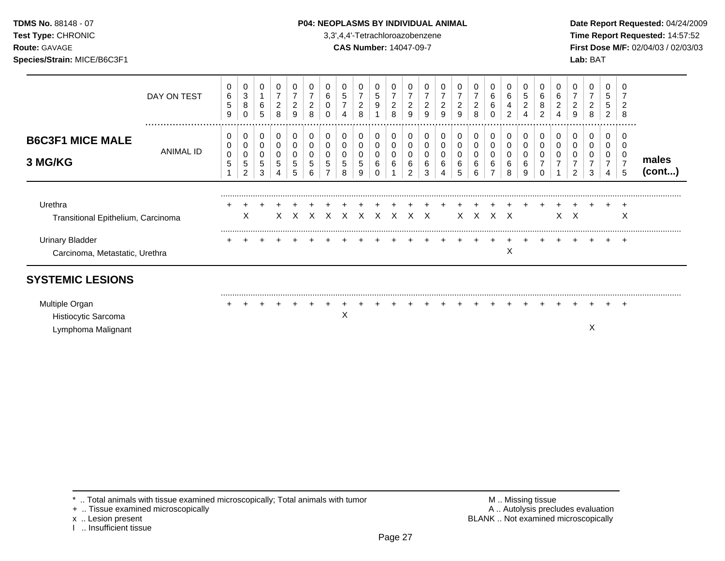**Test Type:** CHRONIC 3,3',4,4'-Tetrachloroazobenzene **Time Report Requested:** 14:57:52 **Route:** GAVAGE **CAS Number:** 14047-09-7 **First Dose M/F:** 02/04/03 / 02/03/03 **Species/Strain:** MICE/B6C3F1 **Lab:** BAT

|                                                          | DAY ON TEST   | 0<br>6<br>5<br>9 | 0<br>3<br>8<br>0      | 6<br>5           | 0<br>7<br>$\overline{c}$<br>8 | 2<br>9 | 2<br>8 | 6<br>0<br>0         | 5<br>⇁                | 0<br>7<br>2<br>8      | 5<br>9           | 2<br>8           | 2<br>9                             | 2<br>9 | $\overline{2}$<br>9 | 7<br>$\overline{\mathbf{c}}$<br>9 | 0<br>2<br>8           | 6<br>6<br>0           | 0<br>6<br>4<br>$\overline{2}$ | 5<br>2<br>4 | 6<br>8<br>2 | 6<br>$\overline{c}$<br>4           | 2<br>9                        | 0<br>2<br>8      | 5<br>5<br>2      | $\overline{2}$<br>8                |                 |
|----------------------------------------------------------|---------------|------------------|-----------------------|------------------|-------------------------------|--------|--------|---------------------|-----------------------|-----------------------|------------------|------------------|------------------------------------|--------|---------------------|-----------------------------------|-----------------------|-----------------------|-------------------------------|-------------|-------------|------------------------------------|-------------------------------|------------------|------------------|------------------------------------|-----------------|
| <b>B6C3F1 MICE MALE</b><br>3 MG/KG                       | <br>ANIMAL ID | 0<br>0<br>0<br>5 | 0<br>0<br>0<br>5<br>2 | 0<br>0<br>5<br>3 | 0<br>0<br>0<br>5              | 0<br>5 | 5      | 0<br>0<br>0<br>5    | 0<br>0<br>0<br>5<br>8 | 0<br>0<br>0<br>5<br>9 | 0<br>0<br>0<br>6 | 0<br>0<br>0<br>6 | 0<br>0<br>0<br>6<br>$\overline{2}$ | 6<br>3 | 0<br>6<br>Δ         | 0<br>0<br>0<br>6<br>5             | 0<br>0<br>0<br>6<br>6 | $\mathbf 0$<br>0<br>6 | 0<br>0<br>0<br>6<br>8         | 0<br>6<br>9 |             | 0<br>0<br>$\overline{\phantom{a}}$ | 0<br>0<br>0<br>$\mathfrak{p}$ | 0<br>0<br>0<br>3 | 0<br>0<br>7<br>4 | .<br>0<br>0<br>$\overline{ }$<br>5 | males<br>(cont) |
| Urethra<br>Transitional Epithelium, Carcinoma            |               |                  | X                     |                  |                               |        |        | X X X X X X X X X X |                       |                       |                  |                  |                                    |        |                     |                                   |                       | X X X X               |                               |             |             |                                    | $X \times X$                  |                  |                  | X                                  |                 |
| <b>Urinary Bladder</b><br>Carcinoma, Metastatic, Urethra |               |                  |                       |                  |                               |        |        |                     |                       |                       |                  |                  |                                    |        |                     |                                   |                       |                       | Χ                             |             |             |                                    |                               |                  |                  | $+$                                |                 |
| <b>SYSTEMIC LESIONS</b>                                  |               |                  |                       |                  |                               |        |        |                     |                       |                       |                  |                  |                                    |        |                     |                                   |                       |                       |                               |             |             |                                    |                               |                  |                  |                                    |                 |
| Multiple Organ<br>Histiocytic Sarcoma                    |               |                  |                       |                  |                               |        |        |                     | X                     |                       |                  |                  |                                    |        |                     |                                   |                       |                       |                               |             |             |                                    |                               |                  |                  | ÷                                  |                 |

Lymphoma Malignant X

\* .. Total animals with tissue examined microscopically; Total animals with tumor <br>
+ .. Tissue examined microscopically<br>
+ .. Tissue examined microscopically

+ .. Tissue examined microscopically

x .. Lesion present<br>I .. Insufficient tissue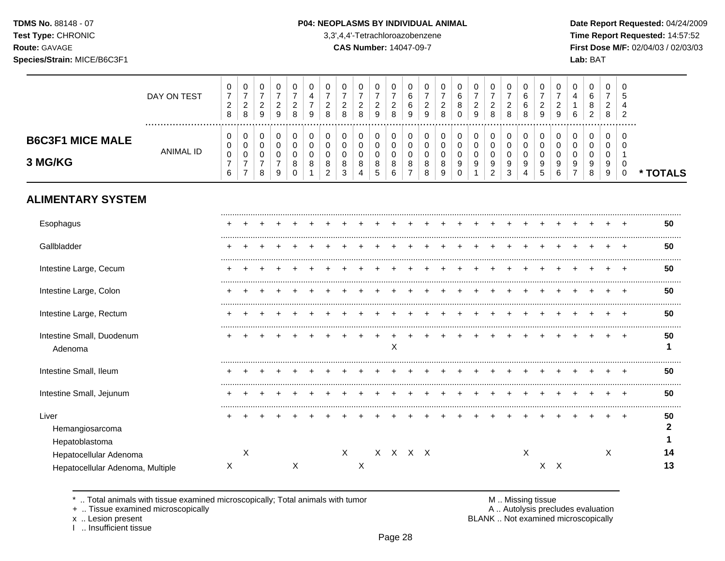┰  $\overline{\phantom{a}}$ 

┰

**Test Type:** CHRONIC 3,3',4,4'-Tetrachloroazobenzene **Time Report Requested:** 14:57:52 **Route:** GAVAGE **CAS Number:** 14047-09-7 **First Dose M/F:** 02/04/03 / 02/03/03 **Species/Strain:** MICE/B6C3F1 **Lab:** BAT

 $\overline{\phantom{a}}$ 

 $\top$  $\overline{\phantom{a}}$  $\overline{\phantom{a}}$  $\top$ 

|                                                            | DAY ON TEST      | 0<br>$\boldsymbol{7}$<br>$\overline{c}$<br>8 | 0<br>$\overline{7}$<br>$\overline{c}$<br>8                             | 0<br>$\overline{7}$<br>$\overline{c}$<br>9                       | 0<br>$\overline{7}$<br>$\overline{c}$<br>9   | 0<br>$\overline{7}$<br>$\overline{c}$<br>8 | 0<br>4<br>7<br>9           | $\mathbf 0$<br>$\overline{7}$<br>$\overline{c}$<br>8             | 0<br>$\overline{7}$<br>$\overline{c}$<br>8 | 0<br>$\boldsymbol{7}$<br>$\overline{c}$<br>8 | 0<br>$\overline{7}$<br>$\overline{c}$<br>9 | 0<br>$\overline{7}$<br>$\overline{\mathbf{c}}$<br>8 | 0<br>$\,6\,$<br>6<br>9                                           | 0<br>$\overline{7}$<br>$\overline{c}$<br>9 | $\mathbf 0$<br>$\overline{7}$<br>$\overline{c}$<br>8 | 0<br>$\,6\,$<br>8<br>$\Omega$          | $\pmb{0}$<br>$\overline{7}$<br>$\overline{c}$<br>9 | 0<br>$\boldsymbol{7}$<br>$\overline{c}$<br>8 | $\Omega$<br>$\overline{7}$<br>$\overline{c}$<br>8 | 0<br>6<br>6<br>8                | 0<br>$\overline{7}$<br>$\overline{c}$<br>9 | 0<br>$\overline{7}$<br>$\overline{c}$<br>9 | 0<br>4<br>6                    | 0<br>6<br>8<br>$\overline{2}$             | 0<br>$\overline{7}$<br>$\overline{2}$<br>8                       | $\Omega$<br>5<br>$\overline{2}$                                         |          |
|------------------------------------------------------------|------------------|----------------------------------------------|------------------------------------------------------------------------|------------------------------------------------------------------|----------------------------------------------|--------------------------------------------|----------------------------|------------------------------------------------------------------|--------------------------------------------|----------------------------------------------|--------------------------------------------|-----------------------------------------------------|------------------------------------------------------------------|--------------------------------------------|------------------------------------------------------|----------------------------------------|----------------------------------------------------|----------------------------------------------|---------------------------------------------------|---------------------------------|--------------------------------------------|--------------------------------------------|--------------------------------|-------------------------------------------|------------------------------------------------------------------|-------------------------------------------------------------------------|----------|
| <b>B6C3F1 MICE MALE</b><br>3 MG/KG                         | <b>ANIMAL ID</b> | 0<br>0<br>$\pmb{0}$<br>$\overline{7}$<br>6   | 0<br>$\boldsymbol{0}$<br>$\pmb{0}$<br>$\overline{7}$<br>$\overline{7}$ | $\mathbf 0$<br>$\mathbf 0$<br>$\mathbf 0$<br>$\overline{7}$<br>8 | 0<br>$\mathbf 0$<br>0<br>$\overline{7}$<br>9 | 0<br>$\Omega$<br>0<br>8<br>$\Omega$        | 0<br>$\mathbf 0$<br>0<br>8 | $\mathbf 0$<br>$\mathbf 0$<br>$\mathbf 0$<br>8<br>$\overline{2}$ | 0<br>0<br>0<br>8<br>3                      | 0<br>$\pmb{0}$<br>$\pmb{0}$<br>8<br>4        | 0<br>$\mathbf 0$<br>$\mathbf 0$<br>8<br>5  | 0<br>$\mathbf 0$<br>0<br>8<br>6                     | $\mathbf 0$<br>$\mathbf 0$<br>$\mathbf 0$<br>8<br>$\overline{7}$ | 0<br>0<br>$\mathbf 0$<br>8<br>8            | $\mathbf 0$<br>$\mathbf 0$<br>$\mathbf 0$<br>8<br>9  | 0<br>$\mathsf 0$<br>0<br>9<br>$\Omega$ | $\mathbf 0$<br>$\mathbf 0$<br>$\mathbf 0$<br>9     | 0<br>$\mathsf 0$<br>$\mathbf 0$<br>9<br>2    | 0<br>$\mathbf 0$<br>$\mathbf 0$<br>9<br>3         | 0<br>$\mathbf 0$<br>0<br>9<br>4 | 0<br>$\Omega$<br>$\mathbf 0$<br>9<br>5     | 0<br>$\Omega$<br>$\mathbf 0$<br>9<br>6     | 0<br>$\Omega$<br>$\Omega$<br>9 | 0<br>$\mathbf 0$<br>$\mathbf 0$<br>9<br>8 | $\mathbf 0$<br>$\mathbf 0$<br>$\pmb{0}$<br>9<br>$\boldsymbol{9}$ | $\Omega$<br>$\Omega$<br>$\overline{1}$<br>$\overline{0}$<br>$\mathbf 0$ | * TOTALS |
| <b>ALIMENTARY SYSTEM</b>                                   |                  |                                              |                                                                        |                                                                  |                                              |                                            |                            |                                                                  |                                            |                                              |                                            |                                                     |                                                                  |                                            |                                                      |                                        |                                                    |                                              |                                                   |                                 |                                            |                                            |                                |                                           |                                                                  |                                                                         |          |
| Esophagus                                                  |                  |                                              |                                                                        |                                                                  |                                              |                                            |                            |                                                                  |                                            |                                              |                                            |                                                     |                                                                  |                                            |                                                      |                                        |                                                    |                                              |                                                   |                                 |                                            |                                            |                                |                                           |                                                                  |                                                                         | 50       |
| Gallbladder                                                |                  |                                              |                                                                        |                                                                  |                                              |                                            |                            |                                                                  |                                            |                                              |                                            |                                                     |                                                                  |                                            |                                                      |                                        |                                                    |                                              |                                                   |                                 |                                            |                                            |                                |                                           |                                                                  |                                                                         | 50       |
| Intestine Large, Cecum                                     |                  |                                              |                                                                        |                                                                  |                                              |                                            |                            |                                                                  |                                            |                                              |                                            |                                                     |                                                                  |                                            |                                                      |                                        |                                                    |                                              |                                                   |                                 |                                            |                                            |                                |                                           |                                                                  |                                                                         | 50       |
| Intestine Large, Colon                                     |                  |                                              |                                                                        |                                                                  |                                              |                                            |                            |                                                                  |                                            |                                              |                                            |                                                     |                                                                  |                                            |                                                      |                                        |                                                    |                                              |                                                   |                                 |                                            |                                            |                                |                                           |                                                                  | $\overline{ }$                                                          | 50       |
| Intestine Large, Rectum                                    |                  |                                              |                                                                        |                                                                  |                                              |                                            |                            |                                                                  |                                            |                                              |                                            |                                                     |                                                                  |                                            |                                                      |                                        |                                                    |                                              |                                                   |                                 |                                            |                                            |                                |                                           |                                                                  |                                                                         | 50       |
| Intestine Small, Duodenum<br>Adenoma                       |                  |                                              |                                                                        |                                                                  |                                              |                                            |                            |                                                                  |                                            |                                              |                                            | X                                                   |                                                                  |                                            |                                                      |                                        |                                                    |                                              |                                                   |                                 |                                            |                                            |                                |                                           |                                                                  |                                                                         | 50<br>1  |
| Intestine Small, Ileum                                     |                  |                                              |                                                                        |                                                                  |                                              |                                            |                            |                                                                  |                                            |                                              |                                            |                                                     |                                                                  |                                            |                                                      |                                        |                                                    |                                              |                                                   |                                 |                                            |                                            |                                |                                           |                                                                  |                                                                         | 50       |
| Intestine Small, Jejunum                                   |                  |                                              |                                                                        |                                                                  |                                              |                                            |                            |                                                                  |                                            |                                              |                                            |                                                     |                                                                  |                                            |                                                      |                                        |                                                    |                                              |                                                   |                                 |                                            |                                            |                                |                                           |                                                                  |                                                                         | 50       |
| Liver<br>Hemangiosarcoma<br>Hepatoblastoma                 |                  |                                              |                                                                        |                                                                  |                                              |                                            |                            |                                                                  |                                            |                                              |                                            |                                                     |                                                                  |                                            |                                                      |                                        |                                                    |                                              |                                                   |                                 |                                            |                                            |                                |                                           |                                                                  |                                                                         | 50<br>2  |
| Hepatocellular Adenoma<br>Hepatocellular Adenoma, Multiple |                  | X                                            | X                                                                      |                                                                  |                                              | X                                          |                            |                                                                  | $\sf X$                                    | X                                            |                                            | X X X X                                             |                                                                  |                                            |                                                      |                                        |                                                    |                                              |                                                   | $\boldsymbol{\mathsf{X}}$       |                                            | $X$ $X$                                    |                                |                                           | X                                                                |                                                                         | 14<br>13 |

\* .. Total animals with tissue examined microscopically; Total animals with tumor M .. Missing tissue M .. Missing tissue<br>A .. Autolysis precludes evaluation<br>A .. Autolysis precludes evaluation

 $\top$  $\overline{\phantom{a}}$ 

+ .. Tissue examined microscopically

x .. Lesion present<br>I .. Insufficient tissue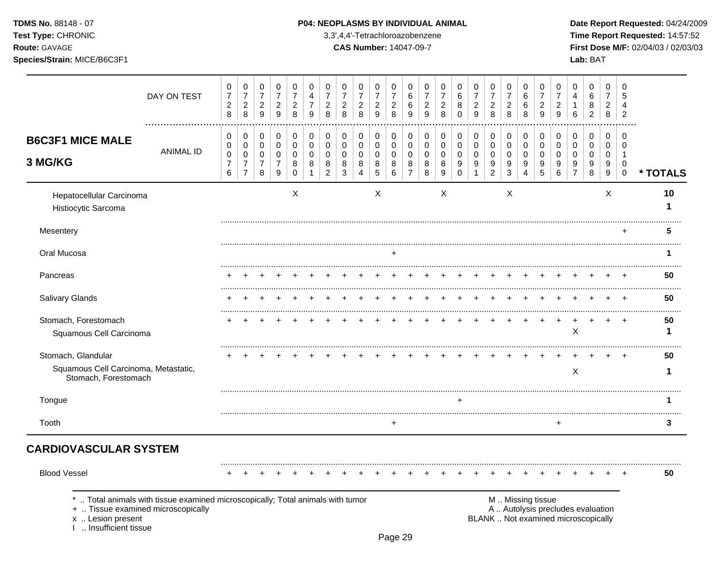**Test Type:** CHRONIC 3,3',4,4'-Tetrachloroazobenzene **Time Report Requested:** 14:57:52 **Route:** GAVAGE **CAS Number:** 14047-09-7 **First Dose M/F:** 02/04/03 / 02/03/03 **Species/Strain:** MICE/B6C3F1 **Lab:** BAT

|                                                                                   | DAY ON TEST                                                                  | 0<br>$\boldsymbol{7}$<br>$\overline{c}$<br>8 | 0<br>$\boldsymbol{7}$<br>$\begin{array}{c} 2 \\ 8 \end{array}$ | 0<br>$\overline{7}$<br>$\overline{c}$<br>9 | $\,0\,$<br>$\overline{7}$<br>$\boldsymbol{2}$<br>9 | 0<br>$\overline{7}$<br>$\overline{c}$<br>8 | 0<br>4<br>$\overline{7}$<br>9 | 0<br>$\overline{7}$<br>$\overline{c}$<br>8 | 0<br>$\overline{7}$<br>$\overline{c}$<br>8 | 0<br>$\overline{7}$<br>$\boldsymbol{2}$<br>8 | 0<br>$\overline{7}$<br>$\boldsymbol{2}$<br>9 | 0<br>$\overline{7}$<br>$\overline{c}$<br>8 | 0<br>6<br>6<br>9      | 0<br>$\overline{7}$<br>$\overline{c}$<br>9 | 0<br>$\overline{7}$<br>$\overline{\mathbf{c}}$<br>8 | 0<br>$\,6$<br>8<br>$\mathbf 0$  | 0<br>$\overline{7}$<br>$\frac{2}{9}$ | 0<br>$\overline{7}$<br>$\overline{c}$<br>8 | 0<br>$\overline{7}$<br>$\overline{c}$<br>8 | 0<br>6<br>6<br>8             | 0<br>$\overline{7}$<br>$\overline{c}$<br>9 | 0<br>$\overline{7}$<br>$\overline{c}$<br>9 | 0<br>4<br>1<br>$6\phantom{1}$                                            | 0<br>$\,6\,$<br>8<br>$\overline{2}$ | 0<br>$\overline{7}$<br>$\overline{c}$<br>8 | 0<br>5<br>4<br>$\overline{2}$ |          |
|-----------------------------------------------------------------------------------|------------------------------------------------------------------------------|----------------------------------------------|----------------------------------------------------------------|--------------------------------------------|----------------------------------------------------|--------------------------------------------|-------------------------------|--------------------------------------------|--------------------------------------------|----------------------------------------------|----------------------------------------------|--------------------------------------------|-----------------------|--------------------------------------------|-----------------------------------------------------|---------------------------------|--------------------------------------|--------------------------------------------|--------------------------------------------|------------------------------|--------------------------------------------|--------------------------------------------|--------------------------------------------------------------------------|-------------------------------------|--------------------------------------------|-------------------------------|----------|
| <b>B6C3F1 MICE MALE</b>                                                           | <b>ANIMAL ID</b>                                                             | 0<br>0<br>$\mathbf 0$                        | 0<br>$\mathbf 0$<br>$\mathbf 0$                                | 0<br>0<br>$\mathbf 0$                      | $\pmb{0}$<br>$\pmb{0}$<br>$\pmb{0}$                | $\mathbf 0$<br>$\mathbf 0$<br>$\mathbf 0$  | 0<br>$\mathbf 0$<br>$\Omega$  | 0<br>0<br>$\Omega$                         | 0<br>$\mathbf 0$<br>$\mathbf 0$            | 0<br>$\boldsymbol{0}$<br>$\mathbf 0$         | 0<br>0<br>$\mathbf 0$                        | 0<br>$\mathbf 0$<br>$\mathbf 0$            | 0<br>0<br>$\mathbf 0$ | 0<br>0<br>$\mathbf 0$                      | 0<br>$\mathbf 0$<br>$\mathbf 0$                     | 0<br>$\mathbf 0$<br>$\mathbf 0$ | 0<br>0<br>$\pmb{0}$                  | 0<br>$\mathbf 0$<br>$\mathbf 0$            | 0<br>$\mathbf 0$<br>$\mathbf 0$            | 0<br>$\mathbf 0$<br>$\Omega$ | 0<br>$\mathbf 0$<br>$\Omega$               | 0<br>$\mathbf 0$<br>$\Omega$               | 0<br>0<br>$\Omega$                                                       | 0<br>0<br>0                         | 0<br>0<br>0                                | $\Omega$<br>$\Omega$<br>-1    |          |
| 3 MG/KG                                                                           |                                                                              | $\overline{7}$<br>6                          | $\overline{7}$<br>$\overline{7}$                               | $\overline{7}$<br>8                        | $\overline{7}$<br>$\boldsymbol{9}$                 | 8<br>$\mathbf 0$                           | 8                             | 8<br>$\overline{2}$                        | 8<br>3                                     | 8<br>$\overline{4}$                          | 8<br>$\overline{5}$                          | 8<br>$\,6\,$                               | 8<br>$\overline{7}$   | 8<br>8                                     | 8<br>$\boldsymbol{9}$                               | 9<br>$\pmb{0}$                  | 9<br>$\mathbf{1}$                    | 9<br>$\overline{c}$                        | 9<br>3                                     | 9<br>4                       | 9<br>5                                     | $\boldsymbol{9}$<br>6                      | 9<br>$\overline{7}$                                                      | 9<br>8                              | 9<br>$9\,$                                 | $\mathbf 0$<br>$\mathbf 0$    | * TOTALS |
| Hepatocellular Carcinoma<br>Histiocytic Sarcoma                                   |                                                                              |                                              |                                                                |                                            |                                                    | $\boldsymbol{\mathsf{X}}$                  |                               |                                            |                                            |                                              | X                                            |                                            |                       |                                            | $\boldsymbol{\mathsf{X}}$                           |                                 |                                      |                                            | $\mathsf X$                                |                              |                                            |                                            |                                                                          |                                     | X                                          |                               | 10<br>1  |
| Mesentery                                                                         |                                                                              |                                              |                                                                |                                            |                                                    |                                            |                               |                                            |                                            |                                              |                                              |                                            |                       |                                            |                                                     |                                 |                                      |                                            |                                            |                              |                                            |                                            |                                                                          |                                     |                                            |                               | 5        |
| Oral Mucosa                                                                       |                                                                              |                                              |                                                                |                                            |                                                    |                                            |                               |                                            |                                            |                                              |                                              |                                            |                       |                                            |                                                     |                                 |                                      |                                            |                                            |                              |                                            |                                            |                                                                          |                                     |                                            |                               | 1        |
| Pancreas                                                                          |                                                                              |                                              |                                                                |                                            |                                                    |                                            |                               |                                            |                                            |                                              |                                              |                                            |                       |                                            |                                                     |                                 |                                      |                                            |                                            |                              |                                            |                                            |                                                                          |                                     |                                            |                               | 50       |
| Salivary Glands                                                                   |                                                                              |                                              |                                                                |                                            |                                                    |                                            |                               |                                            |                                            |                                              |                                              |                                            |                       |                                            |                                                     |                                 |                                      |                                            |                                            |                              |                                            |                                            |                                                                          |                                     |                                            |                               | 50       |
| Stomach, Forestomach<br>Squamous Cell Carcinoma                                   |                                                                              |                                              |                                                                |                                            |                                                    |                                            |                               |                                            |                                            |                                              |                                              |                                            |                       |                                            |                                                     |                                 |                                      |                                            |                                            |                              |                                            |                                            | X                                                                        |                                     |                                            |                               | 50<br>1  |
| Stomach, Glandular                                                                |                                                                              |                                              |                                                                |                                            |                                                    |                                            |                               |                                            |                                            |                                              |                                              |                                            |                       |                                            |                                                     |                                 |                                      |                                            |                                            |                              |                                            |                                            |                                                                          |                                     |                                            |                               | 50       |
| Squamous Cell Carcinoma, Metastatic,<br>Stomach, Forestomach                      |                                                                              |                                              |                                                                |                                            |                                                    |                                            |                               |                                            |                                            |                                              |                                              |                                            |                       |                                            |                                                     |                                 |                                      |                                            |                                            |                              |                                            |                                            | $\sf X$                                                                  |                                     |                                            |                               | 1        |
| Tongue                                                                            |                                                                              |                                              |                                                                |                                            |                                                    |                                            |                               |                                            |                                            |                                              |                                              |                                            |                       |                                            |                                                     |                                 |                                      |                                            |                                            |                              |                                            |                                            |                                                                          |                                     |                                            |                               | 1        |
| Tooth                                                                             |                                                                              |                                              |                                                                |                                            |                                                    |                                            |                               |                                            |                                            |                                              |                                              | $\ddot{}$                                  |                       |                                            |                                                     |                                 |                                      |                                            |                                            |                              |                                            | $\ddot{}$                                  |                                                                          |                                     |                                            |                               | 3        |
| <b>CARDIOVASCULAR SYSTEM</b>                                                      |                                                                              |                                              |                                                                |                                            |                                                    |                                            |                               |                                            |                                            |                                              |                                              |                                            |                       |                                            |                                                     |                                 |                                      |                                            |                                            |                              |                                            |                                            |                                                                          |                                     |                                            |                               |          |
| <b>Blood Vessel</b>                                                               |                                                                              |                                              |                                                                |                                            |                                                    |                                            |                               |                                            |                                            |                                              |                                              |                                            |                       |                                            |                                                     |                                 |                                      |                                            |                                            |                              |                                            |                                            |                                                                          |                                     |                                            |                               | 50       |
| +  Tissue examined microscopically<br>x  Lesion present<br>1  Insufficient tissue | Total animals with tissue examined microscopically; Total animals with tumor |                                              |                                                                |                                            |                                                    |                                            |                               |                                            |                                            |                                              |                                              |                                            |                       |                                            |                                                     |                                 |                                      |                                            |                                            | M  Missing tissue            |                                            |                                            | A  Autolysis precludes evaluation<br>BLANK  Not examined microscopically |                                     |                                            |                               |          |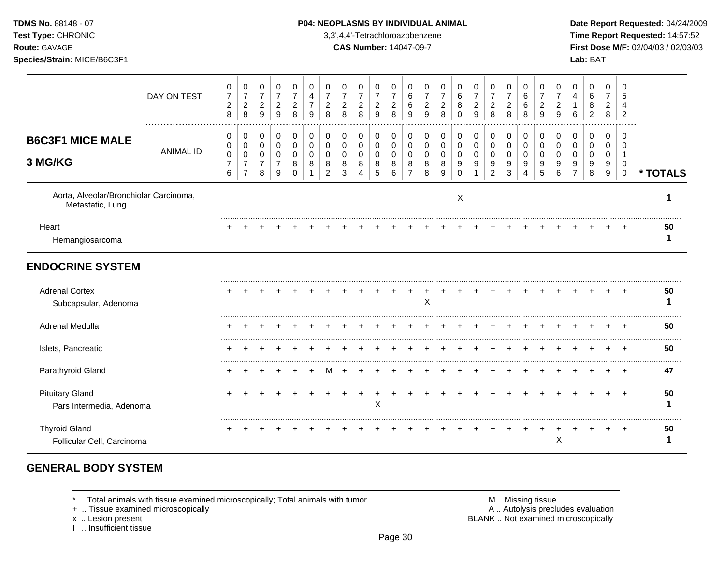#### **TDMS No.** 88148 - 07 **P04: NEOPLASMS BY INDIVIDUAL ANIMAL** Date Report Requested: 04/24/2009

**Test Type:** CHRONIC 3,3',4,4'-Tetrachloroazobenzene **Time Report Requested:** 14:57:52 **Route:** GAVAGE **CAS Number:** 14047-09-7 **First Dose M/F:** 02/04/03 / 02/03/03

|                                                            | DAY ON TEST      | 0<br>$\overline{7}$<br>$\sqrt{2}$<br>$\,8\,$ | 0<br>$\boldsymbol{7}$<br>$\sqrt{2}$<br>8                  | $\mathbf 0$<br>$\overline{7}$<br>$\overline{c}$<br>9 | 0<br>$\boldsymbol{7}$<br>$\overline{c}$<br>9 | 0<br>$\overline{7}$<br>$\overline{c}$<br>8 | 0<br>4<br>9             | 0<br>$\overline{7}$<br>$\overline{c}$<br>8 | 0<br>$\overline{7}$<br>$\overline{c}$<br>8 | 0<br>$\overline{7}$<br>$\boldsymbol{2}$<br>8 | 0<br>$\boldsymbol{7}$<br>$\overline{c}$<br>9 | 0<br>$\overline{7}$<br>$\boldsymbol{2}$<br>8 | 0<br>6<br>6<br>9                | 0<br>$\overline{7}$<br>$\overline{c}$<br>9 | 0<br>7<br>2<br>8      | 0<br>6<br>8<br>$\Omega$      | 0<br>$\overline{7}$<br>$\overline{c}$<br>9 | 0<br>$\boldsymbol{7}$<br>$\overline{c}$<br>8 | 0<br>$\boldsymbol{7}$<br>$\boldsymbol{2}$<br>8 | 0<br>$\,6$<br>6<br>8                                  | 0<br>$\overline{7}$<br>$\overline{2}$<br>9 | 0<br>7<br>2<br>9             | 0<br>4<br>6             | 0<br>6<br>8<br>$\overline{2}$ | 0<br>$\overline{7}$<br>$\overline{c}$<br>8 | $\Omega$<br>5<br>Δ<br>$\overline{2}$           |          |
|------------------------------------------------------------|------------------|----------------------------------------------|-----------------------------------------------------------|------------------------------------------------------|----------------------------------------------|--------------------------------------------|-------------------------|--------------------------------------------|--------------------------------------------|----------------------------------------------|----------------------------------------------|----------------------------------------------|---------------------------------|--------------------------------------------|-----------------------|------------------------------|--------------------------------------------|----------------------------------------------|------------------------------------------------|-------------------------------------------------------|--------------------------------------------|------------------------------|-------------------------|-------------------------------|--------------------------------------------|------------------------------------------------|----------|
| <b>B6C3F1 MICE MALE</b><br>3 MG/KG                         | <b>ANIMAL ID</b> | 0<br>0<br>0<br>$\overline{7}$<br>6           | 0<br>$\mathbf 0$<br>0<br>$\overline{7}$<br>$\overline{7}$ | 0<br>0<br>0<br>$\overline{7}$<br>8                   | 0<br>$\mathbf 0$<br>0<br>$\overline{7}$<br>9 | 0<br>$\mathbf 0$<br>0<br>8<br>$\Omega$     | 0<br>0<br>$\Omega$<br>8 | 0<br>0<br>$\Omega$<br>8<br>$\overline{2}$  | 0<br>0<br>0<br>8<br>3                      | 0<br>$\mathbf 0$<br>0<br>8<br>4              | 0<br>0<br>0<br>8<br>5                        | 0<br>$\pmb{0}$<br>0<br>8<br>6                | 0<br>$\mathbf 0$<br>0<br>8<br>7 | 0<br>$\mathbf 0$<br>0<br>8<br>8            | 0<br>0<br>0<br>8<br>9 | 0<br>0<br>0<br>9<br>$\Omega$ | 0<br>$\mathbf 0$<br>0<br>9                 | $\pmb{0}$<br>0<br>0<br>9<br>$\overline{c}$   | 0<br>$\mathbf 0$<br>0<br>9<br>3                | 0<br>$\mathbf 0$<br>0<br>9<br>$\overline{\mathbf{4}}$ | 0<br>$\mathbf 0$<br>$\Omega$<br>9<br>5     | 0<br>0<br>$\Omega$<br>9<br>6 | 0<br>0<br>$\Omega$<br>9 | 0<br>0<br>0<br>9<br>8         | 0<br>0<br>0<br>9<br>9                      | $\Omega$<br>$\Omega$<br>-1<br>0<br>$\mathbf 0$ | * TOTALS |
| Aorta, Alveolar/Bronchiolar Carcinoma,<br>Metastatic, Lung |                  |                                              |                                                           |                                                      |                                              |                                            |                         |                                            |                                            |                                              |                                              |                                              |                                 |                                            |                       | Χ                            |                                            |                                              |                                                |                                                       |                                            |                              |                         |                               |                                            |                                                |          |
| Heart<br>Hemangiosarcoma                                   |                  |                                              |                                                           |                                                      |                                              |                                            |                         |                                            |                                            |                                              |                                              |                                              |                                 |                                            |                       |                              |                                            |                                              |                                                |                                                       |                                            |                              |                         |                               |                                            |                                                | 50       |
| <b>ENDOCRINE SYSTEM</b>                                    |                  |                                              |                                                           |                                                      |                                              |                                            |                         |                                            |                                            |                                              |                                              |                                              |                                 |                                            |                       |                              |                                            |                                              |                                                |                                                       |                                            |                              |                         |                               |                                            |                                                |          |
| <b>Adrenal Cortex</b><br>Subcapsular, Adenoma              |                  |                                              |                                                           |                                                      |                                              |                                            |                         |                                            |                                            |                                              |                                              |                                              |                                 | X                                          |                       |                              |                                            |                                              |                                                |                                                       |                                            |                              |                         |                               |                                            |                                                | 50<br>1  |
| Adrenal Medulla                                            |                  |                                              |                                                           |                                                      |                                              |                                            |                         |                                            |                                            |                                              |                                              |                                              |                                 |                                            |                       |                              |                                            |                                              |                                                |                                                       |                                            |                              |                         |                               |                                            |                                                | 50       |
| Islets, Pancreatic                                         |                  |                                              |                                                           |                                                      |                                              |                                            |                         |                                            |                                            |                                              |                                              |                                              |                                 |                                            |                       |                              |                                            |                                              |                                                |                                                       |                                            |                              |                         |                               |                                            |                                                | 50       |
| Parathyroid Gland                                          |                  |                                              |                                                           |                                                      |                                              |                                            |                         |                                            |                                            |                                              |                                              |                                              |                                 |                                            |                       |                              |                                            |                                              |                                                |                                                       |                                            |                              |                         |                               |                                            |                                                | 47       |
| <b>Pituitary Gland</b><br>Pars Intermedia, Adenoma         |                  |                                              |                                                           |                                                      |                                              |                                            |                         |                                            |                                            |                                              | X                                            |                                              |                                 |                                            |                       |                              |                                            |                                              |                                                |                                                       |                                            |                              |                         |                               |                                            | $\pm$                                          | 50       |
| <b>Thyroid Gland</b><br>Follicular Cell, Carcinoma         |                  |                                              |                                                           |                                                      |                                              |                                            |                         |                                            |                                            |                                              |                                              |                                              |                                 |                                            |                       |                              |                                            |                                              |                                                |                                                       |                                            | X                            |                         |                               |                                            |                                                | 50       |

# **GENERAL BODY SYSTEM**

\* .. Total animals with tissue examined microscopically; Total animals with tumor <br>
+ .. Tissue examined microscopically<br>
+ .. Tissue examined microscopically

+ .. Tissue examined microscopically

I .. Insufficient tissue

x .. Lesion present **BLANK** .. Not examined microscopically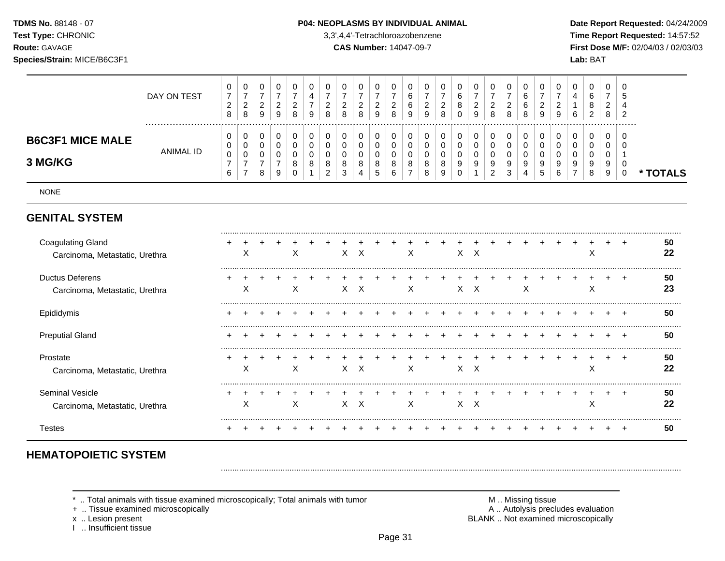**Test Type:** CHRONIC 3,3',4,4'-Tetrachloroazobenzene **Time Report Requested:** 14:57:52 **Route:** GAVAGE **CAS Number:** 14047-09-7 **First Dose M/F:** 02/04/03 / 02/03/03

| Species/Strain: MICE/B6C3F1            |             |                         |             |        |                    |   |   |                    |                    |                    |                  |                         |             |                  |                    |        |                  |   |                  |             | Lab: BAT    |                           |               |
|----------------------------------------|-------------|-------------------------|-------------|--------|--------------------|---|---|--------------------|--------------------|--------------------|------------------|-------------------------|-------------|------------------|--------------------|--------|------------------|---|------------------|-------------|-------------|---------------------------|---------------|
|                                        | DAY ON TEST | 0<br>C<br><u>_</u><br>8 | ັ<br>-<br>8 | U<br>9 | U<br><u>_</u><br>9 | 8 | 9 | 0<br><u>.</u><br>8 | U<br><u>_</u><br>8 | 0<br><u>_</u><br>9 | υ<br>U<br>v<br>9 | 0<br>◠<br><u>_</u><br>9 | 0<br>∼<br>8 | 0<br>6<br>8<br>0 | ັ<br><u>_</u><br>9 | v<br>8 | υ<br>b<br>6<br>8 | 9 | 0<br>-<br>9      | 0<br>4<br>6 | U<br>⌒<br>∼ | <b>U</b><br><u>_</u><br>8 | U<br><u>_</u> |
| <b>B6C3F1 MICE MALE</b><br>- --- - - - | ANIMAL ID   | 0<br>0<br>0             |             |        |                    |   |   | 0                  |                    |                    |                  | 0<br>0<br>v             |             | 0<br>υ<br>◡      |                    |        |                  |   | 0<br>$\cap$<br>υ |             |             | υ<br>ν<br>v               |               |

NONE

**3 MG/KG**

## **GENITAL SYSTEM**

| <b>Coagulating Gland</b><br>Carcinoma, Metastatic, Urethra | х |  | ⋏ |  | x | X        |  | Х |  |    | x x          |  |   |  | ∧ |  | 50<br>22 |
|------------------------------------------------------------|---|--|---|--|---|----------|--|---|--|----|--------------|--|---|--|---|--|----------|
| <b>Ductus Deferens</b><br>Carcinoma, Metastatic, Urethra   | ⋏ |  | ⋏ |  | X | X        |  | X |  | x. | $\times$     |  | х |  | ⌒ |  | 50<br>23 |
| Epididymis                                                 |   |  |   |  |   |          |  |   |  |    |              |  |   |  |   |  | 50       |
| <b>Preputial Gland</b>                                     |   |  |   |  |   |          |  |   |  |    |              |  |   |  |   |  | 50       |
| Prostate<br>Carcinoma, Metastatic, Urethra                 | х |  | х |  | X | $\times$ |  | Х |  |    | X X          |  |   |  | ↗ |  | 50<br>22 |
| Seminal Vesicle<br>Carcinoma, Metastatic, Urethra          | ⋏ |  | ⋏ |  |   | X        |  | X |  | x. | $\mathsf{X}$ |  |   |  | ́ |  | 50<br>22 |
| I estes                                                    |   |  |   |  |   |          |  |   |  |    |              |  |   |  |   |  | 50       |

# **HEMATOPOIETIC SYSTEM**

.. Total animals with tissue examined microscopically; Total animals with tumor **M** . Missing tissue M .. Missing tissue<br>A .. Autolysis precludes evaluation .. Missing tissue exaluation

                                                 $\begin{matrix}0\\0\end{matrix}$ 

**\* TOTALS**

+ .. Tissue examined microscopically

I .. Insufficient tissue

x .. Lesion present **BLANK** .. Not examined microscopically

.........................................................................................................................................................................................................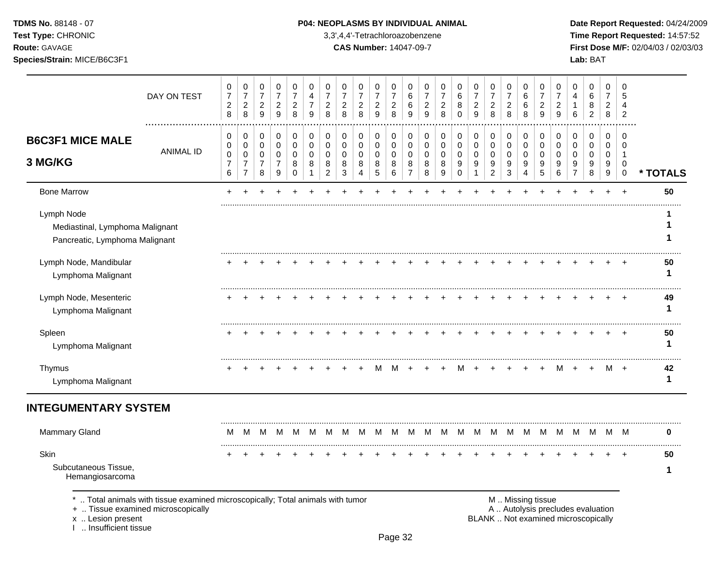**Test Type:** CHRONIC 3,3',4,4'-Tetrachloroazobenzene **Time Report Requested:** 14:57:52 **Route:** GAVAGE **CAS Number:** 14047-09-7 **First Dose M/F:** 02/04/03 / 02/03/03 **Species/Strain:** MICE/B6C3F1 **Lab:** BAT

|                                                                                 | DAY ON TEST                                                                                                        | 0<br>$\overline{7}$<br>$\boldsymbol{2}$<br>$\,8\,$ | 0<br>$\boldsymbol{7}$<br>$\overline{c}$<br>8  | 0<br>$\boldsymbol{7}$<br>$\overline{2}$<br>9 | 0<br>$\overline{7}$<br>$\overline{c}$<br>9        | 0<br>$\overline{7}$<br>$\overline{c}$<br>8 | 0<br>$\overline{4}$<br>$\overline{7}$<br>9 | 0<br>$\overline{7}$<br>$\overline{2}$<br>8 | 0<br>$\overline{7}$<br>$\overline{2}$<br>8 | 0<br>$\overline{7}$<br>$\overline{c}$<br>8 | 0<br>$\boldsymbol{7}$<br>$\overline{a}$<br>$\boldsymbol{9}$ | 0<br>$\overline{7}$<br>$\overline{c}$<br>8 | 0<br>6<br>6<br>9                 | 0<br>$\overline{7}$<br>$\overline{2}$<br>9 | 0<br>$\overline{7}$<br>$\overline{a}$<br>8 | 0<br>$\,6$<br>8<br>$\Omega$     | 0<br>$\overline{7}$<br>$\overline{c}$<br>9 | 0<br>$\overline{7}$<br>$\overline{c}$<br>8 | 0<br>$\overline{7}$<br>$\overline{c}$<br>8 | 0<br>6<br>6<br>8                   | 0<br>$\overline{7}$<br>$\overline{2}$<br>9 | 0<br>$\overline{7}$<br>$\overline{2}$<br>9 | 0<br>4<br>1<br>6                  | 0<br>6<br>8<br>$\overline{2}$ | 0<br>$\overline{7}$<br>$\overline{2}$<br>8 | $\Omega$<br>5<br>$\overline{4}$<br>$\overline{2}$ |          |
|---------------------------------------------------------------------------------|--------------------------------------------------------------------------------------------------------------------|----------------------------------------------------|-----------------------------------------------|----------------------------------------------|---------------------------------------------------|--------------------------------------------|--------------------------------------------|--------------------------------------------|--------------------------------------------|--------------------------------------------|-------------------------------------------------------------|--------------------------------------------|----------------------------------|--------------------------------------------|--------------------------------------------|---------------------------------|--------------------------------------------|--------------------------------------------|--------------------------------------------|------------------------------------|--------------------------------------------|--------------------------------------------|-----------------------------------|-------------------------------|--------------------------------------------|---------------------------------------------------|----------|
| <b>B6C3F1 MICE MALE</b>                                                         |                                                                                                                    | 0<br>0                                             | 0<br>$\pmb{0}$                                | 0<br>$\pmb{0}$                               | $\pmb{0}$<br>0                                    | $\pmb{0}$<br>0                             | $\mathbf 0$<br>$\pmb{0}$                   | $\pmb{0}$<br>0                             | 0<br>$\mathbf 0$                           | 0<br>0                                     | $\mathbf 0$<br>$\mathbf 0$                                  | $\pmb{0}$<br>$\mathbf 0$                   | $\pmb{0}$<br>$\pmb{0}$           | 0<br>$\pmb{0}$                             | 0<br>0                                     | $\mathbf 0$<br>$\mathbf 0$      | $\pmb{0}$<br>$\pmb{0}$                     | 0<br>$\pmb{0}$                             | $\mathbf 0$<br>$\mathbf 0$                 | $\mathbf 0$<br>$\pmb{0}$           | 0<br>$\pmb{0}$                             | 0<br>0                                     | 0<br>$\mathbf 0$                  | 0<br>0                        | $\mathbf 0$<br>0                           | 0<br>0                                            |          |
| 3 MG/KG                                                                         | <b>ANIMAL ID</b>                                                                                                   | $\pmb{0}$<br>$\overline{7}$<br>$\,6\,$             | $\pmb{0}$<br>$\overline{7}$<br>$\overline{7}$ | 0<br>$\overline{7}$<br>8                     | $\mathbf 0$<br>$\overline{7}$<br>$\boldsymbol{9}$ | $\mathbf 0$<br>8<br>0                      | $\mathbf 0$<br>8<br>-1                     | 0<br>8<br>$\overline{2}$                   | $\mathbf 0$<br>8<br>$\mathbf{3}$           | $\mathbf 0$<br>8<br>4                      | $\mathbf 0$<br>8<br>$\sqrt{5}$                              | $\mathbf 0$<br>8<br>6                      | $\pmb{0}$<br>8<br>$\overline{7}$ | $\mathbf 0$<br>8<br>8                      | 0<br>8<br>$\boldsymbol{9}$                 | $\mathbf 0$<br>9<br>$\mathbf 0$ | $\mathbf 0$<br>9<br>1                      | $\mathbf 0$<br>9<br>$\overline{c}$         | $\mathbf 0$<br>9<br>$\sqrt{3}$             | $\mathbf 0$<br>9<br>$\overline{4}$ | $\mathbf 0$<br>9<br>5                      | $\mathbf 0$<br>9<br>$\,6$                  | $\Omega$<br>9<br>$\overline{7}$   | $\mathbf 0$<br>9<br>$\,8\,$   | $\mathbf 0$<br>9<br>$9\,$                  | $\mathbf 1$<br>$\mathbf 0$<br>$\mathbf 0$         | * TOTALS |
| <b>Bone Marrow</b>                                                              |                                                                                                                    |                                                    |                                               |                                              |                                                   |                                            |                                            |                                            |                                            |                                            |                                                             |                                            |                                  |                                            |                                            |                                 |                                            |                                            |                                            |                                    |                                            |                                            |                                   |                               | ÷                                          | $\ddot{}$                                         | 50       |
| Lymph Node<br>Mediastinal, Lymphoma Malignant<br>Pancreatic, Lymphoma Malignant |                                                                                                                    |                                                    |                                               |                                              |                                                   |                                            |                                            |                                            |                                            |                                            |                                                             |                                            |                                  |                                            |                                            |                                 |                                            |                                            |                                            |                                    |                                            |                                            |                                   |                               |                                            |                                                   |          |
| Lymph Node, Mandibular<br>Lymphoma Malignant                                    |                                                                                                                    |                                                    |                                               |                                              |                                                   |                                            |                                            |                                            |                                            |                                            |                                                             |                                            |                                  |                                            |                                            |                                 |                                            |                                            |                                            |                                    |                                            |                                            |                                   |                               |                                            |                                                   | 50<br>1  |
| Lymph Node, Mesenteric<br>Lymphoma Malignant                                    |                                                                                                                    |                                                    |                                               |                                              |                                                   |                                            |                                            |                                            |                                            |                                            |                                                             |                                            |                                  |                                            |                                            |                                 |                                            |                                            |                                            |                                    |                                            |                                            |                                   |                               |                                            |                                                   | 49<br>1  |
| Spleen<br>Lymphoma Malignant                                                    |                                                                                                                    |                                                    |                                               |                                              |                                                   |                                            |                                            |                                            |                                            |                                            |                                                             |                                            |                                  |                                            |                                            |                                 |                                            |                                            |                                            |                                    |                                            |                                            |                                   |                               |                                            |                                                   | 50<br>1  |
| Thymus<br>Lymphoma Malignant                                                    |                                                                                                                    |                                                    |                                               |                                              |                                                   |                                            |                                            |                                            |                                            |                                            | M                                                           | M                                          | ÷                                |                                            |                                            |                                 |                                            |                                            |                                            |                                    |                                            | м                                          |                                   | $\ddot{}$                     | M                                          | $+$                                               | 42<br>1  |
| <b>INTEGUMENTARY SYSTEM</b>                                                     |                                                                                                                    |                                                    |                                               |                                              |                                                   |                                            |                                            |                                            |                                            |                                            |                                                             |                                            |                                  |                                            |                                            |                                 |                                            |                                            |                                            |                                    |                                            |                                            |                                   |                               |                                            |                                                   |          |
| Mammary Gland                                                                   |                                                                                                                    | M                                                  | м                                             | м                                            | M                                                 | M                                          | M                                          | м                                          |                                            | M                                          | м                                                           | M                                          | м                                | м                                          | M                                          | м                               | м                                          | М                                          | M                                          | M                                  | M                                          | M                                          | M                                 | M                             | M                                          | M                                                 | 0        |
| Skin<br>Subcutaneous Tissue,<br>Hemangiosarcoma                                 |                                                                                                                    |                                                    |                                               |                                              |                                                   |                                            |                                            |                                            |                                            |                                            |                                                             |                                            |                                  |                                            |                                            |                                 |                                            |                                            |                                            |                                    |                                            |                                            |                                   |                               |                                            |                                                   | 50<br>1  |
|                                                                                 | Total animals with tissue examined microscopically; Total animals with tumor<br>+  Tissue examined microscopically |                                                    |                                               |                                              |                                                   |                                            |                                            |                                            |                                            |                                            |                                                             |                                            |                                  |                                            |                                            |                                 |                                            |                                            |                                            | M  Missing tissue                  |                                            |                                            | A  Autolysis precludes evaluation |                               |                                            |                                                   |          |

I .. Insufficient tissue

x .. Lesion present **BLANK** .. Not examined microscopically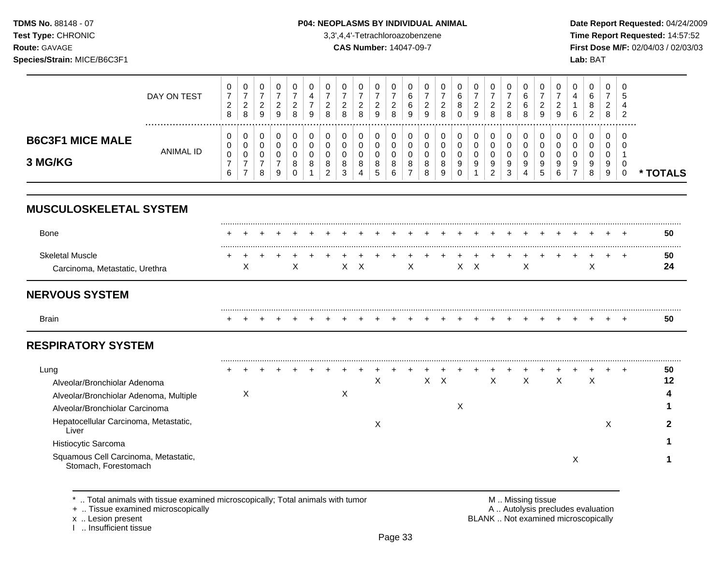TDMS No. 88148 - 07 Test Type: CHRONIC Route: GAVAGE

# Species/Strain: MICE/B6C3F1

#### P04: NEOPLASMS BY INDIVIDUAL ANIMAL

3,3',4,4'-Tetrachloroazobenzene

**CAS Number: 14047-09-7** 

Date Report Requested: 04/24/2009 Time Report Requested: 14:57:52 First Dose M/F: 02/04/03 / 02/03/03 Lab: BAT

|                                                                          | DAY ON TEST      | 0<br>$\overline{7}$<br>$\overline{c}$<br>8 | 0<br>$\boldsymbol{7}$<br>$\overline{2}$<br>8 | 0<br>$\boldsymbol{7}$<br>$\overline{\mathbf{c}}$<br>9 | 0<br>$\overline{7}$<br>$\boldsymbol{2}$<br>9 | 0<br>$\overline{7}$<br>$\overline{c}$<br>8 | $\mathbf 0$<br>4<br>$\overline{7}$<br>9 | 0<br>$\overline{7}$<br>$\overline{c}$<br>8 | 0<br>$\overline{7}$<br>$\overline{c}$<br>8 | 0<br>$\overline{7}$<br>$\boldsymbol{2}$<br>8 | 0<br>$\overline{7}$<br>$\sqrt{2}$<br>9 | 0<br>$\overline{7}$<br>$\overline{c}$<br>8 | 0<br>6<br>6<br>9                | 0<br>$\overline{7}$<br>$\overline{c}$<br>9 | 0<br>$\overline{7}$<br>$\overline{\mathbf{c}}$<br>8 | 0<br>6<br>8<br>$\Omega$          | $\pmb{0}$<br>$\overline{7}$<br>$\overline{c}$<br>9 | 0<br>$\overline{7}$<br>$\overline{c}$<br>8 | $\mathbf 0$<br>$\overline{7}$<br>2<br>8 | 0<br>6<br>6<br>8   | 0<br>$\overline{7}$<br>$\overline{2}$<br>9 | 0<br>$\overline{7}$<br>$\overline{c}$<br>9 | 0<br>4<br>6                     | 0<br>$\,6$<br>8<br>$\overline{2}$ | 0<br>$\overline{7}$<br>$\overline{c}$<br>8 | 0<br>5<br>4<br>$\overline{2}$ |          |
|--------------------------------------------------------------------------|------------------|--------------------------------------------|----------------------------------------------|-------------------------------------------------------|----------------------------------------------|--------------------------------------------|-----------------------------------------|--------------------------------------------|--------------------------------------------|----------------------------------------------|----------------------------------------|--------------------------------------------|---------------------------------|--------------------------------------------|-----------------------------------------------------|----------------------------------|----------------------------------------------------|--------------------------------------------|-----------------------------------------|--------------------|--------------------------------------------|--------------------------------------------|---------------------------------|-----------------------------------|--------------------------------------------|-------------------------------|----------|
| <b>B6C3F1 MICE MALE</b>                                                  |                  | 0<br>0                                     | 0<br>0                                       | 0<br>$\boldsymbol{0}$                                 | 0<br>0                                       | 0<br>$\mathbf 0$                           | $\mathbf 0$<br>$\mathbf 0$              | 0<br>0                                     | 0<br>0                                     | 0<br>0                                       | 0<br>0                                 | 0<br>$\mathbf 0$                           | 0<br>0                          | 0<br>0                                     | 0<br>0                                              | 0<br>0                           | $\boldsymbol{0}$<br>$\mathbf 0$                    | 0<br>0                                     | 0<br>$\mathbf 0$                        | 0<br>0             | 0<br>0                                     | 0<br>0                                     | 0<br>$\mathbf 0$                | 0<br>0                            | 0<br>0                                     | 0<br>0                        |          |
| 3 MG/KG                                                                  | <b>ANIMAL ID</b> | $\pmb{0}$<br>$\overline{7}$<br>6           | 0<br>$\overline{7}$<br>$\overline{7}$        | 0<br>$\overline{7}$<br>8                              | 0<br>$\overline{7}$<br>9                     | 0<br>8<br>$\Omega$                         | $\Omega$<br>8                           | $\Omega$<br>8<br>$\overline{2}$            | $\Omega$<br>8<br>3                         | $\mathbf 0$<br>8<br>4                        | 0<br>8<br>5                            | 0<br>8<br>6                                | $\Omega$<br>8<br>$\overline{7}$ | 0<br>8<br>8                                | 0<br>8<br>9                                         | $\mathbf 0$<br>9<br>$\mathbf{0}$ | 0<br>9<br>1                                        | 0<br>9<br>$\overline{2}$                   | $\mathbf 0$<br>9<br>3                   | $\Omega$<br>9<br>4 | 0<br>9<br>5                                | $\Omega$<br>9<br>6                         | $\Omega$<br>9<br>$\overline{7}$ | 0<br>9<br>8                       | $\mathbf 0$<br>9<br>$\boldsymbol{9}$       | -1<br>0<br>$\mathbf 0$        | * TOTALS |
| <b>MUSCULOSKELETAL SYSTEM</b>                                            |                  |                                            |                                              |                                                       |                                              |                                            |                                         |                                            |                                            |                                              |                                        |                                            |                                 |                                            |                                                     |                                  |                                                    |                                            |                                         |                    |                                            |                                            |                                 |                                   |                                            |                               |          |
| Bone                                                                     |                  |                                            |                                              |                                                       |                                              |                                            |                                         |                                            |                                            |                                              |                                        |                                            |                                 |                                            |                                                     |                                  |                                                    |                                            |                                         |                    |                                            |                                            |                                 |                                   |                                            |                               | 50       |
| <b>Skeletal Muscle</b><br>Carcinoma, Metastatic, Urethra                 |                  |                                            | X                                            |                                                       |                                              | X                                          |                                         |                                            | $\mathsf{X}$                               | $\boldsymbol{\mathsf{X}}$                    |                                        |                                            | X                               |                                            |                                                     | X                                | $\boldsymbol{\mathsf{X}}$                          |                                            |                                         | $\times$           |                                            |                                            |                                 | X                                 |                                            | $\ddot{}$                     | 50<br>24 |
| <b>NERVOUS SYSTEM</b>                                                    |                  |                                            |                                              |                                                       |                                              |                                            |                                         |                                            |                                            |                                              |                                        |                                            |                                 |                                            |                                                     |                                  |                                                    |                                            |                                         |                    |                                            |                                            |                                 |                                   |                                            |                               |          |
| <b>Brain</b>                                                             |                  |                                            |                                              |                                                       |                                              |                                            |                                         |                                            |                                            |                                              |                                        |                                            |                                 |                                            |                                                     |                                  |                                                    |                                            |                                         |                    |                                            |                                            |                                 |                                   |                                            |                               | 50       |
| <b>RESPIRATORY SYSTEM</b>                                                |                  |                                            |                                              |                                                       |                                              |                                            |                                         |                                            |                                            |                                              |                                        |                                            |                                 |                                            |                                                     |                                  |                                                    |                                            |                                         |                    |                                            |                                            |                                 |                                   |                                            |                               |          |
| Lung                                                                     |                  |                                            |                                              |                                                       |                                              |                                            |                                         |                                            |                                            |                                              |                                        |                                            |                                 |                                            |                                                     |                                  |                                                    |                                            |                                         |                    |                                            |                                            |                                 |                                   |                                            | $\div$                        | 50       |
| Alveolar/Bronchiolar Adenoma                                             |                  |                                            |                                              |                                                       |                                              |                                            |                                         |                                            |                                            |                                              | X                                      |                                            |                                 | $\boldsymbol{\mathsf{X}}$                  | $\boldsymbol{\mathsf{X}}$                           |                                  |                                                    | $\boldsymbol{\mathsf{X}}$                  |                                         | $\mathsf{X}$       |                                            | $\boldsymbol{\mathsf{X}}$                  |                                 | $\sf X$                           |                                            |                               | 12       |
| Alveolar/Bronchiolar Adenoma, Multiple<br>Alveolar/Bronchiolar Carcinoma |                  |                                            | X                                            |                                                       |                                              |                                            |                                         |                                            | $\mathsf{X}$                               |                                              |                                        |                                            |                                 |                                            |                                                     | X                                |                                                    |                                            |                                         |                    |                                            |                                            |                                 |                                   |                                            |                               |          |
| Hepatocellular Carcinoma, Metastatic,                                    |                  |                                            |                                              |                                                       |                                              |                                            |                                         |                                            |                                            |                                              | Χ                                      |                                            |                                 |                                            |                                                     |                                  |                                                    |                                            |                                         |                    |                                            |                                            |                                 |                                   | X                                          |                               | 2        |
| Liver                                                                    |                  |                                            |                                              |                                                       |                                              |                                            |                                         |                                            |                                            |                                              |                                        |                                            |                                 |                                            |                                                     |                                  |                                                    |                                            |                                         |                    |                                            |                                            |                                 |                                   |                                            |                               |          |
| Histiocytic Sarcoma                                                      |                  |                                            |                                              |                                                       |                                              |                                            |                                         |                                            |                                            |                                              |                                        |                                            |                                 |                                            |                                                     |                                  |                                                    |                                            |                                         |                    |                                            |                                            |                                 |                                   |                                            |                               |          |
| Squamous Cell Carcinoma, Metastatic,<br>Stomach, Forestomach             |                  |                                            |                                              |                                                       |                                              |                                            |                                         |                                            |                                            |                                              |                                        |                                            |                                 |                                            |                                                     |                                  |                                                    |                                            |                                         |                    |                                            |                                            | X                               |                                   |                                            |                               |          |

\* .. Total animals with tissue examined microscopically; Total animals with tumor

+ .. Tissue examined microscopically

x .. Lesion present<br>I .. Insufficient tissue

M .. Missing tissue

A .. Autolysis precludes evaluation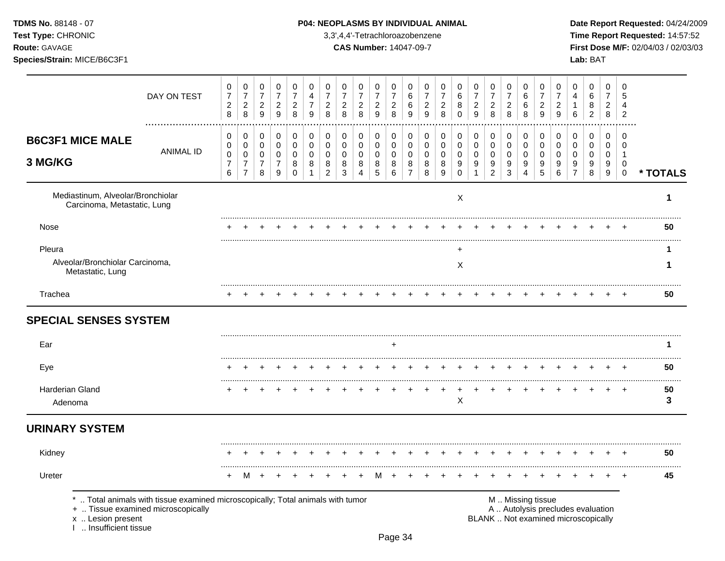**Test Type:** CHRONIC 3,3',4,4'-Tetrachloroazobenzene **Time Report Requested:** 14:57:52 **Route:** GAVAGE **CAS Number:** 14047-09-7 **First Dose M/F:** 02/04/03 / 02/03/03 **Species/Strain:** MICE/B6C3F1 **Lab:** BAT

|                                                                  | DAY ON TEST                                                                                                        | 0<br>$\overline{7}$<br>$\boldsymbol{2}$       | 0<br>$\overline{7}$<br>$\overline{2}$           | 0<br>$\boldsymbol{7}$<br>$\overline{c}$ | 0<br>$\overline{7}$<br>$\overline{2}$ | 0<br>$\overline{7}$<br>$\overline{c}$ | $\mathbf 0$<br>4<br>7 | $\mathbf 0$<br>$\overline{7}$<br>$\overline{c}$ | 0<br>$\overline{7}$<br>$\overline{c}$ | 0<br>$\overline{7}$<br>$\overline{c}$ | 0<br>$\overline{7}$<br>$\overline{c}$ | 0<br>$\overline{7}$<br>$\overline{c}$ | 0<br>$\,6$<br>6                          | 0<br>$\overline{7}$<br>$\overline{a}$ | 0<br>$\overline{7}$<br>$\overline{c}$ | 0<br>$\,6\,$<br>8                            | 0<br>$\overline{7}$<br>$\sqrt{2}$             | 0<br>$\overline{7}$<br>$\overline{c}$           | 0<br>$\overline{7}$<br>$\overline{c}$ | 0<br>$6\phantom{1}6$<br>$\,6$                     | 0<br>$\overline{7}$<br>$\overline{2}$ | 0<br>$\overline{7}$<br>$\overline{c}$ | 0<br>4<br>1                                                              | 0<br>$\,6\,$<br>$\,8\,$ | 0<br>$\overline{7}$<br>$\overline{2}$ | $\mathbf 0$<br>5<br>$\overline{4}$           |                    |
|------------------------------------------------------------------|--------------------------------------------------------------------------------------------------------------------|-----------------------------------------------|-------------------------------------------------|-----------------------------------------|---------------------------------------|---------------------------------------|-----------------------|-------------------------------------------------|---------------------------------------|---------------------------------------|---------------------------------------|---------------------------------------|------------------------------------------|---------------------------------------|---------------------------------------|----------------------------------------------|-----------------------------------------------|-------------------------------------------------|---------------------------------------|---------------------------------------------------|---------------------------------------|---------------------------------------|--------------------------------------------------------------------------|-------------------------|---------------------------------------|----------------------------------------------|--------------------|
|                                                                  |                                                                                                                    | 8                                             | 8                                               | $\boldsymbol{9}$                        | $\overline{9}$                        | 8                                     | $\boldsymbol{9}$      | 8                                               | 8                                     | 8                                     | $\overline{9}$                        | 8                                     | 9                                        | $\overline{9}$                        | 8                                     | $\mathbf 0$                                  | 9                                             | 8                                               | 8                                     | 8                                                 | $\boldsymbol{9}$                      | 9                                     | 6                                                                        | $\overline{c}$          | 8                                     | $\overline{2}$                               |                    |
| <b>B6C3F1 MICE MALE</b>                                          |                                                                                                                    | $\pmb{0}$<br>$\mathbf 0$                      | 0<br>$\pmb{0}$                                  | 0<br>$\mathbf 0$                        | 0<br>$\mathbf 0$                      | 0<br>$\mathbf 0$                      | 0<br>$\mathbf 0$      | $\mathbf 0$<br>$\mathbf 0$                      | 0<br>$\mathbf 0$                      | 0<br>$\mathbf 0$                      | 0<br>$\mathbf 0$                      | 0<br>$\mathbf 0$                      | 0<br>$\mathbf 0$                         | 0<br>$\mathbf 0$                      | 0<br>$\mathbf 0$                      | 0<br>$\mathbf 0$                             | 0<br>$\mathbf 0$                              | $\pmb{0}$<br>$\pmb{0}$                          | 0<br>$\mathbf 0$                      | 0<br>$\mathbf 0$                                  | $\boldsymbol{0}$<br>$\mathbf 0$       | 0<br>$\Omega$                         | 0<br>$\Omega$                                                            | 0<br>$\mathbf 0$        | $\pmb{0}$<br>$\mathbf 0$              | 0<br>$\Omega$                                |                    |
| 3 MG/KG                                                          | <b>ANIMAL ID</b>                                                                                                   | $\pmb{0}$<br>$\overline{7}$<br>$6\phantom{a}$ | $\mathbf 0$<br>$\overline{7}$<br>$\overline{7}$ | $\mathbf 0$<br>$\boldsymbol{7}$<br>8    | $\mathbf 0$<br>$\overline{7}$<br>9    | $\mathbf 0$<br>8<br>$\mathbf 0$       | $\mathbf 0$<br>8      | $\mathbf 0$<br>8<br>$\overline{2}$              | $\mathbf 0$<br>8<br>3                 | 0<br>$\bf8$<br>$\overline{4}$         | $\mathbf 0$<br>8<br>5                 | $\mathbf 0$<br>8<br>6                 | $\mathbf 0$<br>$\bf 8$<br>$\overline{7}$ | 0<br>8<br>8                           | $\mathbf 0$<br>8<br>9                 | $\pmb{0}$<br>$\boldsymbol{9}$<br>$\mathbf 0$ | $\pmb{0}$<br>$\boldsymbol{9}$<br>$\mathbf{1}$ | $\pmb{0}$<br>$\boldsymbol{9}$<br>$\overline{2}$ | $\mathbf 0$<br>9<br>3                 | $\mathbf 0$<br>$\boldsymbol{9}$<br>$\overline{4}$ | $\mathbf 0$<br>9<br>5                 | $\Omega$<br>9<br>6                    | $\mathbf 0$<br>9<br>$\overline{7}$                                       | 0<br>9<br>8             | 0<br>9<br>9                           | $\overline{1}$<br>$\mathbf 0$<br>$\mathbf 0$ | * TOTALS           |
| Mediastinum, Alveolar/Bronchiolar<br>Carcinoma, Metastatic, Lung |                                                                                                                    |                                               |                                                 |                                         |                                       |                                       |                       |                                                 |                                       |                                       |                                       |                                       |                                          |                                       |                                       | $\mathsf{X}$                                 |                                               |                                                 |                                       |                                                   |                                       |                                       |                                                                          |                         |                                       |                                              | 1                  |
| <b>Nose</b>                                                      |                                                                                                                    |                                               |                                                 |                                         |                                       |                                       |                       |                                                 |                                       |                                       |                                       |                                       |                                          |                                       |                                       |                                              |                                               |                                                 |                                       |                                                   |                                       |                                       |                                                                          |                         |                                       |                                              | 50                 |
| Pleura                                                           |                                                                                                                    |                                               |                                                 |                                         |                                       |                                       |                       |                                                 |                                       |                                       |                                       |                                       |                                          |                                       |                                       | ÷                                            |                                               |                                                 |                                       |                                                   |                                       |                                       |                                                                          |                         |                                       |                                              |                    |
| Alveolar/Bronchiolar Carcinoma,<br>Metastatic, Lung              |                                                                                                                    |                                               |                                                 |                                         |                                       |                                       |                       |                                                 |                                       |                                       |                                       |                                       |                                          |                                       |                                       | X                                            |                                               |                                                 |                                       |                                                   |                                       |                                       |                                                                          |                         |                                       |                                              | 1                  |
| Trachea                                                          |                                                                                                                    |                                               |                                                 |                                         |                                       |                                       |                       |                                                 |                                       |                                       |                                       |                                       |                                          |                                       |                                       |                                              |                                               |                                                 |                                       |                                                   |                                       |                                       |                                                                          |                         |                                       |                                              | 50                 |
| <b>SPECIAL SENSES SYSTEM</b>                                     |                                                                                                                    |                                               |                                                 |                                         |                                       |                                       |                       |                                                 |                                       |                                       |                                       |                                       |                                          |                                       |                                       |                                              |                                               |                                                 |                                       |                                                   |                                       |                                       |                                                                          |                         |                                       |                                              |                    |
| Ear                                                              |                                                                                                                    |                                               |                                                 |                                         |                                       |                                       |                       |                                                 |                                       |                                       |                                       | $\ddot{}$                             |                                          |                                       |                                       |                                              |                                               |                                                 |                                       |                                                   |                                       |                                       |                                                                          |                         |                                       |                                              | 1.                 |
| Eye                                                              |                                                                                                                    |                                               |                                                 |                                         |                                       |                                       |                       |                                                 |                                       |                                       |                                       |                                       |                                          |                                       |                                       |                                              |                                               |                                                 |                                       |                                                   |                                       |                                       |                                                                          |                         |                                       | $\pm$                                        | 50                 |
| <b>Harderian Gland</b><br>Adenoma                                |                                                                                                                    |                                               |                                                 |                                         |                                       |                                       |                       |                                                 |                                       |                                       |                                       |                                       |                                          |                                       |                                       | $\mathsf X$                                  |                                               |                                                 |                                       |                                                   |                                       |                                       |                                                                          |                         |                                       |                                              | 50<br>$\mathbf{3}$ |
| <b>URINARY SYSTEM</b>                                            |                                                                                                                    |                                               |                                                 |                                         |                                       |                                       |                       |                                                 |                                       |                                       |                                       |                                       |                                          |                                       |                                       |                                              |                                               |                                                 |                                       |                                                   |                                       |                                       |                                                                          |                         |                                       |                                              |                    |
| Kidney                                                           |                                                                                                                    |                                               |                                                 |                                         |                                       |                                       |                       |                                                 |                                       |                                       |                                       |                                       |                                          |                                       |                                       |                                              |                                               |                                                 |                                       |                                                   |                                       |                                       |                                                                          |                         |                                       |                                              | 50                 |
| Ureter                                                           |                                                                                                                    | +                                             | м                                               | $\ddot{}$                               |                                       |                                       |                       |                                                 |                                       |                                       | M                                     |                                       |                                          |                                       |                                       |                                              |                                               |                                                 |                                       |                                                   |                                       |                                       |                                                                          |                         |                                       |                                              | 45                 |
| x  Lesion present<br>Insufficient tissue                         | Total animals with tissue examined microscopically; Total animals with tumor<br>+  Tissue examined microscopically |                                               |                                                 |                                         |                                       |                                       |                       |                                                 |                                       |                                       |                                       |                                       |                                          |                                       |                                       |                                              |                                               |                                                 |                                       | M  Missing tissue                                 |                                       |                                       | A  Autolysis precludes evaluation<br>BLANK  Not examined microscopically |                         |                                       |                                              |                    |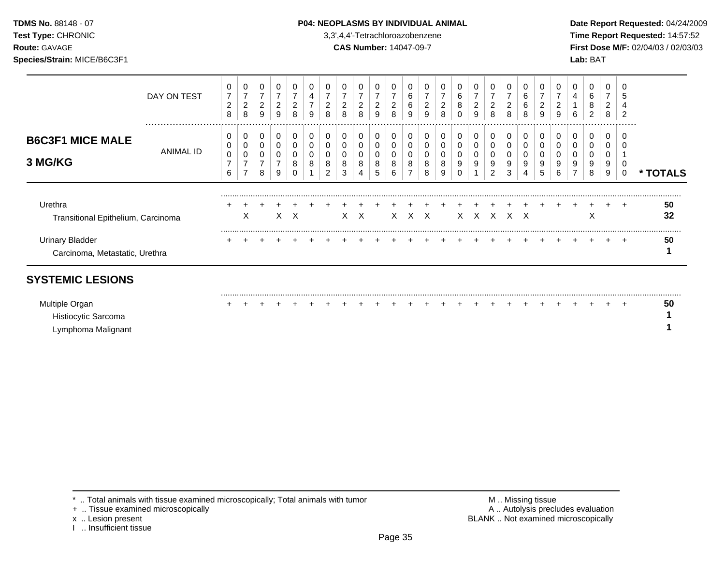#### **TDMS No.** 88148 - 07 **P04: NEOPLASMS BY INDIVIDUAL ANIMAL** Date Report Requested: 04/24/2009

**Test Type:** CHRONIC 3,3',4,4'-Tetrachloroazobenzene **Time Report Requested:** 14:57:52 **Route:** GAVAGE **CAS Number:** 14047-09-7 **First Dose M/F:** 02/04/03 / 02/03/03

|                                                          | DAY ON TEST   | 0<br>$\overline{7}$<br>$\overline{2}$<br>8   | 0<br>$\overline{ }$<br>2<br>8      | 0<br>⇁<br>$\overline{2}$<br>9 | ⇁<br>$\overline{c}$<br>9 | 0<br>2<br>8      | 0<br>4<br>$\overline{ }$<br>9 | $\overline{c}$<br>8 | 0<br>⇁<br>$\overline{2}$<br>8 | $\overline{2}$<br>8 | -<br>$\overline{2}$<br>9 | $\overline{2}$<br>8 | 6<br>6<br>9      | 0<br>⇁<br>2<br>9      | ⇁<br>$\overline{2}$<br>$\Omega$<br>o | 0<br>6<br>8<br>0      | 0<br>$\overline{7}$<br>$\overline{2}$<br>9 | 0<br>$\overline{7}$<br>$\overline{c}$<br>8 | 0<br>$\overline{2}$<br>8 | 0<br>6<br>6<br>8 | ົ<br>∠<br>9 | $\overline{ }$<br>ົ<br>∠<br>9 | 0<br>4<br>6 | 0<br>6<br>8<br>2      | 0<br>7<br>$\overline{2}$<br>8 | 0<br>5<br>4<br>2        |                    |
|----------------------------------------------------------|---------------|----------------------------------------------|------------------------------------|-------------------------------|--------------------------|------------------|-------------------------------|---------------------|-------------------------------|---------------------|--------------------------|---------------------|------------------|-----------------------|--------------------------------------|-----------------------|--------------------------------------------|--------------------------------------------|--------------------------|------------------|-------------|-------------------------------|-------------|-----------------------|-------------------------------|-------------------------|--------------------|
| <b>B6C3F1 MICE MALE</b><br>3 MG/KG                       | <br>ANIMAL ID | 0<br>0<br>$\mathbf 0$<br>$\overline{7}$<br>6 | 0<br>0<br>0<br>$\overline{ }$<br>⇁ | 0<br>0<br>0<br>⇁<br>8         | $\mathbf 0$<br>⇁<br>9    | 0<br>0<br>0<br>8 | 0<br>0<br>8                   | 8<br>2              | 0<br>0<br>0<br>8<br>3         | 0<br>0<br>8<br>4    | 0<br>0<br>0<br>8<br>5    | 8<br>6              | 0<br>0<br>8<br>⇁ | 0<br>0<br>0<br>8<br>8 | 8<br>9                               | 0<br>0<br>0<br>9<br>0 | 0<br>0<br>0<br>9                           | 0<br>0<br>0<br>9<br>$\overline{2}$         | 0<br>0<br>0<br>9<br>3    | 0<br>9           | 9<br>5      | 9<br>6                        | 0<br>9<br>⇁ | 0<br>0<br>0<br>9<br>8 | 0<br>0<br>U<br>9<br>9         | .<br>0<br>0<br>$\Omega$ | <b>TOTALS</b><br>* |
| Urethra<br>Transitional Epithelium, Carcinoma            |               |                                              | X                                  |                               |                          | $X \times$       |                               |                     |                               | X X                 |                          | X.                  |                  | x x                   |                                      |                       | $X$ $X$ $X$ $X$ $X$                        |                                            |                          |                  |             |                               |             | ㅅ                     |                               | $\div$                  | 50<br>32           |
| <b>Urinary Bladder</b><br>Carcinoma, Metastatic, Urethra |               |                                              |                                    |                               |                          |                  |                               |                     |                               |                     |                          |                     |                  |                       |                                      |                       |                                            |                                            |                          |                  |             |                               |             |                       |                               | $\ddot{}$               | 50                 |

## **SYSTEMIC LESIONS**

| Multiple Organ      |  |  |  |  |  |  |  |  |  |  |  |  | 50 |
|---------------------|--|--|--|--|--|--|--|--|--|--|--|--|----|
| Histiocytic Sarcoma |  |  |  |  |  |  |  |  |  |  |  |  |    |
| Lymphoma Malignant  |  |  |  |  |  |  |  |  |  |  |  |  |    |

+ .. Tissue examined microscopically

x .. Lesion present<br>I .. Insufficient tissue

\* .. Total animals with tissue examined microscopically; Total animals with tumor **M** metally more than M .. Missing tissue<br>  $\blacksquare$  Tissue examined microscopically BLANK .. Not examined microscopically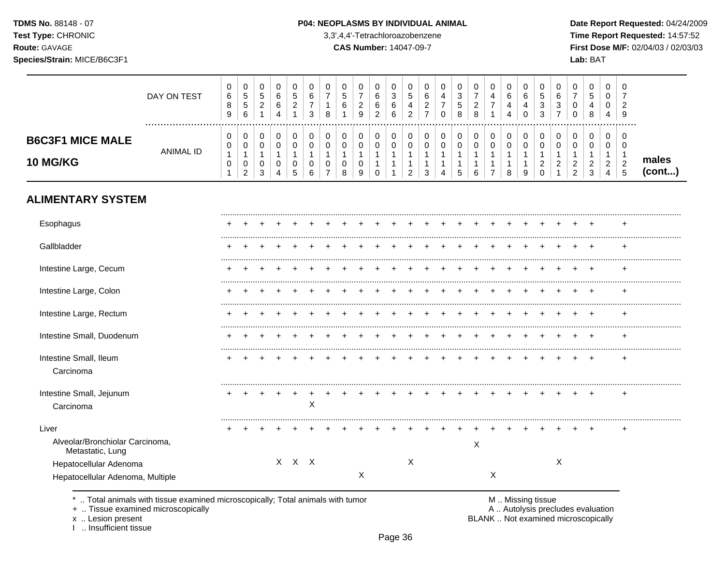$\top$  $\overline{\phantom{a}}$  $\overline{\phantom{a}}$ 

 $\top$  $\overline{\phantom{a}}$  $\overline{\phantom{a}}$   $\top$ 

 $\overline{\phantom{a}}$  $\top$ ┰  $\overline{\phantom{a}}$  $\overline{\phantom{a}}$ 

**Test Type:** CHRONIC 3,3',4,4'-Tetrachloroazobenzene **Time Report Requested:** 14:57:52 **Route:** GAVAGE **CAS Number:** 14047-09-7 **First Dose M/F:** 02/04/03 / 02/03/03 **Species/Strain:** MICE/B6C3F1 **Lab:** BAT

 $\overline{\phantom{a}}$ 

|                                          | DAY ON TEST          | 0<br>$\,6\,$<br>8<br>9                                     | $\mathbf 0$<br>$\sqrt{5}$<br>$\overline{5}$<br>6      | 0<br>$\sqrt{5}$<br>$\overline{a}$<br>$\mathbf{1}$ | $\mathbf 0$<br>6<br>6<br>$\overline{4}$           | 0<br>5<br>$\overline{2}$<br>$\overline{1}$ | 0<br>6<br>$\boldsymbol{7}$<br>3 | 0<br>$\overline{7}$<br>$\mathbf{1}$<br>8 | 0<br>5<br>6<br>$\mathbf{1}$                        | 0<br>$\overline{7}$<br>$\overline{2}$<br>9         | $\mathbf 0$<br>6<br>6<br>$\overline{2}$                         | 0<br>3<br>6<br>6                           | 0<br>5<br>4<br>$\overline{2}$                                   | 0<br>6<br>$\overline{c}$<br>$\overline{7}$ | $\,0\,$<br>$\overline{4}$<br>$\overline{7}$<br>$\Omega$          | 0<br>$\sqrt{3}$<br>5<br>8                                       | 0<br>$\overline{7}$<br>$\sqrt{2}$<br>8              | $\Omega$<br>$\overline{4}$<br>$\overline{7}$<br>$\overline{1}$         | 0<br>6<br>4<br>4                                      | 0<br>6<br>4<br>$\Omega$    | 0<br>5<br>3<br>3                                            | 0<br>6<br>3<br>$\overline{7}$      | 0<br>$\overline{7}$<br>0<br>$\Omega$                  | 0<br>$5\phantom{.0}$<br>4<br>8                      | $\mathbf 0$<br>0<br>0<br>4                                | 0<br>7<br>2<br>9                                  |                 |
|------------------------------------------|----------------------|------------------------------------------------------------|-------------------------------------------------------|---------------------------------------------------|---------------------------------------------------|--------------------------------------------|---------------------------------|------------------------------------------|----------------------------------------------------|----------------------------------------------------|-----------------------------------------------------------------|--------------------------------------------|-----------------------------------------------------------------|--------------------------------------------|------------------------------------------------------------------|-----------------------------------------------------------------|-----------------------------------------------------|------------------------------------------------------------------------|-------------------------------------------------------|----------------------------|-------------------------------------------------------------|------------------------------------|-------------------------------------------------------|-----------------------------------------------------|-----------------------------------------------------------|---------------------------------------------------|-----------------|
| <b>B6C3F1 MICE MALE</b><br>10 MG/KG      | <br><b>ANIMAL ID</b> | 0<br>$\pmb{0}$<br>$\mathbf{1}$<br>$\pmb{0}$<br>$\mathbf 1$ | 0<br>0<br>$\mathbf{1}$<br>$\pmb{0}$<br>$\overline{c}$ | 0<br>$\pmb{0}$<br>$\mathbf{1}$<br>0<br>3          | $\pmb{0}$<br>$\mathbf 0$<br>$\mathbf 1$<br>0<br>4 | $\pmb{0}$<br>0<br>$\mathbf 1$<br>0<br>5    | 0<br>$\mathbf 0$<br>1<br>0<br>6 | 0<br>0<br>1<br>0<br>$\overline{7}$       | 0<br>$\pmb{0}$<br>$\mathbf{1}$<br>$\mathbf 0$<br>8 | 0<br>$\mathbf 0$<br>$\mathbf{1}$<br>$\pmb{0}$<br>9 | 0<br>$\mathbf 0$<br>$\mathbf{1}$<br>$\mathbf{1}$<br>$\mathbf 0$ | 0<br>$\mathbf 0$<br>1<br>$\mathbf{1}$<br>1 | $\pmb{0}$<br>$\mathbf 0$<br>1<br>$\mathbf{1}$<br>$\overline{2}$ | 0<br>$\pmb{0}$<br>1<br>1<br>3              | 0<br>$\pmb{0}$<br>$\mathbf{1}$<br>$\mathbf{1}$<br>$\overline{A}$ | $\mathbf 0$<br>$\mathbf 0$<br>$\mathbf{1}$<br>$\mathbf{1}$<br>5 | 0<br>$\pmb{0}$<br>$\mathbf{1}$<br>$\mathbf{1}$<br>6 | 0<br>$\mathbf 0$<br>$\overline{1}$<br>$\overline{1}$<br>$\overline{7}$ | 0<br>$\mathbf 0$<br>$\mathbf{1}$<br>$\mathbf{1}$<br>8 | 0<br>0<br>$\mathbf 1$<br>9 | 0<br>$\pmb{0}$<br>$\mathbf 1$<br>$\overline{c}$<br>$\Omega$ | 0<br>$\mathbf 0$<br>$\overline{c}$ | 0<br>$\mathbf 0$<br>1<br>$\sqrt{2}$<br>$\overline{c}$ | 0<br>$\mathbf 0$<br>$\mathbf{1}$<br>$\sqrt{2}$<br>3 | 0<br>$\mathbf 0$<br>$\overline{1}$<br>$\overline{2}$<br>4 | 0<br>$\mathbf 0$<br>1<br>$\sqrt{2}$<br>$\sqrt{5}$ | males<br>(cont) |
| <b>ALIMENTARY SYSTEM</b>                 |                      |                                                            |                                                       |                                                   |                                                   |                                            |                                 |                                          |                                                    |                                                    |                                                                 |                                            |                                                                 |                                            |                                                                  |                                                                 |                                                     |                                                                        |                                                       |                            |                                                             |                                    |                                                       |                                                     |                                                           |                                                   |                 |
| Esophagus                                |                      |                                                            |                                                       |                                                   |                                                   |                                            |                                 |                                          |                                                    |                                                    |                                                                 |                                            |                                                                 |                                            |                                                                  |                                                                 |                                                     |                                                                        |                                                       |                            |                                                             |                                    |                                                       |                                                     |                                                           |                                                   |                 |
| Gallbladder                              |                      |                                                            |                                                       |                                                   |                                                   |                                            |                                 |                                          |                                                    |                                                    |                                                                 |                                            |                                                                 |                                            |                                                                  |                                                                 |                                                     |                                                                        |                                                       |                            |                                                             |                                    |                                                       |                                                     |                                                           |                                                   |                 |
| Intestine Large, Cecum                   |                      |                                                            |                                                       |                                                   |                                                   |                                            |                                 |                                          |                                                    |                                                    |                                                                 |                                            |                                                                 |                                            |                                                                  |                                                                 |                                                     |                                                                        |                                                       |                            |                                                             |                                    |                                                       | $\overline{ }$                                      |                                                           | ÷.                                                |                 |
| Intestine Large, Colon                   |                      |                                                            |                                                       |                                                   |                                                   |                                            |                                 |                                          |                                                    |                                                    |                                                                 |                                            |                                                                 |                                            |                                                                  |                                                                 |                                                     |                                                                        |                                                       |                            |                                                             |                                    |                                                       | $\overline{ }$                                      |                                                           | ÷.                                                |                 |
| Intestine Large, Rectum                  |                      |                                                            |                                                       |                                                   |                                                   |                                            |                                 |                                          |                                                    |                                                    |                                                                 |                                            |                                                                 |                                            |                                                                  |                                                                 |                                                     |                                                                        |                                                       |                            |                                                             |                                    | ÷                                                     | $\overline{ }$                                      |                                                           | ÷.                                                |                 |
| Intestine Small, Duodenum                |                      |                                                            |                                                       |                                                   |                                                   |                                            |                                 |                                          |                                                    |                                                    |                                                                 |                                            |                                                                 |                                            |                                                                  |                                                                 |                                                     |                                                                        |                                                       |                            |                                                             |                                    |                                                       | $\overline{+}$                                      |                                                           | ÷.                                                |                 |
| Intestine Small, Ileum<br>Carcinoma      |                      |                                                            |                                                       |                                                   |                                                   |                                            |                                 |                                          |                                                    |                                                    |                                                                 |                                            |                                                                 |                                            |                                                                  |                                                                 |                                                     |                                                                        |                                                       |                            |                                                             |                                    |                                                       |                                                     |                                                           | $\ddot{}$                                         |                 |
| Intestine Small, Jejunum<br>Carcinoma    |                      |                                                            |                                                       |                                                   |                                                   |                                            | X                               |                                          |                                                    |                                                    |                                                                 |                                            |                                                                 |                                            |                                                                  |                                                                 |                                                     |                                                                        |                                                       |                            |                                                             |                                    |                                                       |                                                     |                                                           |                                                   |                 |
| Liver<br>Alveolar/Bronchiolar Carcinoma, |                      |                                                            |                                                       |                                                   |                                                   |                                            |                                 |                                          |                                                    |                                                    |                                                                 |                                            |                                                                 |                                            |                                                                  |                                                                 |                                                     |                                                                        |                                                       |                            |                                                             |                                    |                                                       |                                                     |                                                           |                                                   |                 |
| Metastatic, Lung                         |                      |                                                            |                                                       |                                                   |                                                   |                                            |                                 |                                          |                                                    |                                                    |                                                                 |                                            |                                                                 |                                            |                                                                  |                                                                 | X                                                   |                                                                        |                                                       |                            |                                                             |                                    |                                                       |                                                     |                                                           |                                                   |                 |
| Hepatocellular Adenoma                   |                      |                                                            |                                                       |                                                   |                                                   | X X X                                      |                                 |                                          |                                                    |                                                    |                                                                 |                                            | X                                                               |                                            |                                                                  |                                                                 |                                                     |                                                                        |                                                       |                            |                                                             | X                                  |                                                       |                                                     |                                                           |                                                   |                 |
| Hepatocellular Adenoma, Multiple         |                      |                                                            |                                                       |                                                   |                                                   |                                            |                                 |                                          |                                                    | X                                                  |                                                                 |                                            |                                                                 |                                            |                                                                  |                                                                 |                                                     | $\boldsymbol{\mathsf{X}}$                                              |                                                       |                            |                                                             |                                    |                                                       |                                                     |                                                           |                                                   |                 |

\* .. Total animals with tissue examined microscopically; Total animals with tumor **M** . M . Missing tissue examined microscopically<br>
+ .. Tissue examined microscopically

 $\top$  $\overline{\phantom{0}}$ ⊤୮  $\overline{\phantom{a}}$ ┰ ┰  $\overline{\phantom{a}}$ □

+ .. Tissue examined microscopically

x .. Lesion present<br>I .. Insufficient tissue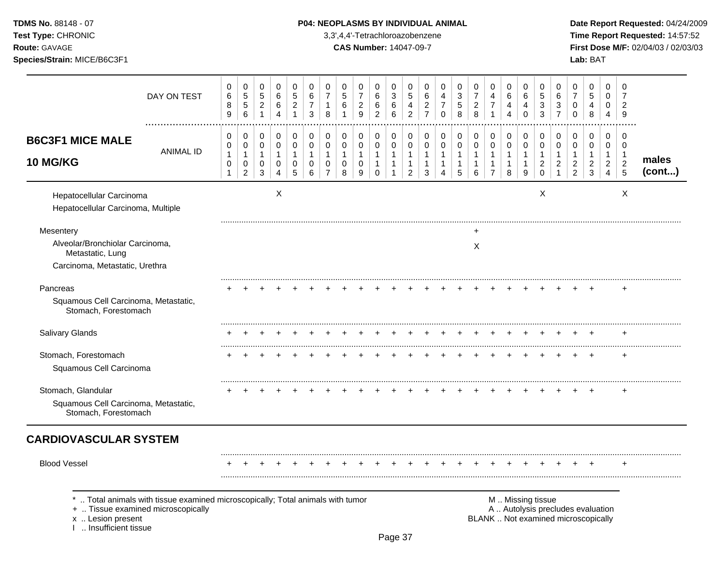| <b>TDMS No. 88148 - 07</b> |
|----------------------------|
| <b>Test Type: CHRONIC</b>  |
| <b>DAMALOMMOT</b>          |

## **P04: NEOPLASMS BY INDIVIDUAL ANIMAL Date Report Requested:** 04/24/2009

**Time Report Requested:** 14:57:52 **Route:** GAVAGE **CAS Number:** 14047-09-7 **First Dose M/F:** 02/04/03 / 02/03/03

|                                                                | DAY ON TEST                                                                                                        | 0<br>$\,6$<br>8<br>9                                | 0<br>5<br>$\sqrt{5}$<br>6                     | 0<br>$\sqrt{5}$<br>$\overline{2}$<br>$\mathbf{1}$     | 0<br>6<br>6<br>4                                     | 0<br>5<br>$\overline{c}$<br>$\mathbf{1}$ | 0<br>$\,6$<br>$\overline{7}$<br>$\mathbf{3}$ | 0<br>7<br>$\mathbf{1}$<br>8                                           | 0<br>$\sqrt{5}$<br>$\,6$                             | 0<br>$\overline{7}$<br>$\sqrt{2}$<br>9 | 0<br>6<br>$\,6\,$<br>$\overline{2}$                   | 0<br>3<br>$\,6$<br>6                                             | 0<br>5<br>$\overline{\mathbf{4}}$<br>$\overline{c}$                | 0<br>6<br>$\overline{c}$<br>$\overline{7}$            | 0<br>4<br>$\overline{7}$<br>$\Omega$ | 0<br>$\ensuremath{\mathsf{3}}$<br>$\mathbf 5$<br>8 | 0<br>$\overline{7}$<br>$\boldsymbol{2}$<br>8 | 0<br>4<br>$\boldsymbol{7}$<br>$\mathbf{1}$                         | 0<br>6<br>4<br>$\overline{4}$                           | 0<br>6<br>4<br>$\Omega$                    | 0<br>$\sqrt{5}$<br>$\sqrt{3}$<br>3                                | 0<br>6<br>3<br>$\overline{7}$                        | 0<br>$\overline{7}$<br>$\mathbf 0$<br>$\Omega$                           | 0<br>$\sqrt{5}$<br>4<br>8                                          | 0<br>0<br>0<br>$\overline{4}$                                          | 0<br>7<br>$\overline{c}$<br>9                                   |                 |
|----------------------------------------------------------------|--------------------------------------------------------------------------------------------------------------------|-----------------------------------------------------|-----------------------------------------------|-------------------------------------------------------|------------------------------------------------------|------------------------------------------|----------------------------------------------|-----------------------------------------------------------------------|------------------------------------------------------|----------------------------------------|-------------------------------------------------------|------------------------------------------------------------------|--------------------------------------------------------------------|-------------------------------------------------------|--------------------------------------|----------------------------------------------------|----------------------------------------------|--------------------------------------------------------------------|---------------------------------------------------------|--------------------------------------------|-------------------------------------------------------------------|------------------------------------------------------|--------------------------------------------------------------------------|--------------------------------------------------------------------|------------------------------------------------------------------------|-----------------------------------------------------------------|-----------------|
| <b>B6C3F1 MICE MALE</b><br><b>10 MG/KG</b>                     | <b>ANIMAL ID</b>                                                                                                   | 0<br>0<br>$\mathbf{1}$<br>$\pmb{0}$<br>$\mathbf{1}$ | 0<br>0<br>$\mathbf{1}$<br>0<br>$\overline{c}$ | 0<br>$\mathbf 0$<br>$\mathbf{1}$<br>0<br>$\mathbf{3}$ | 0<br>$\mathbf 0$<br>$\mathbf{1}$<br>$\mathbf 0$<br>4 | 0<br>0<br>$\mathbf{1}$<br>0<br>5         | 0<br>$\mathbf 0$<br>$\overline{1}$<br>0<br>6 | $\Omega$<br>$\Omega$<br>$\mathbf{1}$<br>$\mathbf 0$<br>$\overline{7}$ | 0<br>$\mathbf 0$<br>$\mathbf{1}$<br>$\mathbf 0$<br>8 | 0<br>$\mathbf 0$<br>1<br>0<br>9        | 0<br>$\mathbf 0$<br>$\mathbf{1}$<br>$\mathbf{1}$<br>0 | 0<br>$\mathbf 0$<br>$\mathbf{1}$<br>$\mathbf{1}$<br>$\mathbf{1}$ | 0<br>$\mathbf 0$<br>$\mathbf{1}$<br>$\mathbf{1}$<br>$\overline{c}$ | 0<br>$\mathbf 0$<br>$\mathbf{1}$<br>$\mathbf{1}$<br>3 | 0<br>$\mathbf 0$<br>1<br>1<br>4      | 0<br>$\mathbf 0$<br>$\mathbf{1}$<br>1<br>5         | 0<br>$\mathbf 0$<br>$\mathbf{1}$<br>1<br>6   | 0<br>$\mathbf 0$<br>$\mathbf{1}$<br>$\mathbf{1}$<br>$\overline{7}$ | 0<br>$\mathbf 0$<br>$\overline{1}$<br>$\mathbf{1}$<br>8 | 0<br>$\mathbf 0$<br>$\mathbf{1}$<br>1<br>9 | 0<br>$\mathbf 0$<br>$\mathbf{1}$<br>$\overline{c}$<br>$\mathbf 0$ | 0<br>$\Omega$<br>1<br>$\overline{c}$<br>$\mathbf{1}$ | 0<br>$\mathbf 0$<br>$\mathbf{1}$<br>$\boldsymbol{2}$<br>$\overline{c}$   | 0<br>$\mathbf 0$<br>$\mathbf{1}$<br>$\overline{c}$<br>$\mathbf{3}$ | 0<br>$\mathbf 0$<br>$\overline{1}$<br>$\overline{c}$<br>$\overline{4}$ | $\Omega$<br>$\Omega$<br>$\overline{1}$<br>$\boldsymbol{2}$<br>5 | males<br>(cont) |
| Hepatocellular Carcinoma<br>Hepatocellular Carcinoma, Multiple |                                                                                                                    |                                                     |                                               |                                                       | $\boldsymbol{X}$                                     |                                          |                                              |                                                                       |                                                      |                                        |                                                       |                                                                  |                                                                    |                                                       |                                      |                                                    |                                              |                                                                    |                                                         |                                            | $\boldsymbol{\mathsf{X}}$                                         |                                                      |                                                                          |                                                                    |                                                                        | X                                                               |                 |
| Mesentery                                                      |                                                                                                                    |                                                     |                                               |                                                       |                                                      |                                          |                                              |                                                                       |                                                      |                                        |                                                       |                                                                  |                                                                    |                                                       |                                      |                                                    |                                              |                                                                    |                                                         |                                            |                                                                   |                                                      |                                                                          |                                                                    |                                                                        |                                                                 |                 |
| Alveolar/Bronchiolar Carcinoma,<br>Metastatic, Lung            |                                                                                                                    |                                                     |                                               |                                                       |                                                      |                                          |                                              |                                                                       |                                                      |                                        |                                                       |                                                                  |                                                                    |                                                       |                                      |                                                    | X                                            |                                                                    |                                                         |                                            |                                                                   |                                                      |                                                                          |                                                                    |                                                                        |                                                                 |                 |
| Carcinoma, Metastatic, Urethra                                 |                                                                                                                    |                                                     |                                               |                                                       |                                                      |                                          |                                              |                                                                       |                                                      |                                        |                                                       |                                                                  |                                                                    |                                                       |                                      |                                                    |                                              |                                                                    |                                                         |                                            |                                                                   |                                                      |                                                                          |                                                                    |                                                                        |                                                                 |                 |
| Pancreas                                                       |                                                                                                                    |                                                     |                                               |                                                       |                                                      |                                          |                                              |                                                                       |                                                      |                                        |                                                       |                                                                  |                                                                    |                                                       |                                      |                                                    |                                              |                                                                    |                                                         |                                            |                                                                   |                                                      |                                                                          |                                                                    |                                                                        |                                                                 |                 |
| Squamous Cell Carcinoma, Metastatic,<br>Stomach, Forestomach   |                                                                                                                    |                                                     |                                               |                                                       |                                                      |                                          |                                              |                                                                       |                                                      |                                        |                                                       |                                                                  |                                                                    |                                                       |                                      |                                                    |                                              |                                                                    |                                                         |                                            |                                                                   |                                                      |                                                                          |                                                                    |                                                                        |                                                                 |                 |
| Salivary Glands                                                |                                                                                                                    |                                                     |                                               |                                                       |                                                      |                                          |                                              |                                                                       |                                                      |                                        |                                                       |                                                                  |                                                                    |                                                       |                                      |                                                    |                                              |                                                                    |                                                         |                                            |                                                                   |                                                      |                                                                          |                                                                    |                                                                        |                                                                 |                 |
| Stomach, Forestomach                                           |                                                                                                                    |                                                     |                                               |                                                       |                                                      |                                          |                                              |                                                                       |                                                      |                                        |                                                       |                                                                  |                                                                    |                                                       |                                      |                                                    |                                              |                                                                    |                                                         |                                            |                                                                   |                                                      |                                                                          | $\ddot{}$                                                          |                                                                        | $\ddot{}$                                                       |                 |
| Squamous Cell Carcinoma                                        |                                                                                                                    |                                                     |                                               |                                                       |                                                      |                                          |                                              |                                                                       |                                                      |                                        |                                                       |                                                                  |                                                                    |                                                       |                                      |                                                    |                                              |                                                                    |                                                         |                                            |                                                                   |                                                      |                                                                          |                                                                    |                                                                        |                                                                 |                 |
| Stomach, Glandular                                             |                                                                                                                    |                                                     |                                               |                                                       |                                                      |                                          |                                              |                                                                       |                                                      |                                        |                                                       |                                                                  |                                                                    |                                                       |                                      |                                                    |                                              |                                                                    |                                                         |                                            |                                                                   |                                                      |                                                                          |                                                                    |                                                                        | $\div$                                                          |                 |
| Squamous Cell Carcinoma, Metastatic,<br>Stomach, Forestomach   |                                                                                                                    |                                                     |                                               |                                                       |                                                      |                                          |                                              |                                                                       |                                                      |                                        |                                                       |                                                                  |                                                                    |                                                       |                                      |                                                    |                                              |                                                                    |                                                         |                                            |                                                                   |                                                      |                                                                          |                                                                    |                                                                        |                                                                 |                 |
| <b>CARDIOVASCULAR SYSTEM</b>                                   |                                                                                                                    |                                                     |                                               |                                                       |                                                      |                                          |                                              |                                                                       |                                                      |                                        |                                                       |                                                                  |                                                                    |                                                       |                                      |                                                    |                                              |                                                                    |                                                         |                                            |                                                                   |                                                      |                                                                          |                                                                    |                                                                        |                                                                 |                 |
| <b>Blood Vessel</b>                                            |                                                                                                                    |                                                     |                                               |                                                       |                                                      |                                          |                                              |                                                                       |                                                      |                                        |                                                       |                                                                  |                                                                    |                                                       |                                      |                                                    |                                              |                                                                    |                                                         |                                            |                                                                   |                                                      |                                                                          |                                                                    |                                                                        |                                                                 |                 |
| x  Lesion present<br>I. Insufficient tissue                    | Total animals with tissue examined microscopically; Total animals with tumor<br>+  Tissue examined microscopically |                                                     |                                               |                                                       |                                                      |                                          |                                              |                                                                       |                                                      |                                        |                                                       |                                                                  |                                                                    |                                                       |                                      |                                                    |                                              |                                                                    |                                                         |                                            | M  Missing tissue                                                 |                                                      | A  Autolysis precludes evaluation<br>BLANK  Not examined microscopically |                                                                    |                                                                        |                                                                 |                 |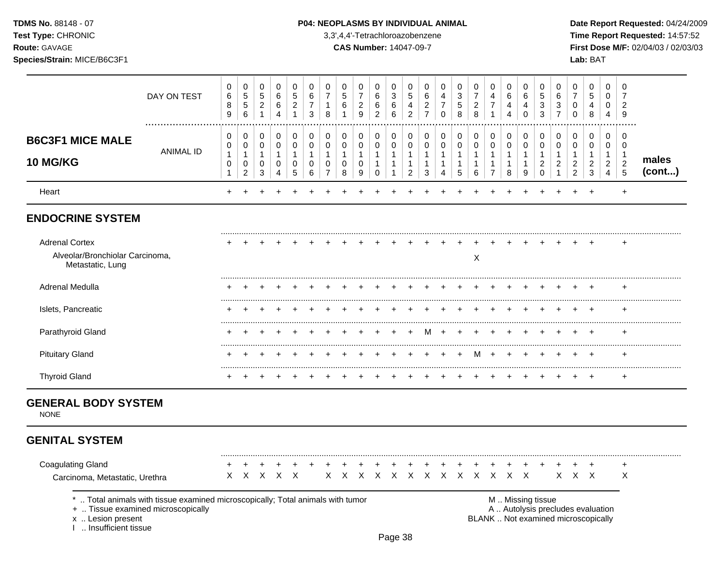**Test Type:** CHRONIC 3,3',4,4'-Tetrachloroazobenzene **Time Report Requested:** 14:57:52 **Route:** GAVAGE **CAS Number:** 14047-09-7 **First Dose M/F:** 02/04/03 / 02/03/03 **Species/Strain:** MICE/B6C3F1 **Lab:** BAT

|                                                                                   | DAY ON TEST                                                                     | 0<br>6<br>8<br>9                            | 0<br>$\overline{5}$<br>$\sqrt{5}$<br>$\,6$              | 0<br>5<br>$\overline{2}$<br>$\mathbf{1}$ | 0<br>6<br>6<br>4                              | 0<br>5<br>$\overline{2}$<br>$\mathbf 1$ | 0<br>$\,6$<br>$\overline{7}$<br>3 | 0<br>$\overline{7}$<br>$\mathbf{1}$<br>8     | 0<br>$\,$ 5 $\,$<br>6<br>$\mathbf{1}$      | 0<br>$\overline{7}$<br>$\overline{2}$<br>9 | 0<br>6<br>6<br>$\boldsymbol{2}$                                 | 0<br>3<br>$\,6$<br>6                       | 0<br>5<br>4<br>$\overline{c}$                 | 0<br>6<br>$\overline{c}$<br>$\overline{7}$            | $\pmb{0}$<br>$\overline{\mathbf{4}}$<br>$\overline{7}$<br>$\mathbf 0$ | 0<br>$\sqrt{3}$<br>$\sqrt{5}$<br>8                    | 0<br>$\boldsymbol{7}$<br>$\boldsymbol{2}$<br>$\,8\,$ | 0<br>$\overline{4}$<br>$\boldsymbol{7}$<br>1                       | 0<br>6<br>4<br>4                                           | 0<br>6<br>$\overline{4}$<br>$\mathbf 0$                           | 0<br>5<br>3<br>3                                  | 0<br>$\,6$<br>$\ensuremath{\mathsf{3}}$<br>$\overline{7}$ | 0<br>$\overline{7}$<br>0<br>$\mathbf 0$                                  | 0<br>$\sqrt{5}$<br>4<br>8                                      | 0<br>$\mathbf 0$<br>0<br>4                                           | 0<br>$\overline{7}$<br>$\overline{2}$<br>9                                  |                 |
|-----------------------------------------------------------------------------------|---------------------------------------------------------------------------------|---------------------------------------------|---------------------------------------------------------|------------------------------------------|-----------------------------------------------|-----------------------------------------|-----------------------------------|----------------------------------------------|--------------------------------------------|--------------------------------------------|-----------------------------------------------------------------|--------------------------------------------|-----------------------------------------------|-------------------------------------------------------|-----------------------------------------------------------------------|-------------------------------------------------------|------------------------------------------------------|--------------------------------------------------------------------|------------------------------------------------------------|-------------------------------------------------------------------|---------------------------------------------------|-----------------------------------------------------------|--------------------------------------------------------------------------|----------------------------------------------------------------|----------------------------------------------------------------------|-----------------------------------------------------------------------------|-----------------|
| <b>B6C3F1 MICE MALE</b><br><b>10 MG/KG</b>                                        | <b>ANIMAL ID</b>                                                                | 0<br>0<br>$\mathbf{1}$<br>0<br>$\mathbf{1}$ | 0<br>$\mathbf 0$<br>$\mathbf{1}$<br>0<br>$\overline{c}$ | 0<br>0<br>$\mathbf{1}$<br>0<br>3         | 0<br>0<br>$\mathbf{1}$<br>0<br>$\overline{4}$ | 0<br>0<br>$\mathbf{1}$<br>$\Omega$<br>5 | 0<br>0<br>$\mathbf 1$<br>0<br>6   | 0<br>0<br>$\mathbf 1$<br>0<br>$\overline{7}$ | 0<br>$\mathbf 0$<br>$\mathbf{1}$<br>0<br>8 | 0<br>$\mathbf 0$<br>$\mathbf{1}$<br>0<br>9 | 0<br>$\mathbf 0$<br>$\mathbf{1}$<br>$\mathbf{1}$<br>$\mathbf 0$ | 0<br>$\mathbf 0$<br>$\mathbf{1}$<br>1<br>1 | 0<br>0<br>$\mathbf{1}$<br>1<br>$\overline{2}$ | 0<br>$\mathbf 0$<br>$\mathbf{1}$<br>$\mathbf{1}$<br>3 | 0<br>$\pmb{0}$<br>$\mathbf{1}$<br>$\mathbf{1}$<br>$\overline{4}$      | 0<br>$\mathbf 0$<br>$\mathbf{1}$<br>$\mathbf{1}$<br>5 | 0<br>$\pmb{0}$<br>$\mathbf{1}$<br>$\mathbf{1}$<br>6  | 0<br>$\mathbf 0$<br>$\mathbf{1}$<br>$\mathbf{1}$<br>$\overline{7}$ | 0<br>$\boldsymbol{0}$<br>$\mathbf{1}$<br>$\mathbf{1}$<br>8 | $\mathbf 0$<br>$\mathbf 0$<br>$\mathbf{1}$<br>$\overline{1}$<br>9 | 0<br>$\mathbf 0$<br>$\mathbf{1}$<br>2<br>$\Omega$ | 0<br>0<br>$\mathbf{1}$<br>2<br>$\mathbf{1}$               | 0<br>0<br>$\mathbf{1}$<br>$\overline{c}$<br>$\overline{c}$               | 0<br>$\mathbf 0$<br>$\mathbf{1}$<br>$\sqrt{2}$<br>$\mathbf{3}$ | $\mathbf 0$<br>0<br>$\mathbf{1}$<br>$\overline{a}$<br>$\overline{4}$ | $\mathbf 0$<br>$\mathbf 0$<br>$\mathbf 1$<br>$\boldsymbol{2}$<br>$\sqrt{5}$ | males<br>(cont) |
| Heart                                                                             |                                                                                 |                                             |                                                         |                                          |                                               |                                         |                                   |                                              |                                            |                                            |                                                                 |                                            |                                               |                                                       |                                                                       |                                                       |                                                      |                                                                    |                                                            |                                                                   |                                                   |                                                           |                                                                          | $\ddot{}$                                                      |                                                                      | $\ddot{}$                                                                   |                 |
| <b>ENDOCRINE SYSTEM</b>                                                           |                                                                                 |                                             |                                                         |                                          |                                               |                                         |                                   |                                              |                                            |                                            |                                                                 |                                            |                                               |                                                       |                                                                       |                                                       |                                                      |                                                                    |                                                            |                                                                   |                                                   |                                                           |                                                                          |                                                                |                                                                      |                                                                             |                 |
| <b>Adrenal Cortex</b><br>Alveolar/Bronchiolar Carcinoma,<br>Metastatic, Lung      |                                                                                 |                                             |                                                         |                                          |                                               |                                         |                                   |                                              |                                            |                                            |                                                                 |                                            |                                               |                                                       |                                                                       |                                                       | X                                                    |                                                                    |                                                            |                                                                   |                                                   |                                                           |                                                                          |                                                                |                                                                      |                                                                             |                 |
| Adrenal Medulla                                                                   |                                                                                 |                                             |                                                         |                                          |                                               |                                         |                                   |                                              |                                            |                                            |                                                                 |                                            |                                               |                                                       |                                                                       |                                                       |                                                      |                                                                    |                                                            |                                                                   |                                                   |                                                           |                                                                          |                                                                |                                                                      |                                                                             |                 |
| Islets, Pancreatic                                                                |                                                                                 |                                             |                                                         |                                          |                                               |                                         |                                   |                                              |                                            |                                            |                                                                 |                                            |                                               |                                                       |                                                                       |                                                       |                                                      |                                                                    |                                                            |                                                                   |                                                   |                                                           |                                                                          | $\div$                                                         |                                                                      | $\ddot{}$                                                                   |                 |
| Parathyroid Gland                                                                 |                                                                                 |                                             |                                                         |                                          |                                               |                                         |                                   |                                              |                                            |                                            |                                                                 |                                            |                                               |                                                       |                                                                       |                                                       |                                                      |                                                                    |                                                            |                                                                   |                                                   |                                                           |                                                                          |                                                                |                                                                      |                                                                             |                 |
| <b>Pituitary Gland</b>                                                            |                                                                                 |                                             |                                                         |                                          |                                               |                                         |                                   |                                              |                                            |                                            |                                                                 |                                            |                                               |                                                       |                                                                       | $\ddot{}$                                             | м                                                    | $\div$                                                             |                                                            |                                                                   |                                                   |                                                           |                                                                          | $\ddot{}$                                                      |                                                                      | $\ddot{}$                                                                   |                 |
| <b>Thyroid Gland</b>                                                              |                                                                                 |                                             |                                                         |                                          |                                               |                                         |                                   |                                              |                                            |                                            |                                                                 |                                            |                                               |                                                       |                                                                       |                                                       |                                                      |                                                                    |                                                            |                                                                   |                                                   |                                                           |                                                                          | $\overline{ }$                                                 |                                                                      | $+$                                                                         |                 |
| <b>GENERAL BODY SYSTEM</b><br><b>NONE</b>                                         |                                                                                 |                                             |                                                         |                                          |                                               |                                         |                                   |                                              |                                            |                                            |                                                                 |                                            |                                               |                                                       |                                                                       |                                                       |                                                      |                                                                    |                                                            |                                                                   |                                                   |                                                           |                                                                          |                                                                |                                                                      |                                                                             |                 |
| <b>GENITAL SYSTEM</b>                                                             |                                                                                 |                                             |                                                         |                                          |                                               |                                         |                                   |                                              |                                            |                                            |                                                                 |                                            |                                               |                                                       |                                                                       |                                                       |                                                      |                                                                    |                                                            |                                                                   |                                                   |                                                           |                                                                          |                                                                |                                                                      |                                                                             |                 |
| <b>Coagulating Gland</b><br>Carcinoma, Metastatic, Urethra                        |                                                                                 | X.                                          | $\mathsf{X}$                                            | $\times$                                 |                                               | $X \times$                              |                                   | X                                            | $\mathsf{X}$                               | $\mathsf{X}$                               | $\mathsf{X}$                                                    |                                            | X X X X X X X                                 |                                                       |                                                                       |                                                       |                                                      |                                                                    | X                                                          | $\times$                                                          |                                                   |                                                           | $X$ $X$ $X$                                                              | $\ddot{}$                                                      |                                                                      | $\ddot{}$<br>X                                                              |                 |
| +  Tissue examined microscopically<br>x  Lesion present<br>1  Insufficient tissue | *  Total animals with tissue examined microscopically; Total animals with tumor |                                             |                                                         |                                          |                                               |                                         |                                   |                                              |                                            |                                            |                                                                 |                                            |                                               |                                                       |                                                                       |                                                       |                                                      |                                                                    |                                                            | M  Missing tissue                                                 |                                                   |                                                           | A  Autolysis precludes evaluation<br>BLANK  Not examined microscopically |                                                                |                                                                      |                                                                             |                 |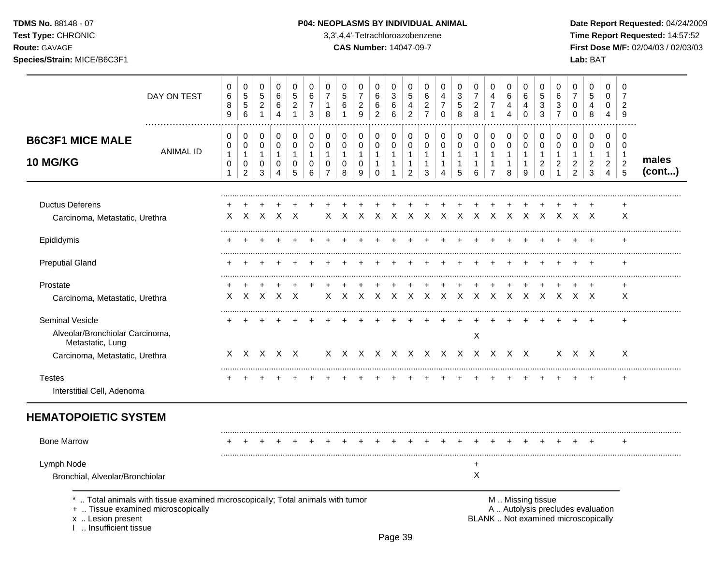TDMS No. 88148 - 07

## Test Type: CHRONIC

Route: GAVAGE

Species/Strain: MICE/B6C3F1

### P04: NEOPLASMS BY INDIVIDUAL ANIMAL

3,3',4,4'-Tetrachloroazobenzene

**CAS Number: 14047-09-7** 

Date Report Requested: 04/24/2009 Time Report Requested: 14:57:52 First Dose M/F: 02/04/03 / 02/03/03 Lab: BAT

|                                                                                                          | DAY ON TEST                                                                                                        | 0<br>6<br>8<br>9                           | 0<br>$\sqrt{5}$<br>$\sqrt{5}$<br>$\,6\,$      | 0<br>5<br>$\overline{c}$<br>$\mathbf{1}$   | 0<br>6<br>6<br>$\overline{4}$                           | 0<br>$\overline{5}$<br>$\overline{c}$<br>$\mathbf 1$ | 0<br>6<br>$\overline{7}$<br>3    | $\Omega$<br>$\overline{7}$<br>$\mathbf{1}$<br>8                           | 0<br>$\overline{5}$<br>$\,6$<br>1       | 0<br>$\overline{7}$<br>$\overline{c}$<br>$\boldsymbol{9}$ | 0<br>6<br>6<br>$\overline{c}$                                               | 0<br>$\mathbf{3}$<br>6<br>$\,6$                                  | 0<br>5<br>4<br>$\overline{c}$                            | 0<br>6<br>$\overline{\mathbf{c}}$<br>$\overline{7}$ | 0<br>$\overline{4}$<br>$\overline{7}$<br>$\Omega$                              | 0<br>$\mathbf{3}$<br>$\overline{5}$<br>8 | 0<br>$\overline{7}$<br>$\overline{c}$<br>8  | 0<br>4<br>$\overline{7}$<br>$\mathbf{1}$                                       | 0<br>6<br>4<br>$\overline{4}$                       | 0<br>6<br>4<br>0                            | 0<br>5<br>$\mathbf{3}$<br>3                             | 0<br>$\,6$<br>$\sqrt{3}$<br>$\overline{7}$                                    | 0<br>$\overline{7}$<br>0<br>0                   | 0<br>$\sqrt{5}$<br>4<br>8                                                | 0<br>$\mathbf 0$<br>0<br>4                                           | 0<br>$\overline{7}$<br>$\overline{2}$<br>9             |                 |
|----------------------------------------------------------------------------------------------------------|--------------------------------------------------------------------------------------------------------------------|--------------------------------------------|-----------------------------------------------|--------------------------------------------|---------------------------------------------------------|------------------------------------------------------|----------------------------------|---------------------------------------------------------------------------|-----------------------------------------|-----------------------------------------------------------|-----------------------------------------------------------------------------|------------------------------------------------------------------|----------------------------------------------------------|-----------------------------------------------------|--------------------------------------------------------------------------------|------------------------------------------|---------------------------------------------|--------------------------------------------------------------------------------|-----------------------------------------------------|---------------------------------------------|---------------------------------------------------------|-------------------------------------------------------------------------------|-------------------------------------------------|--------------------------------------------------------------------------|----------------------------------------------------------------------|--------------------------------------------------------|-----------------|
| <b>B6C3F1 MICE MALE</b><br>10 MG/KG                                                                      | <b>ANIMAL ID</b>                                                                                                   | $\mathbf 0$<br>0<br>1<br>0<br>$\mathbf{1}$ | 0<br>0<br>$\mathbf{1}$<br>0<br>$\overline{2}$ | 0<br>0<br>$\mathbf{1}$<br>$\mathbf 0$<br>3 | 0<br>$\mathsf 0$<br>$\mathbf{1}$<br>0<br>$\overline{4}$ | 0<br>0<br>$\mathbf{1}$<br>0<br>5                     | 0<br>0<br>$\mathbf{1}$<br>0<br>6 | $\mathbf 0$<br>$\pmb{0}$<br>$\mathbf{1}$<br>$\mathbf 0$<br>$\overline{7}$ | 0<br>$\pmb{0}$<br>1<br>$\mathbf 0$<br>8 | 0<br>0<br>$\mathbf{1}$<br>0<br>9                          | $\mathbf 0$<br>$\mathbf 0$<br>$\overline{1}$<br>$\mathbf{1}$<br>$\mathbf 0$ | 0<br>$\mathbf 0$<br>$\mathbf{1}$<br>$\mathbf{1}$<br>$\mathbf{1}$ | 0<br>0<br>$\mathbf{1}$<br>$\mathbf{1}$<br>$\overline{c}$ | 0<br>0<br>$\mathbf{1}$<br>$\mathbf{1}$<br>3         | $\mathbf 0$<br>$\mathbf 0$<br>$\mathbf{1}$<br>$\overline{1}$<br>$\overline{4}$ | 0<br>0<br>1<br>$\mathbf{1}$<br>5         | 0<br>0<br>$\mathbf{1}$<br>$\mathbf{1}$<br>6 | $\mathbf 0$<br>$\mathbf 0$<br>$\overline{1}$<br>$\mathbf{1}$<br>$\overline{7}$ | 0<br>$\pmb{0}$<br>$\mathbf{1}$<br>$\mathbf{1}$<br>8 | 0<br>0<br>$\mathbf{1}$<br>$\mathbf{1}$<br>9 | 0<br>0<br>$\mathbf{1}$<br>$\overline{2}$<br>$\mathbf 0$ | $\mathbf 0$<br>$\Omega$<br>$\overline{1}$<br>$\overline{2}$<br>$\overline{1}$ | 0<br>0<br>1<br>$\overline{c}$<br>$\overline{2}$ | 0<br>0<br>$\mathbf{1}$<br>$\overline{c}$<br>$\mathbf{3}$                 | $\mathbf 0$<br>0<br>$\mathbf{1}$<br>$\overline{2}$<br>$\overline{4}$ | $\mathbf 0$<br>0<br>$\mathbf 1$<br>$\overline{2}$<br>5 | males<br>(cont) |
| <b>Ductus Deferens</b><br>Carcinoma, Metastatic, Urethra                                                 |                                                                                                                    | X                                          | $\times$                                      | $\times$                                   | $\times$                                                | $\mathsf{X}$                                         |                                  | X                                                                         | $\times$                                | $\times$                                                  | $\mathsf{X}$                                                                | $\mathsf{X}$                                                     |                                                          |                                                     | $X$ $X$ $X$ $X$ $X$                                                            |                                          |                                             | $\mathsf{X}$                                                                   |                                                     |                                             |                                                         |                                                                               | $X$ $X$ $X$ $X$ $X$ $X$                         |                                                                          |                                                                      | +<br>X                                                 |                 |
| Epididymis                                                                                               |                                                                                                                    |                                            |                                               |                                            |                                                         |                                                      |                                  |                                                                           |                                         |                                                           |                                                                             |                                                                  |                                                          |                                                     |                                                                                |                                          |                                             |                                                                                |                                                     |                                             |                                                         |                                                                               |                                                 |                                                                          |                                                                      |                                                        |                 |
| <b>Preputial Gland</b>                                                                                   |                                                                                                                    |                                            |                                               |                                            |                                                         |                                                      |                                  |                                                                           |                                         |                                                           |                                                                             |                                                                  |                                                          |                                                     |                                                                                |                                          |                                             |                                                                                |                                                     |                                             |                                                         |                                                                               |                                                 |                                                                          |                                                                      |                                                        |                 |
| Prostate<br>Carcinoma, Metastatic, Urethra                                                               |                                                                                                                    | X.                                         |                                               | X X X X                                    |                                                         |                                                      |                                  |                                                                           |                                         |                                                           |                                                                             |                                                                  |                                                          |                                                     |                                                                                |                                          |                                             |                                                                                |                                                     |                                             |                                                         |                                                                               |                                                 |                                                                          |                                                                      | $\ddot{}$<br>X                                         |                 |
| Seminal Vesicle<br>Alveolar/Bronchiolar Carcinoma,<br>Metastatic, Lung<br>Carcinoma, Metastatic, Urethra |                                                                                                                    |                                            |                                               | $X$ $X$ $X$ $X$ $X$                        |                                                         |                                                      |                                  |                                                                           |                                         |                                                           |                                                                             |                                                                  | X X X X X X X X X X X X                                  |                                                     |                                                                                |                                          | X                                           |                                                                                |                                                     |                                             |                                                         |                                                                               | $X$ $X$ $X$                                     |                                                                          |                                                                      | $\ddot{}$<br>$\times$                                  |                 |
| <b>Testes</b><br>Interstitial Cell, Adenoma                                                              |                                                                                                                    |                                            |                                               |                                            |                                                         |                                                      |                                  |                                                                           |                                         |                                                           |                                                                             |                                                                  |                                                          |                                                     |                                                                                |                                          |                                             |                                                                                |                                                     |                                             |                                                         |                                                                               |                                                 |                                                                          |                                                                      | $\ddot{}$                                              |                 |
| <b>HEMATOPOIETIC SYSTEM</b>                                                                              |                                                                                                                    |                                            |                                               |                                            |                                                         |                                                      |                                  |                                                                           |                                         |                                                           |                                                                             |                                                                  |                                                          |                                                     |                                                                                |                                          |                                             |                                                                                |                                                     |                                             |                                                         |                                                                               |                                                 |                                                                          |                                                                      |                                                        |                 |
| <b>Bone Marrow</b>                                                                                       |                                                                                                                    |                                            |                                               |                                            |                                                         |                                                      |                                  |                                                                           |                                         |                                                           |                                                                             |                                                                  |                                                          |                                                     |                                                                                |                                          |                                             |                                                                                |                                                     |                                             |                                                         |                                                                               |                                                 |                                                                          |                                                                      |                                                        |                 |
| Lymph Node<br>Bronchial, Alveolar/Bronchiolar                                                            |                                                                                                                    |                                            |                                               |                                            |                                                         |                                                      |                                  |                                                                           |                                         |                                                           |                                                                             |                                                                  |                                                          |                                                     |                                                                                |                                          | $\ddot{}$<br>X                              |                                                                                |                                                     |                                             |                                                         |                                                                               |                                                 |                                                                          |                                                                      |                                                        |                 |
| x  Lesion present<br>Insufficient tissue                                                                 | Total animals with tissue examined microscopically; Total animals with tumor<br>+  Tissue examined microscopically |                                            |                                               |                                            |                                                         |                                                      |                                  |                                                                           |                                         |                                                           |                                                                             |                                                                  |                                                          |                                                     |                                                                                |                                          |                                             |                                                                                |                                                     |                                             | M  Missing tissue                                       |                                                                               |                                                 | A  Autolysis precludes evaluation<br>BLANK  Not examined microscopically |                                                                      |                                                        |                 |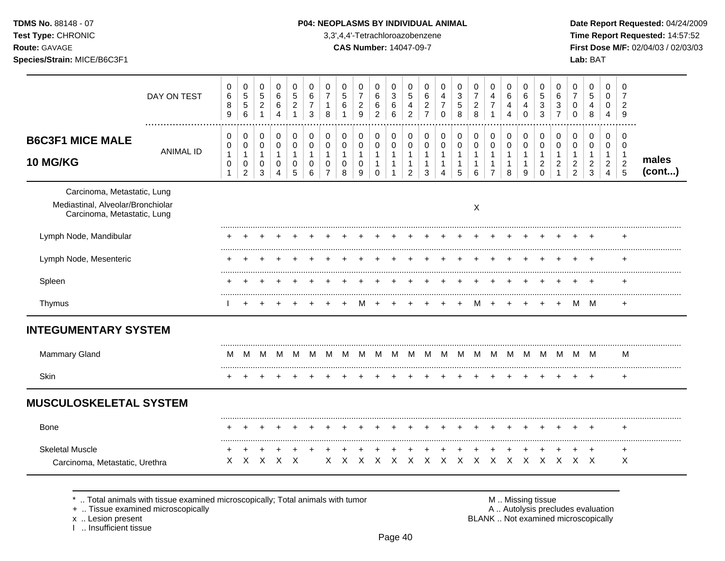| <b>TDMS No. 88148 - 07</b> |  |
|----------------------------|--|
| Test Type: CHRONIC         |  |
| Route: GAVAGE              |  |

**Time Report Requested:** 14:57:52 **Route:** GAVAGE **CAS Number:** 14047-09-7 **First Dose M/F:** 02/04/03 / 02/03/03

|                                                                                                 | DAY ON TEST      | 0<br>6<br>8<br>9                         | $\pmb{0}$<br>$\sqrt{5}$<br>$\sqrt{5}$<br>6                    | 0<br>$\sqrt{5}$<br>$\sqrt{2}$<br>$\mathbf{1}$                 | 0<br>6<br>$\,6\,$<br>4                               | 0<br>$\overline{5}$<br>$\boldsymbol{2}$<br>1                        | $\Omega$<br>6<br>$\overline{7}$<br>3 | 0<br>$\overline{7}$<br>$\mathbf{1}$<br>8 | 0<br>5<br>6                   | 0<br>$\overline{7}$<br>$\overline{c}$<br>9 | 0<br>$\,6$<br>$\,6\,$<br>$\overline{c}$ | 0<br>$\mathbf{3}$<br>$\,6$<br>6                                      | 0<br>5<br>$\overline{4}$<br>2                           | 0<br>6<br>$\overline{c}$<br>$\overline{7}$ | 0<br>4<br>$\overline{7}$<br>$\mathbf 0$ | 0<br>$\mathbf{3}$<br>$\sqrt{5}$<br>8     | 0<br>$\overline{7}$<br>$\overline{c}$<br>8 | 0<br>4<br>$\overline{7}$<br>1                | 0<br>6<br>4<br>4                            | 0<br>6<br>4<br>$\Omega$ | 0<br>5<br>3<br>3                           | 0<br>6<br>3<br>$\overline{7}$  | 0<br>$\overline{7}$<br>$\mathbf 0$<br>$\Omega$            | 0<br>$\sqrt{5}$<br>$\overline{4}$<br>8 | 0<br>0<br>0<br>4                     | 0<br>$\overline{7}$<br>$\overline{2}$<br>9                       |                 |
|-------------------------------------------------------------------------------------------------|------------------|------------------------------------------|---------------------------------------------------------------|---------------------------------------------------------------|------------------------------------------------------|---------------------------------------------------------------------|--------------------------------------|------------------------------------------|-------------------------------|--------------------------------------------|-----------------------------------------|----------------------------------------------------------------------|---------------------------------------------------------|--------------------------------------------|-----------------------------------------|------------------------------------------|--------------------------------------------|----------------------------------------------|---------------------------------------------|-------------------------|--------------------------------------------|--------------------------------|-----------------------------------------------------------|----------------------------------------|--------------------------------------|------------------------------------------------------------------|-----------------|
| <b>B6C3F1 MICE MALE</b><br><b>10 MG/KG</b>                                                      | <b>ANIMAL ID</b> | 0<br>0<br>1<br>$\pmb{0}$<br>$\mathbf{1}$ | 0<br>$\pmb{0}$<br>$\mathbf{1}$<br>$\pmb{0}$<br>$\overline{c}$ | 0<br>$\mathbf 0$<br>$\mathbf{1}$<br>$\pmb{0}$<br>$\mathbf{3}$ | 0<br>$\mathbf 0$<br>$\mathbf{1}$<br>$\mathsf 0$<br>4 | 0<br>$\mathbf 0$<br>$\overline{1}$<br>$\mathbf 0$<br>$\overline{5}$ | 0<br>0<br>1<br>0<br>6                | 0<br>0<br>-1<br>0<br>7                   | 0<br>0<br>1<br>$\pmb{0}$<br>8 | 0<br>0<br>$\mathbf{1}$<br>$\pmb{0}$<br>9   | 0<br>0<br>1<br>$\mathbf{1}$<br>$\Omega$ | 0<br>$\boldsymbol{0}$<br>$\mathbf{1}$<br>$\mathbf{1}$<br>$\mathbf 1$ | 0<br>0<br>$\mathbf{1}$<br>$\mathbf 1$<br>$\overline{2}$ | 0<br>0<br>1<br>1<br>3                      | 0<br>0<br>-1<br>1<br>4                  | 0<br>$\pmb{0}$<br>1<br>$\mathbf{1}$<br>5 | 0<br>0<br>1<br>1<br>6                      | 0<br>$\mathbf 0$<br>1<br>1<br>$\overline{7}$ | 0<br>0<br>$\mathbf{1}$<br>$\mathbf{1}$<br>8 | 0<br>0<br>1<br>1<br>9   | 0<br>0<br>-1<br>$\overline{c}$<br>$\Omega$ | 0<br>0<br>-1<br>$\overline{c}$ | 0<br>0<br>$\mathbf 1$<br>$\overline{c}$<br>$\overline{2}$ | 0<br>0<br>1<br>$\boldsymbol{2}$<br>3   | 0<br>0<br>1<br>$\boldsymbol{2}$<br>4 | $\mathbf 0$<br>$\mathbf 0$<br>$\mathbf 1$<br>$\overline{c}$<br>5 | males<br>(cont) |
| Carcinoma, Metastatic, Lung<br>Mediastinal, Alveolar/Bronchiolar<br>Carcinoma, Metastatic, Lung |                  |                                          |                                                               |                                                               |                                                      |                                                                     |                                      |                                          |                               |                                            |                                         |                                                                      |                                                         |                                            |                                         |                                          | X                                          |                                              |                                             |                         |                                            |                                |                                                           |                                        |                                      |                                                                  |                 |
| Lymph Node, Mandibular                                                                          |                  |                                          |                                                               |                                                               |                                                      |                                                                     |                                      |                                          |                               |                                            |                                         |                                                                      |                                                         |                                            |                                         |                                          |                                            |                                              |                                             |                         |                                            |                                |                                                           |                                        |                                      | ÷                                                                |                 |
| Lymph Node, Mesenteric                                                                          |                  |                                          |                                                               |                                                               |                                                      |                                                                     |                                      |                                          |                               |                                            |                                         |                                                                      |                                                         |                                            |                                         |                                          |                                            |                                              |                                             |                         |                                            |                                |                                                           |                                        |                                      |                                                                  |                 |
| Spleen                                                                                          |                  |                                          |                                                               |                                                               |                                                      |                                                                     |                                      |                                          |                               |                                            |                                         |                                                                      |                                                         |                                            |                                         |                                          |                                            |                                              |                                             |                         |                                            |                                |                                                           |                                        |                                      | ÷                                                                |                 |
| Thymus                                                                                          |                  |                                          |                                                               |                                                               |                                                      |                                                                     |                                      |                                          |                               | м                                          |                                         |                                                                      |                                                         |                                            |                                         |                                          | м                                          | $\overline{+}$                               |                                             |                         |                                            | +                              |                                                           | M M                                    |                                      | $\ddot{}$                                                        |                 |
| <b>INTEGUMENTARY SYSTEM</b>                                                                     |                  |                                          |                                                               |                                                               |                                                      |                                                                     |                                      |                                          |                               |                                            |                                         |                                                                      |                                                         |                                            |                                         |                                          |                                            |                                              |                                             |                         |                                            |                                |                                                           |                                        |                                      |                                                                  |                 |
| Mammary Gland                                                                                   |                  | M                                        | ΙVΙ                                                           | M                                                             | M                                                    | M                                                                   | M                                    | м                                        | M                             | M                                          | M                                       | M                                                                    | M                                                       | M                                          | M                                       | м                                        | M                                          | M                                            | M                                           | M                       | M                                          | м                              | M                                                         | M                                      |                                      | м                                                                |                 |
| Skin                                                                                            |                  |                                          |                                                               |                                                               |                                                      |                                                                     |                                      |                                          |                               |                                            |                                         |                                                                      |                                                         |                                            |                                         |                                          |                                            |                                              |                                             |                         |                                            |                                |                                                           | $\,^+$                                 |                                      | $\ddot{}$                                                        |                 |
| <b>MUSCULOSKELETAL SYSTEM</b>                                                                   |                  |                                          |                                                               |                                                               |                                                      |                                                                     |                                      |                                          |                               |                                            |                                         |                                                                      |                                                         |                                            |                                         |                                          |                                            |                                              |                                             |                         |                                            |                                |                                                           |                                        |                                      |                                                                  |                 |
| <b>Bone</b>                                                                                     |                  |                                          |                                                               |                                                               |                                                      |                                                                     |                                      |                                          |                               |                                            |                                         |                                                                      |                                                         |                                            |                                         |                                          |                                            |                                              |                                             |                         |                                            |                                |                                                           |                                        |                                      |                                                                  |                 |
| <b>Skeletal Muscle</b><br>Carcinoma, Metastatic, Urethra                                        |                  | X                                        | X                                                             | X                                                             | X                                                    | $\times$                                                            |                                      | X                                        | X                             | X                                          | X                                       | X                                                                    | $\times$                                                | $\times$                                   | X                                       | $\times$                                 | $\times$                                   | $\times$                                     | $\times$                                    | $\mathsf{X}$            | $\times$                                   | $\times$                       | $X$ $X$                                                   | $\ddot{}$                              |                                      | $\ddot{}$<br>X                                                   |                 |

 $*$  .. Total animals with tissue examined microscopically; Total animals with tumor  $\blacksquare$  M .. Missing tissue

+ .. Tissue examined microscopically  $\blacksquare$  A .. Autolysis precludes evaluation

x .. Lesion present<br>I .. Insufficient tissue

M .. Missing tissue<br>A .. Autolysis precludes evaluation<br>BLANK .. Not examined microscopically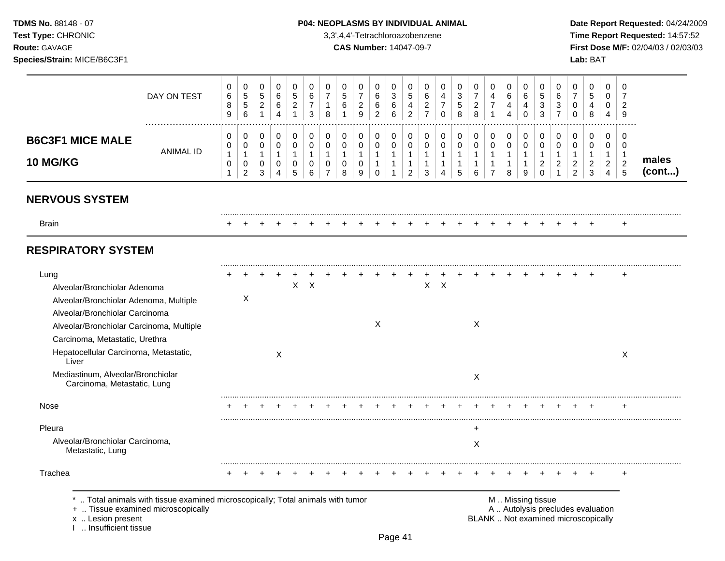**Test Type:** CHRONIC 3,3',4,4'-Tetrachloroazobenzene **Time Report Requested:** 14:57:52 **Route:** GAVAGE **CAS Number:** 14047-09-7 **First Dose M/F:** 02/04/03 / 02/03/03 **Species/Strain:** MICE/B6C3F1 **Lab:** BAT

|                                                                                                                                                                                                | DAY ON TEST                                                                  | 0<br>6<br>$\bf8$<br>9                    | 0<br>$\,$ 5 $\,$<br>$\sqrt{5}$<br>$\,6\,$     | 0<br>$\mathbf 5$<br>$\sqrt{2}$<br>$\mathbf{1}$ | 0<br>6<br>6<br>$\overline{4}$                     | 0<br>$\sqrt{5}$<br>$\overline{2}$<br>$\mathbf{1}$ | 0<br>6<br>$\overline{7}$<br>$\sqrt{3}$ | 0<br>$\overline{7}$<br>-1<br>8                                           | 0<br>5<br>$\,6$                          | 0<br>$\overline{7}$<br>$\sqrt{2}$<br>9     | 0<br>6<br>6<br>$\overline{2}$                                 | 0<br>$\ensuremath{\mathsf{3}}$<br>$\,6$<br>6                     | 0<br>$\sqrt{5}$<br>4<br>$\overline{c}$                   | 0<br>6<br>$\overline{c}$<br>$\overline{7}$                  | 0<br>$\overline{4}$<br>$\overline{7}$<br>$\mathbf 0$ | 0<br>3<br>$\sqrt{5}$<br>8 | 0<br>$\boldsymbol{7}$<br>$\sqrt{2}$<br>8           | 0<br>4<br>$\overline{7}$<br>$\mathbf{1}$                         | 0<br>6<br>4<br>$\overline{4}$           | 0<br>6<br>4<br>$\Omega$                             | 0<br>5<br>3<br>3                                             | 0<br>6<br>3<br>$\overline{7}$           | 0<br>$\overline{7}$<br>$\mathbf 0$<br>$\Omega$            | 0<br>5<br>4<br>8                              | 0<br>$\mathbf 0$<br>$\mathbf{0}$<br>$\overline{4}$           | 0<br>$\overline{7}$<br>$\overline{c}$<br>9  |                 |
|------------------------------------------------------------------------------------------------------------------------------------------------------------------------------------------------|------------------------------------------------------------------------------|------------------------------------------|-----------------------------------------------|------------------------------------------------|---------------------------------------------------|---------------------------------------------------|----------------------------------------|--------------------------------------------------------------------------|------------------------------------------|--------------------------------------------|---------------------------------------------------------------|------------------------------------------------------------------|----------------------------------------------------------|-------------------------------------------------------------|------------------------------------------------------|---------------------------|----------------------------------------------------|------------------------------------------------------------------|-----------------------------------------|-----------------------------------------------------|--------------------------------------------------------------|-----------------------------------------|-----------------------------------------------------------|-----------------------------------------------|--------------------------------------------------------------|---------------------------------------------|-----------------|
| <b>B6C3F1 MICE MALE</b><br>10 MG/KG                                                                                                                                                            | <b>ANIMAL ID</b>                                                             | 0<br>0<br>$\mathbf{1}$<br>$\pmb{0}$<br>1 | 0<br>0<br>$\mathbf{1}$<br>0<br>$\overline{2}$ | 0<br>$\pmb{0}$<br>$\mathbf{1}$<br>0<br>3       | $\pmb{0}$<br>$\mathbf 0$<br>1<br>$\mathbf 0$<br>4 | $\mathbf 0$<br>0<br>$\mathbf{1}$<br>0<br>5        | 0<br>0<br>$\mathbf{1}$<br>0<br>6       | $\mathbf 0$<br>$\mathbf 0$<br>$\mathbf{1}$<br>$\Omega$<br>$\overline{7}$ | 0<br>$\pmb{0}$<br>$\mathbf{1}$<br>0<br>8 | 0<br>$\mathbf 0$<br>$\mathbf{1}$<br>0<br>9 | 0<br>$\pmb{0}$<br>$\mathbf{1}$<br>$\mathbf{1}$<br>$\mathbf 0$ | 0<br>$\mathbf 0$<br>$\mathbf{1}$<br>$\mathbf{1}$<br>$\mathbf{1}$ | 0<br>0<br>$\mathbf{1}$<br>$\mathbf{1}$<br>$\overline{c}$ | $\pmb{0}$<br>$\pmb{0}$<br>$\mathbf{1}$<br>$\mathbf{1}$<br>3 | 0<br>$\pmb{0}$<br>$\mathbf{1}$<br>1<br>4             | 0<br>0<br>1<br>1<br>5     | $\mathbf 0$<br>$\pmb{0}$<br>$\mathbf{1}$<br>1<br>6 | 0<br>$\pmb{0}$<br>$\mathbf{1}$<br>$\mathbf{1}$<br>$\overline{7}$ | 0<br>$\pmb{0}$<br>1<br>$\mathbf 1$<br>8 | $\mathbf 0$<br>$\pmb{0}$<br>$\mathbf{1}$<br>-1<br>9 | 0<br>$\pmb{0}$<br>$\mathbf{1}$<br>$\overline{2}$<br>$\Omega$ | 0<br>$\mathbf 0$<br>1<br>$\overline{2}$ | 0<br>$\mathbf 0$<br>1<br>$\overline{c}$<br>$\overline{2}$ | 0<br>0<br>$\mathbf{1}$<br>$\overline{c}$<br>3 | 0<br>0<br>$\mathbf{1}$<br>$\boldsymbol{2}$<br>$\overline{4}$ | 0<br>0<br>$\overline{1}$<br>$\sqrt{2}$<br>5 | males<br>(cont) |
| <b>NERVOUS SYSTEM</b>                                                                                                                                                                          |                                                                              |                                          |                                               |                                                |                                                   |                                                   |                                        |                                                                          |                                          |                                            |                                                               |                                                                  |                                                          |                                                             |                                                      |                           |                                                    |                                                                  |                                         |                                                     |                                                              |                                         |                                                           |                                               |                                                              |                                             |                 |
| <b>Brain</b>                                                                                                                                                                                   |                                                                              |                                          |                                               |                                                |                                                   |                                                   |                                        |                                                                          |                                          |                                            |                                                               |                                                                  |                                                          |                                                             |                                                      |                           |                                                    |                                                                  |                                         |                                                     |                                                              |                                         |                                                           |                                               |                                                              | $\ddot{}$                                   |                 |
| <b>RESPIRATORY SYSTEM</b>                                                                                                                                                                      |                                                                              |                                          |                                               |                                                |                                                   |                                                   |                                        |                                                                          |                                          |                                            |                                                               |                                                                  |                                                          |                                                             |                                                      |                           |                                                    |                                                                  |                                         |                                                     |                                                              |                                         |                                                           |                                               |                                                              |                                             |                 |
| Lung<br>Alveolar/Bronchiolar Adenoma<br>Alveolar/Bronchiolar Adenoma, Multiple<br>Alveolar/Bronchiolar Carcinoma<br>Alveolar/Bronchiolar Carcinoma, Multiple<br>Carcinoma, Metastatic, Urethra |                                                                              |                                          | Χ                                             |                                                |                                                   |                                                   | $X$ $X$                                |                                                                          |                                          |                                            | $\times$                                                      |                                                                  |                                                          |                                                             | $X$ $X$                                              |                           | X                                                  |                                                                  |                                         |                                                     |                                                              |                                         |                                                           |                                               |                                                              | $\ddot{}$                                   |                 |
| Hepatocellular Carcinoma, Metastatic,<br>Liver                                                                                                                                                 |                                                                              |                                          |                                               |                                                | X                                                 |                                                   |                                        |                                                                          |                                          |                                            |                                                               |                                                                  |                                                          |                                                             |                                                      |                           |                                                    |                                                                  |                                         |                                                     |                                                              |                                         |                                                           |                                               |                                                              | X                                           |                 |
| Mediastinum, Alveolar/Bronchiolar<br>Carcinoma, Metastatic, Lung                                                                                                                               |                                                                              |                                          |                                               |                                                |                                                   |                                                   |                                        |                                                                          |                                          |                                            |                                                               |                                                                  |                                                          |                                                             |                                                      |                           | X                                                  |                                                                  |                                         |                                                     |                                                              |                                         |                                                           |                                               |                                                              |                                             |                 |
| Nose                                                                                                                                                                                           |                                                                              |                                          |                                               |                                                |                                                   |                                                   |                                        |                                                                          |                                          |                                            |                                                               |                                                                  |                                                          |                                                             |                                                      |                           |                                                    |                                                                  |                                         |                                                     |                                                              |                                         |                                                           |                                               |                                                              | ÷                                           |                 |
| Pleura<br>Alveolar/Bronchiolar Carcinoma,<br>Metastatic, Lung                                                                                                                                  |                                                                              |                                          |                                               |                                                |                                                   |                                                   |                                        |                                                                          |                                          |                                            |                                                               |                                                                  |                                                          |                                                             |                                                      |                           | $\ddot{}$<br>X                                     |                                                                  |                                         |                                                     |                                                              |                                         |                                                           |                                               |                                                              |                                             |                 |
| Trachea                                                                                                                                                                                        |                                                                              |                                          |                                               |                                                |                                                   |                                                   |                                        |                                                                          |                                          |                                            |                                                               |                                                                  |                                                          |                                                             |                                                      |                           |                                                    |                                                                  |                                         |                                                     |                                                              |                                         |                                                           |                                               |                                                              |                                             |                 |
| +  Tissue examined microscopically<br>x  Lesion present<br>I  Insufficient tissue                                                                                                              | Total animals with tissue examined microscopically; Total animals with tumor |                                          |                                               |                                                |                                                   |                                                   |                                        |                                                                          |                                          |                                            |                                                               |                                                                  |                                                          |                                                             |                                                      |                           |                                                    | BLANK  Not examined microscopically                              |                                         |                                                     | M  Missing tissue                                            |                                         | A  Autolysis precludes evaluation                         |                                               |                                                              |                                             |                 |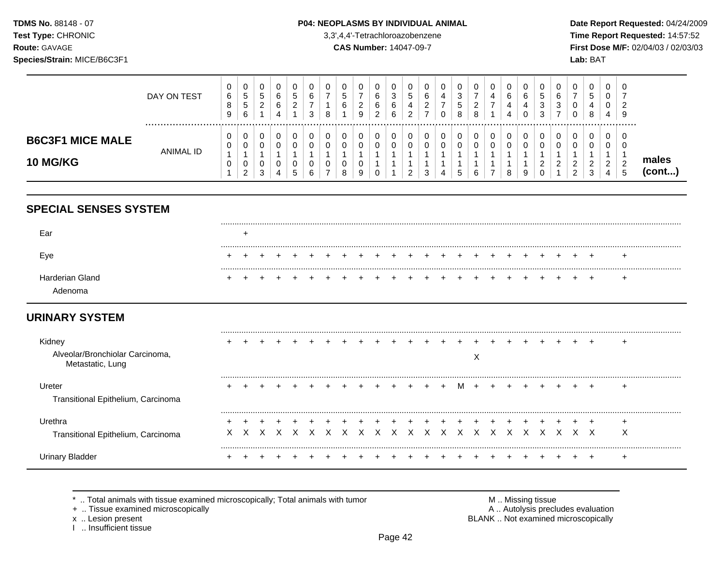TDMS No. 88148 - 07 Test Type: CHRONIC

# Route: GAVAGE

Species/Strain: MICE/B6C3F1

### P04: NEOPLASMS BY INDIVIDUAL ANIMAL

3,3',4,4'-Tetrachloroazobenzene

**CAS Number: 14047-09-7** 

Date Report Requested: 04/24/2009 Time Report Requested: 14:57:52 First Dose M/F: 02/04/03 / 02/03/03 Lab: BAT

|                                            | DAY ON TEST | 0<br>6<br>8<br>9 | 0<br>5<br>5<br>6                | U<br><sub>5</sub><br>ົ<br>∼ | b<br>6 | 0<br>$\mathbf{p}$<br>ົ | O<br>3 | U<br>8      | .5<br>6     | 0<br>ി<br>∼<br>9            | 0<br>6<br>6<br>◠<br>∼ | ν<br>3<br>6<br>6 | ν<br>€<br>4 | b<br>⌒ | 0<br>4 | $\sqrt{2}$<br>đ<br>8 | 0<br>◠<br><u>_</u><br>8 | U.<br>4          | 0<br>6<br>4<br>4 | υ<br>6<br>4<br>v | 0<br>ა<br>3<br>3      | U<br>6<br>3        | U       | 0<br>$\mathbf{p}$<br>4<br>8 | v<br>4 | v<br>◠<br><u>_</u><br>9     |                 |
|--------------------------------------------|-------------|------------------|---------------------------------|-----------------------------|--------|------------------------|--------|-------------|-------------|-----------------------------|-----------------------|------------------|-------------|--------|--------|----------------------|-------------------------|------------------|------------------|------------------|-----------------------|--------------------|---------|-----------------------------|--------|-----------------------------|-----------------|
| <b>B6C3F1 MICE MALE</b><br><b>10 MG/KG</b> | ANIMAL ID   | 0<br>0<br>0      | 0<br>0<br>0<br>C.<br>$\epsilon$ | U<br>0<br>U<br>3            |        | 0<br>0<br>0<br>ა       |        | υ<br>0<br>u | $\sim$<br>8 | 0<br>0<br>$\mathbf{0}$<br>9 | 0<br>0<br>0           | U<br>U           | υ           |        | 4      |                      | 0<br>0<br>6             | υ<br>$\sim$<br>◡ | 0<br>8           | υ<br>U<br>9      | 0<br>0<br>ົ<br>▵<br>0 | U<br>ົ<br><u>_</u> | ∼<br>-2 | 0<br>0<br>C.<br>3           | v<br>4 | 0<br>υ<br>ົ<br><sub>5</sub> | males<br>(cont) |

# **SPECIAL SENSES SYSTEM**

| Ear                                       | $\div$ |  |  |  |  |  |  |  |  |  |  |  |  |
|-------------------------------------------|--------|--|--|--|--|--|--|--|--|--|--|--|--|
| Eye                                       |        |  |  |  |  |  |  |  |  |  |  |  |  |
| Harderian Gland<br>Adenoma                |        |  |  |  |  |  |  |  |  |  |  |  |  |
| <b>URINARY SYSTEM</b>                     |        |  |  |  |  |  |  |  |  |  |  |  |  |
| Kidney<br>Alveolar/Bronchiolar Carcinoma, |        |  |  |  |  |  |  |  |  |  |  |  |  |

| Metastatic, Lung                             |  |  |  |  |  |  |                                   |  |  |  |  |   |  |
|----------------------------------------------|--|--|--|--|--|--|-----------------------------------|--|--|--|--|---|--|
| Ureter<br>Transitional Epithelium, Carcinoma |  |  |  |  |  |  | + + + + + + + + M + + + + + + + + |  |  |  |  | + |  |
| Urethra                                      |  |  |  |  |  |  |                                   |  |  |  |  |   |  |
| Transitional Epithelium, Carcinoma           |  |  |  |  |  |  |                                   |  |  |  |  | X |  |
| Urinary Bladder                              |  |  |  |  |  |  |                                   |  |  |  |  | + |  |

\* .. Total animals with tissue examined microscopically; Total animals with tumor

+ .. Tissue examined microscopically

x .. Lesion present

I .. Insufficient tissue

M .. Missing tissue A .. Autolysis precludes evaluation BLANK .. Not examined microscopically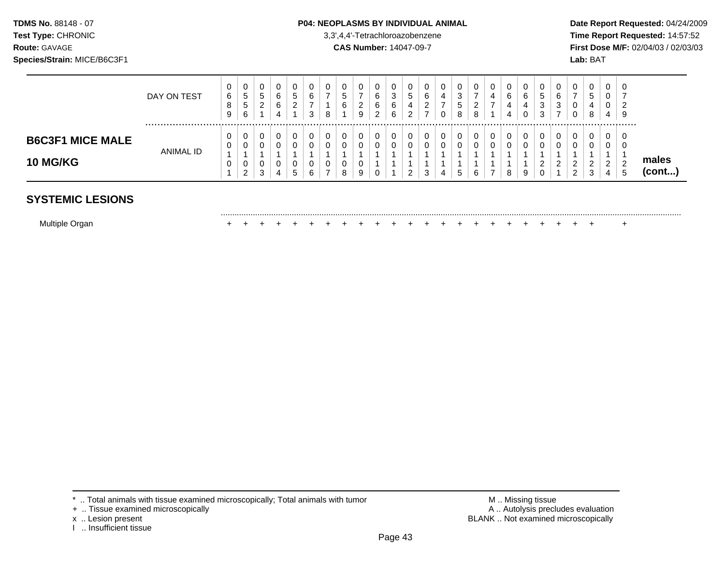### **TDMS No.** 88148 - 07 **P04: NEOPLASMS BY INDIVIDUAL ANIMAL** Date Report Requested: 04/24/2009

.........................................................................................................................................................................................................

**Test Type:** CHRONIC 3,3',4,4'-Tetrachloroazobenzene **Time Report Requested:** 14:57:52 **Route:** GAVAGE **CAS Number:** 14047-09-7 **First Dose M/F:** 02/04/03 / 02/03/03

|                                            | DAY ON TEST | U<br>6<br>O<br>9 | 0<br>$\mathbf{p}$<br>$\mathbf{p}$<br>6     | v<br>G<br>∼ | 0<br>6<br>6<br>4 | U<br><sub>5</sub><br>າ<br>_ | 0<br>6<br>3 | 8           | G<br>6       | 0<br>9           | 0<br>6<br>6<br>◠<br>▃ | 0<br>3<br>6<br>6 | ∽<br>J.<br>4 | - | 0<br>4<br>- | 0<br>3<br>G<br>8 | 0<br>-<br>ົ<br><u>.</u><br>8 | 0<br>4<br>$\overline{ }$ | 6<br>4<br>4 | U<br>6<br>4<br>0 | 0<br>ັບ<br>ົ<br>ت<br>≏<br>ບ | 0<br>6<br>3        | U                       | b<br>4<br>8 | v<br>υ<br>ν<br>4             | - 0<br>r.<br>-9 |                       |
|--------------------------------------------|-------------|------------------|--------------------------------------------|-------------|------------------|-----------------------------|-------------|-------------|--------------|------------------|-----------------------|------------------|--------------|---|-------------|------------------|------------------------------|--------------------------|-------------|------------------|-----------------------------|--------------------|-------------------------|-------------|------------------------------|-----------------|-----------------------|
| <b>B6C3F1 MICE MALE</b><br><b>10 MG/KG</b> | ANIMAL ID   | v<br>U<br>υ      | 0<br>0<br>0<br>$\mathcal{D}$<br>$\epsilon$ | 3           | 0<br>U<br>4      | U<br>u<br>U<br>đ            | 0<br>0<br>6 | 0<br>0<br>0 | 0<br>$\circ$ | 0<br>0<br>0<br>9 | 0<br>0<br>0           | 0                |              |   | 0<br>0<br>4 | 0<br>0           | 0<br>0<br>6                  | 0<br>0<br>$\overline{ }$ |             | 9                | 0<br>$\sim$<br><u>.</u>     | U<br>ົ<br><u>L</u> | 0<br>ົ<br><u>_</u><br>ົ | ◠           | 0<br>U<br>ົ<br><u>_</u><br>4 | 0<br>0          | males<br>$($ cont $)$ |

# **SYSTEMIC LESIONS**

| Multiple Organ |  |  |  |  |  |  |  |  |  |  |  |  |  |  |  |  |  |  |  |  |  |  |  |  |  |
|----------------|--|--|--|--|--|--|--|--|--|--|--|--|--|--|--|--|--|--|--|--|--|--|--|--|--|
|----------------|--|--|--|--|--|--|--|--|--|--|--|--|--|--|--|--|--|--|--|--|--|--|--|--|--|

- + .. Tissue examined microscopically<br>x .. Lesion present
- 
- I .. Insufficient tissue

\* .. Total animals with tissue examined microscopically; Total animals with tumor <br>
+ .. Tissue examined microscopically<br>
+ .. Tissue examined microscopically BLANK .. Not examined microscopically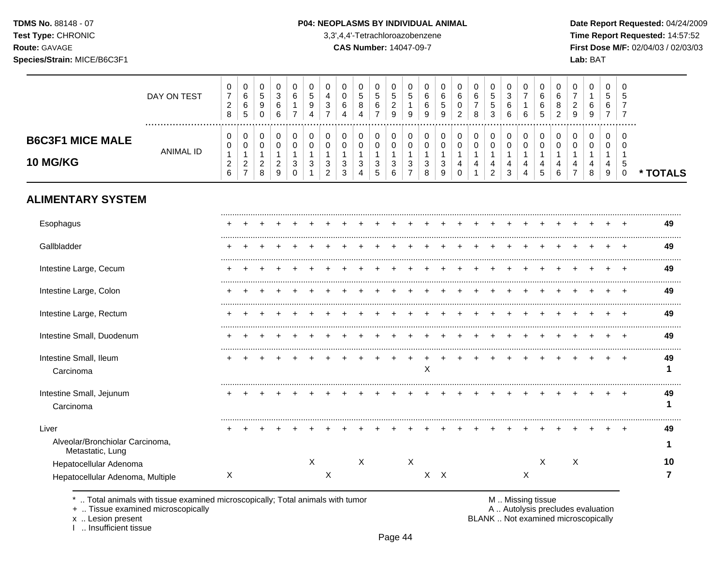$\top$ ┱  $\overline{\phantom{a}}$ 

 $\overline{\phantom{a}}$ 

┰  $\overline{\phantom{a}}$   $\top$ 

 $\top$  $\overline{\phantom{a}}$  $\overline{\phantom{a}}$  $\overline{\phantom{0}}$ 

**Test Type:** CHRONIC 3,3',4,4'-Tetrachloroazobenzene **Time Report Requested:** 14:57:52 **Route:** GAVAGE **CAS Number:** 14047-09-7 **First Dose M/F:** 02/04/03 / 02/03/03 **Species/Strain:** MICE/B6C3F1 **Lab:** BAT

 $\overline{\phantom{a}}$ 

|                                                              | DAY ON TEST          | 0<br>$\overline{7}$<br>$\overline{c}$<br>8 | 0<br>6<br>$\,6\,$<br>5                                    | 0<br>$\sqrt{5}$<br>9<br>$\mathbf 0$                       | 0<br>3<br>6<br>6                                       | 0<br>6<br>1<br>$\overline{7}$     | 0<br>5<br>9<br>4                | 0<br>4<br>$\ensuremath{\mathsf{3}}$<br>$\overline{7}$                   | 0<br>$\mathbf 0$<br>6<br>4                                    | 0<br>5<br>8<br>$\overline{A}$                                              | 0<br>5<br>6<br>$\overline{7}$                                      | 0<br>5<br>$\overline{c}$<br>9                                  | 0<br>5<br>$\mathbf{1}$<br>9                   | 0<br>6<br>6<br>9      | 0<br>6<br>5<br>9                        | 0<br>$\,6\,$<br>0<br>$\overline{2}$     | 0<br>6<br>$\boldsymbol{7}$<br>8                                               | 0<br>$\sqrt{5}$<br>$\,$ 5 $\,$<br>3                                             | $\Omega$<br>$\mathbf{3}$<br>6<br>6      | 0<br>$\overline{7}$<br>$\mathbf{1}$<br>6 | 0<br>6<br>6<br>5           | 0<br>6<br>8<br>2      | 0<br>$\overline{7}$<br>$\overline{c}$<br>9 | 0<br>$\mathbf{1}$<br>6<br>9 | 0<br>5<br>6<br>$\overline{7}$                     | 0<br>5<br>$\overline{7}$<br>$\overline{7}$ |          |
|--------------------------------------------------------------|----------------------|--------------------------------------------|-----------------------------------------------------------|-----------------------------------------------------------|--------------------------------------------------------|-----------------------------------|---------------------------------|-------------------------------------------------------------------------|---------------------------------------------------------------|----------------------------------------------------------------------------|--------------------------------------------------------------------|----------------------------------------------------------------|-----------------------------------------------|-----------------------|-----------------------------------------|-----------------------------------------|-------------------------------------------------------------------------------|---------------------------------------------------------------------------------|-----------------------------------------|------------------------------------------|----------------------------|-----------------------|--------------------------------------------|-----------------------------|---------------------------------------------------|--------------------------------------------|----------|
| <b>B6C3F1 MICE MALE</b><br>10 MG/KG                          | <br><b>ANIMAL ID</b> | 0<br>0<br>$\mathbf 1$<br>$\sqrt{2}$<br>6   | 0<br>0<br>$\mathbf 1$<br>$\overline{c}$<br>$\overline{7}$ | 0<br>$\mathbf 0$<br>$\mathbf{1}$<br>$\boldsymbol{2}$<br>8 | 0<br>0<br>$\mathbf{1}$<br>$\overline{\mathbf{c}}$<br>9 | 0<br>$\mathbf 0$<br>3<br>$\Omega$ | 0<br>$\mathbf 0$<br>1<br>3<br>1 | $\pmb{0}$<br>$\mathbf 0$<br>$\ensuremath{\mathsf{3}}$<br>$\overline{2}$ | 0<br>$\mathbf 0$<br>$\ensuremath{\mathsf{3}}$<br>$\mathbf{3}$ | $\boldsymbol{0}$<br>0<br>-1<br>$\ensuremath{\mathsf{3}}$<br>$\overline{4}$ | 0<br>$\mathbf 0$<br>$\mathbf{1}$<br>$\ensuremath{\mathsf{3}}$<br>5 | $\,0\,$<br>0<br>$\mathbf{1}$<br>$\ensuremath{\mathsf{3}}$<br>6 | 0<br>0<br>$\mathbf{1}$<br>3<br>$\overline{7}$ | 0<br>0<br>1<br>3<br>8 | $\pmb{0}$<br>0<br>$\mathbf 1$<br>3<br>9 | 0<br>0<br>$\mathbf{1}$<br>4<br>$\Omega$ | $\mathbf 0$<br>0<br>$\mathbf{1}$<br>$\overline{\mathbf{4}}$<br>$\overline{1}$ | $\boldsymbol{0}$<br>$\pmb{0}$<br>1<br>$\overline{\mathbf{4}}$<br>$\overline{2}$ | $\pmb{0}$<br>$\mathbf 0$<br>1<br>4<br>3 | 0<br>$\mathbf 0$<br>1<br>4<br>4          | 0<br>$\mathbf 0$<br>4<br>5 | 0<br>0<br>1<br>4<br>6 | 0<br>$\Omega$<br>4                         | 0<br>0<br>4<br>8            | 0<br>0<br>1<br>$\overline{4}$<br>$\boldsymbol{9}$ | 0<br>$\mathbf 0$<br>-1<br>5<br>$\mathbf 0$ | * TOTALS |
| <b>ALIMENTARY SYSTEM</b>                                     |                      |                                            |                                                           |                                                           |                                                        |                                   |                                 |                                                                         |                                                               |                                                                            |                                                                    |                                                                |                                               |                       |                                         |                                         |                                                                               |                                                                                 |                                         |                                          |                            |                       |                                            |                             |                                                   |                                            |          |
| Esophagus                                                    |                      |                                            |                                                           |                                                           |                                                        |                                   |                                 |                                                                         |                                                               |                                                                            |                                                                    |                                                                |                                               |                       |                                         |                                         |                                                                               |                                                                                 |                                         |                                          |                            |                       |                                            |                             |                                                   |                                            | 49       |
| Gallbladder                                                  |                      |                                            |                                                           |                                                           |                                                        |                                   |                                 |                                                                         |                                                               |                                                                            |                                                                    |                                                                |                                               |                       |                                         |                                         |                                                                               |                                                                                 |                                         |                                          |                            |                       |                                            |                             |                                                   |                                            | 49       |
| Intestine Large, Cecum                                       |                      |                                            |                                                           |                                                           |                                                        |                                   |                                 |                                                                         |                                                               |                                                                            |                                                                    |                                                                |                                               |                       |                                         |                                         |                                                                               |                                                                                 |                                         |                                          |                            |                       |                                            |                             |                                                   |                                            | 49       |
| Intestine Large, Colon                                       |                      |                                            |                                                           |                                                           |                                                        |                                   |                                 |                                                                         |                                                               |                                                                            |                                                                    |                                                                |                                               |                       |                                         |                                         |                                                                               |                                                                                 |                                         |                                          |                            |                       |                                            |                             |                                                   |                                            | 49       |
| Intestine Large, Rectum                                      |                      |                                            |                                                           |                                                           |                                                        |                                   |                                 |                                                                         |                                                               |                                                                            |                                                                    |                                                                |                                               |                       |                                         |                                         |                                                                               |                                                                                 |                                         |                                          |                            |                       |                                            |                             |                                                   |                                            | 49       |
| Intestine Small, Duodenum                                    |                      |                                            |                                                           |                                                           |                                                        |                                   |                                 |                                                                         |                                                               |                                                                            |                                                                    |                                                                |                                               |                       |                                         |                                         |                                                                               |                                                                                 |                                         |                                          |                            |                       |                                            |                             |                                                   |                                            | 49       |
| Intestine Small, Ileum<br>Carcinoma                          |                      |                                            |                                                           |                                                           |                                                        |                                   |                                 |                                                                         |                                                               |                                                                            |                                                                    |                                                                |                                               | X                     |                                         |                                         |                                                                               |                                                                                 |                                         |                                          |                            |                       |                                            |                             |                                                   |                                            | 49<br>1  |
| Intestine Small, Jejunum<br>Carcinoma                        |                      |                                            |                                                           |                                                           |                                                        |                                   |                                 |                                                                         |                                                               |                                                                            |                                                                    |                                                                |                                               |                       |                                         |                                         |                                                                               |                                                                                 |                                         |                                          |                            |                       |                                            |                             |                                                   | $\overline{ }$                             | 49       |
| Liver<br>Alveolar/Bronchiolar Carcinoma,<br>Metastatic, Lung |                      |                                            |                                                           |                                                           |                                                        |                                   |                                 |                                                                         |                                                               |                                                                            |                                                                    |                                                                |                                               |                       |                                         |                                         |                                                                               |                                                                                 |                                         |                                          |                            |                       |                                            |                             |                                                   |                                            | 49       |
| Hepatocellular Adenoma                                       |                      | X                                          |                                                           |                                                           |                                                        |                                   | $\mathsf{X}$                    | X                                                                       |                                                               | $\mathsf X$                                                                |                                                                    |                                                                | $\boldsymbol{\mathsf{X}}$                     |                       | $X$ $X$                                 |                                         |                                                                               |                                                                                 |                                         | $\boldsymbol{\mathsf{X}}$                | $\mathsf X$                |                       | $\boldsymbol{\mathsf{X}}$                  |                             |                                                   |                                            | 10<br>7  |
| Hepatocellular Adenoma, Multiple                             |                      |                                            |                                                           |                                                           |                                                        |                                   |                                 |                                                                         |                                                               |                                                                            |                                                                    |                                                                |                                               |                       |                                         |                                         |                                                                               |                                                                                 |                                         |                                          |                            |                       |                                            |                             |                                                   |                                            |          |

\* .. Total animals with tissue examined microscopically; Total animals with tumor <br>
+ .. Tissue examined microscopically<br>
+ .. Tissue examined microscopically

 $\top$  $\overline{\phantom{0}}$ ┰ □

+ .. Tissue examined microscopically

x .. Lesion present<br>I .. Insufficient tissue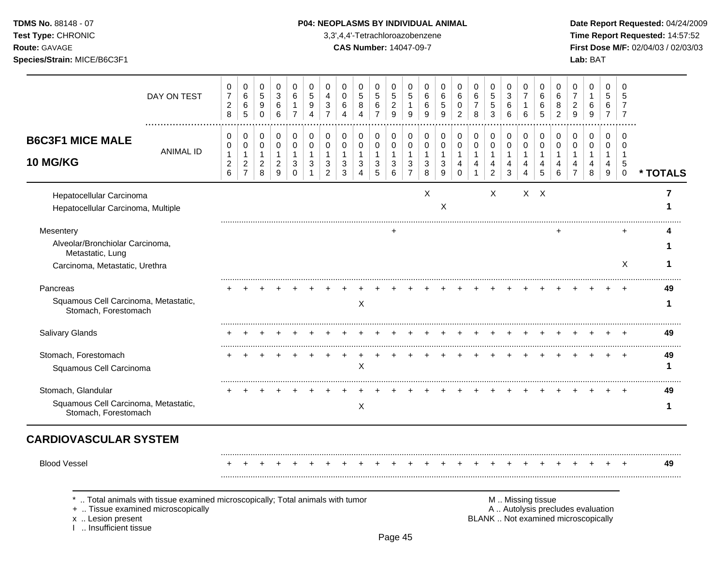**Test Type:** CHRONIC 3,3',4,4'-Tetrachloroazobenzene **Time Report Requested:** 14:57:52 **Route:** GAVAGE **CAS Number:** 14047-09-7 **First Dose M/F:** 02/04/03 / 02/03/03 **Species/Strain:** MICE/B6C3F1 **Lab:** BAT

| DAY ON TEST                                                                        | 0<br>$\overline{7}$<br>$\overline{c}$<br>8                   | 0<br>$\,6\,$<br>$\,6\,$<br>5                    | 0<br>$\sqrt{5}$<br>9<br>$\pmb{0}$             | $\mathbf 0$<br>$\sqrt{3}$<br>6<br>$\,6\,$                 | $\mathbf 0$<br>6<br>$\mathbf{1}$<br>$\overline{7}$ | 0<br>5<br>9<br>$\overline{4}$         | 0<br>4<br>3<br>$\overline{7}$   | $\mathbf 0$<br>$\mathbf 0$<br>6<br>$\boldsymbol{\Lambda}$ | 0<br>$\sqrt{5}$<br>$\, 8$<br>$\boldsymbol{\Lambda}$     | 0<br>$\overline{5}$<br>6<br>$\overline{7}$ | 0<br>$\sqrt{5}$<br>$\overline{c}$<br>$\boldsymbol{9}$ | 0<br>5<br>$\mathbf{1}$<br>9                             | 0<br>6<br>6<br>9                 | $\mathbf 0$<br>6<br>$\sqrt{5}$<br>9        | 0<br>6<br>$\mathbf 0$<br>$\overline{2}$ | 0<br>$\,6$<br>$\boldsymbol{7}$<br>8        | $\mathbf 0$<br>5<br>$\sqrt{5}$<br>3                 | 0<br>$\ensuremath{\mathsf{3}}$<br>6<br>6 | 0<br>$\overline{7}$<br>$\mathbf 1$<br>6    | $\mathbf 0$<br>6<br>6<br>5                 | 0<br>6<br>8<br>$\overline{2}$              | 0<br>$\overline{7}$<br>$\overline{2}$<br>$\overline{9}$ | 0<br>$\mathbf{1}$<br>6<br>$9\,$  | $\mathbf 0$<br>5<br>6<br>$\overline{7}$              | $\mathbf 0$<br>5<br>$\overline{7}$<br>$\overline{7}$       |          |
|------------------------------------------------------------------------------------|--------------------------------------------------------------|-------------------------------------------------|-----------------------------------------------|-----------------------------------------------------------|----------------------------------------------------|---------------------------------------|---------------------------------|-----------------------------------------------------------|---------------------------------------------------------|--------------------------------------------|-------------------------------------------------------|---------------------------------------------------------|----------------------------------|--------------------------------------------|-----------------------------------------|--------------------------------------------|-----------------------------------------------------|------------------------------------------|--------------------------------------------|--------------------------------------------|--------------------------------------------|---------------------------------------------------------|----------------------------------|------------------------------------------------------|------------------------------------------------------------|----------|
| <b>B6C3F1 MICE MALE</b><br><b>ANIMAL ID</b><br><b>10 MG/KG</b>                     | 0<br>0<br>$\mathbf{1}$<br>$\boldsymbol{2}$<br>$6\phantom{1}$ | 0<br>0<br>1<br>$\overline{c}$<br>$\overline{7}$ | 0<br>0<br>$\mathbf{1}$<br>$\overline{c}$<br>8 | 0<br>$\mathbf 0$<br>$\overline{1}$<br>$\overline{2}$<br>9 | 0<br>0<br>$\mathbf{1}$<br>3<br>$\Omega$            | 0<br>$\mathbf 0$<br>$\mathbf{1}$<br>3 | 0<br>$\mathbf 0$<br>1<br>3<br>2 | 0<br>0<br>$\mathbf{1}$<br>3<br>3                          | 0<br>$\mathbf 0$<br>$\overline{1}$<br>$\mathbf{3}$<br>4 | 0<br>0<br>$\mathbf{1}$<br>3<br>5           | 0<br>0<br>1<br>3<br>6                                 | 0<br>$\mathbf 0$<br>$\mathbf{1}$<br>3<br>$\overline{7}$ | 0<br>0<br>$\mathbf{1}$<br>3<br>8 | 0<br>$\mathbf 0$<br>$\mathbf{1}$<br>3<br>9 | 0<br>0<br>$\mathbf{1}$<br>4<br>$\Omega$ | 0<br>0<br>$\mathbf{1}$<br>4<br>$\mathbf 1$ | 0<br>$\mathbf 0$<br>$\mathbf{1}$<br>4<br>$\sqrt{2}$ | 0<br>0<br>$\mathbf{1}$<br>4<br>3         | 0<br>$\mathbf 0$<br>$\mathbf{1}$<br>4<br>4 | 0<br>$\mathbf 0$<br>$\mathbf{1}$<br>4<br>5 | 0<br>$\mathbf 0$<br>$\mathbf{1}$<br>4<br>6 | 0<br>0<br>$\mathbf{1}$<br>4<br>$\overline{7}$           | 0<br>0<br>$\mathbf{1}$<br>4<br>8 | $\mathbf 0$<br>$\mathbf 0$<br>$\mathbf{1}$<br>4<br>9 | $\Omega$<br>$\Omega$<br>$\mathbf 1$<br>5<br>$\overline{0}$ | * TOTALS |
| Hepatocellular Carcinoma<br>Hepatocellular Carcinoma, Multiple                     |                                                              |                                                 |                                               |                                                           |                                                    |                                       |                                 |                                                           |                                                         |                                            |                                                       |                                                         | $\boldsymbol{\mathsf{X}}$        | X                                          |                                         |                                            | $\times$                                            |                                          | $X$ $X$                                    |                                            |                                            |                                                         |                                  |                                                      |                                                            | 7        |
| Mesentery<br>Alveolar/Bronchiolar Carcinoma,                                       |                                                              |                                                 |                                               |                                                           |                                                    |                                       |                                 |                                                           |                                                         |                                            |                                                       |                                                         |                                  |                                            |                                         |                                            |                                                     |                                          |                                            |                                            |                                            |                                                         |                                  |                                                      |                                                            |          |
| Metastatic, Lung<br>Carcinoma, Metastatic, Urethra                                 |                                                              |                                                 |                                               |                                                           |                                                    |                                       |                                 |                                                           |                                                         |                                            |                                                       |                                                         |                                  |                                            |                                         |                                            |                                                     |                                          |                                            |                                            |                                            |                                                         |                                  |                                                      | X                                                          | 1        |
| Pancreas                                                                           |                                                              |                                                 |                                               |                                                           |                                                    |                                       |                                 |                                                           |                                                         |                                            |                                                       |                                                         |                                  |                                            |                                         |                                            |                                                     |                                          |                                            |                                            |                                            |                                                         |                                  |                                                      |                                                            | 49       |
| Squamous Cell Carcinoma, Metastatic,<br>Stomach, Forestomach                       |                                                              |                                                 |                                               |                                                           |                                                    |                                       |                                 |                                                           | Χ                                                       |                                            |                                                       |                                                         |                                  |                                            |                                         |                                            |                                                     |                                          |                                            |                                            |                                            |                                                         |                                  |                                                      |                                                            | 1        |
| <b>Salivary Glands</b>                                                             |                                                              |                                                 |                                               |                                                           |                                                    |                                       |                                 |                                                           |                                                         |                                            |                                                       |                                                         |                                  |                                            |                                         |                                            |                                                     |                                          |                                            |                                            |                                            |                                                         |                                  |                                                      |                                                            | 49       |
| Stomach, Forestomach<br>Squamous Cell Carcinoma                                    |                                                              |                                                 |                                               |                                                           |                                                    |                                       |                                 |                                                           | $\mathsf X$                                             |                                            |                                                       |                                                         |                                  |                                            |                                         |                                            |                                                     |                                          |                                            |                                            |                                            |                                                         |                                  |                                                      |                                                            | 49<br>1  |
| Stomach, Glandular<br>Squamous Cell Carcinoma, Metastatic,<br>Stomach, Forestomach |                                                              |                                                 |                                               |                                                           |                                                    |                                       |                                 |                                                           | X                                                       |                                            |                                                       |                                                         |                                  |                                            |                                         |                                            |                                                     |                                          |                                            |                                            |                                            |                                                         |                                  |                                                      |                                                            | 49<br>1  |
| <b>CARDIOVASCULAR SYSTEM</b>                                                       |                                                              |                                                 |                                               |                                                           |                                                    |                                       |                                 |                                                           |                                                         |                                            |                                                       |                                                         |                                  |                                            |                                         |                                            |                                                     |                                          |                                            |                                            |                                            |                                                         |                                  |                                                      |                                                            |          |
| <b>Blood Vessel</b>                                                                |                                                              |                                                 |                                               |                                                           |                                                    |                                       |                                 |                                                           |                                                         |                                            |                                                       |                                                         |                                  |                                            |                                         |                                            |                                                     |                                          |                                            |                                            |                                            |                                                         |                                  |                                                      |                                                            | 49       |

x .. Lesion present<br>I .. Insufficient tissue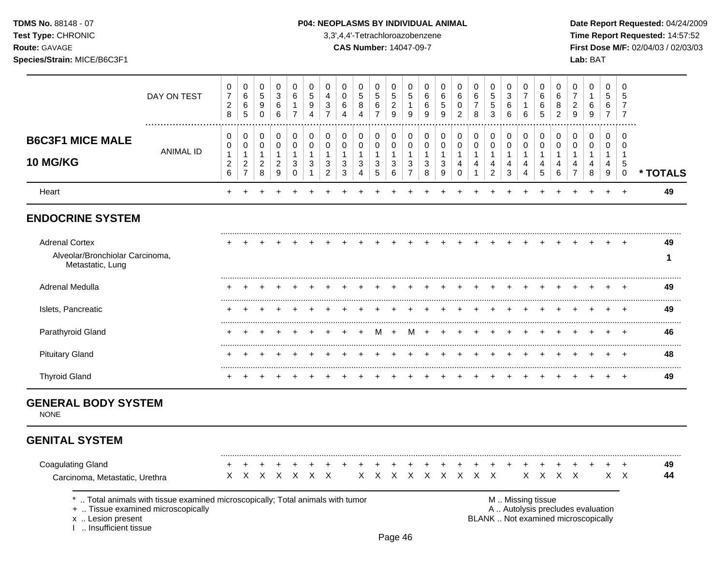**Test Type:** CHRONIC 3,3',4,4'-Tetrachloroazobenzene **Time Report Requested:** 14:57:52 **Route:** GAVAGE **CAS Number:** 14047-09-7 **First Dose M/F:** 02/04/03 / 02/03/03 **Species/Strain:** MICE/B6C3F1 **Lab:** BAT

|                                                                              | DAY ON TEST                                                                                                        | 0<br>$\overline{7}$<br>$\overline{2}$<br>8         | 0<br>6<br>6<br>5                                           | 0<br>$\sqrt{5}$<br>9<br>0                                     | 0<br>3<br>6<br>6                                   | $\mathbf 0$<br>$\,6\,$<br>$\overline{7}$ | 0<br>5<br>9<br>$\overline{4}$   | 0<br>4<br>3<br>$\overline{7}$                         | 0<br>$\mathbf 0$<br>6<br>4       | 0<br>$\sqrt{5}$<br>8<br>$\overline{4}$   | 0<br>$\sqrt{5}$<br>6<br>$\overline{7}$     | 0<br>$\sqrt{5}$<br>$\overline{c}$<br>$\boldsymbol{9}$ | 0<br>$\sqrt{5}$<br>$\mathbf{1}$<br>$9\,$                           | 0<br>6<br>6<br>9                           | 0<br>6<br>$\sqrt{5}$<br>$\boldsymbol{9}$                           | 0<br>$\,6$<br>0<br>$\overline{c}$                              | $\mathbf 0$<br>6<br>$\overline{7}$<br>8    | 0<br>5<br>5<br>3                             | 0<br>3<br>6<br>6                                                             | 0<br>$\overline{7}$<br>1<br>6   | 0<br>6<br>6<br>5                                        | 0<br>$\,6\,$<br>8<br>$\boldsymbol{2}$            | 0<br>$\overline{7}$<br>$\sqrt{2}$<br>$\boldsymbol{9}$                    | $\mathbf 0$<br>$\mathbf{1}$<br>6<br>9                             | 0<br>5<br>6<br>$\overline{7}$    | $\mathbf 0$<br>5<br>$\overline{7}$<br>$\overline{7}$ |          |
|------------------------------------------------------------------------------|--------------------------------------------------------------------------------------------------------------------|----------------------------------------------------|------------------------------------------------------------|---------------------------------------------------------------|----------------------------------------------------|------------------------------------------|---------------------------------|-------------------------------------------------------|----------------------------------|------------------------------------------|--------------------------------------------|-------------------------------------------------------|--------------------------------------------------------------------|--------------------------------------------|--------------------------------------------------------------------|----------------------------------------------------------------|--------------------------------------------|----------------------------------------------|------------------------------------------------------------------------------|---------------------------------|---------------------------------------------------------|--------------------------------------------------|--------------------------------------------------------------------------|-------------------------------------------------------------------|----------------------------------|------------------------------------------------------|----------|
| <b>B6C3F1 MICE MALE</b><br><b>10 MG/KG</b>                                   | <b>ANIMAL ID</b>                                                                                                   | $\mathbf 0$<br>0<br>1<br>$\overline{c}$<br>$\,6\,$ | 0<br>0<br>$\mathbf{1}$<br>$\overline{2}$<br>$\overline{7}$ | 0<br>$\mathbf 0$<br>$\mathbf{1}$<br>$\overline{c}$<br>$\bf 8$ | 0<br>$\mathbf 0$<br>1<br>$\boldsymbol{2}$<br>$9\,$ | 0<br>$\mathbf 0$<br>1<br>3<br>0          | 0<br>$\mathbf 0$<br>1<br>3<br>1 | 0<br>$\pmb{0}$<br>$\mathbf{1}$<br>3<br>$\overline{c}$ | 0<br>0<br>$\mathbf{1}$<br>3<br>3 | 0<br>$\pmb{0}$<br>$\mathbf{1}$<br>3<br>4 | 0<br>$\mathbf 0$<br>$\mathbf{1}$<br>3<br>5 | 0<br>$\mathbf 0$<br>$\mathbf{1}$<br>3<br>$\,6\,$      | 0<br>$\mathbf 0$<br>$\mathbf{1}$<br>$\mathbf{3}$<br>$\overline{7}$ | 0<br>$\mathsf 0$<br>$\mathbf{1}$<br>3<br>8 | 0<br>$\mathbf 0$<br>$\mathbf{1}$<br>$\sqrt{3}$<br>$\boldsymbol{9}$ | 0<br>$\pmb{0}$<br>$\mathbf{1}$<br>$\overline{\mathbf{4}}$<br>0 | 0<br>$\mathbf 0$<br>$\mathbf{1}$<br>4<br>1 | 0<br>$\mathbf 0$<br>1<br>4<br>$\overline{a}$ | $\mathbf 0$<br>$\mathbf 0$<br>$\mathbf{1}$<br>4<br>$\ensuremath{\mathsf{3}}$ | 0<br>$\mathbf 0$<br>1<br>4<br>4 | 0<br>$\mathbf 0$<br>$\mathbf{1}$<br>4<br>$\overline{5}$ | 0<br>$\mathbf 0$<br>$\mathbf{1}$<br>4<br>$\,6\,$ | 0<br>$\mathbf 0$<br>$\mathbf{1}$<br>4<br>$\overline{7}$                  | $\mathbf 0$<br>$\mathbf 0$<br>$\mathbf{1}$<br>$\overline{4}$<br>8 | 0<br>0<br>$\mathbf{1}$<br>4<br>9 | $\mathbf 0$<br>0<br>$\mathbf 1$<br>5<br>0            | * TOTALS |
| Heart                                                                        |                                                                                                                    | $\div$                                             |                                                            |                                                               |                                                    |                                          |                                 |                                                       |                                  |                                          |                                            |                                                       |                                                                    |                                            |                                                                    |                                                                |                                            |                                              |                                                                              |                                 |                                                         |                                                  |                                                                          |                                                                   | $\ddot{}$                        | $\div$                                               | 49       |
| <b>ENDOCRINE SYSTEM</b>                                                      |                                                                                                                    |                                                    |                                                            |                                                               |                                                    |                                          |                                 |                                                       |                                  |                                          |                                            |                                                       |                                                                    |                                            |                                                                    |                                                                |                                            |                                              |                                                                              |                                 |                                                         |                                                  |                                                                          |                                                                   |                                  |                                                      |          |
| <b>Adrenal Cortex</b><br>Alveolar/Bronchiolar Carcinoma,<br>Metastatic, Lung |                                                                                                                    |                                                    |                                                            |                                                               |                                                    |                                          |                                 |                                                       |                                  |                                          |                                            |                                                       |                                                                    |                                            |                                                                    |                                                                |                                            |                                              |                                                                              |                                 |                                                         |                                                  |                                                                          |                                                                   |                                  |                                                      | 49<br>1  |
| Adrenal Medulla                                                              |                                                                                                                    |                                                    |                                                            |                                                               |                                                    |                                          |                                 |                                                       |                                  |                                          |                                            |                                                       |                                                                    |                                            |                                                                    |                                                                |                                            |                                              |                                                                              |                                 |                                                         |                                                  |                                                                          |                                                                   |                                  |                                                      | 49       |
| Islets, Pancreatic                                                           |                                                                                                                    |                                                    |                                                            |                                                               |                                                    |                                          |                                 |                                                       |                                  |                                          |                                            |                                                       |                                                                    |                                            |                                                                    |                                                                |                                            |                                              |                                                                              |                                 |                                                         |                                                  |                                                                          |                                                                   |                                  |                                                      | <br>49   |
| Parathyroid Gland                                                            |                                                                                                                    |                                                    |                                                            |                                                               |                                                    |                                          |                                 |                                                       |                                  |                                          | м                                          |                                                       |                                                                    |                                            |                                                                    |                                                                |                                            |                                              |                                                                              |                                 |                                                         |                                                  |                                                                          |                                                                   |                                  |                                                      | 46       |
| <b>Pituitary Gland</b>                                                       |                                                                                                                    |                                                    |                                                            |                                                               |                                                    |                                          |                                 |                                                       |                                  |                                          |                                            |                                                       |                                                                    |                                            |                                                                    |                                                                |                                            |                                              |                                                                              |                                 |                                                         |                                                  |                                                                          |                                                                   | $\ddot{}$                        | $\ddot{}$                                            | 48       |
| <b>Thyroid Gland</b>                                                         |                                                                                                                    |                                                    |                                                            |                                                               |                                                    |                                          |                                 |                                                       |                                  |                                          |                                            |                                                       |                                                                    |                                            |                                                                    |                                                                |                                            |                                              |                                                                              |                                 |                                                         |                                                  |                                                                          |                                                                   | $\pm$                            | $\pm$                                                | 49       |
| <b>GENERAL BODY SYSTEM</b><br><b>NONE</b>                                    |                                                                                                                    |                                                    |                                                            |                                                               |                                                    |                                          |                                 |                                                       |                                  |                                          |                                            |                                                       |                                                                    |                                            |                                                                    |                                                                |                                            |                                              |                                                                              |                                 |                                                         |                                                  |                                                                          |                                                                   |                                  |                                                      |          |
| <b>GENITAL SYSTEM</b>                                                        |                                                                                                                    |                                                    |                                                            |                                                               |                                                    |                                          |                                 |                                                       |                                  |                                          |                                            |                                                       |                                                                    |                                            |                                                                    |                                                                |                                            |                                              |                                                                              |                                 |                                                         |                                                  |                                                                          |                                                                   |                                  |                                                      |          |
| <b>Coagulating Gland</b><br>Carcinoma, Metastatic, Urethra                   |                                                                                                                    | X.                                                 | $\mathsf{X}$                                               | X                                                             | $\mathsf{X}$                                       | $\times$                                 | $\boldsymbol{\mathsf{X}}$       | $\mathsf{X}$                                          |                                  | $\mathsf{X}$                             | $\mathsf{X}$                               |                                                       |                                                                    | X X X X X X X                              |                                                                    |                                                                |                                            |                                              |                                                                              |                                 | $X$ $X$                                                 | $\boldsymbol{X}$                                 | $\mathsf{X}$                                                             |                                                                   |                                  | $X \times$                                           | 49<br>44 |
| x  Lesion present<br>I  Insufficient tissue                                  | Total animals with tissue examined microscopically; Total animals with tumor<br>+  Tissue examined microscopically |                                                    |                                                            |                                                               |                                                    |                                          |                                 |                                                       |                                  |                                          |                                            |                                                       |                                                                    |                                            |                                                                    |                                                                |                                            |                                              |                                                                              |                                 | M  Missing tissue                                       |                                                  | A  Autolysis precludes evaluation<br>BLANK  Not examined microscopically |                                                                   |                                  |                                                      |          |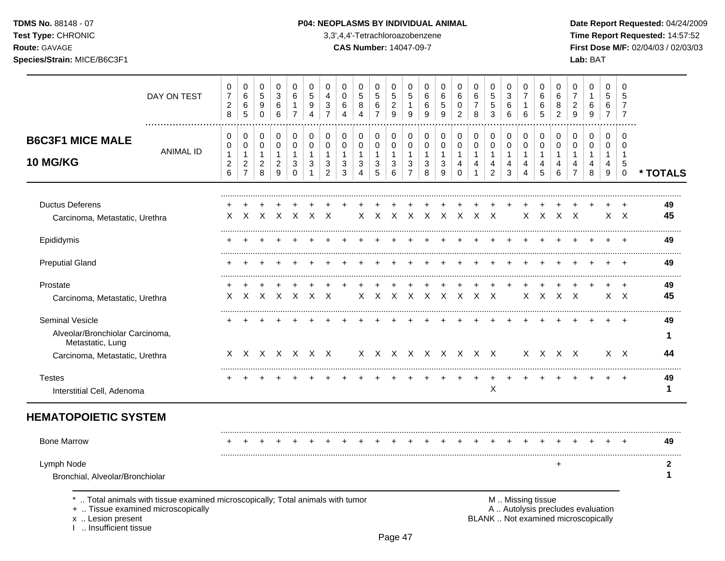TDMS No. 88148 - 07

## Test Type: CHRONIC

Route: GAVAGE

Species/Strain: MICE/B6C3F1

3,3',4,4'-Tetrachloroazobenzene

**CAS Number: 14047-09-7** 

Date Report Requested: 04/24/2009 Time Report Requested: 14:57:52 First Dose M/F: 02/04/03 / 02/03/03 Lab: BAT

| 0<br>$\overline{7}$<br>$\overline{c}$<br>8    | 0<br>6<br>6<br>5                                                     | 0<br>$\sqrt{5}$<br>9<br>$\Omega$                        | 0<br>$\mathbf{3}$<br>$\,6\,$<br>6                              | 0<br>6<br>$\mathbf{1}$<br>$\overline{7}$                        | 0<br>5<br>9<br>4                           | 0<br>$\overline{4}$<br>$\mathbf{3}$<br>$\overline{7}$            | 0<br>$\mathbf 0$<br>6<br>$\overline{\mathbf{4}}$    | 0<br>5<br>8<br>$\boldsymbol{\Lambda}$                                           | 0<br>$\overline{5}$<br>6<br>$\overline{7}$            | 0<br>5<br>$\boldsymbol{2}$<br>9                   | 0<br>5<br>$\mathbf{1}$<br>9                                          | 0<br>6<br>6<br>9                           | 0<br>$\,6\,$<br>$\sqrt{5}$<br>9                     | 0<br>6<br>$\mathbf 0$<br>$\overline{2}$                                 | 0<br>6<br>$\overline{7}$<br>8                      | 0<br>$\overline{5}$<br>$\sqrt{5}$<br>3                  | 0<br>3<br>6<br>6                                                  | 0<br>$\overline{7}$<br>$\mathbf{1}$<br>6   | 0<br>6<br>6<br>5                 | 0<br>6<br>8<br>$\overline{2}$              | 0<br>$\overline{7}$<br>$\overline{c}$<br>9              | 0<br>$\mathbf{1}$<br>6<br>9                | 0<br>5<br>6<br>$\overline{7}$                  | 0<br>5<br>7<br>$\overline{7}$                              |                                  |
|-----------------------------------------------|----------------------------------------------------------------------|---------------------------------------------------------|----------------------------------------------------------------|-----------------------------------------------------------------|--------------------------------------------|------------------------------------------------------------------|-----------------------------------------------------|---------------------------------------------------------------------------------|-------------------------------------------------------|---------------------------------------------------|----------------------------------------------------------------------|--------------------------------------------|-----------------------------------------------------|-------------------------------------------------------------------------|----------------------------------------------------|---------------------------------------------------------|-------------------------------------------------------------------|--------------------------------------------|----------------------------------|--------------------------------------------|---------------------------------------------------------|--------------------------------------------|------------------------------------------------|------------------------------------------------------------|----------------------------------|
| 0<br>0<br>$\mathbf{1}$<br>$\overline{c}$<br>6 | 0<br>$\mathbf 0$<br>$\mathbf{1}$<br>$\overline{c}$<br>$\overline{7}$ | 0<br>$\mathbf 0$<br>$\mathbf{1}$<br>$\overline{2}$<br>8 | 0<br>0<br>$\mathbf{1}$<br>$\boldsymbol{2}$<br>$\boldsymbol{9}$ | 0<br>$\mathbf 0$<br>$\mathbf{1}$<br>$\mathbf{3}$<br>$\mathbf 0$ | 0<br>$\mathbf 0$<br>$\mathbf{1}$<br>3<br>1 | 0<br>$\mathbf 0$<br>$\mathbf{1}$<br>$\sqrt{3}$<br>$\overline{2}$ | 0<br>$\mathbf 0$<br>$\mathbf{1}$<br>$\sqrt{3}$<br>3 | 0<br>$\mathbf 0$<br>$\mathbf{1}$<br>$\ensuremath{\mathsf{3}}$<br>$\overline{4}$ | 0<br>$\mathbf 0$<br>$\mathbf{1}$<br>$\mathbf{3}$<br>5 | 0<br>$\pmb{0}$<br>$\mathbf{1}$<br>$\sqrt{3}$<br>6 | 0<br>$\mathbf 0$<br>$\overline{1}$<br>$\mathbf{3}$<br>$\overline{7}$ | 0<br>$\mathbf 0$<br>$\mathbf{1}$<br>3<br>8 | 0<br>$\mathbf 0$<br>$\mathbf{1}$<br>$\sqrt{3}$<br>9 | 0<br>$\mathbf 0$<br>$\mathbf{1}$<br>$\overline{\mathbf{4}}$<br>$\Omega$ | 0<br>$\mathbf 0$<br>$\mathbf{1}$<br>$\overline{4}$ | 0<br>$\mathbf 0$<br>$\mathbf{1}$<br>4<br>$\overline{2}$ | 0<br>$\mathbf 0$<br>$\mathbf{1}$<br>4<br>3                        | 0<br>$\mathbf 0$<br>$\mathbf{1}$<br>4<br>4 | 0<br>0<br>$\mathbf{1}$<br>4<br>5 | 0<br>$\mathbf 0$<br>$\mathbf{1}$<br>4<br>6 | 0<br>$\mathbf 0$<br>$\mathbf{1}$<br>4<br>$\overline{7}$ | 0<br>$\mathbf 0$<br>$\mathbf{1}$<br>4<br>8 | 0<br>$\mathbf 0$<br>$\mathbf{1}$<br>4<br>$9\,$ | $\Omega$<br>$\Omega$<br>$\overline{1}$<br>5<br>$\mathbf 0$ | * TOTALS                         |
| X                                             | $\times$                                                             | $\mathsf{X}$                                            | $\mathsf{X}$                                                   | $\times$                                                        | $\mathsf{X}$                               | $\times$                                                         |                                                     | X                                                                               | $\times$                                              | $\mathsf{X}$                                      |                                                                      |                                            |                                                     |                                                                         |                                                    |                                                         |                                                                   | $\times$                                   | $\mathsf{X}$                     |                                            |                                                         |                                            |                                                |                                                            | 49<br>45                         |
|                                               |                                                                      |                                                         |                                                                |                                                                 |                                            |                                                                  |                                                     |                                                                                 |                                                       |                                                   |                                                                      |                                            |                                                     |                                                                         |                                                    |                                                         |                                                                   |                                            |                                  |                                            |                                                         |                                            |                                                |                                                            | 49                               |
|                                               |                                                                      |                                                         |                                                                |                                                                 |                                            |                                                                  |                                                     |                                                                                 |                                                       |                                                   |                                                                      |                                            |                                                     |                                                                         |                                                    |                                                         |                                                                   |                                            |                                  |                                            |                                                         |                                            |                                                |                                                            | 49                               |
| X                                             | X                                                                    | $\boldsymbol{X}$                                        | X                                                              | $\mathsf{X}$                                                    |                                            | $\times$                                                         |                                                     |                                                                                 |                                                       |                                                   |                                                                      |                                            |                                                     |                                                                         |                                                    |                                                         |                                                                   |                                            |                                  |                                            |                                                         |                                            |                                                |                                                            | 49<br>45                         |
|                                               |                                                                      |                                                         |                                                                |                                                                 |                                            |                                                                  |                                                     |                                                                                 |                                                       |                                                   |                                                                      |                                            |                                                     |                                                                         |                                                    |                                                         |                                                                   |                                            |                                  |                                            |                                                         |                                            |                                                |                                                            | 49                               |
|                                               |                                                                      |                                                         |                                                                |                                                                 |                                            |                                                                  |                                                     |                                                                                 |                                                       |                                                   |                                                                      |                                            |                                                     |                                                                         |                                                    |                                                         |                                                                   |                                            |                                  |                                            |                                                         |                                            |                                                |                                                            | 44                               |
|                                               |                                                                      |                                                         |                                                                |                                                                 |                                            |                                                                  |                                                     |                                                                                 |                                                       |                                                   |                                                                      |                                            |                                                     |                                                                         |                                                    | ÷<br>X                                                  |                                                                   |                                            |                                  |                                            |                                                         |                                            | $\ddot{}$                                      | $\ddot{}$                                                  | 49<br>1                          |
|                                               |                                                                      |                                                         |                                                                |                                                                 |                                            |                                                                  |                                                     |                                                                                 |                                                       |                                                   |                                                                      |                                            |                                                     |                                                                         |                                                    |                                                         |                                                                   |                                            |                                  |                                            |                                                         |                                            |                                                |                                                            |                                  |
|                                               |                                                                      |                                                         |                                                                |                                                                 |                                            |                                                                  |                                                     |                                                                                 |                                                       |                                                   |                                                                      |                                            |                                                     |                                                                         |                                                    |                                                         |                                                                   |                                            |                                  |                                            |                                                         |                                            |                                                |                                                            | 49                               |
|                                               |                                                                      |                                                         |                                                                |                                                                 |                                            |                                                                  |                                                     |                                                                                 |                                                       |                                                   |                                                                      |                                            |                                                     |                                                                         |                                                    |                                                         |                                                                   |                                            |                                  | $\ddot{}$                                  |                                                         |                                            |                                                |                                                            | 2                                |
|                                               |                                                                      |                                                         |                                                                |                                                                 |                                            |                                                                  | $\times$<br>X X X X X X X                           |                                                                                 |                                                       |                                                   |                                                                      |                                            |                                                     |                                                                         |                                                    |                                                         | $X$ $X$ $X$ $X$ $X$ $X$<br>X X X X X X X X X<br>X X X X X X X X X |                                            |                                  |                                            |                                                         | $X \times X$<br>$X$ $X$ $X$ $X$<br>X X X X |                                                |                                                            | $X \times X$<br>XX<br>$X \times$ |

+ .. Tissue examined microscopically

x .. Lesion present<br>I .. Insufficient tissue

A .. Autolysis precludes evaluation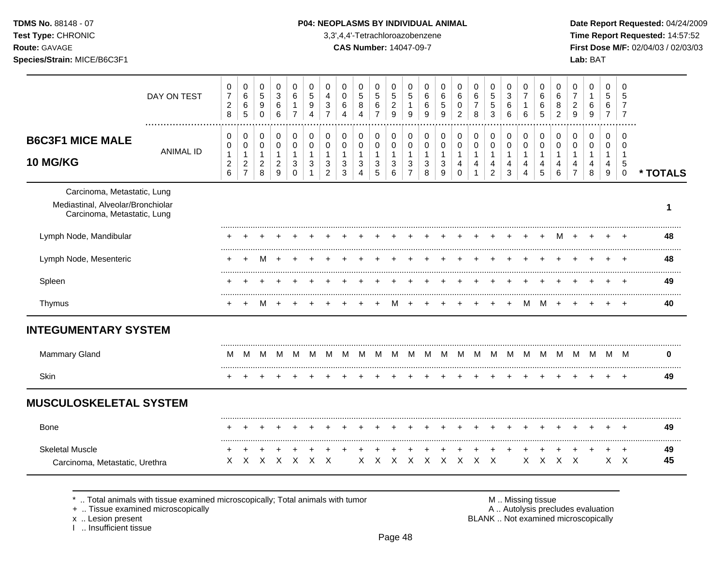**Test Type:** CHRONIC 3,3',4,4'-Tetrachloroazobenzene **Time Report Requested:** 14:57:52 **Route:** GAVAGE **CAS Number:** 14047-09-7 **First Dose M/F:** 02/04/03 / 02/03/03

|                                                                                                 | DAY ON TEST      | 0<br>$\boldsymbol{7}$<br>$\overline{c}$<br>8    | 0<br>$\,6\,$<br>$\,6\,$<br>$\sqrt{5}$             | 0<br>$\sqrt{5}$<br>9<br>$\Omega$                      | 0<br>$\ensuremath{\mathsf{3}}$<br>$\,6\,$<br>6                       | 0<br>6<br>1<br>$\overline{7}$ | 0<br>$\sqrt{5}$<br>9<br>$\boldsymbol{\Lambda}$       | 0<br>4<br>$\sqrt{3}$<br>$\overline{7}$  | 0<br>$\mathsf{O}\xspace$<br>$\,6\,$<br>$\boldsymbol{\Lambda}$ | $\mathbf 0$<br>$\sqrt{5}$<br>8<br>4                 | $\mathbf 0$<br>$\sqrt{5}$<br>$\,6\,$<br>$\overline{7}$ | 0<br>$\,$ 5 $\,$<br>$\overline{c}$<br>$\boldsymbol{9}$   | 0<br>5<br>1<br>9                              | 0<br>$\,6\,$<br>6<br>9                     | 0<br>$\,6\,$<br>5<br>9                              | 0<br>6<br>$\pmb{0}$<br>2                           | 0<br>$\,6\,$<br>$\boldsymbol{7}$<br>8                 | 0<br>$\,$ 5 $\,$<br>5<br>3                                         | 0<br>$\ensuremath{\mathsf{3}}$<br>6<br>6            | 0<br>$\overline{7}$<br>1<br>6 | 0<br>$\,6\,$<br>$\,6$<br>5 | 0<br>$\,6\,$<br>8<br>$\overline{2}$                  | 0<br>$\overline{7}$<br>$\overline{c}$<br>9           | 0<br>1<br>6<br>9              | $\mathbf 0$<br>5<br>6<br>$\overline{7}$           | 0<br>5<br>$\overline{7}$<br>$\overline{7}$             |          |
|-------------------------------------------------------------------------------------------------|------------------|-------------------------------------------------|---------------------------------------------------|-------------------------------------------------------|----------------------------------------------------------------------|-------------------------------|------------------------------------------------------|-----------------------------------------|---------------------------------------------------------------|-----------------------------------------------------|--------------------------------------------------------|----------------------------------------------------------|-----------------------------------------------|--------------------------------------------|-----------------------------------------------------|----------------------------------------------------|-------------------------------------------------------|--------------------------------------------------------------------|-----------------------------------------------------|-------------------------------|----------------------------|------------------------------------------------------|------------------------------------------------------|-------------------------------|---------------------------------------------------|--------------------------------------------------------|----------|
| <b>B6C3F1 MICE MALE</b><br><b>10 MG/KG</b>                                                      | <b>ANIMAL ID</b> | 0<br>0<br>$\mathbf{1}$<br>$\sqrt{2}$<br>$\,6\,$ | 0<br>$\mathbf 0$<br>$\mathbf{1}$<br>$\frac{2}{7}$ | 0<br>$\pmb{0}$<br>$\mathbf{1}$<br>$\overline{c}$<br>8 | 0<br>$\pmb{0}$<br>$\mathbf{1}$<br>$\overline{c}$<br>$\boldsymbol{9}$ | 0<br>0<br>3<br>$\mathbf 0$    | $\mathbf 0$<br>0<br>$\mathbf{1}$<br>3<br>$\mathbf 1$ | $\mathbf 0$<br>$\pmb{0}$<br>1<br>3<br>2 | 0<br>$\mathbf 0$<br>1<br>$\sqrt{3}$<br>$\mathbf{3}$           | 0<br>$\pmb{0}$<br>$\mathbf{1}$<br>$\mathbf{3}$<br>4 | 0<br>$\pmb{0}$<br>$\mathbf{1}$<br>$\sqrt{3}$<br>5      | $\mathbf 0$<br>$\pmb{0}$<br>$\mathbf{1}$<br>3<br>$\,6\,$ | 0<br>0<br>$\mathbf{1}$<br>3<br>$\overline{7}$ | $\mathbf 0$<br>0<br>$\mathbf{1}$<br>3<br>8 | 0<br>$\pmb{0}$<br>$\mathbf{1}$<br>$\mathbf{3}$<br>9 | 0<br>$\pmb{0}$<br>$\mathbf{1}$<br>4<br>$\mathbf 0$ | 0<br>$\pmb{0}$<br>$\mathbf{1}$<br>4<br>$\overline{1}$ | 0<br>$\pmb{0}$<br>$\mathbf{1}$<br>$\overline{4}$<br>$\overline{2}$ | 0<br>$\pmb{0}$<br>$\mathbf{1}$<br>4<br>$\mathbf{3}$ | 0<br>0<br>1<br>4<br>4         | 0<br>0<br>1<br>4<br>5      | $\mathbf 0$<br>$\mathbf 0$<br>$\mathbf{1}$<br>4<br>6 | $\mathbf 0$<br>$\pmb{0}$<br>1<br>4<br>$\overline{7}$ | 0<br>$\pmb{0}$<br>1<br>4<br>8 | $\Omega$<br>$\mathbf 0$<br>$\mathbf{1}$<br>4<br>9 | $\Omega$<br>0<br>$\mathbf{1}$<br>5<br>$\boldsymbol{0}$ | * TOTALS |
| Carcinoma, Metastatic, Lung<br>Mediastinal, Alveolar/Bronchiolar<br>Carcinoma, Metastatic, Lung |                  |                                                 |                                                   |                                                       |                                                                      |                               |                                                      |                                         |                                                               |                                                     |                                                        |                                                          |                                               |                                            |                                                     |                                                    |                                                       |                                                                    |                                                     |                               |                            |                                                      |                                                      |                               |                                                   |                                                        | 1        |
| Lymph Node, Mandibular                                                                          |                  |                                                 |                                                   |                                                       |                                                                      |                               |                                                      |                                         |                                                               |                                                     |                                                        |                                                          |                                               |                                            |                                                     |                                                    |                                                       |                                                                    |                                                     |                               |                            |                                                      |                                                      |                               |                                                   |                                                        | 48       |
| Lymph Node, Mesenteric                                                                          |                  |                                                 |                                                   |                                                       |                                                                      |                               |                                                      |                                         |                                                               |                                                     |                                                        |                                                          |                                               |                                            |                                                     |                                                    |                                                       |                                                                    |                                                     |                               |                            |                                                      |                                                      |                               |                                                   | ÷.                                                     | 48       |
| Spleen                                                                                          |                  |                                                 |                                                   |                                                       |                                                                      |                               |                                                      |                                         |                                                               |                                                     |                                                        |                                                          |                                               |                                            |                                                     |                                                    |                                                       |                                                                    |                                                     |                               |                            |                                                      |                                                      |                               |                                                   |                                                        | 49       |
| Thymus                                                                                          |                  |                                                 |                                                   |                                                       |                                                                      |                               |                                                      |                                         |                                                               |                                                     |                                                        | м                                                        |                                               |                                            |                                                     |                                                    |                                                       |                                                                    |                                                     | м                             | м                          |                                                      |                                                      |                               |                                                   | $\div$                                                 | 40       |
| <b>INTEGUMENTARY SYSTEM</b>                                                                     |                  |                                                 |                                                   |                                                       |                                                                      |                               |                                                      |                                         |                                                               |                                                     |                                                        |                                                          |                                               |                                            |                                                     |                                                    |                                                       |                                                                    |                                                     |                               |                            |                                                      |                                                      |                               |                                                   |                                                        |          |
| <b>Mammary Gland</b>                                                                            |                  | м                                               | M                                                 | м                                                     | M                                                                    | M                             | M                                                    | M                                       | M                                                             | M                                                   | м                                                      | M                                                        | M                                             | M                                          | M                                                   | M                                                  | M                                                     | M                                                                  | M                                                   | M                             | M                          | M                                                    | M                                                    | M                             | M                                                 | M                                                      | 0        |
| <b>Skin</b>                                                                                     |                  |                                                 |                                                   |                                                       |                                                                      |                               |                                                      |                                         |                                                               |                                                     |                                                        |                                                          |                                               |                                            |                                                     |                                                    |                                                       |                                                                    |                                                     |                               |                            |                                                      |                                                      |                               |                                                   | $\ddot{}$                                              | 49       |
| <b>MUSCULOSKELETAL SYSTEM</b>                                                                   |                  |                                                 |                                                   |                                                       |                                                                      |                               |                                                      |                                         |                                                               |                                                     |                                                        |                                                          |                                               |                                            |                                                     |                                                    |                                                       |                                                                    |                                                     |                               |                            |                                                      |                                                      |                               |                                                   |                                                        |          |
| Bone                                                                                            |                  | ÷                                               |                                                   |                                                       |                                                                      |                               |                                                      |                                         |                                                               |                                                     |                                                        |                                                          |                                               |                                            |                                                     |                                                    |                                                       |                                                                    |                                                     |                               |                            |                                                      |                                                      |                               |                                                   | $\overline{+}$                                         | 49       |
| <b>Skeletal Muscle</b><br>Carcinoma, Metastatic, Urethra                                        |                  | ÷<br>X                                          | $\times$                                          | $\mathsf{X}$                                          | $\mathsf{X}$                                                         | $\times$                      | $\times$                                             | $\mathsf{X}$                            |                                                               | X                                                   | $\mathsf{X}$                                           | $\times$                                                 | $\mathsf{X}$                                  |                                            | $X$ $X$ $X$                                         |                                                    | $\mathsf{X}$                                          | $\mathsf{X}$                                                       |                                                     | X                             | X                          | $\times$                                             | $\mathsf{X}$                                         |                               | X                                                 | $\pm$<br>$\mathsf{X}$                                  | 49<br>45 |

\* .. Total animals with tissue examined microscopically; Total animals with tumor M .. Missing tissue M .. Missing tissue<br>
+ .. Tissue examined microscopically

+ .. Tissue examined microscopically

x .. Lesion present<br>I .. Insufficient tissue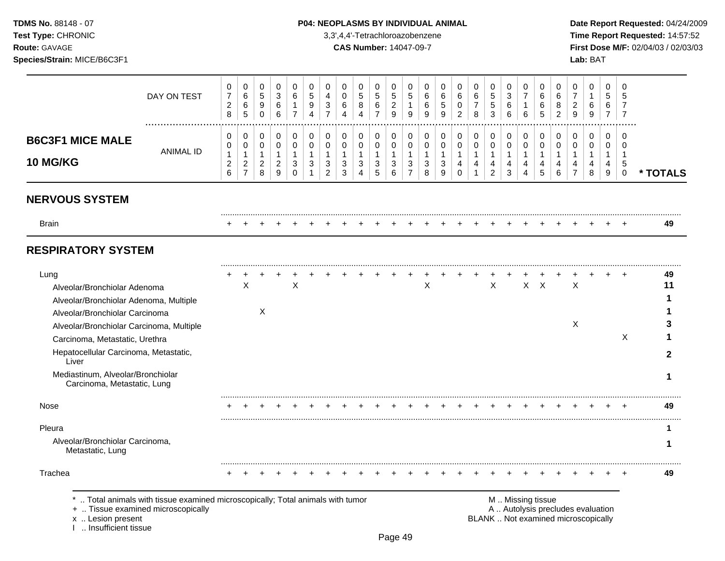**Test Type:** CHRONIC 3,3',4,4'-Tetrachloroazobenzene **Time Report Requested:** 14:57:52 **Route:** GAVAGE **CAS Number:** 14047-09-7 **First Dose M/F:** 02/04/03 / 02/03/03 **Species/Strain:** MICE/B6C3F1 **Lab:** BAT

|                                                                                                                                                                                                                                                                                                                      | DAY ON TEST                                                                                                        | 0<br>$\overline{7}$<br>$\overline{c}$<br>8    | 0<br>6<br>$\,6$<br>5                                       | 0<br>$\sqrt{5}$<br>9<br>$\mathsf{O}\xspace$                   | 0<br>3<br>6<br>6                                      | $\pmb{0}$<br>$\,6$<br>$\mathbf{1}$<br>$\overline{7}$ | 0<br>$\sqrt{5}$<br>9<br>4                    | 0<br>4<br>3<br>$\overline{7}$                         | 0<br>0<br>6<br>4                           | 0<br>5<br>8<br>4                | 0<br>$\mathbf 5$<br>6<br>$\overline{7}$  | 0<br>5<br>$\overline{2}$<br>9            | 0<br>5<br>$\mathbf{1}$<br>9                | 0<br>6<br>6<br>9                             | 0<br>6<br>5<br>9                           | 0<br>6<br>0<br>$\overline{2}$                     | 0<br>$\,6\,$<br>$\overline{7}$<br>8       | 0<br>$\sqrt{5}$<br>$\,$ 5 $\,$<br>3                   | 0<br>3<br>6<br>6                         | 0<br>$\overline{7}$<br>1<br>6 | 0<br>6<br>6<br>5                             | 0<br>6<br>8<br>2                           | 0<br>7<br>2<br>9                                                         | 0<br>1<br>6<br>9                          | 0<br>5<br>6<br>$\overline{7}$              | 0<br>5<br>7<br>$\overline{7}$                               |                    |
|----------------------------------------------------------------------------------------------------------------------------------------------------------------------------------------------------------------------------------------------------------------------------------------------------------------------|--------------------------------------------------------------------------------------------------------------------|-----------------------------------------------|------------------------------------------------------------|---------------------------------------------------------------|-------------------------------------------------------|------------------------------------------------------|----------------------------------------------|-------------------------------------------------------|--------------------------------------------|---------------------------------|------------------------------------------|------------------------------------------|--------------------------------------------|----------------------------------------------|--------------------------------------------|---------------------------------------------------|-------------------------------------------|-------------------------------------------------------|------------------------------------------|-------------------------------|----------------------------------------------|--------------------------------------------|--------------------------------------------------------------------------|-------------------------------------------|--------------------------------------------|-------------------------------------------------------------|--------------------|
| <b>B6C3F1 MICE MALE</b><br>10 MG/KG                                                                                                                                                                                                                                                                                  | <b>ANIMAL ID</b>                                                                                                   | 0<br>0<br>$\mathbf{1}$<br>$\overline{c}$<br>6 | 0<br>0<br>$\mathbf{1}$<br>$\overline{c}$<br>$\overline{7}$ | 0<br>$\mathbf 0$<br>$\mathbf{1}$<br>$\overline{a}$<br>$\,8\,$ | 0<br>$\pmb{0}$<br>$\mathbf{1}$<br>$\overline{c}$<br>9 | 0<br>$\pmb{0}$<br>$\mathbf{1}$<br>3<br>$\Omega$      | 0<br>$\mathbf 0$<br>$\overline{1}$<br>3<br>1 | 0<br>$\pmb{0}$<br>$\mathbf{1}$<br>3<br>$\overline{2}$ | 0<br>$\mathbf 0$<br>$\mathbf{1}$<br>3<br>3 | 0<br>0<br>$\mathbf 1$<br>3<br>4 | 0<br>$\pmb{0}$<br>$\mathbf{1}$<br>3<br>5 | 0<br>$\pmb{0}$<br>$\mathbf{1}$<br>3<br>6 | 0<br>$\pmb{0}$<br>1<br>3<br>$\overline{7}$ | 0<br>$\mathbf 0$<br>$\overline{1}$<br>3<br>8 | 0<br>$\mathbf 0$<br>$\mathbf{1}$<br>3<br>9 | 0<br>$\mathbf 0$<br>$\mathbf{1}$<br>4<br>$\Omega$ | 0<br>$\mathbf 0$<br>$\mathbf 1$<br>4<br>1 | 0<br>$\pmb{0}$<br>$\mathbf{1}$<br>4<br>$\overline{c}$ | 0<br>$\pmb{0}$<br>$\mathbf{1}$<br>4<br>3 | 0<br>$\pmb{0}$<br>1<br>4<br>4 | 0<br>$\mathbf 0$<br>$\overline{1}$<br>4<br>5 | 0<br>$\mathbf 0$<br>$\mathbf{1}$<br>4<br>6 | 0<br>$\mathbf 0$<br>1<br>4<br>$\overline{7}$                             | 0<br>$\mathbf 0$<br>$\mathbf 1$<br>4<br>8 | 0<br>$\mathbf 0$<br>$\mathbf{1}$<br>4<br>9 | $\Omega$<br>$\mathbf 0$<br>$\mathbf{1}$<br>5<br>$\mathbf 0$ | * TOTALS           |
| <b>NERVOUS SYSTEM</b>                                                                                                                                                                                                                                                                                                |                                                                                                                    |                                               |                                                            |                                                               |                                                       |                                                      |                                              |                                                       |                                            |                                 |                                          |                                          |                                            |                                              |                                            |                                                   |                                           |                                                       |                                          |                               |                                              |                                            |                                                                          |                                           |                                            |                                                             |                    |
| <b>Brain</b>                                                                                                                                                                                                                                                                                                         |                                                                                                                    |                                               |                                                            |                                                               |                                                       |                                                      |                                              |                                                       |                                            |                                 |                                          |                                          |                                            |                                              |                                            |                                                   |                                           |                                                       |                                          |                               |                                              |                                            |                                                                          |                                           |                                            |                                                             | 49                 |
| <b>RESPIRATORY SYSTEM</b>                                                                                                                                                                                                                                                                                            |                                                                                                                    |                                               |                                                            |                                                               |                                                       |                                                      |                                              |                                                       |                                            |                                 |                                          |                                          |                                            |                                              |                                            |                                                   |                                           |                                                       |                                          |                               |                                              |                                            |                                                                          |                                           |                                            |                                                             |                    |
| Lung<br>Alveolar/Bronchiolar Adenoma<br>Alveolar/Bronchiolar Adenoma, Multiple<br>Alveolar/Bronchiolar Carcinoma<br>Alveolar/Bronchiolar Carcinoma, Multiple<br>Carcinoma, Metastatic, Urethra<br>Hepatocellular Carcinoma, Metastatic,<br>Liver<br>Mediastinum, Alveolar/Bronchiolar<br>Carcinoma, Metastatic, Lung |                                                                                                                    |                                               | X                                                          | X                                                             |                                                       | $\boldsymbol{\mathsf{X}}$                            |                                              |                                                       |                                            |                                 |                                          |                                          |                                            | X                                            |                                            |                                                   |                                           | X                                                     |                                          |                               | $X$ $X$                                      |                                            | $\boldsymbol{\mathsf{X}}$<br>X                                           |                                           |                                            | X                                                           | 49<br>11<br>2<br>1 |
| Nose                                                                                                                                                                                                                                                                                                                 |                                                                                                                    |                                               |                                                            |                                                               |                                                       |                                                      |                                              |                                                       |                                            |                                 |                                          |                                          |                                            |                                              |                                            |                                                   |                                           |                                                       |                                          |                               |                                              |                                            |                                                                          |                                           |                                            |                                                             | 49                 |
| Pleura<br>Alveolar/Bronchiolar Carcinoma,<br>Metastatic, Lung                                                                                                                                                                                                                                                        |                                                                                                                    |                                               |                                                            |                                                               |                                                       |                                                      |                                              |                                                       |                                            |                                 |                                          |                                          |                                            |                                              |                                            |                                                   |                                           |                                                       |                                          |                               |                                              |                                            |                                                                          |                                           |                                            |                                                             | 1<br>1             |
| Trachea<br>x  Lesion present<br>I  Insufficient tissue                                                                                                                                                                                                                                                               | Total animals with tissue examined microscopically; Total animals with tumor<br>+  Tissue examined microscopically |                                               |                                                            |                                                               |                                                       |                                                      |                                              |                                                       |                                            |                                 |                                          |                                          |                                            |                                              |                                            |                                                   |                                           |                                                       |                                          |                               | M  Missing tissue                            |                                            | A  Autolysis precludes evaluation<br>BLANK  Not examined microscopically |                                           |                                            |                                                             | 49                 |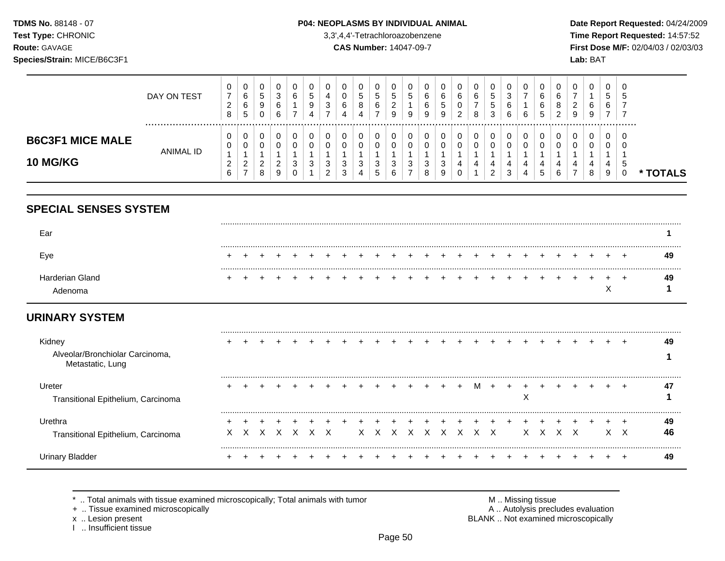TDMS No. 88148 - 07 Test Type: CHRONIC

Route: GAVAGE

### P04: NEOPLASMS BY INDIVIDUAL ANIMAL

3,3',4,4'-Tetrachloroazobenzene

**CAS Number: 14047-09-7** 

Date Report Requested: 04/24/2009 Time Report Requested: 14:57:52 First Dose M/F: 02/04/03 / 02/03/03

> $\mathbf 0$  $\sqrt{5}$  $\overline{7}$  $\overline{7}$

| Species/Strain: MICE/B6C3F1 |             |                                                |                       |                       |                       |        |             |   |   |   |         |        |                            |                            |                                        |        |                            |                       |        |                             |                    |                         | Lab: BAT    |  |
|-----------------------------|-------------|------------------------------------------------|-----------------------|-----------------------|-----------------------|--------|-------------|---|---|---|---------|--------|----------------------------|----------------------------|----------------------------------------|--------|----------------------------|-----------------------|--------|-----------------------------|--------------------|-------------------------|-------------|--|
|                             | DAY ON TEST | 0<br>$\overline{ }$<br>$\sim$<br><u>_</u><br>8 | U<br>6<br>ĸ<br>v<br>G | ັ<br>ັ<br>◡<br>◡<br>v | ັ<br>ັ<br>ັ<br>⌒<br>ັ | ັ<br>ັ | N<br>u<br>v | ັ | ÷ | ÷ | ົວ<br>_ | э<br>9 | ◡<br>◠<br>u<br>◠<br>u<br>Y | ັ<br>$\sim$<br>c<br>J<br>У | ັ<br>$\sim$<br>ັ<br>ັ<br>ာ<br><u>_</u> | ∼<br>8 | ∽<br>◡<br>∽<br>N<br>c<br>ັ | ◡<br>ັ<br>ັ<br>R<br>ັ | ັ<br>6 | v<br>6<br>6<br><sub>5</sub> | 6<br>8<br><u>_</u> | U<br>n<br><u>_</u><br>9 | v<br>6<br>9 |  |
| BAOSEA MIOR MALE            |             | 0                                              |                       |                       |                       |        |             |   |   |   |         |        |                            |                            |                                        |        |                            |                       |        |                             |                    |                         |             |  |

| <b>MICE MALE</b><br><b>B6C3F1</b> | <b>ANIMAL ID</b> | 0<br>0             | 0<br>0        | $\cap$ | - ( )              |        | $\cap$                       | 0<br>$\Omega$                | 0<br>$\mathbf{0}$ | $\mathbf 0$<br>0 | 0              | 0<br>$\Omega$       | $\bigcap$<br>$\cap$ | $\Omega$<br>◡<br>0 | 0<br>0 | 0<br>0 | 0                        |    | $\Omega$<br>$\Omega$ | $\cap$<br>- 0             | $\cap$<br>∩ | 0<br>$\Omega$  | 0<br>$\Omega$ |                     | $\overline{0}$<br>- 0           |               |
|-----------------------------------|------------------|--------------------|---------------|--------|--------------------|--------|------------------------------|------------------------------|-------------------|------------------|----------------|---------------------|---------------------|--------------------|--------|--------|--------------------------|----|----------------------|---------------------------|-------------|----------------|---------------|---------------------|---------------------------------|---------------|
| <b>10 MG/KG</b>                   |                  | ີ<br><u>_</u><br>6 | $\Omega$<br>- | 8      | $\sim$<br>$\Omega$ | $\sim$ | $\sim$<br>$\sim$<br><u>_</u> | $\sim$<br>$\mathbf{r}$<br>ັບ | $\sim$<br>ں<br>4  | $\sim$<br>D.     | <u>ົດ</u><br>6 | ົ<br>$\overline{ }$ | $\sim$<br>ັ<br>8    | $\sim$<br>ັ<br>9   | 0      |        | д.<br>$\sim$<br><u>_</u> | -3 | <b>.</b><br>4        | ≖<br>$\overline{ }$<br>C. | 4<br>6      | $\overline{ }$ | 4<br>8        | $\overline{a}$<br>9 | $\overline{\phantom{0}}$<br>. 5 | <b>TOTALS</b> |

# **SPECIAL SENSES SYSTEM**

| Ear             |              |  |  |  |  |  |  |  |  |  |  |  |  |    |
|-----------------|--------------|--|--|--|--|--|--|--|--|--|--|--|--|----|
| Eve             | $\leftarrow$ |  |  |  |  |  |  |  |  |  |  |  |  | 49 |
| Harderian Gland |              |  |  |  |  |  |  |  |  |  |  |  |  | 49 |

# **URINARY SYSTEM**

| Kidney<br>Alveolar/Bronchiolar Carcinoma,<br>Metastatic, Lung |   |    |  |  |     |  |  |             |  |          |   |     |    |  |   |    |        | 49       |
|---------------------------------------------------------------|---|----|--|--|-----|--|--|-------------|--|----------|---|-----|----|--|---|----|--------|----------|
| Ureter<br>Transitional Epithelium, Carcinoma                  |   |    |  |  |     |  |  |             |  |          | M |     | ↗  |  |   |    |        | 47       |
| Urethra<br>Transitional Epithelium, Carcinoma                 | X | X. |  |  | x x |  |  | x x x x x x |  | $\times$ |   | x x | X. |  | X | X. | ↘<br>ж | 49<br>46 |
| Urinary Bladder                                               |   |    |  |  |     |  |  |             |  |          |   |     |    |  |   |    |        | 49       |

\* .. Total animals with tissue examined microscopically; Total animals with tumor

+ .. Tissue examined microscopically

x .. Lesion present

I .. Insufficient tissue

M .. Missing tissue<br>A .. Autolysis precludes evaluation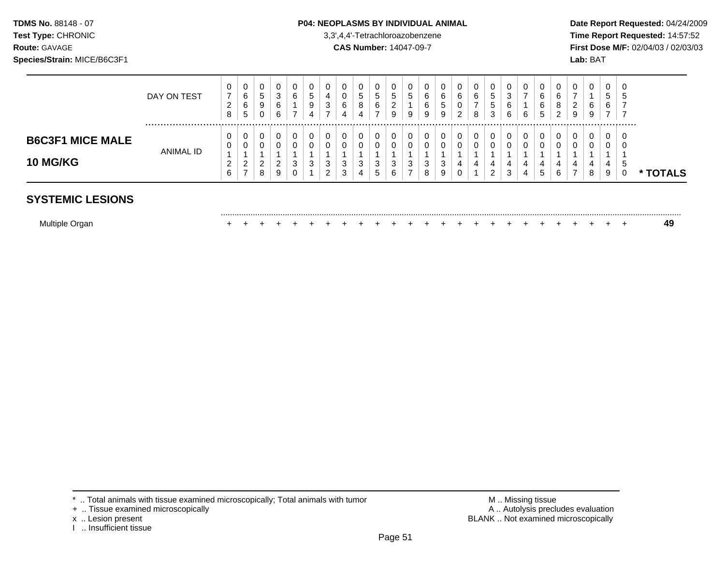### **TDMS No.** 88148 - 07 **P04: NEOPLASMS BY INDIVIDUAL ANIMAL** Date Report Requested: 04/24/2009

**Test Type:** CHRONIC 3,3',4,4'-Tetrachloroazobenzene **Time Report Requested:** 14:57:52 **Route:** GAVAGE **CAS Number:** 14047-09-7 **First Dose M/F:** 02/04/03 / 02/03/03

|                                            | DAY ON TEST | 0<br>7<br>∠<br>8 | 0<br>6<br>6<br>$5\phantom{.0}$ | U<br>5<br>9<br>υ             | 0<br>3<br>6<br>6      | υ<br>$\sim$<br>ь<br>⇁ | 0<br>'5<br>9<br>4 | 0<br>4<br>3<br>$\overline{ }$ | 6<br>4 | 0<br>5<br>8<br>4 | 0<br>C.<br>6<br>$\overline{ }$ | υ<br>≎<br>2<br>9 | $\mathbf 0$<br>G<br>9 | ⌒<br>O<br>6<br>9 | 0<br>6<br>5<br>9 | U<br>$\sim$<br>O<br>U<br>າ<br>▃      | 0<br>6<br>-<br>8 | 0<br>5<br>5<br>3 | 3<br>6<br>6 | U<br>6      | 0<br>⌒<br>b<br>6<br>5 | U<br>⌒<br>8<br>ົ<br>∠ | 0<br>–<br>ີ<br>∠<br>9 | 6<br>9 | 0<br>5<br>6      | -0<br>ີວ<br>7        |               |
|--------------------------------------------|-------------|------------------|--------------------------------|------------------------------|-----------------------|-----------------------|-------------------|-------------------------------|--------|------------------|--------------------------------|------------------|-----------------------|------------------|------------------|--------------------------------------|------------------|------------------|-------------|-------------|-----------------------|-----------------------|-----------------------|--------|------------------|----------------------|---------------|
| <b>B6C3F1 MICE MALE</b><br><b>10 MG/KG</b> | ANIMAL ID   | ▵<br>6           | 0<br>0<br>◠<br><u>.</u><br>⇁   | U<br>U<br>◠<br><u>.</u><br>8 | 0<br>0<br>ົ<br>∠<br>9 | 3<br>U                | 3                 | 0<br>0<br>3<br>າ<br>∠         | 3<br>3 | 0<br>0<br>3<br>4 | 0<br>0<br>3<br><sub>5</sub>    | 0<br>3<br>6      | 0<br>0<br>3           | 3<br>8           | 0<br>0<br>3<br>9 | υ<br>$\sim$<br>υ<br>4<br>$\sim$<br>υ | 0<br>0<br>4      | 0<br>0<br>4<br>2 | 4<br>3      | 0<br>4<br>4 | 0<br>0<br>4<br>5      | 6                     | 0<br>4<br>⇁           | 4<br>8 | 0<br>U<br>4<br>9 | -0<br>-O<br>. 5<br>U | <b>TOTALS</b> |
| <b>SYSTEMIC LESIONS</b>                    |             |                  |                                |                              |                       |                       |                   |                               |        |                  |                                |                  |                       |                  |                  |                                      |                  |                  |             |             |                       |                       |                       |        |                  |                      |               |

|  |  | <b>OTLIVIIU LLOIU</b> |  |
|--|--|-----------------------|--|
|  |  |                       |  |
|  |  |                       |  |

| Multiple Organ |  |  |  |  |  |  |  |  |  |  |  |  |  |  |  |  |  |  |  |  |  |  |  |  |  |  |  |  |
|----------------|--|--|--|--|--|--|--|--|--|--|--|--|--|--|--|--|--|--|--|--|--|--|--|--|--|--|--|--|
|----------------|--|--|--|--|--|--|--|--|--|--|--|--|--|--|--|--|--|--|--|--|--|--|--|--|--|--|--|--|

- + .. Tissue examined microscopically<br>x .. Lesion present
- 
- I .. Insufficient tissue

\* .. Total animals with tissue examined microscopically; Total animals with tumor **M** metal metal M .. Missing tissue<br>
+ .. Tissue examined microscopically by the matric of the matrice of the matrice of the M .. Autolysis BLANK .. Not examined microscopically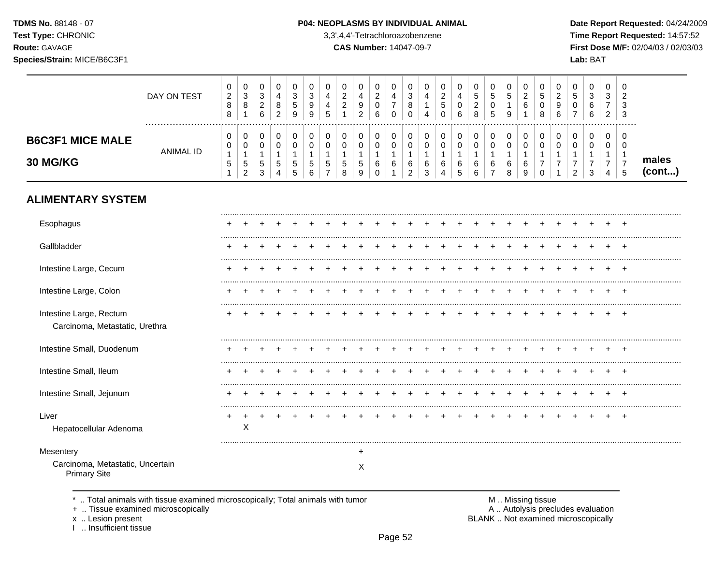TDMS No. 88148 - 07 Test Type: CHRONIC

Route: GAVAGE

### P04: NEOPLASMS BY INDIVIDUAL ANIMAL

3,3',4,4'-Tetrachloroazobenzene

 $(cont...)$ 

CAS Number: 14047-09-7

Date Report Requested: 04/24/2009 Time Report Requested: 14:57:52 First Dose M/F: 02/04/03 / 02/03/03

| ------ <i>-</i> -------<br>Species/Strain: MICE/B6C3F1 |             |                               |                         |                       |                  |                             |                        |                   |                                          |        |                       |             |                  |        |             |   |                  |             |                         |        |                  |    |             | Lab: BAT    |                  |         |                |
|--------------------------------------------------------|-------------|-------------------------------|-------------------------|-----------------------|------------------|-----------------------------|------------------------|-------------------|------------------------------------------|--------|-----------------------|-------------|------------------|--------|-------------|---|------------------|-------------|-------------------------|--------|------------------|----|-------------|-------------|------------------|---------|----------------|
|                                                        | DAY ON TEST | U<br>$\overline{2}$<br>8<br>8 | U<br>$\Omega$<br>J<br>8 | 0<br>3<br>റ<br>∠<br>6 | 0<br>4<br>8<br>2 | 0<br>3<br>5<br>9            | v<br>3<br>9<br>9       | U<br>$\mathbf{p}$ | 0<br>ົ<br><u>_</u><br>$\sim$<br><u>.</u> | 9<br>2 | U<br>$\sim$<br>∼<br>6 | 0<br>0      | 0<br>3<br>8<br>0 | 4      | ົ<br>G<br>0 | 6 | 0<br>5<br>◠<br>8 | $\mathbf b$ | 0<br>5<br>9             | ົ<br>6 | 0<br>5<br>0<br>8 | -6 | 0<br>5<br>0 | 3<br>6<br>6 | 0<br>3<br>–<br>2 | 0<br>-3 |                |
| <b>B6C3F1 MICE MALE</b><br><b>30 MG/KG</b>             | ANIMAL ID   | 0<br>0<br>ა                   | υ<br>ν<br>J<br>$\sim$   | 0<br>0<br>5<br>3      | 0<br>0<br>5<br>4 | 0<br>U<br>5<br><sub>5</sub> | U<br>υ<br><sub>5</sub> | 0<br>0<br>5       | 5<br>8                                   | 0      | 6                     | 0<br>0<br>6 | 0<br>6<br>ົ<br>▵ | 6<br>3 | 6<br>4      | 6 | 0<br>6<br>6      | 6           | 0<br>$\Omega$<br>6<br>8 | 6<br>9 | 0<br>0<br>0      |    | 0<br>0<br>◠ | 0<br>◠      | 0<br>0<br>–<br>4 | 0<br>-0 | males<br>(cont |

# **ALIMENTARY SYSTEM**

| Esophagus                                                 |   |  |  |  |           |  |  |  |  |  |  |  |   |
|-----------------------------------------------------------|---|--|--|--|-----------|--|--|--|--|--|--|--|---|
| Gallbladder                                               |   |  |  |  |           |  |  |  |  |  |  |  |   |
| Intestine Large, Cecum                                    |   |  |  |  |           |  |  |  |  |  |  |  |   |
| Intestine Large, Colon                                    |   |  |  |  |           |  |  |  |  |  |  |  |   |
| Intestine Large, Rectum<br>Carcinoma, Metastatic, Urethra |   |  |  |  |           |  |  |  |  |  |  |  |   |
| Intestine Small, Duodenum                                 |   |  |  |  |           |  |  |  |  |  |  |  |   |
| Intestine Small, Ileum                                    |   |  |  |  |           |  |  |  |  |  |  |  |   |
| Intestine Small, Jejunum                                  |   |  |  |  |           |  |  |  |  |  |  |  |   |
| Liver<br>Hepatocellular Adenoma                           | Х |  |  |  |           |  |  |  |  |  |  |  | + |
| Mesentery                                                 |   |  |  |  | $\ddot{}$ |  |  |  |  |  |  |  |   |
| Carcinoma, Metastatic, Uncertain<br><b>Primary Site</b>   |   |  |  |  | X         |  |  |  |  |  |  |  |   |

\* .. Total animals with tissue examined microscopically; Total animals with tumor

+ .. Tissue examined microscopically

x .. Lesion present

I .. Insufficient tissue

M .. Missing tissue A .. Autolysis precludes evaluation BLANK .. Not examined microscopically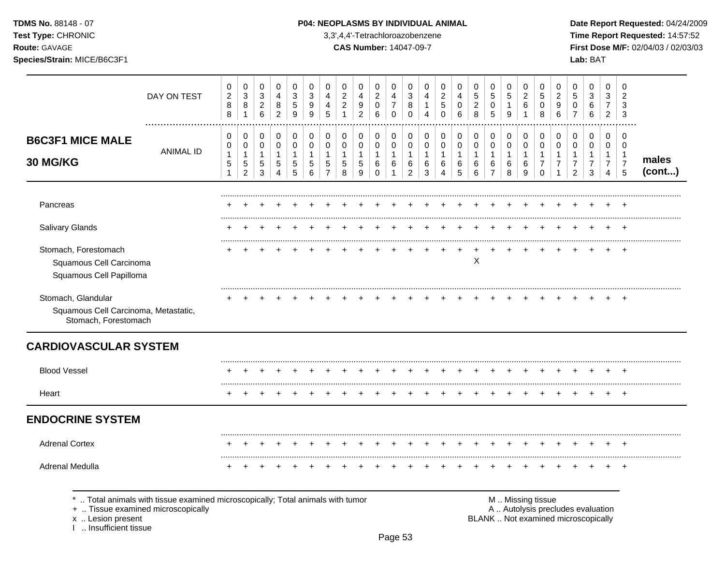## TDMS No. 88148 - 07 **P04: NEOPLASMS BY INDIVIDUAL ANIMAL** Date Report Requested: 04/24/2009

**Test Type:** CHRONIC 3,3',4,4'-Tetrachloroazobenzene **Time Report Requested:** 14:57:52 **Route:** GAVAGE **CAS Number:** 14047-09-7 **First Dose M/F:** 02/04/03 / 02/03/03

|                                                                                    | DAY ON TEST                                                                  | 0<br>$\boldsymbol{2}$<br>$\bf 8$<br>8      | $\mathbf 0$<br>$\ensuremath{\mathsf{3}}$<br>$\bf 8$<br>$\mathbf{1}$ | 0<br>$\mathbf{3}$<br>$\overline{2}$<br>$\,6$ | 0<br>4<br>$\bf 8$<br>$\overline{c}$ | $\mathbf 0$<br>$\sqrt{3}$<br>$\,$ 5 $\,$<br>9          | 0<br>3<br>$\boldsymbol{9}$<br>9          | 0<br>4<br>4<br>5                                        | 0<br>$\overline{c}$<br>$\sqrt{2}$<br>$\mathbf{1}$ | 0<br>4<br>$\boldsymbol{9}$<br>$\overline{2}$       | 0<br>$\sqrt{2}$<br>$\mathbf 0$<br>6             | 0<br>4<br>$\overline{7}$<br>$\mathbf 0$    | 0<br>$\sqrt{3}$<br>8<br>$\mathbf 0$                     | 0<br>4<br>$\mathbf{1}$<br>4              | $\pmb{0}$<br>$\mathbf 2$<br>$\mathbf 5$<br>$\mathbf 0$ | $\pmb{0}$<br>$\overline{\mathbf{4}}$<br>$\mathbf 0$<br>6 | $\mathbf 0$<br>$\mathbf 5$<br>$\sqrt{2}$<br>8 | 0<br>$\sqrt{5}$<br>$\pmb{0}$<br>5                     | 0<br>5<br>$\mathbf{1}$<br>9              | 0<br>$\overline{c}$<br>6         | 0<br>$\sqrt{5}$<br>$\mathbf 0$<br>8                            | 0<br>$\overline{c}$<br>$\boldsymbol{9}$<br>$6\phantom{1}$ | 0<br>5<br>$\mathbf 0$<br>$\overline{7}$                                  | 0<br>$\sqrt{3}$<br>$\,6\,$<br>$\,6\,$                     | 0<br>3<br>$\overline{7}$<br>$\overline{c}$    | 0<br>$\overline{\mathbf{c}}$<br>3<br>3                    |                 |
|------------------------------------------------------------------------------------|------------------------------------------------------------------------------|--------------------------------------------|---------------------------------------------------------------------|----------------------------------------------|-------------------------------------|--------------------------------------------------------|------------------------------------------|---------------------------------------------------------|---------------------------------------------------|----------------------------------------------------|-------------------------------------------------|--------------------------------------------|---------------------------------------------------------|------------------------------------------|--------------------------------------------------------|----------------------------------------------------------|-----------------------------------------------|-------------------------------------------------------|------------------------------------------|----------------------------------|----------------------------------------------------------------|-----------------------------------------------------------|--------------------------------------------------------------------------|-----------------------------------------------------------|-----------------------------------------------|-----------------------------------------------------------|-----------------|
| <b>B6C3F1 MICE MALE</b><br>30 MG/KG                                                | <b>ANIMAL ID</b>                                                             | 0<br>0<br>$\mathbf{1}$<br>5<br>$\mathbf 1$ | 0<br>$\mathbf 0$<br>$\mathbf{1}$<br>$\,$ 5 $\,$<br>$\overline{2}$   | 0<br>0<br>$\mathbf{1}$<br>5<br>3             | 0<br>0<br>$\mathbf{1}$<br>5<br>4    | 0<br>$\mathbf 0$<br>$\overline{1}$<br>$\mathbf 5$<br>5 | 0<br>$\pmb{0}$<br>$\mathbf{1}$<br>5<br>6 | 0<br>$\mathbf 0$<br>$\mathbf{1}$<br>5<br>$\overline{7}$ | 0<br>$\mathbf 0$<br>$\mathbf{1}$<br>5<br>8        | 0<br>$\pmb{0}$<br>$\mathbf{1}$<br>$\,$ 5 $\,$<br>9 | 0<br>$\pmb{0}$<br>$\mathbf{1}$<br>6<br>$\Omega$ | 0<br>0<br>$\mathbf{1}$<br>6<br>$\mathbf 1$ | 0<br>$\mathbf 0$<br>$\mathbf{1}$<br>6<br>$\overline{2}$ | 0<br>$\pmb{0}$<br>$\mathbf{1}$<br>6<br>3 | 0<br>$\pmb{0}$<br>$\mathbf{1}$<br>6<br>$\overline{4}$  | 0<br>$\pmb{0}$<br>$\mathbf{1}$<br>6<br>5                 | 0<br>$\pmb{0}$<br>$\mathbf{1}$<br>6<br>6      | 0<br>$\pmb{0}$<br>$\mathbf{1}$<br>6<br>$\overline{7}$ | 0<br>$\pmb{0}$<br>$\mathbf{1}$<br>6<br>8 | 0<br>0<br>$\mathbf{1}$<br>6<br>9 | 0<br>$\mathbf 0$<br>$\mathbf{1}$<br>$\overline{7}$<br>$\Omega$ | 0<br>0<br>$\mathbf{1}$<br>$\overline{7}$                  | 0<br>0<br>$\mathbf{1}$<br>$\overline{7}$<br>$\overline{2}$               | 0<br>$\mathbf 0$<br>$\mathbf{1}$<br>$\boldsymbol{7}$<br>3 | 0<br>0<br>$\mathbf{1}$<br>$\overline{7}$<br>4 | $\mathbf 0$<br>0<br>$\overline{1}$<br>$\overline{7}$<br>5 | males<br>(cont) |
| Pancreas                                                                           |                                                                              |                                            |                                                                     |                                              |                                     |                                                        |                                          |                                                         |                                                   |                                                    |                                                 |                                            |                                                         |                                          |                                                        |                                                          |                                               |                                                       |                                          |                                  |                                                                |                                                           |                                                                          |                                                           |                                               |                                                           |                 |
| Salivary Glands                                                                    |                                                                              |                                            |                                                                     |                                              |                                     |                                                        |                                          |                                                         |                                                   |                                                    |                                                 |                                            |                                                         |                                          |                                                        |                                                          |                                               |                                                       |                                          |                                  |                                                                |                                                           |                                                                          |                                                           |                                               |                                                           |                 |
| Stomach, Forestomach<br>Squamous Cell Carcinoma<br>Squamous Cell Papilloma         |                                                                              |                                            |                                                                     |                                              |                                     |                                                        |                                          |                                                         |                                                   |                                                    |                                                 |                                            |                                                         |                                          |                                                        |                                                          | X                                             |                                                       |                                          |                                  |                                                                |                                                           |                                                                          |                                                           |                                               |                                                           |                 |
| Stomach, Glandular<br>Squamous Cell Carcinoma, Metastatic,<br>Stomach, Forestomach |                                                                              |                                            |                                                                     |                                              |                                     |                                                        |                                          |                                                         |                                                   |                                                    |                                                 |                                            |                                                         |                                          |                                                        |                                                          |                                               |                                                       |                                          |                                  |                                                                |                                                           |                                                                          |                                                           |                                               | ÷                                                         |                 |
| <b>CARDIOVASCULAR SYSTEM</b>                                                       |                                                                              |                                            |                                                                     |                                              |                                     |                                                        |                                          |                                                         |                                                   |                                                    |                                                 |                                            |                                                         |                                          |                                                        |                                                          |                                               |                                                       |                                          |                                  |                                                                |                                                           |                                                                          |                                                           |                                               |                                                           |                 |
| <b>Blood Vessel</b>                                                                |                                                                              |                                            |                                                                     |                                              |                                     |                                                        |                                          |                                                         |                                                   |                                                    |                                                 |                                            |                                                         |                                          |                                                        |                                                          |                                               |                                                       |                                          |                                  |                                                                |                                                           |                                                                          |                                                           |                                               |                                                           |                 |
| Heart                                                                              |                                                                              |                                            |                                                                     |                                              |                                     |                                                        |                                          |                                                         |                                                   |                                                    |                                                 |                                            |                                                         |                                          |                                                        |                                                          |                                               |                                                       |                                          |                                  |                                                                |                                                           |                                                                          |                                                           |                                               |                                                           |                 |
| <b>ENDOCRINE SYSTEM</b>                                                            |                                                                              |                                            |                                                                     |                                              |                                     |                                                        |                                          |                                                         |                                                   |                                                    |                                                 |                                            |                                                         |                                          |                                                        |                                                          |                                               |                                                       |                                          |                                  |                                                                |                                                           |                                                                          |                                                           |                                               |                                                           |                 |
| <b>Adrenal Cortex</b>                                                              |                                                                              |                                            |                                                                     |                                              |                                     |                                                        |                                          |                                                         |                                                   |                                                    |                                                 |                                            |                                                         |                                          |                                                        |                                                          |                                               |                                                       |                                          |                                  |                                                                |                                                           |                                                                          |                                                           |                                               |                                                           |                 |
| Adrenal Medulla                                                                    |                                                                              | $\div$                                     |                                                                     |                                              |                                     |                                                        |                                          |                                                         |                                                   |                                                    |                                                 |                                            |                                                         |                                          |                                                        |                                                          |                                               |                                                       |                                          |                                  |                                                                |                                                           |                                                                          |                                                           |                                               |                                                           |                 |
| +  Tissue examined microscopically<br>x  Lesion present<br>Insufficient tissue     | Total animals with tissue examined microscopically; Total animals with tumor |                                            |                                                                     |                                              |                                     |                                                        |                                          |                                                         |                                                   |                                                    |                                                 |                                            |                                                         |                                          |                                                        |                                                          |                                               |                                                       |                                          | M  Missing tissue                |                                                                |                                                           | A  Autolysis precludes evaluation<br>BLANK  Not examined microscopically |                                                           |                                               |                                                           |                 |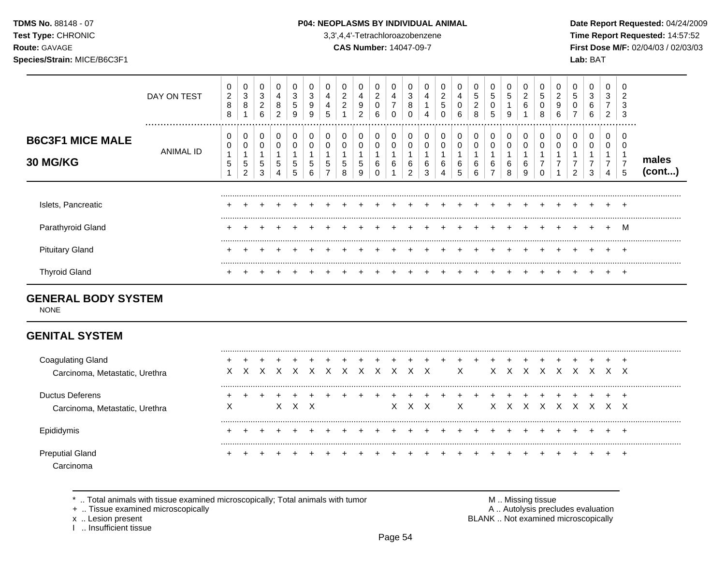### **TDMS No.** 88148 - 07 **P04: NEOPLASMS BY INDIVIDUAL ANIMAL** Date Report Requested: 04/24/2009

**Test Type:** CHRONIC 3,3',4,4'-Tetrachloroazobenzene **Time Report Requested:** 14:57:52 **Route:** GAVAGE **CAS Number:** 14047-09-7 **First Dose M/F:** 02/04/03 / 02/03/03

|                                            | DAY ON TEST   | 0<br>$\overline{c}$<br>8<br>8 | 0<br>3<br>8 | 0<br>3<br>2<br>6 | 0<br>4<br>8<br>2 | 0<br>3<br>5<br>9 | 0<br>3<br>9<br>9 | ა | 0<br>$\overline{2}$<br>ົ | 4<br>9<br>2 | 0<br>2<br>0<br>6 | 0<br>4<br>$\overline{ }$ | 0<br>3<br>8<br>0 | 4<br>4      | 2<br>5<br>0 | 4<br>6 | 0<br>5<br>2<br>8 | 0<br>5<br>0<br>5 | 0<br>5<br>9 | 0<br>n<br>$\epsilon$<br>6 | 0<br>5<br>0<br>8 | 2<br>9<br>6 | 5 | 0<br>3<br>6<br>6 | 0<br>3<br>$\overline{ }$<br>2 | ╯<br>$\sqrt{2}$<br>د.<br>3 |                 |
|--------------------------------------------|---------------|-------------------------------|-------------|------------------|------------------|------------------|------------------|---|--------------------------|-------------|------------------|--------------------------|------------------|-------------|-------------|--------|------------------|------------------|-------------|---------------------------|------------------|-------------|---|------------------|-------------------------------|----------------------------|-----------------|
| <b>B6C3F1 MICE MALE</b><br><b>30 MG/KG</b> | <br>ANIMAL ID | 0<br>0<br>5                   | 0<br>5<br>ົ | 0<br>0<br>5<br>3 | 0<br>0<br>5      | 0<br>0<br>5<br>5 | G<br>b           | ບ | 0<br>5<br>8              | 5<br>9      | 0<br>0<br>6      | 0<br>0<br>6              | 0<br>0<br>6<br>ີ | 0<br>6<br>3 | 6           | 6      | 0<br>0<br>6<br>6 | 0<br>0<br>6      | 6           | 0<br>6<br>9               |                  |             |   | 0<br>3           | 0<br>0<br>4                   | <br><u>—</u>               | males<br>(cont) |
| Islets, Pancreatic                         |               |                               |             |                  |                  |                  |                  |   |                          |             |                  |                          |                  |             |             |        |                  |                  |             |                           |                  |             |   |                  |                               | $\pm$                      |                 |
| Parathyroid Gland                          |               |                               |             |                  |                  |                  |                  |   |                          |             |                  |                          |                  |             |             |        |                  |                  |             |                           |                  |             |   |                  | $+$                           | М                          |                 |
| <b>Pituitary Gland</b>                     |               |                               |             |                  |                  |                  |                  |   |                          |             |                  |                          |                  |             |             |        |                  |                  |             |                           |                  |             |   |                  |                               | $\div$                     |                 |
| <b>Thyroid Gland</b>                       |               |                               |             |                  |                  |                  |                  |   |                          |             |                  |                          |                  |             |             |        |                  |                  |             |                           |                  |             |   |                  |                               |                            |                 |

## **GENERAL BODY SYSTEM**

NONE

# **GENITAL SYSTEM**

| <b>Coagulating Gland</b><br>Carcinoma, Metastatic, Urethra |   | X. | X | X X X X X X X X X |  |  |    |    |              | $\mathsf{X}$ | X. | XX | $\mathsf{X}$ | X. | X | X | x x |  |
|------------------------------------------------------------|---|----|---|-------------------|--|--|----|----|--------------|--------------|----|----|--------------|----|---|---|-----|--|
| Ductus Deferens<br>Carcinoma, Metastatic, Urethra          | X |    |   | x x               |  |  | X. | X. | $\mathsf{X}$ | $\mathsf{X}$ | X. | X. |              |    |   |   | x x |  |
| Epididymis                                                 |   |    |   |                   |  |  |    |    |              |              |    |    |              |    |   |   |     |  |
| <b>Preputial Gland</b>                                     |   |    |   |                   |  |  |    |    |              |              |    |    |              |    |   |   |     |  |

\* .. Total animals with tissue examined microscopically; Total animals with tumor <br>
+ .. Tissue examined microscopically<br>
+ .. Tissue examined microscopically

+ .. Tissue examined microscopically

I .. Insufficient tissue

x .. Lesion present **BLANK** .. Not examined microscopically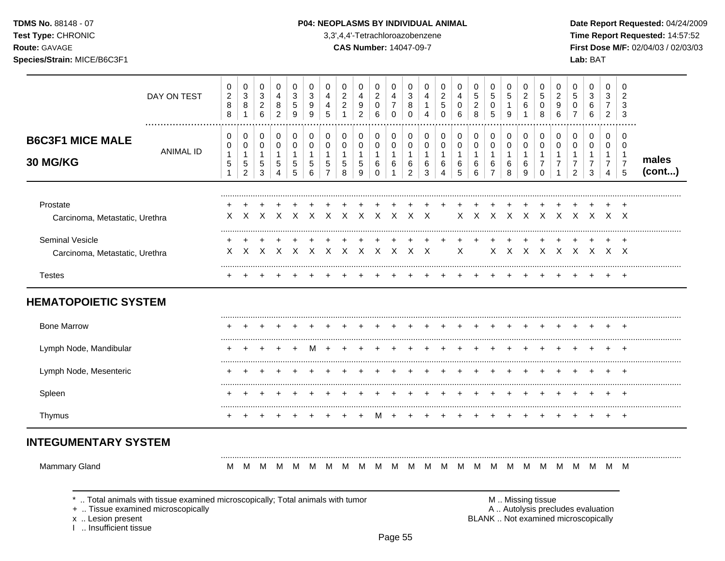TDMS No. 88148 - 07

Test Type: CHRONIC

Route: GAVAGE

Species/Strain: MICE/B6C3F1

### P04: NEOPLASMS BY INDIVIDUAL ANIMAL

3,3',4,4'-Tetrachloroazobenzene

**CAS Number: 14047-09-7** 

Date Report Requested: 04/24/2009 Time Report Requested: 14:57:52 First Dose M/F: 02/04/03 / 02/03/03 Lab: BAT

| DAY ON TEST                                                                                                                                                       | 0<br>$\sqrt{2}$<br>8<br>8      | $\pmb{0}$<br>$\ensuremath{\mathsf{3}}$<br>$\bf8$<br>$\mathbf{1}$        | 0<br>$\sqrt{3}$<br>$\boldsymbol{2}$<br>$\,6\,$              | 0<br>$\overline{4}$<br>8<br>$\overline{2}$            | 0<br>$\mathbf{3}$<br>$\sqrt{5}$<br>$\boldsymbol{9}$ | 0<br>3<br>9<br>9               | 0<br>4<br>4<br>5                                                | 0<br>$\overline{2}$<br>$\boldsymbol{2}$<br>$\mathbf{1}$ | 0<br>4<br>9<br>$\overline{a}$                  | 0<br>$\sqrt{2}$<br>$\mathbf 0$<br>$\,6\,$                  | 0<br>$\overline{4}$<br>$\overline{7}$<br>$\mathbf 0$ | $\mathbf 0$<br>3<br>8<br>$\mathbf 0$                       | 0<br>4<br>1<br>4            | 0<br>$\overline{2}$<br>$\,$ 5 $\,$<br>$\mathbf 0$ | 0<br>$\overline{4}$<br>$\mathbf 0$<br>$6\phantom{1}6$ | 0<br>$\sqrt{5}$<br>$\boldsymbol{2}$<br>8 | 0<br>$\sqrt{5}$<br>0<br>$\overline{5}$                      | 0<br>$\sqrt{5}$<br>$\mathbf{1}$<br>9             | 0<br>$\overline{c}$<br>6<br>1                          | 0<br>$\sqrt{5}$<br>$\,0\,$<br>8                         | 0<br>$\overline{2}$<br>9<br>$\,6\,$                                      | 0<br>$\sqrt{5}$<br>$\pmb{0}$<br>$\overline{7}$               | 0<br>$\mathbf{3}$<br>$\,6$<br>$6\phantom{1}6$ | 0<br>3<br>$\overline{7}$<br>$\overline{2}$                 | 0<br>$\overline{2}$<br>3<br>3                           |                 |
|-------------------------------------------------------------------------------------------------------------------------------------------------------------------|--------------------------------|-------------------------------------------------------------------------|-------------------------------------------------------------|-------------------------------------------------------|-----------------------------------------------------|--------------------------------|-----------------------------------------------------------------|---------------------------------------------------------|------------------------------------------------|------------------------------------------------------------|------------------------------------------------------|------------------------------------------------------------|-----------------------------|---------------------------------------------------|-------------------------------------------------------|------------------------------------------|-------------------------------------------------------------|--------------------------------------------------|--------------------------------------------------------|---------------------------------------------------------|--------------------------------------------------------------------------|--------------------------------------------------------------|-----------------------------------------------|------------------------------------------------------------|---------------------------------------------------------|-----------------|
| <b>B6C3F1 MICE MALE</b><br><b>ANIMAL ID</b><br>30 MG/KG                                                                                                           | 0<br>0<br>1<br>$\sqrt{5}$<br>1 | $\pmb{0}$<br>$\pmb{0}$<br>$\mathbf{1}$<br>$\,$ 5 $\,$<br>$\overline{c}$ | 0<br>$\pmb{0}$<br>$\mathbf{1}$<br>$\,$ 5 $\,$<br>$\sqrt{3}$ | 0<br>$\mathsf 0$<br>1<br>$\sqrt{5}$<br>$\overline{4}$ | 0<br>$\mathbf 0$<br>$\mathbf{1}$<br>$\sqrt{5}$<br>5 | 0<br>0<br>1<br>$\sqrt{5}$<br>6 | $\mathbf 0$<br>$\mathbf 0$<br>1<br>$\sqrt{5}$<br>$\overline{7}$ | 0<br>$\mathbf 0$<br>$\mathbf{1}$<br>$\sqrt{5}$<br>8     | 0<br>0<br>$\mathbf 1$<br>5<br>$\boldsymbol{9}$ | 0<br>$\mathbf 0$<br>$\mathbf{1}$<br>$\,6\,$<br>$\mathbf 0$ | 0<br>$\pmb{0}$<br>$\mathbf{1}$<br>6<br>$\mathbf{1}$  | $\mathbf 0$<br>$\mathbf 0$<br>1<br>$\,6$<br>$\overline{2}$ | 0<br>0<br>1<br>$\,6\,$<br>3 | 0<br>0<br>$\mathbf{1}$<br>6<br>$\overline{4}$     | 0<br>$\mathbf 0$<br>$\mathbf{1}$<br>$\,6$<br>5        | 0<br>$\pmb{0}$<br>1<br>$\,6$<br>6        | 0<br>$\mathbf 0$<br>$\mathbf{1}$<br>$\,6$<br>$\overline{7}$ | 0<br>$\mathbf 0$<br>$\mathbf{1}$<br>$\,6\,$<br>8 | $\pmb{0}$<br>$\pmb{0}$<br>$\mathbf{1}$<br>$\,6\,$<br>9 | 0<br>$\mathbf 0$<br>$\mathbf{1}$<br>$\overline{7}$<br>0 | 0<br>$\mathbf 0$<br>$\mathbf{1}$<br>$\boldsymbol{7}$<br>1                | 0<br>$\mathbf 0$<br>-1<br>$\boldsymbol{7}$<br>$\overline{2}$ | 0<br>0<br>1<br>$\overline{7}$<br>3            | 0<br>0<br>$\mathbf{1}$<br>$\overline{7}$<br>$\overline{4}$ | $\mathbf 0$<br>$\mathbf 0$<br>-1<br>$\overline{7}$<br>5 | males<br>(cont) |
| Prostate<br>Carcinoma, Metastatic, Urethra                                                                                                                        | X                              | X                                                                       | $\times$                                                    | $\mathsf{X}$                                          | $\mathsf{X}$                                        | $\times$                       | X                                                               | $\mathsf{X}$                                            | $\times$                                       | $\times$                                                   | $\mathsf{X}$                                         | $\times$                                                   | $\times$                    |                                                   | $\times$                                              |                                          | $X$ $X$                                                     | $\mathsf{X}$                                     | $\mathsf{X}$                                           | $\times$                                                |                                                                          | X X X                                                        |                                               |                                                            | $X$ $X$                                                 |                 |
| Seminal Vesicle<br>Carcinoma, Metastatic, Urethra                                                                                                                 | X                              | $\times$                                                                | $\mathsf{X}$                                                | $\mathsf{X}$                                          | $\mathsf{X}$                                        | $\times$                       |                                                                 | $X \times X$                                            |                                                | x x                                                        | $\mathsf{X}$                                         | $\mathsf{X}$                                               | $\mathsf{X}$                |                                                   | X                                                     |                                          | X                                                           | $\mathsf{X}$                                     | $\mathsf{X}$                                           |                                                         | $X$ $X$ $X$ $X$ $X$ $X$                                                  |                                                              |                                               |                                                            |                                                         |                 |
| <b>Testes</b>                                                                                                                                                     |                                |                                                                         |                                                             |                                                       |                                                     |                                |                                                                 |                                                         |                                                |                                                            |                                                      |                                                            |                             |                                                   |                                                       |                                          |                                                             |                                                  |                                                        |                                                         |                                                                          |                                                              |                                               |                                                            |                                                         |                 |
| <b>HEMATOPOIETIC SYSTEM</b><br><b>Bone Marrow</b>                                                                                                                 |                                |                                                                         |                                                             |                                                       |                                                     |                                |                                                                 |                                                         |                                                |                                                            |                                                      |                                                            |                             |                                                   |                                                       |                                          |                                                             |                                                  |                                                        |                                                         |                                                                          |                                                              |                                               |                                                            |                                                         |                 |
| Lymph Node, Mandibular                                                                                                                                            |                                |                                                                         |                                                             |                                                       |                                                     |                                |                                                                 |                                                         |                                                |                                                            |                                                      |                                                            |                             |                                                   |                                                       |                                          |                                                             |                                                  |                                                        |                                                         |                                                                          |                                                              |                                               |                                                            |                                                         |                 |
| Lymph Node, Mesenteric                                                                                                                                            |                                |                                                                         |                                                             |                                                       |                                                     |                                |                                                                 |                                                         |                                                |                                                            |                                                      |                                                            |                             |                                                   |                                                       |                                          |                                                             |                                                  |                                                        |                                                         |                                                                          |                                                              |                                               |                                                            |                                                         |                 |
| Spleen                                                                                                                                                            |                                |                                                                         |                                                             |                                                       |                                                     |                                |                                                                 |                                                         |                                                |                                                            |                                                      |                                                            |                             |                                                   |                                                       |                                          |                                                             |                                                  |                                                        |                                                         |                                                                          |                                                              |                                               |                                                            |                                                         |                 |
| Thymus                                                                                                                                                            |                                |                                                                         |                                                             |                                                       |                                                     |                                |                                                                 |                                                         |                                                |                                                            |                                                      |                                                            |                             |                                                   |                                                       |                                          |                                                             |                                                  |                                                        |                                                         |                                                                          |                                                              |                                               |                                                            |                                                         |                 |
| <b>INTEGUMENTARY SYSTEM</b>                                                                                                                                       |                                |                                                                         |                                                             |                                                       |                                                     |                                |                                                                 |                                                         |                                                |                                                            |                                                      |                                                            |                             |                                                   |                                                       |                                          |                                                             |                                                  |                                                        |                                                         |                                                                          |                                                              |                                               |                                                            |                                                         |                 |
| <b>Mammary Gland</b>                                                                                                                                              | м                              |                                                                         | MMM                                                         |                                                       | - M                                                 |                                | M M M M M M M M M M M M M M M M M M M                           |                                                         |                                                |                                                            |                                                      |                                                            |                             |                                                   |                                                       |                                          |                                                             |                                                  |                                                        |                                                         |                                                                          |                                                              |                                               |                                                            |                                                         |                 |
| Total animals with tissue examined microscopically; Total animals with tumor<br>+  Tissue examined microscopically<br>x  Lesion present<br>L. Insufficient tissue |                                |                                                                         |                                                             |                                                       |                                                     |                                |                                                                 |                                                         |                                                |                                                            |                                                      |                                                            |                             |                                                   |                                                       |                                          |                                                             |                                                  |                                                        | M  Missing tissue                                       | A  Autolysis precludes evaluation<br>BLANK  Not examined microscopically |                                                              |                                               |                                                            |                                                         |                 |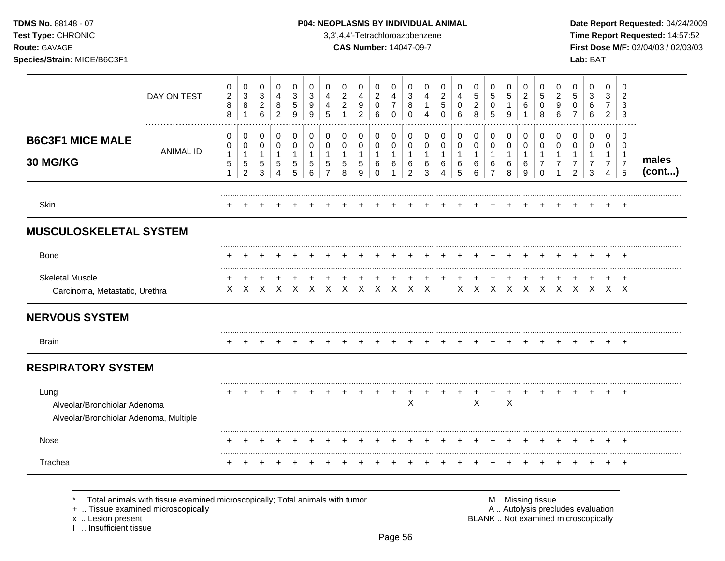### **TDMS No.** 88148 - 07 **P04: NEOPLASMS BY INDIVIDUAL ANIMAL** Date Report Requested: 04/24/2009

**Test Type:** CHRONIC 3,3',4,4'-Tetrachloroazobenzene **Time Report Requested:** 14:57:52 **Route:** GAVAGE **CAS Number:** 14047-09-7 **First Dose M/F:** 02/04/03 / 02/03/03

|                                                                                | DAY ON TEST      | 0<br>$\overline{\mathbf{c}}$<br>8<br>8 | 0<br>$\ensuremath{\mathsf{3}}$<br>8         | 0<br>$\sqrt{3}$<br>$\overline{2}$<br>6     | 0<br>4<br>8<br>2            | 0<br>$\sqrt{3}$<br>5<br>9        | 0<br>3<br>9<br>9      | 0<br>4<br>4<br>5                    | 0<br>$\overline{c}$<br>$\overline{2}$ | 0<br>4<br>9<br>$\mathfrak{p}$    | 0<br>$\overline{c}$<br>0<br>6           | $\mathbf 0$<br>4<br>$\overline{7}$<br>$\Omega$ | 0<br>3<br>8<br>$\Omega$            | 0<br>4<br>1<br>4                 | 0<br>$\overline{a}$<br>5<br>$\Omega$ | 0<br>4<br>0<br>6                | 0<br>5<br>$\overline{2}$<br>8 | 0<br>$\sqrt{5}$<br>0<br>5                     | $\mathbf 0$<br>5<br>$\mathbf{1}$<br>9 | 0<br>$\boldsymbol{2}$<br>6<br>1  | 0<br>5<br>0<br>8      | 0<br>$\overline{c}$<br>9<br>6 | 0<br>5<br>0                             | 0<br>3<br>6<br>6                   | 0<br>3<br>$\overline{7}$<br>$\overline{2}$ | 0<br>$\overline{2}$<br>3<br>3                                       |                 |
|--------------------------------------------------------------------------------|------------------|----------------------------------------|---------------------------------------------|--------------------------------------------|-----------------------------|----------------------------------|-----------------------|-------------------------------------|---------------------------------------|----------------------------------|-----------------------------------------|------------------------------------------------|------------------------------------|----------------------------------|--------------------------------------|---------------------------------|-------------------------------|-----------------------------------------------|---------------------------------------|----------------------------------|-----------------------|-------------------------------|-----------------------------------------|------------------------------------|--------------------------------------------|---------------------------------------------------------------------|-----------------|
| <b>B6C3F1 MICE MALE</b><br>30 MG/KG                                            | <b>ANIMAL ID</b> | 0<br>0<br>$\mathbf{1}$<br>5<br>1       | 0<br>0<br>1<br>$\sqrt{5}$<br>$\overline{c}$ | 0<br>$\mathbf 0$<br>$\mathbf{1}$<br>5<br>3 | 0<br>0<br>$\mathbf{1}$<br>5 | 0<br>0<br>$\mathbf{1}$<br>5<br>5 | 0<br>0<br>1<br>5<br>6 | 0<br>0<br>-1<br>5<br>$\overline{7}$ | 0<br>0<br>$\mathbf{1}$<br>5<br>8      | 0<br>0<br>$\mathbf{1}$<br>5<br>9 | 0<br>0<br>$\mathbf{1}$<br>6<br>$\Omega$ | 0<br>0<br>$\mathbf{1}$<br>6<br>1               | 0<br>0<br>1<br>6<br>$\overline{c}$ | 0<br>0<br>$\mathbf{1}$<br>6<br>3 | 0<br>0<br>1<br>6<br>4                | 0<br>0<br>$\mathbf 1$<br>6<br>5 | 0<br>0<br>1<br>6<br>6         | 0<br>0<br>$\mathbf{1}$<br>6<br>$\overline{7}$ | 0<br>0<br>1<br>6<br>8                 | 0<br>0<br>$\mathbf{1}$<br>6<br>9 | 0<br>0<br>1<br>7<br>0 | 0<br>0<br>1<br>7              | 0<br>0<br>1<br>$\overline{2}$           | 0<br>0<br>1<br>$\overline{7}$<br>3 | 0<br>$\mathbf 0$<br>$\mathbf{1}$<br>7<br>4 | $\mathbf 0$<br>$\mathbf 0$<br>$\overline{1}$<br>$\overline{7}$<br>5 | males<br>(cont) |
| Skin                                                                           |                  |                                        |                                             |                                            |                             |                                  |                       |                                     |                                       |                                  |                                         |                                                |                                    |                                  |                                      |                                 |                               |                                               |                                       |                                  |                       |                               |                                         |                                    |                                            |                                                                     |                 |
| <b>MUSCULOSKELETAL SYSTEM</b>                                                  |                  |                                        |                                             |                                            |                             |                                  |                       |                                     |                                       |                                  |                                         |                                                |                                    |                                  |                                      |                                 |                               |                                               |                                       |                                  |                       |                               |                                         |                                    |                                            |                                                                     |                 |
| Bone                                                                           |                  |                                        |                                             |                                            |                             |                                  |                       |                                     |                                       |                                  |                                         |                                                |                                    |                                  |                                      |                                 |                               |                                               |                                       |                                  |                       |                               |                                         |                                    |                                            |                                                                     |                 |
| <b>Skeletal Muscle</b><br>Carcinoma, Metastatic, Urethra                       |                  |                                        | X X X X X X X X X X X X                     | $\pm$                                      |                             |                                  |                       |                                     |                                       |                                  |                                         |                                                |                                    |                                  |                                      |                                 |                               |                                               |                                       |                                  |                       |                               | $X$ $X$ $X$ $X$ $X$ $X$ $X$ $X$ $X$ $X$ |                                    |                                            |                                                                     |                 |
| <b>NERVOUS SYSTEM</b>                                                          |                  |                                        |                                             |                                            |                             |                                  |                       |                                     |                                       |                                  |                                         |                                                |                                    |                                  |                                      |                                 |                               |                                               |                                       |                                  |                       |                               |                                         |                                    |                                            |                                                                     |                 |
| <b>Brain</b>                                                                   |                  |                                        |                                             |                                            |                             |                                  |                       |                                     |                                       |                                  |                                         |                                                |                                    |                                  |                                      |                                 |                               |                                               |                                       |                                  |                       |                               |                                         |                                    |                                            |                                                                     |                 |
| <b>RESPIRATORY SYSTEM</b>                                                      |                  |                                        |                                             |                                            |                             |                                  |                       |                                     |                                       |                                  |                                         |                                                |                                    |                                  |                                      |                                 |                               |                                               |                                       |                                  |                       |                               |                                         |                                    |                                            |                                                                     |                 |
| Lung<br>Alveolar/Bronchiolar Adenoma<br>Alveolar/Bronchiolar Adenoma, Multiple |                  |                                        |                                             |                                            |                             |                                  |                       |                                     |                                       |                                  |                                         |                                                | $\mathsf X$                        |                                  |                                      |                                 | X                             |                                               | $\times$                              |                                  |                       |                               |                                         |                                    |                                            | $\overline{ }$                                                      |                 |
| Nose                                                                           |                  |                                        |                                             |                                            |                             |                                  |                       |                                     |                                       |                                  |                                         |                                                |                                    |                                  |                                      |                                 |                               |                                               |                                       |                                  |                       |                               |                                         |                                    |                                            |                                                                     |                 |
| Trachea                                                                        |                  |                                        |                                             |                                            |                             |                                  |                       |                                     |                                       |                                  |                                         |                                                |                                    |                                  |                                      |                                 |                               |                                               |                                       |                                  |                       |                               |                                         |                                    |                                            | $^+$                                                                |                 |

\* .. Total animals with tissue examined microscopically; Total animals with tumor <br>
+ .. Tissue examined microscopically<br>
+ .. Tissue examined microscopically

+ .. Tissue examined microscopically

x .. Lesion present<br>I .. Insufficient tissue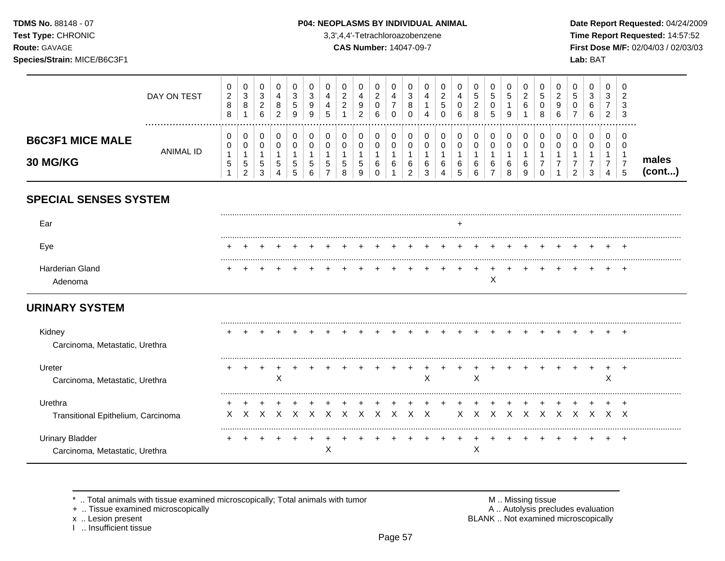TDMS No. 88148 - 07 Test Type: CHRONIC

### P04: NEOPLASMS BY INDIVIDUAL ANIMAL

3,3',4,4'-Tetrachloroazobenzene

**CAS Number: 14047-09-7** 

Date Report Requested: 04/24/2009 Time Report Requested: 14:57:52 First Dose M/F: 02/04/03 / 02/03/03 Lab: BAT

# Route: GAVAGE Species/Strain: MICE/B6C3F1

|                                            | DAY ON TEST | 0<br>$\overline{2}$<br>8<br>8            | 0<br>3<br>8           | 0<br>3<br>C<br><u>_</u><br>6 | 4<br>റ<br>o<br>2 | 0<br>3<br>5<br>9 | 0<br>3<br>9<br>9      | 5 | 0<br>ົ<br>∠<br>◠            | υ<br>4<br>9<br>2 | 0<br>ົ<br>ے<br>U<br>6 | υ<br>4<br>-      | $\sim$<br>ۍ<br>8 | 0<br>4<br>4      | ົ<br>∼<br>Đ<br>0 | 0<br>4<br>0<br>6 | 0<br>C.<br>ົ<br>∠<br>8 | G<br>5 | 0<br>ა<br>9      | <b>U</b><br>◠<br>∼<br>6 | U<br>N<br>8 | υ<br>$\sqrt{2}$<br>g<br>$\sim$<br>b |   | 0<br>3<br>6<br>6 | ◡<br>$\sim$<br>చ<br>⇁<br>2 | 0<br>റ<br>3<br>3 |                |
|--------------------------------------------|-------------|------------------------------------------|-----------------------|------------------------------|------------------|------------------|-----------------------|---|-----------------------------|------------------|-----------------------|------------------|------------------|------------------|------------------|------------------|------------------------|--------|------------------|-------------------------|-------------|-------------------------------------|---|------------------|----------------------------|------------------|----------------|
| <b>B6C3F1 MICE MALE</b><br><b>30 MG/KG</b> | ANIMAL ID   | U<br>0<br>$\overline{ }$<br><sub>5</sub> | U<br>U<br>5<br>ົ<br>∠ | 0<br>0<br>5<br>3             | 5<br>4           | 0<br>0<br>5<br>5 | 0<br>0<br>G<br>⌒<br>O | J | 0<br>0<br><sub>5</sub><br>8 | 5<br>9           | U<br>0<br>6           | υ<br>$\sim$<br>b | 6<br>ົ           | 0<br>0<br>6<br>3 | $\sim$<br>O      | 0<br>0<br>6<br>5 | 0<br>0<br>6<br>6       | 6      | 0<br>0<br>6<br>8 | υ<br>6<br>9             | u           |                                     | ◠ | U<br>0<br>3      | 4                          | 0                | males<br>(cont |
| <b>SPECIAL SENSES SYSTEM</b>               |             |                                          |                       |                              |                  |                  |                       |   |                             |                  |                       |                  |                  |                  |                  |                  |                        |        |                  |                         |             |                                     |   |                  |                            |                  |                |

| Eve                       |  |  |  |  |  |  |  |  |  |  |  |  |  |  |
|---------------------------|--|--|--|--|--|--|--|--|--|--|--|--|--|--|
| Harderian Gland<br>denoma |  |  |  |  |  |  |  |  |  |  |  |  |  |  |

# **URINARY SYSTEM**

| Kidney<br>Carcinoma, Metastatic, Urethra          |  |        |  |   |       |  |     | $+$          |    |           |  |  |  |  |  |
|---------------------------------------------------|--|--------|--|---|-------|--|-----|--------------|----|-----------|--|--|--|--|--|
| Ureter<br>Carcinoma, Metastatic, Urethra          |  | $\sim$ |  |   |       |  |     | $\checkmark$ |    | X         |  |  |  |  |  |
| Urethra                                           |  |        |  |   |       |  |     |              |    |           |  |  |  |  |  |
| Transitional Epithelium, Carcinoma                |  |        |  |   | x x x |  | X X |              | X. |           |  |  |  |  |  |
| Urinary Bladder<br>Carcinoma, Metastatic, Urethra |  |        |  | ∧ |       |  |     |              |    | $\lambda$ |  |  |  |  |  |

\* .. Total animals with tissue examined microscopically; Total animals with tumor

+ .. Tissue examined microscopically

x .. Lesion present<br>I .. Insufficient tissue

M .. Missing tissue<br>A .. Autolysis precludes evaluation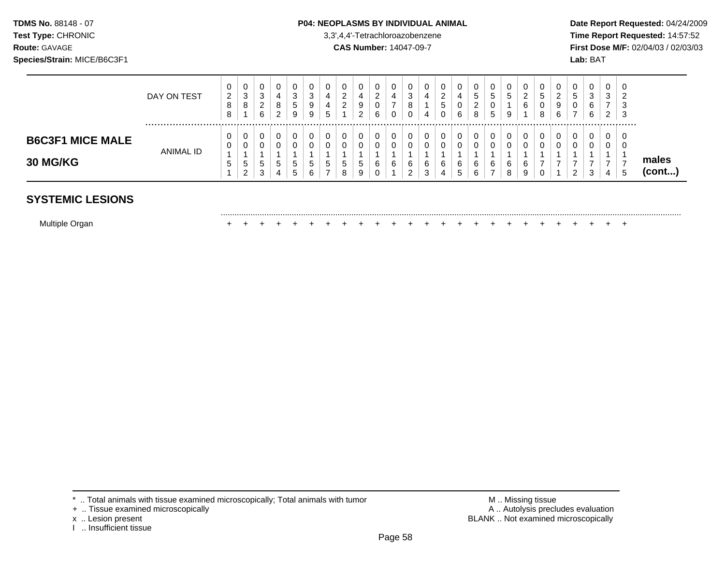### **TDMS No.** 88148 - 07 **P04: NEOPLASMS BY INDIVIDUAL ANIMAL** Date Report Requested: 04/24/2009

.........................................................................................................................................................................................................

**Test Type:** CHRONIC 3,3',4,4'-Tetrachloroazobenzene **Time Report Requested:** 14:57:52 **Route:** GAVAGE **CAS Number:** 14047-09-7 **First Dose M/F:** 02/04/03 / 02/03/03

|                                            | DAY ON TEST | v<br>2<br>o<br>O | $\mathbf 0$<br>3<br>8            | ັ<br>$\sim$<br>J<br><u>_</u><br>6 | U<br>4<br>8<br>ົ<br>∠ | U<br>3<br>5<br>9             | U<br>3<br>9<br>9           | 4<br>4<br><sub>5</sub> | _ | U<br>4<br>9<br>ີ<br>▃        | O<br>$\sim$<br>_<br>0<br>6 | υ      | -3<br>o       | 4 | U<br>◠<br>$\sim$<br>5<br>$\Omega$<br>U | υ<br>4<br>v<br>6 | 0<br><sub>5</sub><br>ົ<br>$\sim$<br>8 | U<br>$5^{\circ}$<br>U<br>5   | 5            | U<br>◠<br>6 | 0<br>ັ<br>U<br>8 | u<br>▵<br>9<br>6 | ່ວ<br>v       | ⌒<br>6 | U<br>3<br>2 | 0<br>-3<br>-3 |                 |
|--------------------------------------------|-------------|------------------|----------------------------------|-----------------------------------|-----------------------|------------------------------|----------------------------|------------------------|---|------------------------------|----------------------------|--------|---------------|---|----------------------------------------|------------------|---------------------------------------|------------------------------|--------------|-------------|------------------|------------------|---------------|--------|-------------|---------------|-----------------|
| <b>B6C3F1 MICE MALE</b><br><b>30 MG/KG</b> | ANIMAL ID   | U<br>υ<br>ູບ     | U<br>0<br>$\mathbf{p}$<br>າ<br>∠ | 5<br>$\sim$<br>ت                  | U<br>U<br>5<br>4      | ν<br>U<br><sub>5</sub><br>.5 | 0<br>υ<br>đ<br>$\sim$<br>6 | $\mathbf{p}$           |   | 0.<br>0<br>$\mathbf{p}$<br>9 | 0<br>0<br>6<br>0           | u<br>6 | 6<br><u>_</u> |   | U<br>6<br>4                            | υ<br>U<br>6<br>◡ | 0<br>0<br>6<br>6                      | 0<br>0<br>6<br>$\rightarrow$ | <sub>t</sub> | 6<br>9      |                  | u                | U<br><u>_</u> |        | U<br>U<br>4 | 0<br>J.<br>ີວ | males<br>(cont) |

# **SYSTEMIC LESIONS**

Multiple Organ + + + + + + + + + + + + + + + + + + + + + + + + +

- + .. Tissue examined microscopically
- 
- I .. Insufficient tissue

\* .. Total animals with tissue examined microscopically; Total animals with tumor <br>
+ .. Tissue examined microscopically<br>
+ .. Tissue examined microscopically x .. Lesion present **BLANK** .. Not examined microscopically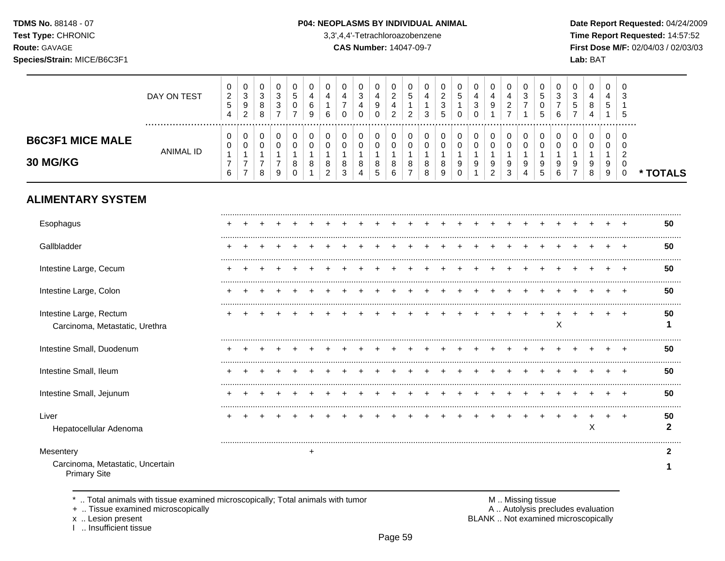TDMS No. 88148 - 07 Test Type: CHRONIC

Species/Strain: MICE/B6C3F1

Route: GAVAGE

### P04: NEOPLASMS BY INDIVIDUAL ANIMAL

3,3',4,4'-Tetrachloroazobenzene

**CAS Number: 14047-09-7** 

Date Report Requested: 04/24/2009 Time Report Requested: 14:57:52 First Dose M/F: 02/04/03 / 02/03/03 Lab: BAT

|                                                                      | DAY ON TEST      | 0<br>$\sqrt{2}$<br>$\sqrt{5}$<br>$\overline{4}$     | 0<br>$\ensuremath{\mathsf{3}}$<br>$\boldsymbol{9}$<br>$\overline{2}$         | 0<br>$\mathbf{3}$<br>8<br>8                                     | 0<br>$\sqrt{3}$<br>$\ensuremath{\mathsf{3}}$<br>$\overline{7}$ | $\mathbf 0$<br>$\sqrt{5}$<br>0<br>$\overline{7}$    | 0<br>4<br>6<br>9                      | 0<br>$\overline{\mathbf{4}}$<br>$\mathbf{1}$<br>6      | 0<br>$\overline{\mathbf{4}}$<br>$\overline{7}$<br>$\Omega$ | 0<br>$\ensuremath{\mathsf{3}}$<br>4<br>$\Omega$ | 0<br>$\overline{\mathbf{4}}$<br>$\boldsymbol{9}$<br>$\mathbf 0$ | 0<br>$\sqrt{2}$<br>4<br>$\overline{c}$        | 0<br>5<br>$\mathbf{1}$<br>$\overline{2}$   | 0<br>4<br>1<br>3                                     | 0<br>$\overline{c}$<br>$\ensuremath{\mathsf{3}}$<br>5 | $\begin{array}{c} 0 \\ 5 \end{array}$<br>$\mathbf{1}$<br>$\Omega$         | 0<br>$\overline{\mathbf{4}}$<br>$\mathbf{3}$<br>$\mathbf 0$ | 0<br>$\overline{4}$<br>9<br>$\mathbf{1}$                               | 0<br>$\overline{a}$<br>$\overline{c}$<br>$\overline{7}$           | 0<br>3<br>$\overline{7}$<br>1    | 0<br>$\sqrt{5}$<br>$\mathbf 0$<br>5 | 0<br>$\mathbf{3}$<br>$\overline{7}$<br>6 | 0<br>$\sqrt{3}$<br>5<br>$\overline{7}$            | 0<br>$\overline{4}$<br>8<br>4                   | 0<br>4<br>5                                    | $\Omega$<br>3<br>-1<br>5                                                |                    |
|----------------------------------------------------------------------|------------------|-----------------------------------------------------|------------------------------------------------------------------------------|-----------------------------------------------------------------|----------------------------------------------------------------|-----------------------------------------------------|---------------------------------------|--------------------------------------------------------|------------------------------------------------------------|-------------------------------------------------|-----------------------------------------------------------------|-----------------------------------------------|--------------------------------------------|------------------------------------------------------|-------------------------------------------------------|---------------------------------------------------------------------------|-------------------------------------------------------------|------------------------------------------------------------------------|-------------------------------------------------------------------|----------------------------------|-------------------------------------|------------------------------------------|---------------------------------------------------|-------------------------------------------------|------------------------------------------------|-------------------------------------------------------------------------|--------------------|
| <b>B6C3F1 MICE MALE</b><br>30 MG/KG                                  | <b>ANIMAL ID</b> | 0<br>$\,0\,$<br>$\mathbf{1}$<br>$\overline{7}$<br>6 | $\pmb{0}$<br>$\pmb{0}$<br>$\mathbf{1}$<br>$\boldsymbol{7}$<br>$\overline{7}$ | $\mathbf 0$<br>$\pmb{0}$<br>$\mathbf{1}$<br>$\overline{7}$<br>8 | 0<br>$\pmb{0}$<br>1<br>$\overline{7}$<br>9                     | $\mathbf 0$<br>$\mathbf 0$<br>$\mathbf 1$<br>8<br>0 | $\mathbf 0$<br>$\mathbf 0$<br>-1<br>8 | $\mathbf 0$<br>$\mathbf 0$<br>1<br>8<br>$\overline{c}$ | $\mathbf 0$<br>0<br>1<br>8<br>$\mathbf{3}$                 | 0<br>0<br>$\mathbf{1}$<br>8<br>$\overline{4}$   | $\mathbf 0$<br>$\mathbf 0$<br>$\mathbf{1}$<br>$\bf 8$<br>5      | $\mathbf 0$<br>$\mathbf 0$<br>1<br>8<br>$\,6$ | 0<br>$\pmb{0}$<br>1<br>8<br>$\overline{7}$ | $\mathbf 0$<br>$\mathbf 0$<br>$\mathbf{1}$<br>8<br>8 | $\mathbf 0$<br>$\pmb{0}$<br>1<br>8<br>9               | $\pmb{0}$<br>$\pmb{0}$<br>$\mathbf{1}$<br>$\boldsymbol{9}$<br>$\mathbf 0$ | 0<br>$\pmb{0}$<br>$\mathbf{1}$<br>9<br>$\mathbf{1}$         | 0<br>$\mathsf 0$<br>$\mathbf{1}$<br>$\boldsymbol{9}$<br>$\overline{2}$ | $\mathbf 0$<br>$\mathbf 0$<br>$\overline{1}$<br>9<br>$\mathbf{3}$ | 0<br>$\mathbf 0$<br>-1<br>9<br>4 | $\mathbf 0$<br>0<br>-1<br>9<br>5    | $\mathbf 0$<br>0<br>1<br>9<br>6          | $\mathbf 0$<br>$\mathbf 0$<br>9<br>$\overline{7}$ | $\mathbf 0$<br>$\mathbf 0$<br>1<br>9<br>$\,8\,$ | $\mathbf 0$<br>0<br>1<br>9<br>$\boldsymbol{9}$ | $\Omega$<br>$\mathbf 0$<br>$\overline{c}$<br>$\mathbf 0$<br>$\mathbf 0$ | * TOTALS           |
| <b>ALIMENTARY SYSTEM</b>                                             |                  |                                                     |                                                                              |                                                                 |                                                                |                                                     |                                       |                                                        |                                                            |                                                 |                                                                 |                                               |                                            |                                                      |                                                       |                                                                           |                                                             |                                                                        |                                                                   |                                  |                                     |                                          |                                                   |                                                 |                                                |                                                                         |                    |
| Esophagus                                                            |                  |                                                     |                                                                              |                                                                 |                                                                |                                                     |                                       |                                                        |                                                            |                                                 |                                                                 |                                               |                                            |                                                      |                                                       |                                                                           |                                                             |                                                                        |                                                                   |                                  |                                     |                                          |                                                   |                                                 |                                                |                                                                         | 50                 |
| Gallbladder                                                          |                  |                                                     |                                                                              |                                                                 |                                                                |                                                     |                                       |                                                        |                                                            |                                                 |                                                                 |                                               |                                            |                                                      |                                                       |                                                                           |                                                             |                                                                        |                                                                   |                                  |                                     |                                          |                                                   |                                                 |                                                |                                                                         | 50                 |
| Intestine Large, Cecum                                               |                  |                                                     |                                                                              |                                                                 |                                                                |                                                     |                                       |                                                        |                                                            |                                                 |                                                                 |                                               |                                            |                                                      |                                                       |                                                                           |                                                             |                                                                        |                                                                   |                                  |                                     |                                          |                                                   |                                                 |                                                |                                                                         | 50                 |
| Intestine Large, Colon                                               |                  |                                                     |                                                                              |                                                                 |                                                                |                                                     |                                       |                                                        |                                                            |                                                 |                                                                 |                                               |                                            |                                                      |                                                       |                                                                           |                                                             |                                                                        |                                                                   |                                  |                                     |                                          |                                                   |                                                 |                                                |                                                                         | 50                 |
| Intestine Large, Rectum<br>Carcinoma, Metastatic, Urethra            |                  |                                                     |                                                                              |                                                                 |                                                                |                                                     |                                       |                                                        |                                                            |                                                 |                                                                 |                                               |                                            |                                                      |                                                       |                                                                           |                                                             |                                                                        |                                                                   |                                  |                                     | X                                        |                                                   |                                                 |                                                |                                                                         | 50<br>1            |
| Intestine Small, Duodenum                                            |                  |                                                     |                                                                              |                                                                 |                                                                |                                                     |                                       |                                                        |                                                            |                                                 |                                                                 |                                               |                                            |                                                      |                                                       |                                                                           |                                                             |                                                                        |                                                                   |                                  |                                     |                                          |                                                   |                                                 |                                                |                                                                         | 50                 |
| Intestine Small, Ileum                                               |                  |                                                     |                                                                              |                                                                 |                                                                |                                                     |                                       |                                                        |                                                            |                                                 |                                                                 |                                               |                                            |                                                      |                                                       |                                                                           |                                                             |                                                                        |                                                                   |                                  |                                     |                                          |                                                   |                                                 |                                                |                                                                         | 50                 |
| Intestine Small, Jejunum                                             |                  |                                                     |                                                                              |                                                                 |                                                                |                                                     |                                       |                                                        |                                                            |                                                 |                                                                 |                                               |                                            |                                                      |                                                       |                                                                           |                                                             |                                                                        |                                                                   |                                  |                                     |                                          |                                                   |                                                 |                                                |                                                                         | 50                 |
| Liver<br>Hepatocellular Adenoma                                      |                  |                                                     |                                                                              |                                                                 |                                                                |                                                     |                                       |                                                        |                                                            |                                                 |                                                                 |                                               |                                            |                                                      |                                                       |                                                                           |                                                             |                                                                        |                                                                   |                                  |                                     |                                          |                                                   | $\ddot{}$<br>X                                  | ٠                                              | ÷.                                                                      | 50<br>$\mathbf{2}$ |
| Mesentery<br>Carcinoma, Metastatic, Uncertain<br><b>Primary Site</b> |                  |                                                     |                                                                              |                                                                 |                                                                |                                                     | $\ddot{}$                             |                                                        |                                                            |                                                 |                                                                 |                                               |                                            |                                                      |                                                       |                                                                           |                                                             |                                                                        |                                                                   |                                  |                                     |                                          |                                                   |                                                 |                                                |                                                                         | 2<br>1             |

\* .. Total animals with tissue examined microscopically; Total animals with tumor

+ .. Tissue examined microscopically

x .. Lesion present<br>I .. Insufficient tissue

M .. Missing tissue A .. Autolysis precludes evaluation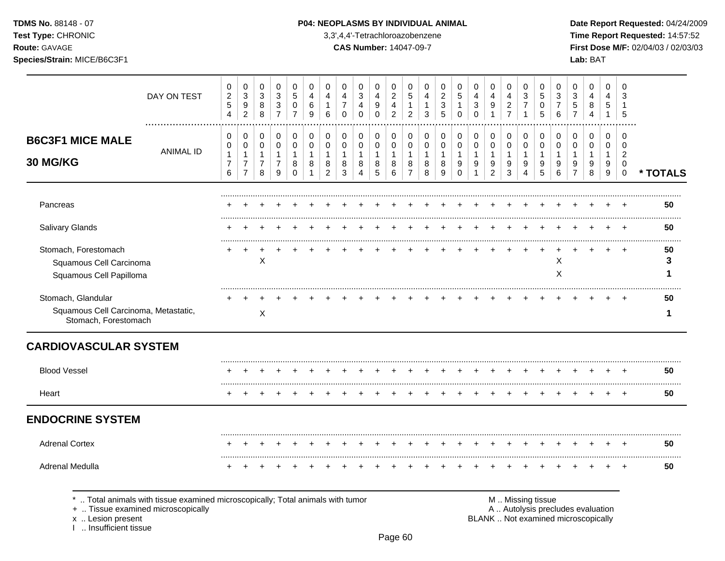**Test Type:** CHRONIC 3,3',4,4'-Tetrachloroazobenzene **Time Report Requested:** 14:57:52 **Route:** GAVAGE **CAS Number:** 14047-09-7 **First Dose M/F:** 02/04/03 / 02/03/03 **Species/Strain:** MICE/B6C3F1 **Lab:** BAT

|                                                              | DAY ON TEST                                                                                                        | 0<br>$\boldsymbol{2}$         | 0<br>$\sqrt{3}$                                    | 0<br>$\ensuremath{\mathsf{3}}$      | 0<br>$\sqrt{3}$                                    | 0<br>5                | 0<br>4                  | 0<br>4                   | 0<br>4                     | 0<br>3                 | 0<br>$\overline{4}$    | 0<br>$\sqrt{2}$          | 0<br>$\sqrt{5}$          | 0<br>4        | 0<br>$\boldsymbol{2}$  | 0<br>$\sqrt{5}$       | 0<br>4           | 0<br>4                           | 0<br>4                            | 0<br>$\sqrt{3}$                | 0<br>5                 | 0<br>3              | 0<br>$\mathbf{3}$                  | 0<br>$\overline{4}$ | 0<br>4                                | 0<br>3                                       |          |
|--------------------------------------------------------------|--------------------------------------------------------------------------------------------------------------------|-------------------------------|----------------------------------------------------|-------------------------------------|----------------------------------------------------|-----------------------|-------------------------|--------------------------|----------------------------|------------------------|------------------------|--------------------------|--------------------------|---------------|------------------------|-----------------------|------------------|----------------------------------|-----------------------------------|--------------------------------|------------------------|---------------------|------------------------------------|---------------------|---------------------------------------|----------------------------------------------|----------|
|                                                              |                                                                                                                    | $\mathbf 5$<br>$\overline{4}$ | $\boldsymbol{9}$<br>$\overline{2}$                 | 8<br>8                              | $\ensuremath{\mathsf{3}}$<br>$\overline{7}$        | 0<br>$\overline{7}$   | 6<br>9                  | $\mathbf 1$<br>6         | $\overline{7}$<br>$\Omega$ | 4<br>$\Omega$          | 9<br>$\Omega$          | 4<br>$\overline{2}$      | $\mathbf{1}$<br>2        | -1<br>3       | 3<br>5                 | $\Omega$              | 3<br>$\Omega$    | $\boldsymbol{9}$<br>$\mathbf{1}$ | $\overline{c}$<br>$\overline{7}$  | $\overline{7}$<br>$\mathbf{1}$ | 0<br>5                 | $\overline{7}$<br>6 | $\mathbf 5$<br>$\overline{7}$      | 8<br>4              | 5<br>$\mathbf 1$                      | 5                                            |          |
|                                                              |                                                                                                                    |                               |                                                    |                                     |                                                    |                       |                         |                          |                            |                        |                        |                          |                          |               |                        |                       |                  |                                  |                                   |                                |                        |                     |                                    |                     |                                       |                                              |          |
| <b>B6C3F1 MICE MALE</b>                                      |                                                                                                                    | 0<br>0                        | 0<br>$\mathbf 0$                                   | 0<br>$\Omega$                       | 0<br>$\mathbf 0$                                   | 0<br>$\Omega$         | $\mathbf 0$<br>$\Omega$ | 0<br>$\Omega$            | 0<br>$\mathbf 0$           | 0<br>$\mathbf 0$       | 0<br>$\mathbf 0$       | $\Omega$<br>$\mathbf 0$  | 0<br>$\Omega$            | 0<br>$\Omega$ | 0<br>$\Omega$          | 0<br>$\Omega$         | 0<br>$\mathbf 0$ | 0<br>$\mathbf 0$                 | 0<br>$\mathbf 0$                  | 0<br>$\mathbf 0$               | 0<br>$\mathbf 0$       | 0<br>0              | $\Omega$<br>$\Omega$               | 0<br>$\Omega$       | 0<br>$\Omega$                         | 0<br>$\Omega$                                |          |
| 30 MG/KG                                                     | <b>ANIMAL ID</b>                                                                                                   | 1<br>$\overline{7}$<br>6      | $\overline{1}$<br>$\overline{7}$<br>$\overline{7}$ | $\mathbf{1}$<br>$\overline{7}$<br>8 | $\mathbf{1}$<br>$\overline{7}$<br>$\boldsymbol{9}$ | 1<br>8<br>$\mathbf 0$ | -1<br>8                 | 1<br>8<br>$\overline{c}$ | $\mathbf{1}$<br>8<br>3     | $\mathbf{1}$<br>8<br>4 | $\mathbf{1}$<br>8<br>5 | $\overline{1}$<br>8<br>6 | 1<br>8<br>$\overline{7}$ | -1<br>8<br>8  | $\mathbf{1}$<br>8<br>9 | 1<br>9<br>$\mathbf 0$ | 1<br>9<br>1      | 1<br>9<br>$\overline{2}$         | $\mathbf{1}$<br>9<br>$\mathbf{3}$ | $\mathbf{1}$<br>9<br>4         | $\mathbf{1}$<br>9<br>5 | 1<br>9<br>6         | $\mathbf 1$<br>9<br>$\overline{7}$ | 1<br>9<br>8         | $\mathbf{1}$<br>9<br>$\boldsymbol{9}$ | $\overline{2}$<br>$\mathbf 0$<br>$\mathbf 0$ | * TOTALS |
| Pancreas                                                     |                                                                                                                    |                               |                                                    |                                     |                                                    |                       |                         |                          |                            |                        |                        |                          |                          |               |                        |                       |                  |                                  |                                   |                                |                        |                     |                                    |                     |                                       |                                              | 50       |
| Salivary Glands                                              |                                                                                                                    |                               |                                                    |                                     |                                                    |                       |                         |                          |                            |                        |                        |                          |                          |               |                        |                       |                  |                                  |                                   |                                |                        |                     |                                    |                     |                                       |                                              | 50       |
| Stomach, Forestomach                                         |                                                                                                                    |                               |                                                    |                                     |                                                    |                       |                         |                          |                            |                        |                        |                          |                          |               |                        |                       |                  |                                  |                                   |                                |                        |                     |                                    |                     |                                       |                                              | 50       |
| Squamous Cell Carcinoma                                      |                                                                                                                    |                               |                                                    | X                                   |                                                    |                       |                         |                          |                            |                        |                        |                          |                          |               |                        |                       |                  |                                  |                                   |                                |                        | Χ                   |                                    |                     |                                       |                                              | 3        |
| Squamous Cell Papilloma                                      |                                                                                                                    |                               |                                                    |                                     |                                                    |                       |                         |                          |                            |                        |                        |                          |                          |               |                        |                       |                  |                                  |                                   |                                |                        | X                   |                                    |                     |                                       |                                              |          |
| Stomach, Glandular                                           |                                                                                                                    |                               |                                                    |                                     |                                                    |                       |                         |                          |                            |                        |                        |                          |                          |               |                        |                       |                  |                                  |                                   |                                |                        |                     |                                    |                     |                                       |                                              | 50       |
| Squamous Cell Carcinoma, Metastatic,<br>Stomach, Forestomach |                                                                                                                    |                               |                                                    | X                                   |                                                    |                       |                         |                          |                            |                        |                        |                          |                          |               |                        |                       |                  |                                  |                                   |                                |                        |                     |                                    |                     |                                       |                                              | 1        |
| <b>CARDIOVASCULAR SYSTEM</b>                                 |                                                                                                                    |                               |                                                    |                                     |                                                    |                       |                         |                          |                            |                        |                        |                          |                          |               |                        |                       |                  |                                  |                                   |                                |                        |                     |                                    |                     |                                       |                                              |          |
| <b>Blood Vessel</b>                                          |                                                                                                                    |                               |                                                    |                                     |                                                    |                       |                         |                          |                            |                        |                        |                          |                          |               |                        |                       |                  |                                  |                                   |                                |                        |                     |                                    |                     |                                       |                                              | 50       |
| Heart                                                        |                                                                                                                    |                               |                                                    |                                     |                                                    |                       |                         |                          |                            |                        |                        |                          |                          |               |                        |                       |                  |                                  |                                   |                                |                        |                     |                                    |                     |                                       |                                              | 50       |
| <b>ENDOCRINE SYSTEM</b>                                      |                                                                                                                    |                               |                                                    |                                     |                                                    |                       |                         |                          |                            |                        |                        |                          |                          |               |                        |                       |                  |                                  |                                   |                                |                        |                     |                                    |                     |                                       |                                              |          |
| <b>Adrenal Cortex</b>                                        |                                                                                                                    |                               |                                                    |                                     |                                                    |                       |                         |                          |                            |                        |                        |                          |                          |               |                        |                       |                  |                                  |                                   |                                |                        |                     |                                    |                     |                                       |                                              | 50       |
| Adrenal Medulla                                              |                                                                                                                    |                               |                                                    |                                     |                                                    |                       |                         |                          |                            |                        |                        |                          |                          |               |                        |                       |                  |                                  |                                   |                                |                        |                     |                                    |                     |                                       |                                              | 50       |
|                                                              | Total animals with tissue examined microscopically; Total animals with tumor<br>+  Tissue examined microscopically |                               |                                                    |                                     |                                                    |                       |                         |                          |                            |                        |                        |                          |                          |               |                        |                       |                  |                                  |                                   | M  Missing tissue              |                        |                     | A  Autolysis precludes evaluation  |                     |                                       |                                              |          |

x .. Lesion present<br>I .. Insufficient tissue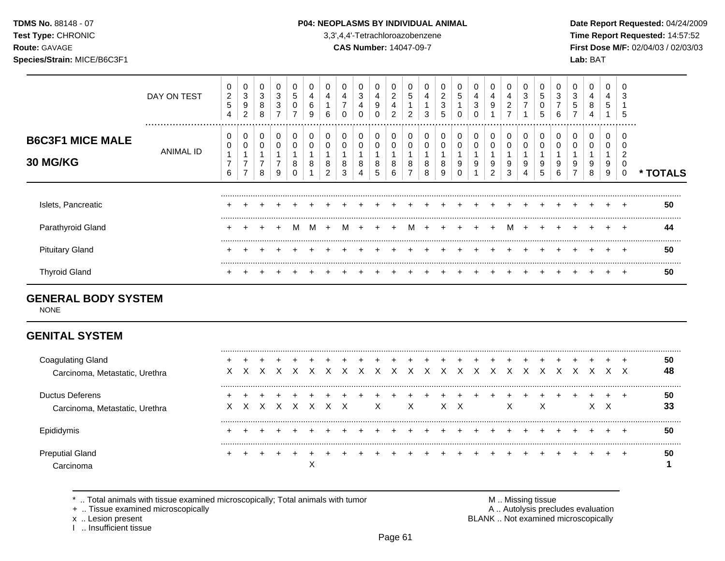### **TDMS No.** 88148 - 07 **P04: NEOPLASMS BY INDIVIDUAL ANIMAL** Date Report Requested: 04/24/2009

**Test Type:** CHRONIC 3,3',4,4'-Tetrachloroazobenzene **Time Report Requested:** 14:57:52 **Route:** GAVAGE **CAS Number:** 14047-09-7 **First Dose M/F:** 02/04/03 / 02/03/03

|                                            | DAY ON TEST   | 0<br>2<br>5<br>4 | 0<br>3<br>9<br>2              | 0<br>3<br>8<br>8 | U<br>3<br>3<br>⇁ | 0<br>5<br>0 | 4<br>6<br>9 | b       | 4<br>$\overline{ }$<br>0 | 3      | 4<br>9<br>0      | ົ<br>∠<br>4<br>ົ | 0<br>5<br>2 | 4<br>3      | 2<br>3<br>5 | 5 | 0<br>4<br>3 | 0<br>4<br>9      | 4<br>$\overline{\mathbf{c}}$<br>⇁ | 3<br>⇁      | 5<br>0<br>5            | 3<br>6 | 3<br>G | 0<br>4<br>8 | 0<br>4<br>5      | -0<br>Ð |        |
|--------------------------------------------|---------------|------------------|-------------------------------|------------------|------------------|-------------|-------------|---------|--------------------------|--------|------------------|------------------|-------------|-------------|-------------|---|-------------|------------------|-----------------------------------|-------------|------------------------|--------|--------|-------------|------------------|---------|--------|
| <b>B6C3F1 MICE MALE</b><br><b>30 MG/KG</b> | <br>ANIMAL ID | 0<br>0<br>6      | 0<br>$\overline{\phantom{0}}$ | 0<br>8           | 0<br>U<br>⇁<br>9 | 0<br>8      | 8           | $\circ$ | 0<br>0<br>8<br>3         | 8<br>4 | 0<br>0<br>8<br>5 | 0<br>8<br>h      | 0<br>0<br>8 | 0<br>8<br>8 | o<br>9      | 9 | 0<br>0<br>9 | 0<br>0<br>9<br>2 | 9<br>3                            | 0<br>9<br>4 | 0<br>9<br><sup>5</sup> | 9<br>b | 9      | 9<br>8      | 0<br>0<br>9<br>9 | -0      | TOTALS |
| Islets, Pancreatic                         |               |                  |                               |                  |                  |             |             |         |                          |        |                  |                  |             |             |             |   |             |                  |                                   |             |                        |        |        |             |                  |         | 50     |
| Parathyroid Gland                          |               |                  |                               | $+$              | $\div$           | M           | M           | $+$     | M                        |        |                  |                  | м           | $\pm$       |             |   | $+$         | $+$              | м                                 |             |                        |        |        |             |                  |         | 44     |
| <b>Pituitary Gland</b>                     |               |                  |                               |                  |                  |             |             |         |                          |        |                  |                  |             |             |             |   |             |                  |                                   |             |                        |        |        |             |                  |         | -50    |
| <b>Thyroid Gland</b>                       |               |                  |                               |                  |                  |             |             |         |                          |        |                  |                  |             |             |             |   |             |                  |                                   |             |                        |        |        |             |                  |         | 50     |

## **GENERAL BODY SYSTEM**

NONE

# **GENITAL SYSTEM**

| Coagulating Gland              |    |   |       |  |  |   |   |                             |  |  |              |    |  |    |   | 50 |
|--------------------------------|----|---|-------|--|--|---|---|-----------------------------|--|--|--------------|----|--|----|---|----|
| Carcinoma, Metastatic, Urethra | X  | X |       |  |  |   |   | x x x x x x x x x x x x x x |  |  | $\mathsf{X}$ | X. |  |    |   | 48 |
| Ductus Deferens                |    |   |       |  |  |   |   |                             |  |  |              |    |  |    |   | 50 |
| Carcinoma, Metastatic, Urethra | X. |   | x x x |  |  | X | X |                             |  |  |              | х  |  | X. | х | 33 |
|                                |    |   |       |  |  |   |   |                             |  |  |              |    |  |    |   | 50 |
| <b>Preputial Gland</b>         |    |   |       |  |  |   |   |                             |  |  |              |    |  |    |   | 50 |
|                                |    |   |       |  |  |   |   |                             |  |  |              |    |  |    |   |    |

\* .. Total animals with tissue examined microscopically; Total animals with tumor <br>
+ .. Tissue examined microscopically<br>
+ .. Tissue examined microscopically

+ .. Tissue examined microscopically

I .. Insufficient tissue

x .. Lesion present **BLANK** .. Not examined microscopically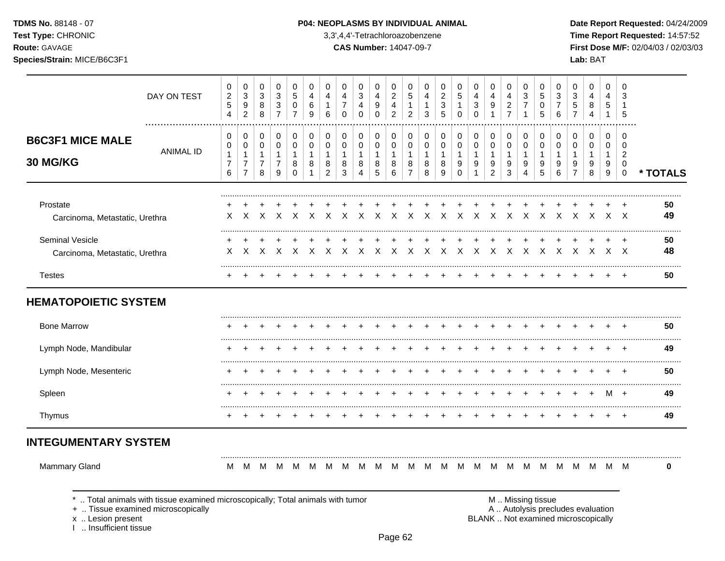TDMS No. 88148 - 07

Test Type: CHRONIC

Route: GAVAGE

Species/Strain: MICE/B6C3F1

### P04: NEOPLASMS BY INDIVIDUAL ANIMAL

3,3',4,4'-Tetrachloroazobenzene

**CAS Number: 14047-09-7** 

Date Report Requested: 04/24/2009 Time Report Requested: 14:57:52 First Dose M/F: 02/04/03 / 02/03/03 Lab: BAT

|                                                                                   | DAY ON TEST                                                                  | 0<br>$\overline{c}$<br>$\sqrt{5}$<br>$\overline{4}$ | 0<br>$\ensuremath{\mathsf{3}}$<br>$\boldsymbol{9}$<br>$\overline{c}$ | 0<br>$\mathbf{3}$<br>$\bf 8$<br>$\,8\,$       | 0<br>3<br>3<br>$\overline{7}$                 | 0<br>$\sqrt{5}$<br>$\mathbf 0$<br>$\overline{7}$               | 0<br>4<br>6<br>9                                     | 0<br>4<br>1<br>6                             | 0<br>4<br>$\overline{7}$<br>$\mathbf 0$ | 0<br>3<br>$\overline{4}$<br>$\mathbf 0$                 | 0<br>4<br>9<br>$\mathbf 0$ | 0<br>$\overline{\mathbf{c}}$<br>4<br>$\overline{c}$ | 0<br>5<br>1<br>$\overline{c}$                | 0<br>4<br>$\mathbf{1}$<br>3      | 0<br>$\boldsymbol{2}$<br>$\sqrt{3}$<br>5   | 0<br>$\sqrt{5}$<br>$\mathbf{1}$<br>$\mathbf 0$ | 0<br>$\overline{4}$<br>3<br>$\mathsf 0$     | 0<br>4<br>9<br>$\mathbf{1}$                   | 0<br>4<br>$\frac{2}{7}$                              | 0<br>3<br>$\overline{7}$<br>1                          | 0<br>5<br>0<br>5                | 0<br>$\sqrt{3}$<br>$\overline{7}$<br>6 | 0<br>3<br>$\mathbf 5$<br>$\overline{7}$                                  | 0<br>4<br>8<br>$\overline{4}$   | 0<br>4<br>5<br>$\mathbf{1}$                           | 0<br>3<br>-1<br>5                                                       |          |
|-----------------------------------------------------------------------------------|------------------------------------------------------------------------------|-----------------------------------------------------|----------------------------------------------------------------------|-----------------------------------------------|-----------------------------------------------|----------------------------------------------------------------|------------------------------------------------------|----------------------------------------------|-----------------------------------------|---------------------------------------------------------|----------------------------|-----------------------------------------------------|----------------------------------------------|----------------------------------|--------------------------------------------|------------------------------------------------|---------------------------------------------|-----------------------------------------------|------------------------------------------------------|--------------------------------------------------------|---------------------------------|----------------------------------------|--------------------------------------------------------------------------|---------------------------------|-------------------------------------------------------|-------------------------------------------------------------------------|----------|
| <b>B6C3F1 MICE MALE</b><br>30 MG/KG                                               | <b>ANIMAL ID</b>                                                             | 0<br>0<br>$\mathbf{1}$<br>7<br>6                    | 0<br>0<br>1<br>$\overline{7}$<br>$\overline{7}$                      | 0<br>0<br>$\mathbf{1}$<br>$\overline{7}$<br>8 | 0<br>0<br>$\mathbf{1}$<br>$\overline{7}$<br>9 | $\mathbf 0$<br>$\mathbf 0$<br>$\mathbf{1}$<br>8<br>$\mathbf 0$ | $\mathbf 0$<br>$\mathbf 0$<br>$\mathbf 1$<br>8<br>-1 | 0<br>$\mathbf 0$<br>1<br>8<br>$\overline{c}$ | $\mathbf 0$<br>0<br>1<br>8<br>3         | 0<br>$\mathbf 0$<br>$\mathbf{1}$<br>8<br>$\overline{4}$ | 0<br>0<br>1<br>8<br>5      | 0<br>$\mathbf 0$<br>1<br>8<br>6                     | 0<br>$\mathbf 0$<br>1<br>8<br>$\overline{7}$ | 0<br>0<br>$\mathbf{1}$<br>8<br>8 | 0<br>$\mathbf 0$<br>$\mathbf{1}$<br>8<br>9 | 0<br>$\mathbf 0$<br>1<br>9<br>$\Omega$         | 0<br>0<br>$\mathbf{1}$<br>9<br>$\mathbf{1}$ | 0<br>0<br>$\mathbf{1}$<br>9<br>$\overline{c}$ | $\mathbf 0$<br>$\mathbf 0$<br>$\mathbf{1}$<br>9<br>3 | $\mathbf 0$<br>$\mathbf 0$<br>$\overline{1}$<br>9<br>4 | 0<br>$\mathbf 0$<br>1<br>9<br>5 | 0<br>0<br>$\mathbf{1}$<br>9<br>6       | 0<br>$\mathbf 0$<br>$\mathbf{1}$<br>9<br>$\overline{7}$                  | 0<br>$\mathbf 0$<br>1<br>9<br>8 | $\Omega$<br>$\mathbf 0$<br>1<br>9<br>$\boldsymbol{9}$ | $\Omega$<br>$\mathbf 0$<br>$\overline{2}$<br>$\mathbf 0$<br>$\mathbf 0$ | * TOTALS |
| Prostate<br>Carcinoma, Metastatic, Urethra                                        |                                                                              | X.                                                  | X                                                                    | $\div$<br>$\times$                            | $\mathsf{X}$                                  | $\ddot{}$<br>$\times$                                          | $\times$                                             | $\mathsf{X}$                                 | $\mathsf{X}$                            | $\times$                                                | $\mathsf{X}$               | $\times$                                            | $\times$                                     | $\mathsf{X}$                     | $\mathsf{X}$                               | $\mathsf{X}$                                   | $\mathsf{X}$                                | $\mathsf{X}$                                  | X                                                    |                                                        |                                 | $X$ $X$ $X$ $X$                        |                                                                          | $\mathsf{X}$                    |                                                       | x x                                                                     | 50<br>49 |
| Seminal Vesicle<br>Carcinoma, Metastatic, Urethra                                 |                                                                              | X                                                   | $\times$                                                             | X                                             | $\mathsf{X}$                                  | $\mathsf{X}$                                                   | X                                                    | $\mathsf{X}$                                 | $\times$                                | $\times$                                                | $\mathsf{X}$               | $\mathsf{X}$                                        | $\times$                                     |                                  | x x                                        | $\mathsf{X}$                                   | $\mathsf{X}$                                | $\mathsf{X}$                                  | X                                                    | $\mathsf{X}$                                           | $\mathsf{X}$                    | $\mathsf{X}$                           | $\mathsf{X}$                                                             | $\mathsf{X}$                    |                                                       | x x                                                                     | 50<br>48 |
| <b>Testes</b>                                                                     |                                                                              |                                                     |                                                                      |                                               |                                               |                                                                |                                                      |                                              |                                         |                                                         |                            |                                                     |                                              |                                  |                                            |                                                |                                             |                                               |                                                      |                                                        |                                 |                                        |                                                                          |                                 |                                                       |                                                                         | 50       |
| <b>HEMATOPOIETIC SYSTEM</b>                                                       |                                                                              |                                                     |                                                                      |                                               |                                               |                                                                |                                                      |                                              |                                         |                                                         |                            |                                                     |                                              |                                  |                                            |                                                |                                             |                                               |                                                      |                                                        |                                 |                                        |                                                                          |                                 |                                                       |                                                                         |          |
| <b>Bone Marrow</b>                                                                |                                                                              |                                                     |                                                                      |                                               |                                               |                                                                |                                                      |                                              |                                         |                                                         |                            |                                                     |                                              |                                  |                                            |                                                |                                             |                                               |                                                      |                                                        |                                 |                                        |                                                                          |                                 |                                                       |                                                                         | 50       |
| Lymph Node, Mandibular                                                            |                                                                              |                                                     |                                                                      |                                               |                                               |                                                                |                                                      |                                              |                                         |                                                         |                            |                                                     |                                              |                                  |                                            |                                                |                                             |                                               |                                                      |                                                        |                                 |                                        |                                                                          |                                 |                                                       |                                                                         | 49       |
| Lymph Node, Mesenteric                                                            |                                                                              |                                                     |                                                                      |                                               |                                               |                                                                |                                                      |                                              |                                         |                                                         |                            |                                                     |                                              |                                  |                                            |                                                |                                             |                                               |                                                      |                                                        |                                 |                                        |                                                                          |                                 |                                                       |                                                                         | 50       |
| Spleen                                                                            |                                                                              |                                                     |                                                                      |                                               |                                               |                                                                |                                                      |                                              |                                         |                                                         |                            |                                                     |                                              |                                  |                                            |                                                |                                             |                                               |                                                      |                                                        |                                 |                                        |                                                                          |                                 | м                                                     | $+$                                                                     | 49       |
| Thymus                                                                            |                                                                              |                                                     |                                                                      |                                               |                                               |                                                                |                                                      |                                              |                                         |                                                         |                            |                                                     |                                              |                                  |                                            |                                                |                                             |                                               |                                                      |                                                        |                                 |                                        |                                                                          |                                 |                                                       |                                                                         | 49       |
| <b>INTEGUMENTARY SYSTEM</b>                                                       |                                                                              |                                                     |                                                                      |                                               |                                               |                                                                |                                                      |                                              |                                         |                                                         |                            |                                                     |                                              |                                  |                                            |                                                |                                             |                                               |                                                      |                                                        |                                 |                                        |                                                                          |                                 |                                                       |                                                                         |          |
| Mammary Gland                                                                     |                                                                              | M                                                   | M                                                                    |                                               | M M                                           |                                                                |                                                      |                                              |                                         |                                                         |                            |                                                     |                                              |                                  |                                            |                                                |                                             |                                               |                                                      |                                                        |                                 |                                        |                                                                          |                                 |                                                       |                                                                         | 0        |
| +  Tissue examined microscopically<br>x  Lesion present<br>L. Insufficient tissue | Total animals with tissue examined microscopically; Total animals with tumor |                                                     |                                                                      |                                               |                                               |                                                                |                                                      |                                              |                                         |                                                         |                            |                                                     |                                              |                                  |                                            |                                                |                                             |                                               | M  Missing tissue                                    |                                                        |                                 |                                        | A  Autolysis precludes evaluation<br>BLANK  Not examined microscopically |                                 |                                                       |                                                                         |          |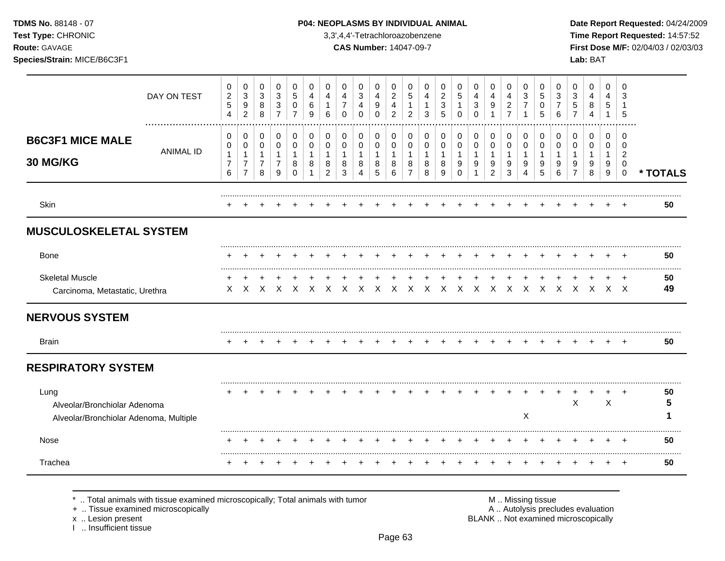**Test Type:** CHRONIC 3,3',4,4'-Tetrachloroazobenzene **Time Report Requested:** 14:57:52 **Route:** GAVAGE **CAS Number:** 14047-09-7 **First Dose M/F:** 02/04/03 / 02/03/03 **Species/Strain:** MICE/B6C3F1 **Lab:** BAT

|                                                                                | DAY ON TEST      | 0<br>$\overline{c}$<br>$\sqrt{5}$<br>4        | 0<br>$\ensuremath{\mathsf{3}}$<br>9<br>$\overline{2}$        | 0<br>$\sqrt{3}$<br>8<br>8                               | 0<br>$\sqrt{3}$<br>3<br>7        | 0<br>5<br>0                             | 0<br>4<br>6<br>9       | 0<br>4                                        | 0<br>4<br>$\overline{7}$<br>0    | 0<br>$\sqrt{3}$<br>$\overline{4}$<br>$\Omega$ | 0<br>4<br>9<br>$\Omega$            | 0<br>$\boldsymbol{2}$<br>4<br>2 | 0<br>5<br>1<br>2                              | 0<br>4<br>1<br>3                 | 0<br>$\overline{c}$<br>3<br>5    | 0<br>$5\phantom{.0}$<br>1<br>$\Omega$ | 0<br>4<br>3<br>$\Omega$                 | 0<br>$\overline{4}$<br>9      | 0<br>$\overline{4}$<br>$\overline{c}$<br>$\overline{7}$ | 0<br>3<br>7                      | 0<br>5<br>0<br>5                 | 0<br>3<br>7<br>6                 | 0<br>$\mathbf{3}$<br>$\mathbf 5$                        | 0<br>4<br>8                      | 0<br>4<br>5                      | 0<br>3<br>5                                                |          |
|--------------------------------------------------------------------------------|------------------|-----------------------------------------------|--------------------------------------------------------------|---------------------------------------------------------|----------------------------------|-----------------------------------------|------------------------|-----------------------------------------------|----------------------------------|-----------------------------------------------|------------------------------------|---------------------------------|-----------------------------------------------|----------------------------------|----------------------------------|---------------------------------------|-----------------------------------------|-------------------------------|---------------------------------------------------------|----------------------------------|----------------------------------|----------------------------------|---------------------------------------------------------|----------------------------------|----------------------------------|------------------------------------------------------------|----------|
| <b>B6C3F1 MICE MALE</b><br>30 MG/KG                                            | <b>ANIMAL ID</b> | 0<br>0<br>$\mathbf{1}$<br>$\overline{7}$<br>6 | 0<br>0<br>$\mathbf{1}$<br>$\boldsymbol{7}$<br>$\overline{7}$ | 0<br>$\mathbf 0$<br>$\mathbf{1}$<br>$\overline{7}$<br>8 | 0<br>0<br>$\mathbf{1}$<br>7<br>9 | 0<br>0<br>$\mathbf{1}$<br>8<br>$\Omega$ | 0<br>0<br>$\mathbf{1}$ | 0<br>0<br>$\mathbf{1}$<br>8<br>$\overline{2}$ | 0<br>0<br>$\mathbf{1}$<br>8<br>3 | 0<br>0<br>$\mathbf{1}$<br>8<br>4              | 0<br>0<br>$\overline{1}$<br>8<br>5 | 0<br>0<br>1<br>8<br>6           | 0<br>0<br>$\mathbf{1}$<br>8<br>$\overline{7}$ | 0<br>0<br>$\mathbf{1}$<br>8<br>8 | 0<br>0<br>$\mathbf{1}$<br>8<br>9 | 0<br>0<br>1<br>9<br>$\Omega$          | 0<br>$\mathbf 0$<br>$\overline{1}$<br>9 | 0<br>$\pmb{0}$<br>1<br>9<br>2 | 0<br>0<br>$\mathbf{1}$<br>9<br>3                        | 0<br>0<br>$\mathbf{1}$<br>9<br>4 | 0<br>0<br>$\mathbf{1}$<br>9<br>5 | 0<br>0<br>$\mathbf{1}$<br>9<br>6 | 0<br>$\mathbf 0$<br>$\mathbf{1}$<br>9<br>$\overline{7}$ | 0<br>0<br>$\mathbf{1}$<br>9<br>8 | 0<br>0<br>$\mathbf{1}$<br>9<br>9 | $\Omega$<br>$\Omega$<br>$\overline{2}$<br>0<br>$\mathbf 0$ | * TOTALS |
| Skin                                                                           |                  |                                               |                                                              |                                                         |                                  |                                         |                        |                                               |                                  |                                               |                                    |                                 |                                               |                                  |                                  |                                       |                                         |                               |                                                         |                                  |                                  |                                  |                                                         |                                  |                                  |                                                            | 50       |
| <b>MUSCULOSKELETAL SYSTEM</b>                                                  |                  |                                               |                                                              |                                                         |                                  |                                         |                        |                                               |                                  |                                               |                                    |                                 |                                               |                                  |                                  |                                       |                                         |                               |                                                         |                                  |                                  |                                  |                                                         |                                  |                                  |                                                            |          |
| Bone                                                                           |                  |                                               |                                                              |                                                         |                                  |                                         |                        |                                               |                                  |                                               |                                    |                                 |                                               |                                  |                                  |                                       |                                         |                               |                                                         |                                  |                                  |                                  |                                                         |                                  |                                  |                                                            | 50       |
| <b>Skeletal Muscle</b><br>Carcinoma, Metastatic, Urethra                       |                  | $\pm$<br>$\times$                             | $\times$                                                     | $\mathsf{X}$                                            | $\times$                         |                                         | $X$ $X$                | $\mathsf{X}$                                  | $\mathsf{X}$                     | $\mathsf{X}$                                  | $\mathsf{X}$                       | $\mathsf{X}$                    | $\mathsf{X}$                                  |                                  | X X X X X                        |                                       |                                         |                               | $\mathsf{X}$                                            | $\mathsf{X}$                     |                                  | $X \times X$                     | $\mathsf{X}$                                            | $\mathsf{X}$                     | $\times$ $\times$                | $\overline{ }$                                             | 50<br>49 |
| <b>NERVOUS SYSTEM</b>                                                          |                  |                                               |                                                              |                                                         |                                  |                                         |                        |                                               |                                  |                                               |                                    |                                 |                                               |                                  |                                  |                                       |                                         |                               |                                                         |                                  |                                  |                                  |                                                         |                                  |                                  |                                                            |          |
| <b>Brain</b>                                                                   |                  |                                               |                                                              |                                                         |                                  |                                         |                        |                                               |                                  |                                               |                                    |                                 |                                               |                                  |                                  |                                       |                                         |                               |                                                         |                                  |                                  |                                  |                                                         |                                  |                                  |                                                            | 50       |
| <b>RESPIRATORY SYSTEM</b>                                                      |                  |                                               |                                                              |                                                         |                                  |                                         |                        |                                               |                                  |                                               |                                    |                                 |                                               |                                  |                                  |                                       |                                         |                               |                                                         |                                  |                                  |                                  |                                                         |                                  |                                  |                                                            |          |
| Lung<br>Alveolar/Bronchiolar Adenoma<br>Alveolar/Bronchiolar Adenoma, Multiple |                  |                                               |                                                              |                                                         |                                  |                                         |                        |                                               |                                  |                                               |                                    |                                 |                                               |                                  |                                  |                                       |                                         |                               |                                                         | X                                |                                  |                                  | $\mathsf X$                                             |                                  | $\boldsymbol{\mathsf{X}}$        |                                                            | 50<br>5  |
| <b>Nose</b>                                                                    |                  |                                               |                                                              |                                                         |                                  |                                         |                        |                                               |                                  |                                               |                                    |                                 |                                               |                                  |                                  |                                       |                                         |                               |                                                         |                                  |                                  |                                  |                                                         |                                  |                                  |                                                            | 50       |
| Trachea                                                                        |                  |                                               |                                                              |                                                         |                                  |                                         |                        |                                               |                                  |                                               |                                    |                                 |                                               |                                  |                                  |                                       |                                         |                               |                                                         |                                  |                                  |                                  |                                                         |                                  |                                  | $\overline{+}$                                             | 50       |

\* .. Total animals with tissue examined microscopically; Total animals with tumor <br>
+ .. Tissue examined microscopically<br>
+ .. Tissue examined microscopically

+ .. Tissue examined microscopically

x .. Lesion present<br>I .. Insufficient tissue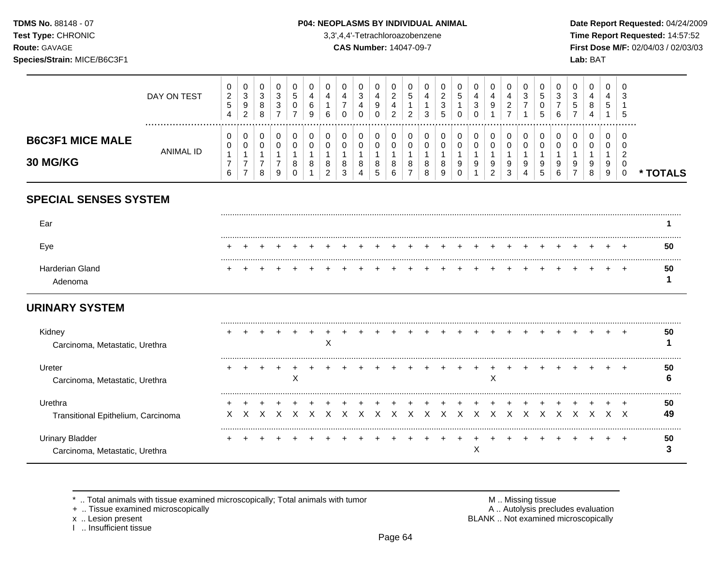TDMS No. 88148 - 07 Test Type: CHRONIC

Route: GAVAGE

### P04: NEOPLASMS BY INDIVIDUAL ANIMAL

3,3',4,4'-Tetrachloroazobenzene

**CAS Number: 14047-09-7** 

Date Report Requested: 04/24/2009 Time Report Requested: 14:57:52 First Dose M/F: 02/04/03 / 02/03/03  $L = L \cdot D \cdot T$ 

| Species/Strain: MICE/B6C3F1            |                 |                                        |                               |                  |                               |                  |                  |                               |                               |                  |             |                               |             |                  |                               |                  |        |                  |                                            |                          |                  |             |        | Lab: BAT         |                  |                                                |          |
|----------------------------------------|-----------------|----------------------------------------|-------------------------------|------------------|-------------------------------|------------------|------------------|-------------------------------|-------------------------------|------------------|-------------|-------------------------------|-------------|------------------|-------------------------------|------------------|--------|------------------|--------------------------------------------|--------------------------|------------------|-------------|--------|------------------|------------------|------------------------------------------------|----------|
|                                        | DAY ON TEST<br> | 0<br>$\overline{2}$<br>$\sqrt{5}$<br>4 | 0<br>3<br>9<br>2              | 0<br>3<br>8<br>8 | 0<br>3<br>3<br>$\overline{ }$ | 0<br>5<br>0<br>⇁ | 0<br>4<br>6<br>9 | 0<br>4<br>6                   | 0<br>4<br>$\overline{7}$<br>0 | 0<br>3<br>4<br>0 | 4<br>9      | 0<br>2<br>4<br>$\overline{2}$ | 0<br>5<br>2 | 0<br>4<br>3      | 0<br>$\overline{c}$<br>3<br>5 | 0<br>5<br>0      | 3<br>∩ | 0<br>4<br>9      | 0<br>4<br>$\overline{2}$<br>$\overline{7}$ | 0<br>3<br>$\overline{7}$ | 0<br>5<br>0<br>5 | 0<br>3<br>6 | 3<br>5 | 0<br>4<br>8<br>4 | 0<br>4<br>5      | 0<br>3<br>5<br>.                               |          |
| <b>B6C3F1 MICE MALE</b><br>30 MG/KG    | ANIMAL ID       | 0<br>0<br>$\overline{7}$<br>6          | 0<br>0<br>$\overline{7}$<br>7 | 0<br>0<br>⇁<br>8 | 0<br>0<br>9                   | 0<br>0<br>8      | 0<br>0<br>8      | 0<br>0<br>8<br>$\overline{2}$ | 0<br>0<br>-1<br>8<br>3        | 0<br>0<br>8      | 0<br>8<br>5 | 0<br>0<br>8<br>6              | 0<br>0<br>8 | 0<br>0<br>8<br>8 | 0<br>0<br>8<br>9              | 0<br>0<br>9<br>Ω | 0<br>9 | 0<br>0<br>9<br>2 | 0<br>0<br>9<br>3                           | 0<br>0<br>1<br>9         | 0<br>0<br>9<br>5 | 0<br>6      | 0<br>9 | 0<br>0<br>9<br>8 | 0<br>0<br>9<br>9 | $\Omega$<br>$\overline{2}$<br>0<br>$\mathbf 0$ | * TOTALS |
| <b>SPECIAL SENSES SYSTEM</b>           |                 |                                        |                               |                  |                               |                  |                  |                               |                               |                  |             |                               |             |                  |                               |                  |        |                  |                                            |                          |                  |             |        |                  |                  |                                                |          |
| Ear                                    |                 |                                        |                               |                  |                               |                  |                  |                               |                               |                  |             |                               |             |                  |                               |                  |        |                  |                                            |                          |                  |             |        |                  |                  |                                                |          |
| Eye                                    |                 |                                        |                               |                  |                               |                  |                  |                               |                               |                  |             |                               |             |                  |                               |                  |        |                  |                                            |                          |                  |             |        |                  |                  |                                                | 50       |
| <b>Harderian Gland</b><br>Adenoma      |                 |                                        |                               |                  |                               |                  |                  |                               |                               |                  |             |                               |             |                  |                               |                  |        |                  |                                            |                          |                  |             |        |                  |                  |                                                | 50       |
| <b>URINARY SYSTEM</b>                  |                 |                                        |                               |                  |                               |                  |                  |                               |                               |                  |             |                               |             |                  |                               |                  |        |                  |                                            |                          |                  |             |        |                  |                  |                                                |          |
| Kidney<br>Carcinoma Metastatic Urethra |                 |                                        |                               |                  |                               |                  |                  | X                             |                               |                  |             |                               |             |                  |                               |                  |        |                  |                                            |                          |                  |             |        |                  |                  |                                                | 50       |

| Carcinoma, ividiasiano, Organia                          |  |  |   | - - |  |  |  |  |  |  |  |  |  |          |
|----------------------------------------------------------|--|--|---|-----|--|--|--|--|--|--|--|--|--|----------|
| Ureter<br>Carcinoma, Metastatic, Urethra                 |  |  | х |     |  |  |  |  |  |  |  |  |  | 50       |
| Urethra<br>Transitional Epithelium, Carcinoma            |  |  |   |     |  |  |  |  |  |  |  |  |  | 50<br>49 |
| <b>Urinary Bladder</b><br>Carcinoma, Metastatic, Urethra |  |  |   |     |  |  |  |  |  |  |  |  |  | 50       |

\* .. Total animals with tissue examined microscopically; Total animals with tumor

+ .. Tissue examined microscopically

x .. Lesion present<br>I .. Insufficient tissue

M .. Missing tissue A .. Autolysis precludes evaluation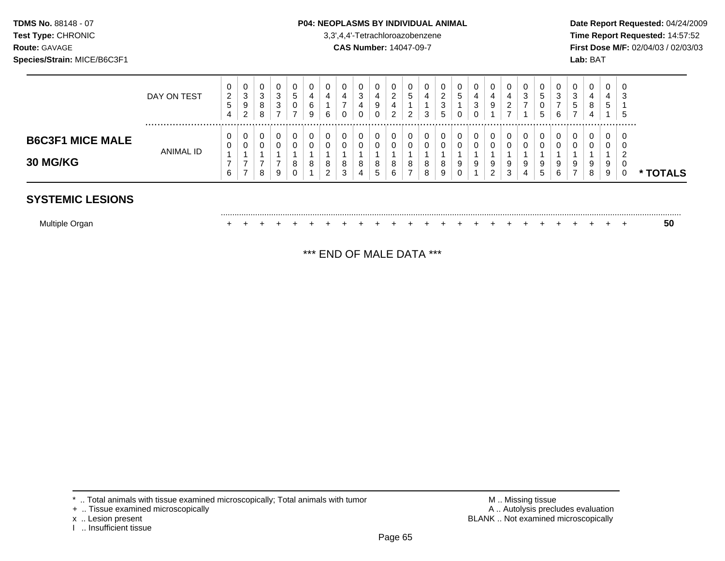### **TDMS No.** 88148 - 07 **P04: NEOPLASMS BY INDIVIDUAL ANIMAL** Date Report Requested: 04/24/2009

**Test Type:** CHRONIC 3,3',4,4'-Tetrachloroazobenzene **Time Report Requested:** 14:57:52 **Route:** GAVAGE **CAS Number:** 14047-09-7 **First Dose M/F:** 02/04/03 / 02/03/03

|                                     | DAY ON TEST | 0<br>2<br>5<br>4 | 0<br>3<br>9<br>$\overline{2}$  | 0<br>3<br>8<br>8 | 0<br>3<br>3<br>⇁ | G<br>⇁ | 0<br>6<br>9 | 0<br>4<br>6      | -           | 0<br>3<br>4<br>0 | 0<br>4<br>9<br>0 | 0<br>⌒<br>∠<br>4<br>2   | U<br>G<br>ົ<br>∠ | 4<br>3 | 0<br>◠<br>$\epsilon$<br>3<br>5 | U<br>G<br>$\sqrt{2}$<br>ν                | 0<br>4<br>3 | 0<br>4<br>9           | 4<br>ົ<br>∼<br>⇁ | 0<br>3<br>$\rightarrow$ | U<br>G<br>U<br>5 | د.<br>⇁<br>6 | 0<br>3<br>đ<br>- | 0<br>4<br>8<br>4 | 0<br>4<br>ა      | 0<br>-3<br>.ხ       |                    |
|-------------------------------------|-------------|------------------|--------------------------------|------------------|------------------|--------|-------------|------------------|-------------|------------------|------------------|-------------------------|------------------|--------|--------------------------------|------------------------------------------|-------------|-----------------------|------------------|-------------------------|------------------|--------------|------------------|------------------|------------------|---------------------|--------------------|
| <b>B6C3F1 MICE MALE</b><br>30 MG/KG | ANIMAL ID   | 0<br>6           | U<br>$\sqrt{2}$<br>υ<br>-<br>⇁ | 0<br>0<br>8      | 0<br>0<br>9      | 8      | 0<br>0<br>8 | 0<br>8<br>າ<br>∠ | 0<br>8<br>3 | 0<br>0<br>8<br>4 | 0<br>0<br>8<br>5 | 0<br>$\Omega$<br>8<br>6 | 0<br>8<br>–      | 8<br>8 | 0<br>0<br>8<br>9               | 0<br>$\sqrt{2}$<br>U<br>9<br>$\sim$<br>υ | 0<br>0<br>9 | 0<br>0<br>9<br>ົ<br>▵ | 9<br>3           | 0<br>0<br>9<br>4        | 9<br>5           | 9<br>6       | 0<br>9           | 0<br>U<br>9<br>8 | 0<br>U<br>9<br>9 | 0<br>$\overline{ }$ | <b>TOTALS</b><br>ѫ |
| <b>SYSTEMIC LESIONS</b>             |             |                  |                                |                  |                  |        |             |                  |             |                  |                  |                         |                  |        |                                |                                          |             |                       |                  |                         |                  |              |                  |                  |                  |                     |                    |

Multiple Organ + + + + + + + + + + + + + + + + + + + + + + + + + **50**

\*\*\* END OF MALE DATA \*\*\*

+ .. Tissue examined microscopically

I .. Insufficient tissue

\* .. Total animals with tissue examined microscopically; Total animals with tumor **M** . Missing tissue M .. Missing tissue<br>  $\blacksquare$  . Tissue examined microscopically<br>  $\blacksquare$  . Autolysis precludes evaluation x .. Lesion present **BLANK** .. Not examined microscopically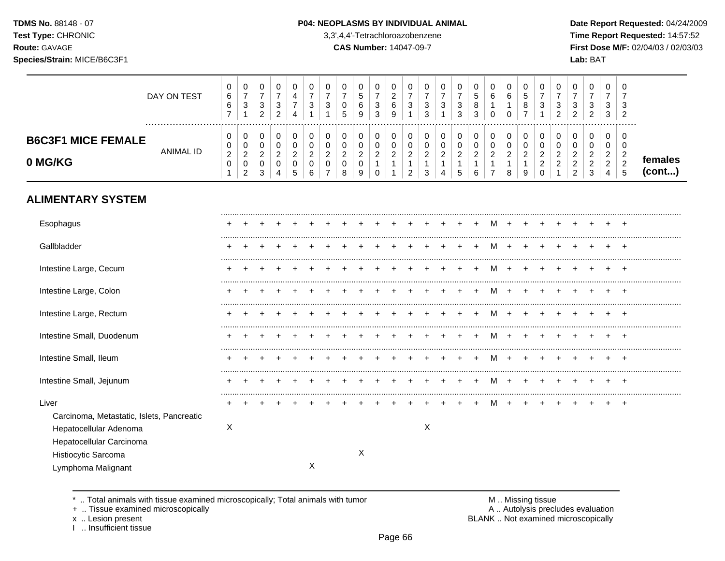**Test Type:** CHRONIC 3,3',4,4'-Tetrachloroazobenzene **Time Report Requested:** 14:57:52 **Route:** GAVAGE **CAS Number:** 14047-09-7 **First Dose M/F:** 02/04/03 / 02/03/03 **Species/Strain:** MICE/B6C3F1 **Lab:** BAT

|                                      | DAY ON TEST | 0<br>6<br>6           | 0<br>◠<br>ت                       | U<br>3<br>2                       | U<br>3<br>າ | 0<br>4                | 0<br>3            | 3 |        | 5<br>6<br>9 | 0<br>3<br>3        | 6<br>-9 | 0<br>3 | ົ | 0<br>3                       | $\sqrt{2}$<br>. C<br>3 | 0<br><sub>5</sub><br>8<br>3 | 0<br>6<br>U        | 6                  | ∽<br>نٽ<br>8 | 0<br>3                            | 0<br>◠<br>J<br>ົ | u<br>3<br>ົ<br>▵                         | 0<br>3<br>ົ               | 0<br>3<br>3                            | 0<br>ა<br>$\overline{2}$               |                   |
|--------------------------------------|-------------|-----------------------|-----------------------------------|-----------------------------------|-------------|-----------------------|-------------------|---|--------|-------------|--------------------|---------|--------|---|------------------------------|------------------------|-----------------------------|--------------------|--------------------|--------------|-----------------------------------|------------------|------------------------------------------|---------------------------|----------------------------------------|----------------------------------------|-------------------|
| <b>B6C3F1 MICE FEMALE</b><br>0 MG/KG | ANIMAL ID   | 0<br>0<br>ົ<br>∠<br>0 | 0<br>0<br>ົ<br><u>_</u><br>0<br>ົ | u<br>u<br>ົ<br><u>.</u><br>っ<br>J | ν<br>ົ<br>v | 0<br>υ<br>ົ<br>▵<br>υ | <sup>o</sup><br>υ | ◠ | ົ<br>8 | $\sim$<br>9 | $\sim$<br><u>.</u> | $\sim$  | ◠<br>◠ |   | υ<br>υ<br>◠<br><u>_</u><br>4 | ົ<br>$\sim$            | 0<br>0<br>ົ<br>6            | $\sim$<br><u>.</u> | ົ<br><u>.</u><br>8 | റ<br>▃<br>9  | 0<br>0<br>ີ<br><u>.</u><br>ີ<br>0 | 0<br>0<br>ົ<br>ົ | ີ<br>_<br>◠<br><u>_</u><br>◠<br><u>_</u> | ν<br>⌒<br>⌒<br>$\sqrt{2}$ | 0<br>0<br>ົ<br>$\sim$<br>ົ<br><u>_</u> | 0<br>v<br>ົ<br><u>_</u><br>$\sim$<br>5 | temales<br>(cont) |

# **ALIMENTARY SYSTEM**

| Esophagus                                 |   |  |  |   |  |   |  |   |  |   |  |  |  |  |
|-------------------------------------------|---|--|--|---|--|---|--|---|--|---|--|--|--|--|
| Gallbladder                               |   |  |  |   |  |   |  |   |  |   |  |  |  |  |
| Intestine Large, Cecum                    |   |  |  |   |  |   |  |   |  |   |  |  |  |  |
| Intestine Large, Colon                    |   |  |  |   |  |   |  |   |  |   |  |  |  |  |
| Intestine Large, Rectum                   |   |  |  |   |  |   |  |   |  | M |  |  |  |  |
| Intestine Small, Duodenum                 |   |  |  |   |  |   |  |   |  |   |  |  |  |  |
| Intestine Small, Ileum                    |   |  |  |   |  |   |  |   |  |   |  |  |  |  |
| Intestine Small, Jejunum                  |   |  |  |   |  |   |  |   |  | M |  |  |  |  |
| Liver                                     |   |  |  |   |  |   |  |   |  |   |  |  |  |  |
| Carcinoma, Metastatic, Islets, Pancreatic |   |  |  |   |  |   |  |   |  |   |  |  |  |  |
| Hepatocellular Adenoma                    | X |  |  |   |  |   |  | X |  |   |  |  |  |  |
| Hepatocellular Carcinoma                  |   |  |  |   |  |   |  |   |  |   |  |  |  |  |
| Histiocytic Sarcoma                       |   |  |  |   |  | X |  |   |  |   |  |  |  |  |
| Lymphoma Malignant                        |   |  |  | Χ |  |   |  |   |  |   |  |  |  |  |

\* .. Total animals with tissue examined microscopically; Total animals with tumor **M** metally more than M .. Missing tissue<br>  $\blacksquare$  Tissue examined microscopically

+ .. Tissue examined microscopically

I .. Insufficient tissue

x .. Lesion present **BLANK** .. Not examined microscopically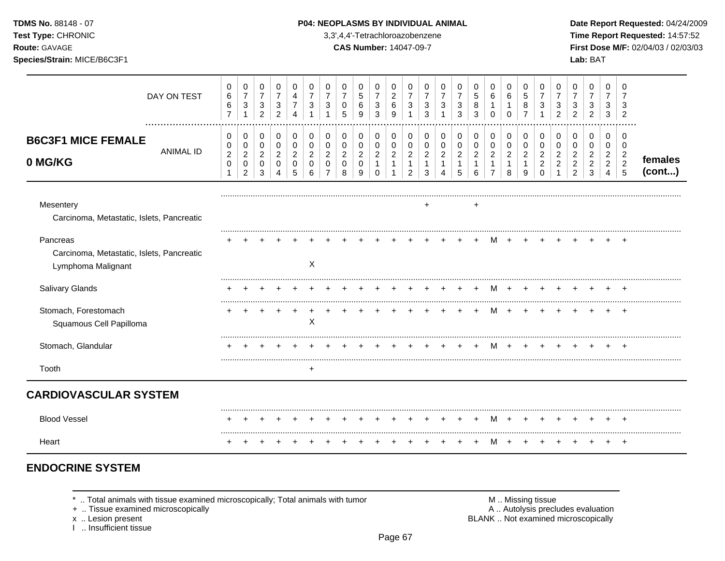**Test Type:** CHRONIC 3,3',4,4'-Tetrachloroazobenzene **Time Report Requested:** 14:57:52 **Route:** GAVAGE **CAS Number:** 14047-09-7 **First Dose M/F:** 02/04/03 / 02/03/03 **Species/Strain:** MICE/B6C3F1 **Lab:** BAT

|                                                                             | DAY ON TEST      | $\mathbf 0$<br>6<br>$\,6\,$<br>$\overline{7}$ | 0<br>$\overline{7}$<br>$\ensuremath{\mathsf{3}}$<br>$\mathbf{1}$ | 0<br>$\overline{7}$<br>3<br>$\overline{c}$ | 0<br>$\overline{7}$<br>3<br>2 | 0<br>4<br>4        | 0<br>$\overline{7}$<br>3 | 0<br>$\overline{7}$<br>3                        | 0<br>$\overline{7}$<br>$\mathbf 0$<br>5 | 0<br>5<br>$\,6$<br>9               | 0<br>$\overline{7}$<br>$\mathbf{3}$<br>$\mathbf{3}$ | 0<br>$\boldsymbol{2}$<br>$\,6\,$<br>$\boldsymbol{9}$ | 0<br>$\overline{7}$<br>3<br>1         | 0<br>$\overline{7}$<br>$\mathbf{3}$<br>3 | 0<br>$\overline{7}$<br>$\mathbf{3}$<br>1 | 0<br>$\overline{7}$<br>3<br>3 | 0<br>$\sqrt{5}$<br>8<br>3 | 0<br>$\,6\,$<br>$\mathbf{1}$<br>$\Omega$         | 0<br>6<br>$\Omega$  | 0<br>$\sqrt{5}$<br>8<br>$\overline{7}$ | 0<br>$\overline{7}$<br>3        | 0<br>$\overline{7}$<br>3<br>2 | 0<br>$\overline{7}$<br>$\mathbf{3}$<br>$\overline{2}$ | 0<br>$\overline{7}$<br>3<br>$\overline{c}$ | 0<br>$\overline{7}$<br>3<br>3         | $\Omega$<br>$\overline{7}$<br>3<br>$\overline{2}$  |                   |
|-----------------------------------------------------------------------------|------------------|-----------------------------------------------|------------------------------------------------------------------|--------------------------------------------|-------------------------------|--------------------|--------------------------|-------------------------------------------------|-----------------------------------------|------------------------------------|-----------------------------------------------------|------------------------------------------------------|---------------------------------------|------------------------------------------|------------------------------------------|-------------------------------|---------------------------|--------------------------------------------------|---------------------|----------------------------------------|---------------------------------|-------------------------------|-------------------------------------------------------|--------------------------------------------|---------------------------------------|----------------------------------------------------|-------------------|
| <b>B6C3F1 MICE FEMALE</b>                                                   | <b>ANIMAL ID</b> | 0<br>0                                        | 0<br>$\pmb{0}$                                                   | 0<br>$\mathbf 0$                           | 0<br>$\mathbf 0$              | 0<br>$\Omega$      | 0<br>0                   | 0<br>0                                          | 0<br>$\pmb{0}$                          | 0<br>$\pmb{0}$                     | 0<br>$\mathbf 0$                                    | 0<br>$\pmb{0}$                                       | 0<br>$\mathbf 0$                      | 0<br>0                                   | 0<br>0                                   | 0<br>$\mathbf 0$              | 0<br>0                    | 0<br>$\mathbf 0$                                 | 0<br>0              | 0<br>$\mathbf 0$                       | 0<br>0                          | 0<br>0                        | 0<br>0                                                | 0<br>0                                     | 0<br>$\pmb{0}$                        | $\Omega$<br>$\mathbf 0$                            |                   |
| 0 MG/KG                                                                     |                  | $\overline{2}$<br>$\pmb{0}$<br>1              | $\overline{a}$<br>$\pmb{0}$<br>$\overline{2}$                    | $\overline{2}$<br>$\mathbf 0$<br>3         | 2<br>$\Omega$<br>4            | 2<br>$\Omega$<br>5 | 2<br>$\Omega$<br>6       | $\overline{2}$<br>$\mathbf 0$<br>$\overline{7}$ | $\overline{2}$<br>$\mathbf 0$<br>8      | $\overline{c}$<br>$\mathbf 0$<br>9 | $\overline{2}$<br>$\mathbf{1}$<br>$\Omega$          | $\overline{c}$<br>$\mathbf{1}$<br>1                  | $\overline{c}$<br>1<br>$\overline{2}$ | 2<br>3                                   | $\overline{c}$<br>4                      | $\overline{2}$<br>1<br>5      | $\overline{c}$<br>-1<br>6 | $\overline{c}$<br>$\mathbf{1}$<br>$\overline{7}$ | $\overline{2}$<br>8 | 2<br>9                                 | 2<br>$\overline{c}$<br>$\Omega$ | 2<br>$\overline{2}$           | $\overline{2}$<br>$\boldsymbol{2}$<br>2               | $\overline{2}$<br>$\overline{a}$<br>3      | $\overline{2}$<br>$\overline{2}$<br>4 | $\overline{c}$<br>$\overline{c}$<br>$5\phantom{1}$ | females<br>(cont) |
| Mesentery<br>Carcinoma, Metastatic, Islets, Pancreatic                      |                  |                                               |                                                                  |                                            |                               |                    |                          |                                                 |                                         |                                    |                                                     |                                                      |                                       | ٠                                        |                                          |                               | $\pm$                     |                                                  |                     |                                        |                                 |                               |                                                       |                                            |                                       |                                                    |                   |
| Pancreas<br>Carcinoma, Metastatic, Islets, Pancreatic<br>Lymphoma Malignant |                  |                                               |                                                                  |                                            |                               |                    | X                        |                                                 |                                         |                                    |                                                     |                                                      |                                       |                                          |                                          |                               |                           |                                                  |                     |                                        |                                 |                               |                                                       |                                            |                                       |                                                    |                   |
| Salivary Glands                                                             |                  |                                               |                                                                  |                                            |                               |                    |                          |                                                 |                                         |                                    |                                                     |                                                      |                                       |                                          |                                          |                               |                           |                                                  |                     |                                        |                                 |                               |                                                       |                                            |                                       | $\overline{ }$                                     |                   |
| Stomach, Forestomach<br>Squamous Cell Papilloma                             |                  |                                               |                                                                  |                                            |                               |                    | X                        |                                                 |                                         |                                    |                                                     |                                                      |                                       |                                          |                                          |                               |                           |                                                  |                     |                                        |                                 |                               |                                                       |                                            |                                       | $\overline{ }$                                     |                   |
| Stomach, Glandular                                                          |                  |                                               |                                                                  |                                            |                               |                    |                          |                                                 |                                         |                                    |                                                     |                                                      |                                       |                                          |                                          |                               |                           |                                                  |                     |                                        |                                 |                               |                                                       |                                            |                                       |                                                    |                   |
| Tooth                                                                       |                  |                                               |                                                                  |                                            |                               |                    | $\ddot{}$                |                                                 |                                         |                                    |                                                     |                                                      |                                       |                                          |                                          |                               |                           |                                                  |                     |                                        |                                 |                               |                                                       |                                            |                                       |                                                    |                   |
| <b>CARDIOVASCULAR SYSTEM</b>                                                |                  |                                               |                                                                  |                                            |                               |                    |                          |                                                 |                                         |                                    |                                                     |                                                      |                                       |                                          |                                          |                               |                           |                                                  |                     |                                        |                                 |                               |                                                       |                                            |                                       |                                                    |                   |
| <b>Blood Vessel</b>                                                         |                  |                                               |                                                                  |                                            |                               |                    |                          |                                                 |                                         |                                    |                                                     |                                                      |                                       |                                          |                                          |                               |                           | м                                                |                     |                                        |                                 |                               |                                                       |                                            |                                       |                                                    |                   |
| Heart                                                                       |                  |                                               |                                                                  |                                            |                               |                    |                          |                                                 |                                         |                                    |                                                     |                                                      |                                       |                                          |                                          |                               |                           |                                                  |                     |                                        |                                 |                               |                                                       |                                            |                                       | $\overline{ }$                                     |                   |

# **ENDOCRINE SYSTEM**

\* .. Total animals with tissue examined microscopically; Total animals with tumor <br>
+ .. Tissue examined microscopically<br>
+ .. Tissue examined microscopically

+ .. Tissue examined microscopically

x .. Lesion present<br>I .. Insufficient tissue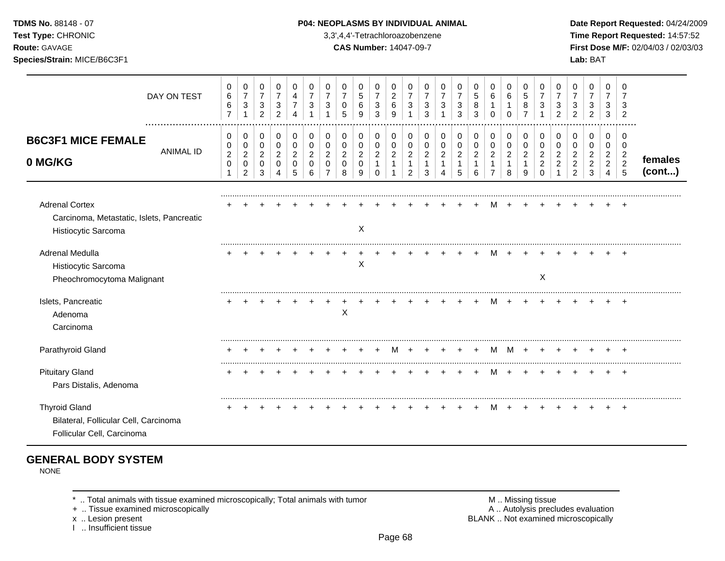### **TDMS No.** 88148 - 07 **P04: NEOPLASMS BY INDIVIDUAL ANIMAL Date Report Requested:** 04/24/2009

**Test Type:** CHRONIC 3,3',4,4'-Tetrachloroazobenzene **Time Report Requested:** 14:57:52 **Route:** GAVAGE **CAS Number:** 14047-09-7 **First Dose M/F:** 02/04/03 / 02/03/03

|                                                                                             | DAY ON TEST          | 0<br>$\,6\,$<br>$\,6\,$<br>$\overline{7}$ | 0<br>$\boldsymbol{7}$<br>$\ensuremath{\mathsf{3}}$<br>1       | 0<br>$\overline{7}$<br>$\ensuremath{\mathsf{3}}$<br>$\overline{c}$ | 0<br>$\overline{7}$<br>$\sqrt{3}$<br>$\overline{2}$         | 0<br>4<br>$\overline{7}$<br>4                | 0<br>$\overline{7}$<br>3           | 0<br>$\overline{7}$<br>3                     | 0<br>$\overline{7}$<br>0<br>5                        | 0<br>$\sqrt{5}$<br>$\,6$<br>9                            | 0<br>$\overline{7}$<br>$\sqrt{3}$<br>3                           | 0<br>$\boldsymbol{2}$<br>$\,6\,$<br>9   | 0<br>$\overline{7}$<br>3                               | 0<br>$\overline{7}$<br>3<br>3                | 0<br>$\overline{7}$<br>3<br>$\overline{ }$ | 0<br>$\overline{7}$<br>$\sqrt{3}$<br>3     | 0<br>$\sqrt{5}$<br>8<br>3                  | 0<br>$\,6\,$<br>1<br>$\Omega$                           | 0<br>$6\phantom{1}6$<br>1<br>$\Omega$                | 0<br>$\sqrt{5}$<br>8<br>7                    | 0<br>$\overline{7}$<br>3                                         | 0<br>7<br>3<br>$\mathcal{P}$         | 0<br>3<br>$\mathcal{P}$                                      | 0<br>$\overline{7}$<br>3<br>$\overline{2}$                         | 0<br>$\overline{7}$<br>3<br>3                                         | $\Omega$<br>7<br>$\overline{2}$                    |                   |
|---------------------------------------------------------------------------------------------|----------------------|-------------------------------------------|---------------------------------------------------------------|--------------------------------------------------------------------|-------------------------------------------------------------|----------------------------------------------|------------------------------------|----------------------------------------------|------------------------------------------------------|----------------------------------------------------------|------------------------------------------------------------------|-----------------------------------------|--------------------------------------------------------|----------------------------------------------|--------------------------------------------|--------------------------------------------|--------------------------------------------|---------------------------------------------------------|------------------------------------------------------|----------------------------------------------|------------------------------------------------------------------|--------------------------------------|--------------------------------------------------------------|--------------------------------------------------------------------|-----------------------------------------------------------------------|----------------------------------------------------|-------------------|
| <b>B6C3F1 MICE FEMALE</b><br>0 MG/KG                                                        | <br><b>ANIMAL ID</b> | 0<br>0<br>$\sqrt{2}$<br>$\mathbf 0$<br>1  | 0<br>$\mathbf 0$<br>$\sqrt{2}$<br>$\pmb{0}$<br>$\overline{2}$ | 0<br>$\pmb{0}$<br>$\overline{c}$<br>0<br>3                         | 0<br>$\boldsymbol{0}$<br>$\overline{c}$<br>$\mathbf 0$<br>4 | 0<br>$\mathbf 0$<br>$\overline{2}$<br>0<br>5 | 0<br>0<br>$\overline{2}$<br>0<br>6 | 0<br>$\mathbf 0$<br>$\overline{2}$<br>0<br>7 | 0<br>$\pmb{0}$<br>$\overline{c}$<br>$\mathbf 0$<br>8 | 0<br>$\mathbf 0$<br>$\boldsymbol{2}$<br>$\mathbf 0$<br>9 | 0<br>$\mathbf 0$<br>$\boldsymbol{2}$<br>$\mathbf{1}$<br>$\Omega$ | 0<br>$\mathbf 0$<br>$\overline{c}$<br>1 | 0<br>$\mathbf 0$<br>$\overline{c}$<br>$\mathbf 1$<br>2 | 0<br>0<br>$\overline{c}$<br>$\mathbf 1$<br>3 | 0<br>$\pmb{0}$<br>$\overline{c}$<br>1      | 0<br>$\pmb{0}$<br>$\overline{c}$<br>1<br>5 | 0<br>$\pmb{0}$<br>$\overline{2}$<br>1<br>6 | 0<br>$\pmb{0}$<br>$\overline{a}$<br>1<br>$\overline{7}$ | 0<br>$\pmb{0}$<br>$\overline{c}$<br>$\mathbf 1$<br>8 | 0<br>$\mathbf 0$<br>$\overline{c}$<br>1<br>9 | 0<br>$\mathbf 0$<br>$\overline{2}$<br>$\overline{2}$<br>$\Omega$ | 0<br>$\Omega$<br>2<br>$\overline{2}$ | 0<br>0<br>$\overline{2}$<br>$\overline{c}$<br>$\overline{2}$ | 0<br>$\mathbf 0$<br>$\overline{\mathbf{c}}$<br>$\overline{c}$<br>3 | 0<br>0<br>$\overline{\mathbf{c}}$<br>$\overline{c}$<br>$\overline{4}$ | $\Omega$<br>0<br>$\overline{c}$<br>$\sqrt{2}$<br>5 | females<br>(cont) |
| <b>Adrenal Cortex</b><br>Carcinoma, Metastatic, Islets, Pancreatic<br>Histiocytic Sarcoma   |                      |                                           |                                                               |                                                                    |                                                             |                                              |                                    |                                              |                                                      | X                                                        |                                                                  |                                         |                                                        |                                              |                                            |                                            |                                            |                                                         |                                                      |                                              |                                                                  |                                      |                                                              |                                                                    |                                                                       |                                                    |                   |
| Adrenal Medulla<br>Histiocytic Sarcoma<br>Pheochromocytoma Malignant                        |                      |                                           |                                                               |                                                                    |                                                             |                                              |                                    |                                              |                                                      | $\mathsf X$                                              |                                                                  |                                         |                                                        |                                              |                                            |                                            |                                            |                                                         |                                                      |                                              | X                                                                |                                      |                                                              |                                                                    |                                                                       |                                                    |                   |
| Islets, Pancreatic<br>Adenoma<br>Carcinoma                                                  |                      |                                           |                                                               |                                                                    |                                                             |                                              |                                    |                                              | X                                                    |                                                          |                                                                  |                                         |                                                        |                                              |                                            |                                            |                                            |                                                         |                                                      |                                              |                                                                  |                                      |                                                              |                                                                    |                                                                       |                                                    |                   |
| Parathyroid Gland                                                                           |                      |                                           |                                                               |                                                                    |                                                             |                                              |                                    |                                              |                                                      |                                                          |                                                                  |                                         |                                                        |                                              |                                            |                                            | $\div$                                     | м                                                       | M                                                    | $\div$                                       |                                                                  |                                      |                                                              |                                                                    |                                                                       |                                                    |                   |
| <b>Pituitary Gland</b><br>Pars Distalis, Adenoma                                            |                      |                                           |                                                               |                                                                    |                                                             |                                              |                                    |                                              |                                                      |                                                          |                                                                  |                                         |                                                        |                                              |                                            |                                            |                                            | м                                                       |                                                      |                                              |                                                                  |                                      |                                                              |                                                                    |                                                                       | $+$                                                |                   |
| <b>Thyroid Gland</b><br>Bilateral, Follicular Cell, Carcinoma<br>Follicular Cell, Carcinoma |                      |                                           |                                                               |                                                                    |                                                             |                                              |                                    |                                              |                                                      |                                                          |                                                                  |                                         |                                                        |                                              |                                            |                                            |                                            | м                                                       |                                                      |                                              |                                                                  |                                      |                                                              |                                                                    |                                                                       |                                                    |                   |

# **GENERAL BODY SYSTEM**

NONE

+ .. Tissue examined microscopically

I .. Insufficient tissue

\* .. Total animals with tissue examined microscopically; Total animals with tumor <br>
+ .. Tissue examined microscopically<br>
+ .. Tissue examined microscopically x .. Lesion present **BLANK** .. Not examined microscopically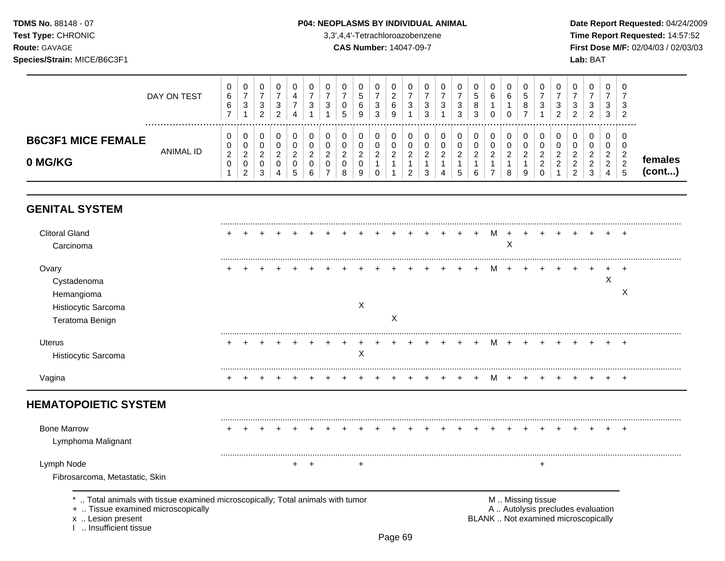## **TDMS No.** 88148 - 07 **P04: NEOPLASMS BY INDIVIDUAL ANIMAL** Date Report Requested: 04/24/2009

**Test Type:** CHRONIC 3,3',4,4'-Tetrachloroazobenzene **Time Report Requested:** 14:57:52 **Route:** GAVAGE **CAS Number:** 14047-09-7 **First Dose M/F:** 02/04/03 / 02/03/03

| DAY ON TEST                                              | 0<br>6<br>6<br>$\overline{ }$             | υ<br>$\rightarrow$<br>◠<br>د                    | ◡<br>3<br>ົ<br><u>_</u>        | -3            | U<br>4             | 0<br>-<br>◠<br>ັ                  | U<br>3                  | υ<br>◡<br>.5       | ∽<br>6<br>9             | υ<br>◠<br>۰C<br>3  | З | υ<br>ົ<br>ັ<br>ົ<br>ບ | ◡<br>-2<br>N  | ν<br>3<br>3             | $\overline{0}$<br>b.<br>8<br>ົ | U<br>6             | υ<br><sub>5</sub><br>o<br>$\circ$ | v<br>ົ<br>ັ                  | J<br>2<br>$\overline{\phantom{a}}$<br>▃ | U<br>3<br>ົ                            | 0<br>3<br>ົ<br>$\epsilon$                   | 0<br>-<br>3<br>3                                          | ີເ<br>ು |                   |
|----------------------------------------------------------|-------------------------------------------|-------------------------------------------------|--------------------------------|---------------|--------------------|-----------------------------------|-------------------------|--------------------|-------------------------|--------------------|---|-----------------------|---------------|-------------------------|--------------------------------|--------------------|-----------------------------------|------------------------------|-----------------------------------------|----------------------------------------|---------------------------------------------|-----------------------------------------------------------|---------|-------------------|
| <b>B6C3F1 MICE FEMALE</b><br><b>ANIMAL ID</b><br>0 MG/KG | 0<br>$\mathbf{0}$<br>ົ<br>$\epsilon$<br>0 | ◡<br>$\sim$<br><u>_</u><br>u<br>ົ<br>$\epsilon$ | v<br>υ<br>ົ<br>$\epsilon$<br>3 | <u>_</u><br>4 | 0<br><u>_</u><br>ັ | 0<br>0<br>◠<br><u>_</u><br>0<br>6 | u<br>u<br><u>_</u><br>J | <u>_</u><br>◡<br>8 | $\sim$<br><u>_</u><br>9 | U<br>◠<br><u>_</u> |   | ◠<br><u>.</u><br>◠    | u<br><u>.</u> | U<br>υ<br>ົ<br><u>_</u> | $\sim$<br><u>_</u><br>ุค       | $\sim$<br><u>_</u> | <u>_</u><br>9                     | $\sim$<br><u>_</u><br>$\sim$ | $\sim$<br><u>.</u>                      | υ<br>υ<br>ົ<br><u>_</u><br>$\sim$<br>റ | 0<br>0<br>ົ<br><u>_</u><br>ົ<br>$\sim$<br>3 | 0<br>0<br>$\sim$<br>$\epsilon$<br>$\sim$<br><u>_</u><br>4 | - 6     | temales<br>(cont) |

# **GENITAL SYSTEM**

| <b>Clitoral Gland</b><br>Carcinoma |  |  |  |  |   |   |  |  | <b>M</b> | X |   |  |   |       |
|------------------------------------|--|--|--|--|---|---|--|--|----------|---|---|--|---|-------|
| Ovary                              |  |  |  |  |   |   |  |  | M        |   |   |  |   |       |
| Cystadenoma                        |  |  |  |  |   |   |  |  |          |   |   |  | X |       |
| Hemangioma                         |  |  |  |  |   |   |  |  |          |   |   |  |   | X     |
| Histiocytic Sarcoma                |  |  |  |  | X |   |  |  |          |   |   |  |   |       |
| Teratoma Benign                    |  |  |  |  |   | X |  |  |          |   |   |  |   |       |
| <b>Uterus</b>                      |  |  |  |  |   |   |  |  |          |   |   |  |   |       |
| Histiocytic Sarcoma                |  |  |  |  | X |   |  |  |          |   |   |  |   |       |
| Vagina                             |  |  |  |  |   |   |  |  | M        |   |   |  |   |       |
| <b>HEMATOPOIETIC SYSTEM</b>        |  |  |  |  |   |   |  |  |          |   |   |  |   |       |
| <b>Bone Marrow</b>                 |  |  |  |  |   |   |  |  |          |   |   |  |   | $\pm$ |
| Lymphoma Malignant                 |  |  |  |  |   |   |  |  |          |   |   |  |   |       |
|                                    |  |  |  |  | ÷ |   |  |  |          |   | ٠ |  |   |       |
| Lymph Node                         |  |  |  |  |   |   |  |  |          |   |   |  |   |       |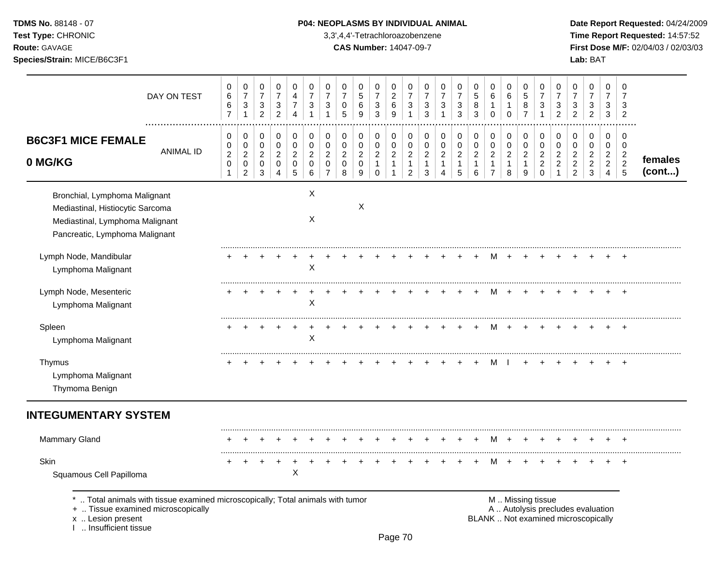## **TDMS No.** 88148 - 07 **P04: NEOPLASMS BY INDIVIDUAL ANIMAL** Date Report Requested: 04/24/2009

**Test Type:** CHRONIC 3,3',4,4'-Tetrachloroazobenzene **Time Report Requested:** 14:57:52 **Route:** GAVAGE **CAS Number:** 14047-09-7 **First Dose M/F:** 02/04/03 / 02/03/03

|                                                                                                                                         | DAY ON TEST      | 0<br>$\,6$<br>6<br>$\overline{7}$                       | 0<br>$\overline{7}$<br>3<br>$\mathbf{1}$                | 0<br>$\boldsymbol{7}$<br>$\ensuremath{\mathsf{3}}$<br>$\overline{2}$ | 0<br>$\overline{7}$<br>3<br>$\overline{2}$           | 0<br>$\overline{4}$<br>$\overline{7}$<br>$\overline{4}$ | 0<br>$\overline{7}$<br>3<br>$\mathbf{1}$           | 0<br>$\overline{7}$<br>3                                         | 0<br>$\overline{7}$<br>0<br>5                          | 0<br>5<br>6<br>9                                       | 0<br>$\overline{7}$<br>3<br>3                                   | 0<br>$\sqrt{2}$<br>6<br>9                                      | 0<br>$\overline{7}$<br>3<br>1                                        | 0<br>$\overline{7}$<br>3<br>$\mathbf{3}$      | 0<br>$\overline{7}$<br>3<br>1                           | 0<br>$\overline{7}$<br>3<br>3                         | 0<br>5<br>8<br>3                                            | 0<br>6<br>$\mathbf{1}$<br>$\mathbf 0$                              | $\mathbf 0$<br>6<br>$\mathbf{1}$<br>$\mathbf 0$       | 0<br>5<br>8<br>$\overline{7}$                | 0<br>$\overline{7}$<br>3                                            | 0<br>$\overline{7}$<br>3<br>2                              | 0<br>$\overline{7}$<br>3<br>$\overline{c}$                   | 0<br>$\overline{7}$<br>3<br>$\overline{c}$      | 0<br>$\overline{7}$<br>3<br>3                   | 0<br>7<br>3<br>$\overline{2}$                                          |                   |
|-----------------------------------------------------------------------------------------------------------------------------------------|------------------|---------------------------------------------------------|---------------------------------------------------------|----------------------------------------------------------------------|------------------------------------------------------|---------------------------------------------------------|----------------------------------------------------|------------------------------------------------------------------|--------------------------------------------------------|--------------------------------------------------------|-----------------------------------------------------------------|----------------------------------------------------------------|----------------------------------------------------------------------|-----------------------------------------------|---------------------------------------------------------|-------------------------------------------------------|-------------------------------------------------------------|--------------------------------------------------------------------|-------------------------------------------------------|----------------------------------------------|---------------------------------------------------------------------|------------------------------------------------------------|--------------------------------------------------------------|-------------------------------------------------|-------------------------------------------------|------------------------------------------------------------------------|-------------------|
| <b>B6C3F1 MICE FEMALE</b><br>0 MG/KG                                                                                                    | <b>ANIMAL ID</b> | 0<br>0<br>$\boldsymbol{2}$<br>$\pmb{0}$<br>$\mathbf{1}$ | 0<br>0<br>$\overline{a}$<br>$\pmb{0}$<br>$\overline{2}$ | 0<br>$\mathbf 0$<br>$\overline{2}$<br>$\mathbf 0$<br>$\sqrt{3}$      | 0<br>$\mathbf 0$<br>$\overline{2}$<br>$\pmb{0}$<br>4 | 0<br>$\pmb{0}$<br>$\overline{c}$<br>$\pmb{0}$<br>5      | 0<br>$\mathbf 0$<br>$\overline{c}$<br>0<br>$\,6\,$ | 0<br>$\mathbf 0$<br>$\overline{2}$<br>$\Omega$<br>$\overline{7}$ | 0<br>$\mathbf 0$<br>$\overline{2}$<br>$\mathbf 0$<br>8 | 0<br>$\mathbf 0$<br>$\overline{c}$<br>$\mathbf 0$<br>9 | 0<br>$\pmb{0}$<br>$\overline{2}$<br>$\mathbf{1}$<br>$\mathbf 0$ | 0<br>$\mathbf 0$<br>$\sqrt{2}$<br>$\mathbf{1}$<br>$\mathbf{1}$ | 0<br>$\mathbf 0$<br>$\overline{c}$<br>$\mathbf{1}$<br>$\overline{2}$ | 0<br>0<br>$\overline{c}$<br>$\mathbf{1}$<br>3 | 0<br>$\mathbf 0$<br>$\overline{2}$<br>$\mathbf{1}$<br>4 | 0<br>$\pmb{0}$<br>$\overline{c}$<br>$\mathbf{1}$<br>5 | 0<br>$\pmb{0}$<br>$\overline{c}$<br>$\mathbf{1}$<br>$\,6\,$ | 0<br>$\pmb{0}$<br>$\overline{c}$<br>$\mathbf{1}$<br>$\overline{7}$ | 0<br>$\pmb{0}$<br>$\overline{c}$<br>$\mathbf{1}$<br>8 | 0<br>$\mathbf 0$<br>$\overline{2}$<br>1<br>9 | 0<br>$\mathbf 0$<br>$\overline{c}$<br>$\overline{c}$<br>$\mathbf 0$ | 0<br>$\mathbf 0$<br>$\overline{2}$<br>$\overline{2}$<br>-1 | 0<br>0<br>$\overline{c}$<br>$\overline{a}$<br>$\overline{2}$ | 0<br>0<br>$\overline{2}$<br>$\overline{c}$<br>3 | 0<br>0<br>$\overline{2}$<br>$\overline{2}$<br>4 | 0<br>$\mathbf 0$<br>$\overline{c}$<br>$\overline{c}$<br>$\overline{5}$ | females<br>(cont) |
| Bronchial, Lymphoma Malignant<br>Mediastinal, Histiocytic Sarcoma<br>Mediastinal, Lymphoma Malignant<br>Pancreatic, Lymphoma Malignant  |                  |                                                         |                                                         |                                                                      |                                                      |                                                         | X<br>Χ                                             |                                                                  |                                                        | X                                                      |                                                                 |                                                                |                                                                      |                                               |                                                         |                                                       |                                                             |                                                                    |                                                       |                                              |                                                                     |                                                            |                                                              |                                                 |                                                 |                                                                        |                   |
| Lymph Node, Mandibular<br>Lymphoma Malignant                                                                                            |                  |                                                         |                                                         |                                                                      |                                                      |                                                         | X                                                  |                                                                  |                                                        |                                                        |                                                                 |                                                                |                                                                      |                                               |                                                         |                                                       |                                                             |                                                                    |                                                       |                                              |                                                                     |                                                            |                                                              |                                                 |                                                 | $\overline{ }$                                                         |                   |
| Lymph Node, Mesenteric<br>Lymphoma Malignant                                                                                            |                  |                                                         |                                                         |                                                                      |                                                      |                                                         | $\mathsf X$                                        |                                                                  |                                                        |                                                        |                                                                 |                                                                |                                                                      |                                               |                                                         |                                                       |                                                             |                                                                    |                                                       |                                              |                                                                     |                                                            |                                                              |                                                 |                                                 | $\overline{ }$                                                         |                   |
| Spleen<br>Lymphoma Malignant                                                                                                            |                  |                                                         |                                                         |                                                                      |                                                      |                                                         | $\boldsymbol{\mathsf{X}}$                          |                                                                  |                                                        |                                                        |                                                                 |                                                                |                                                                      |                                               |                                                         |                                                       |                                                             |                                                                    |                                                       |                                              |                                                                     |                                                            |                                                              |                                                 |                                                 | $\overline{ }$                                                         |                   |
| Thymus<br>Lymphoma Malignant<br>Thymoma Benign                                                                                          |                  |                                                         |                                                         |                                                                      |                                                      |                                                         |                                                    |                                                                  |                                                        |                                                        |                                                                 |                                                                |                                                                      |                                               |                                                         |                                                       |                                                             |                                                                    |                                                       |                                              |                                                                     |                                                            |                                                              |                                                 |                                                 |                                                                        |                   |
| <b>INTEGUMENTARY SYSTEM</b>                                                                                                             |                  |                                                         |                                                         |                                                                      |                                                      |                                                         |                                                    |                                                                  |                                                        |                                                        |                                                                 |                                                                |                                                                      |                                               |                                                         |                                                       |                                                             |                                                                    |                                                       |                                              |                                                                     |                                                            |                                                              |                                                 |                                                 |                                                                        |                   |
| <b>Mammary Gland</b>                                                                                                                    |                  |                                                         |                                                         |                                                                      |                                                      |                                                         |                                                    |                                                                  |                                                        |                                                        |                                                                 |                                                                |                                                                      |                                               |                                                         |                                                       |                                                             | м                                                                  |                                                       |                                              |                                                                     |                                                            |                                                              |                                                 |                                                 |                                                                        |                   |
| Skin<br>Squamous Cell Papilloma                                                                                                         |                  |                                                         |                                                         |                                                                      |                                                      | $\ddot{}$<br>$\pmb{\times}$                             |                                                    |                                                                  |                                                        |                                                        |                                                                 |                                                                |                                                                      |                                               |                                                         |                                                       |                                                             |                                                                    |                                                       |                                              |                                                                     |                                                            |                                                              |                                                 |                                                 | $\overline{ }$                                                         |                   |
| Total animals with tissue examined microscopically; Total animals with tumor<br>+  Tissue examined microscopically<br>x  Lesion present |                  |                                                         |                                                         |                                                                      |                                                      |                                                         |                                                    |                                                                  |                                                        |                                                        |                                                                 |                                                                |                                                                      |                                               |                                                         |                                                       |                                                             | BLANK  Not examined microscopically                                |                                                       |                                              | M  Missing tissue                                                   | A  Autolysis precludes evaluation                          |                                                              |                                                 |                                                 |                                                                        |                   |

I .. Locien processite<br>I .. Insufficient tissue

Page 70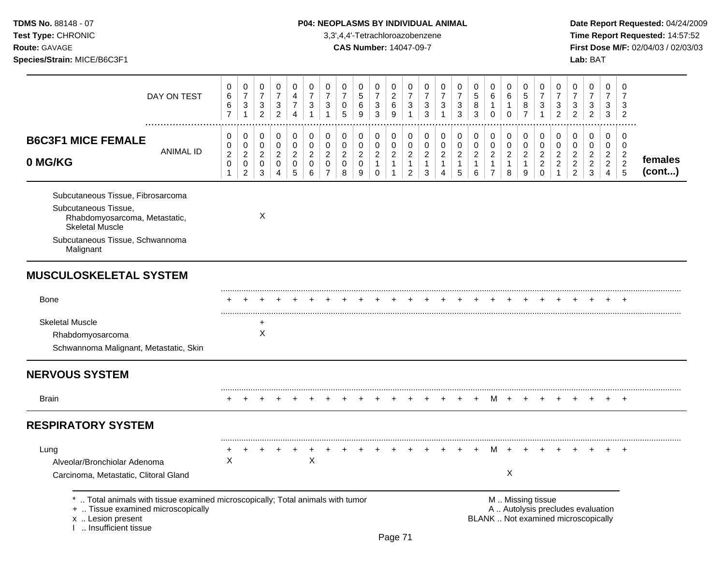Test Type: CHRONIC **Test Type:** CHRONIC **3,3',4,4'-Tetrachloroazobenzene** 3,3',4,4'-Tetrachloroazobenzene **Time Report Requested:** 14:57:52 **Route:** GAVAGE **CAS Number:** 14047-09-7 **First Dose M/F:** 02/04/03 / 02/03/03

| Species/Strain: MICE/B6C3F1                                                                                                                                          |                                         |                                                                    |                                                                      |                                                                    |                                              |                                                    |                                                                         |                                                  |                                            |                                                           |                                                 |                                               |                                                 |                                                                  |                                               |                                               |                                                           |                                                 |                                               |                                                                  |                                                       |                                                                          | Lab: BAT                                        |                               |                                                              |                   |
|----------------------------------------------------------------------------------------------------------------------------------------------------------------------|-----------------------------------------|--------------------------------------------------------------------|----------------------------------------------------------------------|--------------------------------------------------------------------|----------------------------------------------|----------------------------------------------------|-------------------------------------------------------------------------|--------------------------------------------------|--------------------------------------------|-----------------------------------------------------------|-------------------------------------------------|-----------------------------------------------|-------------------------------------------------|------------------------------------------------------------------|-----------------------------------------------|-----------------------------------------------|-----------------------------------------------------------|-------------------------------------------------|-----------------------------------------------|------------------------------------------------------------------|-------------------------------------------------------|--------------------------------------------------------------------------|-------------------------------------------------|-------------------------------|--------------------------------------------------------------|-------------------|
| DAY ON TEST                                                                                                                                                          | 0<br>$\,6\,$<br>$\,6$<br>$\overline{7}$ | 0<br>$\boldsymbol{7}$<br>$\ensuremath{\mathsf{3}}$<br>$\mathbf{1}$ | 0<br>$\boldsymbol{7}$<br>$\ensuremath{\mathsf{3}}$<br>$\overline{2}$ | 0<br>$\overline{7}$<br>$\ensuremath{\mathsf{3}}$<br>$\overline{c}$ | 0<br>4<br>$\overline{7}$<br>$\overline{4}$   | 0<br>$\overline{7}$<br>3<br>$\overline{1}$         | 0<br>$\overline{7}$<br>$\sqrt{3}$<br>$\overline{1}$                     | 0<br>$\boldsymbol{7}$<br>$\pmb{0}$<br>5          | 0<br>5<br>6<br>9                           | 0<br>$\overline{7}$<br>$\mathbf{3}$<br>3                  | 0<br>$\overline{c}$<br>6<br>9                   | 0<br>$\overline{7}$<br>3<br>$\mathbf{1}$      | 0<br>$\overline{7}$<br>3<br>3                   | 0<br>$\overline{7}$<br>$\ensuremath{\mathsf{3}}$<br>$\mathbf{1}$ | 0<br>7<br>3<br>3                              | 0<br>5<br>8<br>3                              | 0<br>$\,6$<br>$\Omega$                                    | 0<br>$\,6\,$<br>1<br>0                          | 0<br>5<br>8<br>$\overline{7}$                 | 0<br>$\overline{7}$<br>$\ensuremath{\mathsf{3}}$<br>$\mathbf{1}$ | 0<br>$\overline{7}$<br>$\mathbf{3}$<br>$\overline{2}$ | 0<br>$\overline{7}$<br>$\sqrt{3}$<br>$\overline{2}$                      | 0<br>$\overline{7}$<br>3<br>$\overline{a}$      | 0<br>$\overline{7}$<br>3<br>3 | 0<br>7<br>3<br>2                                             |                   |
| .<br><b>B6C3F1 MICE FEMALE</b><br><b>ANIMAL ID</b><br>0 MG/KG                                                                                                        | 0<br>0<br>$\sqrt{2}$<br>$\mathbf 0$     | 0<br>0<br>$\overline{c}$<br>$\mathsf 0$<br>$\overline{2}$          | 0<br>0<br>$\overline{c}$<br>$\pmb{0}$<br>$\mathbf{3}$                | 0<br>0<br>$\overline{2}$<br>0<br>4                                 | 0<br>0<br>$\overline{c}$<br>$\mathbf 0$<br>5 | 0<br>$\pmb{0}$<br>$\overline{c}$<br>$\pmb{0}$<br>6 | $\pmb{0}$<br>$\mathbf 0$<br>$\sqrt{2}$<br>$\mathbf 0$<br>$\overline{7}$ | 0<br>$\pmb{0}$<br>$\sqrt{2}$<br>$\mathbf 0$<br>8 | 0<br>$\pmb{0}$<br>$\overline{a}$<br>0<br>9 | 0<br>0<br>$\boldsymbol{2}$<br>$\mathbf{1}$<br>$\mathbf 0$ | 0<br>0<br>$\boldsymbol{2}$<br>$\mathbf{1}$<br>1 | 0<br>0<br>$\overline{c}$<br>$\mathbf{1}$<br>2 | 0<br>0<br>$\boldsymbol{2}$<br>$\mathbf{1}$<br>3 | 0<br>0<br>$\overline{c}$<br>$\mathbf{1}$<br>4                    | 0<br>0<br>$\overline{c}$<br>$\mathbf{1}$<br>5 | 0<br>0<br>$\overline{2}$<br>$\mathbf{1}$<br>6 | 0<br>$\mathbf 0$<br>$\overline{c}$<br>1<br>$\overline{7}$ | 0<br>0<br>$\boldsymbol{2}$<br>$\mathbf{1}$<br>8 | 0<br>0<br>$\overline{c}$<br>$\mathbf{1}$<br>9 | 0<br>0<br>$\overline{c}$<br>$\overline{c}$<br>$\mathbf 0$        | 0<br>0<br>$\overline{2}$<br>$\overline{2}$            | 0<br>0<br>$\overline{c}$<br>$\overline{c}$<br>$\overline{2}$             | 0<br>0<br>$\overline{a}$<br>$\overline{a}$<br>3 | 0<br>0<br>$\frac{2}{2}$<br>4  | 0<br>0<br>$\overline{c}$<br>$\overline{2}$<br>$\overline{5}$ | females<br>(cont) |
| Subcutaneous Tissue, Fibrosarcoma<br>Subcutaneous Tissue,<br>Rhabdomyosarcoma, Metastatic,<br><b>Skeletal Muscle</b><br>Subcutaneous Tissue, Schwannoma<br>Malignant |                                         |                                                                    | Χ                                                                    |                                                                    |                                              |                                                    |                                                                         |                                                  |                                            |                                                           |                                                 |                                               |                                                 |                                                                  |                                               |                                               |                                                           |                                                 |                                               |                                                                  |                                                       |                                                                          |                                                 |                               |                                                              |                   |
| <b>MUSCULOSKELETAL SYSTEM</b>                                                                                                                                        |                                         |                                                                    |                                                                      |                                                                    |                                              |                                                    |                                                                         |                                                  |                                            |                                                           |                                                 |                                               |                                                 |                                                                  |                                               |                                               |                                                           |                                                 |                                               |                                                                  |                                                       |                                                                          |                                                 |                               |                                                              |                   |
| Bone                                                                                                                                                                 |                                         |                                                                    |                                                                      |                                                                    |                                              |                                                    |                                                                         |                                                  |                                            |                                                           |                                                 |                                               |                                                 |                                                                  |                                               |                                               |                                                           |                                                 |                                               |                                                                  |                                                       |                                                                          |                                                 |                               |                                                              |                   |
| <b>Skeletal Muscle</b><br>Rhabdomyosarcoma<br>Schwannoma Malignant, Metastatic, Skin                                                                                 |                                         |                                                                    | X                                                                    |                                                                    |                                              |                                                    |                                                                         |                                                  |                                            |                                                           |                                                 |                                               |                                                 |                                                                  |                                               |                                               |                                                           |                                                 |                                               |                                                                  |                                                       |                                                                          |                                                 |                               |                                                              |                   |
| <b>NERVOUS SYSTEM</b>                                                                                                                                                |                                         |                                                                    |                                                                      |                                                                    |                                              |                                                    |                                                                         |                                                  |                                            |                                                           |                                                 |                                               |                                                 |                                                                  |                                               |                                               |                                                           |                                                 |                                               |                                                                  |                                                       |                                                                          |                                                 |                               |                                                              |                   |
| <b>Brain</b>                                                                                                                                                         |                                         |                                                                    |                                                                      |                                                                    |                                              |                                                    |                                                                         |                                                  |                                            |                                                           |                                                 |                                               |                                                 |                                                                  |                                               |                                               | M                                                         | $\overline{ }$                                  |                                               |                                                                  |                                                       |                                                                          |                                                 |                               |                                                              |                   |
| <b>RESPIRATORY SYSTEM</b>                                                                                                                                            |                                         |                                                                    |                                                                      |                                                                    |                                              |                                                    |                                                                         |                                                  |                                            |                                                           |                                                 |                                               |                                                 |                                                                  |                                               |                                               |                                                           |                                                 |                                               |                                                                  |                                                       |                                                                          |                                                 |                               |                                                              |                   |
| Lung<br>Alveolar/Bronchiolar Adenoma<br>Carcinoma, Metastatic, Clitoral Gland                                                                                        | X                                       |                                                                    |                                                                      |                                                                    |                                              | X                                                  |                                                                         |                                                  |                                            |                                                           |                                                 |                                               |                                                 |                                                                  |                                               |                                               | м                                                         | $+$<br>X                                        |                                               |                                                                  |                                                       |                                                                          |                                                 |                               | $\overline{ }$                                               |                   |
| Total animals with tissue examined microscopically; Total animals with tumor<br>+  Tissue examined microscopically<br>x  Lesion present<br>I  Insufficient tissue    |                                         |                                                                    |                                                                      |                                                                    |                                              |                                                    |                                                                         |                                                  |                                            |                                                           | Page 71                                         |                                               |                                                 |                                                                  |                                               |                                               |                                                           | M  Missing tissue                               |                                               |                                                                  |                                                       | A  Autolysis precludes evaluation<br>BLANK  Not examined microscopically |                                                 |                               |                                                              |                   |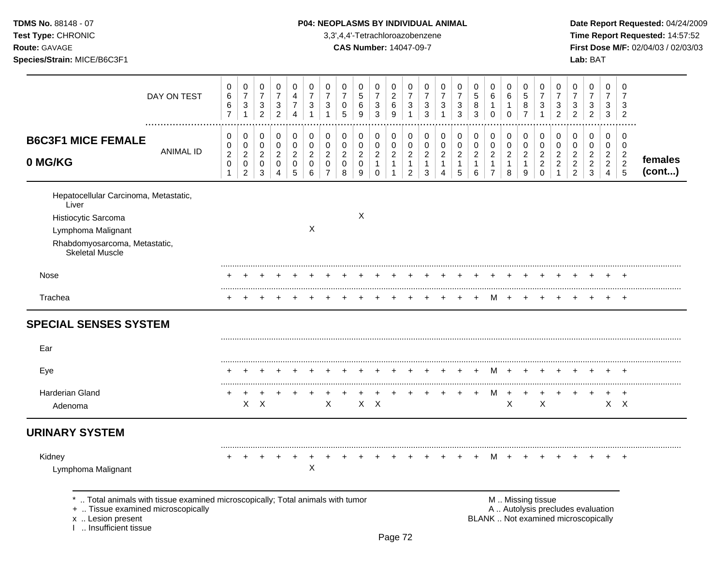TDMS No. 88148 - 07 Test Type: CHRONIC

Species/Strain: MICE/B6C3F1

Route: GAVAGE

### P04: NEOPLASMS BY INDIVIDUAL ANIMAL

3,3',4,4'-Tetrachloroazobenzene

**CAS Number: 14047-09-7** 

Date Report Requested: 04/24/2009 Time Report Requested: 14:57:52 First Dose M/F: 02/04/03 / 02/03/03 Lab: BAT

|                                                                                                                                                        | DAY ON TEST      | 0<br>$\,6$<br>$\,6$<br>$\overline{7}$                       | 0<br>$\boldsymbol{7}$<br>$\mathbf{3}$<br>$\overline{1}$     | 0<br>$\boldsymbol{7}$<br>3<br>$\overline{2}$           | 0<br>$\boldsymbol{7}$<br>$\ensuremath{\mathsf{3}}$<br>$\overline{2}$ | 0<br>4<br>$\overline{7}$<br>$\overline{4}$   | 0<br>$\boldsymbol{7}$<br>$\sqrt{3}$<br>1   | 0<br>$\overline{7}$<br>$\mathbf{3}$<br>1                  | 0<br>$\overline{7}$<br>0<br>5              | 0<br>$\,$ 5 $\,$<br>6<br>9                 | 0<br>$\boldsymbol{7}$<br>$\sqrt{3}$<br>$\mathbf{3}$        | 0<br>$\boldsymbol{2}$<br>6<br>9                       | 0<br>$\overline{7}$<br>3<br>$\overline{1}$                 | 0<br>$\overline{7}$<br>3<br>3                           | 0<br>$\overline{7}$<br>$\sqrt{3}$<br>$\mathbf{1}$                  | 0<br>$\overline{7}$<br>$\mathbf{3}$<br>$\mathfrak{Z}$          | 0<br>$\sqrt{5}$<br>8<br>$\mathbf{3}$                  | 0<br>$\,6$<br>$\mathbf{1}$<br>$\mathbf 0$                            | 0<br>6<br>1<br>$\mathbf 0$                   | 0<br>$\,$ 5 $\,$<br>8<br>$\overline{7}$      | 0<br>$\overline{7}$<br>$\mathbf{3}$<br>$\overline{1}$            | 0<br>$\overline{7}$<br>3<br>$\overline{2}$                           | 0<br>$\overline{7}$<br>$\ensuremath{\mathsf{3}}$<br>$\overline{2}$ | 0<br>$\boldsymbol{7}$<br>3<br>$\overline{2}$                           | 0<br>$\boldsymbol{7}$<br>3<br>3                                 | 0<br>$\overline{7}$<br>3<br>$\overline{2}$                |                   |
|--------------------------------------------------------------------------------------------------------------------------------------------------------|------------------|-------------------------------------------------------------|-------------------------------------------------------------|--------------------------------------------------------|----------------------------------------------------------------------|----------------------------------------------|--------------------------------------------|-----------------------------------------------------------|--------------------------------------------|--------------------------------------------|------------------------------------------------------------|-------------------------------------------------------|------------------------------------------------------------|---------------------------------------------------------|--------------------------------------------------------------------|----------------------------------------------------------------|-------------------------------------------------------|----------------------------------------------------------------------|----------------------------------------------|----------------------------------------------|------------------------------------------------------------------|----------------------------------------------------------------------|--------------------------------------------------------------------|------------------------------------------------------------------------|-----------------------------------------------------------------|-----------------------------------------------------------|-------------------|
| <b>B6C3F1 MICE FEMALE</b><br>0 MG/KG                                                                                                                   | <b>ANIMAL ID</b> | 0<br>$\pmb{0}$<br>$\sqrt{2}$<br>$\mathsf 0$<br>$\mathbf{1}$ | 0<br>$\pmb{0}$<br>$\sqrt{2}$<br>$\pmb{0}$<br>$\overline{2}$ | 0<br>$\mathbf 0$<br>$\overline{2}$<br>$\mathbf 0$<br>3 | 0<br>$\pmb{0}$<br>$\boldsymbol{2}$<br>$\mathbf 0$<br>4               | 0<br>$\mathbf 0$<br>$\overline{a}$<br>0<br>5 | 0<br>$\pmb{0}$<br>$\overline{2}$<br>0<br>6 | 0<br>$\mathbf 0$<br>$\overline{2}$<br>0<br>$\overline{7}$ | 0<br>$\pmb{0}$<br>$\overline{a}$<br>0<br>8 | 0<br>0<br>$\overline{a}$<br>$\pmb{0}$<br>9 | 0<br>$\mathbf 0$<br>$\sqrt{2}$<br>$\mathbf{1}$<br>$\Omega$ | 0<br>$\pmb{0}$<br>$\overline{a}$<br>$\mathbf{1}$<br>1 | 0<br>0<br>$\overline{c}$<br>$\mathbf{1}$<br>$\overline{2}$ | 0<br>$\mathbf 0$<br>$\overline{c}$<br>$\mathbf{1}$<br>3 | 0<br>$\pmb{0}$<br>$\overline{c}$<br>$\mathbf{1}$<br>$\overline{4}$ | 0<br>$\pmb{0}$<br>$\overline{2}$<br>$\mathbf{1}$<br>$\sqrt{5}$ | 0<br>$\pmb{0}$<br>$\overline{2}$<br>$\mathbf{1}$<br>6 | 0<br>$\pmb{0}$<br>$\boldsymbol{2}$<br>$\mathbf{1}$<br>$\overline{7}$ | 0<br>$\mathbf 0$<br>$\overline{c}$<br>1<br>8 | 0<br>$\mathbf 0$<br>$\overline{2}$<br>1<br>9 | 0<br>$\mathbf 0$<br>$\overline{c}$<br>$\overline{c}$<br>$\Omega$ | 0<br>$\mathbf 0$<br>$\overline{c}$<br>$\overline{c}$<br>$\mathbf{1}$ | 0<br>0<br>$\sqrt{2}$<br>$\boldsymbol{2}$<br>$\overline{c}$         | 0<br>$\overline{0}$<br>$\overline{a}$<br>$\overline{c}$<br>$\mathsf 3$ | $\pmb{0}$<br>$\pmb{0}$<br>$\overline{c}$<br>$\overline{a}$<br>4 | 0<br>$\mathbf 0$<br>$\overline{c}$<br>$\overline{c}$<br>5 | females<br>(cont) |
| Hepatocellular Carcinoma, Metastatic,<br>Liver<br>Histiocytic Sarcoma<br>Lymphoma Malignant<br>Rhabdomyosarcoma, Metastatic,<br><b>Skeletal Muscle</b> |                  |                                                             |                                                             |                                                        |                                                                      |                                              | X                                          |                                                           |                                            | X                                          |                                                            |                                                       |                                                            |                                                         |                                                                    |                                                                |                                                       |                                                                      |                                              |                                              |                                                                  |                                                                      |                                                                    |                                                                        |                                                                 |                                                           |                   |
| Nose                                                                                                                                                   |                  |                                                             |                                                             |                                                        |                                                                      |                                              |                                            |                                                           |                                            |                                            |                                                            |                                                       |                                                            |                                                         |                                                                    |                                                                |                                                       |                                                                      |                                              |                                              |                                                                  |                                                                      |                                                                    |                                                                        |                                                                 | $\ddot{}$                                                 |                   |
| Trachea                                                                                                                                                |                  | ÷                                                           |                                                             |                                                        |                                                                      |                                              |                                            |                                                           |                                            |                                            |                                                            |                                                       |                                                            |                                                         |                                                                    |                                                                |                                                       | м                                                                    |                                              |                                              |                                                                  |                                                                      |                                                                    |                                                                        | $+$                                                             | $\overline{ }$                                            |                   |
| <b>SPECIAL SENSES SYSTEM</b>                                                                                                                           |                  |                                                             |                                                             |                                                        |                                                                      |                                              |                                            |                                                           |                                            |                                            |                                                            |                                                       |                                                            |                                                         |                                                                    |                                                                |                                                       |                                                                      |                                              |                                              |                                                                  |                                                                      |                                                                    |                                                                        |                                                                 |                                                           |                   |
| Ear                                                                                                                                                    |                  |                                                             |                                                             |                                                        |                                                                      |                                              |                                            |                                                           |                                            |                                            |                                                            |                                                       |                                                            |                                                         |                                                                    |                                                                |                                                       |                                                                      |                                              |                                              |                                                                  |                                                                      |                                                                    |                                                                        |                                                                 |                                                           |                   |
| Eye                                                                                                                                                    |                  |                                                             |                                                             |                                                        |                                                                      |                                              |                                            |                                                           |                                            |                                            |                                                            |                                                       |                                                            |                                                         |                                                                    |                                                                | $\pm$                                                 | M                                                                    | $\div$                                       |                                              |                                                                  |                                                                      |                                                                    |                                                                        |                                                                 |                                                           |                   |
| Harderian Gland<br>Adenoma                                                                                                                             |                  | $\ddot{}$                                                   | +                                                           | $X$ $X$                                                |                                                                      |                                              |                                            | X                                                         |                                            |                                            | $X$ $X$                                                    |                                                       |                                                            |                                                         |                                                                    |                                                                | $\ddot{}$                                             | M                                                                    | $\boldsymbol{\mathsf{X}}$                    |                                              | X                                                                |                                                                      | +                                                                  |                                                                        | $\ddot{}$                                                       | $\overline{+}$<br>$X$ $X$                                 |                   |
| <b>URINARY SYSTEM</b>                                                                                                                                  |                  |                                                             |                                                             |                                                        |                                                                      |                                              |                                            |                                                           |                                            |                                            |                                                            |                                                       |                                                            |                                                         |                                                                    |                                                                |                                                       |                                                                      |                                              |                                              |                                                                  |                                                                      |                                                                    |                                                                        |                                                                 |                                                           |                   |
| Kidney                                                                                                                                                 |                  |                                                             |                                                             |                                                        |                                                                      |                                              | X                                          |                                                           |                                            |                                            |                                                            |                                                       |                                                            |                                                         |                                                                    |                                                                |                                                       | м                                                                    |                                              |                                              |                                                                  |                                                                      |                                                                    |                                                                        |                                                                 | $\ddot{}$                                                 |                   |

+ .. Tissue examined microscopically

x .. Lesion present<br>I .. Insufficient tissue

A .. Autolysis precludes evaluation BLANK .. Not examined microscopically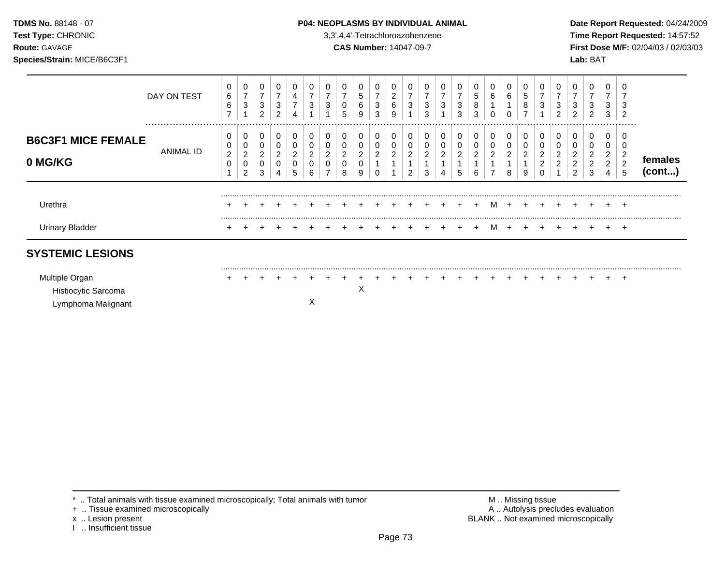### TDMS No. 88148 - 07 **P04: NEOPLASMS BY INDIVIDUAL ANIMAL** Date Report Requested: 04/24/2009

**Test Type:** CHRONIC 3,3',4,4'-Tetrachloroazobenzene **Time Report Requested:** 14:57:52 **Route:** GAVAGE **CAS Number:** 14047-09-7 **First Dose M/F:** 02/04/03 / 02/03/03

|                                       | DAY ON TEST   | 0<br>6<br>6<br>$\overline{ }$ | 0<br>$\overline{7}$<br>3                          | 0<br>$\overline{7}$<br>$\mathbf{3}$<br>$\overline{2}$ | 7<br>3<br>$\sim$ | 4<br>⇁                    | ⇁<br>3           | 3 | $\overline{ }$<br>0<br>5           | 5<br>6<br>9                   | $\overline{7}$<br>3<br>3 | $\overline{\mathbf{c}}$<br>6<br>9 | ⇁<br>3                       | 3<br>3      | 7<br>3              | 7<br>3<br>3                | 0<br>5<br>8<br>3              | 6      | 0<br>6                        | 5<br>8      | 3 | $\overline{ }$<br>3<br>$\overline{2}$               | $\overline{\phantom{a}}$<br>3<br>2 | 0<br>7<br>3<br>2                                | $\overline{ }$<br>3<br>3                    | 3<br>2                             |                   |
|---------------------------------------|---------------|-------------------------------|---------------------------------------------------|-------------------------------------------------------|------------------|---------------------------|------------------|---|------------------------------------|-------------------------------|--------------------------|-----------------------------------|------------------------------|-------------|---------------------|----------------------------|-------------------------------|--------|-------------------------------|-------------|---|-----------------------------------------------------|------------------------------------|-------------------------------------------------|---------------------------------------------|------------------------------------|-------------------|
| <b>B6C3F1 MICE FEMALE</b><br>0 MG/KG  | <br>ANIMAL ID | $\boldsymbol{2}$<br>0         | 0<br>0<br>$\boldsymbol{2}$<br>0<br>$\overline{c}$ | 0<br>0<br>$\overline{c}$<br>0<br>3                    | 0<br>2<br>0      | 0<br>ົ<br>$\epsilon$<br>5 | 0<br>0<br>2<br>h | ∠ | 0<br>0<br>$\overline{c}$<br>0<br>8 | 0<br>0<br>$\overline{c}$<br>9 | 0<br>0<br>2              | ົ<br>∠                            | 0<br>$\overline{\mathbf{c}}$ | 0<br>2<br>3 | 0<br>$\overline{c}$ | 0<br>$\boldsymbol{2}$<br>5 | 0<br>0<br>$\overline{c}$<br>6 | 0<br>2 | 0<br>0<br>$\overline{2}$<br>8 | 0<br>2<br>9 |   | 0<br>0<br>$\overline{\mathbf{c}}$<br>$\overline{2}$ | 0<br>2<br>2<br>2                   | 0<br>0<br>$\overline{a}$<br>$\overline{2}$<br>3 | 0<br>ົ<br>$\epsilon$<br>$\overline{2}$<br>4 | .<br>ົ<br>∠<br>$\overline{c}$<br>5 | females<br>(cont) |
| Urethra                               |               |                               |                                                   |                                                       |                  |                           |                  |   |                                    |                               |                          |                                   |                              |             |                     |                            |                               | M      |                               |             |   |                                                     |                                    |                                                 |                                             | $\div$                             |                   |
| <b>Urinary Bladder</b>                |               |                               |                                                   |                                                       |                  |                           |                  |   |                                    |                               |                          |                                   |                              |             |                     |                            |                               | м      |                               |             |   |                                                     |                                    |                                                 |                                             | $\div$                             |                   |
| <b>SYSTEMIC LESIONS</b>               |               |                               |                                                   |                                                       |                  |                           |                  |   |                                    |                               |                          |                                   |                              |             |                     |                            |                               |        |                               |             |   |                                                     |                                    |                                                 |                                             |                                    |                   |
| Multiple Organ<br>Histiocytic Sarcoma |               |                               |                                                   |                                                       |                  |                           |                  |   |                                    | ∧                             |                          |                                   |                              |             |                     |                            |                               |        |                               |             |   |                                                     |                                    |                                                 |                                             | ÷                                  |                   |

Lymphoma Malignant X

+ .. Tissue examined microscopically

x .. Lesion present<br>I .. Insufficient tissue

\* .. Total animals with tissue examined microscopically; Total animals with tumor M .. Missing tissue M .. Missing tissue<br>
A .. Autolysis precludes evaluation<br>
M .. Autolysis precludes evaluation BLANK .. Not examined microscopically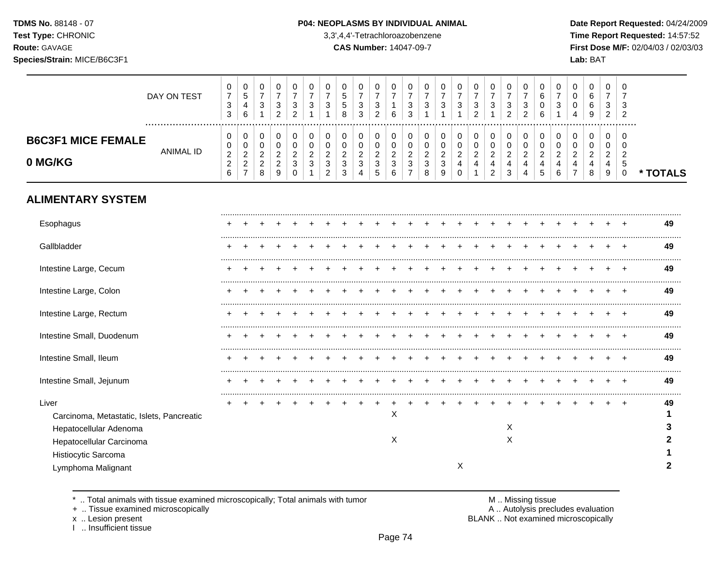**Test Type:** CHRONIC 3,3',4,4'-Tetrachloroazobenzene **Time Report Requested:** 14:57:52 **Route:** GAVAGE **CAS Number:** 14047-09-7 **First Dose M/F:** 02/04/03 / 02/03/03 **Species/Strain:** MICE/B6C3F1 **Lab:** BAT

| DAY ON TEST                                                                                              | 0<br>$\overline{7}$<br>$\mathbf{3}$<br>3    | 0<br>$\mathbf 5$<br>4<br>6                               | 0<br>$\overline{7}$<br>3<br>1                             | 0<br>$\overline{7}$<br>$\sqrt{3}$<br>$\overline{c}$                    | 0<br>$\overline{7}$<br>3<br>$\overline{2}$   | 0<br>$\overline{7}$<br>3      | 0<br>$\overline{7}$<br>3                                 | 0<br>5<br>5<br>8                                                     | 0<br>$\overline{7}$<br>$\mathbf{3}$<br>3                   | 0<br>$\overline{7}$<br>3<br>$\overline{2}$ | 0<br>$\overline{7}$<br>6                     | 0<br>$\overline{7}$<br>3<br>3                   | 0<br>$\overline{7}$<br>3                  | 0<br>$\overline{7}$<br>3           | 0<br>$\overline{7}$<br>$\mathbf{3}$                                      | 0<br>$\overline{7}$<br>3<br>2                                      | 0<br>$\overline{7}$<br>3                                                      | 0<br>$\overline{7}$<br>$\sqrt{3}$<br>$\overline{2}$ | 0<br>$\overline{7}$<br>3<br>$\overline{2}$   | 0<br>6<br>0<br>6                                          | 0<br>$\overline{7}$<br>3           | 0<br>$\Omega$<br>0<br>4       | 0<br>6<br>6<br>9                             | 0<br>$\overline{7}$<br>3<br>$\overline{2}$        | 0<br>$\overline{7}$<br>3<br>2                              |          |
|----------------------------------------------------------------------------------------------------------|---------------------------------------------|----------------------------------------------------------|-----------------------------------------------------------|------------------------------------------------------------------------|----------------------------------------------|-------------------------------|----------------------------------------------------------|----------------------------------------------------------------------|------------------------------------------------------------|--------------------------------------------|----------------------------------------------|-------------------------------------------------|-------------------------------------------|------------------------------------|--------------------------------------------------------------------------|--------------------------------------------------------------------|-------------------------------------------------------------------------------|-----------------------------------------------------|----------------------------------------------|-----------------------------------------------------------|------------------------------------|-------------------------------|----------------------------------------------|---------------------------------------------------|------------------------------------------------------------|----------|
| .<br><b>B6C3F1 MICE FEMALE</b><br><b>ANIMAL ID</b><br>0 MG/KG                                            | 0<br>0<br>$\sqrt{2}$<br>$\overline{c}$<br>6 | 0<br>0<br>$\overline{c}$<br>$\sqrt{2}$<br>$\overline{7}$ | 0<br>$\mathbf 0$<br>$\overline{c}$<br>$\overline{c}$<br>8 | 0<br>$\pmb{0}$<br>$\overline{c}$<br>$\overline{c}$<br>$\boldsymbol{9}$ | 0<br>$\mathbf 0$<br>$\overline{2}$<br>3<br>0 | 0<br>0<br>$\overline{c}$<br>3 | 0<br>0<br>$\overline{c}$<br>$\sqrt{3}$<br>$\overline{2}$ | 0<br>$\mathbf 0$<br>$\overline{c}$<br>$\ensuremath{\mathsf{3}}$<br>3 | 0<br>0<br>$\overline{c}$<br>$\ensuremath{\mathsf{3}}$<br>4 | 0<br>0<br>$\overline{c}$<br>3<br>5         | 0<br>$\mathbf 0$<br>$\overline{c}$<br>3<br>6 | 0<br>0<br>$\overline{c}$<br>3<br>$\overline{7}$ | 0<br>0<br>$\sqrt{2}$<br>$\mathbf{3}$<br>8 | 0<br>0<br>$\overline{c}$<br>3<br>9 | $\mathbf 0$<br>$\pmb{0}$<br>$\overline{c}$<br>$\overline{4}$<br>$\Omega$ | 0<br>$\pmb{0}$<br>$\overline{a}$<br>$\overline{4}$<br>$\mathbf{1}$ | 0<br>$\pmb{0}$<br>$\overline{c}$<br>$\overline{\mathbf{4}}$<br>$\overline{2}$ | 0<br>$\mathbf 0$<br>$\boldsymbol{2}$<br>4<br>3      | 0<br>$\mathbf 0$<br>$\overline{c}$<br>4<br>4 | 0<br>$\mathbf 0$<br>$\overline{2}$<br>$\overline{4}$<br>5 | 0<br>0<br>$\overline{c}$<br>4<br>6 | 0<br>0<br>$\overline{2}$<br>4 | 0<br>$\mathbf 0$<br>$\overline{2}$<br>4<br>8 | 0<br>0<br>$\overline{c}$<br>4<br>$\boldsymbol{9}$ | $\Omega$<br>$\Omega$<br>$\overline{2}$<br>5<br>$\mathbf 0$ | * TOTALS |
| <b>ALIMENTARY SYSTEM</b>                                                                                 |                                             |                                                          |                                                           |                                                                        |                                              |                               |                                                          |                                                                      |                                                            |                                            |                                              |                                                 |                                           |                                    |                                                                          |                                                                    |                                                                               |                                                     |                                              |                                                           |                                    |                               |                                              |                                                   |                                                            |          |
| Esophagus                                                                                                |                                             |                                                          |                                                           |                                                                        |                                              |                               |                                                          |                                                                      |                                                            |                                            |                                              |                                                 |                                           |                                    |                                                                          |                                                                    |                                                                               |                                                     |                                              |                                                           |                                    |                               |                                              |                                                   |                                                            | 49       |
| Gallbladder                                                                                              |                                             |                                                          |                                                           |                                                                        |                                              |                               |                                                          |                                                                      |                                                            |                                            |                                              |                                                 |                                           |                                    |                                                                          |                                                                    |                                                                               |                                                     |                                              |                                                           |                                    |                               |                                              |                                                   |                                                            | 49       |
| Intestine Large, Cecum                                                                                   |                                             |                                                          |                                                           |                                                                        |                                              |                               |                                                          |                                                                      |                                                            |                                            |                                              |                                                 |                                           |                                    |                                                                          |                                                                    |                                                                               |                                                     |                                              |                                                           |                                    |                               |                                              |                                                   |                                                            | 49       |
| Intestine Large, Colon                                                                                   |                                             |                                                          |                                                           |                                                                        |                                              |                               |                                                          |                                                                      |                                                            |                                            |                                              |                                                 |                                           |                                    |                                                                          |                                                                    |                                                                               |                                                     |                                              |                                                           |                                    |                               |                                              |                                                   |                                                            | 49       |
| Intestine Large, Rectum                                                                                  |                                             |                                                          |                                                           |                                                                        |                                              |                               |                                                          |                                                                      |                                                            |                                            |                                              |                                                 |                                           |                                    |                                                                          |                                                                    |                                                                               |                                                     |                                              |                                                           |                                    |                               |                                              |                                                   |                                                            | 49       |
| Intestine Small, Duodenum                                                                                |                                             |                                                          |                                                           |                                                                        |                                              |                               |                                                          |                                                                      |                                                            |                                            |                                              |                                                 |                                           |                                    |                                                                          |                                                                    |                                                                               |                                                     |                                              |                                                           |                                    |                               |                                              |                                                   |                                                            | 49       |
| Intestine Small, Ileum                                                                                   |                                             |                                                          |                                                           |                                                                        |                                              |                               |                                                          |                                                                      |                                                            |                                            |                                              |                                                 |                                           |                                    |                                                                          |                                                                    |                                                                               |                                                     |                                              |                                                           |                                    |                               |                                              |                                                   |                                                            | 49       |
| Intestine Small, Jejunum                                                                                 |                                             |                                                          |                                                           |                                                                        |                                              |                               |                                                          |                                                                      |                                                            |                                            |                                              |                                                 |                                           |                                    |                                                                          |                                                                    |                                                                               |                                                     |                                              |                                                           |                                    |                               |                                              |                                                   | $\pm$                                                      | 49       |
| Liver<br>Carcinoma, Metastatic, Islets, Pancreatic<br>Hepatocellular Adenoma<br>Hepatocellular Carcinoma |                                             |                                                          |                                                           |                                                                        |                                              |                               |                                                          |                                                                      |                                                            |                                            | X<br>Χ                                       |                                                 |                                           |                                    |                                                                          |                                                                    |                                                                               | $\boldsymbol{X}$<br>Χ                               |                                              |                                                           |                                    |                               |                                              |                                                   |                                                            | 49<br>2  |
| Histiocytic Sarcoma                                                                                      |                                             |                                                          |                                                           |                                                                        |                                              |                               |                                                          |                                                                      |                                                            |                                            |                                              |                                                 |                                           |                                    |                                                                          |                                                                    |                                                                               |                                                     |                                              |                                                           |                                    |                               |                                              |                                                   |                                                            |          |

Lymphoma Malignant X **2**

\* .. Total animals with tissue examined microscopically; Total animals with tumor M .. Missing tissue M .. Missing tissue<br>
+ .. Tissue examined microscopically

+ .. Tissue examined microscopically

x .. Lesion present<br>I .. Insufficient tissue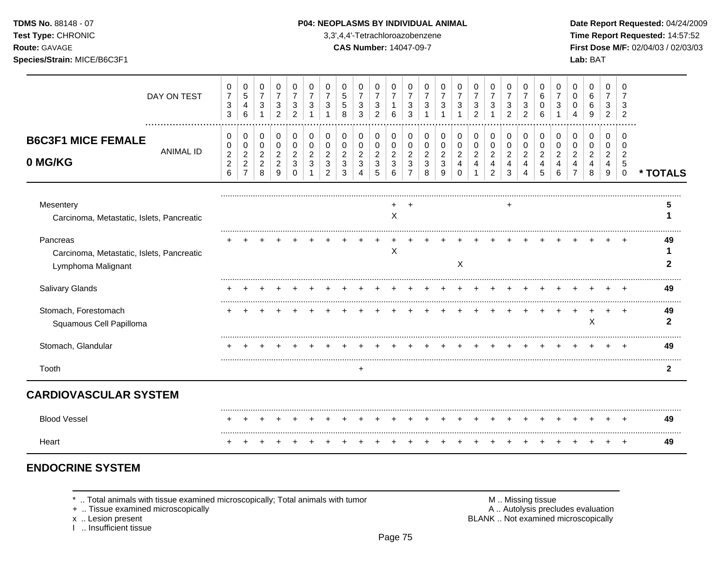**Test Type:** CHRONIC 3,3',4,4'-Tetrachloroazobenzene **Time Report Requested:** 14:57:52 **Route:** GAVAGE **CAS Number:** 14047-09-7 **First Dose M/F:** 02/04/03 / 02/03/03 **Species/Strain:** MICE/B6C3F1 **Lab:** BAT

| DAY ON TEST                                                                 | $\mathbf 0$<br>$\overline{7}$<br>3<br>3                      | 0<br>$5\,$<br>$\overline{4}$<br>6                        | 0<br>$\overline{7}$<br>$\sqrt{3}$<br>1                | 0<br>$\overline{7}$<br>3<br>$\overline{c}$                | 0<br>$\overline{7}$<br>3<br>2                    | 0<br>7<br>3                          | 0<br>$\overline{7}$<br>3                                 | 0<br>$\,$ 5 $\,$<br>$\sqrt{5}$<br>8                   | 0<br>$\overline{7}$<br>3<br>3                                      | 0<br>$\overline{7}$<br>$\sqrt{3}$<br>2     | 0<br>$\overline{7}$<br>1<br>6            | 0<br>$\overline{7}$<br>$\mathbf{3}$<br>3               | 0<br>$\overline{7}$<br>3                                          | 0<br>$\overline{7}$<br>3                             | 0<br>$\overline{7}$<br>3                            | 0<br>$\overline{7}$<br>$\sqrt{3}$<br>$\overline{2}$ | 0<br>$\overline{7}$<br>3<br>1                                          | 0<br>$\overline{7}$<br>3<br>2                | 0<br>$\overline{7}$<br>3<br>2             | 0<br>6<br>0<br>6                   | 0<br>$\overline{7}$<br>3                  | 0<br>0<br>$\Omega$                                     | 0<br>6<br>6<br>9                             | 0<br>$\overline{7}$<br>3<br>$\overline{2}$               | 0<br>7<br>3<br>$\overline{2}$                            |              |
|-----------------------------------------------------------------------------|--------------------------------------------------------------|----------------------------------------------------------|-------------------------------------------------------|-----------------------------------------------------------|--------------------------------------------------|--------------------------------------|----------------------------------------------------------|-------------------------------------------------------|--------------------------------------------------------------------|--------------------------------------------|------------------------------------------|--------------------------------------------------------|-------------------------------------------------------------------|------------------------------------------------------|-----------------------------------------------------|-----------------------------------------------------|------------------------------------------------------------------------|----------------------------------------------|-------------------------------------------|------------------------------------|-------------------------------------------|--------------------------------------------------------|----------------------------------------------|----------------------------------------------------------|----------------------------------------------------------|--------------|
| <b>B6C3F1 MICE FEMALE</b><br><b>ANIMAL ID</b><br>0 MG/KG                    | 0<br>0<br>$\overline{2}$<br>$\overline{c}$<br>$6\phantom{1}$ | 0<br>0<br>$\overline{2}$<br>$\sqrt{2}$<br>$\overline{7}$ | 0<br>$\mathbf 0$<br>$\sqrt{2}$<br>$\overline{c}$<br>8 | 0<br>$\mathbf 0$<br>$\overline{2}$<br>$\overline{c}$<br>9 | 0<br>$\Omega$<br>$\overline{2}$<br>3<br>$\Omega$ | 0<br>$\Omega$<br>$\overline{2}$<br>3 | 0<br>$\mathbf 0$<br>$\overline{c}$<br>3<br>$\mathcal{P}$ | 0<br>$\mathbf 0$<br>$\overline{a}$<br>$\sqrt{3}$<br>3 | 0<br>$\pmb{0}$<br>$\overline{c}$<br>$\mathbf{3}$<br>$\overline{4}$ | 0<br>$\pmb{0}$<br>$\overline{2}$<br>3<br>5 | 0<br>$\mathbf 0$<br>$\sqrt{2}$<br>3<br>6 | 0<br>$\Omega$<br>$\overline{2}$<br>3<br>$\overline{7}$ | 0<br>$\Omega$<br>$\overline{2}$<br>$\ensuremath{\mathsf{3}}$<br>8 | 0<br>$\Omega$<br>$\overline{2}$<br>$\mathbf{3}$<br>9 | 0<br>$\mathbf 0$<br>$\overline{a}$<br>4<br>$\Omega$ | 0<br>0<br>$\boldsymbol{2}$<br>$\overline{4}$        | 0<br>$\mathbf 0$<br>$\overline{2}$<br>$\overline{4}$<br>$\overline{2}$ | 0<br>$\mathbf 0$<br>$\overline{2}$<br>4<br>3 | 0<br>$\Omega$<br>$\overline{2}$<br>4<br>4 | 0<br>0<br>$\overline{2}$<br>4<br>5 | 0<br>$\Omega$<br>$\overline{2}$<br>4<br>6 | 0<br>$\Omega$<br>$\overline{2}$<br>4<br>$\overline{7}$ | 0<br>$\mathbf 0$<br>$\overline{2}$<br>4<br>8 | 0<br>$\Omega$<br>$\overline{2}$<br>4<br>$\boldsymbol{9}$ | $\Omega$<br>$\Omega$<br>$\overline{2}$<br>5<br>$\pmb{0}$ | * TOTALS     |
|                                                                             |                                                              |                                                          |                                                       |                                                           |                                                  |                                      |                                                          |                                                       |                                                                    |                                            |                                          |                                                        |                                                                   |                                                      |                                                     |                                                     |                                                                        |                                              |                                           |                                    |                                           |                                                        |                                              |                                                          |                                                          |              |
| Mesentery<br>Carcinoma, Metastatic, Islets, Pancreatic                      |                                                              |                                                          |                                                       |                                                           |                                                  |                                      |                                                          |                                                       |                                                                    |                                            | X                                        |                                                        |                                                                   |                                                      |                                                     |                                                     |                                                                        |                                              |                                           |                                    |                                           |                                                        |                                              |                                                          |                                                          |              |
| Pancreas<br>Carcinoma, Metastatic, Islets, Pancreatic<br>Lymphoma Malignant |                                                              |                                                          |                                                       |                                                           |                                                  |                                      |                                                          |                                                       |                                                                    |                                            | X                                        |                                                        |                                                                   |                                                      | X                                                   |                                                     |                                                                        |                                              |                                           |                                    |                                           |                                                        |                                              |                                                          |                                                          | 49           |
| Salivary Glands                                                             |                                                              |                                                          |                                                       |                                                           |                                                  |                                      |                                                          |                                                       |                                                                    |                                            |                                          |                                                        |                                                                   |                                                      |                                                     |                                                     |                                                                        |                                              |                                           |                                    |                                           |                                                        |                                              |                                                          | $\pm$                                                    | 49           |
| Stomach, Forestomach<br>Squamous Cell Papilloma                             |                                                              |                                                          |                                                       |                                                           |                                                  |                                      |                                                          |                                                       |                                                                    |                                            |                                          |                                                        |                                                                   |                                                      |                                                     |                                                     |                                                                        |                                              |                                           |                                    |                                           |                                                        | $\pmb{\times}$                               |                                                          | $\overline{1}$                                           | 49<br>2      |
| Stomach, Glandular                                                          |                                                              |                                                          |                                                       |                                                           |                                                  |                                      |                                                          |                                                       |                                                                    |                                            |                                          |                                                        |                                                                   |                                                      |                                                     |                                                     |                                                                        |                                              |                                           |                                    |                                           |                                                        |                                              |                                                          |                                                          | 49           |
| Tooth                                                                       |                                                              |                                                          |                                                       |                                                           |                                                  |                                      |                                                          |                                                       |                                                                    |                                            |                                          |                                                        |                                                                   |                                                      |                                                     |                                                     |                                                                        |                                              |                                           |                                    |                                           |                                                        |                                              |                                                          |                                                          | $\mathbf{2}$ |
| <b>CARDIOVASCULAR SYSTEM</b>                                                |                                                              |                                                          |                                                       |                                                           |                                                  |                                      |                                                          |                                                       |                                                                    |                                            |                                          |                                                        |                                                                   |                                                      |                                                     |                                                     |                                                                        |                                              |                                           |                                    |                                           |                                                        |                                              |                                                          |                                                          |              |
| <b>Blood Vessel</b>                                                         |                                                              |                                                          |                                                       |                                                           |                                                  |                                      |                                                          |                                                       |                                                                    |                                            |                                          |                                                        |                                                                   |                                                      |                                                     |                                                     |                                                                        |                                              |                                           |                                    |                                           |                                                        |                                              |                                                          |                                                          | 49           |
| Heart                                                                       |                                                              |                                                          |                                                       |                                                           |                                                  |                                      |                                                          |                                                       |                                                                    |                                            |                                          |                                                        |                                                                   |                                                      |                                                     |                                                     |                                                                        |                                              |                                           |                                    |                                           |                                                        |                                              |                                                          |                                                          | 49           |

# **ENDOCRINE SYSTEM**

\* .. Total animals with tissue examined microscopically; Total animals with tumor <br>
+ .. Tissue examined microscopically<br>
+ .. Tissue examined microscopically

+ .. Tissue examined microscopically

x .. Lesion present<br>I .. Insufficient tissue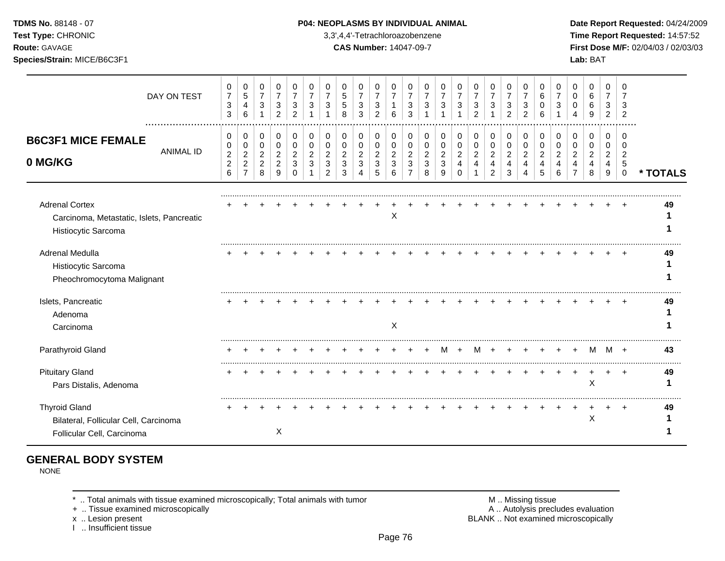#### **TDMS No.** 88148 - 07 **P04: NEOPLASMS BY INDIVIDUAL ANIMAL Date Report Requested:** 04/24/2009

**Test Type:** CHRONIC 3,3',4,4'-Tetrachloroazobenzene **Time Report Requested:** 14:57:52 **Route:** GAVAGE **CAS Number:** 14047-09-7 **First Dose M/F:** 02/04/03 / 02/03/03

|                                                                                             | DAY ON TEST      | 0<br>$\overline{7}$<br>$\ensuremath{\mathsf{3}}$<br>3          | 0<br>$\sqrt{5}$<br>$\overline{4}$<br>6                             | 0<br>$\overline{7}$<br>$\ensuremath{\mathsf{3}}$<br>$\mathbf{1}$ | 0<br>$\overline{7}$<br>$\sqrt{3}$<br>$\overline{2}$   | 0<br>$\overline{7}$<br>3<br>2          | 0<br>3                     | 0<br>7                                                 | 0<br>$\sqrt{5}$<br>5<br>8                    | 0<br>$\overline{7}$<br>3<br>3                | 0<br>$\boldsymbol{7}$<br>$\ensuremath{\mathsf{3}}$<br>2 | 0<br>$\boldsymbol{7}$<br>$\mathbf{1}$<br>6              | 0<br>$\overline{7}$<br>3<br>3                             | 0<br>$\overline{7}$<br>3                 | 0<br>$\overline{7}$<br>3           | 0<br>$\overline{7}$<br>3                            | 0<br>$\overline{7}$<br>3<br>$\mathcal{P}$ | 0<br>$\overline{7}$<br>$\mathbf{3}$                 | 0<br>$\overline{7}$<br>3<br>2              | 0<br>$\overline{7}$<br>$\mathbf{3}$<br>2     | 0<br>6<br>0<br>6                             | 0<br>$\overline{7}$<br>3           | 0<br>0<br>∩                                     | 0<br>6<br>6<br>9                          | 0<br>$\overline{7}$<br>3<br>2      | $\Omega$<br>$\mathcal{P}$  |          |
|---------------------------------------------------------------------------------------------|------------------|----------------------------------------------------------------|--------------------------------------------------------------------|------------------------------------------------------------------|-------------------------------------------------------|----------------------------------------|----------------------------|--------------------------------------------------------|----------------------------------------------|----------------------------------------------|---------------------------------------------------------|---------------------------------------------------------|-----------------------------------------------------------|------------------------------------------|------------------------------------|-----------------------------------------------------|-------------------------------------------|-----------------------------------------------------|--------------------------------------------|----------------------------------------------|----------------------------------------------|------------------------------------|-------------------------------------------------|-------------------------------------------|------------------------------------|----------------------------|----------|
| <b>B6C3F1 MICE FEMALE</b><br>0 MG/KG                                                        | <b>ANIMAL ID</b> | 0<br>0<br>$\boldsymbol{2}$<br>$\overline{c}$<br>$6\phantom{a}$ | 0<br>$\pmb{0}$<br>$\overline{2}$<br>$\mathbf{2}$<br>$\overline{7}$ | 0<br>$\pmb{0}$<br>$\overline{a}$<br>$\overline{c}$<br>8          | 0<br>$\mathbf 0$<br>$\sqrt{2}$<br>$\overline{c}$<br>9 | 0<br>$\mathbf 0$<br>2<br>3<br>$\Omega$ | 0<br>$\mathbf 0$<br>2<br>3 | 0<br>$\Omega$<br>$\overline{2}$<br>3<br>$\overline{2}$ | 0<br>$\mathbf 0$<br>$\overline{2}$<br>3<br>3 | 0<br>$\mathbf 0$<br>$\overline{c}$<br>3<br>4 | 0<br>$\pmb{0}$<br>$\overline{c}$<br>3<br>5              | 0<br>$\mathbf 0$<br>$\overline{c}$<br>$\mathbf{3}$<br>6 | 0<br>$\mathbf 0$<br>$\overline{c}$<br>3<br>$\overline{7}$ | 0<br>$\mathbf 0$<br>$\sqrt{2}$<br>3<br>8 | 0<br>0<br>$\overline{c}$<br>3<br>9 | 0<br>$\mathbf 0$<br>$\overline{2}$<br>4<br>$\Omega$ | 0<br>0<br>$\overline{a}$<br>4             | 0<br>$\pmb{0}$<br>$\sqrt{2}$<br>4<br>$\overline{c}$ | 0<br>$\pmb{0}$<br>$\overline{2}$<br>4<br>3 | 0<br>$\pmb{0}$<br>$\boldsymbol{2}$<br>4<br>4 | 0<br>$\mathbf 0$<br>$\overline{2}$<br>4<br>5 | 0<br>0<br>$\overline{2}$<br>4<br>6 | 0<br>0<br>$\overline{c}$<br>4<br>$\overline{7}$ | 0<br>$\Omega$<br>$\overline{2}$<br>4<br>8 | 0<br>0<br>$\overline{c}$<br>4<br>9 | O<br>2<br>5<br>$\mathbf 0$ | * TOTALS |
| <b>Adrenal Cortex</b><br>Carcinoma, Metastatic, Islets, Pancreatic<br>Histiocytic Sarcoma   |                  |                                                                |                                                                    |                                                                  |                                                       |                                        |                            |                                                        |                                              |                                              |                                                         | X                                                       |                                                           |                                          |                                    |                                                     |                                           |                                                     |                                            |                                              |                                              |                                    |                                                 |                                           |                                    |                            | 49       |
| Adrenal Medulla<br>Histiocytic Sarcoma<br>Pheochromocytoma Malignant                        |                  |                                                                |                                                                    |                                                                  |                                                       |                                        |                            |                                                        |                                              |                                              |                                                         |                                                         |                                                           |                                          |                                    |                                                     |                                           |                                                     |                                            |                                              |                                              |                                    |                                                 |                                           |                                    |                            | 49       |
| Islets, Pancreatic<br>Adenoma<br>Carcinoma                                                  |                  |                                                                |                                                                    |                                                                  |                                                       |                                        |                            |                                                        |                                              |                                              |                                                         | X                                                       |                                                           |                                          |                                    |                                                     |                                           |                                                     |                                            |                                              |                                              |                                    |                                                 |                                           |                                    |                            | 49       |
| Parathyroid Gland                                                                           |                  |                                                                |                                                                    |                                                                  |                                                       |                                        |                            |                                                        |                                              |                                              |                                                         |                                                         |                                                           |                                          |                                    |                                                     |                                           |                                                     |                                            |                                              |                                              |                                    |                                                 | M                                         | M                                  | $^{+}$                     | 43       |
| <b>Pituitary Gland</b><br>Pars Distalis, Adenoma                                            |                  |                                                                |                                                                    |                                                                  |                                                       |                                        |                            |                                                        |                                              |                                              |                                                         |                                                         |                                                           |                                          |                                    |                                                     |                                           |                                                     |                                            |                                              |                                              |                                    |                                                 | X                                         |                                    |                            | 49       |
| <b>Thyroid Gland</b><br>Bilateral, Follicular Cell, Carcinoma<br>Follicular Cell, Carcinoma |                  |                                                                |                                                                    |                                                                  | Χ                                                     |                                        |                            |                                                        |                                              |                                              |                                                         |                                                         |                                                           |                                          |                                    |                                                     |                                           |                                                     |                                            |                                              |                                              |                                    |                                                 | X                                         |                                    |                            | 49       |

# **GENERAL BODY SYSTEM**

NONE

\* .. Total animals with tissue examined microscopically; Total animals with tumor <br>
+ .. Tissue examined microscopically<br>
+ .. Tissue examined microscopically

+ .. Tissue examined microscopically

x .. Lesion present **BLANK** .. Not examined microscopically

I .. Insufficient tissue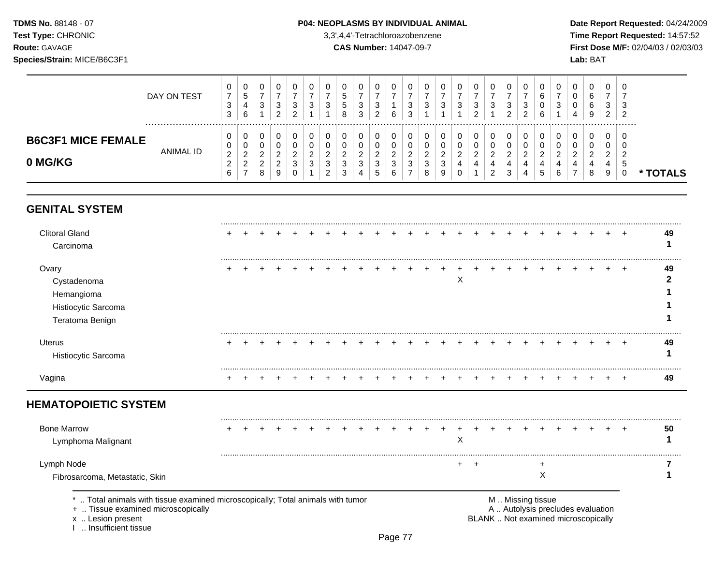### **TDMS No.** 88148 - 07 **P04: NEOPLASMS BY INDIVIDUAL ANIMAL** Date Report Requested: 04/24/2009

**Test Type:** CHRONIC 3,3',4,4'-Tetrachloroazobenzene **Time Report Requested:** 14:57:52 **Route:** GAVAGE **CAS Number:** 14047-09-7 **First Dose M/F:** 02/04/03 / 02/03/03

|                                      | DAY ON TEST | v<br>⇁<br>$\sim$<br>ັ<br>3               | 0<br>5<br>4<br>6                              | U<br>3                                   | 3<br>າ<br>∠ | <b>U</b><br>3<br>ົ      |   | າ<br>J                                   | v<br>◡<br>J<br>8           | 0<br>-<br>3<br>3                  | U<br>ົ<br>J.<br>ົ<br>∠        | 6  | - U<br>3<br>3 |              | U<br>າ<br>v                  | υ<br>ົ<br>J | 0<br>-<br>3<br>ົ<br>∼        | U<br>3                       | 3<br>2 | U<br>3<br>ົ | - 6<br>b<br>6      | ີ<br>J        | υ<br>υ<br>υ<br>4 | 0<br>6<br>6<br>9      | U<br>3<br>2                | - ს<br>-3<br>-2 |               |
|--------------------------------------|-------------|------------------------------------------|-----------------------------------------------|------------------------------------------|-------------|-------------------------|---|------------------------------------------|----------------------------|-----------------------------------|-------------------------------|----|---------------|--------------|------------------------------|-------------|------------------------------|------------------------------|--------|-------------|--------------------|---------------|------------------|-----------------------|----------------------------|-----------------|---------------|
| <b>B6C3F1 MICE FEMALE</b><br>0 MG/KG | ANIMAL ID   | v<br>v<br>ົ<br><u>_</u><br><u>_</u><br>6 | 0<br>0<br>ົ<br><u>_</u><br>ົ<br><u>_</u><br>- | υ<br>U<br><u>_</u><br>ົ<br><u>_</u><br>8 | <u>.</u>    | 0<br>◠<br><u>_</u><br>3 | _ | 0<br><u>.</u><br>ີ<br>J<br>ົ<br><u>_</u> | -<br>ີ<br>J<br>$\sim$<br>ں | 0<br>0<br>ົ<br><u>.</u><br>3<br>4 | U<br>U<br><u>.</u><br>3<br>.5 | J. | U<br>-3       | _<br>$\circ$ | 0<br><u>.</u><br>વ<br>J<br>9 | υ<br>ົ<br>U | 0<br>0<br>ົ<br><u>.</u><br>4 | U<br><u>_</u><br>4<br>ົ<br>∼ | 3      | Ü<br>4<br>4 | <u>_</u><br>4<br>5 | <u>.</u><br>6 | 0<br>u<br>n      | 0<br>0<br>ົ<br>_<br>8 | U<br>ν<br>$\sim$<br>4<br>9 | - 6<br>- ఏ      | <b>FOTALS</b> |

# **GENITAL SYSTEM**

| <b>Clitoral Gland</b>       |  |  |  |  |  |  |  |   |  |  |  |  |    | 49 |
|-----------------------------|--|--|--|--|--|--|--|---|--|--|--|--|----|----|
| Carcinoma                   |  |  |  |  |  |  |  |   |  |  |  |  |    |    |
| Ovary                       |  |  |  |  |  |  |  |   |  |  |  |  | ÷  | 49 |
| Cystadenoma                 |  |  |  |  |  |  |  | Χ |  |  |  |  |    |    |
| Hemangioma                  |  |  |  |  |  |  |  |   |  |  |  |  |    |    |
| Histiocytic Sarcoma         |  |  |  |  |  |  |  |   |  |  |  |  |    |    |
| Teratoma Benign             |  |  |  |  |  |  |  |   |  |  |  |  |    |    |
| <b>Uterus</b>               |  |  |  |  |  |  |  |   |  |  |  |  | ÷  | 49 |
| Histiocytic Sarcoma         |  |  |  |  |  |  |  |   |  |  |  |  |    |    |
| Vagina                      |  |  |  |  |  |  |  |   |  |  |  |  |    | 49 |
| <b>HEMATOPOIETIC SYSTEM</b> |  |  |  |  |  |  |  |   |  |  |  |  |    |    |
| <b>Bone Marrow</b>          |  |  |  |  |  |  |  |   |  |  |  |  | ÷. | 50 |
| Lymphoma Malignant          |  |  |  |  |  |  |  | ⋏ |  |  |  |  |    |    |

Lymph Node + + + **7**

Fibrosarcoma, Metastatic, Skin **1** 

\* .. Total animals with tissue examined microscopically; Total animals with tumor <br>
+ .. Tissue examined microscopically<br>
+ .. Tissue examined microscopically

+ .. Tissue examined microscopically

I .. Insufficient tissue

x .. Lesion present **BLANK** .. Not examined microscopically

.........................................................................................................................................................................................................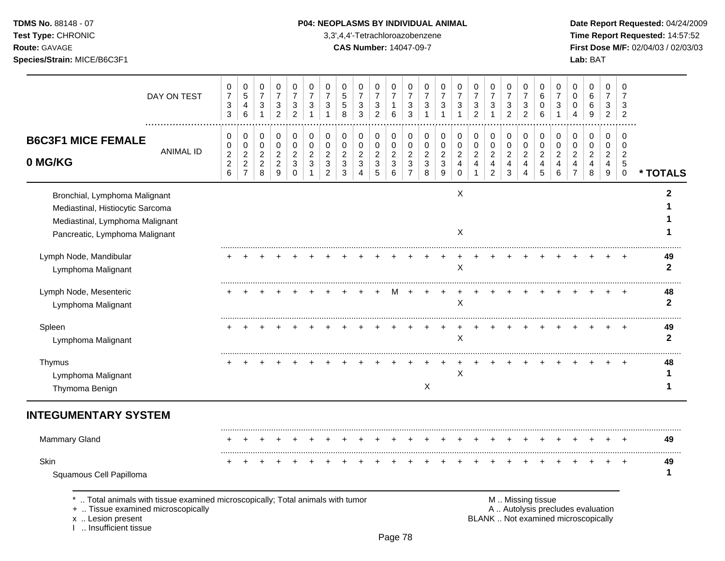### **TDMS No.** 88148 - 07 **P04: NEOPLASMS BY INDIVIDUAL ANIMAL** Date Report Requested: 04/24/2009

**Test Type:** CHRONIC 3,3',4,4'-Tetrachloroazobenzene **Time Report Requested:** 14:57:52 **Route:** GAVAGE **CAS Number:** 14047-09-7 **First Dose M/F:** 02/04/03 / 02/03/03

| 0<br>$\boldsymbol{7}$<br>$\ensuremath{\mathsf{3}}$<br>3     | 0<br>5<br>4<br>6                                     | 0<br>$\overline{7}$<br>$\ensuremath{\mathsf{3}}$<br>$\mathbf{1}$ | 0<br>$\overline{7}$<br>$\sqrt{3}$<br>$\overline{c}$       | 0<br>$\overline{7}$<br>3<br>$\overline{c}$           | 0<br>$\overline{7}$<br>$\mathbf{3}$<br>$\overline{1}$ | 0<br>$\overline{7}$<br>3<br>$\overline{1}$                | 0<br>5<br>5<br>8                             | 0<br>$\overline{7}$<br>3<br>3                                          | 0<br>$\overline{7}$<br>$\sqrt{3}$<br>$\overline{2}$ | 0<br>$\overline{7}$<br>1<br>6                  | 0<br>$\overline{7}$<br>3<br>3                             | 0<br>$\overline{7}$<br>3<br>$\overline{1}$                             | 0<br>$\overline{7}$<br>3<br>$\mathbf{1}$ | 0<br>$\overline{7}$<br>3                                            | 0<br>$\overline{7}$<br>$\mathbf{3}$<br>$\overline{2}$     | 0<br>$\overline{7}$<br>$\sqrt{3}$<br>$\mathbf{1}$       | 0<br>$\overline{7}$<br>3<br>$\overline{2}$                     | 0<br>7<br>3<br>$\overline{2}$                                | 0<br>6<br>0<br>6                                  | 0<br>$\overline{7}$<br>3<br>$\overline{1}$   | 0<br>0<br>0<br>$\overline{4}$                                        | 0<br>$\,6\,$<br>6<br>9                       | 0<br>$\overline{7}$<br>3<br>$\overline{2}$     | 0<br>$\overline{7}$<br>3<br>2                                 |                    |
|-------------------------------------------------------------|------------------------------------------------------|------------------------------------------------------------------|-----------------------------------------------------------|------------------------------------------------------|-------------------------------------------------------|-----------------------------------------------------------|----------------------------------------------|------------------------------------------------------------------------|-----------------------------------------------------|------------------------------------------------|-----------------------------------------------------------|------------------------------------------------------------------------|------------------------------------------|---------------------------------------------------------------------|-----------------------------------------------------------|---------------------------------------------------------|----------------------------------------------------------------|--------------------------------------------------------------|---------------------------------------------------|----------------------------------------------|----------------------------------------------------------------------|----------------------------------------------|------------------------------------------------|---------------------------------------------------------------|--------------------|
| 0<br>0<br>$\boldsymbol{2}$<br>$\sqrt{2}$<br>$6\phantom{1}6$ | 0<br>0<br>$\sqrt{2}$<br>$\sqrt{2}$<br>$\overline{7}$ | 0<br>$\pmb{0}$<br>$\overline{c}$<br>$\overline{c}$<br>8          | 0<br>$\mathbf 0$<br>$\overline{c}$<br>$\overline{c}$<br>9 | 0<br>$\pmb{0}$<br>$\overline{c}$<br>3<br>$\mathbf 0$ | 0<br>$\mathbf 0$<br>$\sqrt{2}$<br>3<br>$\mathbf 1$    | 0<br>$\mathbf 0$<br>$\overline{c}$<br>3<br>$\overline{2}$ | 0<br>$\mathbf 0$<br>$\overline{c}$<br>3<br>3 | 0<br>$\mathbf 0$<br>$\boldsymbol{2}$<br>$\ensuremath{\mathsf{3}}$<br>4 | 0<br>$\pmb{0}$<br>$\overline{c}$<br>$\sqrt{3}$<br>5 | 0<br>$\mathbf 0$<br>$\boldsymbol{2}$<br>3<br>6 | 0<br>$\pmb{0}$<br>$\boldsymbol{2}$<br>3<br>$\overline{7}$ | 0<br>$\mathbf 0$<br>$\boldsymbol{2}$<br>$\ensuremath{\mathsf{3}}$<br>8 | 0<br>$\mathbf 0$<br>$\sqrt{2}$<br>3<br>9 | 0<br>$\pmb{0}$<br>$\boldsymbol{2}$<br>$\overline{4}$<br>$\mathbf 0$ | 0<br>$\mathbf 0$<br>$\boldsymbol{2}$<br>4<br>$\mathbf{1}$ | 0<br>$\pmb{0}$<br>$\overline{c}$<br>4<br>$\overline{2}$ | 0<br>$\pmb{0}$<br>$\sqrt{2}$<br>$\overline{4}$<br>$\mathbf{3}$ | 0<br>0<br>$\overline{c}$<br>$\overline{4}$<br>$\overline{4}$ | 0<br>$\mathbf 0$<br>$\sqrt{2}$<br>4<br>$\sqrt{5}$ | 0<br>$\mathbf 0$<br>$\overline{2}$<br>4<br>6 | 0<br>$\pmb{0}$<br>$\overline{c}$<br>$\overline{4}$<br>$\overline{7}$ | 0<br>$\mathbf 0$<br>$\overline{c}$<br>4<br>8 | 0<br>$\mathbf 0$<br>$\boldsymbol{2}$<br>4<br>9 | 0<br>$\mathbf 0$<br>$\overline{c}$<br>$\sqrt{5}$<br>$\pmb{0}$ | * TOTALS           |
|                                                             |                                                      |                                                                  |                                                           |                                                      |                                                       |                                                           |                                              |                                                                        |                                                     |                                                |                                                           |                                                                        |                                          | X<br>X                                                              |                                                           |                                                         |                                                                |                                                              |                                                   |                                              |                                                                      |                                              |                                                |                                                               |                    |
|                                                             |                                                      |                                                                  |                                                           |                                                      |                                                       |                                                           |                                              |                                                                        |                                                     |                                                |                                                           |                                                                        |                                          | X                                                                   |                                                           |                                                         |                                                                |                                                              |                                                   |                                              |                                                                      |                                              |                                                |                                                               | 49<br>$\mathbf{2}$ |
|                                                             |                                                      |                                                                  |                                                           |                                                      |                                                       |                                                           |                                              |                                                                        |                                                     | м                                              |                                                           |                                                                        |                                          | $\mathsf X$                                                         |                                                           |                                                         |                                                                |                                                              |                                                   |                                              |                                                                      |                                              |                                                | $\overline{1}$                                                | 48<br>$\mathbf{2}$ |
|                                                             |                                                      |                                                                  |                                                           |                                                      |                                                       |                                                           |                                              |                                                                        |                                                     |                                                |                                                           |                                                                        |                                          | X                                                                   |                                                           |                                                         |                                                                |                                                              |                                                   |                                              |                                                                      |                                              |                                                | $\overline{ }$                                                | 49<br>$\mathbf{2}$ |
|                                                             |                                                      |                                                                  |                                                           |                                                      |                                                       |                                                           |                                              |                                                                        |                                                     |                                                |                                                           | $\boldsymbol{\mathsf{X}}$                                              |                                          | $\mathsf{X}$                                                        |                                                           |                                                         |                                                                |                                                              |                                                   |                                              |                                                                      |                                              |                                                |                                                               | 48<br>1            |
|                                                             |                                                      |                                                                  |                                                           |                                                      |                                                       |                                                           |                                              |                                                                        |                                                     |                                                |                                                           |                                                                        |                                          |                                                                     |                                                           |                                                         |                                                                |                                                              |                                                   |                                              |                                                                      |                                              |                                                |                                                               |                    |
|                                                             |                                                      |                                                                  |                                                           |                                                      |                                                       |                                                           |                                              |                                                                        |                                                     |                                                |                                                           |                                                                        |                                          |                                                                     |                                                           |                                                         |                                                                |                                                              |                                                   |                                              |                                                                      |                                              |                                                |                                                               | 49                 |
|                                                             |                                                      |                                                                  |                                                           |                                                      |                                                       |                                                           |                                              |                                                                        |                                                     |                                                |                                                           |                                                                        |                                          |                                                                     |                                                           |                                                         |                                                                |                                                              |                                                   |                                              |                                                                      |                                              |                                                |                                                               | 49<br>1            |
|                                                             |                                                      |                                                                  |                                                           |                                                      |                                                       |                                                           |                                              |                                                                        |                                                     |                                                |                                                           |                                                                        |                                          |                                                                     |                                                           |                                                         |                                                                |                                                              |                                                   |                                              |                                                                      |                                              |                                                |                                                               |                    |

.. Total animals with tissue examined microscopically; Total animals with tumor **Machinal and M .. Missing tissue**<br>A .. Autolysis precludes evaluation .. And Microscopically

+ .. Tissue examined microscopically<br>x .. Lesion present

I .. Insufficient tissue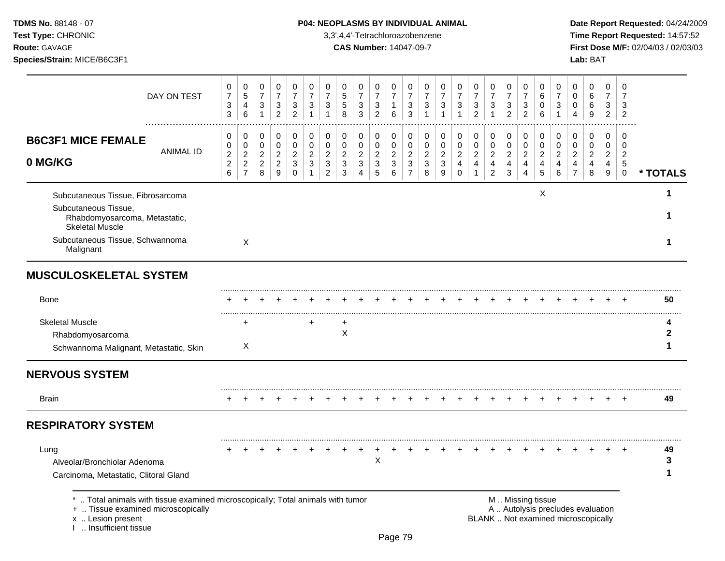Test Type: CHRONIC **3,3',4,4'-Tetrachloroazobenzene** 3,3',4,4'-Tetrachloroazobenzene **Time Report Requested:** 14:57:52 **Route:** GAVAGE **CAS Number:** 14047-09-7 **First Dose M/F:** 02/04/03 / 02/03/03 **Species/Strain:** MICE/B6C3F1 **Lab:** BAT

| DAY ON TEST                                                                                                                                                          | 0<br>$\boldsymbol{7}$<br>3<br>3                 | 0<br>5<br>$\overline{\mathbf{4}}$<br>$\,6$                                   | 0<br>$\overline{7}$<br>$\ensuremath{\mathsf{3}}$<br>$\mathbf{1}$ | 0<br>$\boldsymbol{7}$<br>$\ensuremath{\mathsf{3}}$<br>$\overline{2}$ | 0<br>$\overline{7}$<br>$\ensuremath{\mathsf{3}}$<br>$\overline{c}$ | 0<br>$\overline{7}$<br>3<br>$\mathbf{1}$                | 0<br>$\overline{7}$<br>$\ensuremath{\mathsf{3}}$<br>$\mathbf{1}$     | 0<br>$\sqrt{5}$<br>$\sqrt{5}$<br>8                                | 0<br>$\overline{7}$<br>$\ensuremath{\mathsf{3}}$<br>3 | 0<br>$\boldsymbol{7}$<br>$\ensuremath{\mathsf{3}}$<br>$\overline{2}$ | 0<br>$\overline{7}$<br>$\mathbf{1}$<br>6      | 0<br>$\overline{\mathbf{7}}$<br>3<br>3                                  | $\mathbf 0$<br>$\overline{7}$<br>3<br>$\overline{1}$                 | 0<br>$\overline{7}$<br>3<br>1                           | 0<br>$\overline{7}$<br>$\sqrt{3}$<br>1                            | 0<br>$\overline{7}$<br>$\ensuremath{\mathsf{3}}$<br>$\overline{c}$   | 0<br>$\boldsymbol{7}$<br>$\ensuremath{\mathsf{3}}$<br>$\mathbf{1}$     | 0<br>$\overline{7}$<br>3<br>$\overline{c}$                         | 0<br>$\overline{7}$<br>3<br>$\overline{2}$                | 0<br>6<br>0<br>6                   | 0<br>$\overline{7}$<br>3<br>1                                       | 0<br>0<br>0<br>4                                                         | 0<br>6<br>$\,6\,$<br>9             | $\mathbf 0$<br>$\overline{7}$<br>3<br>$\overline{2}$                               | 0<br>$\overline{7}$<br>3<br>$\overline{2}$               |              |
|----------------------------------------------------------------------------------------------------------------------------------------------------------------------|-------------------------------------------------|------------------------------------------------------------------------------|------------------------------------------------------------------|----------------------------------------------------------------------|--------------------------------------------------------------------|---------------------------------------------------------|----------------------------------------------------------------------|-------------------------------------------------------------------|-------------------------------------------------------|----------------------------------------------------------------------|-----------------------------------------------|-------------------------------------------------------------------------|----------------------------------------------------------------------|---------------------------------------------------------|-------------------------------------------------------------------|----------------------------------------------------------------------|------------------------------------------------------------------------|--------------------------------------------------------------------|-----------------------------------------------------------|------------------------------------|---------------------------------------------------------------------|--------------------------------------------------------------------------|------------------------------------|------------------------------------------------------------------------------------|----------------------------------------------------------|--------------|
| <b>B6C3F1 MICE FEMALE</b><br><b>ANIMAL ID</b><br>0 MG/KG                                                                                                             | 0<br>0<br>$\overline{c}$<br>$\overline{a}$<br>6 | $\pmb{0}$<br>$\pmb{0}$<br>$\overline{c}$<br>$\overline{2}$<br>$\overline{7}$ | 0<br>0<br>$\overline{2}$<br>$\overline{2}$<br>8                  | 0<br>0<br>$\overline{c}$<br>$\overline{2}$<br>9                      | 0<br>$\mathbf 0$<br>$\overline{2}$<br>$\sqrt{3}$<br>0              | 0<br>$\mathbf 0$<br>$\overline{c}$<br>$\mathbf{3}$<br>1 | 0<br>$\mathbf 0$<br>$\overline{2}$<br>$\mathbf{3}$<br>$\overline{2}$ | $\mathbf 0$<br>$\mathbf 0$<br>$\boldsymbol{2}$<br>$\sqrt{3}$<br>3 | 0<br>0<br>$\overline{2}$<br>3<br>$\overline{4}$       | 0<br>0<br>$\overline{2}$<br>$\ensuremath{\mathsf{3}}$<br>$\,$ 5 $\,$ | 0<br>0<br>$\overline{2}$<br>$\mathbf{3}$<br>6 | 0<br>0<br>$\overline{2}$<br>$\ensuremath{\mathsf{3}}$<br>$\overline{7}$ | 0<br>$\mathbf 0$<br>$\overline{2}$<br>$\ensuremath{\mathsf{3}}$<br>8 | 0<br>$\mathbf 0$<br>$\overline{a}$<br>$\mathbf{3}$<br>9 | 0<br>$\mathsf 0$<br>$\overline{c}$<br>$\overline{4}$<br>$\pmb{0}$ | 0<br>$\mathbf 0$<br>$\overline{2}$<br>$\overline{4}$<br>$\mathbf{1}$ | 0<br>$\mathbf 0$<br>$\overline{c}$<br>$\overline{4}$<br>$\overline{2}$ | 0<br>$\pmb{0}$<br>$\boldsymbol{2}$<br>$\overline{4}$<br>$\sqrt{3}$ | 0<br>$\mathbf 0$<br>$\overline{c}$<br>4<br>$\overline{4}$ | 0<br>0<br>$\overline{c}$<br>4<br>5 | $\mathbf 0$<br>$\mathbf 0$<br>$\overline{c}$<br>$\overline{4}$<br>6 | 0<br>$\mathbf 0$<br>$\overline{2}$<br>$\overline{4}$<br>$\overline{7}$   | 0<br>0<br>$\overline{a}$<br>4<br>8 | $\mathbf 0$<br>$\mathbf 0$<br>$\overline{2}$<br>$\overline{4}$<br>$\boldsymbol{9}$ | $\Omega$<br>$\Omega$<br>$\overline{2}$<br>5<br>$\pmb{0}$ | * TOTALS     |
| Subcutaneous Tissue, Fibrosarcoma                                                                                                                                    |                                                 |                                                                              |                                                                  |                                                                      |                                                                    |                                                         |                                                                      |                                                                   |                                                       |                                                                      |                                               |                                                                         |                                                                      |                                                         |                                                                   |                                                                      |                                                                        |                                                                    |                                                           | $\mathsf X$                        |                                                                     |                                                                          |                                    |                                                                                    |                                                          | 1            |
| Subcutaneous Tissue,<br>Rhabdomyosarcoma, Metastatic,<br><b>Skeletal Muscle</b>                                                                                      |                                                 |                                                                              |                                                                  |                                                                      |                                                                    |                                                         |                                                                      |                                                                   |                                                       |                                                                      |                                               |                                                                         |                                                                      |                                                         |                                                                   |                                                                      |                                                                        |                                                                    |                                                           |                                    |                                                                     |                                                                          |                                    |                                                                                    |                                                          | 1            |
| Subcutaneous Tissue, Schwannoma<br>Malignant                                                                                                                         |                                                 | X                                                                            |                                                                  |                                                                      |                                                                    |                                                         |                                                                      |                                                                   |                                                       |                                                                      |                                               |                                                                         |                                                                      |                                                         |                                                                   |                                                                      |                                                                        |                                                                    |                                                           |                                    |                                                                     |                                                                          |                                    |                                                                                    |                                                          | 1            |
| <b>MUSCULOSKELETAL SYSTEM</b>                                                                                                                                        |                                                 |                                                                              |                                                                  |                                                                      |                                                                    |                                                         |                                                                      |                                                                   |                                                       |                                                                      |                                               |                                                                         |                                                                      |                                                         |                                                                   |                                                                      |                                                                        |                                                                    |                                                           |                                    |                                                                     |                                                                          |                                    |                                                                                    |                                                          |              |
| Bone                                                                                                                                                                 |                                                 |                                                                              |                                                                  |                                                                      |                                                                    |                                                         |                                                                      |                                                                   |                                                       |                                                                      |                                               |                                                                         |                                                                      |                                                         |                                                                   |                                                                      |                                                                        |                                                                    |                                                           |                                    |                                                                     |                                                                          |                                    |                                                                                    |                                                          | 50           |
| <b>Skeletal Muscle</b><br>Rhabdomyosarcoma                                                                                                                           |                                                 | +<br>Χ                                                                       |                                                                  |                                                                      |                                                                    | ÷                                                       |                                                                      | ÷<br>X                                                            |                                                       |                                                                      |                                               |                                                                         |                                                                      |                                                         |                                                                   |                                                                      |                                                                        |                                                                    |                                                           |                                    |                                                                     |                                                                          |                                    |                                                                                    |                                                          | 2<br>1       |
| Schwannoma Malignant, Metastatic, Skin                                                                                                                               |                                                 |                                                                              |                                                                  |                                                                      |                                                                    |                                                         |                                                                      |                                                                   |                                                       |                                                                      |                                               |                                                                         |                                                                      |                                                         |                                                                   |                                                                      |                                                                        |                                                                    |                                                           |                                    |                                                                     |                                                                          |                                    |                                                                                    |                                                          |              |
| <b>NERVOUS SYSTEM</b>                                                                                                                                                |                                                 |                                                                              |                                                                  |                                                                      |                                                                    |                                                         |                                                                      |                                                                   |                                                       |                                                                      |                                               |                                                                         |                                                                      |                                                         |                                                                   |                                                                      |                                                                        |                                                                    |                                                           |                                    |                                                                     |                                                                          |                                    |                                                                                    |                                                          |              |
| <b>Brain</b>                                                                                                                                                         |                                                 |                                                                              |                                                                  |                                                                      |                                                                    |                                                         |                                                                      |                                                                   |                                                       |                                                                      |                                               |                                                                         |                                                                      |                                                         |                                                                   |                                                                      |                                                                        |                                                                    |                                                           |                                    |                                                                     |                                                                          |                                    |                                                                                    |                                                          | 49           |
| <b>RESPIRATORY SYSTEM</b>                                                                                                                                            |                                                 |                                                                              |                                                                  |                                                                      |                                                                    |                                                         |                                                                      |                                                                   |                                                       |                                                                      |                                               |                                                                         |                                                                      |                                                         |                                                                   |                                                                      |                                                                        |                                                                    |                                                           |                                    |                                                                     |                                                                          |                                    |                                                                                    |                                                          |              |
| Lung<br>Alveolar/Bronchiolar Adenoma<br>Carcinoma, Metastatic, Clitoral Gland                                                                                        |                                                 |                                                                              |                                                                  |                                                                      |                                                                    |                                                         |                                                                      |                                                                   |                                                       | $\boldsymbol{\mathsf{X}}$                                            |                                               |                                                                         |                                                                      |                                                         |                                                                   |                                                                      |                                                                        |                                                                    |                                                           |                                    |                                                                     |                                                                          |                                    |                                                                                    | $\div$                                                   | 49<br>3<br>1 |
| *  Total animals with tissue examined microscopically; Total animals with tumor<br>+  Tissue examined microscopically<br>x  Lesion present<br>I  Insufficient tissue |                                                 |                                                                              |                                                                  |                                                                      |                                                                    |                                                         |                                                                      |                                                                   |                                                       |                                                                      |                                               |                                                                         |                                                                      |                                                         |                                                                   |                                                                      |                                                                        |                                                                    | M  Missing tissue                                         |                                    |                                                                     | A  Autolysis precludes evaluation<br>BLANK  Not examined microscopically |                                    |                                                                                    |                                                          |              |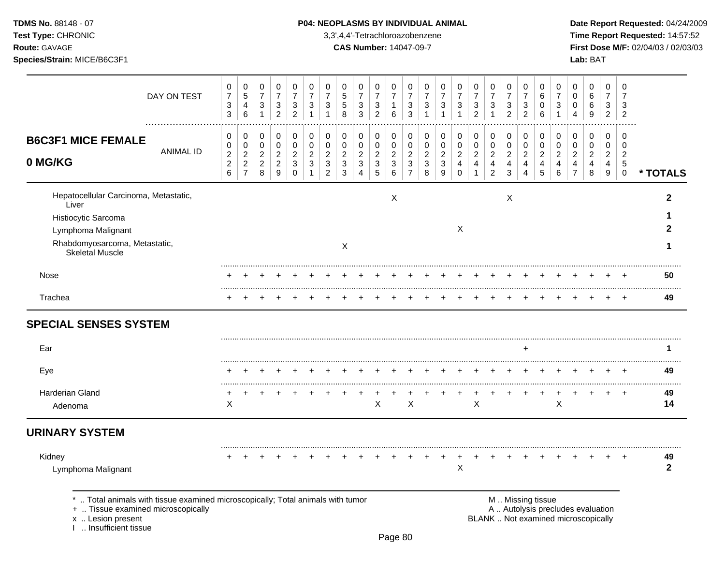**Test Type:** CHRONIC 3,3',4,4'-Tetrachloroazobenzene **Time Report Requested:** 14:57:52 **Route:** GAVAGE **CAS Number:** 14047-09-7 **First Dose M/F:** 02/04/03 / 02/03/03 **Species/Strain:** MICE/B6C3F1 **Lab:** BAT

|                                                                                 |                  | 0                                            | $\mathbf 0$                                    | $\pmb{0}$                               | 0                                     | 0                                     | 0                     | 0                                              | 0                                                                    | 0                               | 0                                               | 0                                            | 0                                                  | 0                                       | 0                                       | 0                                   | $\mathbf 0$                                  | 0                                       | 0                          | $\mathbf 0$              | 0                                     | 0                                   | 0                                     | 0                                      | 0                                       | 0                                         |                    |
|---------------------------------------------------------------------------------|------------------|----------------------------------------------|------------------------------------------------|-----------------------------------------|---------------------------------------|---------------------------------------|-----------------------|------------------------------------------------|----------------------------------------------------------------------|---------------------------------|-------------------------------------------------|----------------------------------------------|----------------------------------------------------|-----------------------------------------|-----------------------------------------|-------------------------------------|----------------------------------------------|-----------------------------------------|----------------------------|--------------------------|---------------------------------------|-------------------------------------|---------------------------------------|----------------------------------------|-----------------------------------------|-------------------------------------------|--------------------|
|                                                                                 | DAY ON TEST      | $\boldsymbol{7}$<br>$\sqrt{3}$<br>$\sqrt{3}$ | $\sqrt{5}$<br>4<br>$\,6\,$                     | $\overline{7}$<br>3<br>$\mathbf{1}$     | $\overline{7}$<br>3<br>$\overline{c}$ | $\overline{7}$<br>3<br>$\overline{c}$ | $\overline{7}$<br>3   | $\overline{7}$<br>3                            | $\,$ 5 $\,$<br>$\mathbf 5$<br>8                                      | $\boldsymbol{7}$<br>3<br>3      | $\overline{\mathcal{I}}$<br>3<br>$\overline{c}$ | $\overline{7}$<br>-1<br>6                    | $\overline{7}$<br>3<br>3                           | $\overline{7}$<br>3                     | $\overline{7}$<br>3                     | $\overline{7}$<br>3<br>$\mathbf{1}$ | $\overline{7}$<br>3<br>$\overline{c}$        | $\overline{7}$<br>3                     | $\overline{7}$<br>3<br>2   | 7<br>3<br>$\overline{2}$ | 6<br>0<br>6                           | $\overline{7}$<br>3<br>$\mathbf{1}$ | 0<br>0<br>4                           | 6<br>6<br>9                            | 7<br>3<br>$\overline{2}$                | 7<br>3<br>$\overline{2}$                  |                    |
| <b>B6C3F1 MICE FEMALE</b>                                                       | <b>ANIMAL ID</b> | 0<br>0                                       | 0<br>$\pmb{0}$                                 | 0<br>$\mathbf 0$                        | 0<br>$\mathbf 0$                      | 0<br>0                                | 0<br>$\mathbf 0$      | 0<br>0                                         | 0<br>$\pmb{0}$                                                       | 0<br>0                          | 0<br>$\mathbf 0$                                | 0<br>0                                       | 0<br>0                                             | 0<br>$\mathbf 0$                        | 0<br>$\pmb{0}$                          | 0<br>$\pmb{0}$                      | 0<br>$\mathbf 0$                             | 0<br>$\mathbf 0$                        | 0<br>0                     | 0<br>0                   | 0<br>$\mathbf 0$                      | 0<br>0                              | 0<br>0                                | 0<br>$\mathbf 0$                       | $\mathbf 0$<br>0                        | $\mathbf 0$<br>$\mathbf 0$                |                    |
| 0 MG/KG                                                                         |                  | $\boldsymbol{2}$<br>$\frac{2}{6}$            | $\sqrt{2}$<br>$\overline{2}$<br>$\overline{7}$ | $\boldsymbol{2}$<br>$\overline{c}$<br>8 | $\overline{c}$<br>2<br>9              | $\overline{c}$<br>3<br>$\Omega$       | $\boldsymbol{2}$<br>3 | $\overline{\mathbf{c}}$<br>3<br>$\overline{c}$ | $\overline{\mathbf{c}}$<br>$\ensuremath{\mathsf{3}}$<br>$\mathbf{3}$ | $\sqrt{2}$<br>$\mathbf{3}$<br>4 | $\overline{\mathbf{c}}$<br>3<br>5               | $\sqrt{2}$<br>$\ensuremath{\mathsf{3}}$<br>6 | $\boldsymbol{2}$<br>$\mathbf{3}$<br>$\overline{7}$ | $\overline{c}$<br>$\sqrt{3}$<br>$\,8\,$ | $\overline{c}$<br>$\mathbf{3}$<br>$9\,$ | $\overline{c}$<br>4<br>$\pmb{0}$    | $\sqrt{2}$<br>$\overline{4}$<br>$\mathbf{1}$ | $\overline{c}$<br>4<br>$\boldsymbol{2}$ | $\boldsymbol{2}$<br>4<br>3 | $\overline{c}$<br>4      | $\overline{c}$<br>$\overline{4}$<br>5 | $\overline{c}$<br>4<br>$\,6\,$      | $\overline{c}$<br>4<br>$\overline{7}$ | $\sqrt{2}$<br>$\overline{4}$<br>$\bf8$ | $\overline{a}$<br>4<br>$\boldsymbol{9}$ | $\overline{c}$<br>$\sqrt{5}$<br>$\pmb{0}$ | * TOTALS           |
| Hepatocellular Carcinoma, Metastatic,<br>Liver                                  |                  |                                              |                                                |                                         |                                       |                                       |                       |                                                |                                                                      |                                 |                                                 | $\boldsymbol{\mathsf{X}}$                    |                                                    |                                         |                                         |                                     |                                              |                                         | $\boldsymbol{\mathsf{X}}$  |                          |                                       |                                     |                                       |                                        |                                         |                                           | $\mathbf{2}$       |
| Histiocytic Sarcoma<br>Lymphoma Malignant                                       |                  |                                              |                                                |                                         |                                       |                                       |                       |                                                |                                                                      |                                 |                                                 |                                              |                                                    |                                         |                                         | X                                   |                                              |                                         |                            |                          |                                       |                                     |                                       |                                        |                                         |                                           |                    |
| Rhabdomyosarcoma, Metastatic,<br><b>Skeletal Muscle</b>                         |                  |                                              |                                                |                                         |                                       |                                       |                       |                                                | X                                                                    |                                 |                                                 |                                              |                                                    |                                         |                                         |                                     |                                              |                                         |                            |                          |                                       |                                     |                                       |                                        |                                         |                                           | 7                  |
| Nose                                                                            |                  |                                              |                                                |                                         |                                       |                                       |                       |                                                |                                                                      |                                 |                                                 |                                              |                                                    |                                         |                                         |                                     |                                              |                                         |                            |                          |                                       |                                     |                                       |                                        |                                         |                                           | 50                 |
| Trachea                                                                         |                  |                                              |                                                |                                         |                                       |                                       |                       |                                                |                                                                      |                                 |                                                 |                                              |                                                    |                                         |                                         |                                     |                                              |                                         |                            |                          |                                       |                                     |                                       |                                        |                                         |                                           | <br>49             |
| <b>SPECIAL SENSES SYSTEM</b>                                                    |                  |                                              |                                                |                                         |                                       |                                       |                       |                                                |                                                                      |                                 |                                                 |                                              |                                                    |                                         |                                         |                                     |                                              |                                         |                            |                          |                                       |                                     |                                       |                                        |                                         |                                           |                    |
| Ear                                                                             |                  |                                              |                                                |                                         |                                       |                                       |                       |                                                |                                                                      |                                 |                                                 |                                              |                                                    |                                         |                                         |                                     |                                              |                                         |                            | $\ddot{}$                |                                       |                                     |                                       |                                        |                                         |                                           | 1                  |
| Eye                                                                             |                  |                                              |                                                |                                         |                                       |                                       |                       |                                                |                                                                      |                                 |                                                 |                                              |                                                    |                                         |                                         |                                     |                                              |                                         |                            |                          |                                       |                                     |                                       |                                        |                                         | $\div$                                    | 49                 |
| <b>Harderian Gland</b><br>Adenoma                                               |                  | X                                            |                                                |                                         |                                       |                                       |                       |                                                |                                                                      |                                 | X                                               |                                              | X                                                  |                                         |                                         |                                     | X                                            |                                         |                            |                          |                                       | Χ                                   |                                       |                                        |                                         | $\ddot{}$                                 | 49<br>14           |
| <b>URINARY SYSTEM</b>                                                           |                  |                                              |                                                |                                         |                                       |                                       |                       |                                                |                                                                      |                                 |                                                 |                                              |                                                    |                                         |                                         |                                     |                                              |                                         |                            |                          |                                       |                                     |                                       |                                        |                                         |                                           |                    |
| Kidney<br>Lymphoma Malignant                                                    |                  |                                              |                                                |                                         |                                       |                                       |                       |                                                |                                                                      |                                 |                                                 |                                              |                                                    |                                         |                                         | ٠<br>Χ                              |                                              |                                         |                            |                          |                                       |                                     |                                       |                                        |                                         |                                           | 49<br>$\mathbf{2}$ |
| *  Total animals with tissue examined microscopically; Total animals with tumor |                  |                                              |                                                |                                         |                                       |                                       |                       |                                                |                                                                      |                                 |                                                 |                                              |                                                    |                                         |                                         |                                     |                                              |                                         | M  Missing tissue          |                          |                                       |                                     |                                       |                                        |                                         |                                           |                    |

x .. Lesion present<br>I .. Insufficient tissue

+ .. Tissue examined microscopically and the state of the state of the state of the A .. Autolysis precludes evaluation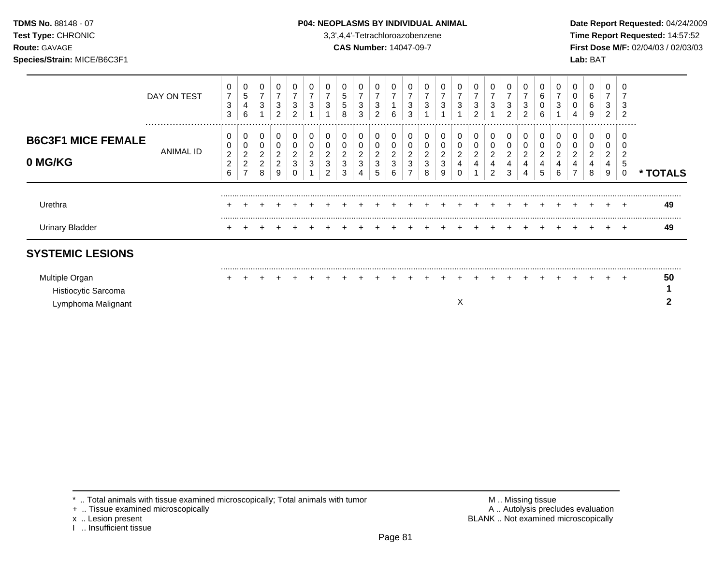### **TDMS No.** 88148 - 07 **P04: NEOPLASMS BY INDIVIDUAL ANIMAL** Date Report Requested: 04/24/2009

**Test Type:** CHRONIC 3,3',4,4'-Tetrachloroazobenzene **Time Report Requested:** 14:57:52 **Route:** GAVAGE **CAS Number:** 14047-09-7 **First Dose M/F:** 02/04/03 / 02/03/03

|                                                             | DAY ON TEST   | 0<br>3<br>3                                 | 0<br>5<br>4<br>6                                | 0<br>$\overline{7}$<br>3                               | $\overline{ }$<br>3<br>$\overline{2}$           | 0<br>3<br>2 |        | 3           | 0<br>5<br>5<br>8              | 0<br>$\overline{7}$<br>3<br>3          | 3<br>2                            | 6                                      | 0<br>3<br>3      | 3           | 3                                      | 0<br>3      | 0<br>$\overline{7}$<br>3<br>$\overline{2}$ | 7<br>3                        | ⇁<br>3<br>$\overline{2}$ | 0<br>3<br>2 | 6 | 0<br>3           | 0<br>0<br>0<br>4 | 0<br>6<br>6<br>9              | 0<br>$\overline{\phantom{a}}$<br>3<br>2 | $\Omega$<br>3<br>-2 |               |
|-------------------------------------------------------------|---------------|---------------------------------------------|-------------------------------------------------|--------------------------------------------------------|-------------------------------------------------|-------------|--------|-------------|-------------------------------|----------------------------------------|-----------------------------------|----------------------------------------|------------------|-------------|----------------------------------------|-------------|--------------------------------------------|-------------------------------|--------------------------|-------------|---|------------------|------------------|-------------------------------|-----------------------------------------|---------------------|---------------|
| <b>B6C3F1 MICE FEMALE</b><br>0 MG/KG                        | <br>ANIMAL ID | 0<br>0<br>$\sqrt{2}$<br>$\overline{c}$<br>6 | 0<br>0<br>2<br>$\overline{c}$<br>$\overline{ }$ | $\mathbf 0$<br>$\overline{c}$<br>$\boldsymbol{2}$<br>8 | 0<br>0<br>$\overline{c}$<br>$\overline{c}$<br>9 | 0<br>3      | 2<br>3 | 0<br>3<br>ົ | 0<br>$\overline{c}$<br>3<br>3 | 0<br>0<br>$\overline{\mathbf{c}}$<br>3 | 0<br>$\overline{\mathbf{c}}$<br>3 | 0<br>$\overline{\mathbf{c}}$<br>3<br>6 | 0<br>0<br>2<br>3 | 2<br>3<br>8 | 0<br>$\overline{\mathbf{c}}$<br>3<br>9 | 0<br>2<br>4 | 0<br>$\overline{c}$<br>4                   | 0<br>$\overline{c}$<br>4<br>ົ | 0<br>2<br>4<br>3         | 0<br>0<br>2 |   | 0<br>2<br>4<br>6 | 0<br>2<br>4      | 0<br>$\overline{c}$<br>4<br>8 | 0<br>0<br>$\overline{2}$<br>4<br>9      | .<br>5<br>0         | <b>TOTALS</b> |
| Urethra                                                     |               |                                             |                                                 |                                                        |                                                 |             |        |             |                               |                                        |                                   |                                        |                  |             |                                        |             |                                            |                               |                          |             |   |                  |                  |                               |                                         |                     | 49            |
| <b>Urinary Bladder</b>                                      |               |                                             |                                                 |                                                        |                                                 |             |        |             |                               |                                        |                                   |                                        |                  |             |                                        |             |                                            |                               |                          |             |   |                  |                  |                               |                                         |                     | 49            |
| <b>SYSTEMIC LESIONS</b>                                     |               |                                             |                                                 |                                                        |                                                 |             |        |             |                               |                                        |                                   |                                        |                  |             |                                        |             |                                            |                               |                          |             |   |                  |                  |                               |                                         |                     |               |
| Multiple Organ<br>Histiocytic Sarcoma<br>Lymphoma Malignant |               |                                             |                                                 |                                                        |                                                 |             |        |             |                               |                                        |                                   |                                        |                  |             |                                        | X           |                                            |                               |                          |             |   |                  |                  |                               |                                         |                     | 50<br>◠       |

\* .. Total animals with tissue examined microscopically; Total animals with tumor <br>
+ .. Tissue examined microscopically<br>
+ .. Tissue examined microscopically

+ .. Tissue examined microscopically

x .. Lesion present<br>I .. Insufficient tissue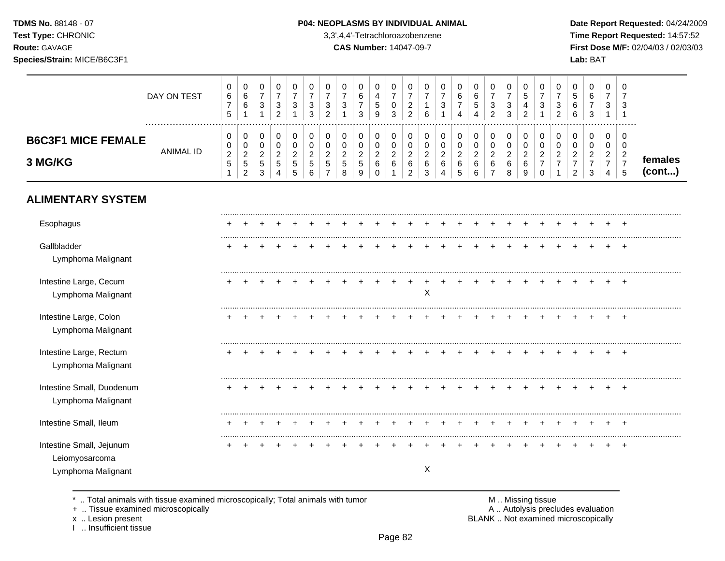**Test Type:** CHRONIC 3,3',4,4'-Tetrachloroazobenzene **Time Report Requested:** 14:57:52 **Route:** GAVAGE **CAS Number:** 14047-09-7 **First Dose M/F:** 02/04/03 / 02/03/03 **Species/Strain:** MICE/B6C3F1 **Lab:** BAT

|                                                                  | DAY ON TEST<br>. | 0<br>$\,6$<br>$\overline{7}$<br>5                  | 0<br>$\,6\,$<br>$\,6\,$<br>-1                                          | 0<br>$\overline{7}$<br>3<br>$\mathbf{1}$                         | 0<br>$\overline{7}$<br>$\sqrt{3}$<br>$\overline{2}$ | 0<br>$\overline{7}$<br>3<br>$\mathbf{1}$       | 0<br>$\overline{7}$<br>$\sqrt{3}$<br>3       | 0<br>$\overline{7}$<br>3<br>$\overline{2}$          | 0<br>$\overline{7}$<br>3                                      | 0<br>6<br>$\overline{7}$<br>3                           | 0<br>$\overline{4}$<br>$\,$ 5 $\,$<br>9                        | 0<br>$\boldsymbol{7}$<br>0<br>3          | 0<br>$\overline{7}$<br>$\sqrt{2}$<br>$\overline{c}$     | 0<br>$\overline{7}$<br>$\overline{1}$<br>6 | 0<br>$\overline{7}$<br>3<br>-1               | 0<br>$\,6\,$<br>$\overline{7}$<br>4                          | 0<br>$\,6$<br>$\mathbf 5$<br>4                             | 0<br>$\overline{7}$<br>$\ensuremath{\mathsf{3}}$<br>$\overline{2}$  | $\mathbf 0$<br>$\overline{7}$<br>3<br>$\sqrt{3}$ | 0<br>$\sqrt{5}$<br>4<br>$\overline{c}$                                  | 0<br>$\overline{7}$<br>3<br>$\mathbf{1}$                              | 0<br>$\overline{7}$<br>3<br>$\overline{2}$         | 0<br>$\overline{5}$<br>6<br>6                                  | 0<br>6<br>$\overline{7}$<br>3                           | 0<br>$\overline{7}$<br>3<br>$\mathbf{1}$                                         | 0<br>$\overline{7}$<br>3<br>$\overline{\mathbf{1}}$   |                   |
|------------------------------------------------------------------|------------------|----------------------------------------------------|------------------------------------------------------------------------|------------------------------------------------------------------|-----------------------------------------------------|------------------------------------------------|----------------------------------------------|-----------------------------------------------------|---------------------------------------------------------------|---------------------------------------------------------|----------------------------------------------------------------|------------------------------------------|---------------------------------------------------------|--------------------------------------------|----------------------------------------------|--------------------------------------------------------------|------------------------------------------------------------|---------------------------------------------------------------------|--------------------------------------------------|-------------------------------------------------------------------------|-----------------------------------------------------------------------|----------------------------------------------------|----------------------------------------------------------------|---------------------------------------------------------|----------------------------------------------------------------------------------|-------------------------------------------------------|-------------------|
| <b>B6C3F1 MICE FEMALE</b><br>3 MG/KG                             | <b>ANIMAL ID</b> | 0<br>0<br>$\sqrt{2}$<br>$\sqrt{5}$<br>$\mathbf{1}$ | $\pmb{0}$<br>$\mathbf 0$<br>$\sqrt{2}$<br>$\sqrt{5}$<br>$\overline{2}$ | 0<br>$\mathbf 0$<br>$\overline{c}$<br>$\sqrt{5}$<br>$\mathbf{3}$ | 0<br>$\pmb{0}$<br>$\overline{c}$<br>5<br>4          | 0<br>$\mathbf 0$<br>$\boldsymbol{2}$<br>5<br>5 | 0<br>$\pmb{0}$<br>$\boldsymbol{2}$<br>5<br>6 | 0<br>$\pmb{0}$<br>$\sqrt{2}$<br>5<br>$\overline{7}$ | $\pmb{0}$<br>$\pmb{0}$<br>$\boldsymbol{2}$<br>$\sqrt{5}$<br>8 | 0<br>$\mathbf 0$<br>$\boldsymbol{2}$<br>$\sqrt{5}$<br>9 | 0<br>$\mathsf{O}\xspace$<br>$\overline{c}$<br>6<br>$\mathbf 0$ | 0<br>$\mathbf 0$<br>$\sqrt{2}$<br>6<br>1 | 0<br>$\pmb{0}$<br>$\sqrt{2}$<br>$\,6$<br>$\overline{c}$ | 0<br>$\pmb{0}$<br>$\sqrt{2}$<br>$\,6$<br>3 | 0<br>$\mathsf 0$<br>$\overline{c}$<br>6<br>4 | $\mathbf 0$<br>$\pmb{0}$<br>$\boldsymbol{2}$<br>$\,6\,$<br>5 | 0<br>$\mathsf{O}\xspace$<br>$\overline{c}$<br>$\,6\,$<br>6 | $\mathbf 0$<br>$\pmb{0}$<br>$\sqrt{2}$<br>$\,6\,$<br>$\overline{7}$ | 0<br>$\mathbf 0$<br>$\sqrt{2}$<br>$\,6\,$<br>8   | $\pmb{0}$<br>$\pmb{0}$<br>$\boldsymbol{2}$<br>$\,6$<br>$\boldsymbol{9}$ | 0<br>$\mathbf 0$<br>$\boldsymbol{2}$<br>$\overline{7}$<br>$\mathbf 0$ | 0<br>$\pmb{0}$<br>$\overline{c}$<br>$\overline{7}$ | 0<br>0<br>$\boldsymbol{2}$<br>$\overline{7}$<br>$\overline{2}$ | 0<br>$\pmb{0}$<br>$\overline{c}$<br>$\overline{7}$<br>3 | $\mathbf 0$<br>$\mathbf 0$<br>$\overline{c}$<br>$\overline{7}$<br>$\overline{4}$ | 0<br>$\mathbf 0$<br>$\sqrt{2}$<br>$\overline{7}$<br>5 | females<br>(cont) |
| <b>ALIMENTARY SYSTEM</b>                                         |                  |                                                    |                                                                        |                                                                  |                                                     |                                                |                                              |                                                     |                                                               |                                                         |                                                                |                                          |                                                         |                                            |                                              |                                                              |                                                            |                                                                     |                                                  |                                                                         |                                                                       |                                                    |                                                                |                                                         |                                                                                  |                                                       |                   |
| Esophagus                                                        |                  |                                                    |                                                                        |                                                                  |                                                     |                                                |                                              |                                                     |                                                               |                                                         |                                                                |                                          |                                                         |                                            |                                              |                                                              |                                                            |                                                                     |                                                  |                                                                         |                                                                       |                                                    |                                                                |                                                         |                                                                                  |                                                       |                   |
| Gallbladder<br>Lymphoma Malignant                                |                  |                                                    |                                                                        |                                                                  |                                                     |                                                |                                              |                                                     |                                                               |                                                         |                                                                |                                          |                                                         |                                            |                                              |                                                              |                                                            |                                                                     |                                                  |                                                                         |                                                                       |                                                    |                                                                |                                                         |                                                                                  | $\ddot{}$                                             |                   |
| Intestine Large, Cecum<br>Lymphoma Malignant                     |                  |                                                    |                                                                        |                                                                  |                                                     |                                                |                                              |                                                     |                                                               |                                                         |                                                                |                                          | $\ddot{}$                                               | Χ                                          |                                              |                                                              |                                                            |                                                                     |                                                  |                                                                         |                                                                       |                                                    |                                                                |                                                         |                                                                                  | $\ddot{}$                                             |                   |
| Intestine Large, Colon<br>Lymphoma Malignant                     |                  |                                                    |                                                                        |                                                                  |                                                     |                                                |                                              |                                                     |                                                               |                                                         |                                                                |                                          |                                                         |                                            |                                              |                                                              |                                                            |                                                                     |                                                  |                                                                         |                                                                       |                                                    |                                                                |                                                         |                                                                                  | $\ddot{}$                                             |                   |
| Intestine Large, Rectum<br>Lymphoma Malignant                    |                  |                                                    |                                                                        |                                                                  |                                                     |                                                |                                              |                                                     |                                                               |                                                         |                                                                |                                          |                                                         |                                            |                                              |                                                              |                                                            |                                                                     |                                                  |                                                                         |                                                                       |                                                    |                                                                |                                                         |                                                                                  | $\pm$                                                 |                   |
| Intestine Small, Duodenum<br>Lymphoma Malignant                  |                  |                                                    |                                                                        |                                                                  |                                                     |                                                |                                              |                                                     |                                                               |                                                         |                                                                |                                          |                                                         |                                            |                                              |                                                              |                                                            |                                                                     |                                                  |                                                                         |                                                                       |                                                    |                                                                |                                                         |                                                                                  | $\ddot{}$                                             |                   |
| Intestine Small, Ileum                                           |                  |                                                    |                                                                        |                                                                  |                                                     |                                                |                                              |                                                     |                                                               |                                                         |                                                                |                                          |                                                         |                                            |                                              |                                                              |                                                            |                                                                     |                                                  |                                                                         |                                                                       |                                                    |                                                                |                                                         |                                                                                  |                                                       |                   |
| Intestine Small, Jejunum<br>Leiomyosarcoma<br>Lymphoma Malignant |                  |                                                    |                                                                        |                                                                  |                                                     |                                                |                                              |                                                     |                                                               |                                                         |                                                                |                                          |                                                         | $\boldsymbol{\mathsf{X}}$                  |                                              |                                                              |                                                            |                                                                     |                                                  |                                                                         |                                                                       |                                                    |                                                                |                                                         |                                                                                  | $\ddot{}$                                             |                   |
|                                                                  |                  |                                                    |                                                                        |                                                                  |                                                     |                                                |                                              |                                                     |                                                               |                                                         |                                                                |                                          |                                                         |                                            |                                              |                                                              |                                                            |                                                                     |                                                  |                                                                         |                                                                       |                                                    |                                                                |                                                         |                                                                                  |                                                       |                   |

\* .. Total animals with tissue examined microscopically; Total animals with tumor <br>
+ .. Tissue examined microscopically<br>
+ .. Tissue examined microscopically

+ .. Tissue examined microscopically

x .. Lesion present<br>I .. Insufficient tissue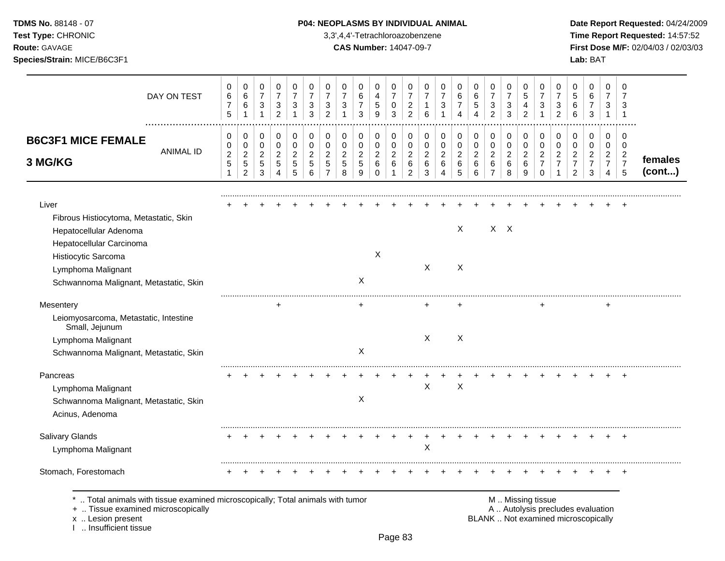**Test Type:** CHRONIC 3,3',4,4'-Tetrachloroazobenzene **Time Report Requested:** 14:57:52 **Route:** GAVAGE **CAS Number:** 14047-09-7 **First Dose M/F:** 02/04/03 / 02/03/03 **Species/Strain:** MICE/B6C3F1 **Lab:** BAT

| DAY ON TEST                                                                  | 0<br>$\,6\,$                | 0<br>$\,6$                   | 0<br>$\overline{7}$      | 0<br>$\overline{7}$ | 0<br>$\overline{7}$        | 0<br>$\overline{7}$ | 0<br>$\overline{7}$           | 0<br>$\overline{7}$  | $\Omega$<br>6                  | $\Omega$<br>$\overline{4}$ | 0<br>$\overline{7}$    | $\mathbf 0$<br>$\overline{7}$ | 0<br>$\overline{7}$ | 0<br>$\overline{7}$ | 0<br>6                | 0<br>6           | 0<br>$\overline{7}$       | 0<br>$\overline{7}$ | 0<br>5                     | 0<br>$\overline{7}$ | 0<br>$\overline{7}$ | 0<br>5                                                                   | 0<br>$\,6\,$                   | $\mathbf 0$<br>$\overline{7}$ | $\mathbf 0$<br>$\overline{7}$ |         |
|------------------------------------------------------------------------------|-----------------------------|------------------------------|--------------------------|---------------------|----------------------------|---------------------|-------------------------------|----------------------|--------------------------------|----------------------------|------------------------|-------------------------------|---------------------|---------------------|-----------------------|------------------|---------------------------|---------------------|----------------------------|---------------------|---------------------|--------------------------------------------------------------------------|--------------------------------|-------------------------------|-------------------------------|---------|
|                                                                              | $\overline{7}$              | 6                            | 3                        | 3                   | 3                          | 3                   | 3                             | $\sqrt{3}$           | $\overline{7}$                 | $\,$ 5 $\,$                | 0                      | $\overline{c}$                | 1                   | 3                   | $\overline{7}$        | 5                | $\ensuremath{\mathsf{3}}$ | 3                   | 4                          | 3                   | 3                   | $\,6$                                                                    | $\overline{7}$                 | 3                             | 3                             |         |
|                                                                              | $\sqrt{5}$                  | $\mathbf 1$                  | $\mathbf{1}$             | $\overline{2}$      | $\mathbf{1}$               | 3                   | $\overline{2}$                | $\overline{1}$       | 3                              | 9                          | 3                      | $\overline{2}$                | 6                   | $\mathbf{1}$        | 4                     | 4                | $\overline{2}$            | 3                   | $\overline{2}$             | 1                   | $\overline{2}$      | 6                                                                        | $\sqrt{3}$                     | $\mathbf{1}$                  | $\overline{1}$                |         |
| <b>B6C3F1 MICE FEMALE</b>                                                    | 0<br>0                      | 0<br>$\mathsf 0$             | $\mathbf 0$<br>0         | 0<br>$\mathbf 0$    | $\mathbf 0$<br>$\mathbf 0$ | 0<br>$\mathbf 0$    | 0<br>$\mathbf 0$              | 0<br>$\pmb{0}$       | 0<br>0                         | $\mathbf 0$<br>$\mathbf 0$ | 0<br>$\mathbf 0$       | $\mathbf 0$<br>0              | 0<br>$\mathbf 0$    | 0<br>$\mathsf 0$    | 0<br>0                | 0<br>$\pmb{0}$   | $\mathbf 0$<br>$\pmb{0}$  | 0<br>$\mathbf 0$    | $\mathbf 0$<br>$\mathbf 0$ | 0<br>$\mathbf 0$    | 0<br>$\mathbf 0$    | 0<br>0                                                                   | 0<br>$\mathbf 0$               | $\mathbf 0$<br>$\mathbf 0$    | $\mathbf 0$<br>$\mathbf 0$    |         |
| <b>ANIMAL ID</b>                                                             | $\sqrt{2}$                  | $\overline{c}$               | $\overline{c}$           | $\overline{c}$      | $\overline{c}$             | $\overline{2}$      | $\overline{c}$                | $\overline{2}$       | $\overline{c}$                 | $\sqrt{2}$                 | $\overline{c}$         | $\overline{c}$                | $\overline{c}$      | $\overline{c}$      | $\overline{c}$        | $\boldsymbol{2}$ | $\boldsymbol{2}$          | $\overline{c}$      | $\overline{2}$             | $\overline{c}$      | $\overline{c}$      | $\overline{c}$                                                           | $\overline{2}$                 | $\overline{c}$                | $\overline{c}$                | females |
| 3 MG/KG                                                                      | $\mathbf 5$<br>$\mathbf{1}$ | $\sqrt{5}$<br>$\overline{2}$ | $\sqrt{5}$<br>$\sqrt{3}$ | 5<br>4              | $\sqrt{5}$<br>5            | $\sqrt{5}$<br>6     | $\mathbf 5$<br>$\overline{7}$ | $\sqrt{5}$<br>$\bf8$ | $\sqrt{5}$<br>$\boldsymbol{9}$ | $\,6$<br>0                 | $\,6\,$<br>$\mathbf 1$ | 6<br>$\overline{c}$           | 6<br>3              | $\,6$<br>4          | $\,6\,$<br>$\sqrt{5}$ | $\,6\,$<br>6     | $\,6$<br>$\overline{7}$   | 6<br>8              | 6<br>9                     | $\overline{7}$<br>0 | $\overline{7}$<br>1 | $\boldsymbol{7}$<br>$\overline{2}$                                       | $\overline{7}$<br>$\mathbf{3}$ | $\overline{7}$<br>4           | $\overline{7}$<br>5           | (cont)  |
| Liver                                                                        |                             |                              |                          |                     |                            |                     |                               |                      |                                |                            |                        |                               |                     |                     |                       |                  |                           |                     |                            |                     |                     |                                                                          |                                |                               |                               |         |
| Fibrous Histiocytoma, Metastatic, Skin                                       |                             |                              |                          |                     |                            |                     |                               |                      |                                |                            |                        |                               |                     |                     |                       |                  |                           |                     |                            |                     |                     |                                                                          |                                |                               |                               |         |
| Hepatocellular Adenoma                                                       |                             |                              |                          |                     |                            |                     |                               |                      |                                |                            |                        |                               |                     |                     | X                     |                  |                           | $X$ $X$             |                            |                     |                     |                                                                          |                                |                               |                               |         |
| Hepatocellular Carcinoma                                                     |                             |                              |                          |                     |                            |                     |                               |                      |                                |                            |                        |                               |                     |                     |                       |                  |                           |                     |                            |                     |                     |                                                                          |                                |                               |                               |         |
| Histiocytic Sarcoma                                                          |                             |                              |                          |                     |                            |                     |                               |                      |                                | X                          |                        |                               |                     |                     |                       |                  |                           |                     |                            |                     |                     |                                                                          |                                |                               |                               |         |
| Lymphoma Malignant                                                           |                             |                              |                          |                     |                            |                     |                               |                      |                                |                            |                        |                               | $\mathsf{X}$        |                     | X                     |                  |                           |                     |                            |                     |                     |                                                                          |                                |                               |                               |         |
| Schwannoma Malignant, Metastatic, Skin                                       |                             |                              |                          |                     |                            |                     |                               |                      | X                              |                            |                        |                               |                     |                     |                       |                  |                           |                     |                            |                     |                     |                                                                          |                                |                               |                               |         |
| Mesentery                                                                    |                             |                              |                          | ÷                   |                            |                     |                               |                      | $+$                            |                            |                        |                               |                     |                     |                       |                  |                           |                     |                            |                     |                     |                                                                          |                                |                               |                               |         |
| Leiomyosarcoma, Metastatic, Intestine<br>Small, Jejunum                      |                             |                              |                          |                     |                            |                     |                               |                      |                                |                            |                        |                               |                     |                     |                       |                  |                           |                     |                            |                     |                     |                                                                          |                                |                               |                               |         |
| Lymphoma Malignant                                                           |                             |                              |                          |                     |                            |                     |                               |                      |                                |                            |                        |                               | $\sf X$             |                     | X                     |                  |                           |                     |                            |                     |                     |                                                                          |                                |                               |                               |         |
| Schwannoma Malignant, Metastatic, Skin                                       |                             |                              |                          |                     |                            |                     |                               |                      | Χ                              |                            |                        |                               |                     |                     |                       |                  |                           |                     |                            |                     |                     |                                                                          |                                |                               |                               |         |
| Pancreas                                                                     |                             |                              |                          |                     |                            |                     |                               |                      |                                |                            |                        |                               |                     |                     |                       |                  |                           |                     |                            |                     |                     |                                                                          |                                |                               |                               |         |
| Lymphoma Malignant                                                           |                             |                              |                          |                     |                            |                     |                               |                      |                                |                            |                        |                               | X                   |                     | $\sf X$               |                  |                           |                     |                            |                     |                     |                                                                          |                                |                               |                               |         |
| Schwannoma Malignant, Metastatic, Skin                                       |                             |                              |                          |                     |                            |                     |                               |                      | X                              |                            |                        |                               |                     |                     |                       |                  |                           |                     |                            |                     |                     |                                                                          |                                |                               |                               |         |
| Acinus, Adenoma                                                              |                             |                              |                          |                     |                            |                     |                               |                      |                                |                            |                        |                               |                     |                     |                       |                  |                           |                     |                            |                     |                     |                                                                          |                                |                               |                               |         |
| Salivary Glands                                                              |                             |                              |                          |                     |                            |                     |                               |                      |                                |                            |                        |                               |                     |                     |                       |                  |                           |                     |                            |                     |                     |                                                                          |                                |                               |                               |         |
| Lymphoma Malignant                                                           |                             |                              |                          |                     |                            |                     |                               |                      |                                |                            |                        |                               | X                   |                     |                       |                  |                           |                     |                            |                     |                     |                                                                          |                                |                               |                               |         |
| Stomach, Forestomach                                                         |                             |                              |                          |                     |                            |                     |                               |                      |                                |                            |                        |                               |                     |                     |                       |                  |                           |                     |                            |                     |                     |                                                                          |                                |                               |                               |         |
| Total animals with tissue examined microscopically; Total animals with tumor |                             |                              |                          |                     |                            |                     |                               |                      |                                |                            |                        |                               |                     |                     |                       |                  |                           |                     |                            | M  Missing tissue   |                     |                                                                          |                                |                               |                               |         |
| +  Tissue examined microscopically<br>x  Lesion present                      |                             |                              |                          |                     |                            |                     |                               |                      |                                |                            |                        |                               |                     |                     |                       |                  |                           |                     |                            |                     |                     | A  Autolysis precludes evaluation<br>BLANK  Not examined microscopically |                                |                               |                               |         |
| Insufficient tissue                                                          |                             |                              |                          |                     |                            |                     |                               |                      |                                |                            |                        |                               |                     |                     |                       |                  |                           |                     |                            |                     |                     |                                                                          |                                |                               |                               |         |

Page 83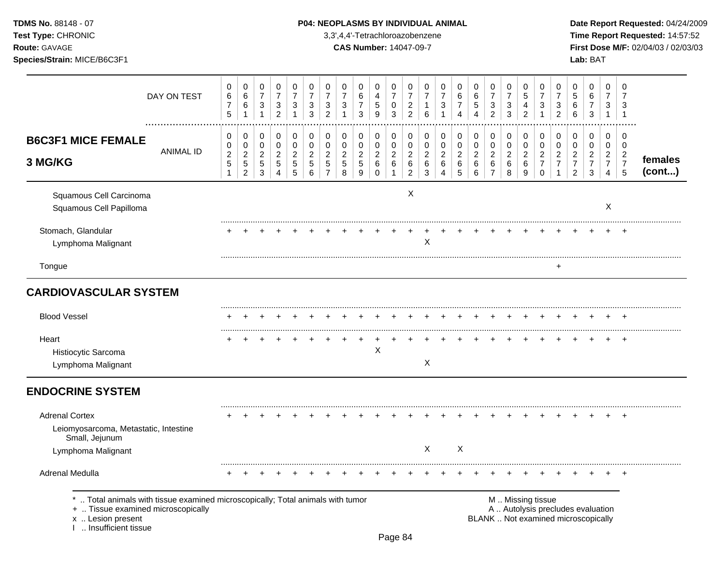# TDMS No. 88148 - 07 **P04: NEOPLASMS BY INDIVIDUAL ANIMAL** Date Report Requested: 04/24/2009

**Test Type:** CHRONIC 3,3',4,4'-Tetrachloroazobenzene **Time Report Requested:** 14:57:52 **Route:** GAVAGE **CAS Number:** 14047-09-7 **First Dose M/F:** 02/04/03 / 02/03/03

|                                                                                                                                                                   | DAY ON TEST      | 0<br>$\,6\,$<br>$\overline{7}$<br>5                                          | 0<br>$\,6\,$<br>$\,6$<br>$\mathbf{1}$                                        | 0<br>$\overline{7}$<br>$\ensuremath{\mathsf{3}}$<br>$\mathbf{1}$       | 0<br>$\overline{7}$<br>$\ensuremath{\mathsf{3}}$<br>$\overline{c}$             | $\pmb{0}$<br>$\overline{7}$<br>$\ensuremath{\mathsf{3}}$<br>$\mathbf{1}$ | 0<br>$\overline{7}$<br>$\ensuremath{\mathsf{3}}$<br>$\mathfrak{S}$ | 0<br>$\overline{7}$<br>3<br>$\overline{c}$                                     | 0<br>$\overline{7}$<br>$\sqrt{3}$                            | 0<br>$\,6\,$<br>$\overline{7}$<br>3                   | 0<br>$\overline{4}$<br>$\,$ 5 $\,$<br>9                      | 0<br>$\overline{7}$<br>0<br>$\mathbf{3}$                              | 0<br>$\overline{7}$<br>$\overline{c}$<br>$\overline{c}$             | 0<br>$\overline{7}$<br>$\mathbf{1}$<br>6         | 0<br>$\overline{7}$<br>3<br>1                                                     | 0<br>$\,6\,$<br>$\overline{7}$<br>$\overline{4}$ | 0<br>$\,6\,$<br>$\mathbf 5$<br>$\boldsymbol{\Lambda}$    | 0<br>$\overline{7}$<br>$\ensuremath{\mathsf{3}}$<br>$\overline{2}$  | $\pmb{0}$<br>$\overline{7}$<br>$\ensuremath{\mathsf{3}}$<br>$\mathbf{3}$ | 0<br>$\sqrt{5}$<br>$\overline{4}$<br>$\overline{c}$  | 0<br>$\overline{7}$<br>3<br>$\mathbf 1$                                         | 0<br>$\overline{7}$<br>$\sqrt{3}$<br>$\overline{2}$  | 0<br>$\sqrt{5}$<br>$\,6\,$<br>$\,6$                                    | 0<br>$\,6\,$<br>$\boldsymbol{7}$<br>3                                    | 0<br>$\overline{7}$<br>3<br>$\mathbf{1}$                                      | 0<br>7<br>3<br>$\overline{1}$                                       |                   |
|-------------------------------------------------------------------------------------------------------------------------------------------------------------------|------------------|------------------------------------------------------------------------------|------------------------------------------------------------------------------|------------------------------------------------------------------------|--------------------------------------------------------------------------------|--------------------------------------------------------------------------|--------------------------------------------------------------------|--------------------------------------------------------------------------------|--------------------------------------------------------------|-------------------------------------------------------|--------------------------------------------------------------|-----------------------------------------------------------------------|---------------------------------------------------------------------|--------------------------------------------------|-----------------------------------------------------------------------------------|--------------------------------------------------|----------------------------------------------------------|---------------------------------------------------------------------|--------------------------------------------------------------------------|------------------------------------------------------|---------------------------------------------------------------------------------|------------------------------------------------------|------------------------------------------------------------------------|--------------------------------------------------------------------------|-------------------------------------------------------------------------------|---------------------------------------------------------------------|-------------------|
| <b>B6C3F1 MICE FEMALE</b><br>3 MG/KG                                                                                                                              | <b>ANIMAL ID</b> | $\mathbf 0$<br>$\mathbf 0$<br>$\boldsymbol{2}$<br>$\sqrt{5}$<br>$\mathbf{1}$ | $\mathbf 0$<br>$\mathbf 0$<br>$\overline{c}$<br>$\sqrt{5}$<br>$\overline{2}$ | $\pmb{0}$<br>$\pmb{0}$<br>$\boldsymbol{2}$<br>$\sqrt{5}$<br>$\sqrt{3}$ | $\mathbf 0$<br>$\mathbf 0$<br>$\boldsymbol{2}$<br>$\sqrt{5}$<br>$\overline{4}$ | $\pmb{0}$<br>$\pmb{0}$<br>$\boldsymbol{2}$<br>$\sqrt{5}$<br>$\sqrt{5}$   | $\pmb{0}$<br>$\mathbf 0$<br>$\sqrt{2}$<br>$\sqrt{5}$<br>6          | $\mathbf 0$<br>$\mathbf 0$<br>$\boldsymbol{2}$<br>$\sqrt{5}$<br>$\overline{7}$ | $\mathbf 0$<br>$\mathbf 0$<br>$\sqrt{2}$<br>$\,$ 5 $\,$<br>8 | 0<br>$\mathbf 0$<br>$\overline{c}$<br>$\sqrt{5}$<br>9 | 0<br>$\mathsf 0$<br>$\overline{a}$<br>$\,6\,$<br>$\mathsf 0$ | $\mathbf 0$<br>$\pmb{0}$<br>$\overline{c}$<br>$\,6\,$<br>$\mathbf{1}$ | $\mathbf 0$<br>$\pmb{0}$<br>$\sqrt{2}$<br>$\,6\,$<br>$\overline{c}$ | 0<br>$\pmb{0}$<br>$\overline{c}$<br>$\,6\,$<br>3 | $\mathbf 0$<br>$\mathbf 0$<br>$\boldsymbol{2}$<br>$\,6$<br>$\boldsymbol{\Lambda}$ | 0<br>$\pmb{0}$<br>$\overline{c}$<br>$\,6$<br>5   | $\,0\,$<br>$\pmb{0}$<br>$\boldsymbol{2}$<br>$\,6\,$<br>6 | $\mathbf 0$<br>$\mathbf 0$<br>$\overline{c}$<br>6<br>$\overline{7}$ | $\mathbf 0$<br>$\pmb{0}$<br>$\overline{c}$<br>$\,6\,$<br>8               | $\pmb{0}$<br>$\pmb{0}$<br>$\sqrt{2}$<br>$\,6\,$<br>9 | $\mathbf 0$<br>$\mathbf 0$<br>$\boldsymbol{2}$<br>$\overline{7}$<br>$\mathbf 0$ | 0<br>$\mathbf 0$<br>$\overline{c}$<br>$\overline{7}$ | 0<br>$\mathbf 0$<br>$\overline{c}$<br>$\overline{7}$<br>$\overline{2}$ | 0<br>$\pmb{0}$<br>$\overline{a}$<br>$\overline{7}$<br>3                  | $\Omega$<br>$\mathbf 0$<br>$\overline{c}$<br>$\overline{7}$<br>$\overline{4}$ | $\mathbf 0$<br>$\mathbf 0$<br>$\overline{2}$<br>$\overline{7}$<br>5 | females<br>(cont) |
| Squamous Cell Carcinoma<br>Squamous Cell Papilloma                                                                                                                |                  |                                                                              |                                                                              |                                                                        |                                                                                |                                                                          |                                                                    |                                                                                |                                                              |                                                       |                                                              |                                                                       | X                                                                   |                                                  |                                                                                   |                                                  |                                                          |                                                                     |                                                                          |                                                      |                                                                                 |                                                      |                                                                        |                                                                          | $\mathsf{X}$                                                                  |                                                                     |                   |
| Stomach, Glandular<br>Lymphoma Malignant                                                                                                                          |                  |                                                                              |                                                                              |                                                                        |                                                                                |                                                                          |                                                                    |                                                                                |                                                              |                                                       |                                                              |                                                                       |                                                                     | X                                                |                                                                                   |                                                  |                                                          |                                                                     |                                                                          |                                                      |                                                                                 |                                                      |                                                                        |                                                                          |                                                                               | $\ddot{}$                                                           |                   |
| Tongue                                                                                                                                                            |                  |                                                                              |                                                                              |                                                                        |                                                                                |                                                                          |                                                                    |                                                                                |                                                              |                                                       |                                                              |                                                                       |                                                                     |                                                  |                                                                                   |                                                  |                                                          |                                                                     |                                                                          |                                                      |                                                                                 |                                                      |                                                                        |                                                                          |                                                                               |                                                                     |                   |
| <b>CARDIOVASCULAR SYSTEM</b>                                                                                                                                      |                  |                                                                              |                                                                              |                                                                        |                                                                                |                                                                          |                                                                    |                                                                                |                                                              |                                                       |                                                              |                                                                       |                                                                     |                                                  |                                                                                   |                                                  |                                                          |                                                                     |                                                                          |                                                      |                                                                                 |                                                      |                                                                        |                                                                          |                                                                               |                                                                     |                   |
| <b>Blood Vessel</b>                                                                                                                                               |                  |                                                                              |                                                                              |                                                                        |                                                                                |                                                                          |                                                                    |                                                                                |                                                              |                                                       |                                                              |                                                                       |                                                                     |                                                  |                                                                                   |                                                  |                                                          |                                                                     |                                                                          |                                                      |                                                                                 |                                                      |                                                                        |                                                                          |                                                                               |                                                                     |                   |
| Heart<br>Histiocytic Sarcoma<br>Lymphoma Malignant                                                                                                                |                  |                                                                              |                                                                              |                                                                        |                                                                                |                                                                          |                                                                    |                                                                                |                                                              | $\ddot{}$                                             | $\ddot{}$<br>Χ                                               |                                                                       |                                                                     | X                                                |                                                                                   |                                                  |                                                          |                                                                     |                                                                          |                                                      |                                                                                 |                                                      |                                                                        | $\ddot{}$                                                                | $\pm$                                                                         | $+$                                                                 |                   |
| <b>ENDOCRINE SYSTEM</b>                                                                                                                                           |                  |                                                                              |                                                                              |                                                                        |                                                                                |                                                                          |                                                                    |                                                                                |                                                              |                                                       |                                                              |                                                                       |                                                                     |                                                  |                                                                                   |                                                  |                                                          |                                                                     |                                                                          |                                                      |                                                                                 |                                                      |                                                                        |                                                                          |                                                                               |                                                                     |                   |
| <b>Adrenal Cortex</b><br>Leiomyosarcoma, Metastatic, Intestine<br>Small, Jejunum<br>Lymphoma Malignant                                                            |                  |                                                                              |                                                                              |                                                                        |                                                                                |                                                                          |                                                                    |                                                                                |                                                              |                                                       |                                                              |                                                                       |                                                                     | X                                                |                                                                                   | X                                                |                                                          |                                                                     |                                                                          |                                                      |                                                                                 |                                                      |                                                                        |                                                                          |                                                                               |                                                                     |                   |
| <b>Adrenal Medulla</b>                                                                                                                                            |                  |                                                                              |                                                                              |                                                                        |                                                                                |                                                                          |                                                                    |                                                                                |                                                              |                                                       |                                                              |                                                                       |                                                                     |                                                  |                                                                                   |                                                  |                                                          |                                                                     |                                                                          |                                                      |                                                                                 |                                                      |                                                                        |                                                                          |                                                                               |                                                                     |                   |
| Total animals with tissue examined microscopically; Total animals with tumor<br>+  Tissue examined microscopically<br>x  Lesion present<br>I  Insufficient tissue |                  |                                                                              |                                                                              |                                                                        |                                                                                |                                                                          |                                                                    |                                                                                |                                                              |                                                       |                                                              |                                                                       |                                                                     |                                                  |                                                                                   |                                                  |                                                          |                                                                     |                                                                          |                                                      | M  Missing tissue                                                               |                                                      |                                                                        | A  Autolysis precludes evaluation<br>BLANK  Not examined microscopically |                                                                               |                                                                     |                   |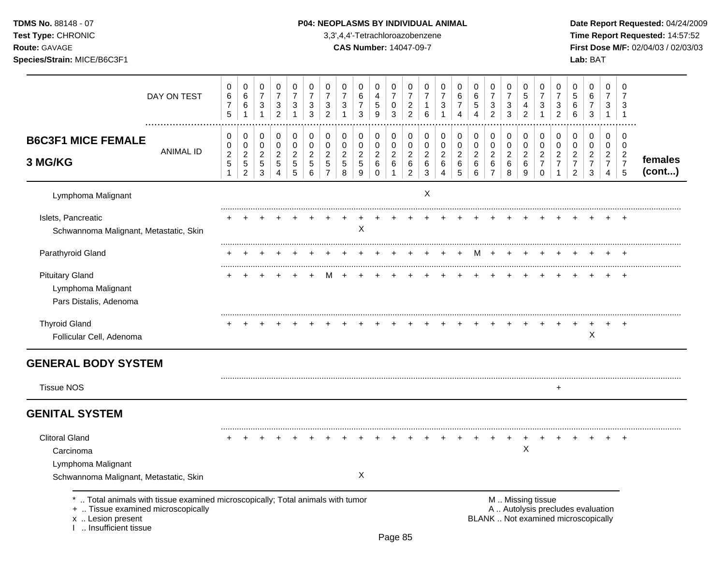**Test Type:** CHRONIC 3,3',4,4'-Tetrachloroazobenzene **Time Report Requested:** 14:57:52 **Route:** GAVAGE **CAS Number:** 14047-09-7 **First Dose M/F:** 02/04/03 / 02/03/03 **Species/Strain:** MICE/B6C3F1 **Lab:** BAT

| DAY ON TEST<br>.                                                                                                       | 0<br>$\,6\,$<br>$\overline{7}$<br>$\sqrt{5}$              | 0<br>$\,6\,$<br>$\,6\,$<br>$\mathbf 1$                             | 0<br>$\overline{7}$<br>$\mathbf{3}$<br>$\mathbf{1}$   | 0<br>$\overline{7}$<br>$\sqrt{3}$<br>$\overline{2}$   | 0<br>$\overline{7}$<br>3<br>$\mathbf{1}$ | 0<br>$\overline{7}$<br>$\sqrt{3}$<br>$\mathfrak{Z}$   | 0<br>$\overline{7}$<br>$\sqrt{3}$<br>$\overline{2}$                | $\pmb{0}$<br>$\overline{7}$<br>$\sqrt{3}$<br>1        | 0<br>$\,6\,$<br>$\overline{7}$<br>3                                  | 0<br>$\overline{4}$<br>$\,$ 5 $\,$<br>9                | 0<br>$\overline{7}$<br>$\pmb{0}$<br>$\mathfrak{Z}$            | 0<br>$\overline{7}$<br>$\sqrt{2}$<br>$\overline{2}$             | 0<br>$\overline{7}$<br>$\mathbf{1}$<br>6                    | 0<br>$\overline{7}$<br>$\sqrt{3}$<br>1                    | 0<br>$\,6$<br>$\overline{7}$<br>$\overline{4}$     | 0<br>$\,6\,$<br>$\,$ 5 $\,$<br>$\boldsymbol{\Lambda}$      | 0<br>$\overline{7}$<br>$\ensuremath{\mathsf{3}}$<br>$\overline{c}$ | 0<br>$\overline{7}$<br>$\ensuremath{\mathsf{3}}$<br>$\mathbf{3}$ | 0<br>$\overline{5}$<br>4<br>$\overline{2}$   | 0<br>$\overline{7}$<br>$\sqrt{3}$<br>$\mathbf{1}$                | 0<br>$\overline{7}$<br>$\sqrt{3}$<br>$\overline{2}$              | 0<br>$\overline{5}$<br>$6\phantom{a}$<br>6                               | 0<br>$\,6\,$<br>$\boldsymbol{7}$<br>$\mathfrak{S}$                     | $\mathbf 0$<br>$\overline{7}$<br>3<br>$\mathbf{1}$                     | 0<br>$\overline{7}$<br>3<br>$\overline{1}$                |                   |
|------------------------------------------------------------------------------------------------------------------------|-----------------------------------------------------------|--------------------------------------------------------------------|-------------------------------------------------------|-------------------------------------------------------|------------------------------------------|-------------------------------------------------------|--------------------------------------------------------------------|-------------------------------------------------------|----------------------------------------------------------------------|--------------------------------------------------------|---------------------------------------------------------------|-----------------------------------------------------------------|-------------------------------------------------------------|-----------------------------------------------------------|----------------------------------------------------|------------------------------------------------------------|--------------------------------------------------------------------|------------------------------------------------------------------|----------------------------------------------|------------------------------------------------------------------|------------------------------------------------------------------|--------------------------------------------------------------------------|------------------------------------------------------------------------|------------------------------------------------------------------------|-----------------------------------------------------------|-------------------|
| <b>B6C3F1 MICE FEMALE</b><br><b>ANIMAL ID</b><br>3 MG/KG                                                               | 0<br>0<br>$\boldsymbol{2}$<br>$\,$ 5 $\,$<br>$\mathbf{1}$ | 0<br>$\mathbf 0$<br>$\overline{2}$<br>$\sqrt{5}$<br>$\overline{c}$ | 0<br>$\mathbf 0$<br>$\overline{a}$<br>$\sqrt{5}$<br>3 | 0<br>$\mathbf 0$<br>$\overline{2}$<br>$\sqrt{5}$<br>4 | 0<br>0<br>$\overline{2}$<br>5<br>5       | 0<br>$\mathbf 0$<br>$\overline{2}$<br>$\sqrt{5}$<br>6 | 0<br>$\mathbf 0$<br>$\overline{2}$<br>$\sqrt{5}$<br>$\overline{7}$ | $\mathbf 0$<br>0<br>$\overline{c}$<br>$\sqrt{5}$<br>8 | 0<br>$\mathbf 0$<br>$\overline{2}$<br>$\sqrt{5}$<br>$\boldsymbol{9}$ | 0<br>$\mathbf 0$<br>$\overline{2}$<br>6<br>$\mathbf 0$ | 0<br>$\mathbf 0$<br>$\overline{2}$<br>$\,6\,$<br>$\mathbf{1}$ | 0<br>$\mathbf 0$<br>$\overline{2}$<br>$\,6\,$<br>$\overline{a}$ | 0<br>$\mathbf 0$<br>$\overline{c}$<br>$\,6$<br>$\mathbf{3}$ | 0<br>$\mathbf 0$<br>$\overline{2}$<br>6<br>$\overline{4}$ | 0<br>$\mathbf 0$<br>$\overline{c}$<br>$\,6\,$<br>5 | $\pmb{0}$<br>$\mathbf 0$<br>$\overline{c}$<br>$\,6\,$<br>6 | 0<br>$\mathbf 0$<br>$\overline{2}$<br>$\,6\,$<br>$\overline{7}$    | 0<br>$\pmb{0}$<br>$\overline{c}$<br>6<br>8                       | 0<br>$\mathbf 0$<br>$\overline{2}$<br>6<br>9 | 0<br>$\mathbf 0$<br>$\overline{2}$<br>$\overline{7}$<br>$\Omega$ | 0<br>$\mathbf 0$<br>$\sqrt{2}$<br>$\overline{7}$<br>$\mathbf{1}$ | 0<br>$\pmb{0}$<br>$\boldsymbol{2}$<br>$\overline{7}$<br>$\overline{2}$   | 0<br>$\mathbf 0$<br>$\overline{c}$<br>$\boldsymbol{7}$<br>$\mathbf{3}$ | 0<br>$\mathbf 0$<br>$\overline{2}$<br>$\overline{7}$<br>$\overline{4}$ | 0<br>$\mathbf 0$<br>$\overline{2}$<br>$\overline{7}$<br>5 | females<br>(cont) |
| Lymphoma Malignant                                                                                                     |                                                           |                                                                    |                                                       |                                                       |                                          |                                                       |                                                                    |                                                       |                                                                      |                                                        |                                                               |                                                                 | $\mathsf X$                                                 |                                                           |                                                    |                                                            |                                                                    |                                                                  |                                              |                                                                  |                                                                  |                                                                          |                                                                        |                                                                        |                                                           |                   |
| Islets, Pancreatic<br>Schwannoma Malignant, Metastatic, Skin                                                           |                                                           |                                                                    |                                                       |                                                       |                                          |                                                       |                                                                    |                                                       | X                                                                    |                                                        |                                                               |                                                                 |                                                             |                                                           |                                                    |                                                            |                                                                    |                                                                  |                                              |                                                                  |                                                                  |                                                                          |                                                                        |                                                                        | $\div$                                                    |                   |
| Parathyroid Gland                                                                                                      |                                                           |                                                                    |                                                       |                                                       |                                          |                                                       |                                                                    |                                                       |                                                                      |                                                        |                                                               |                                                                 |                                                             |                                                           |                                                    | м                                                          |                                                                    |                                                                  |                                              |                                                                  |                                                                  |                                                                          |                                                                        |                                                                        |                                                           |                   |
| <b>Pituitary Gland</b><br>Lymphoma Malignant<br>Pars Distalis, Adenoma                                                 |                                                           |                                                                    |                                                       |                                                       |                                          |                                                       |                                                                    |                                                       |                                                                      |                                                        |                                                               |                                                                 |                                                             |                                                           |                                                    |                                                            |                                                                    |                                                                  |                                              |                                                                  |                                                                  |                                                                          |                                                                        |                                                                        |                                                           |                   |
| <b>Thyroid Gland</b><br>Follicular Cell, Adenoma                                                                       |                                                           |                                                                    |                                                       |                                                       |                                          |                                                       |                                                                    |                                                       |                                                                      |                                                        |                                                               |                                                                 |                                                             |                                                           |                                                    |                                                            |                                                                    |                                                                  |                                              |                                                                  |                                                                  |                                                                          | $\mathsf X$                                                            |                                                                        | $\div$                                                    |                   |
| <b>GENERAL BODY SYSTEM</b><br><b>Tissue NOS</b>                                                                        |                                                           |                                                                    |                                                       |                                                       |                                          |                                                       |                                                                    |                                                       |                                                                      |                                                        |                                                               |                                                                 |                                                             |                                                           |                                                    |                                                            |                                                                    |                                                                  |                                              |                                                                  | $\ddot{}$                                                        |                                                                          |                                                                        |                                                                        |                                                           |                   |
| <b>GENITAL SYSTEM</b>                                                                                                  |                                                           |                                                                    |                                                       |                                                       |                                          |                                                       |                                                                    |                                                       |                                                                      |                                                        |                                                               |                                                                 |                                                             |                                                           |                                                    |                                                            |                                                                    |                                                                  |                                              |                                                                  |                                                                  |                                                                          |                                                                        |                                                                        |                                                           |                   |
| <b>Clitoral Gland</b><br>Carcinoma<br>Lymphoma Malignant                                                               |                                                           |                                                                    |                                                       |                                                       |                                          |                                                       |                                                                    |                                                       |                                                                      |                                                        |                                                               |                                                                 |                                                             |                                                           |                                                    |                                                            |                                                                    |                                                                  | X                                            |                                                                  |                                                                  |                                                                          |                                                                        |                                                                        |                                                           |                   |
| Schwannoma Malignant, Metastatic, Skin<br>Total animals with tissue examined microscopically; Total animals with tumor |                                                           |                                                                    |                                                       |                                                       |                                          |                                                       |                                                                    |                                                       | X                                                                    |                                                        |                                                               |                                                                 |                                                             |                                                           |                                                    |                                                            |                                                                    |                                                                  | M  Missing tissue                            |                                                                  |                                                                  |                                                                          |                                                                        |                                                                        |                                                           |                   |
| +  Tissue examined microscopically<br>x  Lesion present<br>I  Insufficient tissue                                      |                                                           |                                                                    |                                                       |                                                       |                                          |                                                       |                                                                    |                                                       |                                                                      |                                                        |                                                               |                                                                 |                                                             |                                                           |                                                    |                                                            |                                                                    |                                                                  |                                              |                                                                  |                                                                  | A  Autolysis precludes evaluation<br>BLANK  Not examined microscopically |                                                                        |                                                                        |                                                           |                   |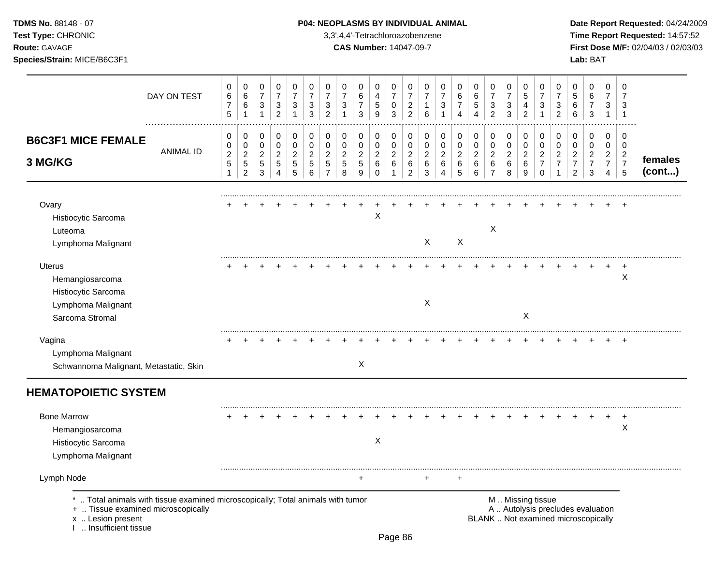**Test Type:** CHRONIC 3,3',4,4'-Tetrachloroazobenzene **Time Report Requested:** 14:57:52 **Route:** GAVAGE **CAS Number:** 14047-09-7 **First Dose M/F:** 02/04/03 / 02/03/03 **Species/Strain:** MICE/B6C3F1 **Lab:** BAT

| DAY ON TEST                                                                                                                                                          | 0<br>$\,6$<br>$\boldsymbol{7}$<br>5           | 0<br>$\,6\,$<br>$\,6\,$<br>$\overline{1}$                       | 0<br>$\boldsymbol{7}$<br>3<br>$\mathbf{1}$  | $\mathbf 0$<br>$\boldsymbol{7}$<br>$\sqrt{3}$<br>$\overline{2}$ | 0<br>$\boldsymbol{7}$<br>3<br>$\mathbf{1}$  | 0<br>$\overline{7}$<br>3<br>$\mathbf{3}$    | 0<br>$\boldsymbol{7}$<br>3<br>$\overline{c}$              | 0<br>$\boldsymbol{7}$<br>3<br>$\mathbf{1}$ | 0<br>$\,6\,$<br>$\boldsymbol{7}$<br>3                  | $\mathbf 0$<br>$\overline{4}$<br>$\sqrt{5}$<br>9 | $\mathbf 0$<br>$\overline{7}$<br>$\pmb{0}$<br>3 | 0<br>$\boldsymbol{7}$<br>$\overline{a}$<br>$\overline{2}$ | 0<br>$\overline{7}$<br>$\mathbf{1}$<br>6      | 0<br>$\boldsymbol{7}$<br>3<br>1              | 0<br>6<br>$\overline{7}$<br>$\overline{4}$ | 0<br>$\,6\,$<br>$\mathbf 5$<br>$\overline{4}$          | 0<br>$\boldsymbol{7}$<br>3<br>$\overline{2}$    | $\mathbf 0$<br>$\overline{7}$<br>3<br>3    | 0<br>$\sqrt{5}$<br>4<br>$\overline{2}$             | 0<br>$\overline{7}$<br>3<br>$\mathbf{1}$                | 0<br>$\overline{7}$<br>3<br>$\overline{c}$                               | 0<br>5<br>6<br>6                                             | 0<br>$\,6\,$<br>$\boldsymbol{7}$<br>$\mathbf{3}$          | $\mathbf 0$<br>$\overline{7}$<br>3<br>$\mathbf{1}$        | $\mathbf 0$<br>$\overline{7}$<br>3<br>$\overline{1}$      |                   |
|----------------------------------------------------------------------------------------------------------------------------------------------------------------------|-----------------------------------------------|-----------------------------------------------------------------|---------------------------------------------|-----------------------------------------------------------------|---------------------------------------------|---------------------------------------------|-----------------------------------------------------------|--------------------------------------------|--------------------------------------------------------|--------------------------------------------------|-------------------------------------------------|-----------------------------------------------------------|-----------------------------------------------|----------------------------------------------|--------------------------------------------|--------------------------------------------------------|-------------------------------------------------|--------------------------------------------|----------------------------------------------------|---------------------------------------------------------|--------------------------------------------------------------------------|--------------------------------------------------------------|-----------------------------------------------------------|-----------------------------------------------------------|-----------------------------------------------------------|-------------------|
| <b>B6C3F1 MICE FEMALE</b><br><b>ANIMAL ID</b><br>3 MG/KG                                                                                                             | 0<br>0<br>$\overline{c}$<br>5<br>$\mathbf{1}$ | 0<br>$\mathbf 0$<br>$\sqrt{2}$<br>$\,$ 5 $\,$<br>$\overline{2}$ | 0<br>0<br>$\overline{2}$<br>$\sqrt{5}$<br>3 | 0<br>$\mathbf 0$<br>$\overline{2}$<br>$\sqrt{5}$<br>4           | 0<br>0<br>$\overline{2}$<br>$\sqrt{5}$<br>5 | 0<br>0<br>$\overline{2}$<br>$\sqrt{5}$<br>6 | 0<br>$\mathbf 0$<br>$\overline{2}$<br>5<br>$\overline{7}$ | 0<br>0<br>$\overline{c}$<br>5<br>8         | 0<br>$\mathbf 0$<br>$\overline{c}$<br>$\,$ 5 $\,$<br>9 | 0<br>0<br>$\overline{2}$<br>6<br>$\mathbf 0$     | 0<br>0<br>$\overline{c}$<br>6<br>1              | 0<br>0<br>$\overline{c}$<br>6<br>$\overline{a}$           | 0<br>0<br>$\overline{2}$<br>6<br>$\mathbf{3}$ | 0<br>$\mathbf 0$<br>$\overline{2}$<br>6<br>4 | 0<br>0<br>$\overline{c}$<br>$\,6\,$<br>5   | 0<br>$\mathbf 0$<br>$\overline{c}$<br>$\,6$<br>$\,6\,$ | 0<br>0<br>$\overline{2}$<br>6<br>$\overline{7}$ | 0<br>$\pmb{0}$<br>$\overline{2}$<br>6<br>8 | 0<br>$\mathbf 0$<br>$\overline{c}$<br>$\,6\,$<br>9 | 0<br>0<br>$\overline{2}$<br>$\overline{7}$<br>$\pmb{0}$ | 0<br>0<br>$\overline{2}$<br>$\overline{7}$<br>1                          | 0<br>0<br>$\overline{c}$<br>$\overline{7}$<br>$\overline{c}$ | 0<br>$\mathbf 0$<br>$\overline{c}$<br>$\overline{7}$<br>3 | $\mathbf 0$<br>0<br>$\overline{2}$<br>$\overline{7}$<br>4 | 0<br>$\mathbf 0$<br>$\overline{c}$<br>$\overline{7}$<br>5 | females<br>(cont) |
| Ovary<br>Histiocytic Sarcoma<br>Luteoma<br>Lymphoma Malignant                                                                                                        |                                               |                                                                 |                                             |                                                                 |                                             |                                             |                                                           |                                            |                                                        | Χ                                                |                                                 |                                                           | X                                             |                                              | X                                          |                                                        | $\times$                                        |                                            |                                                    |                                                         |                                                                          |                                                              |                                                           |                                                           |                                                           |                   |
| <b>Uterus</b><br>Hemangiosarcoma<br>Histiocytic Sarcoma<br>Lymphoma Malignant<br>Sarcoma Stromal                                                                     |                                               |                                                                 |                                             |                                                                 |                                             |                                             |                                                           |                                            |                                                        |                                                  |                                                 |                                                           | X                                             |                                              |                                            |                                                        |                                                 |                                            | X                                                  |                                                         |                                                                          |                                                              |                                                           |                                                           | X                                                         |                   |
| Vagina<br>Lymphoma Malignant<br>Schwannoma Malignant, Metastatic, Skin                                                                                               |                                               |                                                                 |                                             |                                                                 |                                             |                                             |                                                           |                                            | $\sf X$                                                |                                                  |                                                 |                                                           |                                               |                                              |                                            |                                                        |                                                 |                                            |                                                    |                                                         |                                                                          |                                                              |                                                           |                                                           |                                                           |                   |
| <b>HEMATOPOIETIC SYSTEM</b>                                                                                                                                          |                                               |                                                                 |                                             |                                                                 |                                             |                                             |                                                           |                                            |                                                        |                                                  |                                                 |                                                           |                                               |                                              |                                            |                                                        |                                                 |                                            |                                                    |                                                         |                                                                          |                                                              |                                                           |                                                           |                                                           |                   |
| <b>Bone Marrow</b><br>Hemangiosarcoma<br>Histiocytic Sarcoma<br>Lymphoma Malignant                                                                                   |                                               |                                                                 |                                             |                                                                 |                                             |                                             |                                                           |                                            |                                                        | X                                                |                                                 |                                                           |                                               |                                              |                                            |                                                        |                                                 |                                            |                                                    |                                                         |                                                                          |                                                              |                                                           |                                                           | Χ                                                         |                   |
| Lymph Node                                                                                                                                                           |                                               |                                                                 |                                             |                                                                 |                                             |                                             |                                                           |                                            | +                                                      |                                                  |                                                 |                                                           | $\ddot{}$                                     |                                              | $\ddot{}$                                  |                                                        |                                                 |                                            |                                                    |                                                         |                                                                          |                                                              |                                                           |                                                           |                                                           |                   |
| *  Total animals with tissue examined microscopically; Total animals with tumor<br>+  Tissue examined microscopically<br>x  Lesion present<br>1  Insufficient tissue |                                               |                                                                 |                                             |                                                                 |                                             |                                             |                                                           |                                            |                                                        |                                                  |                                                 |                                                           |                                               |                                              |                                            |                                                        |                                                 |                                            | M  Missing tissue                                  |                                                         | A  Autolysis precludes evaluation<br>BLANK  Not examined microscopically |                                                              |                                                           |                                                           |                                                           |                   |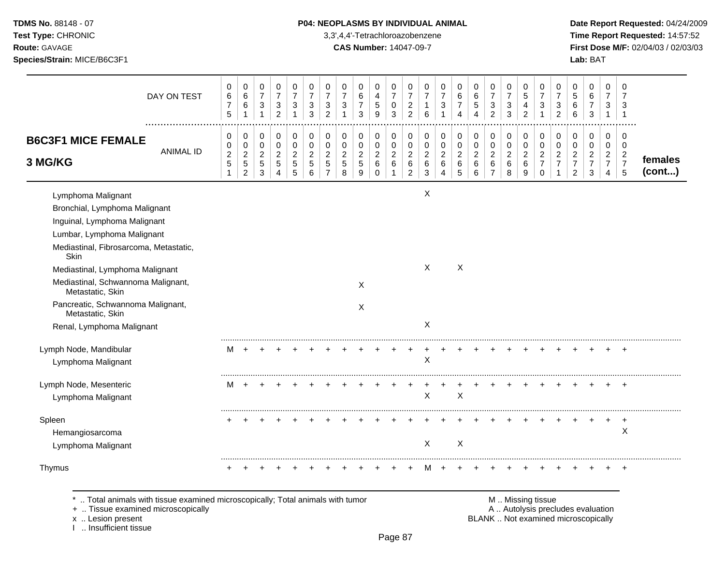# **TDMS No.** 88148 - 07 **P04: NEOPLASMS BY INDIVIDUAL ANIMAL** Date Report Requested: 04/24/2009

**Test Type:** CHRONIC 3,3',4,4'-Tetrachloroazobenzene **Time Report Requested:** 14:57:52 **Route:** GAVAGE **CAS Number:** 14047-09-7 **First Dose M/F:** 02/04/03 / 02/03/03

|                                                                                     | DAY ON TEST      | 0<br>6<br>$\overline{7}$<br>5               | $\pmb{0}$<br>$\,6$<br>$\,6$                                       | 0<br>$\overline{7}$<br>3<br>$\mathbf{1}$                          | 0<br>$\overline{7}$<br>$\sqrt{3}$<br>$\overline{c}$                 | 0<br>$\overline{7}$<br>3<br>1                     | 0<br>$\overline{7}$<br>3<br>3                | 0<br>$\overline{7}$<br>3<br>$\overline{c}$ | 0<br>$\overline{7}$<br>3                               | 0<br>6<br>$\overline{7}$<br>3               | $\,0\,$<br>4<br>$\sqrt{5}$<br>9              | 0<br>$\overline{7}$<br>$\pmb{0}$<br>$\sqrt{3}$                | 0<br>$\overline{7}$<br>$\overline{c}$<br>$\overline{c}$   | 0<br>7<br>$\mathbf{1}$<br>$\,6\,$               | 0<br>$\overline{7}$<br>3<br>1                                     | 0<br>6<br>$\overline{7}$<br>$\overline{4}$     | 0<br>$\,6$<br>$\,$ 5 $\,$<br>$\overline{4}$          | 0<br>$\overline{7}$<br>3<br>$\overline{c}$                  | 0<br>$\overline{7}$<br>3<br>3              | 0<br>$\sqrt{5}$<br>4<br>$\overline{2}$                                | 0<br>$\overline{7}$<br>3                                         | $\,0\,$<br>$\overline{7}$<br>3<br>$\overline{2}$   | 0<br>5<br>$\,6\,$<br>6                                                 | 0<br>6<br>$\boldsymbol{7}$<br>$\ensuremath{\mathsf{3}}$            | 0<br>$\overline{7}$<br>3<br>1                                                    | 0<br>7<br>3<br>$\mathbf 1$                                |                   |
|-------------------------------------------------------------------------------------|------------------|---------------------------------------------|-------------------------------------------------------------------|-------------------------------------------------------------------|---------------------------------------------------------------------|---------------------------------------------------|----------------------------------------------|--------------------------------------------|--------------------------------------------------------|---------------------------------------------|----------------------------------------------|---------------------------------------------------------------|-----------------------------------------------------------|-------------------------------------------------|-------------------------------------------------------------------|------------------------------------------------|------------------------------------------------------|-------------------------------------------------------------|--------------------------------------------|-----------------------------------------------------------------------|------------------------------------------------------------------|----------------------------------------------------|------------------------------------------------------------------------|--------------------------------------------------------------------|----------------------------------------------------------------------------------|-----------------------------------------------------------|-------------------|
| <b>B6C3F1 MICE FEMALE</b><br>3 MG/KG                                                | <b>ANIMAL ID</b> | 0<br>0<br>$\overline{c}$<br>$\sqrt{5}$<br>1 | 0<br>$\pmb{0}$<br>$\overline{c}$<br>$\mathbf 5$<br>$\overline{2}$ | 0<br>$\pmb{0}$<br>$\boldsymbol{2}$<br>$\,$ 5 $\,$<br>$\mathbf{3}$ | $\mathbf 0$<br>$\mathbf 0$<br>$\overline{c}$<br>5<br>$\overline{4}$ | 0<br>$\mathbf 0$<br>$\sqrt{2}$<br>$\sqrt{5}$<br>5 | 0<br>$\mathbf 0$<br>$\overline{c}$<br>5<br>6 | 0<br>0<br>$\overline{c}$<br>5              | $\mathbf 0$<br>$\mathbf 0$<br>$\overline{2}$<br>5<br>8 | 0<br>0<br>$\overline{c}$<br>$\sqrt{5}$<br>9 | 0<br>0<br>$\overline{c}$<br>6<br>$\mathbf 0$ | 0<br>$\mathbf 0$<br>$\overline{c}$<br>$\,6\,$<br>$\mathbf{1}$ | 0<br>$\mathbf 0$<br>$\overline{c}$<br>6<br>$\overline{2}$ | 0<br>0<br>$\overline{c}$<br>$\,6$<br>$\sqrt{3}$ | $\pmb{0}$<br>$\mathbf 0$<br>$\overline{2}$<br>6<br>$\overline{4}$ | 0<br>$\pmb{0}$<br>$\overline{c}$<br>$\,6$<br>5 | 0<br>$\mathbf 0$<br>$\boldsymbol{2}$<br>$\,6\,$<br>6 | 0<br>$\mathbf 0$<br>$\boldsymbol{2}$<br>6<br>$\overline{7}$ | 0<br>$\pmb{0}$<br>$\overline{c}$<br>6<br>8 | $\mathbf 0$<br>$\mathbf 0$<br>$\overline{2}$<br>6<br>$\boldsymbol{9}$ | 0<br>$\mathbf 0$<br>$\overline{c}$<br>$\overline{7}$<br>$\Omega$ | 0<br>$\pmb{0}$<br>$\overline{c}$<br>$\overline{7}$ | 0<br>$\mathbf 0$<br>$\overline{c}$<br>$\overline{7}$<br>$\overline{c}$ | $\pmb{0}$<br>0<br>$\overline{2}$<br>$\overline{7}$<br>$\mathbf{3}$ | $\mathbf 0$<br>$\mathbf 0$<br>$\overline{a}$<br>$\overline{7}$<br>$\overline{4}$ | 0<br>$\mathbf 0$<br>$\overline{c}$<br>$\overline{7}$<br>5 | females<br>(cont) |
| Lymphoma Malignant<br>Bronchial, Lymphoma Malignant<br>Inguinal, Lymphoma Malignant |                  |                                             |                                                                   |                                                                   |                                                                     |                                                   |                                              |                                            |                                                        |                                             |                                              |                                                               |                                                           | $\mathsf X$                                     |                                                                   |                                                |                                                      |                                                             |                                            |                                                                       |                                                                  |                                                    |                                                                        |                                                                    |                                                                                  |                                                           |                   |
| Lumbar, Lymphoma Malignant<br>Mediastinal, Fibrosarcoma, Metastatic,<br>Skin        |                  |                                             |                                                                   |                                                                   |                                                                     |                                                   |                                              |                                            |                                                        |                                             |                                              |                                                               |                                                           |                                                 |                                                                   |                                                |                                                      |                                                             |                                            |                                                                       |                                                                  |                                                    |                                                                        |                                                                    |                                                                                  |                                                           |                   |
| Mediastinal, Lymphoma Malignant                                                     |                  |                                             |                                                                   |                                                                   |                                                                     |                                                   |                                              |                                            |                                                        |                                             |                                              |                                                               |                                                           | $\boldsymbol{\mathsf{X}}$                       |                                                                   | X                                              |                                                      |                                                             |                                            |                                                                       |                                                                  |                                                    |                                                                        |                                                                    |                                                                                  |                                                           |                   |
| Mediastinal, Schwannoma Malignant,<br>Metastatic, Skin                              |                  |                                             |                                                                   |                                                                   |                                                                     |                                                   |                                              |                                            |                                                        | X                                           |                                              |                                                               |                                                           |                                                 |                                                                   |                                                |                                                      |                                                             |                                            |                                                                       |                                                                  |                                                    |                                                                        |                                                                    |                                                                                  |                                                           |                   |
| Pancreatic, Schwannoma Malignant,<br>Metastatic, Skin                               |                  |                                             |                                                                   |                                                                   |                                                                     |                                                   |                                              |                                            |                                                        | X                                           |                                              |                                                               |                                                           |                                                 |                                                                   |                                                |                                                      |                                                             |                                            |                                                                       |                                                                  |                                                    |                                                                        |                                                                    |                                                                                  |                                                           |                   |
| Renal, Lymphoma Malignant                                                           |                  |                                             |                                                                   |                                                                   |                                                                     |                                                   |                                              |                                            |                                                        |                                             |                                              |                                                               |                                                           | $\times$                                        |                                                                   |                                                |                                                      |                                                             |                                            |                                                                       |                                                                  |                                                    |                                                                        |                                                                    |                                                                                  |                                                           |                   |
| Lymph Node, Mandibular                                                              |                  | м                                           |                                                                   |                                                                   |                                                                     |                                                   |                                              |                                            |                                                        |                                             |                                              |                                                               |                                                           |                                                 |                                                                   |                                                |                                                      |                                                             |                                            |                                                                       |                                                                  |                                                    |                                                                        |                                                                    | $\ddot{}$                                                                        | $\pm$                                                     |                   |
| Lymphoma Malignant                                                                  |                  |                                             |                                                                   |                                                                   |                                                                     |                                                   |                                              |                                            |                                                        |                                             |                                              |                                                               |                                                           | $\mathsf X$                                     |                                                                   |                                                |                                                      |                                                             |                                            |                                                                       |                                                                  |                                                    |                                                                        |                                                                    |                                                                                  |                                                           |                   |
| Lymph Node, Mesenteric                                                              |                  | м                                           |                                                                   |                                                                   |                                                                     |                                                   |                                              |                                            |                                                        |                                             |                                              |                                                               |                                                           |                                                 |                                                                   |                                                |                                                      |                                                             |                                            |                                                                       |                                                                  |                                                    |                                                                        |                                                                    |                                                                                  | $\div$                                                    |                   |
| Lymphoma Malignant                                                                  |                  |                                             |                                                                   |                                                                   |                                                                     |                                                   |                                              |                                            |                                                        |                                             |                                              |                                                               |                                                           | X                                               |                                                                   | X                                              |                                                      |                                                             |                                            |                                                                       |                                                                  |                                                    |                                                                        |                                                                    |                                                                                  |                                                           |                   |
| Spleen                                                                              |                  |                                             |                                                                   |                                                                   |                                                                     |                                                   |                                              |                                            |                                                        |                                             |                                              |                                                               |                                                           |                                                 |                                                                   |                                                |                                                      |                                                             |                                            |                                                                       |                                                                  |                                                    |                                                                        |                                                                    |                                                                                  | +                                                         |                   |
| Hemangiosarcoma                                                                     |                  |                                             |                                                                   |                                                                   |                                                                     |                                                   |                                              |                                            |                                                        |                                             |                                              |                                                               |                                                           |                                                 |                                                                   |                                                |                                                      |                                                             |                                            |                                                                       |                                                                  |                                                    |                                                                        |                                                                    |                                                                                  | $\pmb{\times}$                                            |                   |
| Lymphoma Malignant                                                                  |                  |                                             |                                                                   |                                                                   |                                                                     |                                                   |                                              |                                            |                                                        |                                             |                                              |                                                               |                                                           | X                                               |                                                                   | X                                              |                                                      |                                                             |                                            |                                                                       |                                                                  |                                                    |                                                                        |                                                                    |                                                                                  |                                                           |                   |
| Thymus                                                                              |                  |                                             |                                                                   |                                                                   |                                                                     |                                                   |                                              |                                            |                                                        |                                             |                                              |                                                               |                                                           | м                                               |                                                                   |                                                |                                                      |                                                             |                                            |                                                                       |                                                                  |                                                    |                                                                        |                                                                    |                                                                                  |                                                           |                   |
| Total animals with tissue examined microscopically; Total animals with tumor        |                  |                                             |                                                                   |                                                                   |                                                                     |                                                   |                                              |                                            |                                                        |                                             |                                              |                                                               |                                                           |                                                 |                                                                   |                                                |                                                      |                                                             |                                            |                                                                       | M  Missing tissue                                                |                                                    |                                                                        |                                                                    |                                                                                  |                                                           |                   |

x .. Lesion present<br>I .. Insufficient tissue

+ .. Tissue examined microscopically and the state of the state of the state of the A .. Autolysis precludes evaluation BLANK .. Not examined microscopically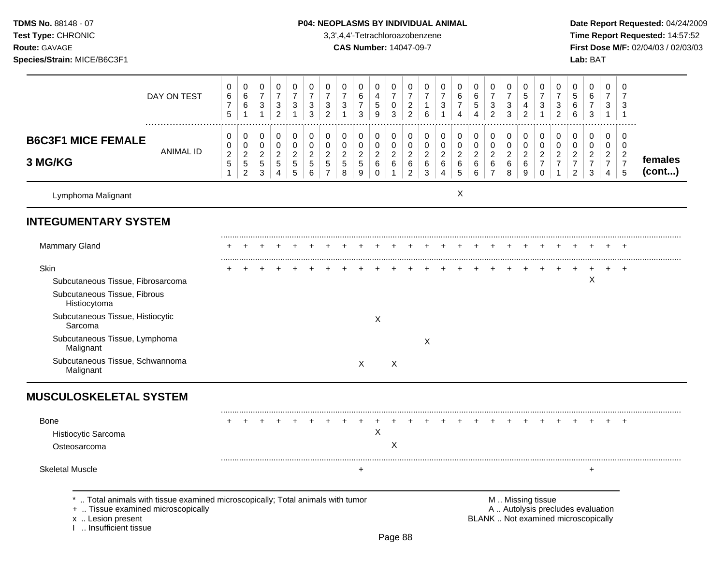# **TDMS No.** 88148 - 07 **P04: NEOPLASMS BY INDIVIDUAL ANIMAL** Date Report Requested: 04/24/2009

Test Type: CHRONIC **Test Type:** CHRONIC **3,3',4,4'-Tetrachloroazobenzene** 3,3',4,4'-Tetrachloroazobenzene **Time Report Requested:** 14:57:52 **Route:** GAVAGE **CAS Number:** 14047-09-7 **First Dose M/F:** 02/04/03 / 02/03/03

|                                                                                                                                                                                                                                        | DAY ON TEST                                                                  | 0<br>6<br>$\overline{7}$<br>5                          | 0<br>$\,6\,$<br>6<br>$\mathbf{1}$                                              | $\mathbf 0$<br>$\overline{7}$<br>3<br>$\mathbf{1}$              | $\mathbf 0$<br>$\overline{7}$<br>3<br>$\sqrt{2}$           | $\pmb{0}$<br>$\overline{7}$<br>3<br>$\mathbf{1}$            | 0<br>$\overline{7}$<br>$\mathbf{3}$<br>3                      | 0<br>$\overline{7}$<br>3<br>$\overline{2}$                                 | $\mathbf 0$<br>$\overline{7}$<br>3<br>$\mathbf{1}$              | 0<br>$\,6$<br>$\overline{7}$<br>3                     | 0<br>$\overline{\mathbf{4}}$<br>$\sqrt{5}$<br>9    | 0<br>$\overline{7}$<br>$\mathbf 0$<br>$\mathbf{3}$                      | 0<br>$\overline{7}$<br>$\overline{2}$<br>$\overline{2}$ | 0<br>$\overline{7}$<br>$\mathbf{1}$<br>$\,6\,$       | 0<br>$\boldsymbol{7}$<br>3<br>$\mathbf{1}$             | 0<br>$\,6\,$<br>$\boldsymbol{7}$<br>$\overline{4}$ | 0<br>$\,6\,$<br>$\sqrt{5}$<br>$\overline{4}$                      | 0<br>$\overline{7}$<br>3<br>$\overline{2}$                        | 0<br>$\overline{7}$<br>3<br>$\mathfrak{S}$         | 0<br>$\sqrt{5}$<br>$\overline{4}$<br>$\sqrt{2}$              | 0<br>$\overline{7}$<br>3<br>$\mathbf{1}$                                                      | $\mathbf 0$<br>$\overline{7}$<br>3<br>$\overline{c}$           | 0<br>5<br>6<br>6                                                         | 0<br>$\,6\,$<br>$\boldsymbol{7}$<br>$\mathbf{3}$                    | $\mathbf 0$<br>$\overline{7}$<br>3<br>$\mathbf{1}$                               | 0<br>$\overline{7}$<br>3<br>$\mathbf{1}$                  |                   |
|----------------------------------------------------------------------------------------------------------------------------------------------------------------------------------------------------------------------------------------|------------------------------------------------------------------------------|--------------------------------------------------------|--------------------------------------------------------------------------------|-----------------------------------------------------------------|------------------------------------------------------------|-------------------------------------------------------------|---------------------------------------------------------------|----------------------------------------------------------------------------|-----------------------------------------------------------------|-------------------------------------------------------|----------------------------------------------------|-------------------------------------------------------------------------|---------------------------------------------------------|------------------------------------------------------|--------------------------------------------------------|----------------------------------------------------|-------------------------------------------------------------------|-------------------------------------------------------------------|----------------------------------------------------|--------------------------------------------------------------|-----------------------------------------------------------------------------------------------|----------------------------------------------------------------|--------------------------------------------------------------------------|---------------------------------------------------------------------|----------------------------------------------------------------------------------|-----------------------------------------------------------|-------------------|
| <b>B6C3F1 MICE FEMALE</b><br>3 MG/KG                                                                                                                                                                                                   | <b>ANIMAL ID</b>                                                             | 0<br>0<br>$\overline{c}$<br>$\sqrt{5}$<br>$\mathbf{1}$ | 0<br>$\mathsf{O}\xspace$<br>$\overline{c}$<br>$\overline{5}$<br>$\overline{2}$ | $\mathbf 0$<br>$\mathbf 0$<br>$\overline{c}$<br>$\sqrt{5}$<br>3 | 0<br>$\mathsf 0$<br>$\overline{a}$<br>$5\phantom{.0}$<br>4 | $\pmb{0}$<br>$\pmb{0}$<br>$\overline{c}$<br>$\sqrt{5}$<br>5 | $\pmb{0}$<br>$\mathbf 0$<br>$\overline{c}$<br>$\sqrt{5}$<br>6 | $\pmb{0}$<br>$\mathsf 0$<br>$\overline{c}$<br>$\sqrt{5}$<br>$\overline{7}$ | $\mathbf 0$<br>$\pmb{0}$<br>$\boldsymbol{2}$<br>$\sqrt{5}$<br>8 | 0<br>$\mathbf 0$<br>$\overline{c}$<br>$\sqrt{5}$<br>9 | $\pmb{0}$<br>$\pmb{0}$<br>$\overline{a}$<br>6<br>0 | $\mathbf 0$<br>$\mathbf 0$<br>$\overline{c}$<br>$\,6\,$<br>$\mathbf{1}$ | 0<br>$\pmb{0}$<br>$\overline{a}$<br>6<br>$\overline{2}$ | $\pmb{0}$<br>$\mathbf 0$<br>$\overline{c}$<br>6<br>3 | $\pmb{0}$<br>$\pmb{0}$<br>$\overline{c}$<br>$\,6$<br>4 | 0<br>$\pmb{0}$<br>$\overline{c}$<br>$\,6\,$<br>5   | $\boldsymbol{0}$<br>$\mathbf 0$<br>$\overline{c}$<br>$\,6\,$<br>6 | 0<br>$\mathsf{O}\xspace$<br>$\overline{a}$<br>6<br>$\overline{7}$ | $\pmb{0}$<br>$\pmb{0}$<br>$\overline{c}$<br>6<br>8 | $\pmb{0}$<br>$\mathbf 0$<br>$\boldsymbol{2}$<br>$\,6\,$<br>9 | $\pmb{0}$<br>$\mathsf 0$<br>$\overline{c}$<br>$\overline{7}$<br>$\mathbf 0$                   | $\mathbf 0$<br>$\pmb{0}$<br>$\boldsymbol{2}$<br>$\overline{7}$ | 0<br>$\mathbf 0$<br>$\overline{c}$<br>$\boldsymbol{7}$<br>$\overline{2}$ | $\pmb{0}$<br>$\mathbf 0$<br>$\overline{2}$<br>$\boldsymbol{7}$<br>3 | $\mathbf 0$<br>$\mathbf 0$<br>$\overline{2}$<br>$\overline{7}$<br>$\overline{4}$ | 0<br>$\mathbf 0$<br>$\overline{c}$<br>$\overline{7}$<br>5 | females<br>(cont) |
| Lymphoma Malignant                                                                                                                                                                                                                     |                                                                              |                                                        |                                                                                |                                                                 |                                                            |                                                             |                                                               |                                                                            |                                                                 |                                                       |                                                    |                                                                         |                                                         |                                                      |                                                        | X                                                  |                                                                   |                                                                   |                                                    |                                                              |                                                                                               |                                                                |                                                                          |                                                                     |                                                                                  |                                                           |                   |
| <b>INTEGUMENTARY SYSTEM</b>                                                                                                                                                                                                            |                                                                              |                                                        |                                                                                |                                                                 |                                                            |                                                             |                                                               |                                                                            |                                                                 |                                                       |                                                    |                                                                         |                                                         |                                                      |                                                        |                                                    |                                                                   |                                                                   |                                                    |                                                              |                                                                                               |                                                                |                                                                          |                                                                     |                                                                                  |                                                           |                   |
| <b>Mammary Gland</b>                                                                                                                                                                                                                   |                                                                              |                                                        |                                                                                |                                                                 |                                                            |                                                             |                                                               |                                                                            |                                                                 |                                                       |                                                    |                                                                         |                                                         |                                                      |                                                        |                                                    |                                                                   |                                                                   |                                                    |                                                              |                                                                                               |                                                                |                                                                          |                                                                     |                                                                                  |                                                           |                   |
| Skin<br>Subcutaneous Tissue, Fibrosarcoma<br>Subcutaneous Tissue, Fibrous<br>Histiocytoma<br>Subcutaneous Tissue, Histiocytic<br>Sarcoma<br>Subcutaneous Tissue, Lymphoma<br>Malignant<br>Subcutaneous Tissue, Schwannoma<br>Malignant |                                                                              |                                                        |                                                                                |                                                                 |                                                            |                                                             |                                                               |                                                                            |                                                                 | X                                                     | X                                                  | $\mathsf{X}$                                                            |                                                         | X                                                    |                                                        |                                                    |                                                                   |                                                                   |                                                    |                                                              |                                                                                               |                                                                |                                                                          | X                                                                   |                                                                                  |                                                           |                   |
| <b>MUSCULOSKELETAL SYSTEM</b>                                                                                                                                                                                                          |                                                                              |                                                        |                                                                                |                                                                 |                                                            |                                                             |                                                               |                                                                            |                                                                 |                                                       |                                                    |                                                                         |                                                         |                                                      |                                                        |                                                    |                                                                   |                                                                   |                                                    |                                                              |                                                                                               |                                                                |                                                                          |                                                                     |                                                                                  |                                                           |                   |
| <b>Bone</b><br>Histiocytic Sarcoma<br>Osteosarcoma                                                                                                                                                                                     |                                                                              |                                                        |                                                                                |                                                                 |                                                            |                                                             |                                                               |                                                                            |                                                                 |                                                       | $\pmb{\times}$                                     | X                                                                       |                                                         |                                                      |                                                        |                                                    |                                                                   |                                                                   |                                                    |                                                              |                                                                                               |                                                                |                                                                          |                                                                     |                                                                                  |                                                           |                   |
| <b>Skeletal Muscle</b>                                                                                                                                                                                                                 |                                                                              |                                                        |                                                                                |                                                                 |                                                            |                                                             |                                                               |                                                                            |                                                                 | $\ddot{}$                                             |                                                    |                                                                         |                                                         |                                                      |                                                        |                                                    |                                                                   |                                                                   |                                                    |                                                              |                                                                                               |                                                                |                                                                          | $\ddot{}$                                                           |                                                                                  |                                                           |                   |
| +  Tissue examined microscopically<br>x  Lesion present<br>I  Insufficient tissue                                                                                                                                                      | Total animals with tissue examined microscopically; Total animals with tumor |                                                        |                                                                                |                                                                 |                                                            |                                                             |                                                               |                                                                            |                                                                 |                                                       |                                                    | Page 88                                                                 |                                                         |                                                      |                                                        |                                                    |                                                                   |                                                                   |                                                    |                                                              | M  Missing tissue<br>A  Autolysis precludes evaluation<br>BLANK  Not examined microscopically |                                                                |                                                                          |                                                                     |                                                                                  |                                                           |                   |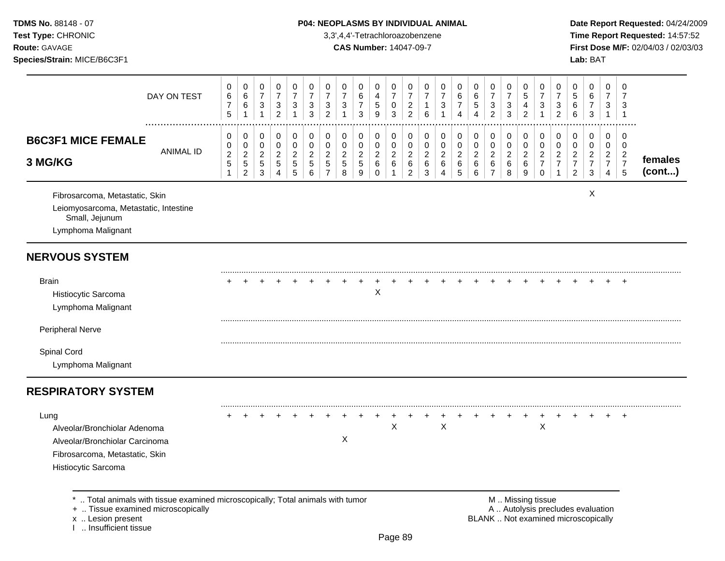# TDMS No. 88148 - 07 **P04: NEOPLASMS BY INDIVIDUAL ANIMAL** Date Report Requested: 04/24/2009

**Test Type:** CHRONIC 3,3',4,4'-Tetrachloroazobenzene **Time Report Requested:** 14:57:52 **Route:** GAVAGE **CAS Number:** 14047-09-7 **First Dose M/F:** 02/04/03 / 02/03/03

|                                                                                                                                 | DAY ON TEST                                                                  | 0<br>$\,6\,$<br>$\boldsymbol{7}$<br>$\overline{5}$ | 0<br>$\,6$<br>6<br>$\mathbf{1}$                                      | 0<br>$\overline{7}$<br>$\ensuremath{\mathsf{3}}$<br>$\mathbf{1}$ | 0<br>$\boldsymbol{7}$<br>$\ensuremath{\mathsf{3}}$<br>$\overline{a}$ | 0<br>$\boldsymbol{7}$<br>3<br>$\mathbf{1}$                   | 0<br>$\overline{7}$<br>$\ensuremath{\mathsf{3}}$<br>$\mathfrak{S}$ | 0<br>$\overline{7}$<br>3<br>$\overline{2}$                         | 0<br>$\overline{7}$<br>3<br>$\mathbf{1}$     | 0<br>6<br>$\overline{7}$<br>$\mathfrak{S}$                         | 0<br>$\overline{4}$<br>$\,$ 5 $\,$<br>$\mathsf g$        | 0<br>$\overline{7}$<br>0<br>$\mathbf{3}$                | 0<br>$\overline{7}$<br>$\sqrt{2}$<br>$\overline{2}$   | 0<br>$\overline{7}$<br>1<br>$\,6$                  | 0<br>$\overline{7}$<br>3<br>1                | 0<br>$\,6$<br>7<br>4                                 | 0<br>6<br>5<br>4                                     | 0<br>$\boldsymbol{7}$<br>3<br>$\overline{c}$            | 0<br>$\overline{7}$<br>$\mathbf{3}$<br>3             | 0<br>5<br>4<br>$\overline{c}$                    | 0<br>$\overline{7}$<br>3<br>$\mathbf{1}$                | 0<br>$\overline{7}$<br>3<br>$\overline{c}$             | 0<br>$\mathbf 5$<br>6<br>$\,6$                                           | 0<br>6<br>$\boldsymbol{7}$<br>$\mathfrak{Z}$                         | 0<br>$\overline{7}$<br>3<br>$\mathbf{1}$                         | 0<br>$\overline{7}$<br>3<br>$\overline{1}$                                    |                   |
|---------------------------------------------------------------------------------------------------------------------------------|------------------------------------------------------------------------------|----------------------------------------------------|----------------------------------------------------------------------|------------------------------------------------------------------|----------------------------------------------------------------------|--------------------------------------------------------------|--------------------------------------------------------------------|--------------------------------------------------------------------|----------------------------------------------|--------------------------------------------------------------------|----------------------------------------------------------|---------------------------------------------------------|-------------------------------------------------------|----------------------------------------------------|----------------------------------------------|------------------------------------------------------|------------------------------------------------------|---------------------------------------------------------|------------------------------------------------------|--------------------------------------------------|---------------------------------------------------------|--------------------------------------------------------|--------------------------------------------------------------------------|----------------------------------------------------------------------|------------------------------------------------------------------|-------------------------------------------------------------------------------|-------------------|
| <b>B6C3F1 MICE FEMALE</b><br>3 MG/KG                                                                                            | <b>ANIMAL ID</b>                                                             | 0<br>$\mathbf 0$<br>$\overline{c}$<br>5            | 0<br>$\mathbf 0$<br>$\boldsymbol{2}$<br>$\sqrt{5}$<br>$\overline{c}$ | 0<br>$\mathbf 0$<br>$\overline{2}$<br>$\sqrt{5}$<br>$\,$ 3 $\,$  | 0<br>$\pmb{0}$<br>$\boldsymbol{2}$<br>$\sqrt{5}$<br>4                | 0<br>$\mathbf 0$<br>$\boldsymbol{2}$<br>$5\phantom{.0}$<br>5 | 0<br>$\pmb{0}$<br>$\overline{c}$<br>$\sqrt{5}$<br>$\,6\,$          | 0<br>$\mathbf 0$<br>$\overline{2}$<br>$\sqrt{5}$<br>$\overline{7}$ | 0<br>$\mathbf 0$<br>$\overline{c}$<br>5<br>8 | 0<br>$\pmb{0}$<br>$\overline{c}$<br>$\sqrt{5}$<br>$\boldsymbol{9}$ | 0<br>$\mathbf 0$<br>$\sqrt{2}$<br>$\,6\,$<br>$\mathbf 0$ | 0<br>$\mathbf 0$<br>$\overline{2}$<br>6<br>$\mathbf{1}$ | 0<br>$\mathbf 0$<br>$\sqrt{2}$<br>6<br>$\overline{2}$ | 0<br>$\mathbf 0$<br>$\overline{c}$<br>$\,6\,$<br>3 | 0<br>$\mathbf 0$<br>$\overline{c}$<br>6<br>4 | 0<br>$\mathbf 0$<br>$\boldsymbol{2}$<br>$\,6\,$<br>5 | 0<br>$\mathsf{O}\xspace$<br>$\overline{c}$<br>6<br>6 | 0<br>$\pmb{0}$<br>$\overline{2}$<br>6<br>$\overline{7}$ | 0<br>$\mathsf{O}\xspace$<br>$\overline{2}$<br>6<br>8 | 0<br>$\mathbf 0$<br>$\overline{c}$<br>$\,6$<br>9 | 0<br>0<br>$\overline{c}$<br>$\overline{7}$<br>$\pmb{0}$ | 0<br>$\mathbf 0$<br>$\sqrt{2}$<br>$\overline{7}$<br>-1 | 0<br>0<br>$\overline{c}$<br>$\overline{7}$<br>$\overline{2}$             | 0<br>$\pmb{0}$<br>$\overline{2}$<br>$\overline{7}$<br>$\mathfrak{S}$ | $\Omega$<br>$\mathbf 0$<br>$\overline{2}$<br>$\overline{7}$<br>4 | $\Omega$<br>$\mathbf 0$<br>$\overline{2}$<br>$\overline{7}$<br>$\overline{5}$ | females<br>(cont) |
| Fibrosarcoma, Metastatic, Skin<br>Leiomyosarcoma, Metastatic, Intestine<br>Small, Jejunum<br>Lymphoma Malignant                 |                                                                              |                                                    |                                                                      |                                                                  |                                                                      |                                                              |                                                                    |                                                                    |                                              |                                                                    |                                                          |                                                         |                                                       |                                                    |                                              |                                                      |                                                      |                                                         |                                                      |                                                  |                                                         |                                                        |                                                                          | X                                                                    |                                                                  |                                                                               |                   |
| <b>NERVOUS SYSTEM</b>                                                                                                           |                                                                              |                                                    |                                                                      |                                                                  |                                                                      |                                                              |                                                                    |                                                                    |                                              |                                                                    |                                                          |                                                         |                                                       |                                                    |                                              |                                                      |                                                      |                                                         |                                                      |                                                  |                                                         |                                                        |                                                                          |                                                                      |                                                                  |                                                                               |                   |
| <b>Brain</b><br>Histiocytic Sarcoma<br>Lymphoma Malignant                                                                       |                                                                              |                                                    |                                                                      |                                                                  |                                                                      |                                                              |                                                                    |                                                                    |                                              |                                                                    | Χ                                                        |                                                         |                                                       |                                                    |                                              |                                                      |                                                      |                                                         |                                                      |                                                  |                                                         |                                                        |                                                                          |                                                                      |                                                                  | $\ddot{}$                                                                     |                   |
| <b>Peripheral Nerve</b>                                                                                                         |                                                                              |                                                    |                                                                      |                                                                  |                                                                      |                                                              |                                                                    |                                                                    |                                              |                                                                    |                                                          |                                                         |                                                       |                                                    |                                              |                                                      |                                                      |                                                         |                                                      |                                                  |                                                         |                                                        |                                                                          |                                                                      |                                                                  |                                                                               |                   |
| Spinal Cord<br>Lymphoma Malignant                                                                                               |                                                                              |                                                    |                                                                      |                                                                  |                                                                      |                                                              |                                                                    |                                                                    |                                              |                                                                    |                                                          |                                                         |                                                       |                                                    |                                              |                                                      |                                                      |                                                         |                                                      |                                                  |                                                         |                                                        |                                                                          |                                                                      |                                                                  |                                                                               |                   |
| <b>RESPIRATORY SYSTEM</b>                                                                                                       |                                                                              |                                                    |                                                                      |                                                                  |                                                                      |                                                              |                                                                    |                                                                    |                                              |                                                                    |                                                          |                                                         |                                                       |                                                    |                                              |                                                      |                                                      |                                                         |                                                      |                                                  |                                                         |                                                        |                                                                          |                                                                      |                                                                  |                                                                               |                   |
| Lung<br>Alveolar/Bronchiolar Adenoma<br>Alveolar/Bronchiolar Carcinoma<br>Fibrosarcoma, Metastatic, Skin<br>Histiocytic Sarcoma |                                                                              |                                                    |                                                                      |                                                                  |                                                                      |                                                              |                                                                    |                                                                    | X                                            |                                                                    |                                                          | $\pmb{\times}$                                          |                                                       |                                                    | X                                            |                                                      |                                                      |                                                         |                                                      |                                                  | Χ                                                       |                                                        |                                                                          |                                                                      |                                                                  | $\ddot{}$                                                                     |                   |
| +  Tissue examined microscopically<br>x  Lesion present<br>L. Insufficient tissue                                               | Total animals with tissue examined microscopically; Total animals with tumor |                                                    |                                                                      |                                                                  |                                                                      |                                                              |                                                                    |                                                                    |                                              |                                                                    |                                                          |                                                         |                                                       |                                                    |                                              |                                                      |                                                      |                                                         |                                                      |                                                  | M  Missing tissue                                       |                                                        | A  Autolysis precludes evaluation<br>BLANK  Not examined microscopically |                                                                      |                                                                  |                                                                               |                   |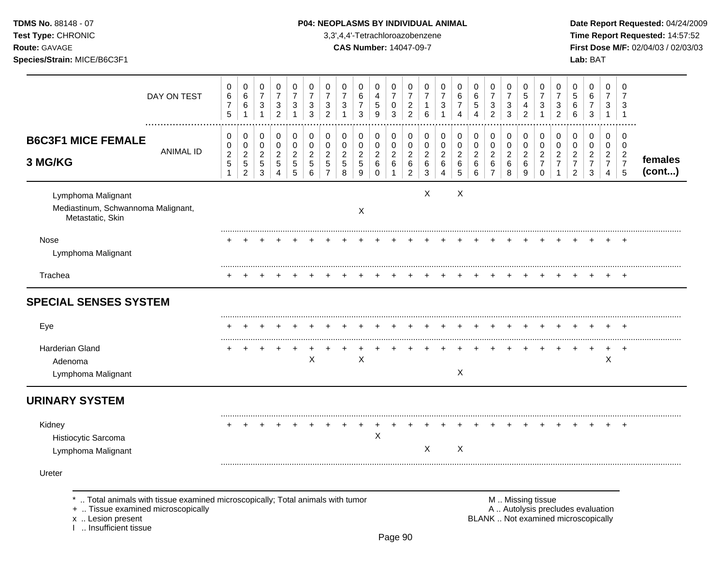| <b>TDMS No. 88148 - 07</b> |  |
|----------------------------|--|
| <b>Test Type: CHRONIC</b>  |  |

# **P04: NEOPLASMS BY INDIVIDUAL ANIMAL Date Report Requested:** 04/24/2009

**Time Report Requested:** 14:57:52 **Route:** GAVAGE **CAS Number:** 14047-09-7 **First Dose M/F:** 02/04/03 / 02/03/03 **Species/Strain:** MICE/B6C3F1 **Lab:** BAT

|                                                                                                                                                                      | DAY ON TEST      | 0<br>$\,6\,$<br>$\overline{7}$<br>5               | 0<br>$\,6\,$<br>$\,6\,$<br>1                                   | 0<br>$\overline{7}$<br>$\mathbf{3}$<br>$\mathbf{1}$   | 0<br>$\overline{7}$<br>$\mathbf{3}$<br>$\overline{2}$       | 0<br>$\overline{7}$<br>3<br>$\mathbf 1$ | 0<br>$\overline{7}$<br>3<br>3                                   | 0<br>$\overline{7}$<br>3<br>$\overline{2}$                     | 0<br>$\overline{7}$<br>$\ensuremath{\mathsf{3}}$<br>$\mathbf{1}$ | 0<br>$\,6\,$<br>$\overline{7}$<br>3                            | 0<br>4<br>5<br>9                   | 0<br>$\overline{7}$<br>0<br>3                    | 0<br>$\overline{7}$<br>$\overline{c}$<br>$\overline{2}$   | 0<br>$\overline{7}$<br>1<br>6                     | 0<br>$\overline{7}$<br>3<br>1                          | 0<br>$\,6$<br>$\overline{7}$<br>4                | 0<br>$\,6\,$<br>$\sqrt{5}$<br>4                      | 0<br>$\overline{7}$<br>3<br>$\overline{2}$                | 0<br>$\overline{7}$<br>$\,$ 3 $\,$<br>3          | 0<br>$\overline{5}$<br>4<br>$\overline{2}$             | 0<br>$\overline{7}$<br>3<br>$\overline{1}$                       | 0<br>$\overline{7}$<br>3<br>$\overline{2}$                               | 0<br>5<br>$\,6$<br>6                                         | 0<br>$\,6\,$<br>$\boldsymbol{7}$<br>$\mathbf{3}$          | 0<br>$\overline{7}$<br>3<br>$\mathbf{1}$                            | 0<br>7<br>3<br>$\overline{1}$                                       |                   |
|----------------------------------------------------------------------------------------------------------------------------------------------------------------------|------------------|---------------------------------------------------|----------------------------------------------------------------|-------------------------------------------------------|-------------------------------------------------------------|-----------------------------------------|-----------------------------------------------------------------|----------------------------------------------------------------|------------------------------------------------------------------|----------------------------------------------------------------|------------------------------------|--------------------------------------------------|-----------------------------------------------------------|---------------------------------------------------|--------------------------------------------------------|--------------------------------------------------|------------------------------------------------------|-----------------------------------------------------------|--------------------------------------------------|--------------------------------------------------------|------------------------------------------------------------------|--------------------------------------------------------------------------|--------------------------------------------------------------|-----------------------------------------------------------|---------------------------------------------------------------------|---------------------------------------------------------------------|-------------------|
| <b>B6C3F1 MICE FEMALE</b><br>3 MG/KG                                                                                                                                 | <b>ANIMAL ID</b> | 0<br>$\mathbf 0$<br>$\overline{c}$<br>$\,$ 5 $\,$ | 0<br>$\mathbf 0$<br>$\sqrt{2}$<br>$\sqrt{5}$<br>$\overline{c}$ | 0<br>$\mathbf 0$<br>$\overline{a}$<br>$\sqrt{5}$<br>3 | $\mathbf 0$<br>$\mathbf 0$<br>$\sqrt{2}$<br>$\sqrt{5}$<br>4 | 0<br>0<br>$\overline{c}$<br>5<br>5      | $\mathbf 0$<br>$\mathbf 0$<br>$\overline{c}$<br>$\sqrt{5}$<br>6 | $\pmb{0}$<br>$\Omega$<br>$\overline{c}$<br>5<br>$\overline{7}$ | 0<br>$\pmb{0}$<br>$\overline{c}$<br>5<br>8                       | $\mathbf 0$<br>$\pmb{0}$<br>$\sqrt{2}$<br>$\,$ 5 $\,$<br>$9\,$ | 0<br>0<br>$\overline{c}$<br>6<br>0 | 0<br>$\mathsf 0$<br>$\overline{2}$<br>$\,6$<br>1 | 0<br>$\mathbf 0$<br>$\overline{c}$<br>6<br>$\overline{c}$ | 0<br>0<br>$\overline{\mathbf{c}}$<br>$\,6\,$<br>3 | $\mathbf 0$<br>$\mathbf 0$<br>$\sqrt{2}$<br>$\,6$<br>4 | 0<br>$\pmb{0}$<br>$\overline{c}$<br>$\,6\,$<br>5 | $\pmb{0}$<br>$\mathsf 0$<br>$\overline{2}$<br>6<br>6 | 0<br>$\mathbf 0$<br>$\overline{c}$<br>6<br>$\overline{7}$ | 0<br>$\pmb{0}$<br>$\overline{c}$<br>$\,6\,$<br>8 | $\mathbf 0$<br>$\mathbf 0$<br>$\overline{c}$<br>6<br>9 | $\mathbf 0$<br>$\Omega$<br>$\overline{c}$<br>$\overline{7}$<br>0 | $\mathbf 0$<br>$\pmb{0}$<br>$\overline{c}$<br>$\overline{7}$             | 0<br>0<br>$\overline{c}$<br>$\overline{7}$<br>$\overline{2}$ | 0<br>$\mathbf 0$<br>$\overline{a}$<br>$\overline{7}$<br>3 | $\mathbf 0$<br>$\mathbf 0$<br>$\overline{2}$<br>$\overline{7}$<br>4 | $\mathbf 0$<br>$\mathbf 0$<br>$\overline{c}$<br>$\overline{7}$<br>5 | females<br>(cont) |
| Lymphoma Malignant<br>Mediastinum, Schwannoma Malignant,<br>Metastatic, Skin                                                                                         |                  |                                                   |                                                                |                                                       |                                                             |                                         |                                                                 |                                                                |                                                                  | $\boldsymbol{\mathsf{X}}$                                      |                                    |                                                  |                                                           | X                                                 |                                                        | X                                                |                                                      |                                                           |                                                  |                                                        |                                                                  |                                                                          |                                                              |                                                           |                                                                     |                                                                     |                   |
| Nose<br>Lymphoma Malignant                                                                                                                                           |                  |                                                   |                                                                |                                                       |                                                             |                                         |                                                                 |                                                                |                                                                  |                                                                |                                    |                                                  |                                                           |                                                   |                                                        |                                                  |                                                      |                                                           |                                                  |                                                        |                                                                  |                                                                          |                                                              |                                                           |                                                                     |                                                                     |                   |
| Trachea                                                                                                                                                              |                  |                                                   |                                                                |                                                       |                                                             |                                         |                                                                 |                                                                |                                                                  |                                                                |                                    |                                                  |                                                           |                                                   |                                                        |                                                  |                                                      |                                                           |                                                  |                                                        |                                                                  |                                                                          |                                                              |                                                           |                                                                     |                                                                     |                   |
| <b>SPECIAL SENSES SYSTEM</b><br>Eye                                                                                                                                  |                  |                                                   |                                                                |                                                       |                                                             |                                         |                                                                 |                                                                |                                                                  |                                                                |                                    |                                                  |                                                           |                                                   |                                                        |                                                  |                                                      |                                                           |                                                  |                                                        |                                                                  |                                                                          |                                                              |                                                           |                                                                     |                                                                     |                   |
| Harderian Gland<br>Adenoma<br>Lymphoma Malignant                                                                                                                     |                  |                                                   |                                                                |                                                       |                                                             |                                         | $\sf X$                                                         |                                                                |                                                                  | $\mathsf X$                                                    |                                    |                                                  |                                                           |                                                   |                                                        | X                                                |                                                      |                                                           |                                                  |                                                        |                                                                  |                                                                          |                                                              |                                                           | $\boldsymbol{\mathsf{X}}$                                           | <b>+</b>                                                            |                   |
| <b>URINARY SYSTEM</b>                                                                                                                                                |                  |                                                   |                                                                |                                                       |                                                             |                                         |                                                                 |                                                                |                                                                  |                                                                |                                    |                                                  |                                                           |                                                   |                                                        |                                                  |                                                      |                                                           |                                                  |                                                        |                                                                  |                                                                          |                                                              |                                                           |                                                                     |                                                                     |                   |
| Kidney<br>Histiocytic Sarcoma<br>Lymphoma Malignant                                                                                                                  |                  |                                                   |                                                                |                                                       |                                                             |                                         |                                                                 |                                                                |                                                                  | +                                                              | X                                  |                                                  |                                                           | X                                                 |                                                        | X                                                |                                                      |                                                           |                                                  |                                                        |                                                                  |                                                                          |                                                              |                                                           |                                                                     |                                                                     |                   |
| Ureter                                                                                                                                                               |                  |                                                   |                                                                |                                                       |                                                             |                                         |                                                                 |                                                                |                                                                  |                                                                |                                    |                                                  |                                                           |                                                   |                                                        |                                                  |                                                      |                                                           |                                                  |                                                        |                                                                  |                                                                          |                                                              |                                                           |                                                                     |                                                                     |                   |
| *  Total animals with tissue examined microscopically; Total animals with tumor<br>+  Tissue examined microscopically<br>x  Lesion present<br>I  Insufficient tissue |                  |                                                   |                                                                |                                                       |                                                             |                                         |                                                                 |                                                                |                                                                  |                                                                |                                    |                                                  | $\sim$ $\sim$                                             |                                                   |                                                        |                                                  |                                                      |                                                           |                                                  |                                                        | M  Missing tissue                                                | A  Autolysis precludes evaluation<br>BLANK  Not examined microscopically |                                                              |                                                           |                                                                     |                                                                     |                   |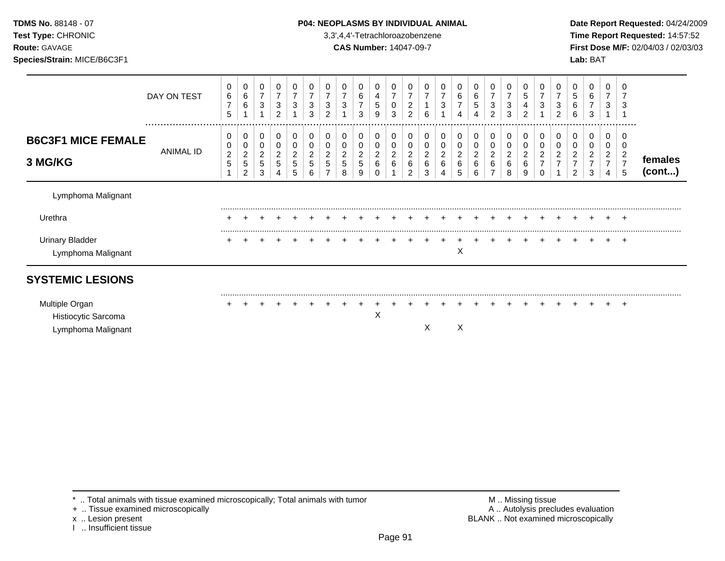**Test Type:** CHRONIC 3,3',4,4'-Tetrachloroazobenzene **Time Report Requested:** 14:57:52 **Route:** GAVAGE **CAS Number:** 14047-09-7 **First Dose M/F:** 02/04/03 / 02/03/03 **Species/Strain:** MICE/B6C3F1 **Lab:** BAT

| DAY ON TEST                                                 | 0<br>6<br>$\overline{7}$<br>5      | 0<br>6<br>6                                               | 0<br>$\overline{7}$<br>3             | 0<br>$\overline{7}$<br>3<br>$\overline{c}$ | $\overline{7}$<br>3                | 0<br>$\overline{7}$<br>$\sqrt{3}$<br>3 | 0<br>$\overline{7}$<br>3<br>$\overline{c}$ | 0<br>$\overline{7}$<br>$\ensuremath{\mathsf{3}}$ | 0<br>6<br>$\overline{7}$<br>3               | 0<br>4<br>5<br>9                       | 0<br>$\overline{7}$<br>0<br>3                   | 7<br>$\overline{c}$<br>$\overline{c}$                             | 0<br>$\overline{7}$<br>6                             | 0<br>$\overline{7}$<br>3                                          | 0<br>6<br>$\overline{7}$<br>4      | 0<br>6<br>$\,$ 5 $\,$<br>4         | 0<br>$\overline{7}$<br>3<br>$\overline{c}$ | 0<br>$\overline{7}$<br>3<br>3      | 5<br>4<br>$\overline{2}$      | 0<br>7<br>3                                            | 0<br>$\overline{7}$<br>$\ensuremath{\mathsf{3}}$<br>$\overline{c}$ | 0<br>$\,$ 5 $\,$<br>6<br>6   | 6<br>$\overline{7}$<br>3 | 0<br>$\overline{7}$<br>3     | 0<br>3                            |                         |
|-------------------------------------------------------------|------------------------------------|-----------------------------------------------------------|--------------------------------------|--------------------------------------------|------------------------------------|----------------------------------------|--------------------------------------------|--------------------------------------------------|---------------------------------------------|----------------------------------------|-------------------------------------------------|-------------------------------------------------------------------|------------------------------------------------------|-------------------------------------------------------------------|------------------------------------|------------------------------------|--------------------------------------------|------------------------------------|-------------------------------|--------------------------------------------------------|--------------------------------------------------------------------|------------------------------|--------------------------|------------------------------|-----------------------------------|-------------------------|
| <br><b>B6C3F1 MICE FEMALE</b><br>ANIMAL ID<br>3 MG/KG       | 0<br>0<br>$\sqrt{2}$<br>$\sqrt{5}$ | 0<br>0<br>$\overline{c}$<br>$\mathbf 5$<br>$\overline{2}$ | 0<br>0<br>$\boldsymbol{2}$<br>5<br>3 | 0<br>0<br>$\overline{2}$<br>5              | 0<br>0<br>$\overline{c}$<br>5<br>5 | 0<br>0<br>$\frac{2}{5}$<br>6           | 0<br>0<br>$\frac{2}{5}$                    | 0<br>0<br>$rac{2}{5}$<br>8                       | 0<br>0<br>$\overline{c}$<br>$\sqrt{5}$<br>9 | 0<br>0<br>$\overline{\mathbf{c}}$<br>6 | 0<br>0<br>$\begin{array}{c} 2 \\ 6 \end{array}$ | 0<br>0<br>$\begin{array}{c} 2 \\ 6 \end{array}$<br>$\overline{2}$ | 0<br>0<br>$\begin{array}{c} 2 \\ 6 \end{array}$<br>3 | 0<br>0<br>$\begin{array}{c} 2 \\ 6 \end{array}$<br>$\overline{4}$ | 0<br>0<br>$\overline{c}$<br>6<br>5 | 0<br>0<br>$\overline{c}$<br>6<br>6 | 0<br>0<br>$\overline{c}$<br>6              | 0<br>0<br>$\overline{c}$<br>6<br>8 | 0<br>$\overline{c}$<br>6<br>9 | 0<br>0<br>$\overline{c}$<br>$\overline{7}$<br>$\Omega$ | 0<br>0<br>$\frac{2}{7}$                                            | 0<br>0<br>$\frac{2}{7}$<br>2 | 0<br>$\frac{2}{7}$<br>3  | 0<br>0<br>$\frac{2}{7}$<br>4 | .<br>0<br>0<br>$\frac{2}{7}$<br>5 | females<br>$($ cont $)$ |
| Lymphoma Malignant                                          |                                    |                                                           |                                      |                                            |                                    |                                        |                                            |                                                  |                                             |                                        |                                                 |                                                                   |                                                      |                                                                   |                                    |                                    |                                            |                                    |                               |                                                        |                                                                    |                              |                          |                              |                                   |                         |
| Urethra                                                     |                                    |                                                           |                                      |                                            |                                    |                                        |                                            |                                                  |                                             |                                        |                                                 |                                                                   |                                                      |                                                                   |                                    |                                    |                                            |                                    |                               |                                                        |                                                                    |                              |                          | ÷.                           | $\pm$                             |                         |
| <b>Urinary Bladder</b><br>Lymphoma Malignant                |                                    |                                                           |                                      |                                            |                                    |                                        |                                            |                                                  |                                             |                                        |                                                 |                                                                   |                                                      | $\pm$                                                             | $\pm$<br>Х                         |                                    |                                            |                                    |                               |                                                        |                                                                    |                              |                          | $+$                          | $\overline{+}$                    |                         |
| <b>SYSTEMIC LESIONS</b>                                     |                                    |                                                           |                                      |                                            |                                    |                                        |                                            |                                                  |                                             |                                        |                                                 |                                                                   |                                                      |                                                                   |                                    |                                    |                                            |                                    |                               |                                                        |                                                                    |                              |                          |                              |                                   |                         |
| Multiple Organ<br>Histiocytic Sarcoma<br>Lymphoma Malignant |                                    |                                                           |                                      |                                            |                                    |                                        |                                            |                                                  |                                             | X                                      |                                                 |                                                                   | X                                                    |                                                                   | X                                  |                                    |                                            |                                    |                               |                                                        |                                                                    | ÷.                           |                          | $+$                          | $\pm$                             |                         |

\* .. Total animals with tissue examined microscopically; Total animals with tumor <br>
+ .. Tissue examined microscopically<br>
+ .. Tissue examined microscopically

- + .. Tissue examined microscopically
- 
- x .. Lesion present<br>I .. Insufficient tissue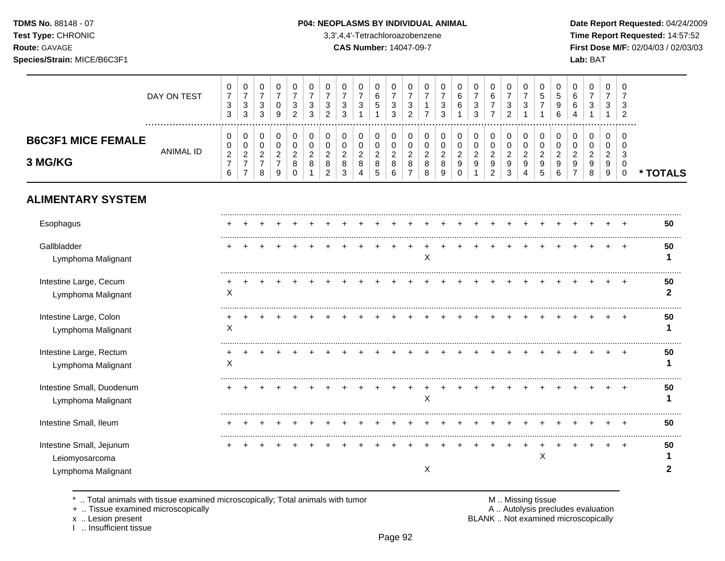# **TDMS No.** 88148 - 07 **P04: NEOPLASMS BY INDIVIDUAL ANIMAL** Date Report Requested: 04/24/2009

**Test Type:** CHRONIC 3,3',4,4'-Tetrachloroazobenzene **Time Report Requested:** 14:57:52 **Route:** GAVAGE **CAS Number:** 14047-09-7 **First Dose M/F:** 02/04/03 / 02/03/03

|                                                                  | DAY ON TEST      | 0<br>$\overline{7}$<br>$\ensuremath{\mathsf{3}}$<br>3 | $\pmb{0}$<br>$\overline{7}$<br>$\ensuremath{\mathsf{3}}$<br>3 | 0<br>$\overline{7}$<br>3<br>$\mathbf{3}$                | 0<br>$\overline{7}$<br>$\pmb{0}$<br>9                     | 0<br>$\overline{7}$<br>3<br>$\overline{c}$             | 0<br>$\overline{7}$<br>3<br>3               | 0<br>$\overline{7}$<br>3<br>$\overline{2}$                | 0<br>$\overline{7}$<br>3<br>3              | 0<br>$\overline{7}$<br>3                     | 0<br>6<br>5                              | 0<br>$\overline{7}$<br>$\sqrt{3}$<br>3           | 0<br>$\overline{7}$<br>$\ensuremath{\mathsf{3}}$<br>$\overline{2}$ | 0<br>$\overline{7}$<br>$\mathbf{1}$<br>$\overline{7}$ | 0<br>$\overline{7}$<br>$\sqrt{3}$<br>3 | 0<br>6<br>6                                         | 0<br>3<br>3                             | 0<br>6<br>$\overline{7}$<br>$\overline{7}$              | 0<br>$\overline{7}$<br>3<br>$\overline{2}$ | 0<br>$\overline{7}$<br>3                            | 0<br>5<br>$\overline{7}$                     | 0<br>5<br>9<br>6                             | 0<br>6<br>6                                       | 0<br>$\overline{7}$<br>3                   | 0<br>$\overline{7}$<br>3<br>1      | 0<br>3<br>$\overline{2}$                  |                    |
|------------------------------------------------------------------|------------------|-------------------------------------------------------|---------------------------------------------------------------|---------------------------------------------------------|-----------------------------------------------------------|--------------------------------------------------------|---------------------------------------------|-----------------------------------------------------------|--------------------------------------------|----------------------------------------------|------------------------------------------|--------------------------------------------------|--------------------------------------------------------------------|-------------------------------------------------------|----------------------------------------|-----------------------------------------------------|-----------------------------------------|---------------------------------------------------------|--------------------------------------------|-----------------------------------------------------|----------------------------------------------|----------------------------------------------|---------------------------------------------------|--------------------------------------------|------------------------------------|-------------------------------------------|--------------------|
| <b>B6C3F1 MICE FEMALE</b><br>3 MG/KG                             | <b>ANIMAL ID</b> | 0<br>0<br>$\boldsymbol{2}$<br>$\boldsymbol{7}$<br>6   | 0<br>0<br>$\sqrt{2}$<br>$\overline{7}$<br>$\overline{7}$      | 0<br>$\pmb{0}$<br>$\overline{c}$<br>$\overline{7}$<br>8 | 0<br>$\pmb{0}$<br>$\boldsymbol{2}$<br>$\overline{7}$<br>9 | 0<br>$\mathbf 0$<br>$\overline{2}$<br>8<br>$\mathbf 0$ | $\,0\,$<br>$\pmb{0}$<br>$\overline{c}$<br>8 | 0<br>$\pmb{0}$<br>$\boldsymbol{2}$<br>8<br>$\overline{c}$ | 0<br>$\pmb{0}$<br>$\overline{a}$<br>8<br>3 | 0<br>$\mathbf 0$<br>$\overline{2}$<br>8<br>Δ | 0<br>0<br>$\overline{c}$<br>$\bf 8$<br>5 | 0<br>$\pmb{0}$<br>$\overline{c}$<br>8<br>$\,6\,$ | 0<br>$\mathbf 0$<br>$\overline{c}$<br>8<br>$\overline{7}$          | 0<br>$\pmb{0}$<br>$\overline{c}$<br>8<br>8            | 0<br>$\pmb{0}$<br>$\sqrt{2}$<br>8<br>9 | 0<br>$\pmb{0}$<br>$\boldsymbol{2}$<br>9<br>$\Omega$ | 0<br>$\pmb{0}$<br>$\boldsymbol{2}$<br>9 | 0<br>$\pmb{0}$<br>$\overline{c}$<br>9<br>$\overline{2}$ | 0<br>$\pmb{0}$<br>$\overline{a}$<br>9<br>3 | 0<br>$\pmb{0}$<br>$\sqrt{2}$<br>9<br>$\overline{4}$ | 0<br>$\pmb{0}$<br>$\boldsymbol{2}$<br>9<br>5 | 0<br>$\mathbf 0$<br>$\overline{2}$<br>9<br>6 | $\mathbf 0$<br>$\mathbf 0$<br>$\overline{2}$<br>9 | 0<br>$\pmb{0}$<br>$\overline{c}$<br>9<br>8 | 0<br>0<br>$\overline{2}$<br>9<br>9 | 0<br>$\mathbf 0$<br>3<br>0<br>$\mathbf 0$ | * TOTALS           |
| <b>ALIMENTARY SYSTEM</b>                                         |                  |                                                       |                                                               |                                                         |                                                           |                                                        |                                             |                                                           |                                            |                                              |                                          |                                                  |                                                                    |                                                       |                                        |                                                     |                                         |                                                         |                                            |                                                     |                                              |                                              |                                                   |                                            |                                    |                                           |                    |
| Esophagus                                                        |                  |                                                       |                                                               |                                                         |                                                           |                                                        |                                             |                                                           |                                            |                                              |                                          |                                                  |                                                                    |                                                       |                                        |                                                     |                                         |                                                         |                                            |                                                     |                                              |                                              |                                                   |                                            |                                    |                                           | 50                 |
| Gallbladder<br>Lymphoma Malignant                                |                  |                                                       |                                                               |                                                         |                                                           |                                                        |                                             |                                                           |                                            |                                              |                                          |                                                  |                                                                    | X                                                     |                                        |                                                     |                                         |                                                         |                                            |                                                     |                                              |                                              |                                                   |                                            |                                    |                                           | 50                 |
| Intestine Large, Cecum<br>Lymphoma Malignant                     |                  | X                                                     |                                                               |                                                         |                                                           |                                                        |                                             |                                                           |                                            |                                              |                                          |                                                  |                                                                    |                                                       |                                        |                                                     |                                         |                                                         |                                            |                                                     |                                              |                                              |                                                   |                                            |                                    | $\div$                                    | 50<br>$\mathbf{2}$ |
| Intestine Large, Colon<br>Lymphoma Malignant                     |                  | X                                                     |                                                               |                                                         |                                                           |                                                        |                                             |                                                           |                                            |                                              |                                          |                                                  |                                                                    |                                                       |                                        |                                                     |                                         |                                                         |                                            |                                                     |                                              |                                              |                                                   |                                            |                                    |                                           | 50                 |
| Intestine Large, Rectum<br>Lymphoma Malignant                    |                  | X                                                     |                                                               |                                                         |                                                           |                                                        |                                             |                                                           |                                            |                                              |                                          |                                                  |                                                                    |                                                       |                                        |                                                     |                                         |                                                         |                                            |                                                     |                                              |                                              |                                                   |                                            |                                    |                                           | 50                 |
| Intestine Small, Duodenum<br>Lymphoma Malignant                  |                  |                                                       |                                                               |                                                         |                                                           |                                                        |                                             |                                                           |                                            |                                              |                                          |                                                  |                                                                    | X                                                     |                                        |                                                     |                                         |                                                         |                                            |                                                     |                                              |                                              |                                                   |                                            |                                    | $\div$                                    | 50                 |
| Intestine Small, Ileum                                           |                  |                                                       |                                                               |                                                         |                                                           |                                                        |                                             |                                                           |                                            |                                              |                                          |                                                  |                                                                    |                                                       |                                        |                                                     |                                         |                                                         |                                            |                                                     |                                              |                                              |                                                   |                                            |                                    | $\ddot{}$                                 | 50                 |
| Intestine Small, Jejunum<br>Leiomyosarcoma<br>Lymphoma Malignant |                  |                                                       |                                                               |                                                         |                                                           |                                                        |                                             |                                                           |                                            |                                              |                                          |                                                  |                                                                    | X                                                     |                                        |                                                     |                                         |                                                         |                                            |                                                     | $\mathsf X$                                  |                                              |                                                   |                                            |                                    | $\ddot{}$                                 | 50                 |

\* .. Total animals with tissue examined microscopically; Total animals with tumor M .. Missing tissue M .. Missing tissue<br>
+ .. Tissue examined microscopically

+ .. Tissue examined microscopically

x .. Lesion present<br>I .. Insufficient tissue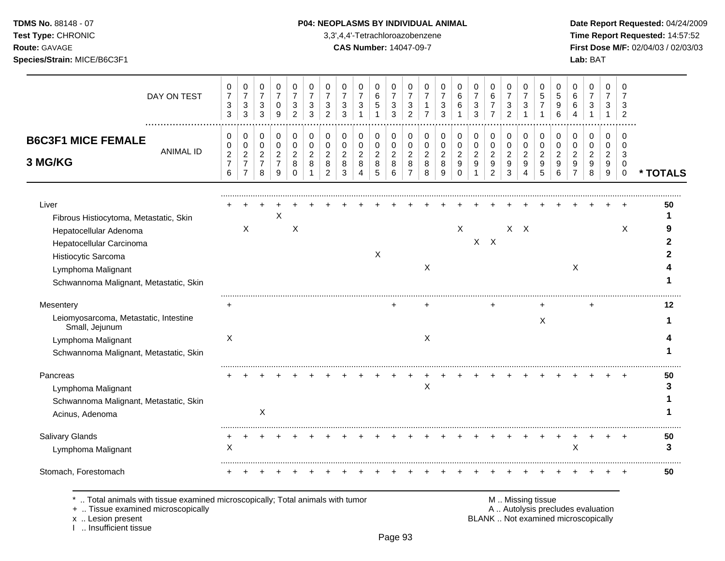# **TDMS No.** 88148 - 07 **P04: NEOPLASMS BY INDIVIDUAL ANIMAL** Date Report Requested: 04/24/2009

**Test Type:** CHRONIC 3,3',4,4'-Tetrachloroazobenzene **Time Report Requested:** 14:57:52 **Route:** GAVAGE **CAS Number:** 14047-09-7 **First Dose M/F:** 02/04/03 / 02/03/03

| DAY ON TEST                                                                  | 0<br>$\overline{7}$<br>$\ensuremath{\mathsf{3}}$<br>3 | 0<br>$\overline{7}$<br>$\sqrt{3}$<br>3             | 0<br>$\overline{7}$<br>$\sqrt{3}$<br>3 | 0<br>$\overline{7}$<br>0<br>9         | 0<br>$\overline{7}$<br>3<br>2 | 0<br>$\overline{7}$<br>3<br>3 | 0<br>$\overline{7}$<br>3<br>2 | 0<br>$\overline{7}$<br>3<br>3 | 0<br>$\overline{7}$<br>$\mathbf{3}$ | 0<br>6<br>$\sqrt{5}$     | $\Omega$<br>$\overline{7}$<br>$\sqrt{3}$<br>3 | 0<br>$\overline{7}$<br>3<br>2 | 0<br>-1<br>7             | 0<br>7<br>3<br>3 | 0<br>6<br>6        | 0<br>$\overline{7}$<br>$\sqrt{3}$<br>3 | 0<br>6<br>$\overline{7}$<br>$\overline{7}$ | 0<br>$\overline{7}$<br>$\sqrt{3}$<br>$\overline{2}$ | 0<br>$\overline{7}$<br>$\mathbf{3}$<br>1 | 0<br>5<br>$\overline{7}$ | 0<br>5<br>9 | 0<br>6<br>6   | 0<br>$\overline{7}$<br>3 | 0<br>7<br>3                             | 0<br>7<br>3<br>$\overline{2}$ |          |
|------------------------------------------------------------------------------|-------------------------------------------------------|----------------------------------------------------|----------------------------------------|---------------------------------------|-------------------------------|-------------------------------|-------------------------------|-------------------------------|-------------------------------------|--------------------------|-----------------------------------------------|-------------------------------|--------------------------|------------------|--------------------|----------------------------------------|--------------------------------------------|-----------------------------------------------------|------------------------------------------|--------------------------|-------------|---------------|--------------------------|-----------------------------------------|-------------------------------|----------|
| <b>B6C3F1 MICE FEMALE</b>                                                    | 0<br>0                                                | 0<br>0                                             | $\Omega$<br>$\mathbf 0$                | 0<br>$\mathbf 0$                      | 0<br>$\mathbf 0$              | 0<br>$\mathbf 0$              | 0<br>$\mathbf 0$              | 0<br>$\mathbf 0$              | 0<br>$\mathbf 0$                    | 0<br>0                   | 0<br>$\mathbf 0$                              | $\Omega$<br>$\mathbf 0$       | 0<br>$\mathbf 0$         | 0<br>0           | 0<br>$\Omega$      | 0<br>$\mathbf 0$                       | 0<br>0                                     | 0<br>0                                              | 0<br>$\mathbf 0$                         | 0<br>$\mathbf 0$         | 0<br>0      | 0<br>$\Omega$ | 0<br>$\Omega$            | 0<br>$\Omega$                           | 0<br>$\Omega$                 |          |
| <b>ANIMAL ID</b><br>3 MG/KG                                                  | $\overline{c}$<br>$\overline{7}$<br>6                 | $\overline{2}$<br>$\overline{7}$<br>$\overline{7}$ | $\overline{2}$<br>$\overline{7}$<br>8  | $\overline{c}$<br>$\overline{7}$<br>9 | 2<br>8<br>$\Omega$            | 2<br>8                        | 2<br>8<br>$\overline{2}$      | $\overline{2}$<br>8<br>3      | 2<br>8<br>4                         | $\overline{c}$<br>8<br>5 | $\overline{2}$<br>8<br>6                      | 2<br>8<br>$\overline{7}$      | $\overline{2}$<br>8<br>8 | 2<br>8<br>9      | 2<br>9<br>$\Omega$ | $\overline{2}$<br>9                    | $\overline{c}$<br>9<br>$\boldsymbol{2}$    | $\overline{2}$<br>9<br>3                            | $\overline{2}$<br>9<br>4                 | $\overline{2}$<br>9<br>5 | 2<br>9<br>6 | 2<br>9        | 2<br>9<br>8              | $\overline{c}$<br>9<br>$\boldsymbol{9}$ | 3<br>$\Omega$<br>$\mathbf 0$  | * TOTALS |
| Liver                                                                        |                                                       |                                                    |                                        |                                       |                               |                               |                               |                               |                                     |                          |                                               |                               |                          |                  |                    |                                        |                                            |                                                     |                                          |                          |             |               |                          |                                         |                               | 50       |
| Fibrous Histiocytoma, Metastatic, Skin                                       |                                                       |                                                    |                                        | X                                     | $\mathsf X$                   |                               |                               |                               |                                     |                          |                                               |                               |                          |                  | X                  |                                        |                                            |                                                     | $X$ $X$                                  |                          |             |               |                          |                                         |                               |          |
| Hepatocellular Adenoma<br>Hepatocellular Carcinoma                           |                                                       | X                                                  |                                        |                                       |                               |                               |                               |                               |                                     |                          |                                               |                               |                          |                  |                    |                                        | $X$ $X$                                    |                                                     |                                          |                          |             |               |                          |                                         | X                             |          |
| Histiocytic Sarcoma                                                          |                                                       |                                                    |                                        |                                       |                               |                               |                               |                               |                                     | X                        |                                               |                               |                          |                  |                    |                                        |                                            |                                                     |                                          |                          |             |               |                          |                                         |                               |          |
| Lymphoma Malignant                                                           |                                                       |                                                    |                                        |                                       |                               |                               |                               |                               |                                     |                          |                                               |                               | X                        |                  |                    |                                        |                                            |                                                     |                                          |                          |             | $\sf X$       |                          |                                         |                               |          |
| Schwannoma Malignant, Metastatic, Skin                                       |                                                       |                                                    |                                        |                                       |                               |                               |                               |                               |                                     |                          |                                               |                               |                          |                  |                    |                                        |                                            |                                                     |                                          |                          |             |               |                          |                                         |                               |          |
| Mesentery                                                                    |                                                       |                                                    |                                        |                                       |                               |                               |                               |                               |                                     |                          |                                               |                               |                          |                  |                    |                                        |                                            |                                                     |                                          |                          |             |               |                          |                                         |                               | 12       |
| Leiomyosarcoma, Metastatic, Intestine<br>Small, Jejunum                      |                                                       |                                                    |                                        |                                       |                               |                               |                               |                               |                                     |                          |                                               |                               |                          |                  |                    |                                        |                                            |                                                     |                                          | X                        |             |               |                          |                                         |                               |          |
| Lymphoma Malignant                                                           | X                                                     |                                                    |                                        |                                       |                               |                               |                               |                               |                                     |                          |                                               |                               | X                        |                  |                    |                                        |                                            |                                                     |                                          |                          |             |               |                          |                                         |                               |          |
| Schwannoma Malignant, Metastatic, Skin                                       |                                                       |                                                    |                                        |                                       |                               |                               |                               |                               |                                     |                          |                                               |                               |                          |                  |                    |                                        |                                            |                                                     |                                          |                          |             |               |                          |                                         |                               |          |
| Pancreas                                                                     |                                                       |                                                    |                                        |                                       |                               |                               |                               |                               |                                     |                          |                                               |                               |                          |                  |                    |                                        |                                            |                                                     |                                          |                          |             |               |                          |                                         |                               | 50       |
| Lymphoma Malignant                                                           |                                                       |                                                    |                                        |                                       |                               |                               |                               |                               |                                     |                          |                                               |                               | X                        |                  |                    |                                        |                                            |                                                     |                                          |                          |             |               |                          |                                         |                               | 3        |
| Schwannoma Malignant, Metastatic, Skin                                       |                                                       |                                                    |                                        |                                       |                               |                               |                               |                               |                                     |                          |                                               |                               |                          |                  |                    |                                        |                                            |                                                     |                                          |                          |             |               |                          |                                         |                               |          |
| Acinus, Adenoma                                                              |                                                       |                                                    | X                                      |                                       |                               |                               |                               |                               |                                     |                          |                                               |                               |                          |                  |                    |                                        |                                            |                                                     |                                          |                          |             |               |                          |                                         |                               |          |
| Salivary Glands                                                              |                                                       |                                                    |                                        |                                       |                               |                               |                               |                               |                                     |                          |                                               |                               |                          |                  |                    |                                        |                                            |                                                     |                                          |                          |             |               |                          |                                         |                               | 50       |
| Lymphoma Malignant                                                           | X                                                     |                                                    |                                        |                                       |                               |                               |                               |                               |                                     |                          |                                               |                               |                          |                  |                    |                                        |                                            |                                                     |                                          |                          |             | X             |                          |                                         |                               | 3        |
| Stomach, Forestomach                                                         |                                                       |                                                    |                                        |                                       |                               |                               |                               |                               |                                     |                          |                                               |                               |                          |                  |                    |                                        |                                            |                                                     |                                          |                          |             |               |                          |                                         |                               | 50       |
| Total animals with tissue examined microscopically; Total animals with tumor |                                                       |                                                    |                                        |                                       |                               |                               |                               |                               |                                     |                          |                                               |                               |                          |                  |                    |                                        |                                            |                                                     |                                          | M  Missing tissue        |             |               |                          |                                         |                               |          |

x .. Lesion present<br>I .. Insufficient tissue

+ .. Tissue examined microscopically examined microscopically and the state of the state of the state of the state of the A .. Autolysis precludes evaluation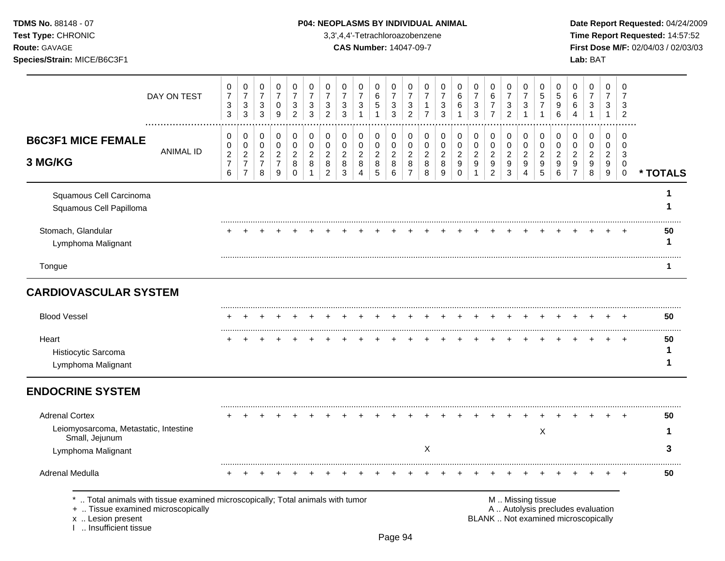Test Type: CHRONIC **3,3',4,4'-Tetrachloroazobenzene** 3,3',4,4'-Tetrachloroazobenzene **Time Report Requested:** 14:57:52 **Route:** GAVAGE **CAS Number:** 14047-09-7 **First Dose M/F:** 02/04/03 / 02/03/03 **Species/Strain:** MICE/B6C3F1 **Lab:** BAT

| DAY ON TEST                                                                                                                                                       | $\boldsymbol{0}$<br>$\overline{\mathbf{7}}$<br>$\ensuremath{\mathsf{3}}$<br>3 | $\mathbf 0$<br>$\overline{7}$<br>$\sqrt{3}$<br>$\mathbf{3}$                | $\pmb{0}$<br>$\overline{7}$<br>3<br>$\mathfrak{Z}$ | $\pmb{0}$<br>$\overline{7}$<br>0<br>$\boldsymbol{9}$        | $\pmb{0}$<br>$\overline{7}$<br>3<br>$\overline{2}$               | $\boldsymbol{0}$<br>$\overline{7}$<br>$\ensuremath{\mathsf{3}}$<br>$\mathbf{3}$ | $\,0\,$<br>$\overline{7}$<br>$\ensuremath{\mathsf{3}}$<br>$\overline{c}$ | $\pmb{0}$<br>$\overline{7}$<br>$\ensuremath{\mathsf{3}}$<br>$\mathbf{3}$ | $\mathbf 0$<br>$\overline{7}$<br>$\sqrt{3}$<br>$\mathbf{1}$       | 0<br>$\,6\,$<br>$\,$ 5 $\,$<br>$\mathbf{1}$         | $\mathbf 0$<br>$\overline{7}$<br>$\sqrt{3}$<br>$\mathbf{3}$ | $\mathbf 0$<br>$\overline{7}$<br>$\ensuremath{\mathsf{3}}$<br>$\overline{c}$ | 0<br>$\overline{7}$<br>$\mathbf{1}$<br>$\overline{7}$ | $\pmb{0}$<br>$\overline{7}$<br>3<br>3        | $\pmb{0}$<br>$\,6\,$<br>6                                             | $\mathbf 0$<br>$\overline{7}$<br>$\ensuremath{\mathsf{3}}$<br>3 | $\boldsymbol{0}$<br>$\,6$<br>$\boldsymbol{7}$<br>$\overline{7}$                | $\pmb{0}$<br>$\overline{7}$<br>3<br>$\overline{c}$ | $\pmb{0}$<br>$\overline{7}$<br>$\ensuremath{\mathsf{3}}$<br>$\mathbf{1}$ | 0<br>$\,$ 5 $\,$<br>7<br>$\mathbf{1}$                         | 0<br>5<br>9<br>6                       | $\mathbf 0$<br>6<br>6<br>4                                          | $\boldsymbol{0}$<br>$\overline{7}$<br>3<br>1 | 0<br>$\overline{7}$<br>3<br>$\mathbf{1}$ | $\mathbf 0$<br>$\overline{7}$<br>3<br>$\overline{2}$       |              |
|-------------------------------------------------------------------------------------------------------------------------------------------------------------------|-------------------------------------------------------------------------------|----------------------------------------------------------------------------|----------------------------------------------------|-------------------------------------------------------------|------------------------------------------------------------------|---------------------------------------------------------------------------------|--------------------------------------------------------------------------|--------------------------------------------------------------------------|-------------------------------------------------------------------|-----------------------------------------------------|-------------------------------------------------------------|------------------------------------------------------------------------------|-------------------------------------------------------|----------------------------------------------|-----------------------------------------------------------------------|-----------------------------------------------------------------|--------------------------------------------------------------------------------|----------------------------------------------------|--------------------------------------------------------------------------|---------------------------------------------------------------|----------------------------------------|---------------------------------------------------------------------|----------------------------------------------|------------------------------------------|------------------------------------------------------------|--------------|
| <b>B6C3F1 MICE FEMALE</b><br><b>ANIMAL ID</b><br>3 MG/KG                                                                                                          | 0<br>$\pmb{0}$<br>$\boldsymbol{2}$<br>$\overline{7}$<br>6                     | $\pmb{0}$<br>$\mathbf 0$<br>$\sqrt{2}$<br>$\overline{7}$<br>$\overline{7}$ | 0<br>0<br>$\overline{2}$<br>$\overline{7}$<br>8    | $\pmb{0}$<br>$\pmb{0}$<br>$\sqrt{2}$<br>$\overline{7}$<br>9 | $\mathbf 0$<br>$\mathbf 0$<br>$\overline{2}$<br>8<br>$\mathbf 0$ | $\pmb{0}$<br>$\pmb{0}$<br>$\overline{c}$<br>8<br>$\mathbf{1}$                   | 0<br>$\pmb{0}$<br>$\overline{2}$<br>8<br>$\overline{c}$                  | $\,0\,$<br>$\pmb{0}$<br>$\overline{c}$<br>8<br>3                         | 0<br>$\mathsf{O}\xspace$<br>$\overline{2}$<br>8<br>$\overline{4}$ | 0<br>$\pmb{0}$<br>$\overline{2}$<br>8<br>$\sqrt{5}$ | $\Omega$<br>$\mathbf 0$<br>$\sqrt{2}$<br>8<br>6             | $\Omega$<br>$\mathbf 0$<br>$\overline{2}$<br>8<br>$\overline{7}$             | $\mathbf 0$<br>0<br>$\overline{2}$<br>8<br>8          | 0<br>$\mathbf 0$<br>$\overline{2}$<br>8<br>9 | 0<br>$\pmb{0}$<br>$\boldsymbol{2}$<br>$\boldsymbol{9}$<br>$\mathbf 0$ | 0<br>$\pmb{0}$<br>$\overline{2}$<br>9<br>$\mathbf{1}$           | $\pmb{0}$<br>$\pmb{0}$<br>$\overline{2}$<br>$\boldsymbol{9}$<br>$\overline{c}$ | $\mathbf 0$<br>$\mathbf 0$<br>$\sqrt{2}$<br>9<br>3 | $\,0\,$<br>$\pmb{0}$<br>$\overline{2}$<br>9<br>$\overline{4}$            | $\pmb{0}$<br>$\mathbf 0$<br>$\overline{2}$<br>9<br>$\sqrt{5}$ | 0<br>$\pmb{0}$<br>$\sqrt{2}$<br>9<br>6 | $\mathbf 0$<br>$\mathbf 0$<br>$\overline{2}$<br>9<br>$\overline{7}$ | $\mathbf 0$<br>0<br>$\overline{2}$<br>9<br>8 | 0<br>0<br>$\overline{2}$<br>9<br>9       | $\Omega$<br>$\mathbf 0$<br>3<br>$\mathbf 0$<br>$\mathbf 0$ | * TOTALS     |
| Squamous Cell Carcinoma<br>Squamous Cell Papilloma                                                                                                                |                                                                               |                                                                            |                                                    |                                                             |                                                                  |                                                                                 |                                                                          |                                                                          |                                                                   |                                                     |                                                             |                                                                              |                                                       |                                              |                                                                       |                                                                 |                                                                                |                                                    |                                                                          |                                                               |                                        |                                                                     |                                              |                                          |                                                            |              |
| Stomach, Glandular<br>Lymphoma Malignant                                                                                                                          |                                                                               |                                                                            |                                                    |                                                             |                                                                  |                                                                                 |                                                                          |                                                                          |                                                                   |                                                     |                                                             |                                                                              |                                                       |                                              |                                                                       |                                                                 |                                                                                |                                                    |                                                                          |                                                               |                                        |                                                                     |                                              |                                          |                                                            | 50<br>1      |
| Tongue                                                                                                                                                            |                                                                               |                                                                            |                                                    |                                                             |                                                                  |                                                                                 |                                                                          |                                                                          |                                                                   |                                                     |                                                             |                                                                              |                                                       |                                              |                                                                       |                                                                 |                                                                                |                                                    |                                                                          |                                                               |                                        |                                                                     |                                              |                                          |                                                            | 1            |
| <b>CARDIOVASCULAR SYSTEM</b>                                                                                                                                      |                                                                               |                                                                            |                                                    |                                                             |                                                                  |                                                                                 |                                                                          |                                                                          |                                                                   |                                                     |                                                             |                                                                              |                                                       |                                              |                                                                       |                                                                 |                                                                                |                                                    |                                                                          |                                                               |                                        |                                                                     |                                              |                                          |                                                            |              |
| <b>Blood Vessel</b>                                                                                                                                               |                                                                               |                                                                            |                                                    |                                                             |                                                                  |                                                                                 |                                                                          |                                                                          |                                                                   |                                                     |                                                             |                                                                              |                                                       |                                              |                                                                       |                                                                 |                                                                                |                                                    |                                                                          |                                                               |                                        |                                                                     |                                              |                                          | $+$                                                        | 50           |
| Heart<br>Histiocytic Sarcoma<br>Lymphoma Malignant                                                                                                                |                                                                               |                                                                            |                                                    |                                                             |                                                                  |                                                                                 |                                                                          |                                                                          |                                                                   |                                                     |                                                             |                                                                              |                                                       |                                              |                                                                       |                                                                 |                                                                                |                                                    |                                                                          |                                                               |                                        |                                                                     |                                              |                                          |                                                            | 50<br>1<br>1 |
| <b>ENDOCRINE SYSTEM</b>                                                                                                                                           |                                                                               |                                                                            |                                                    |                                                             |                                                                  |                                                                                 |                                                                          |                                                                          |                                                                   |                                                     |                                                             |                                                                              |                                                       |                                              |                                                                       |                                                                 |                                                                                |                                                    |                                                                          |                                                               |                                        |                                                                     |                                              |                                          |                                                            |              |
| <b>Adrenal Cortex</b><br>Leiomyosarcoma, Metastatic, Intestine<br>Small, Jejunum<br>Lymphoma Malignant                                                            |                                                                               |                                                                            |                                                    |                                                             |                                                                  |                                                                                 |                                                                          |                                                                          |                                                                   |                                                     |                                                             |                                                                              | $\mathsf X$                                           |                                              |                                                                       |                                                                 |                                                                                |                                                    |                                                                          | X                                                             |                                        |                                                                     |                                              |                                          |                                                            | 50<br>1<br>3 |
| Adrenal Medulla                                                                                                                                                   |                                                                               |                                                                            |                                                    |                                                             |                                                                  |                                                                                 |                                                                          |                                                                          |                                                                   |                                                     |                                                             |                                                                              |                                                       |                                              |                                                                       |                                                                 |                                                                                |                                                    |                                                                          |                                                               |                                        |                                                                     |                                              |                                          |                                                            | 50           |
| Total animals with tissue examined microscopically; Total animals with tumor<br>+  Tissue examined microscopically<br>x  Lesion present<br>I  Insufficient tissue |                                                                               |                                                                            |                                                    |                                                             |                                                                  |                                                                                 |                                                                          |                                                                          |                                                                   |                                                     |                                                             |                                                                              |                                                       |                                              |                                                                       |                                                                 |                                                                                | M  Missing tissue                                  |                                                                          |                                                               |                                        | BLANK  Not examined microscopically                                 |                                              | A  Autolysis precludes evaluation        |                                                            |              |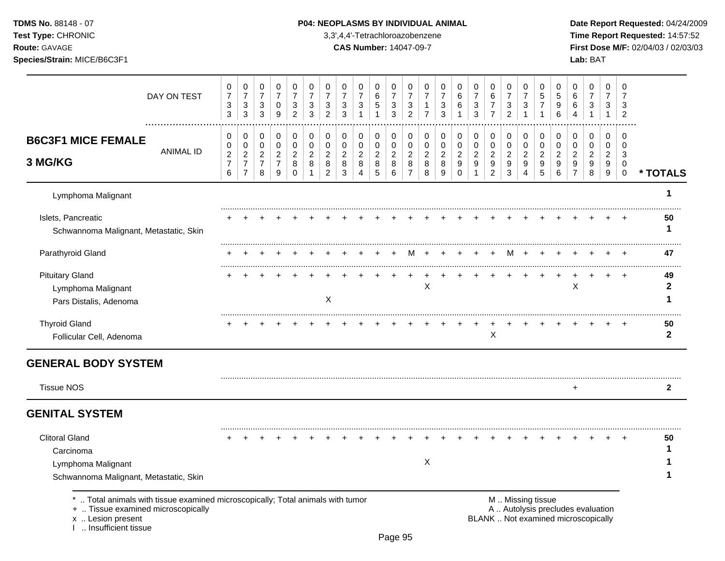**Test Type:** CHRONIC 3,3',4,4'-Tetrachloroazobenzene **Time Report Requested:** 14:57:52 **Route:** GAVAGE **CAS Number:** 14047-09-7 **First Dose M/F:** 02/04/03 / 02/03/03 **Species/Strain:** MICE/B6C3F1 **Lab:** BAT

| DAY ON TEST                                                                                                                             | 0<br>$\overline{7}$<br>$\ensuremath{\mathsf{3}}$<br>$\mathbf{3}$ | 0<br>$\overline{7}$<br>$\mathbf{3}$<br>$\mathbf{3}$ | 0<br>$\boldsymbol{7}$<br>3<br>$\mathbf{3}$ | 0<br>$\overline{7}$<br>0<br>$\boldsymbol{9}$ | 0<br>$\overline{7}$<br>3<br>$\overline{2}$ | 0<br>$\overline{7}$<br>3<br>3 | 0<br>$\overline{7}$<br>3<br>$\overline{2}$ | 0<br>$\overline{7}$<br>3<br>3 | 0<br>$\overline{7}$<br>$\sqrt{3}$<br>$\mathbf 1$ | 0<br>$\,6\,$<br>5<br>$\mathbf{1}$ | 0<br>$\overline{7}$<br>$\mathbf{3}$<br>3 | 0<br>$\overline{7}$<br>$\mathbf{3}$<br>$\overline{2}$ | 0<br>$\overline{7}$<br>$\mathbf{1}$<br>$\overline{7}$ | 0<br>$\overline{7}$<br>3<br>$\mathbf{3}$ | 0<br>6<br>$\,6$<br>$\mathbf{1}$ | 0<br>$\overline{7}$<br>$\ensuremath{\mathsf{3}}$<br>3 | 0<br>$\,6$<br>$\boldsymbol{7}$<br>$\overline{7}$ | 0<br>$\overline{7}$<br>3<br>$\overline{2}$ | 0<br>$\overline{7}$<br>$\mathbf{3}$<br>$\mathbf{1}$ | 0<br>$\overline{5}$<br>$\overline{7}$ | 0<br>$\sqrt{5}$<br>$\boldsymbol{9}$<br>6 | 0<br>$\,6\,$<br>$\,6$<br>$\overline{4}$                                  | 0<br>$\boldsymbol{7}$<br>3<br>$\mathbf{1}$ | 0<br>$\overline{7}$<br>3<br>$\mathbf{1}$ | 0<br>$\overline{7}$<br>3<br>$\overline{c}$ |                    |
|-----------------------------------------------------------------------------------------------------------------------------------------|------------------------------------------------------------------|-----------------------------------------------------|--------------------------------------------|----------------------------------------------|--------------------------------------------|-------------------------------|--------------------------------------------|-------------------------------|--------------------------------------------------|-----------------------------------|------------------------------------------|-------------------------------------------------------|-------------------------------------------------------|------------------------------------------|---------------------------------|-------------------------------------------------------|--------------------------------------------------|--------------------------------------------|-----------------------------------------------------|---------------------------------------|------------------------------------------|--------------------------------------------------------------------------|--------------------------------------------|------------------------------------------|--------------------------------------------|--------------------|
| <b>B6C3F1 MICE FEMALE</b>                                                                                                               | 0                                                                | $\mathbf 0$                                         | 0                                          | $\mathbf 0$                                  | $\mathbf 0$                                | 0                             | 0                                          | 0                             | 0                                                | $\pmb{0}$                         | $\pmb{0}$                                | $\mathbf 0$                                           | 0                                                     | $\mathbf 0$                              | $\mathbf 0$                     | 0                                                     | $\mathbf 0$                                      | $\pmb{0}$                                  | $\mathbf 0$                                         | $\pmb{0}$                             | $\mathbf 0$                              | $\mathbf 0$                                                              | 0                                          | $\mathbf 0$                              | $\mathbf 0$                                |                    |
| <b>ANIMAL ID</b>                                                                                                                        | $\pmb{0}$<br>$\overline{c}$                                      | $\mathbf 0$<br>$\sqrt{2}$                           | $\pmb{0}$<br>$\overline{2}$                | $\mathbf 0$<br>$\overline{c}$                | $\mathbf 0$<br>$\overline{2}$              | 0<br>$\overline{2}$           | $\mathbf 0$<br>$\overline{c}$              | 0<br>$\overline{2}$           | $\pmb{0}$<br>$\boldsymbol{2}$                    | $\mathbf 0$<br>$\overline{c}$     | $\pmb{0}$<br>$\overline{c}$              | $\mathbf 0$<br>$\sqrt{2}$                             | 0<br>$\overline{c}$                                   | $\pmb{0}$<br>$\overline{c}$              | $\mathbf 0$<br>$\overline{a}$   | $\mathbf 0$<br>$\overline{a}$                         | $\pmb{0}$<br>$\overline{c}$                      | 0<br>$\overline{2}$                        | $\pmb{0}$<br>$\overline{2}$                         | $\mathsf{O}\xspace$<br>$\overline{2}$ | $\pmb{0}$<br>$\overline{2}$              | $\mathbf 0$<br>$\sqrt{2}$                                                | 0<br>$\overline{c}$                        | 0<br>$\overline{2}$                      | $\mathbf 0$<br>3                           |                    |
| 3 MG/KG                                                                                                                                 | $\overline{7}$<br>6                                              | $\overline{7}$<br>$\overline{7}$                    | $\boldsymbol{7}$<br>8                      | $\overline{7}$<br>9                          | 8<br>$\Omega$                              | 8<br>$\mathbf 1$              | 8<br>2                                     | 8<br>3                        | $\bf 8$<br>4                                     | 8<br>5                            | 8<br>6                                   | $\bf 8$<br>$\overline{7}$                             | 8<br>8                                                | $\,8\,$<br>9                             | $9\,$<br>$\Omega$               | 9<br>$\mathbf{1}$                                     | $\boldsymbol{9}$<br>$\overline{2}$               | 9<br>3                                     | 9<br>4                                              | $9\,$<br>5                            | 9<br>6                                   | $9\,$<br>$\overline{7}$                                                  | 9<br>8                                     | 9<br>9                                   | 0<br>$\mathbf 0$                           | * TOTALS           |
| Lymphoma Malignant                                                                                                                      |                                                                  |                                                     |                                            |                                              |                                            |                               |                                            |                               |                                                  |                                   |                                          |                                                       |                                                       |                                          |                                 |                                                       |                                                  |                                            |                                                     |                                       |                                          |                                                                          |                                            |                                          |                                            | 1                  |
| Islets, Pancreatic<br>Schwannoma Malignant, Metastatic, Skin                                                                            |                                                                  |                                                     |                                            |                                              |                                            |                               |                                            |                               |                                                  |                                   |                                          |                                                       |                                                       |                                          |                                 |                                                       |                                                  |                                            |                                                     |                                       |                                          |                                                                          |                                            |                                          |                                            | 50<br>1            |
| Parathyroid Gland                                                                                                                       |                                                                  |                                                     |                                            |                                              |                                            |                               |                                            |                               |                                                  |                                   |                                          |                                                       |                                                       |                                          |                                 |                                                       |                                                  | м                                          |                                                     |                                       |                                          |                                                                          |                                            |                                          |                                            | 47                 |
| <b>Pituitary Gland</b>                                                                                                                  |                                                                  |                                                     |                                            |                                              |                                            |                               |                                            |                               |                                                  |                                   |                                          |                                                       |                                                       |                                          |                                 |                                                       |                                                  |                                            |                                                     |                                       |                                          |                                                                          |                                            |                                          |                                            | 49                 |
| Lymphoma Malignant                                                                                                                      |                                                                  |                                                     |                                            |                                              |                                            |                               |                                            |                               |                                                  |                                   |                                          |                                                       | $\mathsf X$                                           |                                          |                                 |                                                       |                                                  |                                            |                                                     |                                       |                                          | $\mathsf X$                                                              |                                            |                                          |                                            | $\mathbf{2}$       |
| Pars Distalis, Adenoma                                                                                                                  |                                                                  |                                                     |                                            |                                              |                                            |                               | $\boldsymbol{\mathsf{X}}$                  |                               |                                                  |                                   |                                          |                                                       |                                                       |                                          |                                 |                                                       |                                                  |                                            |                                                     |                                       |                                          |                                                                          |                                            |                                          |                                            | 1                  |
| <b>Thyroid Gland</b><br>Follicular Cell, Adenoma                                                                                        |                                                                  |                                                     |                                            |                                              |                                            |                               |                                            |                               |                                                  |                                   |                                          |                                                       |                                                       |                                          |                                 |                                                       | $\boldsymbol{\mathsf{X}}$                        |                                            |                                                     |                                       |                                          |                                                                          |                                            |                                          |                                            | 50<br>$\mathbf{2}$ |
| <b>GENERAL BODY SYSTEM</b>                                                                                                              |                                                                  |                                                     |                                            |                                              |                                            |                               |                                            |                               |                                                  |                                   |                                          |                                                       |                                                       |                                          |                                 |                                                       |                                                  |                                            |                                                     |                                       |                                          |                                                                          |                                            |                                          |                                            |                    |
| <b>Tissue NOS</b>                                                                                                                       |                                                                  |                                                     |                                            |                                              |                                            |                               |                                            |                               |                                                  |                                   |                                          |                                                       |                                                       |                                          |                                 |                                                       |                                                  |                                            |                                                     |                                       |                                          | $\ddot{}$                                                                |                                            |                                          |                                            | $\mathbf 2$        |
| <b>GENITAL SYSTEM</b>                                                                                                                   |                                                                  |                                                     |                                            |                                              |                                            |                               |                                            |                               |                                                  |                                   |                                          |                                                       |                                                       |                                          |                                 |                                                       |                                                  |                                            |                                                     |                                       |                                          |                                                                          |                                            |                                          |                                            |                    |
| <b>Clitoral Gland</b>                                                                                                                   |                                                                  |                                                     |                                            |                                              |                                            |                               |                                            |                               |                                                  |                                   |                                          |                                                       |                                                       |                                          |                                 |                                                       |                                                  |                                            |                                                     |                                       |                                          |                                                                          |                                            |                                          |                                            | 50                 |
| Carcinoma                                                                                                                               |                                                                  |                                                     |                                            |                                              |                                            |                               |                                            |                               |                                                  |                                   |                                          |                                                       |                                                       |                                          |                                 |                                                       |                                                  |                                            |                                                     |                                       |                                          |                                                                          |                                            |                                          |                                            | 1                  |
| Lymphoma Malignant                                                                                                                      |                                                                  |                                                     |                                            |                                              |                                            |                               |                                            |                               |                                                  |                                   |                                          |                                                       | X                                                     |                                          |                                 |                                                       |                                                  |                                            |                                                     |                                       |                                          |                                                                          |                                            |                                          |                                            |                    |
| Schwannoma Malignant, Metastatic, Skin                                                                                                  |                                                                  |                                                     |                                            |                                              |                                            |                               |                                            |                               |                                                  |                                   |                                          |                                                       |                                                       |                                          |                                 |                                                       |                                                  |                                            |                                                     |                                       |                                          |                                                                          |                                            |                                          |                                            |                    |
| Total animals with tissue examined microscopically; Total animals with tumor<br>+  Tissue examined microscopically<br>x  Lesion present |                                                                  |                                                     |                                            |                                              |                                            |                               |                                            |                               |                                                  |                                   |                                          |                                                       |                                                       |                                          |                                 |                                                       |                                                  |                                            | M  Missing tissue                                   |                                       |                                          | A  Autolysis precludes evaluation<br>BLANK  Not examined microscopically |                                            |                                          |                                            |                    |

I .. Insufficient tissue

Page 95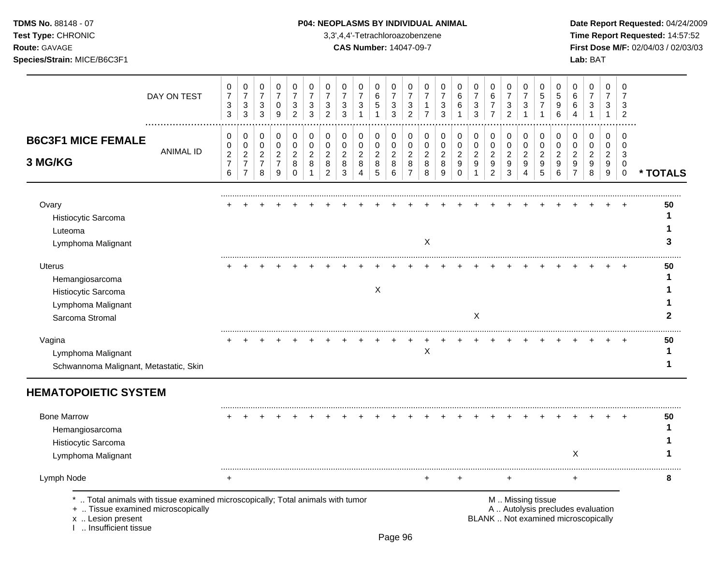# **TDMS No.** 88148 - 07 **P04: NEOPLASMS BY INDIVIDUAL ANIMAL** Date Report Requested: 04/24/2009

Test Type: CHRONIC **3,3',4,4'-Tetrachloroazobenzene** 3,3',4,4'-Tetrachloroazobenzene **Time Report Requested:** 14:57:52 **Route:** GAVAGE **CAS Number:** 14047-09-7 **First Dose M/F:** 02/04/03 / 02/03/03

| DAY ON TEST                                                                                                                                                          | 0<br>$\overline{7}$<br>3<br>$\mathbf{3}$          | 0<br>$\overline{7}$<br>$\sqrt{3}$<br>$\mathbf{3}$                      | 0<br>$\overline{7}$<br>3<br>3                             | 0<br>$\overline{7}$<br>$\boldsymbol{0}$<br>9                       | 0<br>$\overline{7}$<br>$\sqrt{3}$<br>$\overline{2}$  | 0<br>$\overline{7}$<br>$\ensuremath{\mathsf{3}}$<br>3 | 0<br>7<br>3<br>$\overline{2}$      | 0<br>$\overline{7}$<br>3<br>3                | 0<br>$\overline{7}$<br>$\mathbf{3}$                     | 0<br>$\,6\,$<br>$\sqrt{5}$<br>$\overline{ }$ | 0<br>$\overline{7}$<br>$\mathbf{3}$<br>3     | 0<br>$\overline{7}$<br>$\sqrt{3}$<br>$\overline{2}$         | 0<br>7<br>1<br>$\overline{7}$            | 0<br>7<br>3<br>3                   | 0<br>6<br>6<br>-1                                         | 0<br>$\overline{7}$<br>3<br>3                          | 0<br>6<br>$\overline{7}$<br>$\overline{7}$            | 0<br>$\overline{7}$<br>3<br>$\overline{c}$ | 0<br>$\overline{7}$<br>3<br>$\overline{ }$ | 0<br>5<br>$\overline{7}$<br>1                | 0<br>5<br>9<br>6                               | 0<br>6<br>6                                                         | 0<br>$\overline{7}$<br>3                                                 | 0<br>$\overline{7}$<br>3<br>$\mathbf 1$           | 0<br>$\overline{7}$<br>3<br>2                               |              |
|----------------------------------------------------------------------------------------------------------------------------------------------------------------------|---------------------------------------------------|------------------------------------------------------------------------|-----------------------------------------------------------|--------------------------------------------------------------------|------------------------------------------------------|-------------------------------------------------------|------------------------------------|----------------------------------------------|---------------------------------------------------------|----------------------------------------------|----------------------------------------------|-------------------------------------------------------------|------------------------------------------|------------------------------------|-----------------------------------------------------------|--------------------------------------------------------|-------------------------------------------------------|--------------------------------------------|--------------------------------------------|----------------------------------------------|------------------------------------------------|---------------------------------------------------------------------|--------------------------------------------------------------------------|---------------------------------------------------|-------------------------------------------------------------|--------------|
| <b>B6C3F1 MICE FEMALE</b><br><b>ANIMAL ID</b><br>3 MG/KG                                                                                                             | 0<br>0<br>$\overline{2}$<br>$\boldsymbol{7}$<br>6 | $\mathbf 0$<br>0<br>$\overline{c}$<br>$\overline{7}$<br>$\overline{7}$ | 0<br>$\mathbf 0$<br>$\overline{2}$<br>$\overline{7}$<br>8 | $\pmb{0}$<br>$\boldsymbol{0}$<br>$\sqrt{2}$<br>$\overline{7}$<br>9 | 0<br>$\pmb{0}$<br>$\overline{c}$<br>8<br>$\mathbf 0$ | 0<br>$\pmb{0}$<br>$\boldsymbol{2}$<br>8<br>1          | 0<br>0<br>$\overline{c}$<br>8<br>2 | 0<br>$\mathbf 0$<br>$\overline{c}$<br>8<br>3 | 0<br>$\pmb{0}$<br>$\overline{c}$<br>8<br>$\overline{4}$ | 0<br>0<br>$\overline{2}$<br>8<br>$\sqrt{5}$  | 0<br>$\mathbf 0$<br>$\overline{c}$<br>8<br>6 | 0<br>$\mathbf 0$<br>$\boldsymbol{2}$<br>8<br>$\overline{7}$ | 0<br>$\mathbf 0$<br>$\sqrt{2}$<br>8<br>8 | 0<br>0<br>$\overline{c}$<br>8<br>9 | $\mathbf 0$<br>$\mathbf 0$<br>$\sqrt{2}$<br>9<br>$\Omega$ | 0<br>$\mathsf 0$<br>$\overline{c}$<br>$\boldsymbol{9}$ | 0<br>$\mathbf 0$<br>$\sqrt{2}$<br>9<br>$\overline{c}$ | 0<br>$\pmb{0}$<br>$\overline{c}$<br>9<br>3 | 0<br>$\pmb{0}$<br>$\overline{c}$<br>9<br>4 | 0<br>$\mathbf 0$<br>$\overline{c}$<br>9<br>5 | 0<br>$\mathbf 0$<br>$\boldsymbol{2}$<br>9<br>6 | $\mathbf 0$<br>$\mathbf 0$<br>$\overline{2}$<br>9<br>$\overline{7}$ | 0<br>$\mathbf 0$<br>$\overline{2}$<br>$\boldsymbol{9}$<br>8              | 0<br>0<br>$\overline{2}$<br>9<br>$\boldsymbol{9}$ | $\mathbf 0$<br>$\mathbf 0$<br>3<br>$\mathbf 0$<br>$\pmb{0}$ | * TOTALS     |
| Ovary<br>Histiocytic Sarcoma<br>Luteoma<br>Lymphoma Malignant                                                                                                        |                                                   |                                                                        |                                                           |                                                                    |                                                      |                                                       |                                    |                                              |                                                         |                                              |                                              |                                                             | X                                        |                                    |                                                           |                                                        |                                                       |                                            |                                            |                                              |                                                |                                                                     |                                                                          |                                                   |                                                             | 50<br>1<br>3 |
| <b>Uterus</b><br>Hemangiosarcoma<br>Histiocytic Sarcoma<br>Lymphoma Malignant<br>Sarcoma Stromal                                                                     |                                                   |                                                                        |                                                           |                                                                    |                                                      |                                                       |                                    |                                              |                                                         | X                                            |                                              |                                                             |                                          |                                    |                                                           | X                                                      |                                                       |                                            |                                            |                                              |                                                |                                                                     |                                                                          |                                                   |                                                             | 50           |
| Vagina<br>Lymphoma Malignant<br>Schwannoma Malignant, Metastatic, Skin                                                                                               |                                                   |                                                                        |                                                           |                                                                    |                                                      |                                                       |                                    |                                              |                                                         |                                              |                                              |                                                             | Χ                                        |                                    |                                                           |                                                        |                                                       |                                            |                                            |                                              |                                                |                                                                     |                                                                          |                                                   |                                                             | 50<br>1<br>1 |
| <b>HEMATOPOIETIC SYSTEM</b>                                                                                                                                          |                                                   |                                                                        |                                                           |                                                                    |                                                      |                                                       |                                    |                                              |                                                         |                                              |                                              |                                                             |                                          |                                    |                                                           |                                                        |                                                       |                                            |                                            |                                              |                                                |                                                                     |                                                                          |                                                   |                                                             |              |
| <b>Bone Marrow</b><br>Hemangiosarcoma<br>Histiocytic Sarcoma<br>Lymphoma Malignant                                                                                   |                                                   |                                                                        |                                                           |                                                                    |                                                      |                                                       |                                    |                                              |                                                         |                                              |                                              |                                                             |                                          |                                    |                                                           |                                                        |                                                       |                                            |                                            |                                              |                                                | X                                                                   |                                                                          |                                                   |                                                             | 50           |
| Lymph Node                                                                                                                                                           | $\ddot{}$                                         |                                                                        |                                                           |                                                                    |                                                      |                                                       |                                    |                                              |                                                         |                                              |                                              |                                                             | $\ddot{}$                                |                                    | +                                                         |                                                        |                                                       | $\ddot{}$                                  |                                            |                                              |                                                | $\ddot{}$                                                           |                                                                          |                                                   |                                                             | 8            |
| *  Total animals with tissue examined microscopically; Total animals with tumor<br>+  Tissue examined microscopically<br>x  Lesion present<br>I  Insufficient tissue |                                                   |                                                                        |                                                           |                                                                    |                                                      |                                                       |                                    |                                              |                                                         |                                              |                                              |                                                             |                                          |                                    |                                                           |                                                        |                                                       | M  Missing tissue                          |                                            |                                              |                                                |                                                                     | A  Autolysis precludes evaluation<br>BLANK  Not examined microscopically |                                                   |                                                             |              |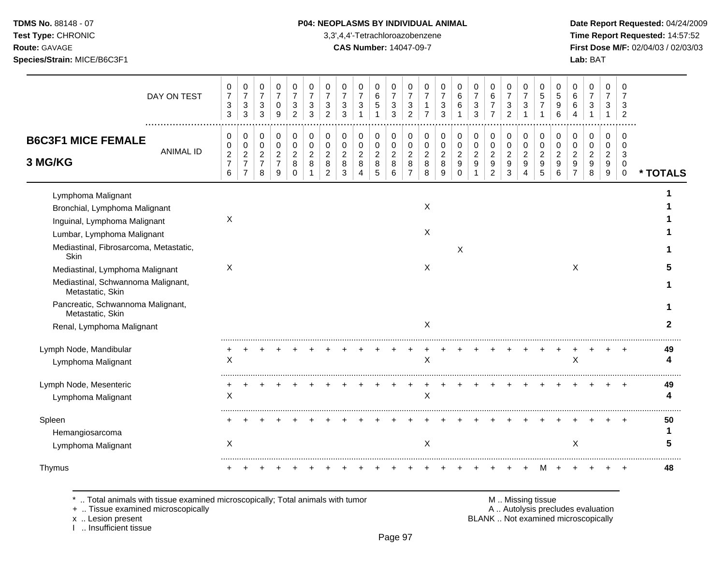**Test Type:** CHRONIC 3,3',4,4'-Tetrachloroazobenzene **Time Report Requested:** 14:57:52 **Route:** GAVAGE **CAS Number:** 14047-09-7 **First Dose M/F:** 02/04/03 / 02/03/03 **Species/Strain:** MICE/B6C3F1 **Lab:** BAT

|                                                                                                                                                                     | DAY ON TEST      | 0<br>$\overline{7}$<br>$\sqrt{3}$<br>$\mathbf{3}$ | 0<br>$\overline{7}$<br>3<br>$\sqrt{3}$                                | 0<br>$\overline{7}$<br>$\sqrt{3}$<br>$\mathbf{3}$   | 0<br>$\overline{7}$<br>$\mathbf 0$<br>9                     | 0<br>$\overline{7}$<br>3<br>$\overline{2}$         | 0<br>$\overline{7}$<br>3<br>3           | 0<br>$\overline{7}$<br>3<br>2                             | 0<br>$\overline{7}$<br>$\sqrt{3}$<br>3       | 0<br>$\overline{7}$<br>3                 | 0<br>6<br>$\sqrt{5}$<br>1              | 0<br>$\overline{7}$<br>$\ensuremath{\mathsf{3}}$<br>3 | 0<br>$\overline{7}$<br>3<br>$\overline{2}$                | 0<br>$\overline{7}$<br>7                     | 0<br>$\overline{7}$<br>3<br>3                | 0<br>6<br>6                                           | 0<br>$\overline{7}$<br>3<br>3                 | 0<br>$\,6\,$<br>$\overline{7}$<br>$\overline{7}$                   | 0<br>$\overline{7}$<br>3<br>$\overline{2}$   | 0<br>$\overline{7}$<br>$\sqrt{3}$              | 0<br>5<br>$\overline{7}$                     | 0<br>5<br>9<br>6                             | 0<br>6<br>6                                            | 0<br>$\overline{7}$<br>3                  | 0<br>$\overline{7}$<br>3                     | $\Omega$<br>3<br>2                               |          |
|---------------------------------------------------------------------------------------------------------------------------------------------------------------------|------------------|---------------------------------------------------|-----------------------------------------------------------------------|-----------------------------------------------------|-------------------------------------------------------------|----------------------------------------------------|-----------------------------------------|-----------------------------------------------------------|----------------------------------------------|------------------------------------------|----------------------------------------|-------------------------------------------------------|-----------------------------------------------------------|----------------------------------------------|----------------------------------------------|-------------------------------------------------------|-----------------------------------------------|--------------------------------------------------------------------|----------------------------------------------|------------------------------------------------|----------------------------------------------|----------------------------------------------|--------------------------------------------------------|-------------------------------------------|----------------------------------------------|--------------------------------------------------|----------|
| <b>B6C3F1 MICE FEMALE</b><br>3 MG/KG                                                                                                                                | <b>ANIMAL ID</b> | 0<br>0<br>$\boldsymbol{2}$<br>$\overline{7}$<br>6 | 0<br>0<br>$\overline{\mathbf{c}}$<br>$\overline{7}$<br>$\overline{7}$ | 0<br>$\pmb{0}$<br>$\sqrt{2}$<br>$\overline{7}$<br>8 | 0<br>$\mathbf 0$<br>$\boldsymbol{2}$<br>$\overline{7}$<br>9 | 0<br>$\mathbf 0$<br>$\sqrt{2}$<br>8<br>$\mathbf 0$ | 0<br>$\mathbf 0$<br>$\overline{2}$<br>8 | 0<br>$\mathbf 0$<br>$\overline{c}$<br>8<br>$\overline{2}$ | 0<br>$\mathbf 0$<br>$\overline{c}$<br>8<br>3 | 0<br>0<br>$\overline{c}$<br>$\,8\,$<br>4 | 0<br>$\pmb{0}$<br>$\sqrt{2}$<br>8<br>5 | 0<br>$\mathbf 0$<br>$\boldsymbol{2}$<br>8<br>6        | 0<br>$\mathbf 0$<br>$\overline{c}$<br>8<br>$\overline{7}$ | 0<br>$\mathbf 0$<br>$\overline{c}$<br>8<br>8 | 0<br>$\mathbf 0$<br>$\overline{c}$<br>8<br>9 | 0<br>$\mathbf 0$<br>$\boldsymbol{2}$<br>9<br>$\Omega$ | 0<br>0<br>$\overline{c}$<br>9<br>$\mathbf{1}$ | 0<br>$\pmb{0}$<br>$\sqrt{2}$<br>$\boldsymbol{9}$<br>$\overline{2}$ | 0<br>$\mathbf 0$<br>$\overline{c}$<br>9<br>3 | 0<br>$\mathbf 0$<br>$\boldsymbol{2}$<br>9<br>4 | 0<br>$\mathbf 0$<br>$\overline{c}$<br>9<br>5 | 0<br>$\mathbf 0$<br>$\overline{c}$<br>9<br>6 | 0<br>$\Omega$<br>$\overline{2}$<br>9<br>$\overline{7}$ | 0<br>$\Omega$<br>$\overline{c}$<br>9<br>8 | 0<br>$\mathbf 0$<br>$\sqrt{2}$<br>9<br>$9\,$ | 0<br>$\Omega$<br>3<br>$\mathbf 0$<br>$\mathbf 0$ | * TOTALS |
| Lymphoma Malignant<br>Bronchial, Lymphoma Malignant<br>Inguinal, Lymphoma Malignant<br>Lumbar, Lymphoma Malignant<br>Mediastinal, Fibrosarcoma, Metastatic,<br>Skin |                  | X                                                 |                                                                       |                                                     |                                                             |                                                    |                                         |                                                           |                                              |                                          |                                        |                                                       |                                                           | X<br>X                                       |                                              | $\boldsymbol{X}$                                      |                                               |                                                                    |                                              |                                                |                                              |                                              |                                                        |                                           |                                              |                                                  |          |
| Mediastinal, Lymphoma Malignant<br>Mediastinal, Schwannoma Malignant,<br>Metastatic, Skin<br>Pancreatic, Schwannoma Malignant,<br>Metastatic, Skin                  |                  | X                                                 |                                                                       |                                                     |                                                             |                                                    |                                         |                                                           |                                              |                                          |                                        |                                                       |                                                           | X                                            |                                              |                                                       |                                               |                                                                    |                                              |                                                |                                              |                                              | X                                                      |                                           |                                              |                                                  |          |
| Renal, Lymphoma Malignant<br>Lymph Node, Mandibular<br>Lymphoma Malignant                                                                                           |                  | Χ                                                 |                                                                       |                                                     |                                                             |                                                    |                                         |                                                           |                                              |                                          |                                        |                                                       |                                                           | X<br>X                                       |                                              |                                                       |                                               |                                                                    |                                              |                                                |                                              |                                              | X                                                      |                                           |                                              |                                                  | 49       |
| Lymph Node, Mesenteric<br>Lymphoma Malignant                                                                                                                        |                  | X                                                 |                                                                       |                                                     |                                                             |                                                    |                                         |                                                           |                                              |                                          |                                        |                                                       |                                                           | X                                            |                                              |                                                       |                                               |                                                                    |                                              |                                                |                                              |                                              |                                                        |                                           |                                              |                                                  | 49       |
| Spleen<br>Hemangiosarcoma<br>Lymphoma Malignant                                                                                                                     |                  | X                                                 |                                                                       |                                                     |                                                             |                                                    |                                         |                                                           |                                              |                                          |                                        |                                                       |                                                           | Χ                                            |                                              |                                                       |                                               |                                                                    |                                              |                                                |                                              |                                              | $\boldsymbol{\mathsf{X}}$                              |                                           |                                              |                                                  | 50       |
| Thymus                                                                                                                                                              |                  |                                                   |                                                                       |                                                     |                                                             |                                                    |                                         |                                                           |                                              |                                          |                                        |                                                       |                                                           |                                              |                                              |                                                       |                                               |                                                                    |                                              |                                                |                                              |                                              |                                                        |                                           |                                              |                                                  | 48       |

\* .. Total animals with tissue examined microscopically; Total animals with tumor **M** metally more than M .. Missing tissue<br>  $\blacksquare$  Tissue examined microscopically

+ .. Tissue examined microscopically

x .. Lesion present<br>I .. Insufficient tissue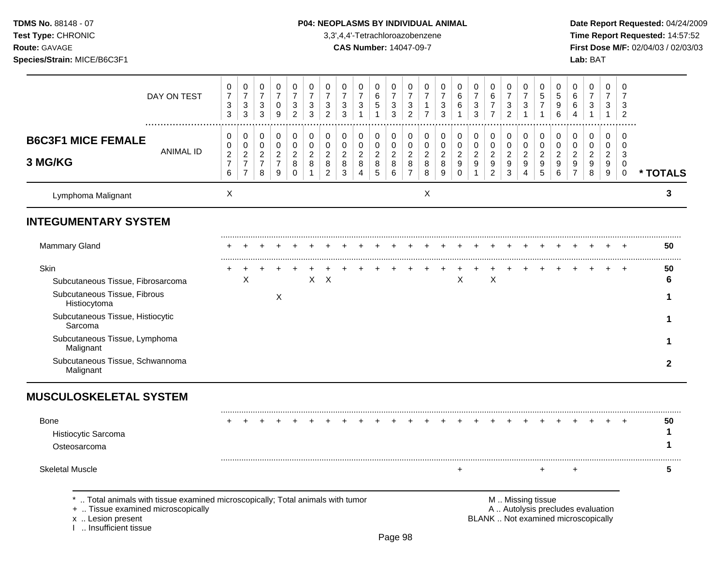# **TDMS No.** 88148 - 07 **P04: NEOPLASMS BY INDIVIDUAL ANIMAL** Date Report Requested: 04/24/2009

**Test Type:** CHRONIC 3,3',4,4'-Tetrachloroazobenzene **Time Report Requested:** 14:57:52 **Route:** GAVAGE **CAS Number:** 14047-09-7 **First Dose M/F:** 02/04/03 / 02/03/03

| DAY ON TEST                                                                                                                                                               | 0<br>$\boldsymbol{7}$<br>3<br>$\mathbf{3}$                 | 0<br>$\boldsymbol{7}$<br>3<br>$\mathbf{3}$                           | 0<br>$\boldsymbol{7}$<br>$\ensuremath{\mathsf{3}}$<br>$\mathfrak{S}$ | 0<br>$\boldsymbol{7}$<br>$\mathbf 0$<br>$\boldsymbol{9}$                         | 0<br>$\overline{\mathcal{I}}$<br>3<br>$\overline{2}$ | 0<br>$\overline{7}$<br>$\mathbf{3}$<br>3           | 0<br>$\overline{7}$<br>3<br>$\overline{c}$                | 0<br>$\boldsymbol{7}$<br>3<br>3            | 0<br>$\overline{7}$<br>3                                        | 0<br>$\,6$<br>$\,$ 5 $\,$                  | 0<br>$\boldsymbol{7}$<br>$\sqrt{3}$<br>$\sqrt{3}$           | 0<br>$\boldsymbol{7}$<br>3<br>$\overline{c}$                   | 0<br>$\overline{\mathbf{7}}$<br>$\mathbf{1}$<br>$\overline{7}$ | 0<br>$\overline{7}$<br>$\mathbf{3}$<br>3 | 0<br>6<br>6                                                           | 0<br>$\overline{7}$<br>3<br>3                        | 0<br>$\,6\,$<br>$\overline{7}$<br>$\overline{7}$                         | 0<br>$\boldsymbol{7}$<br>$\mathbf{3}$<br>$\overline{c}$             | 0<br>$\overline{7}$<br>3                     | 0<br>5<br>$\overline{7}$                     | 0<br>5<br>9<br>6                                  | 0<br>$\,6$<br>6<br>4                                      | 0<br>$\overline{7}$<br>3                          | 0<br>$\overline{7}$<br>3<br>-1                                   | $\Omega$<br>$\overline{7}$<br>3<br>$\overline{c}$ |              |
|---------------------------------------------------------------------------------------------------------------------------------------------------------------------------|------------------------------------------------------------|----------------------------------------------------------------------|----------------------------------------------------------------------|----------------------------------------------------------------------------------|------------------------------------------------------|----------------------------------------------------|-----------------------------------------------------------|--------------------------------------------|-----------------------------------------------------------------|--------------------------------------------|-------------------------------------------------------------|----------------------------------------------------------------|----------------------------------------------------------------|------------------------------------------|-----------------------------------------------------------------------|------------------------------------------------------|--------------------------------------------------------------------------|---------------------------------------------------------------------|----------------------------------------------|----------------------------------------------|---------------------------------------------------|-----------------------------------------------------------|---------------------------------------------------|------------------------------------------------------------------|---------------------------------------------------|--------------|
| <b>B6C3F1 MICE FEMALE</b><br><b>ANIMAL ID</b><br>3 MG/KG                                                                                                                  | 0<br>0<br>$\overline{\mathbf{c}}$<br>$\boldsymbol{7}$<br>6 | 0<br>$\pmb{0}$<br>$\overline{c}$<br>$\overline{7}$<br>$\overline{7}$ | $\,0\,$<br>$\pmb{0}$<br>$\overline{c}$<br>$\overline{7}$<br>8        | 0<br>$\mathsf{O}\xspace$<br>$\overline{c}$<br>$\overline{7}$<br>$\boldsymbol{9}$ | 0<br>$\pmb{0}$<br>$\overline{c}$<br>$\bf8$<br>0      | 0<br>$\pmb{0}$<br>$\boldsymbol{2}$<br>$\bf 8$<br>1 | 0<br>$\mathbf 0$<br>$\overline{c}$<br>8<br>$\overline{2}$ | 0<br>$\pmb{0}$<br>$\overline{c}$<br>8<br>3 | 0<br>$\mathbf 0$<br>$\overline{c}$<br>$\,8\,$<br>$\overline{4}$ | 0<br>$\pmb{0}$<br>$\overline{c}$<br>8<br>5 | 0<br>$\mathbf 0$<br>$\sqrt{2}$<br>$\,8\,$<br>$6\phantom{a}$ | 0<br>$\mathbf 0$<br>$\overline{2}$<br>$\bf8$<br>$\overline{7}$ | 0<br>$\pmb{0}$<br>$\overline{\mathbf{c}}$<br>8<br>8            | 0<br>0<br>$\overline{c}$<br>$\,8\,$<br>9 | 0<br>$\mathbf 0$<br>$\overline{c}$<br>$\boldsymbol{9}$<br>$\mathbf 0$ | 0<br>$\pmb{0}$<br>$\overline{c}$<br>$\boldsymbol{9}$ | 0<br>$\mathbf 0$<br>$\overline{a}$<br>$\boldsymbol{9}$<br>$\overline{c}$ | 0<br>$\mathsf{O}\xspace$<br>$\overline{c}$<br>$\boldsymbol{9}$<br>3 | 0<br>$\mathbf 0$<br>$\overline{c}$<br>9<br>4 | 0<br>$\mathbf 0$<br>$\overline{2}$<br>9<br>5 | 0<br>0<br>$\overline{c}$<br>$\boldsymbol{9}$<br>6 | 0<br>$\mathbf 0$<br>$\overline{c}$<br>9<br>$\overline{7}$ | 0<br>0<br>$\overline{c}$<br>$\boldsymbol{9}$<br>8 | 0<br>0<br>$\overline{c}$<br>$\boldsymbol{9}$<br>$\boldsymbol{9}$ | $\Omega$<br>$\Omega$<br>3<br>0<br>$\mathbf 0$     | * TOTALS     |
| Lymphoma Malignant                                                                                                                                                        | Χ                                                          |                                                                      |                                                                      |                                                                                  |                                                      |                                                    |                                                           |                                            |                                                                 |                                            |                                                             |                                                                | X                                                              |                                          |                                                                       |                                                      |                                                                          |                                                                     |                                              |                                              |                                                   |                                                           |                                                   |                                                                  |                                                   | 3            |
| <b>INTEGUMENTARY SYSTEM</b>                                                                                                                                               |                                                            |                                                                      |                                                                      |                                                                                  |                                                      |                                                    |                                                           |                                            |                                                                 |                                            |                                                             |                                                                |                                                                |                                          |                                                                       |                                                      |                                                                          |                                                                     |                                              |                                              |                                                   |                                                           |                                                   |                                                                  |                                                   |              |
| <b>Mammary Gland</b>                                                                                                                                                      |                                                            |                                                                      |                                                                      |                                                                                  |                                                      |                                                    |                                                           |                                            |                                                                 |                                            |                                                             |                                                                |                                                                |                                          |                                                                       |                                                      |                                                                          |                                                                     |                                              |                                              |                                                   |                                                           |                                                   |                                                                  |                                                   | 50           |
| Skin<br>Subcutaneous Tissue, Fibrosarcoma<br>Subcutaneous Tissue, Fibrous<br>Histiocytoma<br>Subcutaneous Tissue, Histiocytic<br>Sarcoma<br>Subcutaneous Tissue, Lymphoma |                                                            | X                                                                    |                                                                      | $\div$<br>X                                                                      |                                                      | $\mathsf{X}$                                       | $\times$                                                  |                                            |                                                                 |                                            |                                                             |                                                                |                                                                |                                          | X                                                                     |                                                      | $\mathsf X$                                                              |                                                                     |                                              |                                              |                                                   |                                                           |                                                   |                                                                  |                                                   | 50<br>6      |
| Malignant<br>Subcutaneous Tissue, Schwannoma<br>Malignant                                                                                                                 |                                                            |                                                                      |                                                                      |                                                                                  |                                                      |                                                    |                                                           |                                            |                                                                 |                                            |                                                             |                                                                |                                                                |                                          |                                                                       |                                                      |                                                                          |                                                                     |                                              |                                              |                                                   |                                                           |                                                   |                                                                  |                                                   | $\mathbf{2}$ |
| <b>MUSCULOSKELETAL SYSTEM</b>                                                                                                                                             |                                                            |                                                                      |                                                                      |                                                                                  |                                                      |                                                    |                                                           |                                            |                                                                 |                                            |                                                             |                                                                |                                                                |                                          |                                                                       |                                                      |                                                                          |                                                                     |                                              |                                              |                                                   |                                                           |                                                   |                                                                  |                                                   |              |
| Bone<br>Histiocytic Sarcoma<br>Osteosarcoma                                                                                                                               |                                                            |                                                                      |                                                                      |                                                                                  |                                                      |                                                    |                                                           |                                            |                                                                 |                                            |                                                             |                                                                |                                                                |                                          |                                                                       |                                                      |                                                                          |                                                                     |                                              |                                              |                                                   |                                                           |                                                   |                                                                  |                                                   | 50<br>1      |
| <b>Skeletal Muscle</b>                                                                                                                                                    |                                                            |                                                                      |                                                                      |                                                                                  |                                                      |                                                    |                                                           |                                            |                                                                 |                                            |                                                             |                                                                |                                                                |                                          | $+$                                                                   |                                                      |                                                                          |                                                                     |                                              | ÷                                            |                                                   | $\ddot{}$                                                 |                                                   |                                                                  |                                                   | 5            |
| *  Total animals with tissue examined microscopically; Total animals with tumor                                                                                           |                                                            |                                                                      |                                                                      |                                                                                  |                                                      |                                                    |                                                           |                                            |                                                                 |                                            |                                                             |                                                                |                                                                |                                          |                                                                       |                                                      |                                                                          |                                                                     |                                              | M  Missing tissue                            |                                                   |                                                           |                                                   |                                                                  |                                                   |              |

x .. Lesion present<br>I .. Insufficient tissue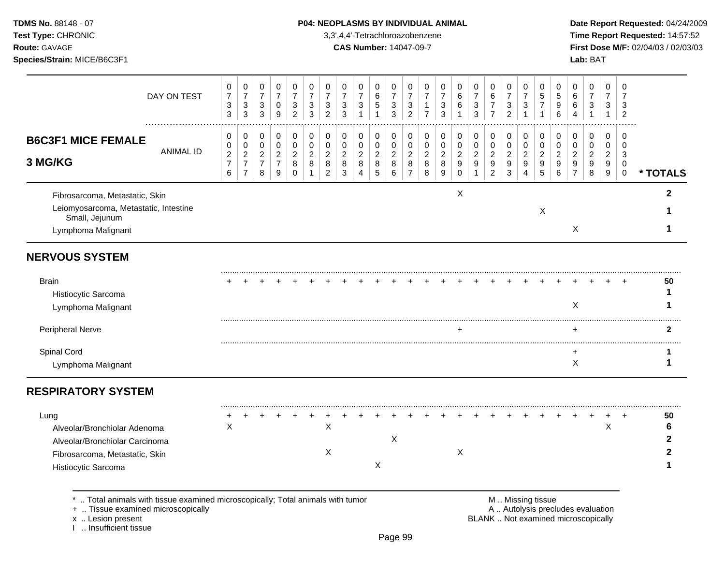**Test Type:** CHRONIC 3,3',4,4'-Tetrachloroazobenzene **Time Report Requested:** 14:57:52 **Route:** GAVAGE **CAS Number:** 14047-09-7 **First Dose M/F:** 02/04/03 / 02/03/03 **Species/Strain:** MICE/B6C3F1 **Lab:** BAT

| $\pmb{0}$<br>$\mathbf 0$<br>0<br>0<br>$\mathbf 0$<br>0<br>0<br>0<br>$\mathbf 0$<br>0<br>0<br>$\mathbf 0$<br>0<br>$\mathbf 0$<br>0<br>0<br>0<br>0<br>$\Omega$<br>$\overline{7}$<br>$\overline{7}$<br>$\overline{7}$<br>$\overline{7}$<br>$\overline{7}$<br>$\overline{7}$<br>$\overline{7}$<br>$\,6$<br>$\overline{7}$<br>$\,6$<br>$\overline{7}$<br>6<br>$\overline{7}$<br>5<br>5<br>$\,6$<br>$\overline{7}$<br>7<br>$\ensuremath{\mathsf{3}}$<br>$\overline{7}$<br>6<br>$\mathbf{3}$<br>3<br>$\sqrt{5}$<br>$\sqrt{3}$<br>$\ensuremath{\mathsf{3}}$<br>$\mathbf{3}$<br>6<br>$\sqrt{3}$<br>$\sqrt{3}$<br>3<br>$\overline{7}$<br>$9\,$<br>$\sqrt{3}$<br>3<br>3<br>$\mathbf{1}$<br>$\overline{7}$<br>$\mathbf{3}$<br>$\overline{c}$<br>$\mathbf{3}$<br>3<br>$\overline{c}$<br>$\overline{2}$<br>3<br>$\overline{7}$<br>$\overline{c}$<br>$\mathbf{1}$<br>$\mathbf{1}$<br>$\overline{1}$<br>$\mathbf{1}$<br>6<br>$\mathbf{1}$                                                                                                                                                                                                                                                              | 0<br>$\overline{7}$<br>$\overline{7}$<br>3<br>3       | 0<br>$\boldsymbol{7}$<br>$\sqrt{3}$<br>$\overline{2}$            | 0<br>$\overline{7}$<br>$\mathbf 0$<br>$\boldsymbol{9}$    | $\pmb{0}$<br>0<br>$\overline{7}$<br>$\overline{7}$<br>$\ensuremath{\mathsf{3}}$<br>3<br>$\sqrt{3}$<br>3                           | 0<br>$\boldsymbol{7}$<br>3<br>$\mathbf{3}$        | DAY ON TEST                                                                                                                             |                  |
|----------------------------------------------------------------------------------------------------------------------------------------------------------------------------------------------------------------------------------------------------------------------------------------------------------------------------------------------------------------------------------------------------------------------------------------------------------------------------------------------------------------------------------------------------------------------------------------------------------------------------------------------------------------------------------------------------------------------------------------------------------------------------------------------------------------------------------------------------------------------------------------------------------------------------------------------------------------------------------------------------------------------------------------------------------------------------------------------------------------------------------------------------------------------------------------|-------------------------------------------------------|------------------------------------------------------------------|-----------------------------------------------------------|-----------------------------------------------------------------------------------------------------------------------------------|---------------------------------------------------|-----------------------------------------------------------------------------------------------------------------------------------------|------------------|
| $\pmb{0}$<br>$\pmb{0}$<br>0<br>$\mathbf 0$<br>$\mathbf 0$<br>$\pmb{0}$<br>$\pmb{0}$<br>$\mathbf 0$<br>$\mathbf 0$<br>0<br>0<br>0<br>0<br>0<br>0<br>0<br>0<br>0<br>$\mathbf 0$<br>$\mathbf 0$<br>$\mathbf 0$<br>$\mathbf 0$<br>$\mathbf 0$<br>$\mathbf 0$<br>$\pmb{0}$<br>$\mathbf 0$<br>$\pmb{0}$<br>$\mathbf 0$<br>$\pmb{0}$<br>$\pmb{0}$<br>$\pmb{0}$<br>$\pmb{0}$<br>$\mathbf 0$<br>$\pmb{0}$<br>$\mathbf 0$<br>$\mathbf 0$<br>$\mathbf 0$<br>$\Omega$<br>$\overline{2}$<br>$\overline{2}$<br>$\overline{2}$<br>$\overline{2}$<br>$\overline{2}$<br>$\overline{2}$<br>$\overline{c}$<br>$\overline{2}$<br>$\overline{2}$<br>$\boldsymbol{2}$<br>$\overline{a}$<br>$\overline{c}$<br>$\overline{2}$<br>$\boldsymbol{2}$<br>$\overline{2}$<br>$\overline{a}$<br>$\sqrt{2}$<br>$\overline{2}$<br>3<br>$\bf 8$<br>$\bf8$<br>8<br>$\bf 8$<br>$\bf 8$<br>9<br>$\boldsymbol{9}$<br>9<br>$\boldsymbol{9}$<br>9<br>$\boldsymbol{9}$<br>$\boldsymbol{9}$<br>8<br>8<br>8<br>9<br>9<br>9<br>0<br>$\overline{2}$<br>3<br>5<br>6<br>$\overline{7}$<br>8<br>9<br>$\Omega$<br>$\overline{2}$<br>$\mathbf{3}$<br>$\sqrt{5}$<br>$\overline{7}$<br>8<br>9<br>$\pmb{0}$<br>* TOTALS<br>4<br>4<br>6<br>1 | 0<br>$\pmb{0}$<br>$\overline{2}$<br>8<br>$\mathbf{1}$ | $\mathbf 0$<br>$\pmb{0}$<br>$\sqrt{2}$<br>$\bf 8$<br>$\mathbf 0$ | 0<br>$\pmb{0}$<br>$\overline{2}$<br>$\boldsymbol{7}$<br>9 | 0<br>0<br>$\pmb{0}$<br>$\pmb{0}$<br>$\overline{2}$<br>$\overline{2}$<br>$\overline{7}$<br>$\boldsymbol{7}$<br>$\overline{7}$<br>8 | 0<br>0<br>$\overline{c}$<br>$\boldsymbol{7}$<br>6 | <b>B6C3F1 MICE FEMALE</b><br><b>ANIMAL ID</b>                                                                                           | 3 MG/KG          |
| X<br>$\mathbf{2}$                                                                                                                                                                                                                                                                                                                                                                                                                                                                                                                                                                                                                                                                                                                                                                                                                                                                                                                                                                                                                                                                                                                                                                      |                                                       |                                                                  |                                                           |                                                                                                                                   |                                                   | Fibrosarcoma, Metastatic, Skin                                                                                                          |                  |
| X                                                                                                                                                                                                                                                                                                                                                                                                                                                                                                                                                                                                                                                                                                                                                                                                                                                                                                                                                                                                                                                                                                                                                                                      |                                                       |                                                                  |                                                           |                                                                                                                                   |                                                   | Leiomyosarcoma, Metastatic, Intestine<br>Small, Jejunum                                                                                 |                  |
| X                                                                                                                                                                                                                                                                                                                                                                                                                                                                                                                                                                                                                                                                                                                                                                                                                                                                                                                                                                                                                                                                                                                                                                                      |                                                       |                                                                  |                                                           |                                                                                                                                   |                                                   | Lymphoma Malignant                                                                                                                      |                  |
|                                                                                                                                                                                                                                                                                                                                                                                                                                                                                                                                                                                                                                                                                                                                                                                                                                                                                                                                                                                                                                                                                                                                                                                        |                                                       |                                                                  |                                                           |                                                                                                                                   |                                                   | <b>NERVOUS SYSTEM</b>                                                                                                                   |                  |
| 50<br>1<br>X<br>1                                                                                                                                                                                                                                                                                                                                                                                                                                                                                                                                                                                                                                                                                                                                                                                                                                                                                                                                                                                                                                                                                                                                                                      |                                                       |                                                                  |                                                           |                                                                                                                                   |                                                   | Histiocytic Sarcoma<br>Lymphoma Malignant                                                                                               | <b>Brain</b>     |
| $\mathbf{2}$                                                                                                                                                                                                                                                                                                                                                                                                                                                                                                                                                                                                                                                                                                                                                                                                                                                                                                                                                                                                                                                                                                                                                                           |                                                       |                                                                  |                                                           |                                                                                                                                   |                                                   |                                                                                                                                         | Peripheral Nerve |
| $\ddot{}$<br>1<br>X<br>1                                                                                                                                                                                                                                                                                                                                                                                                                                                                                                                                                                                                                                                                                                                                                                                                                                                                                                                                                                                                                                                                                                                                                               |                                                       |                                                                  |                                                           |                                                                                                                                   |                                                   | Lymphoma Malignant                                                                                                                      | Spinal Cord      |
|                                                                                                                                                                                                                                                                                                                                                                                                                                                                                                                                                                                                                                                                                                                                                                                                                                                                                                                                                                                                                                                                                                                                                                                        |                                                       |                                                                  |                                                           |                                                                                                                                   |                                                   | <b>RESPIRATORY SYSTEM</b>                                                                                                               |                  |
| 50<br>$\ddot{}$<br>$\overline{ }$<br>$\mathsf{X}$<br>$\boldsymbol{\mathsf{X}}$<br>6<br>X<br>2<br>$\boldsymbol{\mathsf{X}}$<br>X<br>$\mathbf{2}$<br>X<br>1                                                                                                                                                                                                                                                                                                                                                                                                                                                                                                                                                                                                                                                                                                                                                                                                                                                                                                                                                                                                                              |                                                       |                                                                  |                                                           |                                                                                                                                   | X                                                 | Alveolar/Bronchiolar Adenoma<br>Alveolar/Bronchiolar Carcinoma<br>Fibrosarcoma, Metastatic, Skin<br>Histiocytic Sarcoma                 | Lung             |
| M  Missing tissue<br>A  Autolysis precludes evaluation<br>BLANK  Not examined microscopically                                                                                                                                                                                                                                                                                                                                                                                                                                                                                                                                                                                                                                                                                                                                                                                                                                                                                                                                                                                                                                                                                          |                                                       |                                                                  |                                                           |                                                                                                                                   |                                                   | Total animals with tissue examined microscopically; Total animals with tumor<br>+  Tissue examined microscopically<br>x  Lesion present |                  |

x .. Lesion present<br>I .. Insufficient tissue

Page 99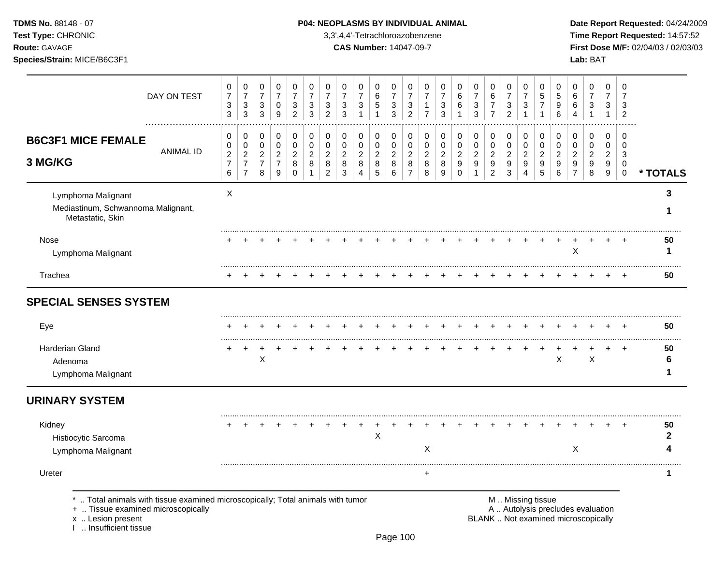**Test Type:** CHRONIC 3,3',4,4'-Tetrachloroazobenzene **Time Report Requested:** 14:57:52 **Route:** GAVAGE **CAS Number:** 14047-09-7 **First Dose M/F:** 02/04/03 / 02/03/03

|                                                                                   | DAY ON TEST                                                                  | 0<br>$\overline{7}$<br>3<br>3                     | $\mathbf 0$<br>$\overline{7}$<br>$\ensuremath{\mathsf{3}}$<br>$\mathbf{3}$ | 0<br>$\overline{7}$<br>3<br>$\mathbf{3}$        | 0<br>$\overline{7}$<br>$\mathbf 0$<br>$\boldsymbol{9}$ | 0<br>$\overline{7}$<br>3<br>$\overline{2}$   | 0<br>$\overline{7}$<br>3<br>3                        | 0<br>$\overline{7}$<br>3<br>$\overline{2}$                | 0<br>$\overline{7}$<br>3<br>3              | 0<br>$\overline{7}$<br>3        | 0<br>$\,6$<br>$\mathbf 5$<br>1     | 0<br>$\overline{7}$<br>$\mathbf{3}$<br>3 | 0<br>$\overline{7}$<br>$\mathbf{3}$<br>$\overline{2}$           | 0<br>$\overline{7}$<br>1<br>$\overline{7}$   | 0<br>$\overline{7}$<br>3<br>3            | 0<br>6<br>6                                | 0<br>$\overline{7}$<br>3<br>3                                                | 0<br>$\,6\,$<br>$\overline{7}$<br>$\overline{7}$                   | 0<br>$\overline{7}$<br>3<br>$\mathfrak{p}$ | 0<br>$\overline{7}$<br>3                     | 0<br>5<br>$\overline{7}$                     | 0<br>5<br>9<br>6                   | 0<br>6<br>6<br>4                             | 0<br>$\overline{7}$<br>3                                                 | 0<br>$\overline{7}$<br>3<br>1                     | 0<br>$\overline{7}$<br>3<br>$\overline{2}$ |              |
|-----------------------------------------------------------------------------------|------------------------------------------------------------------------------|---------------------------------------------------|----------------------------------------------------------------------------|-------------------------------------------------|--------------------------------------------------------|----------------------------------------------|------------------------------------------------------|-----------------------------------------------------------|--------------------------------------------|---------------------------------|------------------------------------|------------------------------------------|-----------------------------------------------------------------|----------------------------------------------|------------------------------------------|--------------------------------------------|------------------------------------------------------------------------------|--------------------------------------------------------------------|--------------------------------------------|----------------------------------------------|----------------------------------------------|------------------------------------|----------------------------------------------|--------------------------------------------------------------------------|---------------------------------------------------|--------------------------------------------|--------------|
| <b>B6C3F1 MICE FEMALE</b><br>3 MG/KG                                              | <b>ANIMAL ID</b>                                                             | 0<br>0<br>$\overline{c}$<br>$\boldsymbol{7}$<br>6 | 0<br>$\mathbf 0$<br>$\boldsymbol{2}$<br>$\overline{7}$<br>$\overline{7}$   | 0<br>0<br>$\overline{c}$<br>$\overline{7}$<br>8 | 0<br>$\mathbf 0$<br>$\sqrt{2}$<br>$\overline{7}$<br>9  | 0<br>0<br>$\overline{2}$<br>8<br>$\mathbf 0$ | $\pmb{0}$<br>$\mathbf 0$<br>$\overline{c}$<br>8<br>1 | 0<br>$\mathbf 0$<br>$\overline{2}$<br>8<br>$\overline{c}$ | 0<br>$\pmb{0}$<br>$\overline{c}$<br>8<br>3 | 0<br>$\mathbf 0$<br>2<br>8<br>4 | 0<br>0<br>$\overline{c}$<br>8<br>5 | 0<br>0<br>$\overline{c}$<br>8<br>6       | $\mathbf 0$<br>$\mathbf 0$<br>$\sqrt{2}$<br>8<br>$\overline{7}$ | 0<br>$\pmb{0}$<br>$\boldsymbol{2}$<br>8<br>8 | 0<br>$\mathbf 0$<br>$\sqrt{2}$<br>8<br>9 | 0<br>$\pmb{0}$<br>$\overline{2}$<br>9<br>0 | $\pmb{0}$<br>$\pmb{0}$<br>$\overline{c}$<br>$\boldsymbol{9}$<br>$\mathbf{1}$ | 0<br>$\pmb{0}$<br>$\sqrt{2}$<br>$\boldsymbol{9}$<br>$\overline{2}$ | 0<br>0<br>$\overline{2}$<br>9<br>3         | 0<br>$\mathbf 0$<br>$\overline{c}$<br>9<br>4 | 0<br>$\mathbf 0$<br>$\overline{2}$<br>9<br>5 | 0<br>0<br>$\overline{2}$<br>9<br>6 | 0<br>$\mathbf 0$<br>2<br>9<br>$\overline{7}$ | 0<br>0<br>$\overline{2}$<br>9<br>8                                       | 0<br>0<br>$\overline{c}$<br>9<br>$\boldsymbol{9}$ | 0<br>0<br>3<br>$\mathbf 0$<br>$\pmb{0}$    | * TOTALS     |
| Lymphoma Malignant<br>Mediastinum, Schwannoma Malignant,<br>Metastatic, Skin      |                                                                              | X                                                 |                                                                            |                                                 |                                                        |                                              |                                                      |                                                           |                                            |                                 |                                    |                                          |                                                                 |                                              |                                          |                                            |                                                                              |                                                                    |                                            |                                              |                                              |                                    |                                              |                                                                          |                                                   |                                            | 3<br>1       |
| <b>Nose</b><br>Lymphoma Malignant                                                 |                                                                              |                                                   |                                                                            |                                                 |                                                        |                                              |                                                      |                                                           |                                            |                                 |                                    |                                          |                                                                 |                                              |                                          |                                            |                                                                              |                                                                    |                                            |                                              |                                              |                                    | X                                            |                                                                          |                                                   |                                            | 50<br>1      |
| Trachea                                                                           |                                                                              |                                                   |                                                                            |                                                 |                                                        |                                              |                                                      |                                                           |                                            |                                 |                                    |                                          |                                                                 |                                              |                                          |                                            |                                                                              |                                                                    |                                            |                                              |                                              |                                    |                                              |                                                                          |                                                   |                                            | 50           |
| <b>SPECIAL SENSES SYSTEM</b>                                                      |                                                                              |                                                   |                                                                            |                                                 |                                                        |                                              |                                                      |                                                           |                                            |                                 |                                    |                                          |                                                                 |                                              |                                          |                                            |                                                                              |                                                                    |                                            |                                              |                                              |                                    |                                              |                                                                          |                                                   |                                            |              |
| Eye                                                                               |                                                                              |                                                   |                                                                            |                                                 |                                                        |                                              |                                                      |                                                           |                                            |                                 |                                    |                                          |                                                                 |                                              |                                          |                                            |                                                                              |                                                                    |                                            |                                              |                                              |                                    |                                              |                                                                          |                                                   |                                            | 50           |
| <b>Harderian Gland</b><br>Adenoma<br>Lymphoma Malignant                           |                                                                              |                                                   |                                                                            | X                                               |                                                        |                                              |                                                      |                                                           |                                            |                                 |                                    |                                          |                                                                 |                                              |                                          |                                            |                                                                              |                                                                    |                                            |                                              |                                              | $\boldsymbol{\mathsf{X}}$          |                                              | $\sf X$                                                                  |                                                   |                                            | 50<br>6<br>1 |
| <b>URINARY SYSTEM</b>                                                             |                                                                              |                                                   |                                                                            |                                                 |                                                        |                                              |                                                      |                                                           |                                            |                                 |                                    |                                          |                                                                 |                                              |                                          |                                            |                                                                              |                                                                    |                                            |                                              |                                              |                                    |                                              |                                                                          |                                                   |                                            |              |
| Kidney<br>Histiocytic Sarcoma<br>Lymphoma Malignant                               |                                                                              |                                                   |                                                                            |                                                 |                                                        |                                              |                                                      |                                                           |                                            |                                 | Χ                                  |                                          |                                                                 | X                                            |                                          |                                            |                                                                              |                                                                    |                                            |                                              |                                              |                                    | X                                            |                                                                          |                                                   |                                            | 50<br>2<br>4 |
| Ureter                                                                            |                                                                              |                                                   |                                                                            |                                                 |                                                        |                                              |                                                      |                                                           |                                            |                                 |                                    |                                          |                                                                 | $\ddot{}$                                    |                                          |                                            |                                                                              |                                                                    |                                            |                                              |                                              |                                    |                                              |                                                                          |                                                   |                                            | 1            |
| +  Tissue examined microscopically<br>x  Lesion present<br>1  Insufficient tissue | Total animals with tissue examined microscopically; Total animals with tumor |                                                   |                                                                            |                                                 |                                                        |                                              |                                                      |                                                           |                                            |                                 |                                    |                                          |                                                                 |                                              |                                          |                                            |                                                                              |                                                                    | M  Missing tissue                          |                                              |                                              |                                    |                                              | A  Autolysis precludes evaluation<br>BLANK  Not examined microscopically |                                                   |                                            |              |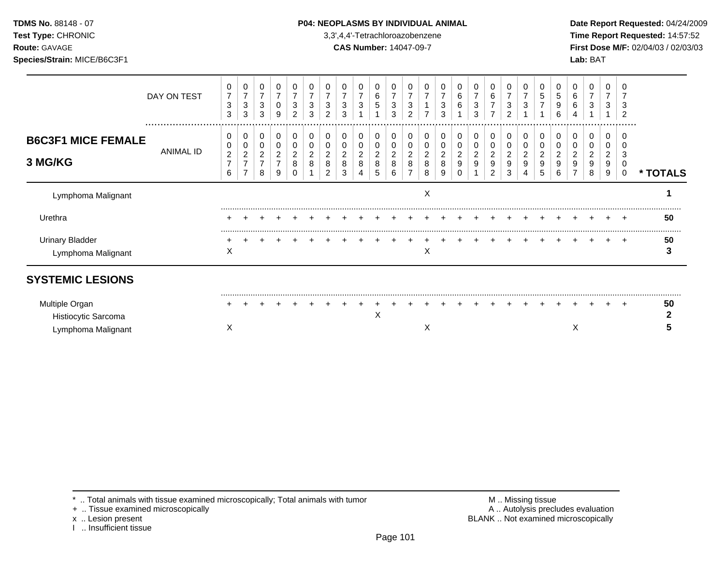### **TDMS No.** 88148 - 07 **P04: NEOPLASMS BY INDIVIDUAL ANIMAL** Date Report Requested: 04/24/2009

**Test Type:** CHRONIC 3,3',4,4'-Tetrachloroazobenzene **Time Report Requested:** 14:57:52 **Route:** GAVAGE **CAS Number:** 14047-09-7 **First Dose M/F:** 02/04/03 / 02/03/03

|                                              | DAY ON TEST   | 0<br>$\overline{7}$<br>3<br>3                   | 0<br>$\overline{\phantom{a}}$<br>3<br>3                      | 0<br>$\overline{7}$<br>3<br>3               | 0<br>$\overline{7}$<br>0<br>9  | 0<br>7<br>3<br>2                   | 3<br>3              | 0<br>$\overline{7}$<br>3<br>$\overline{2}$     | 0<br>$\overline{7}$<br>3<br>3      | 0<br>7<br>3                        | 0<br>$\,6\,$<br>5              | 0<br>$\overline{7}$<br>3<br>3               | 0<br>$\overline{7}$<br>3<br>2 | 0<br>$\overline{7}$<br>1<br>$\overline{ }$     | 0<br>$\overline{7}$<br>3<br>3                     | 0<br>$\,6\,$<br>6                            | 0<br>$\overline{7}$<br>3<br>3 | 0<br>$\,6$<br>$\overline{7}$                | 0<br>3<br>$\overline{c}$ | 3      | 0<br>$\,$ 5 $\,$<br>$\overline{7}$ | 0<br>$\,$ 5 $\,$<br>9<br>6           | 0<br>6<br>6                                      | 0<br>$\overline{7}$<br>3                    | 0<br>$\overline{7}$<br>3           | 3<br>$\overline{2}$                    |          |
|----------------------------------------------|---------------|-------------------------------------------------|--------------------------------------------------------------|---------------------------------------------|--------------------------------|------------------------------------|---------------------|------------------------------------------------|------------------------------------|------------------------------------|--------------------------------|---------------------------------------------|-------------------------------|------------------------------------------------|---------------------------------------------------|----------------------------------------------|-------------------------------|---------------------------------------------|--------------------------|--------|------------------------------------|--------------------------------------|--------------------------------------------------|---------------------------------------------|------------------------------------|----------------------------------------|----------|
| <b>B6C3F1 MICE FEMALE</b><br>3 MG/KG         | <br>ANIMAL ID | 0<br>0<br>$\overline{c}$<br>$\overline{7}$<br>6 | 0<br>0<br>$\overline{2}$<br>$\overline{7}$<br>$\overline{7}$ | 0<br>0<br>$\sqrt{2}$<br>$\overline{7}$<br>8 | 0<br>0<br>$\sqrt{2}$<br>7<br>9 | 0<br>0<br>$\overline{c}$<br>8<br>0 | 0<br>$\overline{c}$ | $\mathbf 0$<br>0<br>$\boldsymbol{2}$<br>8<br>2 | 0<br>0<br>$\overline{a}$<br>8<br>3 | 0<br>0<br>$\overline{c}$<br>8<br>4 | 0<br>0<br>$\sqrt{2}$<br>8<br>5 | 0<br>0<br>$\overline{\mathbf{c}}$<br>8<br>6 | 0<br>0<br>$\overline{c}$<br>8 | $\pmb{0}$<br>$\overline{\mathbf{c}}$<br>8<br>8 | 0<br>0<br>$\overline{\mathbf{c}}$<br>$\bf 8$<br>9 | $\mathbf 0$<br>0<br>$\overline{c}$<br>9<br>0 | 0<br>0<br>$\overline{c}$<br>9 | 0<br>0<br>$\overline{\mathbf{c}}$<br>9<br>2 | 0<br>0<br>2<br>9<br>3    | 0<br>9 | 0<br>0<br>$\overline{c}$<br>9<br>5 | 0<br>0<br>$\boldsymbol{2}$<br>9<br>6 | $\mathbf 0$<br>0<br>$\overline{\mathbf{c}}$<br>9 | 0<br>0<br>$\overline{\mathbf{c}}$<br>9<br>8 | 0<br>0<br>$\overline{c}$<br>9<br>9 | $\Omega$<br>3<br>0<br>$\boldsymbol{0}$ | * TOTALS |
| Lymphoma Malignant                           |               |                                                 |                                                              |                                             |                                |                                    |                     |                                                |                                    |                                    |                                |                                             |                               | $\pmb{\times}$                                 |                                                   |                                              |                               |                                             |                          |        |                                    |                                      |                                                  |                                             |                                    |                                        |          |
| Urethra                                      |               |                                                 |                                                              |                                             |                                |                                    |                     |                                                |                                    |                                    |                                |                                             |                               |                                                |                                                   |                                              |                               |                                             |                          |        |                                    |                                      |                                                  |                                             |                                    |                                        | 50       |
| <b>Urinary Bladder</b><br>Lymphoma Malignant |               | X                                               |                                                              |                                             |                                |                                    |                     |                                                |                                    |                                    |                                |                                             |                               | Χ                                              |                                                   |                                              |                               |                                             |                          |        |                                    |                                      |                                                  |                                             |                                    | $\div$                                 | 50       |
| <b>SYSTEMIC LESIONS</b>                      |               |                                                 |                                                              |                                             |                                |                                    |                     |                                                |                                    |                                    |                                |                                             |                               |                                                |                                                   |                                              |                               |                                             |                          |        |                                    |                                      |                                                  |                                             |                                    |                                        |          |
| Multiple Organ<br>Histiocytic Sarcoma        |               |                                                 |                                                              |                                             |                                |                                    |                     |                                                |                                    |                                    | X                              |                                             |                               |                                                |                                                   |                                              |                               |                                             |                          |        |                                    |                                      |                                                  |                                             |                                    | $\ddot{}$                              | 50       |
| Lymphoma Malignant                           |               | X                                               |                                                              |                                             |                                |                                    |                     |                                                |                                    |                                    |                                |                                             |                               | X                                              |                                                   |                                              |                               |                                             |                          |        |                                    |                                      | Χ                                                |                                             |                                    |                                        |          |

+ .. Tissue examined microscopically

x .. Lesion present<br>I .. Insufficient tissue

\* .. Total animals with tissue examined microscopically; Total animals with tumor <br>
+ .. Tissue examined microscopically<br>
+ .. Tissue examined microscopically BLANK .. Not examined microscopically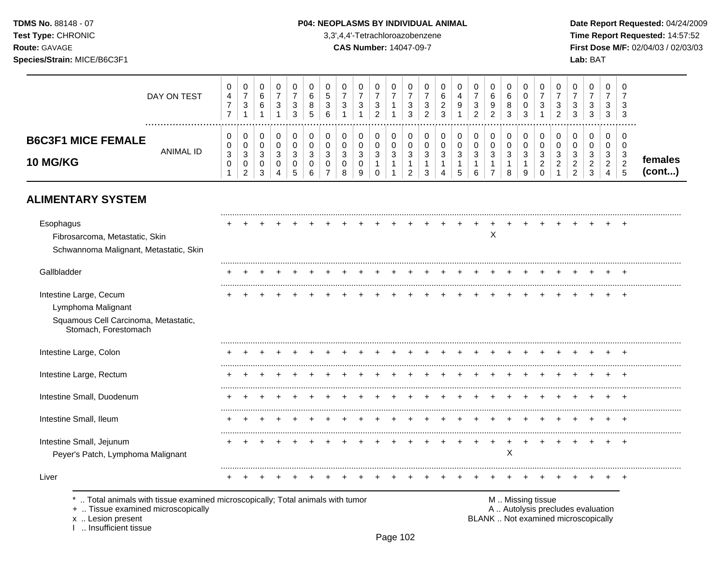**Test Type:** CHRONIC 3,3',4,4'-Tetrachloroazobenzene **Time Report Requested:** 14:57:52 **Route:** GAVAGE **CAS Number:** 14047-09-7 **First Dose M/F:** 02/04/03 / 02/03/03 **Species/Strain:** MICE/B6C3F1 **Lab:** BAT

|                                                                                                                    | DAY ON TEST      | 0<br>4<br>$\boldsymbol{7}$<br>$\overline{7}$ | 0<br>$\overline{7}$<br>$\ensuremath{\mathsf{3}}$<br>$\mathbf{1}$             | 0<br>6<br>$\,6\,$<br>$\mathbf{1}$          | 0<br>$\overline{7}$<br>3<br>$\mathbf{1}$ | 0<br>$\overline{7}$<br>$\sqrt{3}$<br>3     | 0<br>6<br>8<br>5                | $\Omega$<br>5<br>3<br>6 | 0<br>$\overline{7}$<br>3 | 0<br>$\overline{7}$<br>$\ensuremath{\mathsf{3}}$<br>1 | 0<br>$\overline{7}$<br>$\mathbf{3}$<br>$\overline{2}$                        | 0<br>$\overline{7}$<br>$\mathbf{1}$<br>$\mathbf{1}$ | 0<br>$\overline{7}$<br>$\sqrt{3}$<br>3                           | 0<br>$\overline{7}$<br>$\mathbf{3}$<br>$\overline{2}$ | $\Omega$<br>6<br>$\overline{c}$<br>$\mathbf{3}$       | 0<br>$\overline{4}$<br>9                   | 0<br>$\overline{7}$<br>$\sqrt{3}$<br>2 | 0<br>6<br>9<br>$\overline{2}$                                    | 0<br>6<br>8<br>3                                      | 0<br>0<br>0<br>3                           | 0<br>$\overline{7}$<br>3<br>$\mathbf{1}$     | $\Omega$<br>$\overline{7}$<br>3<br>$\overline{2}$ | 0<br>$\overline{7}$<br>3<br>3                              | 0<br>7<br>3<br>3                             | 0<br>7<br>3<br>3                             | 0<br>7<br>3<br>3                         |                   |
|--------------------------------------------------------------------------------------------------------------------|------------------|----------------------------------------------|------------------------------------------------------------------------------|--------------------------------------------|------------------------------------------|--------------------------------------------|---------------------------------|-------------------------|--------------------------|-------------------------------------------------------|------------------------------------------------------------------------------|-----------------------------------------------------|------------------------------------------------------------------|-------------------------------------------------------|-------------------------------------------------------|--------------------------------------------|----------------------------------------|------------------------------------------------------------------|-------------------------------------------------------|--------------------------------------------|----------------------------------------------|---------------------------------------------------|------------------------------------------------------------|----------------------------------------------|----------------------------------------------|------------------------------------------|-------------------|
| <b>B6C3F1 MICE FEMALE</b><br>10 MG/KG                                                                              | <b>ANIMAL ID</b> | 0<br>0<br>3<br>0<br>1                        | 0<br>$\pmb{0}$<br>$\ensuremath{\mathsf{3}}$<br>$\mathbf 0$<br>$\overline{2}$ | 0<br>0<br>$\mathbf{3}$<br>$\mathbf 0$<br>3 | 0<br>0<br>3<br>0<br>4                    | 0<br>$\mathbf 0$<br>$\mathbf{3}$<br>0<br>5 | 0<br>$\mathbf 0$<br>3<br>0<br>6 | 0<br>$\Omega$<br>3<br>0 | 0<br>0<br>3<br>0<br>8    | 0<br>0<br>$\sqrt{3}$<br>0<br>9                        | 0<br>$\mathbf 0$<br>$\ensuremath{\mathsf{3}}$<br>$\mathbf{1}$<br>$\mathbf 0$ | 0<br>0<br>$\mathbf{3}$<br>$\mathbf{1}$<br>1         | 0<br>$\mathbf 0$<br>$\sqrt{3}$<br>$\mathbf{1}$<br>$\overline{c}$ | 0<br>0<br>$\sqrt{3}$<br>$\mathbf{1}$<br>3             | 0<br>$\mathbf 0$<br>$\mathbf{3}$<br>$\mathbf{1}$<br>Δ | 0<br>$\mathbf 0$<br>$\mathbf{3}$<br>1<br>5 | 0<br>$\mathbf 0$<br>3<br>1<br>6        | 0<br>$\mathbf 0$<br>$\sqrt{3}$<br>$\mathbf{1}$<br>$\overline{7}$ | 0<br>$\mathbf 0$<br>$\mathbf{3}$<br>$\mathbf{1}$<br>8 | 0<br>$\mathbf 0$<br>3<br>$\mathbf{1}$<br>9 | 0<br>0<br>3<br>$\overline{2}$<br>$\mathbf 0$ | $\mathbf 0$<br>$\mathbf 0$<br>3<br>$\overline{2}$ | 0<br>0<br>$\mathbf{3}$<br>$\overline{c}$<br>$\overline{2}$ | 0<br>$\mathbf 0$<br>3<br>$\overline{2}$<br>3 | 0<br>$\mathbf 0$<br>3<br>$\overline{2}$<br>4 | 0<br>$\mathbf 0$<br>3<br>$\sqrt{2}$<br>5 | females<br>(cont) |
| <b>ALIMENTARY SYSTEM</b>                                                                                           |                  |                                              |                                                                              |                                            |                                          |                                            |                                 |                         |                          |                                                       |                                                                              |                                                     |                                                                  |                                                       |                                                       |                                            |                                        |                                                                  |                                                       |                                            |                                              |                                                   |                                                            |                                              |                                              |                                          |                   |
| Esophagus<br>Fibrosarcoma, Metastatic, Skin<br>Schwannoma Malignant, Metastatic, Skin                              |                  |                                              |                                                                              |                                            |                                          |                                            |                                 |                         |                          |                                                       |                                                                              |                                                     |                                                                  |                                                       |                                                       |                                            |                                        | X                                                                |                                                       |                                            |                                              |                                                   |                                                            |                                              |                                              |                                          |                   |
| Gallbladder                                                                                                        |                  |                                              |                                                                              |                                            |                                          |                                            |                                 |                         |                          |                                                       |                                                                              |                                                     |                                                                  |                                                       |                                                       |                                            |                                        |                                                                  |                                                       |                                            |                                              |                                                   |                                                            |                                              |                                              |                                          |                   |
| Intestine Large, Cecum<br>Lymphoma Malignant<br>Squamous Cell Carcinoma, Metastatic,<br>Stomach, Forestomach       |                  |                                              |                                                                              |                                            |                                          |                                            |                                 |                         |                          |                                                       |                                                                              |                                                     |                                                                  |                                                       |                                                       |                                            |                                        |                                                                  |                                                       |                                            |                                              |                                                   |                                                            |                                              |                                              |                                          |                   |
| Intestine Large, Colon                                                                                             |                  |                                              |                                                                              |                                            |                                          |                                            |                                 |                         |                          |                                                       |                                                                              |                                                     |                                                                  |                                                       |                                                       |                                            |                                        |                                                                  |                                                       |                                            |                                              |                                                   |                                                            |                                              |                                              |                                          |                   |
| Intestine Large, Rectum                                                                                            |                  |                                              |                                                                              |                                            |                                          |                                            |                                 |                         |                          |                                                       |                                                                              |                                                     |                                                                  |                                                       |                                                       |                                            |                                        |                                                                  |                                                       |                                            |                                              |                                                   |                                                            |                                              |                                              |                                          |                   |
| Intestine Small, Duodenum                                                                                          |                  |                                              |                                                                              |                                            |                                          |                                            |                                 |                         |                          |                                                       |                                                                              |                                                     |                                                                  |                                                       |                                                       |                                            |                                        |                                                                  |                                                       |                                            |                                              |                                                   |                                                            |                                              |                                              |                                          |                   |
| Intestine Small, Ileum                                                                                             |                  |                                              |                                                                              |                                            |                                          |                                            |                                 |                         |                          |                                                       |                                                                              |                                                     |                                                                  |                                                       |                                                       |                                            |                                        |                                                                  |                                                       |                                            |                                              |                                                   |                                                            |                                              |                                              |                                          |                   |
| Intestine Small, Jejunum<br>Peyer's Patch, Lymphoma Malignant                                                      |                  |                                              |                                                                              |                                            |                                          |                                            |                                 |                         |                          |                                                       |                                                                              |                                                     |                                                                  |                                                       |                                                       |                                            |                                        |                                                                  | X                                                     |                                            |                                              |                                                   |                                                            |                                              |                                              | $\overline{ }$                           |                   |
| Liver                                                                                                              |                  |                                              |                                                                              |                                            |                                          |                                            |                                 |                         |                          |                                                       |                                                                              |                                                     |                                                                  |                                                       |                                                       |                                            |                                        |                                                                  |                                                       |                                            |                                              |                                                   |                                                            |                                              |                                              |                                          |                   |
| Total animals with tissue examined microscopically; Total animals with tumor<br>+  Tissue examined microscopically |                  |                                              |                                                                              |                                            |                                          |                                            |                                 |                         |                          |                                                       |                                                                              |                                                     |                                                                  |                                                       |                                                       |                                            |                                        |                                                                  |                                                       | M  Missing tissue                          |                                              |                                                   | A  Autolysis precludes evaluation                          |                                              |                                              |                                          |                   |

x .. Lesion present<br>I .. Insufficient tissue

Page 102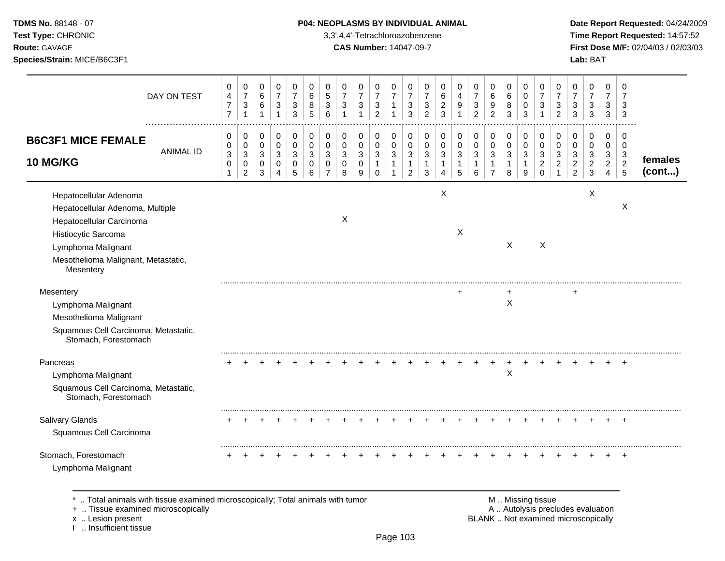### **TDMS No.** 88148 - 07 **P04: NEOPLASMS BY INDIVIDUAL ANIMAL** Date Report Requested: 04/24/2009

**Test Type:** CHRONIC 3,3',4,4'-Tetrachloroazobenzene **Time Report Requested:** 14:57:52 **Route:** GAVAGE **CAS Number:** 14047-09-7 **First Dose M/F:** 02/04/03 / 02/03/03

| DAY ON TEST                                                                                                                                                                             | 0<br>$\overline{\mathbf{4}}$<br>$\overline{7}$<br>$\overline{7}$   | 0<br>$\overline{7}$<br>3<br>$\mathbf{1}$                           | 0<br>$\,6\,$<br>$\,6\,$<br>$\overline{1}$                     | 0<br>$\overline{7}$<br>$\mathbf{3}$<br>$\mathbf{1}$ | 0<br>$\overline{7}$<br>3<br>3                      | 0<br>6<br>8<br>5                       | 0<br>$\sqrt{5}$<br>3<br>6                           | 0<br>$\overline{7}$<br>3<br>1          | 0<br>$\overline{7}$<br>3<br>$\mathbf{1}$ | 0<br>$\overline{7}$<br>$\mathbf{3}$<br>$\overline{2}$         | 0<br>$\overline{7}$<br>1<br>1    | 0<br>$\overline{7}$<br>3<br>3                           | 0<br>$\overline{7}$<br>3<br>$\overline{c}$ | 0<br>6<br>$\overline{c}$<br>3                | 0<br>$\overline{4}$<br>9<br>1   | 0<br>$\overline{7}$<br>3<br>$\overline{c}$ | 0<br>$\,6\,$<br>9<br>$\overline{2}$                              | 0<br>6<br>8<br>3                           | 0<br>$\mathbf 0$<br>0<br>3                             | 0<br>$\overline{7}$<br>3<br>1                       | 0<br>$\overline{7}$<br>3<br>$\overline{2}$ | 0<br>$\overline{7}$<br>3<br>3                             | 0<br>$\overline{7}$<br>3<br>3      | 0<br>$\overline{7}$<br>3<br>3                                      | $\Omega$<br>7<br>3<br>3                                        |                   |
|-----------------------------------------------------------------------------------------------------------------------------------------------------------------------------------------|--------------------------------------------------------------------|--------------------------------------------------------------------|---------------------------------------------------------------|-----------------------------------------------------|----------------------------------------------------|----------------------------------------|-----------------------------------------------------|----------------------------------------|------------------------------------------|---------------------------------------------------------------|----------------------------------|---------------------------------------------------------|--------------------------------------------|----------------------------------------------|---------------------------------|--------------------------------------------|------------------------------------------------------------------|--------------------------------------------|--------------------------------------------------------|-----------------------------------------------------|--------------------------------------------|-----------------------------------------------------------|------------------------------------|--------------------------------------------------------------------|----------------------------------------------------------------|-------------------|
| <b>B6C3F1 MICE FEMALE</b><br><b>ANIMAL ID</b><br><b>10 MG/KG</b>                                                                                                                        | 0<br>0<br>$\ensuremath{\mathsf{3}}$<br>$\mathbf 0$<br>$\mathbf{1}$ | 0<br>0<br>$\ensuremath{\mathsf{3}}$<br>$\pmb{0}$<br>$\overline{c}$ | 0<br>$\mathbf 0$<br>$\sqrt{3}$<br>$\mathbf 0$<br>$\mathbf{3}$ | 0<br>$\mathbf 0$<br>$\mathbf{3}$<br>0<br>4          | 0<br>$\mathbf 0$<br>$\sqrt{3}$<br>$\mathbf 0$<br>5 | 0<br>$\mathbf 0$<br>3<br>$\Omega$<br>6 | 0<br>$\mathbf 0$<br>3<br>$\Omega$<br>$\overline{7}$ | 0<br>$\mathbf 0$<br>3<br>$\Omega$<br>8 | 0<br>0<br>3<br>$\mathbf 0$<br>9          | 0<br>$\mathbf 0$<br>$\sqrt{3}$<br>$\mathbf{1}$<br>$\mathbf 0$ | 0<br>0<br>3<br>$\mathbf{1}$<br>1 | 0<br>$\mathbf 0$<br>3<br>$\mathbf{1}$<br>$\overline{c}$ | 0<br>$\mathbf 0$<br>3<br>1<br>3            | 0<br>$\mathbf 0$<br>3<br>1<br>$\overline{4}$ | 0<br>$\mathbf 0$<br>3<br>1<br>5 | 0<br>0<br>3<br>$\mathbf{1}$<br>6           | 0<br>$\mathbf 0$<br>$\sqrt{3}$<br>$\mathbf{1}$<br>$\overline{7}$ | 0<br>$\mathbf 0$<br>3<br>$\mathbf{1}$<br>8 | 0<br>$\mathbf 0$<br>$\mathbf{3}$<br>$\mathbf{1}$<br>9  | 0<br>$\mathbf 0$<br>3<br>$\overline{c}$<br>$\Omega$ | 0<br>0<br>3<br>$\overline{c}$              | 0<br>$\mathbf 0$<br>3<br>$\overline{c}$<br>$\overline{2}$ | 0<br>0<br>3<br>$\overline{c}$<br>3 | 0<br>$\mathbf 0$<br>$\sqrt{3}$<br>$\overline{c}$<br>$\overline{4}$ | $\Omega$<br>$\mathbf 0$<br>$\mathbf{3}$<br>$\overline{c}$<br>5 | females<br>(cont) |
| Hepatocellular Adenoma<br>Hepatocellular Adenoma, Multiple<br>Hepatocellular Carcinoma<br>Histiocytic Sarcoma<br>Lymphoma Malignant<br>Mesothelioma Malignant, Metastatic,<br>Mesentery |                                                                    |                                                                    |                                                               |                                                     |                                                    |                                        |                                                     | X                                      |                                          |                                                               |                                  |                                                         |                                            | $\mathsf X$                                  | X                               |                                            |                                                                  | $\times$                                   |                                                        | $\boldsymbol{\mathsf{X}}$                           |                                            |                                                           | X                                  |                                                                    | X                                                              |                   |
| Mesentery<br>Lymphoma Malignant<br>Mesothelioma Malignant<br>Squamous Cell Carcinoma, Metastatic,<br>Stomach, Forestomach                                                               |                                                                    |                                                                    |                                                               |                                                     |                                                    |                                        |                                                     |                                        |                                          |                                                               |                                  |                                                         |                                            |                                              |                                 |                                            |                                                                  | X                                          |                                                        |                                                     |                                            |                                                           |                                    |                                                                    |                                                                |                   |
| Pancreas<br>Lymphoma Malignant<br>Squamous Cell Carcinoma, Metastatic,<br>Stomach, Forestomach                                                                                          |                                                                    |                                                                    |                                                               |                                                     |                                                    |                                        |                                                     |                                        |                                          |                                                               |                                  |                                                         |                                            |                                              |                                 |                                            |                                                                  | X                                          |                                                        |                                                     |                                            |                                                           |                                    |                                                                    |                                                                |                   |
| Salivary Glands<br>Squamous Cell Carcinoma                                                                                                                                              |                                                                    |                                                                    |                                                               |                                                     |                                                    |                                        |                                                     |                                        |                                          |                                                               |                                  |                                                         |                                            |                                              |                                 |                                            |                                                                  |                                            |                                                        |                                                     |                                            |                                                           |                                    |                                                                    |                                                                |                   |
| Stomach, Forestomach<br>Lymphoma Malignant                                                                                                                                              |                                                                    |                                                                    |                                                               |                                                     |                                                    |                                        |                                                     |                                        |                                          |                                                               |                                  |                                                         |                                            |                                              |                                 |                                            |                                                                  |                                            |                                                        |                                                     |                                            |                                                           |                                    |                                                                    |                                                                |                   |
| Total animals with tissue examined microscopically; Total animals with tumor<br>+  Tissue examined microscopically                                                                      |                                                                    |                                                                    |                                                               |                                                     |                                                    |                                        |                                                     |                                        |                                          |                                                               |                                  |                                                         |                                            |                                              |                                 |                                            |                                                                  |                                            | M  Missing tissue<br>A  Autolysis precludes evaluation |                                                     |                                            |                                                           |                                    |                                                                    |                                                                |                   |

x .. Lesion present<br>I .. Insufficient tissue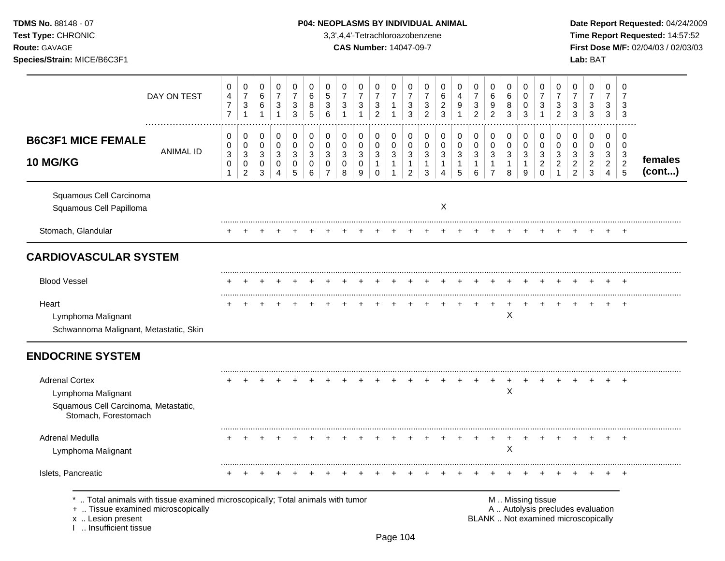# TDMS No. 88148 - 07 **P04: NEOPLASMS BY INDIVIDUAL ANIMAL** Date Report Requested: 04/24/2009

**Test Type:** CHRONIC 3,3',4,4'-Tetrachloroazobenzene **Time Report Requested:** 14:57:52 **Route:** GAVAGE **CAS Number:** 14047-09-7 **First Dose M/F:** 02/04/03 / 02/03/03

|                                                                                                                                                                | DAY ON TEST      | 0<br>$\overline{4}$<br>$\boldsymbol{7}$<br>$\overline{7}$ | 0<br>$\boldsymbol{7}$<br>$\ensuremath{\mathsf{3}}$<br>$\mathbf{1}$ | 0<br>6<br>$\,6\,$<br>$\overline{1}$         | 0<br>$\overline{7}$<br>$\ensuremath{\mathsf{3}}$<br>$\mathbf{1}$ | $\,0\,$<br>$\overline{7}$<br>$\ensuremath{\mathsf{3}}$<br>$\mathfrak{S}$ | 0<br>6<br>8<br>5      | 0<br>5<br>$\mathbf{3}$<br>6        | 0<br>$\overline{7}$<br>$\mathbf{3}$ | 0<br>$\overline{7}$<br>3<br>1              | 0<br>$\overline{7}$<br>$\ensuremath{\mathsf{3}}$<br>$\overline{2}$ | 0<br>$\overline{7}$<br>$\mathbf{1}$<br>$\mathbf{1}$          | 0<br>$\overline{7}$<br>$\ensuremath{\mathsf{3}}$<br>3            | 0<br>$\overline{7}$<br>$\ensuremath{\mathsf{3}}$<br>$\overline{c}$ | 0<br>6<br>$\overline{a}$<br>$\mathbf{3}$ | 0<br>$\overline{4}$<br>$9\,$               | 0<br>$\overline{7}$<br>$\ensuremath{\mathsf{3}}$<br>$\overline{2}$ | 0<br>$\,6$<br>9<br>$\overline{2}$                                  | 0<br>6<br>8<br>3              | $\pmb{0}$<br>$\pmb{0}$<br>$\pmb{0}$<br>3            | 0<br>$\overline{7}$<br>3<br>$\mathbf{1}$                       | 0<br>$\overline{7}$<br>3<br>$\overline{2}$              | 0<br>$\overline{7}$<br>3<br>3                                            | 0<br>$\overline{7}$<br>3<br>3                              | 0<br>$\overline{7}$<br>3<br>$\mathbf{3}$        | 0<br>$\overline{7}$<br>3<br>3                                      |                   |
|----------------------------------------------------------------------------------------------------------------------------------------------------------------|------------------|-----------------------------------------------------------|--------------------------------------------------------------------|---------------------------------------------|------------------------------------------------------------------|--------------------------------------------------------------------------|-----------------------|------------------------------------|-------------------------------------|--------------------------------------------|--------------------------------------------------------------------|--------------------------------------------------------------|------------------------------------------------------------------|--------------------------------------------------------------------|------------------------------------------|--------------------------------------------|--------------------------------------------------------------------|--------------------------------------------------------------------|-------------------------------|-----------------------------------------------------|----------------------------------------------------------------|---------------------------------------------------------|--------------------------------------------------------------------------|------------------------------------------------------------|-------------------------------------------------|--------------------------------------------------------------------|-------------------|
| <b>B6C3F1 MICE FEMALE</b><br>10 MG/KG                                                                                                                          | <b>ANIMAL ID</b> | 0<br>0<br>$\sqrt{3}$<br>$\mathbf 0$<br>$\mathbf{1}$       | 0<br>$\pmb{0}$<br>$\mathbf{3}$<br>$\pmb{0}$<br>$\overline{2}$      | 0<br>0<br>$\mathbf{3}$<br>0<br>$\mathbf{3}$ | 0<br>$\pmb{0}$<br>$\mathbf{3}$<br>0<br>4                         | 0<br>$\pmb{0}$<br>$\mathbf{3}$<br>$\pmb{0}$<br>5                         | 0<br>0<br>3<br>0<br>6 | 0<br>0<br>3<br>0<br>$\overline{7}$ | 0<br>$\mathbf 0$<br>3<br>0<br>8     | 0<br>0<br>$\mathbf{3}$<br>$\mathbf 0$<br>9 | 0<br>$\pmb{0}$<br>$\mathbf{3}$<br>$\mathbf{1}$<br>$\Omega$         | 0<br>$\pmb{0}$<br>$\sqrt{3}$<br>$\mathbf{1}$<br>$\mathbf{1}$ | 0<br>$\pmb{0}$<br>$\mathbf{3}$<br>$\mathbf{1}$<br>$\overline{2}$ | 0<br>0<br>$\mathbf{3}$<br>$\mathbf{1}$<br>3                        | 0<br>0<br>3<br>$\mathbf{1}$<br>4         | 0<br>$\mathbf 0$<br>3<br>$\mathbf{1}$<br>5 | 0<br>$\pmb{0}$<br>$\sqrt{3}$<br>1<br>6                             | 0<br>$\mathbf 0$<br>$\mathbf{3}$<br>$\mathbf{1}$<br>$\overline{7}$ | 0<br>$\pmb{0}$<br>3<br>1<br>8 | 0<br>$\pmb{0}$<br>$\mathbf{3}$<br>$\mathbf{1}$<br>9 | 0<br>$\mathbf 0$<br>$\mathbf{3}$<br>$\overline{c}$<br>$\Omega$ | 0<br>$\mathbf 0$<br>$\mathbf{3}$<br>$\overline{c}$<br>1 | 0<br>$\mathbf 0$<br>3<br>$\overline{c}$<br>2                             | 0<br>0<br>$\mathbf{3}$<br>$\overline{2}$<br>$\mathfrak{Z}$ | 0<br>0<br>3<br>$\overline{a}$<br>$\overline{4}$ | 0<br>$\mathbf 0$<br>$\sqrt{3}$<br>$\overline{c}$<br>$\overline{5}$ | females<br>(cont) |
| Squamous Cell Carcinoma<br>Squamous Cell Papilloma                                                                                                             |                  |                                                           |                                                                    |                                             |                                                                  |                                                                          |                       |                                    |                                     |                                            |                                                                    |                                                              |                                                                  |                                                                    | X                                        |                                            |                                                                    |                                                                    |                               |                                                     |                                                                |                                                         |                                                                          |                                                            |                                                 |                                                                    |                   |
| Stomach, Glandular                                                                                                                                             |                  |                                                           |                                                                    |                                             |                                                                  |                                                                          |                       |                                    |                                     |                                            |                                                                    |                                                              |                                                                  |                                                                    |                                          |                                            |                                                                    |                                                                    |                               |                                                     |                                                                |                                                         |                                                                          |                                                            |                                                 |                                                                    |                   |
| <b>CARDIOVASCULAR SYSTEM</b>                                                                                                                                   |                  |                                                           |                                                                    |                                             |                                                                  |                                                                          |                       |                                    |                                     |                                            |                                                                    |                                                              |                                                                  |                                                                    |                                          |                                            |                                                                    |                                                                    |                               |                                                     |                                                                |                                                         |                                                                          |                                                            |                                                 |                                                                    |                   |
| <b>Blood Vessel</b>                                                                                                                                            |                  |                                                           |                                                                    |                                             |                                                                  |                                                                          |                       |                                    |                                     |                                            |                                                                    |                                                              |                                                                  |                                                                    |                                          |                                            |                                                                    |                                                                    |                               |                                                     |                                                                |                                                         |                                                                          |                                                            |                                                 |                                                                    |                   |
| Heart<br>Lymphoma Malignant<br>Schwannoma Malignant, Metastatic, Skin                                                                                          |                  |                                                           |                                                                    |                                             |                                                                  |                                                                          |                       |                                    |                                     |                                            |                                                                    |                                                              |                                                                  |                                                                    |                                          |                                            |                                                                    | $\ddot{}$                                                          | $\div$<br>Χ                   | ÷                                                   |                                                                |                                                         |                                                                          |                                                            |                                                 | $\overline{ }$                                                     |                   |
| <b>ENDOCRINE SYSTEM</b>                                                                                                                                        |                  |                                                           |                                                                    |                                             |                                                                  |                                                                          |                       |                                    |                                     |                                            |                                                                    |                                                              |                                                                  |                                                                    |                                          |                                            |                                                                    |                                                                    |                               |                                                     |                                                                |                                                         |                                                                          |                                                            |                                                 |                                                                    |                   |
| <b>Adrenal Cortex</b><br>Lymphoma Malignant<br>Squamous Cell Carcinoma, Metastatic,<br>Stomach, Forestomach                                                    |                  |                                                           |                                                                    |                                             |                                                                  |                                                                          |                       |                                    |                                     |                                            |                                                                    |                                                              |                                                                  |                                                                    |                                          |                                            |                                                                    |                                                                    | $\times$                      |                                                     |                                                                |                                                         |                                                                          |                                                            |                                                 |                                                                    |                   |
| Adrenal Medulla                                                                                                                                                |                  |                                                           | $\ddot{}$                                                          |                                             |                                                                  |                                                                          |                       |                                    |                                     |                                            |                                                                    |                                                              |                                                                  |                                                                    |                                          |                                            |                                                                    | $\ddot{}$                                                          | $\ddot{}$<br>$\mathsf X$      | $\pm$                                               | $\pm$                                                          |                                                         |                                                                          | $\div$                                                     | $\pm$                                           | $\overline{ }$                                                     |                   |
| Lymphoma Malignant                                                                                                                                             |                  |                                                           |                                                                    |                                             |                                                                  |                                                                          |                       |                                    |                                     |                                            |                                                                    |                                                              |                                                                  |                                                                    |                                          |                                            |                                                                    |                                                                    |                               |                                                     |                                                                |                                                         |                                                                          |                                                            |                                                 |                                                                    |                   |
| Islets, Pancreatic                                                                                                                                             |                  |                                                           |                                                                    |                                             |                                                                  |                                                                          |                       |                                    |                                     |                                            |                                                                    |                                                              |                                                                  |                                                                    |                                          |                                            |                                                                    |                                                                    |                               |                                                     |                                                                |                                                         |                                                                          |                                                            |                                                 |                                                                    |                   |
| Total animals with tissue examined microscopically; Total animals with tumor<br>+  Tissue examined microscopically<br>x  Lesion present<br>Insufficient tissue |                  |                                                           |                                                                    |                                             |                                                                  |                                                                          |                       |                                    |                                     |                                            |                                                                    |                                                              |                                                                  |                                                                    |                                          |                                            |                                                                    |                                                                    |                               | M  Missing tissue                                   |                                                                |                                                         | A  Autolysis precludes evaluation<br>BLANK  Not examined microscopically |                                                            |                                                 |                                                                    |                   |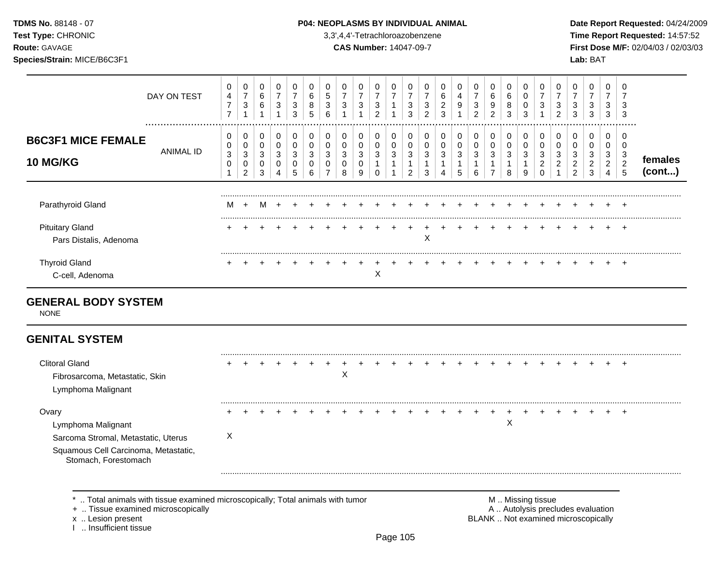### **TDMS No.** 88148 - 07 **P04: NEOPLASMS BY INDIVIDUAL ANIMAL** Date Report Requested: 04/24/2009

**Test Type:** CHRONIC 3,3',4,4'-Tetrachloroazobenzene **Time Report Requested:** 14:57:52 **Route:** GAVAGE **CAS Number:** 14047-09-7 **First Dose M/F:** 02/04/03 / 02/03/03

|                                                                                                            | DAY ON TEST      | 0<br>4<br>$\overline{7}$<br>$\overline{7}$ | 0<br>$\overline{7}$<br>$\mathbf{3}$<br>1                    | 0<br>6<br>6<br>$\mathbf{1}$              | 0<br>$\overline{7}$<br>$\sqrt{3}$<br>1   | 0<br>$\overline{7}$<br>3<br>3   | 0<br>6<br>8<br>5                | 0<br>5<br>3<br>6           | 0<br>$\overline{7}$<br>$\mathbf{3}$<br>1 | 0<br>$\overline{7}$<br>$\mathbf{3}$<br>1 | 0<br>$\overline{7}$<br>3<br>$\overline{2}$        | 0<br>$\overline{7}$        | 0<br>$\overline{7}$<br>3<br>3              | 0<br>7<br>3<br>$\overline{2}$ | 0<br>6<br>$\overline{2}$<br>$\mathbf{3}$ | 0<br>4<br>9                   | 0<br>$\overline{7}$<br>$\mathbf{3}$<br>$\overline{2}$ | 0<br>6<br>9<br>$\overline{2}$              | 0<br>6<br>8<br>3              | 0<br>$\Omega$<br>0<br>3          | 0<br>3                                           | 0<br>$\overline{7}$<br>3<br>$\overline{2}$ | 0<br>$\overline{7}$<br>3<br>3                   | 0<br>$\overline{7}$<br>$\ensuremath{\mathsf{3}}$<br>3              | 0<br>$\overline{7}$<br>3<br>3      | 0<br>7<br>3<br>3                   |                   |
|------------------------------------------------------------------------------------------------------------|------------------|--------------------------------------------|-------------------------------------------------------------|------------------------------------------|------------------------------------------|---------------------------------|---------------------------------|----------------------------|------------------------------------------|------------------------------------------|---------------------------------------------------|----------------------------|--------------------------------------------|-------------------------------|------------------------------------------|-------------------------------|-------------------------------------------------------|--------------------------------------------|-------------------------------|----------------------------------|--------------------------------------------------|--------------------------------------------|-------------------------------------------------|--------------------------------------------------------------------|------------------------------------|------------------------------------|-------------------|
| <b>B6C3F1 MICE FEMALE</b><br>10 MG/KG                                                                      | <b>ANIMAL ID</b> | 0<br>0<br>$\sqrt{3}$<br>0                  | 0<br>$\pmb{0}$<br>$\sqrt{3}$<br>$\pmb{0}$<br>$\overline{c}$ | 0<br>$\pmb{0}$<br>3<br>0<br>$\mathbf{3}$ | 0<br>$\mathbf 0$<br>$\sqrt{3}$<br>0<br>4 | 0<br>$\mathbf 0$<br>3<br>0<br>5 | 0<br>$\mathbf 0$<br>3<br>0<br>6 | 0<br>$\mathbf 0$<br>3<br>0 | 0<br>$\pmb{0}$<br>$\mathbf{3}$<br>0<br>8 | 0<br>$\pmb{0}$<br>$\sqrt{3}$<br>0<br>9   | 0<br>$\mathbf 0$<br>3<br>$\mathbf{1}$<br>$\Omega$ | 0<br>$\mathbf 0$<br>3<br>1 | 0<br>$\pmb{0}$<br>3<br>1<br>$\overline{2}$ | 0<br>0<br>3<br>1<br>3         | 0<br>$\mathbf 0$<br>3<br>1<br>Δ          | 0<br>$\pmb{0}$<br>3<br>1<br>5 | 0<br>$\mathbf 0$<br>$\mathbf{3}$<br>6                 | 0<br>$\pmb{0}$<br>3<br>1<br>$\overline{7}$ | 0<br>$\pmb{0}$<br>3<br>1<br>8 | 0<br>$\mathbf 0$<br>3<br>-1<br>9 | 0<br>$\Omega$<br>3<br>$\overline{2}$<br>$\Omega$ | 0<br>$\mathbf 0$<br>3<br>$\overline{c}$    | 0<br>0<br>3<br>$\overline{c}$<br>$\overline{2}$ | 0<br>$\mathbf 0$<br>$\mathbf{3}$<br>$\overline{a}$<br>$\mathbf{3}$ | 0<br>0<br>3<br>$\overline{2}$<br>4 | 0<br>0<br>3<br>$\overline{c}$<br>5 | females<br>(cont) |
| Parathyroid Gland                                                                                          |                  | м                                          | $\ddot{}$                                                   | м                                        |                                          |                                 |                                 |                            |                                          |                                          |                                                   |                            |                                            |                               |                                          |                               |                                                       |                                            |                               |                                  |                                                  |                                            |                                                 |                                                                    |                                    |                                    |                   |
| <b>Pituitary Gland</b><br>Pars Distalis, Adenoma                                                           |                  |                                            |                                                             |                                          |                                          |                                 |                                 |                            |                                          |                                          |                                                   |                            |                                            | X                             |                                          |                               |                                                       |                                            |                               |                                  |                                                  |                                            |                                                 |                                                                    |                                    | $\div$                             |                   |
| <b>Thyroid Gland</b><br>C-cell, Adenoma                                                                    |                  |                                            |                                                             |                                          |                                          |                                 |                                 |                            |                                          |                                          | X                                                 |                            |                                            |                               |                                          |                               |                                                       |                                            |                               |                                  |                                                  |                                            |                                                 |                                                                    |                                    | $\ddot{}$                          |                   |
| <b>GENERAL BODY SYSTEM</b><br><b>NONE</b>                                                                  |                  |                                            |                                                             |                                          |                                          |                                 |                                 |                            |                                          |                                          |                                                   |                            |                                            |                               |                                          |                               |                                                       |                                            |                               |                                  |                                                  |                                            |                                                 |                                                                    |                                    |                                    |                   |
| <b>GENITAL SYSTEM</b>                                                                                      |                  |                                            |                                                             |                                          |                                          |                                 |                                 |                            |                                          |                                          |                                                   |                            |                                            |                               |                                          |                               |                                                       |                                            |                               |                                  |                                                  |                                            |                                                 |                                                                    |                                    |                                    |                   |
| <b>Clitoral Gland</b><br>Fibrosarcoma, Metastatic, Skin<br>Lymphoma Malignant                              |                  |                                            |                                                             |                                          |                                          |                                 |                                 |                            | X                                        |                                          |                                                   |                            |                                            |                               |                                          |                               |                                                       |                                            |                               |                                  |                                                  |                                            |                                                 |                                                                    |                                    | $\ddot{}$                          |                   |
| Ovary<br>Lymphoma Malignant<br>Sarcoma Stromal, Metastatic, Uterus<br>Squamous Cell Carcinoma, Metastatic, |                  | X                                          |                                                             |                                          |                                          |                                 |                                 |                            |                                          |                                          |                                                   |                            |                                            |                               |                                          |                               |                                                       |                                            | X                             |                                  |                                                  |                                            |                                                 |                                                                    |                                    | $\pm$                              |                   |

Stomach, Forestomach

\* .. Total animals with tissue examined microscopically; Total animals with tumor **M** . Missing tissue M .. Missing tissue<br>  $\blacksquare$  . Tissue examined microscopically<br>  $\blacksquare$  . Autolysis precludes evaluation

+ .. Tissue examined microscopically<br>x .. Lesion present

I .. Insufficient tissue

BLANK .. Not examined microscopically

.........................................................................................................................................................................................................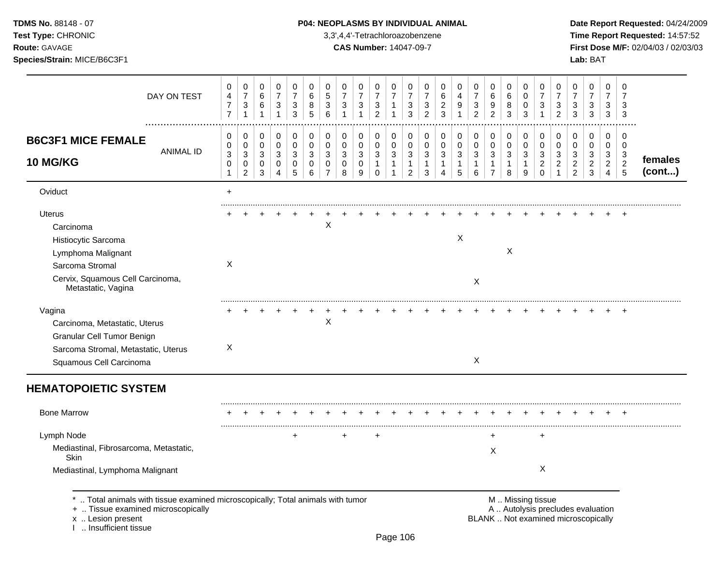I .. Insufficient tissue

# TDMS No. 88148 - 07 **P04: NEOPLASMS BY INDIVIDUAL ANIMAL** Date Report Requested: 04/24/2009

**Test Type:** CHRONIC 3,3',4,4'-Tetrachloroazobenzene **Time Report Requested:** 14:57:52 **Route:** GAVAGE **CAS Number:** 14047-09-7 **First Dose M/F:** 02/04/03 / 02/03/03

| DAY ON TEST                                                                                                                                          | 0<br>4<br>$\overline{7}$<br>$\overline{7}$ | $\boldsymbol{0}$<br>$\overline{7}$<br>3<br>$\mathbf{1}$ | 0<br>6<br>6<br>1                         | 0<br>$\boldsymbol{7}$<br>$\sqrt{3}$<br>$\mathbf{1}$ | 0<br>$\overline{7}$<br>3<br>3 | $\mathbf 0$<br>$\,6$<br>8<br>5            | $\mathbf 0$<br>5<br>3<br>6             | 0<br>$\overline{7}$<br>$\sqrt{3}$         | 0<br>$\overline{7}$<br>$\ensuremath{\mathsf{3}}$ | $\mathbf 0$<br>$\boldsymbol{7}$<br>$\sqrt{3}$<br>$\overline{2}$ | 0<br>$\overline{7}$<br>$\mathbf{1}$<br>$\mathbf{1}$   | 0<br>$\overline{7}$<br>$\sqrt{3}$<br>3                                   | 0<br>7<br>3<br>2                                               | 0<br>6<br>$\overline{c}$<br>3                           | 0<br>4<br>9                                       | 0<br>$\overline{7}$<br>3<br>$\overline{2}$ | $\mathbf 0$<br>6<br>9<br>$\overline{2}$       | 0<br>$\,6$<br>8<br>3                       | $\Omega$<br>$\mathbf 0$<br>$\mathbf 0$<br>3 | $\Omega$<br>7<br>3                                     | 0<br>$\overline{7}$<br>3<br>$\overline{2}$ | 0<br>$\overline{7}$<br>3<br>3                                            | 0<br>7<br>3<br>3                              | 0<br>$\overline{7}$<br>3<br>3                            | 0<br>7<br>3<br>3                                                    |                   |
|------------------------------------------------------------------------------------------------------------------------------------------------------|--------------------------------------------|---------------------------------------------------------|------------------------------------------|-----------------------------------------------------|-------------------------------|-------------------------------------------|----------------------------------------|-------------------------------------------|--------------------------------------------------|-----------------------------------------------------------------|-------------------------------------------------------|--------------------------------------------------------------------------|----------------------------------------------------------------|---------------------------------------------------------|---------------------------------------------------|--------------------------------------------|-----------------------------------------------|--------------------------------------------|---------------------------------------------|--------------------------------------------------------|--------------------------------------------|--------------------------------------------------------------------------|-----------------------------------------------|----------------------------------------------------------|---------------------------------------------------------------------|-------------------|
| <b>B6C3F1 MICE FEMALE</b><br><b>ANIMAL ID</b><br>10 MG/KG                                                                                            | 0<br>0<br>$\mathbf{3}$<br>0                | 0<br>$\pmb{0}$<br>3<br>0<br>$\overline{c}$              | 0<br>$\pmb{0}$<br>3<br>0<br>$\mathbf{3}$ | 0<br>$\pmb{0}$<br>3<br>0<br>$\overline{4}$          | 0<br>$\pmb{0}$<br>3<br>0<br>5 | $\mathbf 0$<br>$\mathbf 0$<br>3<br>0<br>6 | 0<br>$\mathbf 0$<br>3<br>$\Omega$<br>7 | 0<br>$\mathbf 0$<br>3<br>$\mathbf 0$<br>8 | 0<br>$\pmb{0}$<br>3<br>$\mathbf 0$<br>9          | 0<br>$\pmb{0}$<br>3<br>$\mathbf{1}$<br>0                        | 0<br>$\mathbf 0$<br>3<br>$\mathbf{1}$<br>$\mathbf{1}$ | $\mathbf 0$<br>$\pmb{0}$<br>$\sqrt{3}$<br>$\mathbf{1}$<br>$\overline{a}$ | 0<br>$\mathbf 0$<br>$\sqrt{3}$<br>$\mathbf{1}$<br>$\mathbf{3}$ | 0<br>$\mathbf 0$<br>3<br>$\mathbf{1}$<br>$\overline{A}$ | 0<br>$\pmb{0}$<br>$\sqrt{3}$<br>$\mathbf{1}$<br>5 | 0<br>$\pmb{0}$<br>3<br>$\mathbf 1$<br>6    | 0<br>0<br>3<br>$\mathbf{1}$<br>$\overline{7}$ | 0<br>$\mathbf 0$<br>3<br>$\mathbf{1}$<br>8 | 0<br>$\pmb{0}$<br>3<br>$\mathbf{1}$<br>9    | 0<br>$\mathbf 0$<br>3<br>$\overline{c}$<br>$\mathbf 0$ | 0<br>$\mathbf 0$<br>3<br>2                 | 0<br>$\mathbf 0$<br>3<br>$\overline{c}$<br>$\overline{c}$                | 0<br>0<br>3<br>$\overline{c}$<br>$\mathbf{3}$ | 0<br>0<br>3<br>$\overline{2}$<br>$\overline{\mathbf{4}}$ | $\mathbf 0$<br>$\mathbf 0$<br>3<br>$\overline{c}$<br>$\overline{5}$ | females<br>(cont) |
| Oviduct                                                                                                                                              | $+$                                        |                                                         |                                          |                                                     |                               |                                           |                                        |                                           |                                                  |                                                                 |                                                       |                                                                          |                                                                |                                                         |                                                   |                                            |                                               |                                            |                                             |                                                        |                                            |                                                                          |                                               |                                                          |                                                                     |                   |
| <b>Uterus</b><br>Carcinoma<br>Histiocytic Sarcoma<br>Lymphoma Malignant<br>Sarcoma Stromal<br>Cervix, Squamous Cell Carcinoma,<br>Metastatic, Vagina | X                                          |                                                         |                                          |                                                     |                               |                                           | X                                      |                                           |                                                  |                                                                 |                                                       |                                                                          |                                                                |                                                         | $\mathsf{X}$                                      | X                                          |                                               | $\sf X$                                    |                                             |                                                        |                                            |                                                                          |                                               |                                                          |                                                                     |                   |
| Vagina<br>Carcinoma, Metastatic, Uterus<br>Granular Cell Tumor Benign<br>Sarcoma Stromal, Metastatic, Uterus<br>Squamous Cell Carcinoma              | X                                          |                                                         |                                          |                                                     |                               |                                           | X                                      |                                           |                                                  |                                                                 |                                                       |                                                                          |                                                                |                                                         |                                                   | X                                          |                                               |                                            |                                             |                                                        |                                            |                                                                          |                                               |                                                          | $\overline{+}$                                                      |                   |
| <b>HEMATOPOIETIC SYSTEM</b>                                                                                                                          |                                            |                                                         |                                          |                                                     |                               |                                           |                                        |                                           |                                                  |                                                                 |                                                       |                                                                          |                                                                |                                                         |                                                   |                                            |                                               |                                            |                                             |                                                        |                                            |                                                                          |                                               |                                                          |                                                                     |                   |
| <b>Bone Marrow</b>                                                                                                                                   |                                            |                                                         |                                          |                                                     |                               |                                           |                                        |                                           |                                                  |                                                                 |                                                       |                                                                          |                                                                |                                                         |                                                   |                                            |                                               |                                            |                                             |                                                        |                                            |                                                                          |                                               |                                                          |                                                                     |                   |
| Lymph Node<br>Mediastinal, Fibrosarcoma, Metastatic,<br>Skin                                                                                         |                                            |                                                         |                                          |                                                     | $\ddot{}$                     |                                           |                                        | $\ddot{}$                                 |                                                  | $\ddot{}$                                                       |                                                       |                                                                          |                                                                |                                                         |                                                   |                                            | $\ddot{}$<br>X                                |                                            |                                             | $\ddot{}$                                              |                                            |                                                                          |                                               |                                                          |                                                                     |                   |
| Mediastinal, Lymphoma Malignant                                                                                                                      |                                            |                                                         |                                          |                                                     |                               |                                           |                                        |                                           |                                                  |                                                                 |                                                       |                                                                          |                                                                |                                                         |                                                   |                                            |                                               |                                            |                                             | $\mathsf X$                                            |                                            |                                                                          |                                               |                                                          |                                                                     |                   |
| Total animals with tissue examined microscopically; Total animals with tumor<br>+  Tissue examined microscopically<br>x  Lesion present              |                                            |                                                         |                                          |                                                     |                               |                                           |                                        |                                           |                                                  |                                                                 |                                                       |                                                                          |                                                                |                                                         |                                                   |                                            |                                               |                                            | M  Missing tissue                           |                                                        |                                            | A  Autolysis precludes evaluation<br>BLANK  Not examined microscopically |                                               |                                                          |                                                                     |                   |

Page 106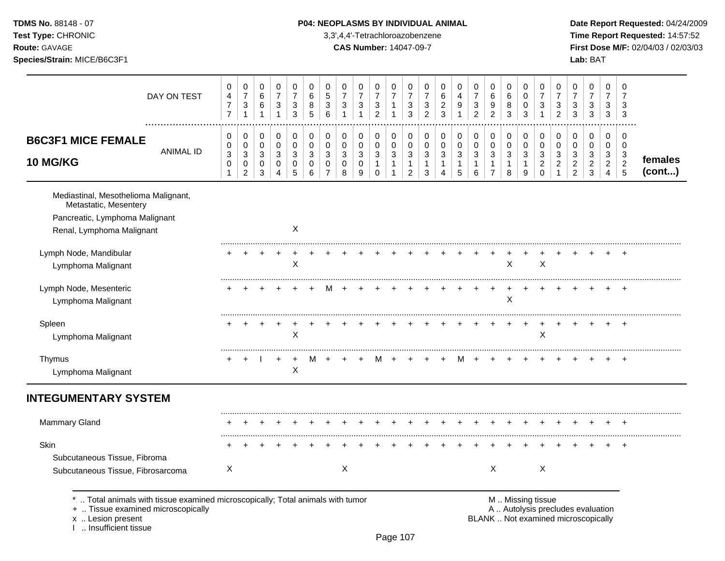**TDMS No.** 88148 - 07 **P04: NEOPLASMS BY INDIVIDUAL ANIMAL** Date Report Requested: 04/24/2009 **Test Type:** CHRONIC 3,3',4,4'-Tetrachloroazobenzene **Time Report Requested:** 14:57:52 **Route:** GAVAGE **CAS Number:** 14047-09-7 **First Dose M/F:** 02/04/03 / 02/03/03 **Species/Strain:** MICE/B6C3F1 **Lab:** BAT

|                                                                                                                              | DAY ON TEST                                                                  | 0<br>4<br>$\overline{7}$<br>$\overline{7}$                                 | $\mathbf 0$<br>$\overline{7}$<br>3<br>$\mathbf{1}$            | 0<br>6<br>6<br>1                                                           | 0<br>$\overline{7}$<br>3<br>$\mathbf{1}$  | 0<br>$\overline{7}$<br>3<br>3   | 0<br>6<br>8<br>5                       | 0<br>5<br>3<br>6                             | 0<br>$\overline{7}$<br>3<br>$\mathbf{1}$ | 0<br>$\overline{7}$<br>3<br>$\mathbf{1}$ | 0<br>$\overline{7}$<br>3<br>$\overline{c}$                | 0<br>$\overline{7}$<br>1<br>$\mathbf{1}$                    | 0<br>$\overline{7}$<br>3<br>3                                                 | 0<br>$\overline{7}$<br>3<br>$\overline{c}$ | 0<br>6<br>$\overline{c}$<br>3                 | 0<br>$\overline{\mathbf{4}}$<br>9<br>$\mathbf{1}$                | 0<br>$\overline{7}$<br>3<br>$\overline{2}$ | 0<br>6<br>9<br>$\overline{c}$                         | $\mathbf 0$<br>6<br>8<br>3               | 0<br>0<br>0<br>3              | 0<br>$\overline{7}$<br>3                                                                                                   | 0<br>$\overline{7}$<br>3<br>$\overline{c}$              | 0<br>$\overline{7}$<br>3<br>$\mathbf{3}$            | 0<br>$\overline{7}$<br>3<br>$\mathbf{3}$                       | 0<br>$\overline{7}$<br>3<br>3                           | $\mathbf 0$<br>$\overline{7}$<br>3<br>3                                     |                   |
|------------------------------------------------------------------------------------------------------------------------------|------------------------------------------------------------------------------|----------------------------------------------------------------------------|---------------------------------------------------------------|----------------------------------------------------------------------------|-------------------------------------------|---------------------------------|----------------------------------------|----------------------------------------------|------------------------------------------|------------------------------------------|-----------------------------------------------------------|-------------------------------------------------------------|-------------------------------------------------------------------------------|--------------------------------------------|-----------------------------------------------|------------------------------------------------------------------|--------------------------------------------|-------------------------------------------------------|------------------------------------------|-------------------------------|----------------------------------------------------------------------------------------------------------------------------|---------------------------------------------------------|-----------------------------------------------------|----------------------------------------------------------------|---------------------------------------------------------|-----------------------------------------------------------------------------|-------------------|
| <b>B6C3F1 MICE FEMALE</b><br>10 MG/KG                                                                                        | <b>ANIMAL ID</b>                                                             | 0<br>$\pmb{0}$<br>$\ensuremath{\mathsf{3}}$<br>$\mathbf 0$<br>$\mathbf{1}$ | 0<br>$\pmb{0}$<br>$\sqrt{3}$<br>$\mathbf 0$<br>$\overline{2}$ | 0<br>$\pmb{0}$<br>$\ensuremath{\mathsf{3}}$<br>$\mathbf 0$<br>$\mathbf{3}$ | 0<br>$\mathbf 0$<br>3<br>$\mathbf 0$<br>4 | 0<br>$\mathbf 0$<br>3<br>0<br>5 | 0<br>$\Omega$<br>3<br>$\mathbf 0$<br>6 | 0<br>0<br>3<br>$\mathbf 0$<br>$\overline{7}$ | 0<br>$\pmb{0}$<br>3<br>$\mathbf 0$<br>8  | 0<br>$\pmb{0}$<br>3<br>$\mathbf 0$<br>9  | 0<br>$\pmb{0}$<br>$\sqrt{3}$<br>$\mathbf{1}$<br>$\pmb{0}$ | 0<br>$\pmb{0}$<br>$\sqrt{3}$<br>$\mathbf{1}$<br>$\mathbf 1$ | 0<br>$\pmb{0}$<br>$\ensuremath{\mathsf{3}}$<br>$\mathbf{1}$<br>$\overline{2}$ | 0<br>$\mathbf 0$<br>3<br>$\mathbf{1}$<br>3 | 0<br>0<br>3<br>$\mathbf{1}$<br>$\overline{4}$ | 0<br>$\pmb{0}$<br>$\ensuremath{\mathsf{3}}$<br>$\mathbf{1}$<br>5 | 0<br>$\mathbf 0$<br>3<br>$\mathbf{1}$<br>6 | 0<br>$\pmb{0}$<br>3<br>$\mathbf{1}$<br>$\overline{7}$ | 0<br>$\pmb{0}$<br>3<br>$\mathbf{1}$<br>8 | 0<br>$\pmb{0}$<br>3<br>1<br>9 | 0<br>$\mathbf 0$<br>3<br>$\overline{\mathbf{c}}$<br>$\mathbf 0$                                                            | 0<br>$\mathbf 0$<br>3<br>$\overline{a}$<br>$\mathbf{1}$ | 0<br>$\pmb{0}$<br>3<br>$\sqrt{2}$<br>$\overline{2}$ | 0<br>$\mathbf 0$<br>$\sqrt{3}$<br>$\overline{c}$<br>$\sqrt{3}$ | 0<br>$\mathbf 0$<br>$\mathbf{3}$<br>$\overline{c}$<br>4 | $\mathbf 0$<br>$\Omega$<br>$\mathbf{3}$<br>$\overline{c}$<br>$\overline{5}$ | females<br>(cont) |
| Mediastinal, Mesothelioma Malignant,<br>Metastatic, Mesentery<br>Pancreatic, Lymphoma Malignant<br>Renal, Lymphoma Malignant |                                                                              |                                                                            |                                                               |                                                                            |                                           | X                               |                                        |                                              |                                          |                                          |                                                           |                                                             |                                                                               |                                            |                                               |                                                                  |                                            |                                                       |                                          |                               |                                                                                                                            |                                                         |                                                     |                                                                |                                                         |                                                                             |                   |
| Lymph Node, Mandibular<br>Lymphoma Malignant                                                                                 |                                                                              |                                                                            |                                                               |                                                                            | ÷                                         | Х                               |                                        |                                              |                                          |                                          |                                                           |                                                             |                                                                               |                                            |                                               |                                                                  |                                            |                                                       | Χ                                        |                               | X                                                                                                                          |                                                         |                                                     |                                                                |                                                         |                                                                             |                   |
| Lymph Node, Mesenteric<br>Lymphoma Malignant                                                                                 |                                                                              |                                                                            |                                                               |                                                                            |                                           |                                 |                                        |                                              |                                          |                                          |                                                           |                                                             |                                                                               |                                            |                                               |                                                                  |                                            |                                                       | X                                        |                               |                                                                                                                            |                                                         |                                                     |                                                                |                                                         |                                                                             |                   |
| Spleen<br>Lymphoma Malignant                                                                                                 |                                                                              |                                                                            |                                                               |                                                                            |                                           | X                               |                                        |                                              |                                          |                                          |                                                           |                                                             |                                                                               |                                            |                                               |                                                                  |                                            |                                                       |                                          |                               | X                                                                                                                          |                                                         |                                                     |                                                                |                                                         |                                                                             |                   |
| Thymus<br>Lymphoma Malignant                                                                                                 |                                                                              | +                                                                          |                                                               |                                                                            |                                           | +<br>X                          |                                        |                                              |                                          |                                          | м                                                         |                                                             |                                                                               |                                            |                                               | M                                                                |                                            |                                                       |                                          |                               |                                                                                                                            |                                                         |                                                     |                                                                |                                                         | $\ddot{}$                                                                   |                   |
| <b>INTEGUMENTARY SYSTEM</b>                                                                                                  |                                                                              |                                                                            |                                                               |                                                                            |                                           |                                 |                                        |                                              |                                          |                                          |                                                           |                                                             |                                                                               |                                            |                                               |                                                                  |                                            |                                                       |                                          |                               |                                                                                                                            |                                                         |                                                     |                                                                |                                                         |                                                                             |                   |
| Mammary Gland                                                                                                                |                                                                              |                                                                            |                                                               |                                                                            |                                           |                                 |                                        |                                              |                                          |                                          |                                                           |                                                             |                                                                               |                                            |                                               |                                                                  |                                            |                                                       |                                          |                               |                                                                                                                            |                                                         |                                                     |                                                                |                                                         |                                                                             |                   |
| Skin<br>Subcutaneous Tissue, Fibroma                                                                                         |                                                                              |                                                                            |                                                               |                                                                            |                                           |                                 |                                        |                                              |                                          |                                          |                                                           |                                                             |                                                                               |                                            |                                               |                                                                  |                                            |                                                       |                                          |                               |                                                                                                                            |                                                         |                                                     |                                                                |                                                         | ÷                                                                           |                   |
| Subcutaneous Tissue, Fibrosarcoma<br>+  Tissue examined microscopically<br>x  Lesion present<br>1  Insufficient tissue       | Total animals with tissue examined microscopically; Total animals with tumor | Χ                                                                          |                                                               |                                                                            |                                           |                                 |                                        |                                              | Χ                                        |                                          |                                                           |                                                             |                                                                               |                                            |                                               |                                                                  |                                            | Χ                                                     |                                          |                               | $\boldsymbol{\mathsf{X}}$<br>M  Missing tissue<br>A  Autolysis precludes evaluation<br>BLANK  Not examined microscopically |                                                         |                                                     |                                                                |                                                         |                                                                             |                   |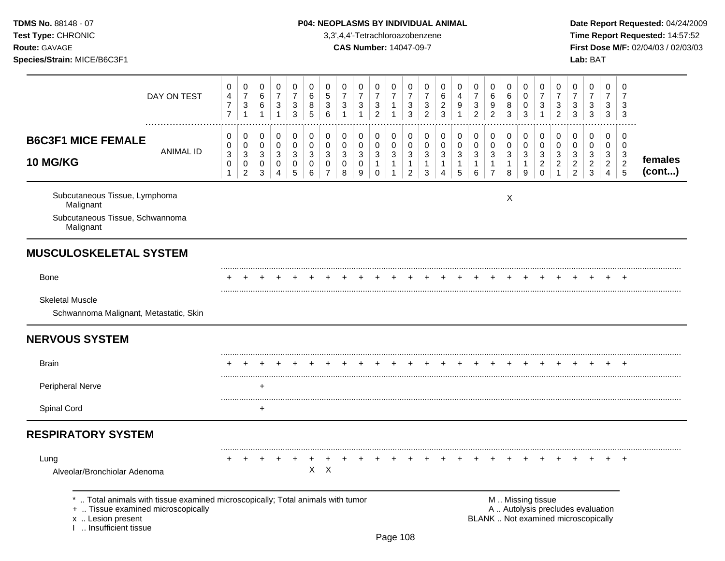# TDMS No. 88148 - 07 **P04: NEOPLASMS BY INDIVIDUAL ANIMAL** Date Report Requested: 04/24/2009

**Test Type:** CHRONIC 3,3',4,4'-Tetrachloroazobenzene **Time Report Requested:** 14:57:52 **Route:** GAVAGE **CAS Number:** 14047-09-7 **First Dose M/F:** 02/04/03 / 02/03/03

|                                                                                                                                                                   | DAY ON TEST      | 0<br>4<br>$\overline{\mathcal{I}}$<br>$\overline{7}$ | 0<br>$\overline{7}$<br>$\ensuremath{\mathsf{3}}$<br>$\mathbf{1}$                 | 0<br>$\,6$<br>$\,6$<br>$\overline{1}$                                   | $\mathbf 0$<br>$\overline{7}$<br>$\sqrt{3}$<br>$\mathbf{1}$ | 0<br>$\overline{7}$<br>$\sqrt{3}$<br>$\mathfrak{S}$ | 0<br>$\,6\,$<br>$\,8\,$<br>5                                 | 0<br>5<br>3<br>6                                       | 0<br>$\overline{7}$<br>$\mathbf{3}$   | 0<br>$\overline{7}$<br>$\sqrt{3}$<br>$\mathbf{1}$                         | 0<br>$\overline{7}$<br>$\mathbf{3}$<br>$\overline{c}$ | 0<br>$\overline{7}$<br>$\mathbf{1}$<br>1 | 0<br>$\overline{7}$<br>$\sqrt{3}$<br>3                           | 0<br>$\overline{7}$<br>$\mathbf{3}$<br>$\overline{2}$ | 0<br>$\,6\,$<br>$\overline{\mathbf{c}}$<br>$\mathbf{3}$ | 0<br>4<br>9<br>$\mathbf{1}$                        | 0<br>$\overline{7}$<br>3<br>$\overline{2}$                                 | 0<br>6<br>9<br>$\overline{2}$                                    | 0<br>6<br>8<br>3              | 0<br>0<br>0<br>$\mathbf{3}$     | 0<br>$\overline{7}$<br>$\sqrt{3}$<br>1                           | 0<br>$\overline{7}$<br>3<br>$\overline{2}$ | 0<br>$\overline{7}$<br>3<br>$\mathbf{3}$        | 0<br>$\overline{7}$<br>$\mathbf{3}$<br>3                                 | 0<br>$\overline{7}$<br>3<br>3                | 0<br>7<br>3<br>$\sqrt{3}$                    |                   |
|-------------------------------------------------------------------------------------------------------------------------------------------------------------------|------------------|------------------------------------------------------|----------------------------------------------------------------------------------|-------------------------------------------------------------------------|-------------------------------------------------------------|-----------------------------------------------------|--------------------------------------------------------------|--------------------------------------------------------|---------------------------------------|---------------------------------------------------------------------------|-------------------------------------------------------|------------------------------------------|------------------------------------------------------------------|-------------------------------------------------------|---------------------------------------------------------|----------------------------------------------------|----------------------------------------------------------------------------|------------------------------------------------------------------|-------------------------------|---------------------------------|------------------------------------------------------------------|--------------------------------------------|-------------------------------------------------|--------------------------------------------------------------------------|----------------------------------------------|----------------------------------------------|-------------------|
| <b>B6C3F1 MICE FEMALE</b><br>10 MG/KG                                                                                                                             | <b>ANIMAL ID</b> | 0<br>0<br>3<br>0<br>1                                | $\,0\,$<br>$\,0\,$<br>$\ensuremath{\mathsf{3}}$<br>$\mathbf 0$<br>$\overline{2}$ | $\mathbf 0$<br>$\mathbf 0$<br>$\sqrt{3}$<br>$\mathbf 0$<br>$\mathbf{3}$ | 0<br>$\mathbf 0$<br>$\mathbf{3}$<br>$\mathbf 0$<br>4        | $\,0\,$<br>$\mathbf 0$<br>3<br>$\pmb{0}$<br>5       | $\pmb{0}$<br>$\mathbf 0$<br>$\mathbf{3}$<br>$\mathbf 0$<br>6 | 0<br>$\mathbf 0$<br>3<br>$\mathbf 0$<br>$\overline{7}$ | 0<br>$\pmb{0}$<br>3<br>$\pmb{0}$<br>8 | $\mathbf 0$<br>$\mathbf 0$<br>$\sqrt{3}$<br>$\pmb{0}$<br>$\boldsymbol{9}$ | 0<br>$\pmb{0}$<br>3<br>$\mathbf{1}$<br>$\mathbf 0$    | 0<br>$\mathbf 0$<br>3<br>$\mathbf{1}$    | 0<br>$\mathbf 0$<br>$\sqrt{3}$<br>$\mathbf{1}$<br>$\overline{c}$ | 0<br>$\pmb{0}$<br>$\mathbf{3}$<br>1<br>$\mathbf{3}$   | 0<br>$\mathbf 0$<br>3<br>1<br>$\boldsymbol{\Lambda}$    | $\pmb{0}$<br>$\pmb{0}$<br>3<br>1<br>$\overline{5}$ | $\mathbf 0$<br>$\pmb{0}$<br>$\ensuremath{\mathsf{3}}$<br>$\mathbf{1}$<br>6 | 0<br>$\pmb{0}$<br>$\mathbf{3}$<br>$\mathbf{1}$<br>$\overline{7}$ | 0<br>$\pmb{0}$<br>3<br>1<br>8 | 0<br>$\mathbf 0$<br>3<br>1<br>9 | 0<br>$\mathbf 0$<br>$\mathbf{3}$<br>$\boldsymbol{2}$<br>$\Omega$ | 0<br>$\pmb{0}$<br>3<br>$\overline{c}$<br>1 | 0<br>0<br>3<br>$\overline{c}$<br>$\overline{a}$ | 0<br>$\mathbf 0$<br>$\mathbf{3}$<br>$\overline{c}$<br>3                  | 0<br>$\mathbf 0$<br>3<br>$\overline{2}$<br>4 | 0<br>$\mathbf 0$<br>3<br>$\overline{c}$<br>5 | females<br>(cont) |
| Subcutaneous Tissue, Lymphoma<br>Malignant<br>Subcutaneous Tissue, Schwannoma<br>Malignant                                                                        |                  |                                                      |                                                                                  |                                                                         |                                                             |                                                     |                                                              |                                                        |                                       |                                                                           |                                                       |                                          |                                                                  |                                                       |                                                         |                                                    |                                                                            |                                                                  | X                             |                                 |                                                                  |                                            |                                                 |                                                                          |                                              |                                              |                   |
| <b>MUSCULOSKELETAL SYSTEM</b>                                                                                                                                     |                  |                                                      |                                                                                  |                                                                         |                                                             |                                                     |                                                              |                                                        |                                       |                                                                           |                                                       |                                          |                                                                  |                                                       |                                                         |                                                    |                                                                            |                                                                  |                               |                                 |                                                                  |                                            |                                                 |                                                                          |                                              |                                              |                   |
| <b>Bone</b>                                                                                                                                                       |                  |                                                      |                                                                                  |                                                                         |                                                             |                                                     |                                                              |                                                        |                                       |                                                                           |                                                       |                                          |                                                                  |                                                       |                                                         |                                                    |                                                                            |                                                                  |                               |                                 |                                                                  |                                            |                                                 |                                                                          |                                              |                                              |                   |
| <b>Skeletal Muscle</b><br>Schwannoma Malignant, Metastatic, Skin                                                                                                  |                  |                                                      |                                                                                  |                                                                         |                                                             |                                                     |                                                              |                                                        |                                       |                                                                           |                                                       |                                          |                                                                  |                                                       |                                                         |                                                    |                                                                            |                                                                  |                               |                                 |                                                                  |                                            |                                                 |                                                                          |                                              |                                              |                   |
| <b>NERVOUS SYSTEM</b>                                                                                                                                             |                  |                                                      |                                                                                  |                                                                         |                                                             |                                                     |                                                              |                                                        |                                       |                                                                           |                                                       |                                          |                                                                  |                                                       |                                                         |                                                    |                                                                            |                                                                  |                               |                                 |                                                                  |                                            |                                                 |                                                                          |                                              |                                              |                   |
| <b>Brain</b>                                                                                                                                                      |                  |                                                      |                                                                                  |                                                                         |                                                             |                                                     |                                                              |                                                        |                                       |                                                                           |                                                       |                                          |                                                                  |                                                       |                                                         |                                                    |                                                                            |                                                                  |                               |                                 |                                                                  |                                            |                                                 |                                                                          |                                              |                                              |                   |
| Peripheral Nerve                                                                                                                                                  |                  |                                                      |                                                                                  | +                                                                       |                                                             |                                                     |                                                              |                                                        |                                       |                                                                           |                                                       |                                          |                                                                  |                                                       |                                                         |                                                    |                                                                            |                                                                  |                               |                                 |                                                                  |                                            |                                                 |                                                                          |                                              |                                              |                   |
| Spinal Cord                                                                                                                                                       |                  |                                                      |                                                                                  | $\ddot{}$                                                               |                                                             |                                                     |                                                              |                                                        |                                       |                                                                           |                                                       |                                          |                                                                  |                                                       |                                                         |                                                    |                                                                            |                                                                  |                               |                                 |                                                                  |                                            |                                                 |                                                                          |                                              |                                              |                   |
| <b>RESPIRATORY SYSTEM</b>                                                                                                                                         |                  |                                                      |                                                                                  |                                                                         |                                                             |                                                     |                                                              |                                                        |                                       |                                                                           |                                                       |                                          |                                                                  |                                                       |                                                         |                                                    |                                                                            |                                                                  |                               |                                 |                                                                  |                                            |                                                 |                                                                          |                                              |                                              |                   |
| Lung<br>Alveolar/Bronchiolar Adenoma                                                                                                                              |                  |                                                      |                                                                                  |                                                                         |                                                             | +                                                   | X                                                            | $\boldsymbol{\mathsf{X}}$                              |                                       |                                                                           |                                                       |                                          |                                                                  |                                                       |                                                         |                                                    |                                                                            |                                                                  |                               |                                 |                                                                  |                                            |                                                 |                                                                          |                                              |                                              |                   |
| Total animals with tissue examined microscopically; Total animals with tumor<br>+  Tissue examined microscopically<br>x  Lesion present<br>I  Insufficient tissue |                  |                                                      |                                                                                  |                                                                         |                                                             |                                                     |                                                              |                                                        |                                       |                                                                           |                                                       |                                          |                                                                  |                                                       |                                                         |                                                    |                                                                            |                                                                  |                               |                                 | M  Missing tissue                                                |                                            |                                                 | A  Autolysis precludes evaluation<br>BLANK  Not examined microscopically |                                              |                                              |                   |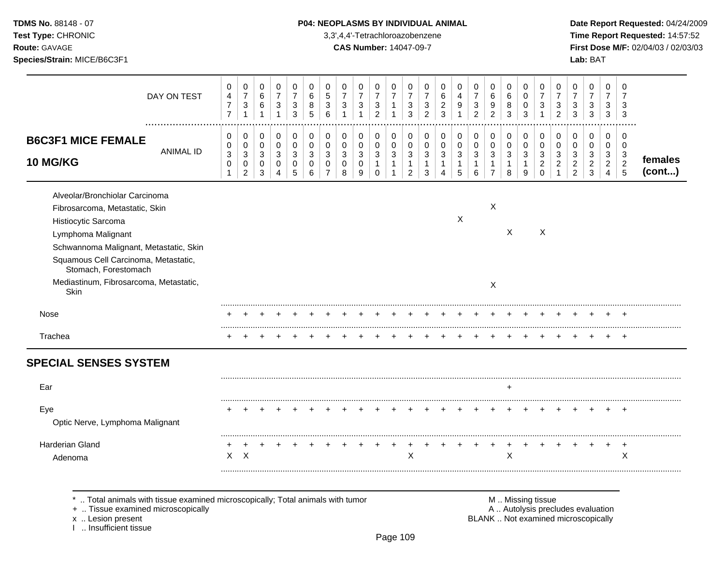## **TDMS No.** 88148 - 07 **P04: NEOPLASMS BY INDIVIDUAL ANIMAL** Date Report Requested: 04/24/2009

**Test Type:** CHRONIC 3,3',4,4'-Tetrachloroazobenzene **Time Report Requested:** 14:57:52 **Route:** GAVAGE **CAS Number:** 14047-09-7 **First Dose M/F:** 02/04/03 / 02/03/03

| DAY ON TEST                                                                                                                                                                                                                                                               | 0<br>4<br>$\overline{\mathbf{7}}$<br>$\overline{7}$ | 0<br>$\overline{7}$<br>$\ensuremath{\mathsf{3}}$                               | 0<br>6<br>$\,6\,$<br>$\mathbf{1}$ | 0<br>$\boldsymbol{7}$<br>$\sqrt{3}$<br>$\mathbf{1}$ | 0<br>$\overline{7}$<br>$\sqrt{3}$<br>3     | $\Omega$<br>6<br>8<br>5                | 0<br>$\sqrt{5}$<br>$\mathbf{3}$<br>6 | 0<br>$\overline{7}$<br>3        | 0<br>$\overline{7}$<br>$\sqrt{3}$<br>1 | 0<br>$\overline{7}$<br>$\mathbf{3}$<br>$\overline{2}$         | 0<br>$\overline{7}$<br>$\mathbf{1}$<br>1 | 0<br>$\overline{7}$<br>3<br>3             | 0<br>7<br>3<br>$\overline{2}$ | 0<br>6<br>$\overline{c}$<br>3    | 0<br>4<br>9                     | 0<br>$\overline{7}$<br>3<br>$\overline{2}$ | 0<br>6<br>9<br>$\overline{2}$                | 0<br>6<br>8<br>3                  | 0<br>0<br>$\mathbf 0$<br>3      | 0<br>$\overline{7}$<br>3<br>1                | 0<br>$\overline{7}$<br>3<br>$\overline{c}$ | 0<br>$\overline{7}$<br>3<br>3                   | 0<br>$\overline{7}$<br>3<br>3      | 0<br>$\overline{7}$<br>3<br>3      | 0<br>7<br>3<br>3                                                  |                   |
|---------------------------------------------------------------------------------------------------------------------------------------------------------------------------------------------------------------------------------------------------------------------------|-----------------------------------------------------|--------------------------------------------------------------------------------|-----------------------------------|-----------------------------------------------------|--------------------------------------------|----------------------------------------|--------------------------------------|---------------------------------|----------------------------------------|---------------------------------------------------------------|------------------------------------------|-------------------------------------------|-------------------------------|----------------------------------|---------------------------------|--------------------------------------------|----------------------------------------------|-----------------------------------|---------------------------------|----------------------------------------------|--------------------------------------------|-------------------------------------------------|------------------------------------|------------------------------------|-------------------------------------------------------------------|-------------------|
| <b>B6C3F1 MICE FEMALE</b><br><b>ANIMAL ID</b><br>10 MG/KG                                                                                                                                                                                                                 | 0<br>0<br>3<br>0<br>$\mathbf{1}$                    | 0<br>$\mathbf 0$<br>$\ensuremath{\mathsf{3}}$<br>$\mathbf 0$<br>$\overline{2}$ | 0<br>0<br>3<br>0<br>3             | 0<br>0<br>$\sqrt{3}$<br>0<br>4                      | 0<br>$\mathbf 0$<br>$\mathbf{3}$<br>0<br>5 | 0<br>$\mathbf 0$<br>3<br>$\Omega$<br>6 | 0<br>$\mathbf 0$<br>3<br>$\mathbf 0$ | 0<br>$\mathbf 0$<br>3<br>0<br>8 | 0<br>0<br>3<br>0<br>9                  | 0<br>$\mathbf 0$<br>$\sqrt{3}$<br>$\mathbf{1}$<br>$\mathbf 0$ | 0<br>0<br>3<br>$\mathbf{1}$<br>-1        | 0<br>0<br>$\sqrt{3}$<br>$\mathbf{1}$<br>2 | 0<br>0<br>3<br>1<br>3         | 0<br>0<br>3<br>$\mathbf{1}$<br>4 | 0<br>$\mathbf 0$<br>3<br>1<br>5 | 0<br>$\mathbf 0$<br>3<br>$\mathbf{1}$<br>6 | 0<br>0<br>3<br>$\mathbf 1$<br>$\overline{7}$ | 0<br>$\mathbf 0$<br>3<br>1<br>8   | 0<br>$\mathbf 0$<br>3<br>1<br>9 | 0<br>$\mathbf 0$<br>3<br>$\overline{c}$<br>0 | 0<br>0<br>3<br>$\overline{c}$              | 0<br>0<br>3<br>$\overline{2}$<br>$\overline{2}$ | 0<br>0<br>3<br>$\overline{c}$<br>3 | 0<br>0<br>3<br>$\overline{a}$<br>4 | $\Omega$<br>0<br>$\mathbf{3}$<br>$\overline{2}$<br>$\overline{5}$ | females<br>(cont) |
| Alveolar/Bronchiolar Carcinoma<br>Fibrosarcoma, Metastatic, Skin<br>Histiocytic Sarcoma<br>Lymphoma Malignant<br>Schwannoma Malignant, Metastatic, Skin<br>Squamous Cell Carcinoma, Metastatic,<br>Stomach, Forestomach<br>Mediastinum, Fibrosarcoma, Metastatic,<br>Skin |                                                     |                                                                                |                                   |                                                     |                                            |                                        |                                      |                                 |                                        |                                                               |                                          |                                           |                               |                                  | $\boldsymbol{\mathsf{X}}$       |                                            | X<br>X                                       | X                                 |                                 | $\times$                                     |                                            |                                                 |                                    |                                    |                                                                   |                   |
| Nose                                                                                                                                                                                                                                                                      |                                                     |                                                                                |                                   |                                                     |                                            |                                        |                                      |                                 |                                        |                                                               |                                          |                                           |                               |                                  |                                 |                                            |                                              |                                   |                                 |                                              |                                            |                                                 |                                    |                                    |                                                                   |                   |
| Trachea                                                                                                                                                                                                                                                                   |                                                     |                                                                                |                                   |                                                     |                                            |                                        |                                      |                                 |                                        |                                                               |                                          |                                           |                               |                                  |                                 |                                            |                                              |                                   |                                 |                                              |                                            |                                                 |                                    |                                    | $\div$                                                            |                   |
| <b>SPECIAL SENSES SYSTEM</b>                                                                                                                                                                                                                                              |                                                     |                                                                                |                                   |                                                     |                                            |                                        |                                      |                                 |                                        |                                                               |                                          |                                           |                               |                                  |                                 |                                            |                                              |                                   |                                 |                                              |                                            |                                                 |                                    |                                    |                                                                   |                   |
| Ear                                                                                                                                                                                                                                                                       |                                                     |                                                                                |                                   |                                                     |                                            |                                        |                                      |                                 |                                        |                                                               |                                          |                                           |                               |                                  |                                 |                                            |                                              |                                   |                                 |                                              |                                            |                                                 |                                    |                                    |                                                                   |                   |
| Eye<br>Optic Nerve, Lymphoma Malignant                                                                                                                                                                                                                                    |                                                     |                                                                                |                                   |                                                     |                                            |                                        |                                      |                                 |                                        |                                                               |                                          |                                           |                               |                                  |                                 |                                            |                                              |                                   |                                 |                                              |                                            |                                                 |                                    |                                    |                                                                   |                   |
| Harderian Gland<br>Adenoma                                                                                                                                                                                                                                                | X                                                   | X                                                                              |                                   |                                                     |                                            |                                        |                                      |                                 |                                        |                                                               | +                                        | $\sf X$                                   |                               |                                  |                                 |                                            |                                              | X                                 |                                 |                                              |                                            |                                                 |                                    | +                                  | $\ddot{}$<br>$\times$                                             |                   |
| Total animals with tissue examined microscopically; Total animals with tumor<br>+  Tissue examined microscopically                                                                                                                                                        |                                                     |                                                                                |                                   |                                                     |                                            |                                        |                                      |                                 |                                        |                                                               |                                          |                                           |                               |                                  |                                 |                                            |                                              | A  Autolysis precludes evaluation | M  Missing tissue               |                                              |                                            |                                                 |                                    |                                    |                                                                   |                   |

x .. Lesion present<br>I .. Insufficient tissue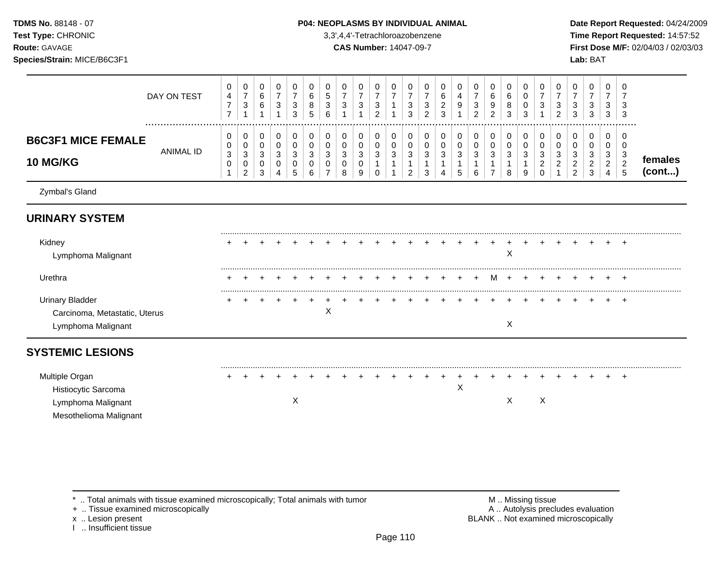**Route:** GAVAGE **CAS Number:** 14047-09-7 **First Dose M/F:** 02/04/03 / 02/03/03

| <b>Test Type: CHRONIC</b>                           |                    | 3,3',4,4'-Tetrachloroazobenzene                                                                                                                                                                                                 | Time Report Requested: 14:57:52                                                                    |
|-----------------------------------------------------|--------------------|---------------------------------------------------------------------------------------------------------------------------------------------------------------------------------------------------------------------------------|----------------------------------------------------------------------------------------------------|
| <b>Route: GAVAGE</b><br>Species/Strain: MICE/B6C3F1 |                    | <b>CAS Number: 14047-09-7</b>                                                                                                                                                                                                   | First Dose M/F: 02/04/03 / 02/03/03<br>Lab: BAT                                                    |
|                                                     | <b>DAV ON TECT</b> | $\overline{0}$<br>$\frac{0}{7}$<br>$\overline{0}$<br>$\overline{0}$<br>$\overline{0}$<br>0<br>$\frac{0}{7}$<br>$\rightarrow$<br>$\overline{z}$<br>$\epsilon$<br>$\rightarrow$<br>$\overline{ }$<br>$\overline{ }$<br>$\epsilon$ | $\mathbf 0$<br>$\frac{0}{7}$<br>$\overline{ }$<br>$\sim$<br>$\epsilon$<br>$\sim$<br>$\overline{ }$ |

|                                              | DAY ON TEST      | 4<br>$\rightarrow$      | ь<br>O | ັ                 | ◡<br>ົ | O<br>я<br>U<br>э                          | 5<br>3<br>6      | ັ                 | $\sim$ |    | J<br>$\sim$<br>J | J      | 6<br>◠<br><u>_</u><br>2<br>J | ◡                | ∸ | 6 | ົ<br>ັ  | $\overline{\phantom{a}}$ | ?<br>J<br>ົ<br>$\epsilon$    | ົ<br>ັ<br>$\sim$<br>ັ                       | u                       |               | ື<br>د.              |                  |
|----------------------------------------------|------------------|-------------------------|--------|-------------------|--------|-------------------------------------------|------------------|-------------------|--------|----|------------------|--------|------------------------------|------------------|---|---|---------|--------------------------|------------------------------|---------------------------------------------|-------------------------|---------------|----------------------|------------------|
| <b>B6C3F1 MICE FEMALE</b><br><b>10 MG/KG</b> | <b>ANIMAL ID</b> | 0<br>0<br>ົ<br>- J<br>U | ັ<br>J | ັ<br>$\mathbf{u}$ | u      | U<br>ັບ<br>$\sqrt{2}$<br>◡<br>◡<br>◠<br>u | 0<br>0<br>3<br>U | v<br>ັບ<br>ັ<br>ັ | ັ      | ັບ | u<br><u>_</u>    | J<br>u | U<br>U<br>3                  | U<br>U<br>◡<br>◡ |   |   | ັບ<br>y | ັ                        | 0<br>U<br>વ<br>J<br><u>_</u> | υ<br>Ü<br>◠<br>ັ<br>$\sim$<br><u>_</u><br>⌒ | u<br>J<br><u>_</u><br>J | J<br><u>_</u> | $\ddot{\phantom{a}}$ | temales<br>cont) |

Zymbal's Gland

# **URINARY SYSTEM**

| Kidney<br>Lymphoma Malignant                                       |  |  |  |  |  |  |                 |  |     |  |  |  | <b>+</b> |
|--------------------------------------------------------------------|--|--|--|--|--|--|-----------------|--|-----|--|--|--|----------|
| Urethra                                                            |  |  |  |  |  |  | + + + + + + + + |  | M + |  |  |  | .<br>$+$ |
| Urinai<br><b>Bladdel</b><br>Carcinoma, Metastatic, Uterus<br>Lympl |  |  |  |  |  |  |                 |  |     |  |  |  | $^+$     |

# **SYSTEMIC LESIONS**

| Multiple Organ         |  |  |  |  |  |  |  |  |  |  |  |  |  |  |
|------------------------|--|--|--|--|--|--|--|--|--|--|--|--|--|--|
| Histiocytic Sarcoma    |  |  |  |  |  |  |  |  |  |  |  |  |  |  |
| Lymphoma Malignant     |  |  |  |  |  |  |  |  |  |  |  |  |  |  |
| Mesothelioma Malignant |  |  |  |  |  |  |  |  |  |  |  |  |  |  |

\* .. Total animals with tissue examined microscopically; Total animals with tumor **M** . M . Missing tissue M .. Missing tissue<br>
+ .. Tissue examined microscopically

+ .. Tissue examined microscopically

I .. Insufficient tissue

x .. Lesion present **EXAME** . Not examined microscopically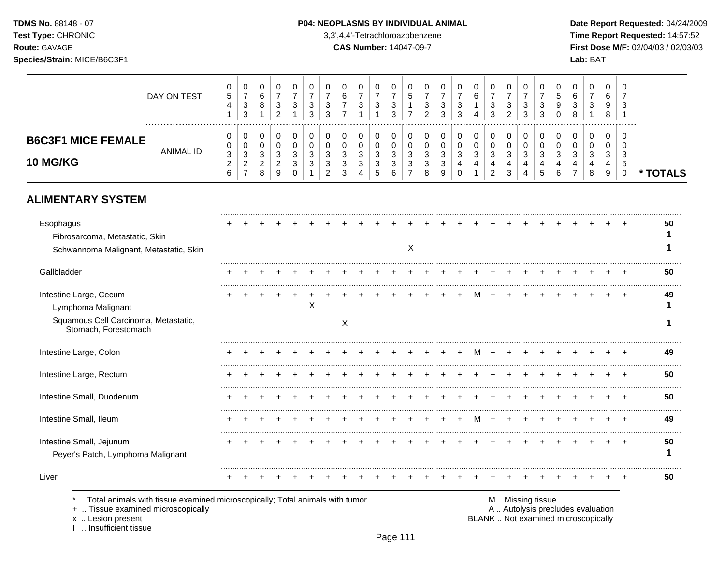**Test Type:** CHRONIC 3,3',4,4'-Tetrachloroazobenzene **Time Report Requested:** 14:57:52 **Route:** GAVAGE **CAS Number:** 14047-09-7 **First Dose M/F:** 02/04/03 / 02/03/03 **Species/Strain:** MICE/B6C3F1 **Lab:** BAT

|                                              | DAY ON TEST   | 0<br><sub>5</sub><br>4 | U<br>ົ<br>ັ<br>ົ<br>◡                  | ν<br>8           | 3 | U<br>ັ<br>3 | ◡<br>0                | 0<br>$\sim$<br>6<br>- | 0<br>-<br>3      | -3 | J | υ<br>∽<br>ີ      | u<br>N      | U<br>3<br>3        | $\sim$      | U<br>6<br>4      | ◡<br>3<br>າ<br>ູບ | U<br>ົ<br>د<br>ົ<br><u>_</u> | 0<br>۰C<br>ີ<br>◡ | $\ddot{\phantom{1}}$ | U<br>J<br>9<br>O.      | 0<br>6<br>ົ<br>ັ<br>$\circ$<br>o | J | - 0<br>6<br>-9<br>8     | - 0<br>ັບ |               |
|----------------------------------------------|---------------|------------------------|----------------------------------------|------------------|---|-------------|-----------------------|-----------------------|------------------|----|---|------------------|-------------|--------------------|-------------|------------------|-------------------|------------------------------|-------------------|----------------------|------------------------|----------------------------------|---|-------------------------|-----------|---------------|
| <b>B6C3F1 MICE FEMALE</b><br><b>10 MG/KG</b> | <br>ANIMAL ID | 0<br>0<br>3<br>6       | v<br>v<br>◠<br>◡<br>$\sim$<br><u>_</u> | u<br>J<br>▃<br>я |   | ≏           | ີ<br>J<br>⌒<br>J<br>⌒ | 0<br>0<br>3<br>3<br>3 | 0<br>3<br>3<br>4 |    |   | n<br>ື<br>⌒<br>ບ | u<br>J<br>N | ົ<br>۰C<br>J.<br>a | $\sim$<br>4 | 0<br>າ<br>J<br>4 | ν<br>≏<br>J<br>c  | U<br>◠<br>د                  | ົ<br>- 0<br>4     |                      | 0<br>U<br>◠<br>-3<br>6 | 0<br>υ<br>ົ<br>ັ                 |   | 0<br>U<br>-3<br>4<br>-9 | - 0<br>v  | <b>TOTALS</b> |

# **ALIMENTARY SYSTEM**

| Esophagus<br>Fibrosarcoma, Metastatic, Skin<br>Schwannoma Malignant, Metastatic, Skin                              |  |  |   |   |  | X |  |   |  |                   |  |                                   |  | 50 |
|--------------------------------------------------------------------------------------------------------------------|--|--|---|---|--|---|--|---|--|-------------------|--|-----------------------------------|--|----|
| Gallbladder                                                                                                        |  |  |   |   |  |   |  |   |  |                   |  |                                   |  | 50 |
| Intestine Large, Cecum<br>Lymphoma Malignant                                                                       |  |  | Х |   |  |   |  |   |  |                   |  |                                   |  | 49 |
| Squamous Cell Carcinoma, Metastatic,<br>Stomach, Forestomach                                                       |  |  |   | X |  |   |  |   |  |                   |  |                                   |  |    |
| Intestine Large, Colon                                                                                             |  |  |   |   |  |   |  |   |  |                   |  |                                   |  | 49 |
| Intestine Large, Rectum                                                                                            |  |  |   |   |  |   |  |   |  |                   |  |                                   |  | 50 |
| Intestine Small, Duodenum                                                                                          |  |  |   |   |  |   |  |   |  |                   |  |                                   |  | 50 |
| Intestine Small, Ileum                                                                                             |  |  |   |   |  |   |  | M |  |                   |  |                                   |  | 49 |
| Intestine Small, Jejunum<br>Peyer's Patch, Lymphoma Malignant                                                      |  |  |   |   |  |   |  |   |  |                   |  |                                   |  | 50 |
| Liver                                                                                                              |  |  |   |   |  |   |  |   |  |                   |  |                                   |  | 50 |
| Total animals with tissue examined microscopically; Total animals with tumor<br>+  Tissue examined microscopically |  |  |   |   |  |   |  |   |  | M  Missing tissue |  | A  Autolysis precludes evaluation |  |    |

x .. Lesion present<br>I .. Insufficient tissue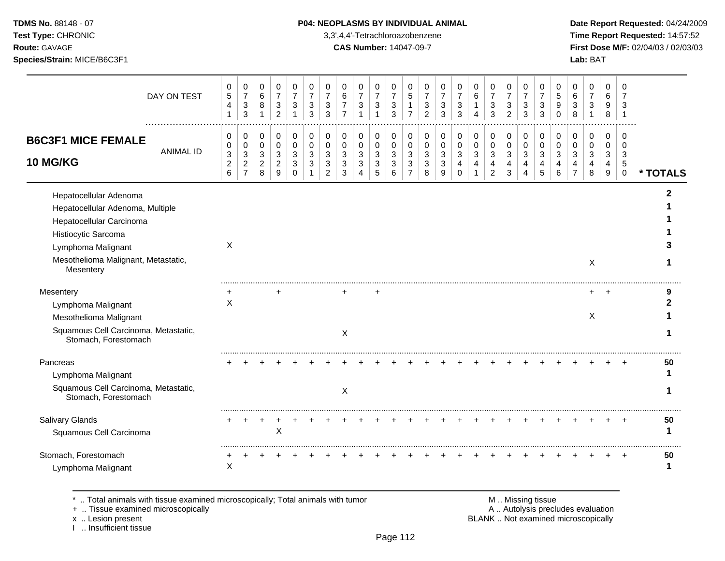**Test Type:** CHRONIC 3,3',4,4'-Tetrachloroazobenzene **Time Report Requested:** 14:57:52 **Route:** GAVAGE **CAS Number:** 14047-09-7 **First Dose M/F:** 02/04/03 / 02/03/03 **Species/Strain:** MICE/B6C3F1 **Lab:** BAT

| DAY ON TEST                                                      | 0<br>$\sqrt{5}$<br>$\overline{4}$<br>$\mathbf{1}$                 | 0<br>$\overline{7}$<br>$\ensuremath{\mathsf{3}}$<br>$\mathbf{3}$ | $\mathbf 0$<br>6<br>$\bf 8$<br>$\mathbf{1}$ | 0<br>$\overline{7}$<br>$\ensuremath{\mathsf{3}}$<br>$\overline{2}$ | 0<br>$\overline{7}$<br>3<br>1 | 0<br>$\overline{7}$<br>3<br>3 | 0<br>$\overline{7}$<br>$\sqrt{3}$<br>3 | 0<br>6<br>$\overline{7}$<br>$\overline{7}$ | 0<br>$\overline{7}$<br>$\sqrt{3}$<br>$\overline{1}$ | 0<br>$\overline{7}$<br>$\mathbf{3}$<br>$\mathbf{1}$           | 0<br>$\overline{7}$<br>$\ensuremath{\mathsf{3}}$<br>3 | 0<br>5<br>1<br>$\overline{7}$ | 0<br>$\overline{7}$<br>$\mathbf{3}$<br>$\overline{2}$ | 0<br>$\overline{7}$<br>3<br>3        | 0<br>$\overline{7}$<br>3<br>3 | 0<br>6<br>$\mathbf 1$<br>4 | 0<br>$\overline{7}$<br>$\ensuremath{\mathsf{3}}$<br>3 | 0<br>$\overline{7}$<br>$\ensuremath{\mathsf{3}}$<br>$\overline{2}$ | 0<br>$\overline{7}$<br>3<br>3 | 0<br>$\overline{7}$<br>$\sqrt{3}$<br>3 | 0<br>5<br>9<br>$\Omega$ | 0<br>6<br>3<br>8                  | 0<br>$\overline{7}$<br>$\sqrt{3}$ | 0<br>6<br>9<br>8           | $\mathbf 0$<br>$\overline{7}$<br>3<br>$\mathbf{1}$ |          |
|------------------------------------------------------------------|-------------------------------------------------------------------|------------------------------------------------------------------|---------------------------------------------|--------------------------------------------------------------------|-------------------------------|-------------------------------|----------------------------------------|--------------------------------------------|-----------------------------------------------------|---------------------------------------------------------------|-------------------------------------------------------|-------------------------------|-------------------------------------------------------|--------------------------------------|-------------------------------|----------------------------|-------------------------------------------------------|--------------------------------------------------------------------|-------------------------------|----------------------------------------|-------------------------|-----------------------------------|-----------------------------------|----------------------------|----------------------------------------------------|----------|
| <b>B6C3F1 MICE FEMALE</b><br><b>ANIMAL ID</b><br><b>10 MG/KG</b> | 0<br>$\mathbf 0$<br>$\ensuremath{\mathsf{3}}$<br>$\boldsymbol{2}$ | 0<br>$\mathbf 0$<br>$\ensuremath{\mathsf{3}}$<br>$\sqrt{2}$      | 0<br>$\mathbf 0$<br>3<br>$\overline{c}$     | 0<br>$\pmb{0}$<br>$\mathbf{3}$<br>$\boldsymbol{2}$                 | 0<br>$\mathbf 0$<br>3<br>3    | 0<br>$\mathbf 0$<br>3<br>3    | 0<br>$\Omega$<br>3<br>3                | 0<br>0<br>3<br>3                           | 0<br>$\mathbf 0$<br>$\mathbf{3}$<br>$\sqrt{3}$      | 0<br>$\mathsf 0$<br>$\mathbf{3}$<br>$\ensuremath{\mathsf{3}}$ | 0<br>$\mathbf 0$<br>3<br>3                            | 0<br>$\mathbf 0$<br>3<br>3    | 0<br>$\mathbf 0$<br>3<br>3                            | $\mathbf 0$<br>$\mathbf 0$<br>3<br>3 | 0<br>$\mathbf 0$<br>3<br>4    | 0<br>$\mathsf 0$<br>3<br>4 | 0<br>$\mathsf 0$<br>3<br>4                            | 0<br>$\pmb{0}$<br>$\mathbf{3}$<br>$\overline{4}$                   | 0<br>$\pmb{0}$<br>3<br>4      | 0<br>$\mathbf 0$<br>3<br>4             | 0<br>$\mathbf 0$<br>3   | $\mathbf 0$<br>$\Omega$<br>3<br>4 | 0<br>$\Omega$<br>3<br>4           | 0<br>$\mathbf 0$<br>3<br>4 | $\Omega$<br>$\Omega$<br>3<br>5                     |          |
|                                                                  | 6                                                                 | $\overline{7}$                                                   | 8                                           | 9                                                                  | $\Omega$                      |                               | 2                                      | 3                                          | $\overline{4}$                                      | 5                                                             | 6                                                     | $\overline{7}$                | 8                                                     | 9                                    | $\Omega$                      | $\mathbf{1}$               | $\overline{2}$                                        | $\mathbf{3}$                                                       | 4                             | 5                                      | 6                       | $\overline{7}$                    | 8                                 | 9                          | $\mathbf 0$                                        | * TOTALS |
| Hepatocellular Adenoma                                           |                                                                   |                                                                  |                                             |                                                                    |                               |                               |                                        |                                            |                                                     |                                                               |                                                       |                               |                                                       |                                      |                               |                            |                                                       |                                                                    |                               |                                        |                         |                                   |                                   |                            |                                                    | 2        |
| Hepatocellular Adenoma, Multiple                                 |                                                                   |                                                                  |                                             |                                                                    |                               |                               |                                        |                                            |                                                     |                                                               |                                                       |                               |                                                       |                                      |                               |                            |                                                       |                                                                    |                               |                                        |                         |                                   |                                   |                            |                                                    |          |
| Hepatocellular Carcinoma                                         |                                                                   |                                                                  |                                             |                                                                    |                               |                               |                                        |                                            |                                                     |                                                               |                                                       |                               |                                                       |                                      |                               |                            |                                                       |                                                                    |                               |                                        |                         |                                   |                                   |                            |                                                    |          |
| Histiocytic Sarcoma                                              | X                                                                 |                                                                  |                                             |                                                                    |                               |                               |                                        |                                            |                                                     |                                                               |                                                       |                               |                                                       |                                      |                               |                            |                                                       |                                                                    |                               |                                        |                         |                                   |                                   |                            |                                                    |          |
| Lymphoma Malignant                                               |                                                                   |                                                                  |                                             |                                                                    |                               |                               |                                        |                                            |                                                     |                                                               |                                                       |                               |                                                       |                                      |                               |                            |                                                       |                                                                    |                               |                                        |                         |                                   |                                   |                            |                                                    |          |
| Mesothelioma Malignant, Metastatic,<br>Mesentery                 |                                                                   |                                                                  |                                             |                                                                    |                               |                               |                                        |                                            |                                                     |                                                               |                                                       |                               |                                                       |                                      |                               |                            |                                                       |                                                                    |                               |                                        |                         |                                   | X                                 |                            |                                                    |          |
| Mesentery                                                        |                                                                   |                                                                  |                                             |                                                                    |                               |                               |                                        |                                            |                                                     |                                                               |                                                       |                               |                                                       |                                      |                               |                            |                                                       |                                                                    |                               |                                        |                         |                                   |                                   |                            |                                                    |          |
| Lymphoma Malignant                                               | X                                                                 |                                                                  |                                             |                                                                    |                               |                               |                                        |                                            |                                                     |                                                               |                                                       |                               |                                                       |                                      |                               |                            |                                                       |                                                                    |                               |                                        |                         |                                   |                                   |                            |                                                    | 2        |
| Mesothelioma Malignant                                           |                                                                   |                                                                  |                                             |                                                                    |                               |                               |                                        |                                            |                                                     |                                                               |                                                       |                               |                                                       |                                      |                               |                            |                                                       |                                                                    |                               |                                        |                         |                                   | X                                 |                            |                                                    |          |
| Squamous Cell Carcinoma, Metastatic,<br>Stomach, Forestomach     |                                                                   |                                                                  |                                             |                                                                    |                               |                               |                                        | X                                          |                                                     |                                                               |                                                       |                               |                                                       |                                      |                               |                            |                                                       |                                                                    |                               |                                        |                         |                                   |                                   |                            |                                                    |          |
| Pancreas                                                         |                                                                   |                                                                  |                                             |                                                                    |                               |                               |                                        |                                            |                                                     |                                                               |                                                       |                               |                                                       |                                      |                               |                            |                                                       |                                                                    |                               |                                        |                         |                                   |                                   |                            |                                                    | 50       |
| Lymphoma Malignant                                               |                                                                   |                                                                  |                                             |                                                                    |                               |                               |                                        |                                            |                                                     |                                                               |                                                       |                               |                                                       |                                      |                               |                            |                                                       |                                                                    |                               |                                        |                         |                                   |                                   |                            |                                                    |          |
| Squamous Cell Carcinoma, Metastatic,<br>Stomach, Forestomach     |                                                                   |                                                                  |                                             |                                                                    |                               |                               |                                        | X                                          |                                                     |                                                               |                                                       |                               |                                                       |                                      |                               |                            |                                                       |                                                                    |                               |                                        |                         |                                   |                                   |                            |                                                    |          |
| Salivary Glands                                                  |                                                                   |                                                                  |                                             |                                                                    |                               |                               |                                        |                                            |                                                     |                                                               |                                                       |                               |                                                       |                                      |                               |                            |                                                       |                                                                    |                               |                                        |                         |                                   |                                   |                            |                                                    | 50       |
| Squamous Cell Carcinoma                                          |                                                                   |                                                                  |                                             | $\sf X$                                                            |                               |                               |                                        |                                            |                                                     |                                                               |                                                       |                               |                                                       |                                      |                               |                            |                                                       |                                                                    |                               |                                        |                         |                                   |                                   |                            |                                                    |          |
| Stomach, Forestomach                                             |                                                                   |                                                                  |                                             |                                                                    |                               |                               |                                        |                                            |                                                     |                                                               |                                                       |                               |                                                       |                                      |                               |                            |                                                       |                                                                    |                               |                                        |                         |                                   |                                   |                            |                                                    | 50       |
| Lymphoma Malignant                                               | X                                                                 |                                                                  |                                             |                                                                    |                               |                               |                                        |                                            |                                                     |                                                               |                                                       |                               |                                                       |                                      |                               |                            |                                                       |                                                                    |                               |                                        |                         |                                   |                                   |                            |                                                    |          |

\* .. Total animals with tissue examined microscopically; Total animals with tumor <br>
+ .. Tissue examined microscopically<br>
+ .. Tissue examined microscopically

+ .. Tissue examined microscopically

x .. Lesion present<br>I .. Insufficient tissue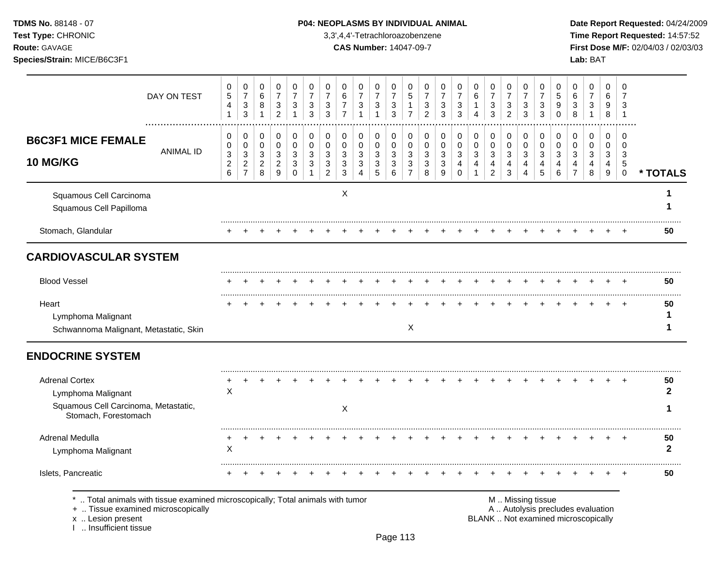**Test Type:** CHRONIC 3,3',4,4'-Tetrachloroazobenzene **Time Report Requested:** 14:57:52 **Route:** GAVAGE **CAS Number:** 14047-09-7 **First Dose M/F:** 02/04/03 / 02/03/03 **Species/Strain:** MICE/B6C3F1 **Lab:** BAT

|                                                                                                                                                                   | DAY ON TEST      | 0<br>$\,$ 5 $\,$<br>4<br>$\mathbf{1}$ | 0<br>$\boldsymbol{7}$<br>$\ensuremath{\mathsf{3}}$<br>3 | 0<br>$\,6\,$<br>8<br>$\mathbf{1}$ | 0<br>$\overline{7}$<br>$\ensuremath{\mathsf{3}}$<br>$\overline{2}$ | 0<br>$\overline{7}$<br>3<br>$\mathbf{1}$ | 0<br>$\overline{7}$<br>3<br>3         | 0<br>$\overline{7}$<br>3<br>3 | 0<br>6<br>7<br>$\overline{7}$         | 0<br>$\overline{7}$<br>3<br>1         | 0<br>$\boldsymbol{7}$<br>$\ensuremath{\mathsf{3}}$<br>$\overline{1}$ | 0<br>$\overline{7}$<br>3<br>3         | 0<br>$\sqrt{5}$<br>$\mathbf{1}$<br>$\overline{7}$ | 0<br>$\overline{7}$<br>3<br>$\overline{2}$ | 0<br>$\boldsymbol{7}$<br>3<br>3 | 0<br>$\overline{7}$<br>$\ensuremath{\mathsf{3}}$<br>3 | 0<br>$\,6$<br>$\mathbf 1$<br>$\overline{4}$ | 0<br>$\boldsymbol{7}$<br>$\ensuremath{\mathsf{3}}$<br>3 | 0<br>$\boldsymbol{7}$<br>$\ensuremath{\mathsf{3}}$<br>$\overline{2}$ | 0<br>$\overline{7}$<br>3<br>3 | 0<br>$\overline{7}$<br>3<br>3 | 0<br>$\sqrt{5}$<br>9<br>$\mathbf 0$ | 0<br>6<br>3<br>8                                                         | 0<br>$\overline{7}$<br>3<br>$\mathbf{1}$ | 0<br>6<br>9<br>8                        | 0<br>7<br>3<br>$\overline{1}$           |                    |
|-------------------------------------------------------------------------------------------------------------------------------------------------------------------|------------------|---------------------------------------|---------------------------------------------------------|-----------------------------------|--------------------------------------------------------------------|------------------------------------------|---------------------------------------|-------------------------------|---------------------------------------|---------------------------------------|----------------------------------------------------------------------|---------------------------------------|---------------------------------------------------|--------------------------------------------|---------------------------------|-------------------------------------------------------|---------------------------------------------|---------------------------------------------------------|----------------------------------------------------------------------|-------------------------------|-------------------------------|-------------------------------------|--------------------------------------------------------------------------|------------------------------------------|-----------------------------------------|-----------------------------------------|--------------------|
| <b>B6C3F1 MICE FEMALE</b><br>10 MG/KG                                                                                                                             | <b>ANIMAL ID</b> | 0<br>0<br>$\sqrt{3}$<br>$\sqrt{2}$    | 0<br>$\mathbf 0$<br>3<br>$\overline{2}$                 | 0<br>0<br>3<br>$\overline{c}$     | 0<br>$\mathbf 0$<br>$\sqrt{3}$<br>$\boldsymbol{2}$                 | 0<br>$\mathbf 0$<br>3<br>3               | 0<br>$\mathbf 0$<br>3<br>$\mathbf{3}$ | 0<br>$\mathbf 0$<br>3<br>3    | 0<br>$\mathbf 0$<br>3<br>$\mathbf{3}$ | 0<br>$\mathbf 0$<br>3<br>$\mathbf{3}$ | 0<br>0<br>3<br>$\mathbf{3}$                                          | 0<br>$\mathbf 0$<br>$\mathbf{3}$<br>3 | 0<br>0<br>3<br>$\sqrt{3}$                         | 0<br>0<br>$\mathbf{3}$<br>3                | 0<br>0<br>3<br>$\mathbf{3}$     | 0<br>$\mathbf 0$<br>3<br>4                            | 0<br>$\mathsf 0$<br>3<br>4                  | 0<br>$\mathbf 0$<br>$\sqrt{3}$<br>4                     | 0<br>$\mathbf 0$<br>3<br>4                                           | 0<br>$\mathbf 0$<br>3<br>4    | 0<br>$\mathbf 0$<br>3<br>4    | 0<br>$\mathbf 0$<br>3<br>4          | 0<br>$\mathbf 0$<br>3<br>4                                               | 0<br>$\mathbf 0$<br>3<br>4               | 0<br>$\mathbf 0$<br>3<br>$\overline{4}$ | $\Omega$<br>$\Omega$<br>3<br>$\sqrt{5}$ |                    |
|                                                                                                                                                                   |                  | $\,6\,$                               | $\overline{7}$                                          | 8                                 | 9                                                                  | $\mathbf 0$                              | $\mathbf{1}$                          | $\overline{2}$                | $\mathbf{3}$                          | $\overline{\mathbf{4}}$               | $\sqrt{5}$                                                           | 6                                     | $\overline{7}$                                    | 8                                          | 9                               | $\mathbf 0$                                           | 1                                           | $\overline{c}$                                          | 3                                                                    | 4                             | 5                             | 6                                   | $\overline{7}$                                                           | 8                                        | 9                                       | 0                                       | * TOTALS           |
| Squamous Cell Carcinoma<br>Squamous Cell Papilloma                                                                                                                |                  |                                       |                                                         |                                   |                                                                    |                                          |                                       |                               | X                                     |                                       |                                                                      |                                       |                                                   |                                            |                                 |                                                       |                                             |                                                         |                                                                      |                               |                               |                                     |                                                                          |                                          |                                         |                                         |                    |
| Stomach, Glandular                                                                                                                                                |                  |                                       |                                                         |                                   |                                                                    |                                          |                                       |                               |                                       |                                       |                                                                      |                                       |                                                   |                                            |                                 |                                                       |                                             |                                                         |                                                                      |                               |                               |                                     |                                                                          |                                          |                                         |                                         | 50                 |
| <b>CARDIOVASCULAR SYSTEM</b>                                                                                                                                      |                  |                                       |                                                         |                                   |                                                                    |                                          |                                       |                               |                                       |                                       |                                                                      |                                       |                                                   |                                            |                                 |                                                       |                                             |                                                         |                                                                      |                               |                               |                                     |                                                                          |                                          |                                         |                                         |                    |
| <b>Blood Vessel</b>                                                                                                                                               |                  |                                       |                                                         |                                   |                                                                    |                                          |                                       |                               |                                       |                                       |                                                                      |                                       |                                                   |                                            |                                 |                                                       |                                             |                                                         |                                                                      |                               |                               |                                     |                                                                          |                                          |                                         |                                         | 50                 |
| Heart<br>Lymphoma Malignant<br>Schwannoma Malignant, Metastatic, Skin                                                                                             |                  |                                       |                                                         |                                   |                                                                    |                                          |                                       |                               |                                       |                                       |                                                                      |                                       | X                                                 |                                            |                                 |                                                       |                                             |                                                         |                                                                      |                               |                               |                                     |                                                                          |                                          |                                         |                                         | 50<br>1<br>1       |
| <b>ENDOCRINE SYSTEM</b>                                                                                                                                           |                  |                                       |                                                         |                                   |                                                                    |                                          |                                       |                               |                                       |                                       |                                                                      |                                       |                                                   |                                            |                                 |                                                       |                                             |                                                         |                                                                      |                               |                               |                                     |                                                                          |                                          |                                         |                                         |                    |
| <b>Adrenal Cortex</b><br>Lymphoma Malignant                                                                                                                       |                  | X                                     |                                                         |                                   |                                                                    |                                          |                                       |                               |                                       |                                       |                                                                      |                                       |                                                   |                                            |                                 |                                                       |                                             |                                                         |                                                                      |                               |                               |                                     |                                                                          |                                          |                                         |                                         | 50<br>$\mathbf{2}$ |
| Squamous Cell Carcinoma, Metastatic,<br>Stomach, Forestomach                                                                                                      |                  |                                       |                                                         |                                   |                                                                    |                                          |                                       |                               | X                                     |                                       |                                                                      |                                       |                                                   |                                            |                                 |                                                       |                                             |                                                         |                                                                      |                               |                               |                                     |                                                                          |                                          |                                         |                                         |                    |
| Adrenal Medulla<br>Lymphoma Malignant                                                                                                                             |                  | X                                     |                                                         |                                   |                                                                    |                                          |                                       |                               |                                       |                                       |                                                                      |                                       |                                                   |                                            |                                 |                                                       |                                             |                                                         |                                                                      |                               |                               |                                     |                                                                          |                                          |                                         |                                         | 50<br>$\mathbf{2}$ |
| Islets, Pancreatic                                                                                                                                                |                  |                                       |                                                         |                                   |                                                                    |                                          |                                       |                               |                                       |                                       |                                                                      |                                       |                                                   |                                            |                                 |                                                       |                                             |                                                         |                                                                      |                               |                               |                                     |                                                                          |                                          |                                         |                                         | 50                 |
| Total animals with tissue examined microscopically; Total animals with tumor<br>+  Tissue examined microscopically<br>x  Lesion present<br>I  Insufficient tissue |                  |                                       |                                                         |                                   |                                                                    |                                          |                                       |                               |                                       |                                       |                                                                      |                                       |                                                   |                                            |                                 |                                                       |                                             |                                                         | M  Missing tissue                                                    |                               |                               |                                     | A  Autolysis precludes evaluation<br>BLANK  Not examined microscopically |                                          |                                         |                                         |                    |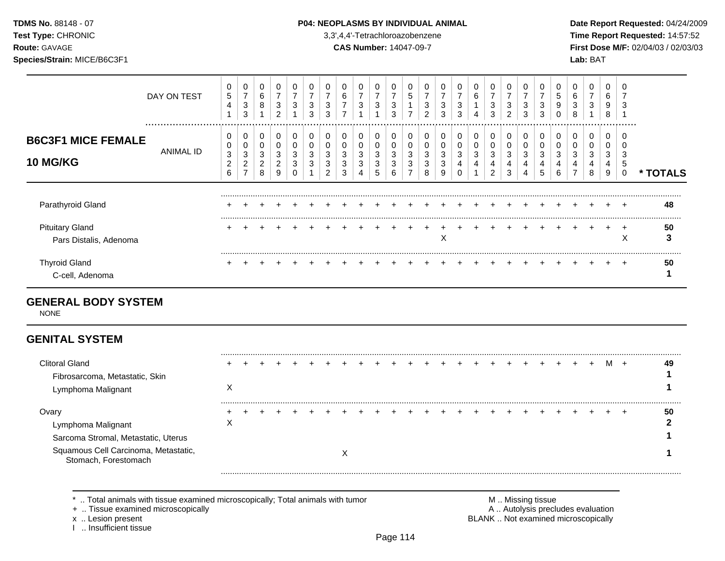### **TDMS No.** 88148 - 07 **P04: NEOPLASMS BY INDIVIDUAL ANIMAL Date Report Requested:** 04/24/2009

**Test Type:** CHRONIC 3,3',4,4'-Tetrachloroazobenzene **Time Report Requested:** 14:57:52 **Route:** GAVAGE **CAS Number:** 14047-09-7 **First Dose M/F:** 02/04/03 / 02/03/03

|                                                  | DAY ON TEST   | 0<br>5<br>$\overline{4}$           | 0<br>$\overline{ }$<br>3<br>3      | 0<br>6<br>8           | $\mathbf 0$<br>$\overline{7}$<br>3<br>$\overline{2}$ | 0<br>$\overline{ }$<br>3 | 0<br>⇁<br>3<br>3 | 3<br>3      | 0<br>6<br>⇁<br>$\overline{ }$ | 3                | 0<br>$\overline{7}$<br>3 | 0<br>7<br>3<br>3      | 0<br>5<br>$\overline{ }$ | 0<br>$\overline{ }$<br>3<br>2 | 7<br>3<br>3 | 0<br>⇁<br>3<br>3      | 0<br>6<br>4      | 0<br>$\overline{ }$<br>3<br>3 | 0<br>$\overline{ }$<br>3<br>$\overline{2}$ | 3<br>3      | 0<br>3<br>3           | 5<br>9 | 6<br>3<br>8 | 0<br>$\overline{\phantom{a}}$<br>3 | 0<br>6<br>9<br>8      | 3                |         |
|--------------------------------------------------|---------------|------------------------------------|------------------------------------|-----------------------|------------------------------------------------------|--------------------------|------------------|-------------|-------------------------------|------------------|--------------------------|-----------------------|--------------------------|-------------------------------|-------------|-----------------------|------------------|-------------------------------|--------------------------------------------|-------------|-----------------------|--------|-------------|------------------------------------|-----------------------|------------------|---------|
| <b>B6C3F1 MICE FEMALE</b><br><b>10 MG/KG</b>     | <br>ANIMAL ID | 0<br>0<br>3<br>$\overline{c}$<br>6 | 0<br>0<br>3<br>2<br>$\overline{ }$ | 0<br>0<br>3<br>2<br>8 | 0<br>0<br>3<br>2<br>9                                | 0<br>0<br>3<br>3<br>0    | 0<br>0<br>3<br>3 | C<br>3<br>2 | 0<br>0<br>3<br>3<br>3         | 0<br>0<br>3<br>3 | 0<br>0<br>3<br>3<br>5    | 0<br>0<br>3<br>3<br>6 | 0<br>0<br>3<br>3<br>⇁    | 0<br>0<br>3<br>3<br>8         | 3<br>3<br>9 | 0<br>0<br>3<br>4<br>0 | 0<br>0<br>3<br>4 | 0<br>0<br>3<br>4<br>2         | 0<br>0<br>3<br>4<br>3                      | 0<br>3<br>4 | 0<br>0<br>3<br>4<br>5 | د      | 0<br>3<br>4 | 0<br>0<br>3<br>4<br>8              | 0<br>0<br>3<br>4<br>9 | .<br>3<br>5<br>0 | TOTALS  |
| Parathyroid Gland                                |               | ÷                                  |                                    |                       |                                                      |                          |                  |             |                               |                  |                          |                       |                          |                               |             |                       |                  |                               |                                            |             |                       |        |             |                                    |                       |                  | 48      |
| <b>Pituitary Gland</b><br>Pars Distalis, Adenoma |               |                                    |                                    |                       |                                                      |                          |                  |             |                               |                  |                          |                       |                          |                               | X           |                       |                  |                               |                                            |             |                       |        |             |                                    |                       | $\pm$<br>X       | 50<br>3 |
| <b>Thyroid Gland</b><br>C-cell, Adenoma          |               |                                    |                                    |                       |                                                      |                          |                  |             |                               |                  |                          |                       |                          |                               |             |                       |                  |                               |                                            |             |                       |        |             |                                    |                       | $\div$           | 50      |

# **GENERAL BODY SYSTEM**

NONE

# **GENITAL SYSTEM**

| <b>Clitoral Gland</b><br>Fibrosarcoma, Metastatic, Skin<br>Lymphoma Malignant | ∧ |  |  |  |  |  |  |  |  |  |  |  | м | 49 |
|-------------------------------------------------------------------------------|---|--|--|--|--|--|--|--|--|--|--|--|---|----|
| Ovary<br>Lymphoma Malignant<br>Sarcoma Stromal, Metastatic, Uterus            | ㅅ |  |  |  |  |  |  |  |  |  |  |  |   | 50 |
| Squamous Cell Carcinoma, Metastatic,<br>Stomach, Forestomach                  |   |  |  |  |  |  |  |  |  |  |  |  |   |    |

\* .. Total animals with tissue examined microscopically; Total animals with tumor <br>
+ .. Tissue examined microscopically<br>
+ .. Tissue examined microscopically

+ .. Tissue examined microscopically

I .. Insufficient tissue

x .. Lesion present **BLANK** .. Not examined microscopically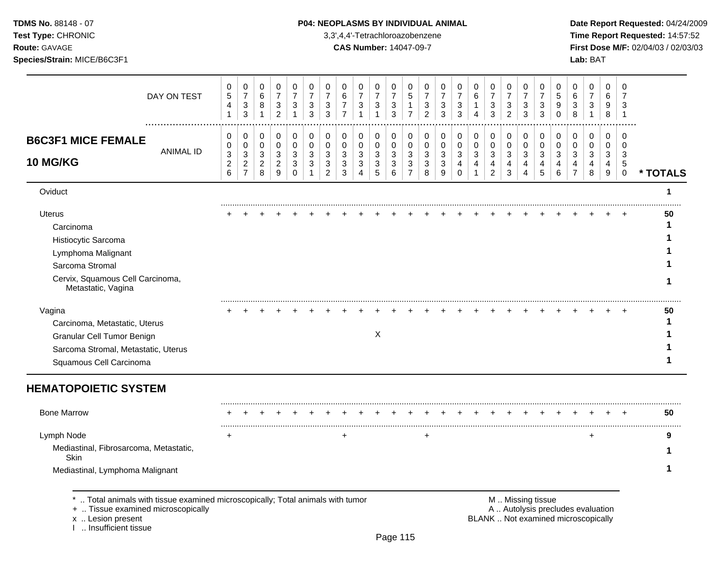**Test Type:** CHRONIC 3,3',4,4'-Tetrachloroazobenzene **Time Report Requested:** 14:57:52 **Route:** GAVAGE **CAS Number:** 14047-09-7 **First Dose M/F:** 02/04/03 / 02/03/03 **Species/Strain:** MICE/B6C3F1 **Lab:** BAT

| DAY ON TEST                                                                                                                                                    | $\pmb{0}$<br>$\mathbf 5$<br>$\overline{4}$<br>$\mathbf{1}$ | $\pmb{0}$<br>$\boldsymbol{7}$<br>$\mathbf 3$<br>3 | $\pmb{0}$<br>$\,6$<br>8<br>$\mathbf{1}$ | $\,0\,$<br>$\boldsymbol{7}$<br>$\ensuremath{\mathsf{3}}$<br>$\overline{2}$ | 0<br>$\overline{7}$<br>$\mathbf{3}$<br>$\mathbf{1}$ | 0<br>$\boldsymbol{7}$<br>$\ensuremath{\mathsf{3}}$<br>3 | $\pmb{0}$<br>$\overline{7}$<br>$\sqrt{3}$<br>3 | 0<br>$\,6$<br>$\overline{7}$<br>$\overline{7}$ | $\pmb{0}$<br>$\overline{7}$<br>$\sqrt{3}$<br>1 | 0<br>$\overline{7}$<br>$\ensuremath{\mathsf{3}}$<br>$\mathbf{1}$ | $\,0\,$<br>$\overline{7}$<br>$\ensuremath{\mathsf{3}}$<br>3 | 0<br>$\sqrt{5}$<br>1<br>$\overline{7}$ | 0<br>$\overline{7}$<br>$\sqrt{3}$<br>$\overline{2}$ | $\mathbf 0$<br>$\overline{7}$<br>$\sqrt{3}$<br>3 | 0<br>7<br>$\sqrt{3}$<br>3                   | $\pmb{0}$<br>$\,6\,$<br>$\mathbf{1}$<br>$\overline{4}$ | 0<br>$\boldsymbol{7}$<br>$\ensuremath{\mathsf{3}}$<br>3 | 0<br>$\overline{7}$<br>3<br>$\overline{2}$ | $\pmb{0}$<br>$\overline{7}$<br>$\sqrt{3}$<br>3 | 0<br>$\overline{7}$<br>$\mathbf{3}$<br>3 | 0<br>5<br>$\boldsymbol{9}$<br>$\Omega$ | 0<br>$\,6$<br>$\ensuremath{\mathsf{3}}$<br>8                             | $\pmb{0}$<br>$\boldsymbol{7}$<br>$\mathbf{3}$<br>$\mathbf{1}$ | 0<br>6<br>9<br>$\bf 8$     | 0<br>$\overline{7}$<br>3<br>-1 |          |
|----------------------------------------------------------------------------------------------------------------------------------------------------------------|------------------------------------------------------------|---------------------------------------------------|-----------------------------------------|----------------------------------------------------------------------------|-----------------------------------------------------|---------------------------------------------------------|------------------------------------------------|------------------------------------------------|------------------------------------------------|------------------------------------------------------------------|-------------------------------------------------------------|----------------------------------------|-----------------------------------------------------|--------------------------------------------------|---------------------------------------------|--------------------------------------------------------|---------------------------------------------------------|--------------------------------------------|------------------------------------------------|------------------------------------------|----------------------------------------|--------------------------------------------------------------------------|---------------------------------------------------------------|----------------------------|--------------------------------|----------|
| <b>B6C3F1 MICE FEMALE</b>                                                                                                                                      | 0<br>$\pmb{0}$                                             | $\pmb{0}$<br>$\mathbf 0$                          | 0<br>$\mathbf 0$                        | $\pmb{0}$<br>$\mathbf 0$                                                   | 0<br>$\mathbf 0$                                    | $\mathbf 0$<br>$\mathbf 0$                              | $\pmb{0}$<br>$\mathbf 0$                       | 0<br>$\mathbf 0$                               | 0<br>$\mathbf 0$                               | 0<br>$\mathbf 0$                                                 | 0<br>$\pmb{0}$                                              | 0<br>$\mathbf 0$                       | 0<br>$\mathbf 0$                                    | $\pmb{0}$<br>$\mathbf 0$                         | 0<br>0                                      | $\pmb{0}$<br>$\mathbf 0$                               | 0<br>$\mathbf 0$                                        | 0<br>$\mathsf 0$                           | $\mathbf 0$<br>$\pmb{0}$                       | 0<br>$\mathbf 0$                         | 0<br>$\mathbf 0$                       | 0<br>$\mathbf 0$                                                         | $\pmb{0}$<br>0                                                | $\mathbf 0$<br>$\mathbf 0$ | 0<br>$\Omega$                  |          |
| <b>ANIMAL ID</b><br><b>10 MG/KG</b>                                                                                                                            | $\ensuremath{\mathsf{3}}$<br>$\boldsymbol{2}$<br>$\,6\,$   | $\mathbf 3$<br>$\frac{2}{7}$                      | $\mathbf{3}$<br>$\overline{c}$<br>8     | $\sqrt{3}$<br>$\boldsymbol{2}$<br>$\boldsymbol{9}$                         | 3<br>3<br>$\mathbf 0$                               | 3<br>3<br>$\mathbf{1}$                                  | 3<br>3<br>$\overline{c}$                       | 3<br>3<br>3                                    | 3<br>3<br>$\overline{4}$                       | $\sqrt{3}$<br>3<br>5                                             | $\ensuremath{\mathsf{3}}$<br>$\ensuremath{\mathsf{3}}$<br>6 | 3<br>3<br>$\overline{7}$               | 3<br>3<br>8                                         | $\sqrt{3}$<br>$\ensuremath{\mathsf{3}}$<br>9     | $\sqrt{3}$<br>$\overline{4}$<br>$\mathbf 0$ | $\ensuremath{\mathsf{3}}$<br>4<br>$\mathbf{1}$         | 3<br>4<br>$\overline{a}$                                | 3<br>4<br>3                                | $\mathbf{3}$<br>4<br>$\overline{4}$            | 3<br>$\overline{4}$<br>5                 | 3<br>4<br>6                            | 3<br>4<br>$\overline{7}$                                                 | 3<br>$\overline{\mathbf{4}}$<br>8                             | 3<br>4<br>$9\,$            | 3<br>5<br>$\mathbf 0$          | * TOTALS |
| Oviduct                                                                                                                                                        |                                                            |                                                   |                                         |                                                                            |                                                     |                                                         |                                                |                                                |                                                |                                                                  |                                                             |                                        |                                                     |                                                  |                                             |                                                        |                                                         |                                            |                                                |                                          |                                        |                                                                          |                                                               |                            |                                | 1        |
| <b>Uterus</b>                                                                                                                                                  |                                                            |                                                   |                                         |                                                                            |                                                     |                                                         |                                                |                                                |                                                |                                                                  |                                                             |                                        |                                                     |                                                  |                                             |                                                        |                                                         |                                            |                                                |                                          |                                        |                                                                          |                                                               |                            |                                | 50       |
| Carcinoma                                                                                                                                                      |                                                            |                                                   |                                         |                                                                            |                                                     |                                                         |                                                |                                                |                                                |                                                                  |                                                             |                                        |                                                     |                                                  |                                             |                                                        |                                                         |                                            |                                                |                                          |                                        |                                                                          |                                                               |                            |                                | 1        |
| Histiocytic Sarcoma                                                                                                                                            |                                                            |                                                   |                                         |                                                                            |                                                     |                                                         |                                                |                                                |                                                |                                                                  |                                                             |                                        |                                                     |                                                  |                                             |                                                        |                                                         |                                            |                                                |                                          |                                        |                                                                          |                                                               |                            |                                |          |
| Lymphoma Malignant                                                                                                                                             |                                                            |                                                   |                                         |                                                                            |                                                     |                                                         |                                                |                                                |                                                |                                                                  |                                                             |                                        |                                                     |                                                  |                                             |                                                        |                                                         |                                            |                                                |                                          |                                        |                                                                          |                                                               |                            |                                |          |
| Sarcoma Stromal                                                                                                                                                |                                                            |                                                   |                                         |                                                                            |                                                     |                                                         |                                                |                                                |                                                |                                                                  |                                                             |                                        |                                                     |                                                  |                                             |                                                        |                                                         |                                            |                                                |                                          |                                        |                                                                          |                                                               |                            |                                |          |
| Cervix, Squamous Cell Carcinoma,<br>Metastatic, Vagina                                                                                                         |                                                            |                                                   |                                         |                                                                            |                                                     |                                                         |                                                |                                                |                                                |                                                                  |                                                             |                                        |                                                     |                                                  |                                             |                                                        |                                                         |                                            |                                                |                                          |                                        |                                                                          |                                                               |                            |                                | 1        |
| Vagina                                                                                                                                                         |                                                            |                                                   |                                         |                                                                            |                                                     |                                                         |                                                |                                                |                                                |                                                                  |                                                             |                                        |                                                     |                                                  |                                             |                                                        |                                                         |                                            |                                                |                                          |                                        |                                                                          |                                                               |                            |                                | 50       |
| Carcinoma, Metastatic, Uterus                                                                                                                                  |                                                            |                                                   |                                         |                                                                            |                                                     |                                                         |                                                |                                                |                                                |                                                                  |                                                             |                                        |                                                     |                                                  |                                             |                                                        |                                                         |                                            |                                                |                                          |                                        |                                                                          |                                                               |                            |                                | 1        |
| Granular Cell Tumor Benign                                                                                                                                     |                                                            |                                                   |                                         |                                                                            |                                                     |                                                         |                                                |                                                |                                                | X                                                                |                                                             |                                        |                                                     |                                                  |                                             |                                                        |                                                         |                                            |                                                |                                          |                                        |                                                                          |                                                               |                            |                                |          |
| Sarcoma Stromal, Metastatic, Uterus<br>Squamous Cell Carcinoma                                                                                                 |                                                            |                                                   |                                         |                                                                            |                                                     |                                                         |                                                |                                                |                                                |                                                                  |                                                             |                                        |                                                     |                                                  |                                             |                                                        |                                                         |                                            |                                                |                                          |                                        |                                                                          |                                                               |                            |                                | 1        |
| <b>HEMATOPOIETIC SYSTEM</b>                                                                                                                                    |                                                            |                                                   |                                         |                                                                            |                                                     |                                                         |                                                |                                                |                                                |                                                                  |                                                             |                                        |                                                     |                                                  |                                             |                                                        |                                                         |                                            |                                                |                                          |                                        |                                                                          |                                                               |                            |                                |          |
| <b>Bone Marrow</b>                                                                                                                                             |                                                            |                                                   |                                         |                                                                            |                                                     |                                                         |                                                |                                                |                                                |                                                                  |                                                             |                                        |                                                     |                                                  |                                             |                                                        |                                                         |                                            |                                                |                                          |                                        |                                                                          |                                                               |                            |                                | 50       |
| Lymph Node                                                                                                                                                     | $\ddot{}$                                                  |                                                   |                                         |                                                                            |                                                     |                                                         |                                                | $\ddot{}$                                      |                                                |                                                                  |                                                             |                                        | $\ddot{}$                                           |                                                  |                                             |                                                        |                                                         |                                            |                                                |                                          |                                        |                                                                          | $\ddot{}$                                                     |                            |                                | 9        |
| Mediastinal, Fibrosarcoma, Metastatic,<br>Skin                                                                                                                 |                                                            |                                                   |                                         |                                                                            |                                                     |                                                         |                                                |                                                |                                                |                                                                  |                                                             |                                        |                                                     |                                                  |                                             |                                                        |                                                         |                                            |                                                |                                          |                                        |                                                                          |                                                               |                            |                                |          |
| Mediastinal, Lymphoma Malignant                                                                                                                                |                                                            |                                                   |                                         |                                                                            |                                                     |                                                         |                                                |                                                |                                                |                                                                  |                                                             |                                        |                                                     |                                                  |                                             |                                                        |                                                         |                                            |                                                |                                          |                                        |                                                                          |                                                               |                            |                                |          |
| Total animals with tissue examined microscopically; Total animals with tumor<br>+  Tissue examined microscopically<br>x  Lesion present<br>Insufficient tissue |                                                            |                                                   |                                         |                                                                            |                                                     |                                                         |                                                |                                                |                                                |                                                                  |                                                             |                                        |                                                     |                                                  |                                             |                                                        |                                                         |                                            |                                                | M  Missing tissue                        |                                        | A  Autolysis precludes evaluation<br>BLANK  Not examined microscopically |                                                               |                            |                                |          |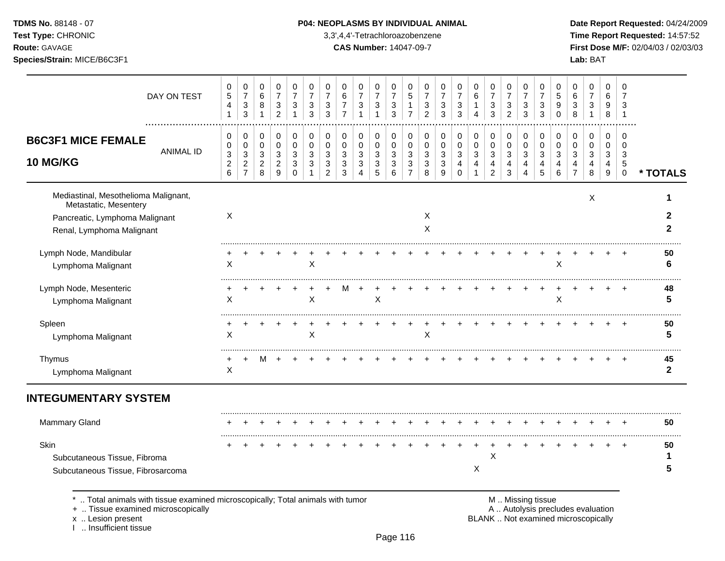**Test Type:** CHRONIC 3,3',4,4'-Tetrachloroazobenzene **Time Report Requested:** 14:57:52 **Route:** GAVAGE **CAS Number:** 14047-09-7 **First Dose M/F:** 02/04/03 / 02/03/03

| DAY ON TEST                                                                     | 0<br>5                       | $\pmb{0}$<br>$\boldsymbol{7}$                  | 0<br>6                              | 0<br>$\overline{7}$               | 0<br>$\overline{7}$   | 0<br>$\overline{7}$            | 0<br>$\overline{7}$      | 0<br>6                           | 0<br>$\overline{7}$                         | 0<br>$\overline{7}$                         | 0<br>$\overline{7}$            | 0<br>5                   | 0<br>$\overline{7}$            | 0<br>$\overline{7}$    | 0<br>$\overline{7}$ | 0<br>$\,6$                        | 0<br>$\overline{7}$            | 0<br>$\overline{7}$ | 0<br>$\overline{7}$ | 0<br>$\overline{7}$ | 0<br>5        | 0<br>6                   | 0<br>$\overline{7}$    | 0<br>6      | 0<br>7                          |                    |
|---------------------------------------------------------------------------------|------------------------------|------------------------------------------------|-------------------------------------|-----------------------------------|-----------------------|--------------------------------|--------------------------|----------------------------------|---------------------------------------------|---------------------------------------------|--------------------------------|--------------------------|--------------------------------|------------------------|---------------------|-----------------------------------|--------------------------------|---------------------|---------------------|---------------------|---------------|--------------------------|------------------------|-------------|---------------------------------|--------------------|
|                                                                                 | $\overline{\mathbf{4}}$<br>1 | $\sqrt{3}$<br>3                                | 8<br>$\mathbf 1$                    | $\sqrt{3}$<br>2                   | 3<br>1                | $\ensuremath{\mathsf{3}}$<br>3 | $\mathbf{3}$<br>3        | $\overline{7}$<br>$\overline{7}$ | $\ensuremath{\mathsf{3}}$<br>$\overline{1}$ | $\ensuremath{\mathsf{3}}$<br>$\overline{1}$ | $\ensuremath{\mathsf{3}}$<br>3 | 1<br>$\overline{7}$      | $\ensuremath{\mathsf{3}}$<br>2 | 3<br>3                 | 3<br>3              | $\mathbf{1}$<br>4                 | $\ensuremath{\mathsf{3}}$<br>3 | 3<br>$\overline{2}$ | 3<br>3              | 3<br>3              | 9<br>$\Omega$ | 3<br>8                   | 3<br>$\overline{1}$    | 9<br>8      | 3<br>-1                         |                    |
| <b>B6C3F1 MICE FEMALE</b>                                                       | 0<br>0                       | 0<br>0                                         | 0<br>0                              | 0<br>0                            | 0<br>$\mathbf 0$      | 0<br>0                         | 0<br>0                   | 0<br>0                           | 0<br>0                                      | 0<br>0                                      | 0<br>0                         | 0<br>0                   | 0<br>0                         | 0<br>$\pmb{0}$         | 0<br>0              | 0<br>$\pmb{0}$                    | 0<br>0                         | 0<br>0              | 0<br>0              | 0<br>0              | 0<br>0        | 0<br>0                   | 0<br>0                 | 0<br>0      | $\Omega$<br>0                   |                    |
| <b>ANIMAL ID</b><br><b>10 MG/KG</b>                                             | 3<br>$\overline{c}$<br>6     | $\sqrt{3}$<br>$\overline{c}$<br>$\overline{7}$ | $\mathbf{3}$<br>$\overline{c}$<br>8 | $\sqrt{3}$<br>$\overline{c}$<br>9 | 3<br>3<br>$\mathbf 0$ | 3<br>3                         | 3<br>3<br>$\overline{2}$ | 3<br>3<br>3                      | $\sqrt{3}$<br>3<br>$\overline{4}$           | 3<br>3<br>5                                 | $\sqrt{3}$<br>3<br>6           | 3<br>3<br>$\overline{7}$ | 3<br>3<br>8                    | $\mathbf{3}$<br>3<br>9 | 3<br>4<br>$\Omega$  | $\sqrt{3}$<br>4<br>$\overline{1}$ | 3<br>4<br>$\overline{2}$       | 3<br>4<br>3         | 3<br>4<br>4         | 3<br>4<br>5         | 3<br>4<br>6   | 3<br>4<br>$\overline{7}$ | $\mathbf{3}$<br>4<br>8 | 3<br>4<br>9 | 3<br>$\,$ 5 $\,$<br>$\mathsf 0$ | * TOTALS           |
| Mediastinal, Mesothelioma Malignant,<br>Metastatic, Mesentery                   |                              |                                                |                                     |                                   |                       |                                |                          |                                  |                                             |                                             |                                |                          |                                |                        |                     |                                   |                                |                     |                     |                     |               |                          | X                      |             |                                 |                    |
| Pancreatic, Lymphoma Malignant<br>Renal, Lymphoma Malignant                     | X                            |                                                |                                     |                                   |                       |                                |                          |                                  |                                             |                                             |                                |                          | X<br>$\sf X$                   |                        |                     |                                   |                                |                     |                     |                     |               |                          |                        |             |                                 | 2<br>$\mathbf{2}$  |
| Lymph Node, Mandibular<br>Lymphoma Malignant                                    | X                            |                                                |                                     |                                   |                       | X                              |                          |                                  |                                             |                                             |                                |                          |                                |                        |                     |                                   |                                |                     |                     |                     | X             |                          |                        |             |                                 | 50<br>6            |
| Lymph Node, Mesenteric<br>Lymphoma Malignant                                    | X                            |                                                |                                     |                                   |                       | X                              |                          | м                                |                                             | X                                           |                                |                          |                                |                        |                     |                                   |                                |                     |                     |                     | X             |                          |                        |             |                                 | 48<br>5            |
| Spleen<br>Lymphoma Malignant                                                    | X                            |                                                |                                     |                                   |                       | $\mathsf X$                    |                          |                                  |                                             |                                             |                                |                          | $\mathsf X$                    |                        |                     |                                   |                                |                     |                     |                     |               |                          |                        |             |                                 | 50<br>5            |
| Thymus<br>Lymphoma Malignant                                                    | $\ddot{}$<br>Х               | ٠                                              | M                                   |                                   |                       |                                |                          |                                  |                                             |                                             |                                |                          |                                |                        |                     |                                   |                                |                     |                     |                     |               |                          |                        |             |                                 | 45<br>$\mathbf{2}$ |
| <b>INTEGUMENTARY SYSTEM</b>                                                     |                              |                                                |                                     |                                   |                       |                                |                          |                                  |                                             |                                             |                                |                          |                                |                        |                     |                                   |                                |                     |                     |                     |               |                          |                        |             |                                 |                    |
| Mammary Gland                                                                   |                              |                                                |                                     |                                   |                       |                                |                          |                                  |                                             |                                             |                                |                          |                                |                        |                     |                                   |                                |                     |                     |                     |               |                          |                        |             |                                 | 50                 |
| Skin<br>Subcutaneous Tissue, Fibroma<br>Subcutaneous Tissue, Fibrosarcoma       |                              |                                                |                                     |                                   |                       |                                |                          |                                  |                                             |                                             |                                |                          |                                |                        |                     | Χ                                 | $\mathsf X$                    |                     |                     |                     |               |                          |                        |             | $\ddot{}$                       | 50<br>5            |
| *  Total animals with tissue examined microscopically; Total animals with tumor |                              |                                                |                                     |                                   |                       |                                |                          |                                  |                                             |                                             |                                |                          |                                |                        |                     |                                   |                                |                     | M  Missing tissue   |                     |               |                          |                        |             |                                 |                    |

x .. Lesion present<br>I .. Insufficient tissue

+ .. Tissue examined microscopically and the state of the state of the state of the A .. Autolysis precludes evaluation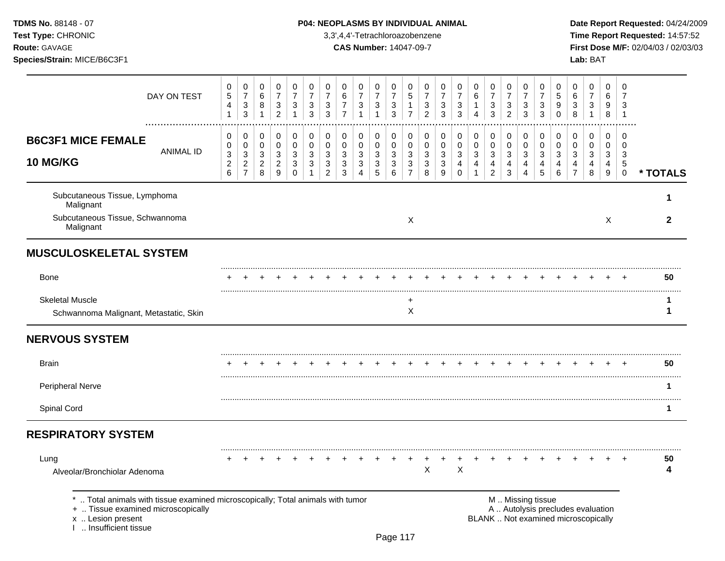**Test Type:** CHRONIC 3,3',4,4'-Tetrachloroazobenzene **Time Report Requested:** 14:57:52 **Route:** GAVAGE **CAS Number:** 14047-09-7 **First Dose M/F:** 02/04/03 / 02/03/03 **Species/Strain:** MICE/B6C3F1 **Lab:** BAT

| DAY ON TEST                                                                                                                                                       | 0<br>5<br>4<br>$\mathbf{1}$                 | 0<br>$\overline{7}$<br>$\ensuremath{\mathsf{3}}$<br>3                | 0<br>$\,6\,$<br>8<br>$\mathbf{1}$            | 0<br>$\overline{7}$<br>$\frac{3}{2}$                                              | $\mathbf 0$<br>$\overline{7}$<br>$\ensuremath{\mathsf{3}}$<br>1 | 0<br>$\overline{7}$<br>3<br>3                     | 0<br>$\overline{7}$<br>3<br>3                                      | 0<br>6<br>$\overline{7}$<br>$\overline{7}$ | 0<br>$\overline{7}$<br>$\ensuremath{\mathsf{3}}$<br>$\overline{1}$ | 0<br>$\overline{7}$<br>$\ensuremath{\mathsf{3}}$<br>$\mathbf{1}$ | 0<br>$\overline{7}$<br>$\ensuremath{\mathsf{3}}$<br>3                  | 0<br>$\sqrt{5}$<br>$\mathbf{1}$<br>$\overline{7}$              | 0<br>$\overline{7}$<br>3<br>$\overline{2}$ | 0<br>$\overline{7}$<br>3<br>3                                                   | 0<br>$\overline{7}$<br>3<br>3                      | 0<br>$\,6\,$<br>$\mathbf 1$<br>$\overline{A}$              | 0<br>$\overline{7}$<br>3<br>3                                        | 0<br>$\overline{7}$<br>$\mathbf{3}$<br>$\overline{2}$                                    | 0<br>$\overline{7}$<br>3<br>3                                  | 0<br>$\overline{7}$<br>3<br>3              | 0<br>$\sqrt{5}$<br>9<br>$\mathbf 0$                      | 0<br>6<br>3<br>8                                                         | 0<br>$\overline{7}$<br>$\ensuremath{\mathsf{3}}$<br>$\mathbf{1}$ | 0<br>$\,6\,$<br>9<br>$\, 8$                                            | $\Omega$<br>$\overline{7}$<br>3<br>$\overline{1}$ |              |
|-------------------------------------------------------------------------------------------------------------------------------------------------------------------|---------------------------------------------|----------------------------------------------------------------------|----------------------------------------------|-----------------------------------------------------------------------------------|-----------------------------------------------------------------|---------------------------------------------------|--------------------------------------------------------------------|--------------------------------------------|--------------------------------------------------------------------|------------------------------------------------------------------|------------------------------------------------------------------------|----------------------------------------------------------------|--------------------------------------------|---------------------------------------------------------------------------------|----------------------------------------------------|------------------------------------------------------------|----------------------------------------------------------------------|------------------------------------------------------------------------------------------|----------------------------------------------------------------|--------------------------------------------|----------------------------------------------------------|--------------------------------------------------------------------------|------------------------------------------------------------------|------------------------------------------------------------------------|---------------------------------------------------|--------------|
| <b>B6C3F1 MICE FEMALE</b><br><b>ANIMAL ID</b><br>10 MG/KG                                                                                                         | 0<br>0<br>3<br>$\overline{\mathbf{c}}$<br>6 | 0<br>$\pmb{0}$<br>$\mathbf{3}$<br>$\boldsymbol{2}$<br>$\overline{7}$ | 0<br>$\mathbf 0$<br>3<br>$\overline{c}$<br>8 | 0<br>$\pmb{0}$<br>$\ensuremath{\mathsf{3}}$<br>$\overline{a}$<br>$\boldsymbol{9}$ | 0<br>$\mathbf 0$<br>$\mathbf{3}$<br>$\mathbf{3}$<br>$\mathbf 0$ | $\pmb{0}$<br>0<br>$\mathbf{3}$<br>$\sqrt{3}$<br>1 | 0<br>$\mathbf 0$<br>$\mathbf{3}$<br>$\mathbf{3}$<br>$\overline{c}$ | 0<br>$\mathbf 0$<br>3<br>$\sqrt{3}$<br>3   | 0<br>$\mathbf 0$<br>$\mathbf{3}$<br>$\mathbf{3}$<br>$\overline{4}$ | 0<br>0<br>$\mathbf{3}$<br>$\mathbf{3}$<br>$\sqrt{5}$             | 0<br>$\pmb{0}$<br>$\mathbf{3}$<br>$\ensuremath{\mathsf{3}}$<br>$\,6\,$ | 0<br>$\pmb{0}$<br>$\mathbf{3}$<br>$\sqrt{3}$<br>$\overline{7}$ | 0<br>0<br>$\mathbf{3}$<br>$\sqrt{3}$<br>8  | 0<br>$\pmb{0}$<br>$\mathbf{3}$<br>$\ensuremath{\mathsf{3}}$<br>$\boldsymbol{9}$ | 0<br>$\mathbf 0$<br>$\mathbf{3}$<br>4<br>$\pmb{0}$ | 0<br>0<br>$\mathfrak{S}$<br>$\overline{4}$<br>$\mathbf{1}$ | 0<br>$\mathbf 0$<br>$\mathbf{3}$<br>$\overline{4}$<br>$\overline{a}$ | 0<br>$\mathsf 0$<br>$\ensuremath{\mathsf{3}}$<br>$\overline{\mathbf{4}}$<br>$\mathbf{3}$ | 0<br>$\boldsymbol{0}$<br>3<br>$\overline{4}$<br>$\overline{4}$ | 0<br>$\mathbf 0$<br>$\mathbf{3}$<br>4<br>5 | $\pmb{0}$<br>$\mathbf 0$<br>$\mathbf{3}$<br>4<br>$\,6\,$ | 0<br>$\mathbf 0$<br>$\mathbf{3}$<br>4<br>$\overline{7}$                  | $\pmb{0}$<br>0<br>$\mathbf{3}$<br>4<br>8                         | 0<br>$\mathbf 0$<br>$\mathbf{3}$<br>$\overline{4}$<br>$\boldsymbol{9}$ | $\Omega$<br>0<br>3<br>5<br>$\mathbf 0$            | * TOTALS     |
| Subcutaneous Tissue, Lymphoma<br>Malignant                                                                                                                        |                                             |                                                                      |                                              |                                                                                   |                                                                 |                                                   |                                                                    |                                            |                                                                    |                                                                  |                                                                        |                                                                |                                            |                                                                                 |                                                    |                                                            |                                                                      |                                                                                          |                                                                |                                            |                                                          |                                                                          |                                                                  |                                                                        |                                                   | 1            |
| Subcutaneous Tissue, Schwannoma<br>Malignant                                                                                                                      |                                             |                                                                      |                                              |                                                                                   |                                                                 |                                                   |                                                                    |                                            |                                                                    |                                                                  |                                                                        | X                                                              |                                            |                                                                                 |                                                    |                                                            |                                                                      |                                                                                          |                                                                |                                            |                                                          |                                                                          |                                                                  | $\sf X$                                                                |                                                   | $\mathbf{2}$ |
| <b>MUSCULOSKELETAL SYSTEM</b>                                                                                                                                     |                                             |                                                                      |                                              |                                                                                   |                                                                 |                                                   |                                                                    |                                            |                                                                    |                                                                  |                                                                        |                                                                |                                            |                                                                                 |                                                    |                                                            |                                                                      |                                                                                          |                                                                |                                            |                                                          |                                                                          |                                                                  |                                                                        |                                                   |              |
| <b>Bone</b>                                                                                                                                                       |                                             |                                                                      |                                              |                                                                                   |                                                                 |                                                   |                                                                    |                                            |                                                                    |                                                                  |                                                                        |                                                                |                                            |                                                                                 |                                                    |                                                            |                                                                      |                                                                                          |                                                                |                                            |                                                          |                                                                          |                                                                  |                                                                        |                                                   | 50           |
| <b>Skeletal Muscle</b><br>Schwannoma Malignant, Metastatic, Skin                                                                                                  |                                             |                                                                      |                                              |                                                                                   |                                                                 |                                                   |                                                                    |                                            |                                                                    |                                                                  |                                                                        | +<br>X                                                         |                                            |                                                                                 |                                                    |                                                            |                                                                      |                                                                                          |                                                                |                                            |                                                          |                                                                          |                                                                  |                                                                        |                                                   | 1            |
| <b>NERVOUS SYSTEM</b>                                                                                                                                             |                                             |                                                                      |                                              |                                                                                   |                                                                 |                                                   |                                                                    |                                            |                                                                    |                                                                  |                                                                        |                                                                |                                            |                                                                                 |                                                    |                                                            |                                                                      |                                                                                          |                                                                |                                            |                                                          |                                                                          |                                                                  |                                                                        |                                                   |              |
| <b>Brain</b>                                                                                                                                                      |                                             |                                                                      |                                              |                                                                                   |                                                                 |                                                   |                                                                    |                                            |                                                                    |                                                                  |                                                                        |                                                                |                                            |                                                                                 |                                                    |                                                            |                                                                      |                                                                                          |                                                                |                                            |                                                          |                                                                          |                                                                  |                                                                        |                                                   | 50           |
| Peripheral Nerve                                                                                                                                                  |                                             |                                                                      |                                              |                                                                                   |                                                                 |                                                   |                                                                    |                                            |                                                                    |                                                                  |                                                                        |                                                                |                                            |                                                                                 |                                                    |                                                            |                                                                      |                                                                                          |                                                                |                                            |                                                          |                                                                          |                                                                  |                                                                        |                                                   |              |
| Spinal Cord                                                                                                                                                       |                                             |                                                                      |                                              |                                                                                   |                                                                 |                                                   |                                                                    |                                            |                                                                    |                                                                  |                                                                        |                                                                |                                            |                                                                                 |                                                    |                                                            |                                                                      |                                                                                          |                                                                |                                            |                                                          |                                                                          |                                                                  |                                                                        |                                                   | 1            |
| <b>RESPIRATORY SYSTEM</b>                                                                                                                                         |                                             |                                                                      |                                              |                                                                                   |                                                                 |                                                   |                                                                    |                                            |                                                                    |                                                                  |                                                                        |                                                                |                                            |                                                                                 |                                                    |                                                            |                                                                      |                                                                                          |                                                                |                                            |                                                          |                                                                          |                                                                  |                                                                        |                                                   |              |
| Lung<br>Alveolar/Bronchiolar Adenoma                                                                                                                              |                                             |                                                                      |                                              |                                                                                   |                                                                 |                                                   |                                                                    |                                            |                                                                    |                                                                  |                                                                        |                                                                | $\sf X$                                    |                                                                                 | $\mathsf X$                                        |                                                            |                                                                      |                                                                                          |                                                                |                                            |                                                          |                                                                          |                                                                  |                                                                        |                                                   | 50<br>4      |
| Total animals with tissue examined microscopically; Total animals with tumor<br>+  Tissue examined microscopically<br>x  Lesion present<br>1  Insufficient tissue |                                             |                                                                      |                                              |                                                                                   |                                                                 |                                                   |                                                                    |                                            |                                                                    |                                                                  |                                                                        |                                                                |                                            |                                                                                 |                                                    |                                                            |                                                                      |                                                                                          |                                                                | M  Missing tissue                          |                                                          | A  Autolysis precludes evaluation<br>BLANK  Not examined microscopically |                                                                  |                                                                        |                                                   |              |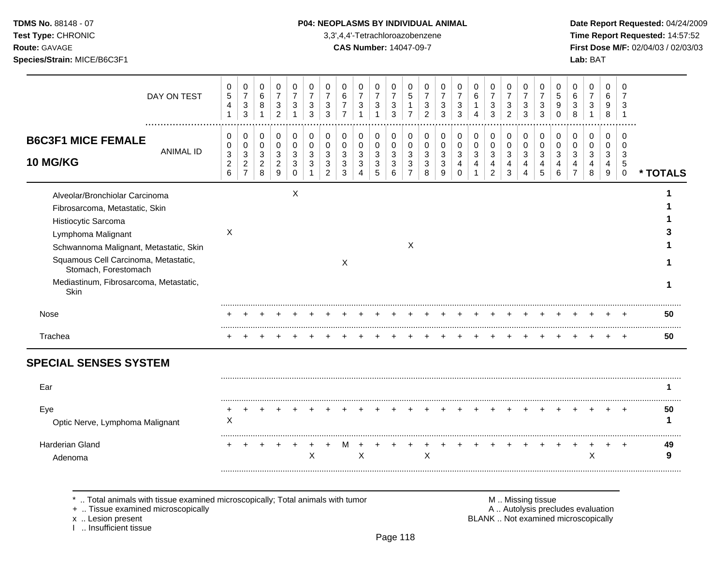**Test Type:** CHRONIC 3,3',4,4'-Tetrachloroazobenzene **Time Report Requested:** 14:57:52 **Route:** GAVAGE **CAS Number:** 14047-09-7 **First Dose M/F:** 02/04/03 / 02/03/03 **Species/Strain:** MICE/B6C3F1 **Lab:** BAT

| DAY ON TEST                                                                                                        | 0<br>5<br>4<br>$\mathbf{1}$            | 0<br>$\overline{7}$<br>$\ensuremath{\mathsf{3}}$<br>$\mathfrak{S}$ | 0<br>6<br>8<br>$\mathbf{1}$   | 0<br>$\overline{7}$<br>3<br>$\overline{2}$         | 0<br>$\overline{7}$<br>3<br>1 | 0<br>$\overline{7}$<br>3<br>3 | 0<br>$\overline{7}$<br>3<br>$\mathbf{3}$ | 0<br>6<br>$\overline{7}$<br>$\overline{7}$ | 0<br>$\overline{7}$<br>3 | 0<br>$\overline{7}$<br>$\mathbf{3}$<br>1 | 0<br>$\overline{7}$<br>3<br>3 | 0<br>5<br>$\overline{7}$   | 0<br>$\overline{7}$<br>3<br>$\overline{2}$ | 0<br>$\overline{7}$<br>3<br>3 | 0<br>$\overline{7}$<br>3<br>3           | 0<br>6<br>4              | 0<br>$\overline{7}$<br>3<br>$\sqrt{3}$ | 0<br>$\overline{7}$<br>3<br>$\overline{c}$ | 0<br>$\overline{7}$<br>3<br>$\mathbf{3}$      | 0<br>$\overline{7}$<br>3<br>3 | 0<br>5<br>9<br>$\mathbf 0$ | $\Omega$<br>6<br>3<br>8    | 0<br>$\overline{7}$<br>3<br>1 | 0<br>6<br>9<br>8           | $\Omega$<br>7<br>3<br>$\overline{1}$    |          |
|--------------------------------------------------------------------------------------------------------------------|----------------------------------------|--------------------------------------------------------------------|-------------------------------|----------------------------------------------------|-------------------------------|-------------------------------|------------------------------------------|--------------------------------------------|--------------------------|------------------------------------------|-------------------------------|----------------------------|--------------------------------------------|-------------------------------|-----------------------------------------|--------------------------|----------------------------------------|--------------------------------------------|-----------------------------------------------|-------------------------------|----------------------------|----------------------------|-------------------------------|----------------------------|-----------------------------------------|----------|
| <b>B6C3F1 MICE FEMALE</b><br><b>ANIMAL ID</b><br><b>10 MG/KG</b>                                                   | 0<br>0<br>3<br>$\overline{\mathbf{c}}$ | 0<br>$\pmb{0}$<br>$\sqrt{3}$<br>$\overline{c}$                     | 0<br>0<br>3<br>$\overline{a}$ | 0<br>$\mathbf 0$<br>$\mathbf{3}$<br>$\overline{2}$ | 0<br>0<br>3<br>3              | 0<br>$\mathbf 0$<br>3<br>3    | 0<br>0<br>3<br>3                         | 0<br>0<br>3<br>3                           | 0<br>0<br>3<br>3         | 0<br>$\mathbf 0$<br>3<br>3               | 0<br>0<br>3<br>3              | $\mathbf 0$<br>0<br>3<br>3 | 0<br>$\mathbf 0$<br>3<br>3                 | 0<br>0<br>3<br>3              | 0<br>$\mathbf 0$<br>3<br>$\overline{4}$ | 0<br>$\pmb{0}$<br>3<br>4 | 0<br>0<br>$\mathbf{3}$<br>4            | 0<br>$\mathbf 0$<br>3<br>4                 | $\pmb{0}$<br>$\pmb{0}$<br>3<br>$\overline{4}$ | 0<br>0<br>3<br>$\overline{4}$ | 0<br>$\mathbf 0$<br>3<br>4 | $\mathbf 0$<br>0<br>3<br>4 | 0<br>$\mathbf 0$<br>3<br>4    | $\mathbf 0$<br>0<br>3<br>4 | $\Omega$<br>$\Omega$<br>3<br>$\sqrt{5}$ |          |
|                                                                                                                    | 6                                      | $\overline{7}$                                                     | 8                             | $9\,$                                              | $\mathsf{O}\xspace$           |                               | $\overline{c}$                           | 3                                          | $\overline{4}$           | 5                                        | 6                             | $\overline{7}$             | 8                                          | 9                             | $\Omega$                                |                          | $\overline{2}$                         | $\mathbf{3}$                               | $\overline{4}$                                | 5                             | 6                          |                            | 8                             | 9                          | $\mathsf 0$                             | * TOTALS |
| Alveolar/Bronchiolar Carcinoma<br>Fibrosarcoma, Metastatic, Skin                                                   |                                        |                                                                    |                               |                                                    | X                             |                               |                                          |                                            |                          |                                          |                               |                            |                                            |                               |                                         |                          |                                        |                                            |                                               |                               |                            |                            |                               |                            |                                         |          |
| Histiocytic Sarcoma                                                                                                |                                        |                                                                    |                               |                                                    |                               |                               |                                          |                                            |                          |                                          |                               |                            |                                            |                               |                                         |                          |                                        |                                            |                                               |                               |                            |                            |                               |                            |                                         |          |
| Lymphoma Malignant                                                                                                 | X                                      |                                                                    |                               |                                                    |                               |                               |                                          |                                            |                          |                                          |                               |                            |                                            |                               |                                         |                          |                                        |                                            |                                               |                               |                            |                            |                               |                            |                                         |          |
| Schwannoma Malignant, Metastatic, Skin                                                                             |                                        |                                                                    |                               |                                                    |                               |                               |                                          |                                            |                          |                                          |                               | $\times$                   |                                            |                               |                                         |                          |                                        |                                            |                                               |                               |                            |                            |                               |                            |                                         |          |
| Squamous Cell Carcinoma, Metastatic,<br>Stomach, Forestomach                                                       |                                        |                                                                    |                               |                                                    |                               |                               |                                          | $\boldsymbol{\mathsf{X}}$                  |                          |                                          |                               |                            |                                            |                               |                                         |                          |                                        |                                            |                                               |                               |                            |                            |                               |                            |                                         |          |
| Mediastinum, Fibrosarcoma, Metastatic,<br>Skin                                                                     |                                        |                                                                    |                               |                                                    |                               |                               |                                          |                                            |                          |                                          |                               |                            |                                            |                               |                                         |                          |                                        |                                            |                                               |                               |                            |                            |                               |                            |                                         | 1        |
| Nose                                                                                                               |                                        |                                                                    |                               |                                                    |                               |                               |                                          |                                            |                          |                                          |                               |                            |                                            |                               |                                         |                          |                                        |                                            |                                               |                               |                            |                            |                               |                            |                                         | 50       |
| Trachea                                                                                                            |                                        |                                                                    |                               |                                                    |                               |                               |                                          |                                            |                          |                                          |                               |                            |                                            |                               |                                         |                          |                                        |                                            |                                               |                               |                            |                            |                               |                            |                                         | <br>50   |
| <b>SPECIAL SENSES SYSTEM</b>                                                                                       |                                        |                                                                    |                               |                                                    |                               |                               |                                          |                                            |                          |                                          |                               |                            |                                            |                               |                                         |                          |                                        |                                            |                                               |                               |                            |                            |                               |                            |                                         |          |
| Ear                                                                                                                |                                        |                                                                    |                               |                                                    |                               |                               |                                          |                                            |                          |                                          |                               |                            |                                            |                               |                                         |                          |                                        |                                            |                                               |                               |                            |                            |                               |                            |                                         |          |
| Eye                                                                                                                |                                        |                                                                    |                               |                                                    |                               |                               |                                          |                                            |                          |                                          |                               |                            |                                            |                               |                                         |                          |                                        |                                            |                                               |                               |                            |                            |                               |                            |                                         | 50       |
| Optic Nerve, Lymphoma Malignant                                                                                    | X                                      |                                                                    |                               |                                                    |                               |                               |                                          |                                            |                          |                                          |                               |                            |                                            |                               |                                         |                          |                                        |                                            |                                               |                               |                            |                            |                               |                            |                                         | 1        |
| <b>Harderian Gland</b>                                                                                             |                                        |                                                                    |                               |                                                    |                               |                               |                                          |                                            |                          |                                          |                               |                            |                                            |                               |                                         |                          |                                        |                                            |                                               |                               |                            |                            |                               |                            | $\overline{+}$                          | 49       |
| Adenoma                                                                                                            |                                        |                                                                    |                               |                                                    |                               | X                             |                                          |                                            | X                        |                                          |                               |                            | X                                          |                               |                                         |                          |                                        |                                            |                                               |                               |                            |                            | X                             |                            |                                         | 9        |
| Total animals with tissue examined microscopically; Total animals with tumor<br>+  Tissue examined microscopically |                                        |                                                                    |                               |                                                    |                               |                               |                                          |                                            |                          |                                          |                               |                            |                                            |                               |                                         |                          |                                        | A  Autolysis precludes evaluation          | M  Missing tissue                             |                               |                            |                            |                               |                            |                                         |          |

x .. Lesion present<br>I .. Insufficient tissue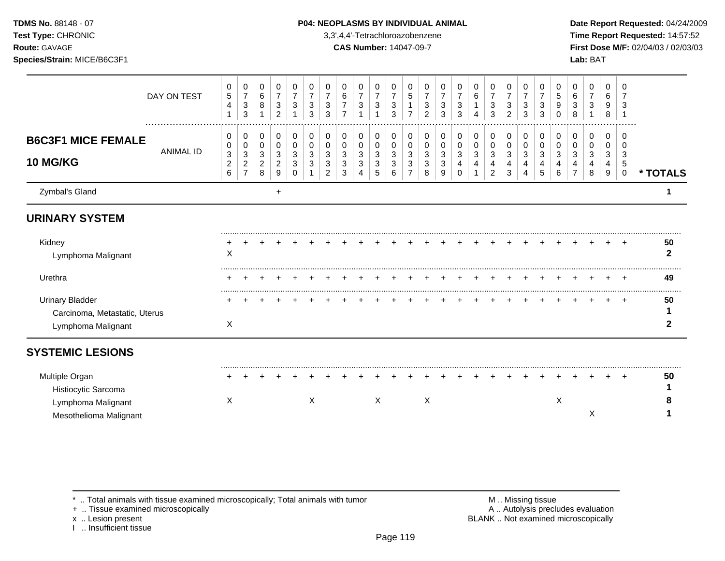**Test Type:** CHRONIC 3,3',4,4'-Tetrachloroazobenzene **Time Report Requested:** 14:57:52 **Route:** GAVAGE **CAS Number:** 14047-09-7 **First Dose M/F:** 02/04/03 / 02/03/03 **Species/Strain:** MICE/B6C3F1 **Lab:** BAT

|                                                                               | DAY ON TEST      | $\pmb{0}$<br>$\,$ 5 $\,$<br>$\overline{4}$ | 0<br>$\overline{7}$<br>3<br>3                              | 0<br>$\,6$<br>8                    | 0<br>$\overline{7}$<br>3<br>2             | 0<br>$\overline{7}$<br>3 | 0<br>$\overline{7}$<br>$\mathbf{3}$<br>3 | 0<br>$\overline{7}$<br>3<br>3      | 0<br>$\,6\,$<br>$\overline{7}$<br>$\overline{7}$ | 0<br>$\overline{7}$<br>3 | 0<br>$\overline{7}$<br>3     | 0<br>$\overline{7}$<br>3<br>3 | 0<br>5<br>-1<br>$\overline{7}$     | 0<br>$\overline{7}$<br>3<br>$\overline{2}$ | 0<br>$\overline{7}$<br>3<br>3   | 0<br>7<br>3<br>3             | 0<br>6<br>$\mathbf{1}$<br>4 | 0<br>$\overline{7}$<br>$\mathbf{3}$<br>3 | 0<br>$\overline{7}$<br>$\mathbf{3}$<br>$\overline{2}$ | 0<br>$\overline{7}$<br>3<br>3 | 0<br>3<br>3           | 0<br>5<br>9<br>0          | 0<br>6<br>3<br>8        | 0<br>$\overline{7}$<br>3 | 0<br>6<br>9<br>8      | $\Omega$<br>7<br>3<br>-1                        |                    |
|-------------------------------------------------------------------------------|------------------|--------------------------------------------|------------------------------------------------------------|------------------------------------|-------------------------------------------|--------------------------|------------------------------------------|------------------------------------|--------------------------------------------------|--------------------------|------------------------------|-------------------------------|------------------------------------|--------------------------------------------|---------------------------------|------------------------------|-----------------------------|------------------------------------------|-------------------------------------------------------|-------------------------------|-----------------------|---------------------------|-------------------------|--------------------------|-----------------------|-------------------------------------------------|--------------------|
| <b>B6C3F1 MICE FEMALE</b><br><b>10 MG/KG</b>                                  | <b>ANIMAL ID</b> | 0<br>0<br>$\mathbf{3}$<br>$\sqrt{2}$<br>6  | 0<br>0<br>$\sqrt{3}$<br>$\boldsymbol{2}$<br>$\overline{7}$ | 0<br>0<br>3<br>$\overline{c}$<br>8 | 0<br>$\Omega$<br>3<br>$\overline{2}$<br>9 | 0<br>0<br>3<br>3<br>O    | 0<br>$\Omega$<br>3<br>3                  | 0<br>0<br>3<br>3<br>$\overline{2}$ | 0<br>0<br>$\mathbf{3}$<br>$\mathbf{3}$<br>3      | 0<br>0<br>3<br>3<br>4    | 0<br>$\Omega$<br>3<br>3<br>5 | 0<br>$\Omega$<br>3<br>3<br>6  | 0<br>0<br>3<br>3<br>$\overline{7}$ | 0<br>0<br>3<br>3<br>8                      | 0<br>$\mathbf 0$<br>3<br>3<br>9 | 0<br>0<br>3<br>4<br>$\Omega$ | 0<br>0<br>3<br>4<br>-1      | 0<br>0<br>3<br>4<br>$\overline{2}$       | 0<br>$\mathbf 0$<br>3<br>4<br>3                       | 0<br>$\Omega$<br>3<br>4       | 0<br>0<br>3<br>4<br>5 | 0<br>0<br>3<br>6          | 0<br>$\Omega$<br>3<br>4 | 0<br>0<br>3<br>4<br>8    | 0<br>0<br>3<br>4<br>9 | 0<br>$\Omega$<br>3<br>$\sqrt{5}$<br>$\mathbf 0$ | * TOTALS           |
| Zymbal's Gland                                                                |                  |                                            |                                                            |                                    | $\ddot{}$                                 |                          |                                          |                                    |                                                  |                          |                              |                               |                                    |                                            |                                 |                              |                             |                                          |                                                       |                               |                       |                           |                         |                          |                       |                                                 | 1                  |
| <b>URINARY SYSTEM</b>                                                         |                  |                                            |                                                            |                                    |                                           |                          |                                          |                                    |                                                  |                          |                              |                               |                                    |                                            |                                 |                              |                             |                                          |                                                       |                               |                       |                           |                         |                          |                       |                                                 |                    |
| Kidney<br>Lymphoma Malignant                                                  |                  | X                                          |                                                            |                                    |                                           |                          |                                          |                                    |                                                  |                          |                              |                               |                                    |                                            |                                 |                              |                             |                                          |                                                       |                               |                       |                           |                         |                          |                       |                                                 | 50<br>$\mathbf{2}$ |
| Urethra                                                                       |                  |                                            |                                                            |                                    |                                           |                          |                                          |                                    |                                                  |                          |                              |                               |                                    |                                            |                                 |                              |                             |                                          |                                                       |                               |                       |                           |                         |                          |                       |                                                 | 49                 |
| <b>Urinary Bladder</b><br>Carcinoma, Metastatic, Uterus<br>Lymphoma Malignant |                  | X                                          |                                                            |                                    |                                           |                          |                                          |                                    |                                                  |                          |                              |                               |                                    |                                            |                                 |                              |                             |                                          |                                                       |                               |                       |                           |                         |                          |                       |                                                 | 50<br>2            |
| <b>SYSTEMIC LESIONS</b>                                                       |                  |                                            |                                                            |                                    |                                           |                          |                                          |                                    |                                                  |                          |                              |                               |                                    |                                            |                                 |                              |                             |                                          |                                                       |                               |                       |                           |                         |                          |                       |                                                 |                    |
| Multiple Organ<br>Histiocytic Sarcoma                                         |                  |                                            |                                                            |                                    |                                           |                          |                                          |                                    |                                                  |                          |                              |                               |                                    |                                            |                                 |                              |                             |                                          |                                                       |                               |                       |                           |                         |                          |                       |                                                 | 50                 |
| Lymphoma Malignant<br>Mesothelioma Malignant                                  |                  | Χ                                          |                                                            |                                    |                                           |                          | $\boldsymbol{\mathsf{X}}$                |                                    |                                                  |                          | X                            |                               |                                    | X                                          |                                 |                              |                             |                                          |                                                       |                               |                       | $\boldsymbol{\mathsf{X}}$ |                         | X                        |                       |                                                 |                    |
|                                                                               |                  |                                            |                                                            |                                    |                                           |                          |                                          |                                    |                                                  |                          |                              |                               |                                    |                                            |                                 |                              |                             |                                          |                                                       |                               |                       |                           |                         |                          |                       |                                                 |                    |

\* .. Total animals with tissue examined microscopically; Total animals with tumor **M** metally more than M .. Missing tissue<br>  $\blacksquare$  Tissue examined microscopically

+ .. Tissue examined microscopically

x .. Lesion present<br>I .. Insufficient tissue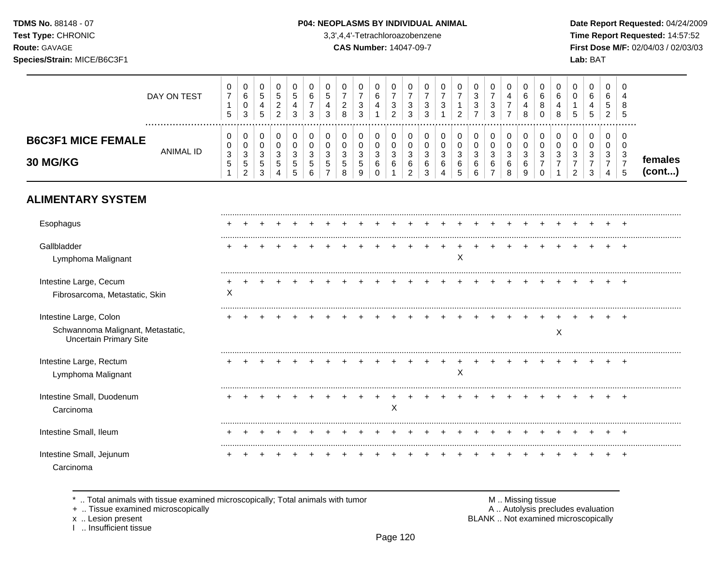**Test Type:** CHRONIC 3,3',4,4'-Tetrachloroazobenzene **Time Report Requested:** 14:57:52 **Route:** GAVAGE **CAS Number:** 14047-09-7 **First Dose M/F:** 02/04/03 / 02/03/03 **Species/Strain:** MICE/B6C3F1 **Lab:** BAT

### DAY ON TEST  $\overline{7}$   $\overline{7}$   $\overline{7}$   $\overline{7}$   $\overline{7}$   $\overline{7}$   $\overline{7}$  ................................................................................................................................................................. **B6C3F1 MICE FEMALE** ANIMAL ID **30 MG/KG**  $\pmb{0}$  **females (cont...)**

# **ALIMENTARY SYSTEM**

| Esophagus                                                                                    |   |  |  |  |  |   |  |   |  |  |   |  |           |  |
|----------------------------------------------------------------------------------------------|---|--|--|--|--|---|--|---|--|--|---|--|-----------|--|
| Gallbladder<br>Lymphoma Malignant                                                            |   |  |  |  |  |   |  | X |  |  |   |  |           |  |
| Intestine Large, Cecum<br>Fibrosarcoma, Metastatic, Skin                                     | Х |  |  |  |  |   |  |   |  |  |   |  | ٠         |  |
| Intestine Large, Colon<br>Schwannoma Malignant, Metastatic,<br><b>Uncertain Primary Site</b> |   |  |  |  |  |   |  |   |  |  | Х |  |           |  |
| Intestine Large, Rectum<br>Lymphoma Malignant                                                |   |  |  |  |  |   |  | X |  |  |   |  | $\ddot{}$ |  |
| Intestine Small, Duodenum<br>Carcinoma                                                       |   |  |  |  |  | х |  |   |  |  |   |  | $\ddot{}$ |  |
| Intestine Small, Ileum                                                                       |   |  |  |  |  |   |  |   |  |  |   |  | +         |  |
| Intestine Small, Jejunum<br>Carcinoma                                                        |   |  |  |  |  |   |  |   |  |  |   |  |           |  |

\* .. Total animals with tissue examined microscopically; Total animals with tumor  $\blacksquare$  M .. Missing tissue<br>A .. Autolysis prection of the microscopically

I .. Insufficient tissue

A .. Autolysis precludes evaluation x .. Lesion present **BLANK** .. Not examined microscopically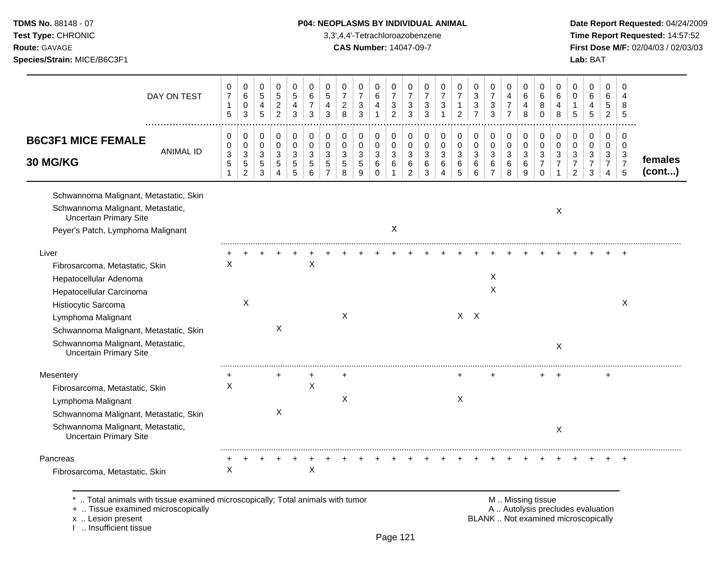|  |  | <b>TDMS No.</b> 88148 - 07 |  |
|--|--|----------------------------|--|
|  |  | <b>AUDAUA</b>              |  |

# **P04: NEOPLASMS BY INDIVIDUAL ANIMAL Date Report Requested: 04/24/2009**

**Test Type:** CHRONIC 3,3',4,4'-Tetrachloroazobenzene **Time Report Requested:** 14:57:52 **Route:** GAVAGE **CAS Number:** 14047-09-7 **First Dose M/F:** 02/04/03 / 02/03/03 **Species/Strain:** MICE/B6C3F1 **Lab:** BAT

| 0<br>$\overline{7}$<br>$\mathbf{1}$<br>5 | 0<br>$\,6\,$<br>0<br>3                                 | 0<br>5<br>4<br>5                         | 0<br>$\overline{5}$<br>$\overline{c}$<br>$\overline{2}$ | 0<br>5<br>4<br>3      | $\mathbf 0$<br>6<br>$\overline{7}$<br>3 | 0<br>5<br>4<br>3                             | 0<br>$\overline{7}$<br>$\overline{c}$<br>8                   | 0<br>$\overline{7}$<br>3<br>3                   | 0<br>$\,6\,$<br>4<br>$\mathbf{1}$                   | 0<br>$\overline{7}$<br>$\sqrt{3}$<br>$\overline{2}$ | 0<br>$\overline{\mathbf{7}}$<br>3<br>3                | 0<br>$\overline{7}$<br>3<br>3   | 0<br>$\overline{7}$<br>3<br>$\mathbf{1}$ | 0<br>$\overline{7}$<br>$\overline{2}$    | 0<br>$\ensuremath{\mathsf{3}}$<br>3<br>$\overline{7}$ | 0<br>$\overline{\mathbf{7}}$<br>3<br>3                               | 0<br>4<br>$\overline{7}$<br>$\overline{7}$ | 0<br>6<br>4<br>8      | 0<br>6<br>8<br>$\Omega$                                                     | 0<br>6<br>4<br>8                          | 0<br>$\Omega$<br>5                                     | 0<br>6<br>4<br>5                   | 0<br>6<br>$\sqrt{5}$<br>$\overline{2}$        | 0<br>4<br>8<br>5                             |                   |
|------------------------------------------|--------------------------------------------------------|------------------------------------------|---------------------------------------------------------|-----------------------|-----------------------------------------|----------------------------------------------|--------------------------------------------------------------|-------------------------------------------------|-----------------------------------------------------|-----------------------------------------------------|-------------------------------------------------------|---------------------------------|------------------------------------------|------------------------------------------|-------------------------------------------------------|----------------------------------------------------------------------|--------------------------------------------|-----------------------|-----------------------------------------------------------------------------|-------------------------------------------|--------------------------------------------------------|------------------------------------|-----------------------------------------------|----------------------------------------------|-------------------|
| 0<br>0<br>$\sqrt{3}$<br>$\sqrt{5}$<br>1  | 0<br>0<br>$\mathbf{3}$<br>$\sqrt{5}$<br>$\overline{2}$ | 0<br>$\mathbf 0$<br>3<br>$\sqrt{5}$<br>3 | $\pmb{0}$<br>$\mathbf 0$<br>$\mathbf{3}$<br>5<br>4      | 0<br>0<br>3<br>5<br>5 | $\mathbf 0$<br>0<br>3<br>5<br>6         | 0<br>$\mathbf 0$<br>3<br>5<br>$\overline{7}$ | $\mathbf 0$<br>$\pmb{0}$<br>$\mathbf{3}$<br>$\mathbf 5$<br>8 | 0<br>$\boldsymbol{0}$<br>$\mathbf{3}$<br>5<br>9 | $\pmb{0}$<br>$\pmb{0}$<br>3<br>$\,6$<br>$\mathbf 0$ | 0<br>0<br>$\sqrt{3}$<br>6<br>$\mathbf{1}$           | 0<br>$\pmb{0}$<br>$\mathbf{3}$<br>6<br>$\overline{a}$ | $\mathbf 0$<br>0<br>3<br>6<br>3 | 0<br>$\mathbf 0$<br>3<br>6<br>4          | $\mathbf 0$<br>0<br>$\sqrt{3}$<br>6<br>5 | 0<br>$\mathbf 0$<br>$\sqrt{3}$<br>$\,6$<br>6          | $\pmb{0}$<br>$\boldsymbol{0}$<br>$\mathbf{3}$<br>6<br>$\overline{7}$ | 0<br>$\pmb{0}$<br>$\mathbf{3}$<br>6<br>8   | 0<br>0<br>3<br>6<br>9 | $\mathbf 0$<br>$\mathbf 0$<br>$\mathbf{3}$<br>$\overline{7}$<br>$\mathbf 0$ | $\mathbf 0$<br>$\mathbf 0$<br>3<br>7<br>1 | $\mathbf 0$<br>$\mathbf 0$<br>3<br>$\overline{7}$<br>2 | 0<br>0<br>3<br>$\overline{7}$<br>3 | 0<br>0<br>$\mathbf{3}$<br>$\overline{7}$<br>4 | 0<br>$\mathbf 0$<br>3<br>$\overline{7}$<br>5 | females<br>(cont) |
|                                          |                                                        |                                          |                                                         |                       |                                         |                                              |                                                              |                                                 |                                                     | $\boldsymbol{\mathsf{X}}$                           |                                                       |                                 |                                          |                                          |                                                       |                                                                      |                                            |                       |                                                                             | Χ                                         |                                                        |                                    |                                               |                                              |                   |
| X                                        | X                                                      |                                          | X                                                       |                       | $\sf X$                                 |                                              | X                                                            |                                                 |                                                     |                                                     |                                                       |                                 |                                          |                                          |                                                       | X<br>X                                                               |                                            |                       |                                                                             |                                           |                                                        |                                    |                                               | X                                            |                   |
|                                          |                                                        |                                          |                                                         |                       |                                         |                                              |                                                              |                                                 |                                                     |                                                     |                                                       |                                 |                                          |                                          |                                                       |                                                                      |                                            |                       |                                                                             | X                                         |                                                        |                                    |                                               |                                              |                   |
| X                                        |                                                        |                                          | $\times$                                                |                       | +<br>$\boldsymbol{\mathsf{X}}$          |                                              | $\ddot{}$<br>X                                               |                                                 |                                                     |                                                     |                                                       |                                 |                                          | X                                        |                                                       |                                                                      |                                            |                       | +                                                                           | $\pm$<br>X                                |                                                        |                                    |                                               |                                              |                   |
|                                          |                                                        |                                          |                                                         |                       | Χ                                       |                                              |                                                              |                                                 |                                                     |                                                     |                                                       |                                 |                                          |                                          |                                                       |                                                                      |                                            |                       |                                                                             |                                           |                                                        |                                    |                                               |                                              |                   |
|                                          |                                                        |                                          |                                                         |                       |                                         |                                              |                                                              |                                                 |                                                     |                                                     |                                                       |                                 |                                          |                                          |                                                       | $X$ $X$                                                              |                                            |                       |                                                                             |                                           |                                                        |                                    |                                               |                                              |                   |

x .. Lesion present<br>I .. Insufficient tissue

+ .. Tissue examined microscopically  $\blacksquare$  A .. Autolysis precludes evaluation BLANK .. Not examined microscopically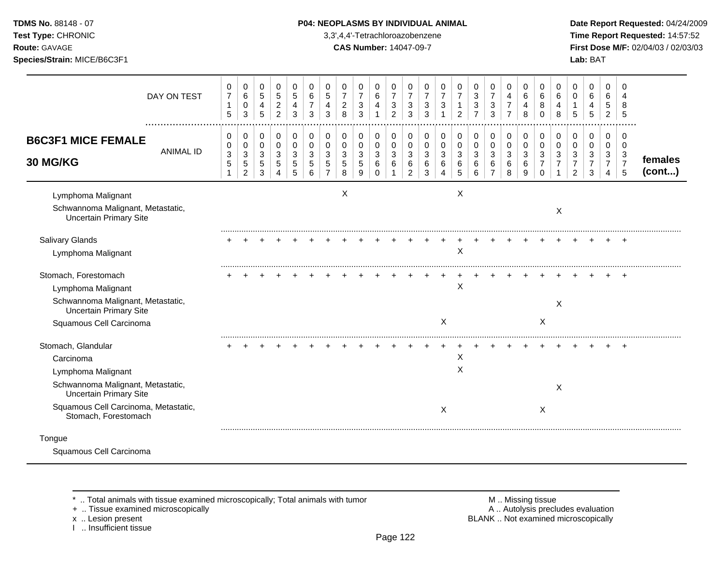## **TDMS No.** 88148 - 07 **P04: NEOPLASMS BY INDIVIDUAL ANIMAL** Date Report Requested: 04/24/2009

**Test Type:** CHRONIC 3,3',4,4'-Tetrachloroazobenzene **Time Report Requested:** 14:57:52 **Route:** GAVAGE **CAS Number:** 14047-09-7 **First Dose M/F:** 02/04/03 / 02/03/03

|                                                                                                                                                                                             | DAY ON TEST      | 0<br>$\overline{7}$<br>1<br>5 | 0<br>$\,6\,$<br>0<br>3                      | 0<br>$\overline{5}$<br>4<br>5    | 0<br>$\overline{5}$<br>$\overline{c}$<br>$\overline{2}$ | 0<br>5<br>4<br>3             | 0<br>6<br>3                     | 0<br>$\overline{5}$<br>4<br>3 | 0<br>$\overline{7}$<br>$\overline{c}$<br>8 | 0<br>$\overline{7}$<br>$\sqrt{3}$<br>3 | 0<br>6<br>$\overline{4}$     | 0<br>$\overline{7}$<br>3<br>2     | 0<br>$\overline{7}$<br>3<br>3             | 0<br>$\overline{7}$<br>3<br>3 | 0<br>$\overline{7}$<br>3 | 0<br>$\overline{7}$<br>2      | 0<br>$\sqrt{3}$<br>3<br>$\overline{7}$   | 0<br>$\overline{7}$<br>3<br>3                | 0<br>$\overline{4}$<br>$\overline{7}$<br>$\overline{7}$ | 0<br>6<br>4<br>8                | 0<br>6<br>8<br>$\Omega$ | 0<br>6<br>4<br>8 | 0<br>$\Omega$<br>5                 | 0<br>6<br>4<br>5                                        | 0<br>6<br>5<br>2                          | $\Omega$<br>8<br>5                        |                   |
|---------------------------------------------------------------------------------------------------------------------------------------------------------------------------------------------|------------------|-------------------------------|---------------------------------------------|----------------------------------|---------------------------------------------------------|------------------------------|---------------------------------|-------------------------------|--------------------------------------------|----------------------------------------|------------------------------|-----------------------------------|-------------------------------------------|-------------------------------|--------------------------|-------------------------------|------------------------------------------|----------------------------------------------|---------------------------------------------------------|---------------------------------|-------------------------|------------------|------------------------------------|---------------------------------------------------------|-------------------------------------------|-------------------------------------------|-------------------|
| <b>B6C3F1 MICE FEMALE</b><br><b>30 MG/KG</b>                                                                                                                                                | <b>ANIMAL ID</b> | 0<br>0<br>3<br>$\overline{5}$ | 0<br>0<br>3<br>$\sqrt{5}$<br>$\overline{2}$ | 0<br>0<br>$\mathbf{3}$<br>5<br>3 | 0<br>$\mathbf 0$<br>3<br>5<br>4                         | 0<br>$\Omega$<br>3<br>5<br>5 | 0<br>$\mathbf 0$<br>3<br>5<br>6 | 0<br>$\mathbf 0$<br>3<br>5    | 0<br>0<br>3<br>$\overline{5}$<br>8         | 0<br>0<br>3<br>5<br>9                  | 0<br>0<br>3<br>6<br>$\Omega$ | $\Omega$<br>$\mathbf 0$<br>3<br>6 | 0<br>$\Omega$<br>3<br>6<br>$\overline{c}$ | 0<br>0<br>3<br>6<br>3         | 0<br>0<br>3<br>6<br>4    | 0<br>$\pmb{0}$<br>3<br>6<br>5 | 0<br>$\pmb{0}$<br>$\mathbf{3}$<br>6<br>6 | 0<br>$\mathbf 0$<br>3<br>6<br>$\overline{7}$ | 0<br>$\mathbf 0$<br>3<br>6<br>8                         | 0<br>$\mathbf 0$<br>3<br>6<br>9 | 0<br>0<br>3<br>$\Omega$ | 0<br>0<br>3      | 0<br>0<br>3<br>$\overline{7}$<br>2 | 0<br>$\mathbf 0$<br>$\mathbf{3}$<br>$\overline{7}$<br>3 | $\Omega$<br>0<br>3<br>$\overline{7}$<br>4 | $\Omega$<br>0<br>3<br>$\overline{7}$<br>5 | females<br>(cont) |
| Lymphoma Malignant<br>Schwannoma Malignant, Metastatic,<br><b>Uncertain Primary Site</b>                                                                                                    |                  |                               |                                             |                                  |                                                         |                              |                                 |                               | X                                          |                                        |                              |                                   |                                           |                               |                          | Χ                             |                                          |                                              |                                                         |                                 |                         | X                |                                    |                                                         |                                           |                                           |                   |
| <b>Salivary Glands</b><br>Lymphoma Malignant                                                                                                                                                |                  |                               |                                             |                                  |                                                         |                              |                                 |                               |                                            |                                        |                              |                                   |                                           |                               |                          | $\pmb{\times}$                |                                          |                                              |                                                         |                                 |                         |                  |                                    |                                                         |                                           | $\pm$                                     |                   |
| Stomach, Forestomach<br>Lymphoma Malignant<br>Schwannoma Malignant, Metastatic,<br><b>Uncertain Primary Site</b><br>Squamous Cell Carcinoma                                                 |                  |                               |                                             |                                  |                                                         |                              |                                 |                               |                                            |                                        |                              |                                   |                                           |                               | X                        | X                             |                                          |                                              |                                                         |                                 | $\mathsf X$             | X                |                                    |                                                         |                                           |                                           |                   |
| Stomach, Glandular<br>Carcinoma<br>Lymphoma Malignant<br>Schwannoma Malignant, Metastatic,<br><b>Uncertain Primary Site</b><br>Squamous Cell Carcinoma, Metastatic,<br>Stomach, Forestomach |                  |                               |                                             |                                  |                                                         |                              |                                 |                               |                                            |                                        |                              |                                   |                                           |                               | X                        | X<br>X                        |                                          |                                              |                                                         |                                 | X                       | X                |                                    |                                                         |                                           |                                           |                   |
| Tongue<br>Squamous Cell Carcinoma                                                                                                                                                           |                  |                               |                                             |                                  |                                                         |                              |                                 |                               |                                            |                                        |                              |                                   |                                           |                               |                          |                               |                                          |                                              |                                                         |                                 |                         |                  |                                    |                                                         |                                           |                                           |                   |

+ .. Tissue examined microscopically<br>x .. Lesion present

I .. Insufficient tissue

\* .. Total animals with tissue examined microscopically; Total animals with tumor <br>
+ .. Tissue examined microscopically<br>
+ .. Tissue examined microscopically BLANK .. Not examined microscopically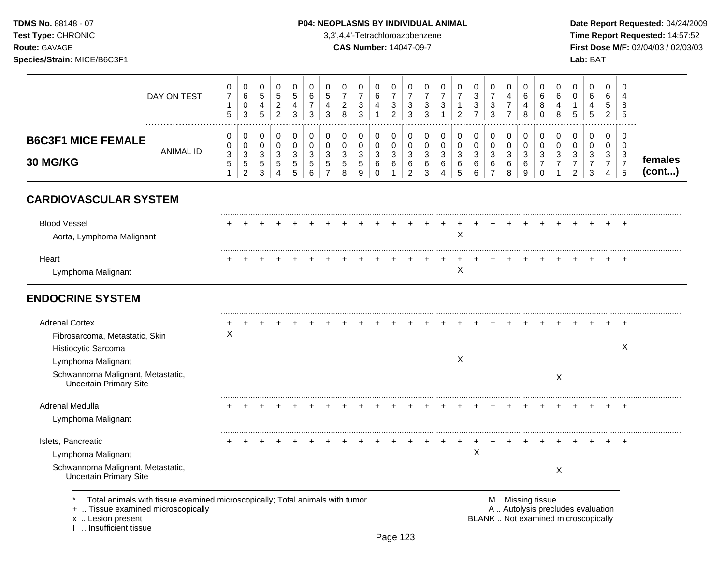**Test Type:** CHRONIC 3,3',4,4'-Tetrachloroazobenzene **Time Report Requested:** 14:57:52 **Route:** GAVAGE **CAS Number:** 14047-09-7 **First Dose M/F:** 02/04/03 / 02/03/03 **Species/Strain:** MICE/B6C3F1 **Lab:** BAT

| DAY ON TEST                                                        | 0<br>$\overline{7}$<br>$\mathbf{1}$                     | 0<br>6<br>$\mathbf 0$                                      | 0<br>5<br>4                   | 0<br>$\sqrt{5}$<br>$\overline{2}$           | 0<br>5<br>4            | 0<br>6<br>7          | 0<br>$\overline{5}$<br>4          | 0<br>$\overline{7}$<br>$\overline{c}$         | 0<br>$\boldsymbol{7}$<br>3                   | 0<br>6<br>4                          | $\mathbf 0$<br>$\overline{7}$<br>3    | 0<br>$\overline{7}$<br>3                  | 0<br>$\overline{7}$<br>3 | 0<br>$\overline{7}$<br>3                       | 0<br>$\overline{7}$<br>1                  | 0<br>$\sqrt{3}$<br>3       | 0<br>$\overline{7}$<br>3              | $\mathbf 0$<br>4<br>$\overline{7}$ | 0<br>$\,6\,$<br>4      | 0<br>6<br>8                        | 0<br>6<br>4               | 0<br>0<br>1                           | 0<br>6<br>4                         | $\Omega$<br>6<br>5                    | $\Omega$<br>4<br>8       |                   |
|--------------------------------------------------------------------|---------------------------------------------------------|------------------------------------------------------------|-------------------------------|---------------------------------------------|------------------------|----------------------|-----------------------------------|-----------------------------------------------|----------------------------------------------|--------------------------------------|---------------------------------------|-------------------------------------------|--------------------------|------------------------------------------------|-------------------------------------------|----------------------------|---------------------------------------|------------------------------------|------------------------|------------------------------------|---------------------------|---------------------------------------|-------------------------------------|---------------------------------------|--------------------------|-------------------|
|                                                                    | 5                                                       | 3                                                          | 5                             | $\overline{2}$                              | 3                      | 3                    | 3                                 | 8                                             | 3                                            | $\mathbf{1}$                         | $\overline{2}$                        | 3                                         | 3                        | $\mathbf 1$                                    | 2                                         | $\overline{7}$             | 3                                     | $\overline{7}$                     | 8                      | $\mathbf 0$                        | 8                         | 5                                     | 5                                   | $\overline{2}$                        | 5                        |                   |
| <b>B6C3F1 MICE FEMALE</b>                                          | 0<br>0                                                  | 0<br>$\mathbf 0$                                           | 0<br>$\mathbf 0$              | 0<br>$\mathbf 0$                            | 0<br>$\mathbf 0$       | $\pmb{0}$<br>0       | 0<br>$\mathbf 0$                  | 0<br>$\pmb{0}$                                | 0<br>$\mathbf 0$                             | 0<br>$\mathbf 0$                     | 0<br>$\mathbf 0$                      | 0<br>$\mathbf 0$                          | 0<br>$\pmb{0}$           | 0<br>$\mathbf 0$                               | 0<br>$\mathsf 0$                          | 0<br>$\pmb{0}$             | 0<br>$\mathbf 0$                      | 0<br>$\pmb{0}$                     | 0<br>$\mathbf 0$       | $\pmb{0}$<br>0                     | 0<br>$\mathbf 0$          | 0<br>$\mathbf 0$                      | 0<br>$\mathbf 0$                    | 0<br>$\mathbf 0$                      | 0<br>$\mathbf 0$         |                   |
| <b>ANIMAL ID</b><br>30 MG/KG                                       | $\ensuremath{\mathsf{3}}$<br>$\mathbf 5$<br>$\mathbf 1$ | $\ensuremath{\mathsf{3}}$<br>$\,$ 5 $\,$<br>$\overline{2}$ | $\sqrt{3}$<br>$\sqrt{5}$<br>3 | $\sqrt{3}$<br>$\,$ 5 $\,$<br>$\overline{4}$ | $\mathbf{3}$<br>5<br>5 | 3<br>$\sqrt{5}$<br>6 | $\sqrt{3}$<br>5<br>$\overline{7}$ | $\ensuremath{\mathsf{3}}$<br>$\mathbf 5$<br>8 | $\ensuremath{\mathsf{3}}$<br>$\sqrt{5}$<br>9 | $\sqrt{3}$<br>$\,6\,$<br>$\mathbf 0$ | $\sqrt{3}$<br>$\,6\,$<br>$\mathbf{1}$ | $\mathbf{3}$<br>$\,6\,$<br>$\overline{a}$ | 3<br>6<br>3              | $\sqrt{3}$<br>$\,6$<br>$\overline{\mathbf{4}}$ | $\ensuremath{\mathsf{3}}$<br>$\,6\,$<br>5 | $\sqrt{3}$<br>$\,6\,$<br>6 | $\sqrt{3}$<br>$\,6$<br>$\overline{7}$ | $\sqrt{3}$<br>$\,6\,$<br>8         | $\mathbf{3}$<br>6<br>9 | 3<br>$\overline{7}$<br>$\mathbf 0$ | 3<br>$\overline{7}$<br>1  | 3<br>$\overline{7}$<br>$\overline{2}$ | $\sqrt{3}$<br>$\boldsymbol{7}$<br>3 | $\mathbf{3}$<br>$\boldsymbol{7}$<br>4 | 3<br>$\overline{7}$<br>5 | females<br>(cont) |
| <b>CARDIOVASCULAR SYSTEM</b>                                       |                                                         |                                                            |                               |                                             |                        |                      |                                   |                                               |                                              |                                      |                                       |                                           |                          |                                                |                                           |                            |                                       |                                    |                        |                                    |                           |                                       |                                     |                                       |                          |                   |
| <b>Blood Vessel</b><br>Aorta, Lymphoma Malignant                   |                                                         |                                                            |                               |                                             |                        |                      |                                   |                                               |                                              |                                      |                                       |                                           |                          |                                                | X                                         |                            |                                       |                                    |                        |                                    |                           |                                       |                                     |                                       | $\pm$                    |                   |
| Heart<br>Lymphoma Malignant                                        |                                                         |                                                            |                               |                                             |                        |                      |                                   |                                               |                                              |                                      |                                       |                                           |                          |                                                | $\ddot{}$<br>Χ                            |                            |                                       |                                    |                        |                                    |                           |                                       |                                     |                                       |                          |                   |
| <b>ENDOCRINE SYSTEM</b>                                            |                                                         |                                                            |                               |                                             |                        |                      |                                   |                                               |                                              |                                      |                                       |                                           |                          |                                                |                                           |                            |                                       |                                    |                        |                                    |                           |                                       |                                     |                                       |                          |                   |
| <b>Adrenal Cortex</b>                                              |                                                         |                                                            |                               |                                             |                        |                      |                                   |                                               |                                              |                                      |                                       |                                           |                          |                                                |                                           |                            |                                       |                                    |                        |                                    |                           |                                       |                                     |                                       | $\pm$                    |                   |
| Fibrosarcoma, Metastatic, Skin                                     | X                                                       |                                                            |                               |                                             |                        |                      |                                   |                                               |                                              |                                      |                                       |                                           |                          |                                                |                                           |                            |                                       |                                    |                        |                                    |                           |                                       |                                     |                                       |                          |                   |
| Histiocytic Sarcoma                                                |                                                         |                                                            |                               |                                             |                        |                      |                                   |                                               |                                              |                                      |                                       |                                           |                          |                                                |                                           |                            |                                       |                                    |                        |                                    |                           |                                       |                                     |                                       | X                        |                   |
| Lymphoma Malignant                                                 |                                                         |                                                            |                               |                                             |                        |                      |                                   |                                               |                                              |                                      |                                       |                                           |                          |                                                | X                                         |                            |                                       |                                    |                        |                                    |                           |                                       |                                     |                                       |                          |                   |
| Schwannoma Malignant, Metastatic,<br><b>Uncertain Primary Site</b> |                                                         |                                                            |                               |                                             |                        |                      |                                   |                                               |                                              |                                      |                                       |                                           |                          |                                                |                                           |                            |                                       |                                    |                        |                                    | $\boldsymbol{\mathsf{X}}$ |                                       |                                     |                                       |                          |                   |
| Adrenal Medulla                                                    |                                                         |                                                            |                               |                                             |                        |                      |                                   |                                               |                                              |                                      |                                       |                                           |                          |                                                |                                           |                            |                                       |                                    |                        |                                    |                           |                                       |                                     |                                       | $\overline{ }$           |                   |
| Lymphoma Malignant                                                 |                                                         |                                                            |                               |                                             |                        |                      |                                   |                                               |                                              |                                      |                                       |                                           |                          |                                                |                                           |                            |                                       |                                    |                        |                                    |                           |                                       |                                     |                                       |                          |                   |
|                                                                    |                                                         |                                                            |                               |                                             |                        |                      |                                   |                                               |                                              |                                      |                                       |                                           |                          |                                                |                                           |                            |                                       |                                    |                        |                                    |                           |                                       |                                     |                                       | $\overline{1}$           |                   |
| Islets, Pancreatic                                                 |                                                         |                                                            |                               |                                             |                        |                      |                                   |                                               |                                              |                                      |                                       |                                           |                          |                                                |                                           | $\sf X$                    |                                       |                                    |                        |                                    |                           |                                       |                                     |                                       |                          |                   |
| Lymphoma Malignant                                                 |                                                         |                                                            |                               |                                             |                        |                      |                                   |                                               |                                              |                                      |                                       |                                           |                          |                                                |                                           |                            |                                       |                                    |                        |                                    |                           |                                       |                                     |                                       |                          |                   |

x .. Lesion present<br>I .. Insufficient tissue

Page 123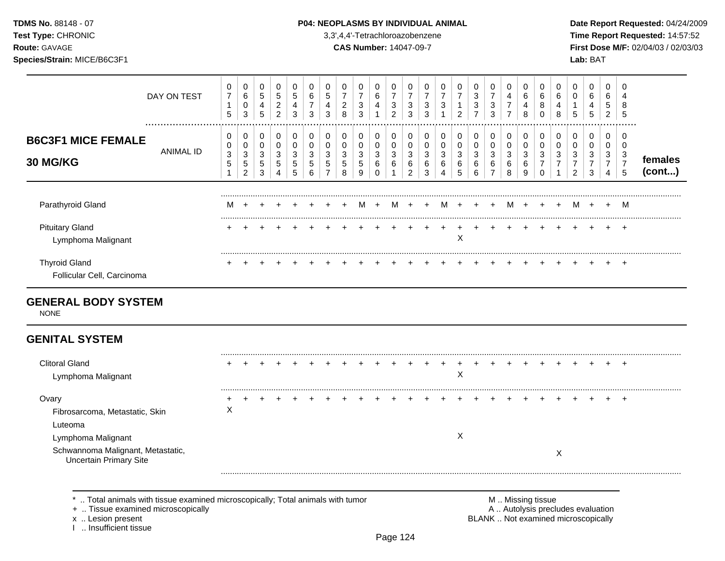## **TDMS No.** 88148 - 07 **P04: NEOPLASMS BY INDIVIDUAL ANIMAL** Date Report Requested: 04/24/2009

**Test Type:** CHRONIC 3,3',4,4'-Tetrachloroazobenzene **Time Report Requested:** 14:57:52 **Route:** GAVAGE **CAS Number:** 14047-09-7 **First Dose M/F:** 02/04/03 / 02/03/03

| DAY ON TEST                                               | 0<br>$\overline{7}$<br>$\mathbf{1}$<br>$\sqrt{5}$ | 0<br>6<br>0<br>$\mathbf{3}$                 | 0<br>$5\,$<br>$\overline{4}$<br>$\sqrt{5}$                                | 0<br>5<br>$\overline{c}$<br>$\overline{2}$ | 0<br>$5\phantom{.0}$<br>$\overline{4}$<br>3 | 0<br>6<br>$\overline{7}$<br>$\mathbf{3}$ | 0<br>5<br>4<br>3                             | 0<br>$\overline{7}$<br>$\overline{c}$<br>8 | 0<br>$\overline{7}$<br>$\mathbf{3}$<br>$\sqrt{3}$        | 0<br>6<br>4<br>$\mathbf{1}$                | 0<br>$\overline{7}$<br>$\mathbf{3}$<br>$\overline{2}$ | 0<br>$\overline{7}$<br>3<br>3      | 0<br>$\overline{7}$<br>3<br>3 | 0<br>$\overline{7}$<br>3                 | 0<br>$\overline{7}$<br>1<br>$\overline{2}$ | 0<br>3<br>$\ensuremath{\mathsf{3}}$<br>$\overline{7}$ | 0<br>$\overline{7}$<br>$\mathbf{3}$<br>$\mathbf{3}$ | 0<br>$\overline{4}$<br>$\overline{7}$<br>$\overline{7}$ | 0<br>6<br>4<br>8                | 0<br>6<br>8<br>$\mathbf 0$                          | 0<br>6<br>4<br>8                               | 0<br>$\mathbf 0$<br>1<br>5                                 | 0<br>6<br>4<br>5                                          | 0<br>6<br>5<br>$\overline{2}$                           | $\Omega$<br>4<br>8<br>5                                             |                   |
|-----------------------------------------------------------|---------------------------------------------------|---------------------------------------------|---------------------------------------------------------------------------|--------------------------------------------|---------------------------------------------|------------------------------------------|----------------------------------------------|--------------------------------------------|----------------------------------------------------------|--------------------------------------------|-------------------------------------------------------|------------------------------------|-------------------------------|------------------------------------------|--------------------------------------------|-------------------------------------------------------|-----------------------------------------------------|---------------------------------------------------------|---------------------------------|-----------------------------------------------------|------------------------------------------------|------------------------------------------------------------|-----------------------------------------------------------|---------------------------------------------------------|---------------------------------------------------------------------|-------------------|
| <b>B6C3F1 MICE FEMALE</b><br><b>ANIMAL ID</b><br>30 MG/KG | 0<br>0<br>$\sqrt{3}$<br>$\sqrt{5}$<br>1           | 0<br>0<br>$\sqrt{3}$<br>5<br>$\overline{c}$ | 0<br>$\mathsf 0$<br>$\ensuremath{\mathsf{3}}$<br>$\sqrt{5}$<br>$\sqrt{3}$ | 0<br>0<br>$\sqrt{3}$<br>5<br>4             | 0<br>$\mathbf 0$<br>$\sqrt{3}$<br>5<br>5    | 0<br>$\mathbf 0$<br>3<br>5<br>6          | 0<br>$\mathbf 0$<br>3<br>5<br>$\overline{7}$ | 0<br>$\pmb{0}$<br>$\sqrt{3}$<br>5<br>8     | 0<br>0<br>$\mathbf{3}$<br>$\sqrt{5}$<br>$\boldsymbol{9}$ | 0<br>0<br>$\mathbf{3}$<br>6<br>$\mathbf 0$ | 0<br>$\mathbf 0$<br>$\sqrt{3}$<br>6                   | 0<br>0<br>3<br>6<br>$\overline{c}$ | 0<br>0<br>3<br>6<br>3         | 0<br>$\mathbf 0$<br>$\sqrt{3}$<br>6<br>4 | 0<br>$\pmb{0}$<br>$\sqrt{3}$<br>6<br>5     | 0<br>$\mathsf 0$<br>$\mathbf{3}$<br>6<br>$\,6\,$      | 0<br>0<br>$\sqrt{3}$<br>6<br>$\overline{7}$         | 0<br>$\pmb{0}$<br>$\sqrt{3}$<br>6<br>$\,8\,$            | 0<br>$\mathbf 0$<br>3<br>6<br>9 | 0<br>$\mathbf 0$<br>3<br>$\overline{7}$<br>$\Omega$ | 0<br>$\pmb{0}$<br>$\sqrt{3}$<br>$\overline{7}$ | 0<br>0<br>$\mathbf{3}$<br>$\overline{7}$<br>$\overline{c}$ | 0<br>$\mathbf 0$<br>$\mathbf{3}$<br>$\boldsymbol{7}$<br>3 | 0<br>$\mathbf 0$<br>$\mathbf{3}$<br>$\overline{7}$<br>4 | $\Omega$<br>$\overline{0}$<br>3<br>$\overline{7}$<br>$\overline{5}$ | females<br>(cont) |
| Parathyroid Gland                                         | м                                                 | $\ddot{}$                                   |                                                                           |                                            |                                             |                                          |                                              |                                            | м                                                        | $+$                                        | M                                                     | $\ddot{}$                          | $+$                           |                                          | M +                                        | $+$                                                   | $+$                                                 | M                                                       | $+$                             | $+$                                                 | $+$                                            |                                                            | M +                                                       | $+$                                                     | M                                                                   |                   |
| <b>Pituitary Gland</b><br>Lymphoma Malignant              |                                                   |                                             |                                                                           |                                            |                                             |                                          |                                              |                                            |                                                          |                                            |                                                       |                                    |                               |                                          | $\pmb{\times}$                             |                                                       |                                                     |                                                         |                                 |                                                     |                                                |                                                            |                                                           |                                                         | $\div$                                                              |                   |
| <b>Thyroid Gland</b><br>Follicular Cell, Carcinoma        |                                                   |                                             |                                                                           |                                            |                                             |                                          |                                              |                                            |                                                          |                                            |                                                       |                                    |                               |                                          |                                            |                                                       |                                                     |                                                         |                                 |                                                     |                                                |                                                            |                                                           |                                                         |                                                                     |                   |
| <b>GENERAL BODY SYSTEM</b><br><b>NONE</b>                 |                                                   |                                             |                                                                           |                                            |                                             |                                          |                                              |                                            |                                                          |                                            |                                                       |                                    |                               |                                          |                                            |                                                       |                                                     |                                                         |                                 |                                                     |                                                |                                                            |                                                           |                                                         |                                                                     |                   |
| <b>GENITAL SYSTEM</b>                                     |                                                   |                                             |                                                                           |                                            |                                             |                                          |                                              |                                            |                                                          |                                            |                                                       |                                    |                               |                                          |                                            |                                                       |                                                     |                                                         |                                 |                                                     |                                                |                                                            |                                                           |                                                         |                                                                     |                   |
| <b>Clitoral Gland</b><br>Lymphoma Malignant               |                                                   |                                             |                                                                           |                                            |                                             |                                          |                                              |                                            |                                                          |                                            |                                                       |                                    |                               |                                          | $\mathsf X$                                |                                                       |                                                     |                                                         |                                 |                                                     |                                                |                                                            |                                                           |                                                         |                                                                     |                   |
| Ovary<br>Fibrosarcoma, Metastatic, Skin<br>Luteoma        | X                                                 |                                             |                                                                           |                                            |                                             |                                          |                                              |                                            |                                                          |                                            |                                                       |                                    |                               |                                          |                                            |                                                       |                                                     |                                                         |                                 |                                                     |                                                |                                                            |                                                           |                                                         | $\div$                                                              |                   |
| Lymphoma Malignant                                        |                                                   |                                             |                                                                           |                                            |                                             |                                          |                                              |                                            |                                                          |                                            |                                                       |                                    |                               |                                          | X                                          |                                                       |                                                     |                                                         |                                 |                                                     |                                                |                                                            |                                                           |                                                         |                                                                     |                   |

\* .. Total animals with tissue examined microscopically; Total animals with tumor <br>
+ .. Tissue examined microscopically<br>
+ .. Tissue examined microscopically

+ .. Tissue examined microscopically

x .. Lesion present<br>I .. Insufficient tissue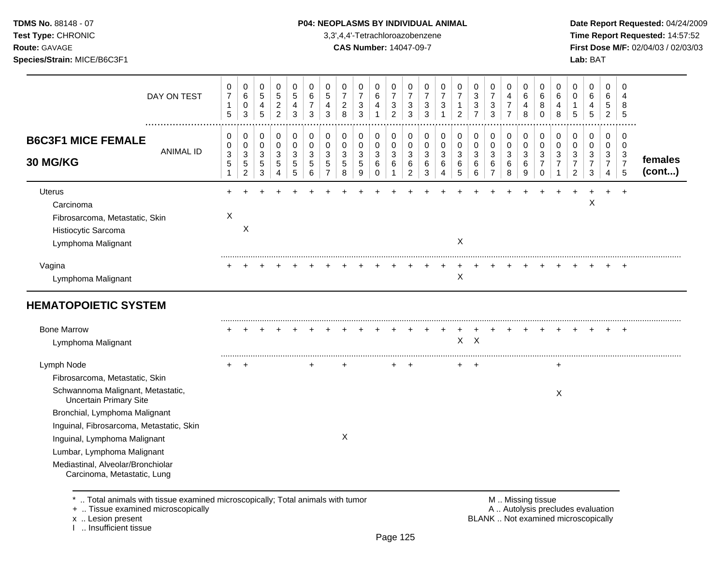## **TDMS No.** 88148 - 07 **P04: NEOPLASMS BY INDIVIDUAL ANIMAL** Date Report Requested: 04/24/2009

**Test Type:** CHRONIC 3,3',4,4'-Tetrachloroazobenzene **Time Report Requested:** 14:57:52 **Route:** GAVAGE **CAS Number:** 14047-09-7 **First Dose M/F:** 02/04/03 / 02/03/03

| DAY ON TEST<br>                                                                                           | 0<br>$\overline{7}$<br>$\mathbf{1}$<br>5                          | 0<br>$\,6\,$<br>$\pmb{0}$<br>$\mathbf{3}$        | 0<br>$\sqrt{5}$<br>4<br>5 | 0<br>$\,$ 5 $\,$<br>$\overline{c}$<br>$\overline{c}$ | 0<br>5<br>4<br>3      | 0<br>6<br>7<br>3      | 0<br>5<br>4<br>3                   | 0<br>$\overline{7}$<br>$\overline{c}$<br>8 | 0<br>$\overline{7}$<br>3<br>3             | 0<br>$\,6$<br>4<br>1            | 0<br>$\overline{7}$<br>$\sqrt{3}$<br>$\overline{2}$ | 0<br>$\overline{7}$<br>3<br>3                | 0<br>$\overline{7}$<br>3<br>3 | 0<br>$\overline{7}$<br>3 | 0<br>$\overline{7}$<br>$\overline{2}$ | 0<br>$\sqrt{3}$<br>3<br>$\overline{7}$ | 0<br>$\overline{7}$<br>3<br>3               | 0<br>4<br>$\overline{7}$<br>$\overline{7}$ | 0<br>6<br>4<br>8                 | 0<br>6<br>8<br>$\Omega$                      | 0<br>$\,6$<br>$\overline{4}$<br>8        | 0<br>0<br>1<br>5                                | 0<br>$\,6$<br>4<br>5                                                  | 0<br>$\,6$<br>5<br>$\overline{2}$             | $\mathbf 0$<br>$\overline{4}$<br>8<br>5      |                   |
|-----------------------------------------------------------------------------------------------------------|-------------------------------------------------------------------|--------------------------------------------------|---------------------------|------------------------------------------------------|-----------------------|-----------------------|------------------------------------|--------------------------------------------|-------------------------------------------|---------------------------------|-----------------------------------------------------|----------------------------------------------|-------------------------------|--------------------------|---------------------------------------|----------------------------------------|---------------------------------------------|--------------------------------------------|----------------------------------|----------------------------------------------|------------------------------------------|-------------------------------------------------|-----------------------------------------------------------------------|-----------------------------------------------|----------------------------------------------|-------------------|
| <b>B6C3F1 MICE FEMALE</b><br><b>ANIMAL ID</b><br><b>30 MG/KG</b>                                          | 0<br>0<br>$\ensuremath{\mathsf{3}}$<br>$\sqrt{5}$<br>$\mathbf{1}$ | 0<br>0<br>$\sqrt{3}$<br>$\sqrt{5}$<br>$\sqrt{2}$ | 0<br>0<br>3<br>5<br>3     | 0<br>0<br>3<br>5<br>4                                | 0<br>0<br>3<br>5<br>5 | 0<br>0<br>3<br>5<br>6 | 0<br>0<br>3<br>5<br>$\overline{7}$ | 0<br>0<br>3<br>5<br>8                      | 0<br>0<br>$\mathbf{3}$<br>$\sqrt{5}$<br>9 | 0<br>0<br>3<br>6<br>$\mathbf 0$ | 0<br>$\pmb{0}$<br>3<br>6<br>1                       | 0<br>$\mathbf 0$<br>3<br>6<br>$\overline{c}$ | 0<br>0<br>3<br>6<br>3         | 0<br>0<br>3<br>6<br>Δ    | 0<br>0<br>3<br>6<br>5                 | 0<br>0<br>$\sqrt{3}$<br>6<br>6         | 0<br>0<br>$\sqrt{3}$<br>6<br>$\overline{7}$ | 0<br>$\pmb{0}$<br>3<br>6<br>8              | 0<br>0<br>$\mathbf{3}$<br>6<br>9 | 0<br>0<br>3<br>$\overline{7}$<br>$\mathbf 0$ | 0<br>0<br>$\mathbf{3}$<br>$\overline{7}$ | 0<br>0<br>3<br>$\overline{7}$<br>$\overline{c}$ | 0<br>0<br>$\ensuremath{\mathsf{3}}$<br>$\overline{7}$<br>$\mathbf{3}$ | 0<br>0<br>$\mathbf{3}$<br>$\overline{7}$<br>4 | 0<br>$\mathbf 0$<br>3<br>$\overline{7}$<br>5 | females<br>(cont) |
| <b>Uterus</b><br>Carcinoma<br>Fibrosarcoma, Metastatic, Skin<br>Histiocytic Sarcoma<br>Lymphoma Malignant | X                                                                 | X                                                |                           |                                                      |                       |                       |                                    |                                            |                                           |                                 |                                                     |                                              |                               |                          | X                                     |                                        |                                             |                                            |                                  |                                              |                                          |                                                 | X                                                                     |                                               |                                              |                   |
| Vagina<br>Lymphoma Malignant                                                                              |                                                                   |                                                  |                           |                                                      |                       |                       |                                    |                                            |                                           |                                 |                                                     |                                              |                               |                          | Χ                                     |                                        |                                             |                                            |                                  |                                              |                                          |                                                 |                                                                       |                                               |                                              |                   |
| <b>HEMATOPOIETIC SYSTEM</b>                                                                               |                                                                   |                                                  |                           |                                                      |                       |                       |                                    |                                            |                                           |                                 |                                                     |                                              |                               |                          |                                       |                                        |                                             |                                            |                                  |                                              |                                          |                                                 |                                                                       |                                               |                                              |                   |
| <b>Bone Marrow</b><br>Lymphoma Malignant                                                                  |                                                                   |                                                  |                           |                                                      |                       |                       |                                    |                                            |                                           |                                 |                                                     |                                              |                               |                          | X                                     | $\sf X$                                |                                             |                                            |                                  |                                              |                                          |                                                 |                                                                       |                                               |                                              |                   |
| Lymph Node                                                                                                |                                                                   |                                                  |                           |                                                      |                       |                       |                                    |                                            |                                           |                                 |                                                     |                                              |                               |                          | $\pm$                                 |                                        |                                             |                                            |                                  |                                              |                                          |                                                 |                                                                       |                                               |                                              |                   |
| Fibrosarcoma, Metastatic, Skin                                                                            |                                                                   |                                                  |                           |                                                      |                       |                       |                                    |                                            |                                           |                                 |                                                     |                                              |                               |                          |                                       |                                        |                                             |                                            |                                  |                                              |                                          |                                                 |                                                                       |                                               |                                              |                   |
| Schwannoma Malignant, Metastatic,<br><b>Uncertain Primary Site</b>                                        |                                                                   |                                                  |                           |                                                      |                       |                       |                                    |                                            |                                           |                                 |                                                     |                                              |                               |                          |                                       |                                        |                                             |                                            |                                  |                                              | $\times$                                 |                                                 |                                                                       |                                               |                                              |                   |
| Bronchial, Lymphoma Malignant                                                                             |                                                                   |                                                  |                           |                                                      |                       |                       |                                    |                                            |                                           |                                 |                                                     |                                              |                               |                          |                                       |                                        |                                             |                                            |                                  |                                              |                                          |                                                 |                                                                       |                                               |                                              |                   |
| Inguinal, Fibrosarcoma, Metastatic, Skin                                                                  |                                                                   |                                                  |                           |                                                      |                       |                       |                                    |                                            |                                           |                                 |                                                     |                                              |                               |                          |                                       |                                        |                                             |                                            |                                  |                                              |                                          |                                                 |                                                                       |                                               |                                              |                   |
| Inguinal, Lymphoma Malignant                                                                              |                                                                   |                                                  |                           |                                                      |                       |                       |                                    | X                                          |                                           |                                 |                                                     |                                              |                               |                          |                                       |                                        |                                             |                                            |                                  |                                              |                                          |                                                 |                                                                       |                                               |                                              |                   |
| Lumbar, Lymphoma Malignant                                                                                |                                                                   |                                                  |                           |                                                      |                       |                       |                                    |                                            |                                           |                                 |                                                     |                                              |                               |                          |                                       |                                        |                                             |                                            |                                  |                                              |                                          |                                                 |                                                                       |                                               |                                              |                   |
| Mediastinal, Alveolar/Bronchiolar<br>Carcinoma, Metastatic, Lung                                          |                                                                   |                                                  |                           |                                                      |                       |                       |                                    |                                            |                                           |                                 |                                                     |                                              |                               |                          |                                       |                                        |                                             |                                            |                                  |                                              |                                          |                                                 |                                                                       |                                               |                                              |                   |

+ .. Tissue examined microscopically<br>x .. Lesion present

I .. Insufficient tissue

.. Total animals with tissue examined microscopically; Total animals with tumor **Machinal and M .. Missing tissue**<br>A .. Autolysis precludes evaluation .. And Microscopically and the scopically; Total animals with tumor mor BLANK .. Not examined microscopically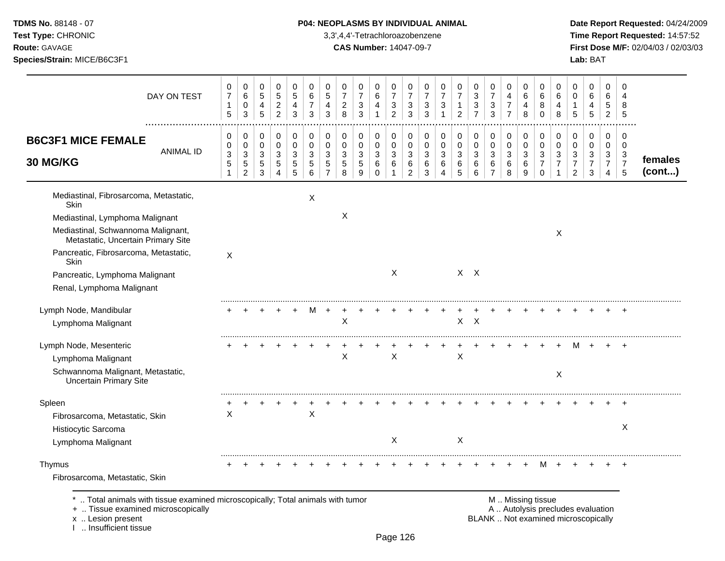**Test Type:** CHRONIC 3,3',4,4'-Tetrachloroazobenzene **Time Report Requested:** 14:57:52 **Route:** GAVAGE **CAS Number:** 14047-09-7 **First Dose M/F:** 02/04/03 / 02/03/03 **Species/Strain:** MICE/B6C3F1 **Lab:** BAT

| DAY ON TEST                                                                                                                             | 0<br>$\boldsymbol{7}$<br>$\mathbf{1}$<br>$5\phantom{.0}$ | 0<br>6<br>0<br>$\mathbf{3}$      | 0<br>5<br>4<br>5 | 0<br>5<br>$\overline{2}$<br>$\overline{2}$ | $\mathbf 0$<br>$\overline{5}$<br>4<br>3 | 0<br>6<br>$\overline{7}$<br>3 | 0<br>5<br>4<br>3    | 0<br>$\overline{7}$<br>$\overline{c}$<br>8      | 0<br>$\overline{7}$<br>3<br>$\mathbf{3}$ | 0<br>6<br>4<br>$\mathbf{1}$ | 0<br>$\overline{7}$<br>$\mathbf{3}$<br>$\overline{c}$ | 0<br>$\overline{7}$<br>3<br>3              | 0<br>$\overline{7}$<br>$\mathbf{3}$<br>3 | 0<br>$\overline{7}$<br>3<br>$\mathbf{1}$ | 0<br>$\overline{7}$<br>$\mathbf{1}$<br>$\overline{2}$ | 0<br>3<br>3<br>$\overline{7}$ | 0<br>$\overline{7}$<br>$\sqrt{3}$<br>3   | $\mathbf 0$<br>4<br>$\overline{7}$<br>$\overline{7}$ | 0<br>6<br>4<br>8                | $\mathbf 0$<br>6<br>8<br>$\Omega$                        | 0<br>6<br>4<br>8      | 0<br>$\mathbf 0$<br>$\mathbf 1$<br>5            | 0<br>6<br>4<br>5                           | $\mathbf 0$<br>6<br>$\sqrt{5}$<br>$\overline{2}$ | 0<br>4<br>8<br>$\sqrt{5}$ |         |
|-----------------------------------------------------------------------------------------------------------------------------------------|----------------------------------------------------------|----------------------------------|------------------|--------------------------------------------|-----------------------------------------|-------------------------------|---------------------|-------------------------------------------------|------------------------------------------|-----------------------------|-------------------------------------------------------|--------------------------------------------|------------------------------------------|------------------------------------------|-------------------------------------------------------|-------------------------------|------------------------------------------|------------------------------------------------------|---------------------------------|----------------------------------------------------------|-----------------------|-------------------------------------------------|--------------------------------------------|--------------------------------------------------|---------------------------|---------|
| <b>B6C3F1 MICE FEMALE</b><br><b>ANIMAL ID</b><br>30 MG/KG                                                                               | 0<br>0<br>$\mathbf{3}$                                   | $\mathbf 0$<br>0<br>$\mathbf{3}$ | 0<br>0<br>3      | $\mathbf 0$<br>$\mathbf 0$<br>$\mathbf{3}$ | $\mathbf 0$<br>0<br>3                   | $\mathbf 0$<br>0<br>3         | 0<br>0<br>3         | $\mathbf 0$<br>$\boldsymbol{0}$<br>$\mathbf{3}$ | $\mathbf 0$<br>0<br>$\mathbf{3}$         | 0<br>0<br>3                 | $\mathbf 0$<br>$\mathbf 0$<br>$\mathbf{3}$            | $\mathbf 0$<br>$\mathbf 0$<br>$\mathbf{3}$ | $\pmb{0}$<br>0<br>$\mathbf{3}$           | 0<br>0<br>3                              | $\mathbf 0$<br>$\boldsymbol{0}$<br>$\mathbf{3}$       | 0<br>0<br>$\mathbf{3}$        | $\pmb{0}$<br>$\pmb{0}$<br>$\mathfrak{S}$ | $\mathbf 0$<br>$\mathbf 0$<br>$\mathbf{3}$           | $\mathbf 0$<br>$\mathbf 0$<br>3 | $\pmb{0}$<br>$\mathbf 0$<br>3                            | 0<br>$\mathbf 0$<br>3 | $\mathbf 0$<br>$\boldsymbol{0}$<br>$\mathbf{3}$ | $\mathbf 0$<br>$\mathbf 0$<br>$\mathbf{3}$ | $\pmb{0}$<br>$\pmb{0}$<br>$\mathbf{3}$           | 0<br>$\mathbf 0$<br>3     | females |
|                                                                                                                                         | $\sqrt{5}$<br>1                                          | $\mathbf 5$<br>$\overline{c}$    | 5<br>3           | 5<br>4                                     | 5<br>5                                  | 5<br>6                        | 5<br>$\overline{7}$ | $\sqrt{5}$<br>8                                 | 5<br>9                                   | 6<br>0                      | $\,6$<br>$\mathbf{1}$                                 | 6<br>$\overline{2}$                        | 6<br>3                                   | 6<br>4                                   | $\,6$<br>5                                            | 6<br>6                        | 6<br>$\overline{7}$                      | $\,6$<br>8                                           | 6<br>9                          | $\overline{7}$<br>$\Omega$                               | $\overline{7}$<br>1   | $\overline{7}$<br>$\overline{2}$                | $\overline{7}$<br>$\mathbf{3}$             | $\overline{7}$<br>4                              | $\overline{7}$<br>5       | (cont)  |
| Mediastinal, Fibrosarcoma, Metastatic,<br>Skin                                                                                          |                                                          |                                  |                  |                                            |                                         | X                             |                     |                                                 |                                          |                             |                                                       |                                            |                                          |                                          |                                                       |                               |                                          |                                                      |                                 |                                                          |                       |                                                 |                                            |                                                  |                           |         |
| Mediastinal, Lymphoma Malignant                                                                                                         |                                                          |                                  |                  |                                            |                                         |                               |                     | X                                               |                                          |                             |                                                       |                                            |                                          |                                          |                                                       |                               |                                          |                                                      |                                 |                                                          |                       |                                                 |                                            |                                                  |                           |         |
| Mediastinal, Schwannoma Malignant,<br>Metastatic, Uncertain Primary Site                                                                |                                                          |                                  |                  |                                            |                                         |                               |                     |                                                 |                                          |                             |                                                       |                                            |                                          |                                          |                                                       |                               |                                          |                                                      |                                 |                                                          | X                     |                                                 |                                            |                                                  |                           |         |
| Pancreatic, Fibrosarcoma, Metastatic,<br>Skin                                                                                           | X                                                        |                                  |                  |                                            |                                         |                               |                     |                                                 |                                          |                             |                                                       |                                            |                                          |                                          |                                                       |                               |                                          |                                                      |                                 |                                                          |                       |                                                 |                                            |                                                  |                           |         |
| Pancreatic, Lymphoma Malignant                                                                                                          |                                                          |                                  |                  |                                            |                                         |                               |                     |                                                 |                                          |                             | $\mathsf{X}$                                          |                                            |                                          |                                          |                                                       | $X$ $X$                       |                                          |                                                      |                                 |                                                          |                       |                                                 |                                            |                                                  |                           |         |
| Renal, Lymphoma Malignant                                                                                                               |                                                          |                                  |                  |                                            |                                         |                               |                     |                                                 |                                          |                             |                                                       |                                            |                                          |                                          |                                                       |                               |                                          |                                                      |                                 |                                                          |                       |                                                 |                                            |                                                  |                           |         |
| Lymph Node, Mandibular                                                                                                                  |                                                          |                                  |                  |                                            |                                         | M                             | $\overline{+}$      |                                                 |                                          |                             |                                                       |                                            |                                          |                                          |                                                       |                               |                                          |                                                      |                                 |                                                          |                       |                                                 |                                            |                                                  |                           |         |
| Lymphoma Malignant                                                                                                                      |                                                          |                                  |                  |                                            |                                         |                               |                     | Χ                                               |                                          |                             |                                                       |                                            |                                          |                                          | $\mathsf{X}$                                          | $\mathsf{X}$                  |                                          |                                                      |                                 |                                                          |                       |                                                 |                                            |                                                  |                           |         |
| Lymph Node, Mesenteric                                                                                                                  |                                                          |                                  |                  |                                            |                                         |                               |                     |                                                 |                                          |                             |                                                       |                                            |                                          |                                          |                                                       |                               |                                          |                                                      |                                 |                                                          |                       | м                                               |                                            |                                                  |                           |         |
| Lymphoma Malignant                                                                                                                      |                                                          |                                  |                  |                                            |                                         |                               |                     | $\mathsf{X}$                                    |                                          |                             | X                                                     |                                            |                                          |                                          | $\mathsf{X}$                                          |                               |                                          |                                                      |                                 |                                                          |                       |                                                 |                                            |                                                  |                           |         |
| Schwannoma Malignant, Metastatic,<br><b>Uncertain Primary Site</b>                                                                      |                                                          |                                  |                  |                                            |                                         |                               |                     |                                                 |                                          |                             |                                                       |                                            |                                          |                                          |                                                       |                               |                                          |                                                      |                                 |                                                          | X                     |                                                 |                                            |                                                  |                           |         |
| Spleen                                                                                                                                  |                                                          |                                  |                  |                                            |                                         |                               |                     |                                                 |                                          |                             |                                                       |                                            |                                          |                                          |                                                       |                               |                                          |                                                      |                                 |                                                          |                       |                                                 |                                            |                                                  |                           |         |
| Fibrosarcoma, Metastatic, Skin                                                                                                          | X                                                        |                                  |                  |                                            |                                         | $\boldsymbol{\mathsf{X}}$     |                     |                                                 |                                          |                             |                                                       |                                            |                                          |                                          |                                                       |                               |                                          |                                                      |                                 |                                                          |                       |                                                 |                                            |                                                  |                           |         |
| Histiocytic Sarcoma                                                                                                                     |                                                          |                                  |                  |                                            |                                         |                               |                     |                                                 |                                          |                             |                                                       |                                            |                                          |                                          |                                                       |                               |                                          |                                                      |                                 |                                                          |                       |                                                 |                                            |                                                  | X                         |         |
| Lymphoma Malignant                                                                                                                      |                                                          |                                  |                  |                                            |                                         |                               |                     |                                                 |                                          |                             | $\times$                                              |                                            |                                          |                                          | X                                                     |                               |                                          |                                                      |                                 |                                                          |                       |                                                 |                                            |                                                  |                           |         |
| Thymus                                                                                                                                  |                                                          |                                  |                  |                                            |                                         |                               |                     |                                                 |                                          |                             |                                                       |                                            |                                          |                                          |                                                       |                               |                                          |                                                      |                                 | M                                                        |                       |                                                 |                                            |                                                  |                           |         |
| Fibrosarcoma, Metastatic, Skin                                                                                                          |                                                          |                                  |                  |                                            |                                         |                               |                     |                                                 |                                          |                             |                                                       |                                            |                                          |                                          |                                                       |                               |                                          |                                                      |                                 |                                                          |                       |                                                 |                                            |                                                  |                           |         |
| Total animals with tissue examined microscopically; Total animals with tumor<br>+  Tissue examined microscopically<br>x  Lesion present |                                                          |                                  |                  |                                            |                                         |                               |                     |                                                 |                                          |                             |                                                       |                                            |                                          |                                          |                                                       |                               |                                          |                                                      |                                 | M  Missing tissue<br>BLANK  Not examined microscopically |                       | A  Autolysis precludes evaluation               |                                            |                                                  |                           |         |

I .. Loolon processed<br>I .. Insufficient tissue

Page 126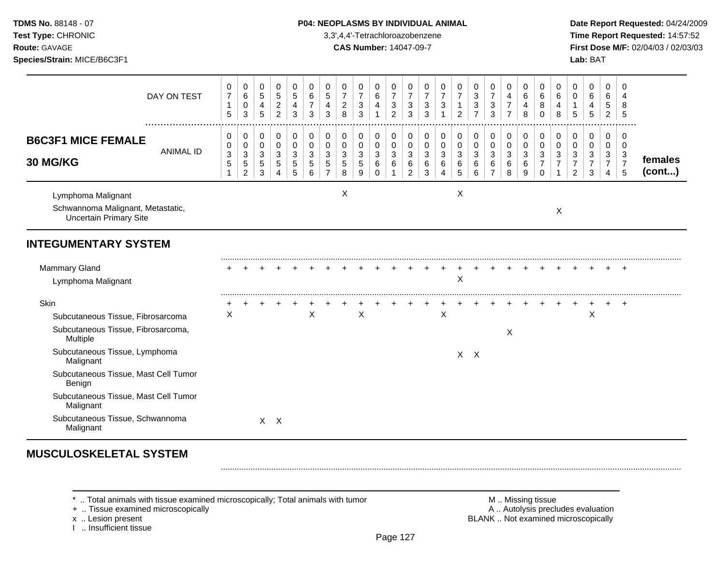**Test Type:** CHRONIC 3,3',4,4'-Tetrachloroazobenzene **Time Report Requested:** 14:57:52 **Route:** GAVAGE **CAS Number:** 14047-09-7 **First Dose M/F:** 02/04/03 / 02/03/03 **Species/Strain:** MICE/B6C3F1 **Lab:** BAT

|                                                                                                                                                                                                                                                                                                  | DAY ON TEST          | 0<br>$\overline{\mathcal{I}}$<br>$\mathbf{1}$<br>$\sqrt{5}$ | 0<br>$\,6\,$<br>0<br>3                                      | 0<br>$\sqrt{5}$<br>4<br>5                         | 0<br>$\mathbf 5$<br>$\overline{c}$<br>$\overline{c}$                         | 0<br>$\sqrt{5}$<br>4<br>3                           | 0<br>6<br>$\boldsymbol{7}$<br>3 | 0<br>$\sqrt{5}$<br>$\overline{\mathbf{4}}$<br>3     | 0<br>$\overline{7}$<br>$\overline{2}$<br>8 | 0<br>$\boldsymbol{7}$<br>$\mathbf{3}$<br>3      | 0<br>$\,6\,$<br>$\overline{4}$<br>$\mathbf 1$ | 0<br>$\boldsymbol{7}$<br>$\mathbf{3}$<br>$\overline{a}$ | 0<br>$\overline{7}$<br>$\mathbf{3}$<br>3      | 0<br>$\overline{7}$<br>$\sqrt{3}$<br>3                  | 0<br>$\overline{7}$<br>$\sqrt{3}$<br>1                        | 0<br>$\overline{7}$<br>$\mathbf{1}$<br>$\overline{c}$          | 0<br>$\sqrt{3}$<br>$\mathbf{3}$<br>$\overline{7}$       | 0<br>$\overline{7}$<br>$\sqrt{3}$<br>3                | 0<br>4<br>7<br>$\overline{7}$   | 0<br>6<br>4<br>8      | $\mathbf 0$<br>$\,6$<br>8<br>$\Omega$                        | $\mathbf 0$<br>6<br>4<br>8                         | 0<br>$\mathbf 0$<br>$\mathbf{1}$<br>$\sqrt{5}$                     | 0<br>$\,6\,$<br>4<br>5                                | 0<br>$\,6\,$<br>5<br>$\overline{c}$                                | $\Omega$<br>4<br>8<br>5                     |                   |
|--------------------------------------------------------------------------------------------------------------------------------------------------------------------------------------------------------------------------------------------------------------------------------------------------|----------------------|-------------------------------------------------------------|-------------------------------------------------------------|---------------------------------------------------|------------------------------------------------------------------------------|-----------------------------------------------------|---------------------------------|-----------------------------------------------------|--------------------------------------------|-------------------------------------------------|-----------------------------------------------|---------------------------------------------------------|-----------------------------------------------|---------------------------------------------------------|---------------------------------------------------------------|----------------------------------------------------------------|---------------------------------------------------------|-------------------------------------------------------|---------------------------------|-----------------------|--------------------------------------------------------------|----------------------------------------------------|--------------------------------------------------------------------|-------------------------------------------------------|--------------------------------------------------------------------|---------------------------------------------|-------------------|
| <b>B6C3F1 MICE FEMALE</b><br><b>30 MG/KG</b>                                                                                                                                                                                                                                                     | <br><b>ANIMAL ID</b> | 0<br>0<br>$\mathbf{3}$<br>$\,$ 5 $\,$<br>$\mathbf{1}$       | 0<br>$\boldsymbol{0}$<br>3<br>$\,$ 5 $\,$<br>$\overline{c}$ | 0<br>$\mathbf 0$<br>$\sqrt{3}$<br>$\sqrt{5}$<br>3 | $\mathbf 0$<br>$\pmb{0}$<br>$\ensuremath{\mathsf{3}}$<br>5<br>$\overline{4}$ | 0<br>$\mathbf 0$<br>$\mathbf{3}$<br>$\sqrt{5}$<br>5 | 0<br>0<br>3<br>5<br>6           | 0<br>$\pmb{0}$<br>3<br>$\sqrt{5}$<br>$\overline{7}$ | 0<br>0<br>3<br>$5\phantom{.0}$<br>8        | 0<br>$\pmb{0}$<br>$\sqrt{3}$<br>$\sqrt{5}$<br>9 | 0<br>$\mathbf 0$<br>$\sqrt{3}$<br>6<br>0      | 0<br>$\pmb{0}$<br>$\mathbf{3}$<br>6<br>1                | 0<br>0<br>$\mathbf{3}$<br>6<br>$\overline{2}$ | $\mathbf 0$<br>$\boldsymbol{0}$<br>3<br>6<br>$\sqrt{3}$ | $\pmb{0}$<br>$\pmb{0}$<br>$\mathbf{3}$<br>6<br>$\overline{4}$ | 0<br>$\mathsf{O}\xspace$<br>$\mathbf 3$<br>$\,6$<br>$\sqrt{5}$ | 0<br>$\mathbf 0$<br>$\ensuremath{\mathsf{3}}$<br>6<br>6 | 0<br>$\pmb{0}$<br>$\mathbf{3}$<br>6<br>$\overline{7}$ | 0<br>$\mathbf 0$<br>3<br>6<br>8 | 0<br>0<br>3<br>6<br>9 | 0<br>$\mathbf 0$<br>$\sqrt{3}$<br>$\overline{7}$<br>$\Omega$ | $\mathbf 0$<br>0<br>$\mathbf{3}$<br>$\overline{7}$ | 0<br>$\pmb{0}$<br>$\mathbf{3}$<br>$\overline{7}$<br>$\overline{c}$ | 0<br>$\mathbf 0$<br>$\sqrt{3}$<br>$\overline{7}$<br>3 | 0<br>$\pmb{0}$<br>$\mathbf{3}$<br>$\overline{7}$<br>$\overline{4}$ | 0<br>0<br>$\sqrt{3}$<br>$\overline{7}$<br>5 | females<br>(cont) |
| Lymphoma Malignant<br>Schwannoma Malignant, Metastatic,<br><b>Uncertain Primary Site</b>                                                                                                                                                                                                         |                      |                                                             |                                                             |                                                   |                                                                              |                                                     |                                 |                                                     | Χ                                          |                                                 |                                               |                                                         |                                               |                                                         |                                                               | X                                                              |                                                         |                                                       |                                 |                       |                                                              | X                                                  |                                                                    |                                                       |                                                                    |                                             |                   |
| <b>INTEGUMENTARY SYSTEM</b>                                                                                                                                                                                                                                                                      |                      |                                                             |                                                             |                                                   |                                                                              |                                                     |                                 |                                                     |                                            |                                                 |                                               |                                                         |                                               |                                                         |                                                               |                                                                |                                                         |                                                       |                                 |                       |                                                              |                                                    |                                                                    |                                                       |                                                                    |                                             |                   |
| <b>Mammary Gland</b><br>Lymphoma Malignant                                                                                                                                                                                                                                                       |                      |                                                             |                                                             |                                                   |                                                                              |                                                     |                                 |                                                     |                                            |                                                 |                                               |                                                         |                                               |                                                         |                                                               | Χ                                                              |                                                         |                                                       |                                 |                       |                                                              |                                                    |                                                                    |                                                       |                                                                    |                                             |                   |
| Skin<br>Subcutaneous Tissue, Fibrosarcoma<br>Subcutaneous Tissue, Fibrosarcoma,<br>Multiple<br>Subcutaneous Tissue, Lymphoma<br>Malignant<br>Subcutaneous Tissue, Mast Cell Tumor<br>Benign<br>Subcutaneous Tissue, Mast Cell Tumor<br>Malignant<br>Subcutaneous Tissue, Schwannoma<br>Malignant |                      | X                                                           |                                                             |                                                   | $X \times$                                                                   |                                                     | X                               |                                                     |                                            | X                                               |                                               |                                                         |                                               |                                                         | $\mathsf X$                                                   |                                                                | $X$ $X$                                                 |                                                       | X                               |                       |                                                              |                                                    |                                                                    | $\mathsf X$                                           |                                                                    | $\overline{ }$                              |                   |

# **MUSCULOSKELETAL SYSTEM**

\* .. Total animals with tissue examined microscopically; Total animals with tumor <br>
+ .. Tissue examined microscopically<br>
+ .. Tissue examined microscopically

+ .. Tissue examined microscopically<br>x .. Lesion present

I .. Insufficient tissue

BLANK .. Not examined microscopically

.........................................................................................................................................................................................................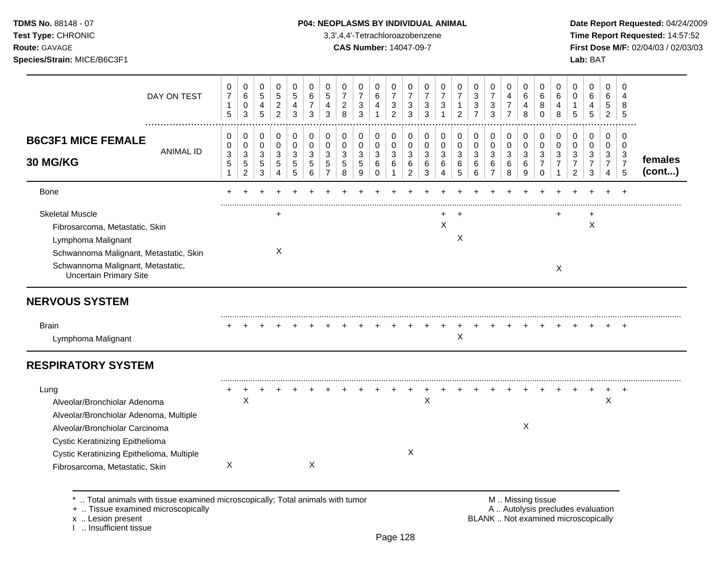# **TDMS No.** 88148 - 07 **P04: NEOPLASMS BY INDIVIDUAL ANIMAL** Date Report Requested: 04/24/2009

**Test Type:** CHRONIC 3,3',4,4'-Tetrachloroazobenzene **Time Report Requested:** 14:57:52 **Route:** GAVAGE **CAS Number:** 14047-09-7 **First Dose M/F:** 02/04/03 / 02/03/03

| DAY ON TEST                                                                                                                                                                                                                               | 0<br>$\overline{\mathcal{I}}$<br>$\mathbf{1}$<br>5       | 0<br>6<br>0<br>3                                                 | 0<br>5<br>4<br>5                | $\pmb{0}$<br>$\sqrt{5}$<br>$\overline{c}$<br>$\overline{2}$ | $\mathbf 0$<br>$\,$ 5 $\,$<br>$\overline{4}$<br>3 | 0<br>6<br>7<br>3                | 0<br>$\,$ 5 $\,$<br>4<br>3 | 0<br>$\overline{7}$<br>$\overline{c}$<br>8 | 0<br>$\overline{\mathcal{I}}$<br>$\ensuremath{\mathsf{3}}$<br>3 | 0<br>6<br>4<br>1                           | 0<br>7<br>3<br>$\overline{c}$   | 0<br>$\overline{7}$<br>3<br>3      | 0<br>$\overline{7}$<br>3<br>3            | 0<br>$\overline{7}$<br>3 | 0<br>$\boldsymbol{7}$<br>$\mathbf{1}$<br>$\overline{2}$ | 0<br>3<br>3<br>$\overline{7}$ | 0<br>$\boldsymbol{7}$<br>3<br>3              | 0<br>4<br>7<br>$\overline{7}$   | 0<br>6<br>4<br>8                                       | 0<br>6<br>8<br>$\Omega$                                         | 0<br>6<br>4<br>8                                        | 0<br>0<br>$\mathbf{1}$<br>5                             | $\mathbf 0$<br>6<br>4<br>$\sqrt{5}$                    | 0<br>6<br>5<br>$\overline{a}$      | $\Omega$<br>4<br>8<br>5                                |                   |
|-------------------------------------------------------------------------------------------------------------------------------------------------------------------------------------------------------------------------------------------|----------------------------------------------------------|------------------------------------------------------------------|---------------------------------|-------------------------------------------------------------|---------------------------------------------------|---------------------------------|----------------------------|--------------------------------------------|-----------------------------------------------------------------|--------------------------------------------|---------------------------------|------------------------------------|------------------------------------------|--------------------------|---------------------------------------------------------|-------------------------------|----------------------------------------------|---------------------------------|--------------------------------------------------------|-----------------------------------------------------------------|---------------------------------------------------------|---------------------------------------------------------|--------------------------------------------------------|------------------------------------|--------------------------------------------------------|-------------------|
| <b>B6C3F1 MICE FEMALE</b><br><b>ANIMAL ID</b><br>30 MG/KG                                                                                                                                                                                 | 0<br>0<br>$\ensuremath{\mathsf{3}}$<br>5<br>$\mathbf{1}$ | 0<br>$\mathbf 0$<br>$\mathbf{3}$<br>$\sqrt{5}$<br>$\overline{2}$ | 0<br>$\mathbf 0$<br>3<br>5<br>3 | $\mathbf 0$<br>$\pmb{0}$<br>3<br>5<br>4                     | $\mathbf 0$<br>$\mathbf 0$<br>3<br>5<br>5         | 0<br>$\mathbf 0$<br>3<br>5<br>6 | 0<br>$\mathbf 0$<br>3<br>5 | 0<br>0<br>3<br>5<br>8                      | 0<br>0<br>3<br>5<br>9                                           | 0<br>$\mathbf 0$<br>$\mathbf{3}$<br>6<br>0 | 0<br>$\mathbf 0$<br>3<br>6<br>1 | 0<br>0<br>3<br>6<br>$\overline{2}$ | 0<br>$\mathbf 0$<br>$\sqrt{3}$<br>6<br>3 | 0<br>0<br>3<br>6<br>4    | 0<br>$\mathbf 0$<br>3<br>6<br>5                         | 0<br>0<br>3<br>6<br>6         | 0<br>$\mathbf 0$<br>3<br>6<br>$\overline{7}$ | 0<br>$\mathbf 0$<br>3<br>6<br>8 | 0<br>$\mathbf 0$<br>3<br>6<br>9                        | $\pmb{0}$<br>0<br>$\mathbf{3}$<br>$\overline{7}$<br>$\mathbf 0$ | 0<br>$\mathbf 0$<br>3<br>$\overline{7}$<br>$\mathbf{1}$ | 0<br>$\pmb{0}$<br>3<br>$\overline{7}$<br>$\overline{2}$ | $\mathbf 0$<br>$\mathbf 0$<br>3<br>$\overline{7}$<br>3 | 0<br>0<br>3<br>$\overline{7}$<br>4 | $\mathbf 0$<br>$\mathbf 0$<br>3<br>$\overline{7}$<br>5 | females<br>(cont) |
| <b>Bone</b>                                                                                                                                                                                                                               |                                                          |                                                                  |                                 |                                                             |                                                   |                                 |                            |                                            |                                                                 |                                            |                                 |                                    |                                          |                          |                                                         |                               |                                              |                                 |                                                        |                                                                 |                                                         |                                                         |                                                        |                                    |                                                        |                   |
| <b>Skeletal Muscle</b><br>Fibrosarcoma, Metastatic, Skin<br>Lymphoma Malignant<br>Schwannoma Malignant, Metastatic, Skin<br>Schwannoma Malignant, Metastatic,<br><b>Uncertain Primary Site</b>                                            |                                                          |                                                                  |                                 | $\ddot{}$<br>X                                              |                                                   |                                 |                            |                                            |                                                                 |                                            |                                 |                                    |                                          | +<br>$\mathsf X$         | $\div$<br>$\boldsymbol{\mathsf{X}}$                     |                               |                                              |                                 |                                                        |                                                                 | +<br>X                                                  |                                                         | $\boldsymbol{\mathsf{X}}$                              |                                    |                                                        |                   |
| <b>NERVOUS SYSTEM</b>                                                                                                                                                                                                                     |                                                          |                                                                  |                                 |                                                             |                                                   |                                 |                            |                                            |                                                                 |                                            |                                 |                                    |                                          |                          |                                                         |                               |                                              |                                 |                                                        |                                                                 |                                                         |                                                         |                                                        |                                    |                                                        |                   |
| <b>Brain</b><br>Lymphoma Malignant                                                                                                                                                                                                        |                                                          |                                                                  |                                 |                                                             |                                                   |                                 |                            |                                            |                                                                 |                                            |                                 |                                    |                                          |                          | $\boldsymbol{\mathsf{X}}$                               |                               |                                              |                                 |                                                        |                                                                 |                                                         |                                                         |                                                        |                                    | $\pm$                                                  |                   |
| <b>RESPIRATORY SYSTEM</b>                                                                                                                                                                                                                 |                                                          |                                                                  |                                 |                                                             |                                                   |                                 |                            |                                            |                                                                 |                                            |                                 |                                    |                                          |                          |                                                         |                               |                                              |                                 |                                                        |                                                                 |                                                         |                                                         |                                                        |                                    |                                                        |                   |
| Lung<br>Alveolar/Bronchiolar Adenoma<br>Alveolar/Bronchiolar Adenoma, Multiple<br>Alveolar/Bronchiolar Carcinoma<br><b>Cystic Keratinizing Epithelioma</b><br>Cystic Keratinizing Epithelioma, Multiple<br>Fibrosarcoma, Metastatic, Skin | ÷<br>X                                                   | ÷<br>$\mathsf X$                                                 |                                 |                                                             |                                                   | X                               |                            |                                            |                                                                 |                                            |                                 | X                                  | $\boldsymbol{\mathsf{X}}$                |                          |                                                         |                               |                                              |                                 | X                                                      |                                                                 |                                                         |                                                         |                                                        | X                                  | $\ddot{}$                                              |                   |
| Total animals with tissue examined microscopically; Total animals with tumor<br>+  Tissue examined microscopically                                                                                                                        |                                                          |                                                                  |                                 |                                                             |                                                   |                                 |                            |                                            |                                                                 |                                            |                                 |                                    |                                          |                          |                                                         |                               |                                              |                                 | M  Missing tissue<br>A  Autolysis precludes evaluation |                                                                 |                                                         |                                                         |                                                        |                                    |                                                        |                   |

x .. Lesion present<br>I .. Insufficient tissue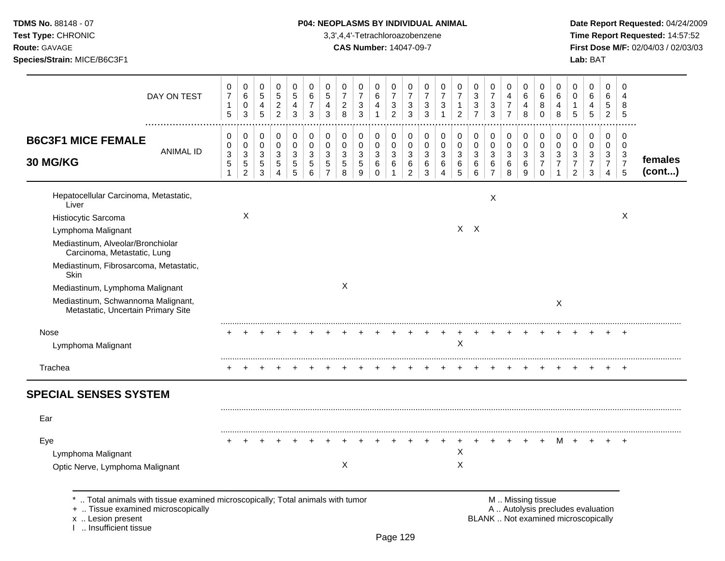| <b>TDMS No. 88148 - 07</b>                                          |  |
|---------------------------------------------------------------------|--|
| $T_{\text{out}}$ $T_{\text{out}}$ $\alpha$ in $\alpha$ iii $\alpha$ |  |

# **P04: NEOPLASMS BY INDIVIDUAL ANIMAL Date Report Requested:** 04/24/2009

**Test Type:** CHRONIC 3,3',4,4'-Tetrachloroazobenzene **Time Report Requested:** 14:57:52 **Route:** GAVAGE **CAS Number:** 14047-09-7 **First Dose M/F:** 02/04/03 / 02/03/03 **Species/Strain:** MICE/B6C3F1 **Lab:** BAT

| DAY ON TEST                                                                                                                                                       | 0<br>$\overline{7}$<br>$\mathbf{1}$<br>$5\phantom{1}$ | 0<br>6<br>$\pmb{0}$<br>$\mathbf{3}$         | 0<br>$\sqrt{5}$<br>4<br>$\overline{5}$          | 0<br>$\mathbf 5$<br>$\overline{c}$<br>$\overline{2}$ | 0<br>5<br>$\overline{\mathbf{4}}$<br>$\mathfrak{S}$ | 0<br>6<br>$\overline{7}$<br>$\sqrt{3}$                  | 0<br>5<br>4<br>3           | 0<br>$\overline{7}$<br>$\overline{c}$<br>8 | 0<br>$\overline{7}$<br>3<br>3 | 0<br>$\,6$<br>4<br>$\mathbf{1}$  | 0<br>$\overline{7}$<br>$\mathbf{3}$<br>$\overline{2}$ | 0<br>$\overline{7}$<br>$\mathbf{3}$<br>3 | 0<br>$\overline{7}$<br>$\mathbf{3}$<br>$\mathbf{3}$ | 0<br>$\overline{7}$<br>$\sqrt{3}$<br>$\mathbf{1}$ | 0<br>$\overline{7}$<br>$\mathbf{1}$<br>$\overline{2}$ | 0<br>$\mathbf{3}$<br>$\sqrt{3}$<br>$\overline{7}$ | 0<br>$\overline{7}$<br>3<br>$\mathbf{3}$ | 0<br>4<br>$\boldsymbol{7}$<br>$\overline{7}$ | 0<br>6<br>$\overline{4}$<br>8              | 0<br>6<br>8<br>$\mathbf 0$              | 0<br>6<br>$\overline{4}$<br>8         | 0<br>$\mathbf 0$<br>$\mathbf{1}$<br>5              | 0<br>6<br>$\overline{4}$<br>5                                            | $\mathbf 0$<br>6<br>$\sqrt{5}$<br>$\overline{2}$             | 0<br>4<br>8<br>5                        |         |
|-------------------------------------------------------------------------------------------------------------------------------------------------------------------|-------------------------------------------------------|---------------------------------------------|-------------------------------------------------|------------------------------------------------------|-----------------------------------------------------|---------------------------------------------------------|----------------------------|--------------------------------------------|-------------------------------|----------------------------------|-------------------------------------------------------|------------------------------------------|-----------------------------------------------------|---------------------------------------------------|-------------------------------------------------------|---------------------------------------------------|------------------------------------------|----------------------------------------------|--------------------------------------------|-----------------------------------------|---------------------------------------|----------------------------------------------------|--------------------------------------------------------------------------|--------------------------------------------------------------|-----------------------------------------|---------|
| <b>B6C3F1 MICE FEMALE</b><br><b>ANIMAL ID</b><br>30 MG/KG                                                                                                         | 0<br>$\mathbf 0$<br>3<br>$\sqrt{5}$                   | 0<br>$\pmb{0}$<br>$\sqrt{3}$<br>$\mathbf 5$ | 0<br>$\mathbf 0$<br>$\mathbf{3}$<br>$\,$ 5 $\,$ | 0<br>$\pmb{0}$<br>3<br>$\,$ 5 $\,$                   | $\,0\,$<br>$\pmb{0}$<br>3<br>$\,$ 5 $\,$            | $\pmb{0}$<br>$\mathbf 0$<br>$\mathbf{3}$<br>$\,$ 5 $\,$ | 0<br>$\mathbf 0$<br>3<br>5 | 0<br>$\pmb{0}$<br>3<br>$\,$ 5 $\,$         | 0<br>$\pmb{0}$<br>3<br>5      | 0<br>$\mathbf 0$<br>3<br>$\,6\,$ | 0<br>$\mathbf 0$<br>3<br>$\,6\,$                      | 0<br>$\mathbf 0$<br>3<br>6               | 0<br>$\pmb{0}$<br>3<br>6                            | 0<br>$\pmb{0}$<br>3<br>6                          | 0<br>$\pmb{0}$<br>3<br>6                              | 0<br>$\pmb{0}$<br>$\sqrt{3}$<br>6                 | 0<br>$\pmb{0}$<br>3<br>6                 | $\boldsymbol{0}$<br>$\mathsf 0$<br>3<br>6    | $\pmb{0}$<br>$\mathsf{O}\xspace$<br>3<br>6 | 0<br>$\mathbf 0$<br>3<br>$\overline{7}$ | 0<br>$\pmb{0}$<br>3<br>$\overline{7}$ | 0<br>$\mathbf 0$<br>$\mathbf{3}$<br>$\overline{7}$ | $\pmb{0}$<br>$\pmb{0}$<br>3<br>$\boldsymbol{7}$                          | $\mathbf 0$<br>$\mathbf 0$<br>$\mathbf{3}$<br>$\overline{7}$ | 0<br>$\mathbf 0$<br>3<br>$\overline{7}$ | females |
|                                                                                                                                                                   | $\mathbf{1}$                                          | $\overline{2}$                              | $\sqrt{3}$                                      | $\overline{4}$                                       | $\sqrt{5}$                                          | $\,6\,$                                                 | $\overline{7}$             | $\,8\,$                                    | 9                             | $\mathbf 0$                      | $\mathbf{1}$                                          | $\overline{a}$                           | $\mathbf{3}$                                        | $\overline{4}$                                    | 5                                                     | $\,6\,$                                           | $\overline{7}$                           | $\,8\,$                                      | 9                                          | $\mathbf 0$                             | $\mathbf{1}$                          | $\boldsymbol{2}$                                   | $\mathbf{3}$                                                             | 4                                                            | $\overline{5}$                          | (cont)  |
| Hepatocellular Carcinoma, Metastatic,<br>Liver                                                                                                                    |                                                       |                                             |                                                 |                                                      |                                                     |                                                         |                            |                                            |                               |                                  |                                                       |                                          |                                                     |                                                   |                                                       |                                                   | $\times$                                 |                                              |                                            |                                         |                                       |                                                    |                                                                          |                                                              |                                         |         |
| Histiocytic Sarcoma                                                                                                                                               |                                                       | X                                           |                                                 |                                                      |                                                     |                                                         |                            |                                            |                               |                                  |                                                       |                                          |                                                     |                                                   |                                                       |                                                   |                                          |                                              |                                            |                                         |                                       |                                                    |                                                                          |                                                              | X                                       |         |
| Lymphoma Malignant                                                                                                                                                |                                                       |                                             |                                                 |                                                      |                                                     |                                                         |                            |                                            |                               |                                  |                                                       |                                          |                                                     |                                                   |                                                       | $X$ $X$                                           |                                          |                                              |                                            |                                         |                                       |                                                    |                                                                          |                                                              |                                         |         |
| Mediastinum, Alveolar/Bronchiolar<br>Carcinoma, Metastatic, Lung                                                                                                  |                                                       |                                             |                                                 |                                                      |                                                     |                                                         |                            |                                            |                               |                                  |                                                       |                                          |                                                     |                                                   |                                                       |                                                   |                                          |                                              |                                            |                                         |                                       |                                                    |                                                                          |                                                              |                                         |         |
| Mediastinum, Fibrosarcoma, Metastatic,<br>Skin                                                                                                                    |                                                       |                                             |                                                 |                                                      |                                                     |                                                         |                            |                                            |                               |                                  |                                                       |                                          |                                                     |                                                   |                                                       |                                                   |                                          |                                              |                                            |                                         |                                       |                                                    |                                                                          |                                                              |                                         |         |
| Mediastinum, Lymphoma Malignant                                                                                                                                   |                                                       |                                             |                                                 |                                                      |                                                     |                                                         |                            | X                                          |                               |                                  |                                                       |                                          |                                                     |                                                   |                                                       |                                                   |                                          |                                              |                                            |                                         |                                       |                                                    |                                                                          |                                                              |                                         |         |
| Mediastinum, Schwannoma Malignant,<br>Metastatic, Uncertain Primary Site                                                                                          |                                                       |                                             |                                                 |                                                      |                                                     |                                                         |                            |                                            |                               |                                  |                                                       |                                          |                                                     |                                                   |                                                       |                                                   |                                          |                                              |                                            |                                         | X                                     |                                                    |                                                                          |                                                              |                                         |         |
| <b>Nose</b>                                                                                                                                                       |                                                       |                                             |                                                 |                                                      |                                                     |                                                         |                            |                                            |                               |                                  |                                                       |                                          |                                                     |                                                   |                                                       |                                                   |                                          |                                              |                                            |                                         |                                       |                                                    |                                                                          |                                                              |                                         |         |
| Lymphoma Malignant                                                                                                                                                |                                                       |                                             |                                                 |                                                      |                                                     |                                                         |                            |                                            |                               |                                  |                                                       |                                          |                                                     |                                                   | Χ                                                     |                                                   |                                          |                                              |                                            |                                         |                                       |                                                    |                                                                          |                                                              |                                         |         |
| Trachea                                                                                                                                                           |                                                       |                                             |                                                 |                                                      |                                                     |                                                         |                            |                                            |                               |                                  |                                                       |                                          |                                                     |                                                   |                                                       |                                                   |                                          |                                              |                                            |                                         |                                       |                                                    |                                                                          |                                                              |                                         |         |
| <b>SPECIAL SENSES SYSTEM</b>                                                                                                                                      |                                                       |                                             |                                                 |                                                      |                                                     |                                                         |                            |                                            |                               |                                  |                                                       |                                          |                                                     |                                                   |                                                       |                                                   |                                          |                                              |                                            |                                         |                                       |                                                    |                                                                          |                                                              |                                         |         |
| Ear                                                                                                                                                               |                                                       |                                             |                                                 |                                                      |                                                     |                                                         |                            |                                            |                               |                                  |                                                       |                                          |                                                     |                                                   |                                                       |                                                   |                                          |                                              |                                            |                                         |                                       |                                                    |                                                                          |                                                              |                                         |         |
| Eye                                                                                                                                                               |                                                       |                                             |                                                 |                                                      |                                                     |                                                         |                            |                                            |                               |                                  |                                                       |                                          |                                                     |                                                   |                                                       |                                                   |                                          | ÷                                            |                                            |                                         | M                                     | $\div$                                             |                                                                          |                                                              |                                         |         |
| Lymphoma Malignant                                                                                                                                                |                                                       |                                             |                                                 |                                                      |                                                     |                                                         |                            |                                            |                               |                                  |                                                       |                                          |                                                     |                                                   | X                                                     |                                                   |                                          |                                              |                                            |                                         |                                       |                                                    |                                                                          |                                                              |                                         |         |
| Optic Nerve, Lymphoma Malignant                                                                                                                                   |                                                       |                                             |                                                 |                                                      |                                                     |                                                         |                            | $\mathsf X$                                |                               |                                  |                                                       |                                          |                                                     |                                                   | X                                                     |                                                   |                                          |                                              |                                            |                                         |                                       |                                                    |                                                                          |                                                              |                                         |         |
| Total animals with tissue examined microscopically; Total animals with tumor<br>+  Tissue examined microscopically<br>x  Lesion present<br>I  Insufficient tissue |                                                       |                                             |                                                 |                                                      |                                                     |                                                         |                            |                                            |                               |                                  |                                                       |                                          |                                                     |                                                   |                                                       |                                                   |                                          |                                              | M  Missing tissue                          |                                         |                                       |                                                    | A  Autolysis precludes evaluation<br>BLANK  Not examined microscopically |                                                              |                                         |         |
|                                                                                                                                                                   |                                                       |                                             |                                                 |                                                      |                                                     |                                                         |                            |                                            |                               |                                  | $D = 100$                                             |                                          |                                                     |                                                   |                                                       |                                                   |                                          |                                              |                                            |                                         |                                       |                                                    |                                                                          |                                                              |                                         |         |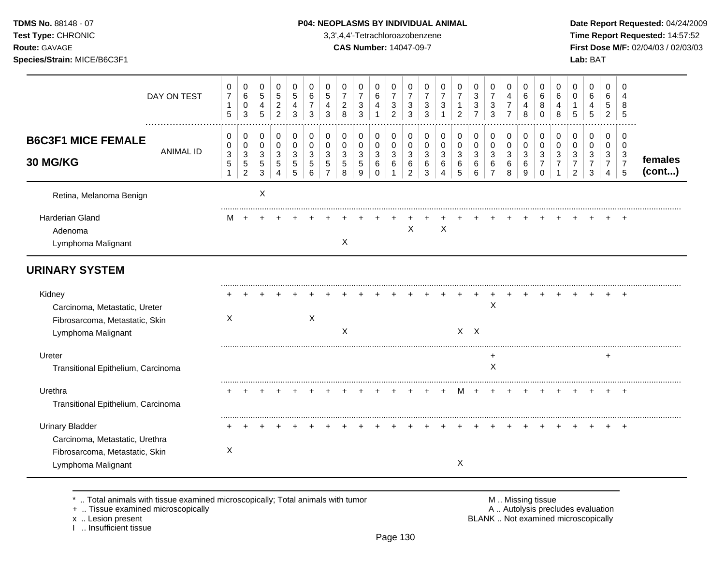**Test Type:** CHRONIC 3,3',4,4'-Tetrachloroazobenzene **Time Report Requested:** 14:57:52 **Route:** GAVAGE **CAS Number:** 14047-09-7 **First Dose M/F:** 02/04/03 / 02/03/03 **Species/Strain:** MICE/B6C3F1 **Lab:** BAT

| DAY ON TEST                                                                                                      | 0<br>$\boldsymbol{7}$<br>$\mathbf{1}$<br>5               | $\pmb{0}$<br>$\,6\,$<br>$\pmb{0}$<br>$\ensuremath{\mathsf{3}}$               | 0<br>$\overline{5}$<br>$\overline{4}$<br>5         | 0<br>5<br>$\overline{c}$<br>$\overline{2}$ | 0<br>$\overline{5}$<br>$\overline{4}$<br>3 | 0<br>6<br>$\overline{7}$<br>3 | 0<br>$\,$ 5 $\,$<br>$\overline{4}$<br>3 | 0<br>$\overline{7}$<br>$\overline{c}$<br>8 | 0<br>$\overline{7}$<br>$\sqrt{3}$<br>3          | 0<br>6<br>$\overline{4}$<br>1                   | 0<br>$\overline{7}$<br>$\mathsf 3$<br>$\overline{2}$ | 0<br>$\overline{7}$<br>$\mathbf{3}$<br>3             | 0<br>$\overline{7}$<br>3<br>3   | 0<br>$\overline{7}$<br>3 | 0<br>$\overline{7}$<br>$\mathbf{1}$<br>2 | 0<br>$\sqrt{3}$<br>$\sqrt{3}$<br>$\overline{7}$ | 0<br>$\overline{7}$<br>$\sqrt{3}$<br>$\mathbf{3}$    | 0<br>4<br>$\boldsymbol{7}$<br>$\overline{7}$ | 0<br>6<br>4<br>8                         | 0<br>6<br>8<br>$\Omega$                | 0<br>6<br>4<br>8 | 0<br>$\Omega$<br>$\mathbf 1$<br>5         | 0<br>6<br>$\overline{\mathbf{4}}$<br>5       | $\mathbf 0$<br>6<br>$\sqrt{5}$<br>$\overline{2}$ | $\Omega$<br>8<br>5                                     |                   |
|------------------------------------------------------------------------------------------------------------------|----------------------------------------------------------|------------------------------------------------------------------------------|----------------------------------------------------|--------------------------------------------|--------------------------------------------|-------------------------------|-----------------------------------------|--------------------------------------------|-------------------------------------------------|-------------------------------------------------|------------------------------------------------------|------------------------------------------------------|---------------------------------|--------------------------|------------------------------------------|-------------------------------------------------|------------------------------------------------------|----------------------------------------------|------------------------------------------|----------------------------------------|------------------|-------------------------------------------|----------------------------------------------|--------------------------------------------------|--------------------------------------------------------|-------------------|
| <b>B6C3F1 MICE FEMALE</b><br><b>ANIMAL ID</b><br>30 MG/KG                                                        | 0<br>0<br>$\ensuremath{\mathsf{3}}$<br>5<br>$\mathbf{1}$ | 0<br>$\pmb{0}$<br>$\ensuremath{\mathsf{3}}$<br>$\,$ 5 $\,$<br>$\overline{2}$ | 0<br>$\pmb{0}$<br>$\mathbf{3}$<br>$\,$ 5 $\,$<br>3 | 0<br>$\mathsf 0$<br>$\mathbf{3}$<br>5<br>4 | 0<br>$\mathbf 0$<br>3<br>5<br>5            | 0<br>$\Omega$<br>3<br>5<br>6  | 0<br>$\mathbf 0$<br>3<br>5              | 0<br>$\Omega$<br>3<br>5<br>8               | 0<br>$\pmb{0}$<br>$\sqrt{3}$<br>$\sqrt{5}$<br>9 | 0<br>$\mathbf 0$<br>$\sqrt{3}$<br>6<br>$\Omega$ | 0<br>$\mathbf 0$<br>$\mathbf{3}$<br>6<br>-1          | $\mathbf 0$<br>$\mathbf 0$<br>$\mathbf{3}$<br>6<br>2 | 0<br>$\mathbf 0$<br>3<br>6<br>3 | 0<br>0<br>3<br>6<br>4    | 0<br>$\mathbf 0$<br>3<br>6<br>5          | 0<br>$\pmb{0}$<br>$\sqrt{3}$<br>6<br>6          | 0<br>$\pmb{0}$<br>$\mathsf 3$<br>6<br>$\overline{7}$ | 0<br>$\pmb{0}$<br>$\mathbf{3}$<br>6<br>8     | 0<br>$\pmb{0}$<br>$\mathbf{3}$<br>6<br>9 | 0<br>$\mathbf 0$<br>3<br>7<br>$\Omega$ | 0<br>0<br>3      | 0<br>$\Omega$<br>3<br>7<br>$\overline{2}$ | 0<br>$\mathbf 0$<br>3<br>$\overline{7}$<br>3 | 0<br>0<br>3<br>$\overline{7}$<br>$\overline{4}$  | 0<br>$\Omega$<br>$\mathbf{3}$<br>$\boldsymbol{7}$<br>5 | females<br>(cont) |
| Retina, Melanoma Benign                                                                                          |                                                          |                                                                              | X                                                  |                                            |                                            |                               |                                         |                                            |                                                 |                                                 |                                                      |                                                      |                                 |                          |                                          |                                                 |                                                      |                                              |                                          |                                        |                  |                                           |                                              |                                                  |                                                        |                   |
| Harderian Gland<br>Adenoma<br>Lymphoma Malignant                                                                 | M                                                        |                                                                              |                                                    |                                            |                                            |                               |                                         | X                                          |                                                 |                                                 |                                                      | X                                                    |                                 | $\mathsf X$              |                                          |                                                 |                                                      |                                              |                                          |                                        |                  |                                           |                                              |                                                  |                                                        |                   |
| <b>URINARY SYSTEM</b>                                                                                            |                                                          |                                                                              |                                                    |                                            |                                            |                               |                                         |                                            |                                                 |                                                 |                                                      |                                                      |                                 |                          |                                          |                                                 |                                                      |                                              |                                          |                                        |                  |                                           |                                              |                                                  |                                                        |                   |
| Kidney<br>Carcinoma, Metastatic, Ureter<br>Fibrosarcoma, Metastatic, Skin<br>Lymphoma Malignant                  | X                                                        |                                                                              |                                                    |                                            |                                            | X                             |                                         | $\boldsymbol{\mathsf{X}}$                  |                                                 |                                                 |                                                      |                                                      |                                 |                          | $X$ $X$                                  |                                                 | Χ                                                    |                                              |                                          |                                        |                  |                                           |                                              |                                                  |                                                        |                   |
| Ureter<br>Transitional Epithelium, Carcinoma                                                                     |                                                          |                                                                              |                                                    |                                            |                                            |                               |                                         |                                            |                                                 |                                                 |                                                      |                                                      |                                 |                          |                                          |                                                 | $\ddot{}$<br>X                                       |                                              |                                          |                                        |                  |                                           |                                              | $\ddot{}$                                        |                                                        |                   |
| Urethra<br>Transitional Epithelium, Carcinoma                                                                    |                                                          |                                                                              |                                                    |                                            |                                            |                               |                                         |                                            |                                                 |                                                 |                                                      |                                                      |                                 |                          |                                          |                                                 |                                                      |                                              |                                          |                                        |                  |                                           |                                              |                                                  |                                                        |                   |
| <b>Urinary Bladder</b><br>Carcinoma, Metastatic, Urethra<br>Fibrosarcoma, Metastatic, Skin<br>Lymphoma Malignant | $\boldsymbol{\mathsf{X}}$                                |                                                                              |                                                    |                                            |                                            |                               |                                         |                                            |                                                 |                                                 |                                                      |                                                      |                                 |                          | $\sf X$                                  |                                                 |                                                      |                                              |                                          |                                        |                  |                                           |                                              |                                                  |                                                        |                   |

\* .. Total animals with tissue examined microscopically; Total animals with tumor <br>
+ .. Tissue examined microscopically<br>
+ .. Tissue examined microscopically

+ .. Tissue examined microscopically

x .. Lesion present<br>I .. Insufficient tissue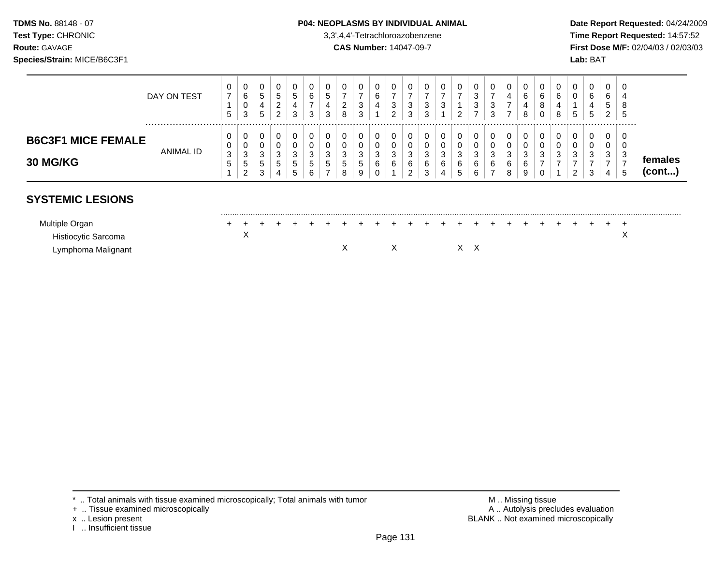## **TDMS No.** 88148 - 07 **P04: NEOPLASMS BY INDIVIDUAL ANIMAL** Date Report Requested: 04/24/2009

**Test Type:** CHRONIC 3,3',4,4'-Tetrachloroazobenzene **Time Report Requested:** 14:57:52 **Route:** GAVAGE **CAS Number:** 14047-09-7 **First Dose M/F:** 02/04/03 / 02/03/03

|                                              | DAY ON TEST | 5           | $\mathbf{0}$<br>6<br>0<br>3 | 0<br>G.<br>4<br>5                | U<br>5<br>2<br>2 | 0<br>ಾ<br>4<br>3                 | $\overline{0}$<br>6<br>ົ | 0<br>5<br>4<br>3                | U<br>-<br>ົ<br><u>_</u><br>8     | $\mathbf{0}$<br>ົ<br>3<br>3 | U<br>6<br>4            | c<br>ు<br>$\sqrt{2}$ | U<br>3<br>3           | 0<br>3<br>ົ<br>ت                          | U<br>P           | 0<br>-<br>റ            | v<br><sup>o</sup><br>$\sim$<br>C<br>$\overline{\phantom{a}}$ | 0<br>-<br>3<br>3      | U<br>4<br>-           | $\cup$<br>6<br>8      | 0<br>6<br>Ö  | 6<br>4      | 0<br>0<br>5      | 0<br>6<br>4<br>5           | 0<br>⌒<br>b<br><sub>5</sub><br>2 <sup>1</sup> | -0<br>8<br>್           |                   |
|----------------------------------------------|-------------|-------------|-----------------------------|----------------------------------|------------------|----------------------------------|--------------------------|---------------------------------|----------------------------------|-----------------------------|------------------------|----------------------|-----------------------|-------------------------------------------|------------------|------------------------|--------------------------------------------------------------|-----------------------|-----------------------|-----------------------|--------------|-------------|------------------|----------------------------|-----------------------------------------------|------------------------|-------------------|
| <b>B6C3F1 MICE FEMALE</b><br><b>30 MG/KG</b> | ANIMAL ID   | υ<br>3<br>G | 0<br>0<br>3<br>5<br>റ<br>∠  | 0<br>0<br>◠<br>ت<br>5.<br>2<br>◡ | ົ<br>ۍ<br>5      | 0<br>0<br>3<br>$\mathbf{p}$<br>ა | <sup>o</sup><br>G<br>6   | 0<br>0<br>વ<br>J<br>∽<br>J<br>- | U<br>U<br>3<br><sub>5</sub><br>8 | 0<br>0<br>ົ<br>ۍ<br>5<br>9  | 0<br>0<br>ົ<br>J.<br>6 | $\sim$<br>đ<br>◠     | U<br>U<br>3<br>6<br>ີ | 0<br>0<br>ົ<br>ັ<br>$\sim$<br>6<br>◠<br>ບ | ≏<br>ۍ<br>⌒<br>b | 0<br>0<br>3<br>6<br>.5 | ີ<br>J<br>6<br>6                                             | 0<br>0<br>3<br>6<br>- | υ<br>v<br>3<br>6<br>8 | 0<br>ົ<br>ۍ<br>6<br>9 | 0<br>ົ<br>۰C | $\sim$<br>w | 0<br>0<br>3<br>ົ | 0<br>0<br>◠<br>ت<br>2<br>◡ | U<br>υ<br>C.                                  | -0<br>- O<br>- 0<br>-5 | temales<br>(cont) |

# **SYSTEMIC LESIONS**

| Multiple            |  |  |  |  |  |  |  |  |  |  |  |  |  |
|---------------------|--|--|--|--|--|--|--|--|--|--|--|--|--|
| Histiocytic Sarcoma |  |  |  |  |  |  |  |  |  |  |  |  |  |
| Lymphoma Malignant  |  |  |  |  |  |  |  |  |  |  |  |  |  |

- + .. Tissue examined microscopically
- 
- I .. Insufficient tissue

\* .. Total animals with tissue examined microscopically; Total animals with tumor <br>
+ .. Tissue examined microscopically<br>
+ .. Tissue examined microscopically x .. Lesion present **BLANK** .. Not examined microscopically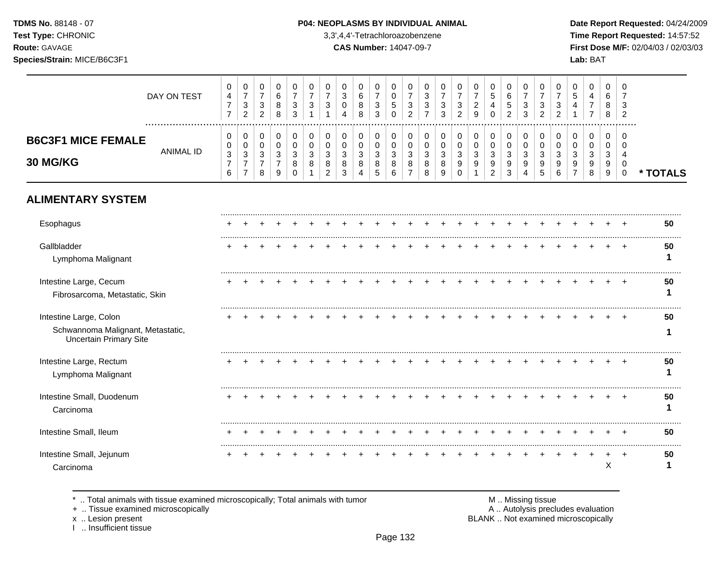**Test Type:** CHRONIC 3,3',4,4'-Tetrachloroazobenzene **Time Report Requested:** 14:57:52 **Route:** GAVAGE **CAS Number:** 14047-09-7 **First Dose M/F:** 02/04/03 / 02/03/03 **Species/Strain:** MICE/B6C3F1 **Lab:** BAT

|                                                                                              | DAY ON TEST      | 0<br>$\overline{4}$<br>$\overline{7}$<br>$\overline{7}$               | 0<br>$\overline{7}$<br>$\sqrt{3}$<br>$\overline{c}$                 | 0<br>$\overline{7}$<br>$\mathbf{3}$<br>2             | 0<br>6<br>8<br>8                          | 0<br>7<br>3<br>3                    | 0<br>$\overline{7}$<br>3 | 0<br>$\overline{7}$<br>3                  | 0<br>3<br>$\mathbf 0$                 | 0<br>$\,6\,$<br>8<br>8                   | 0<br>$\overline{7}$<br>3<br>3            | 0<br>$\mathbf 0$<br>5<br>$\mathbf 0$                    | 0<br>$\overline{7}$<br>3<br>$\overline{c}$ | 0<br>3<br>3<br>$\overline{7}$   | 0<br>$\overline{7}$<br>3<br>3 | 0<br>$\overline{7}$<br>3<br>$\overline{2}$ | 0<br>$\overline{7}$<br>$\overline{c}$<br>9 | 0<br>$\sqrt{5}$<br>4                                  | 0<br>6<br>5<br>$\overline{2}$   | 0<br>$\overline{7}$<br>3<br>3 | 0<br>$\overline{7}$<br>3<br>$\overline{2}$ | 0<br>$\overline{7}$<br>3<br>2 | 0<br>5                  | 0<br>4<br>7<br>7             | 0<br>6<br>8<br>8                 | 0<br>$\overline{7}$<br>3<br>$\overline{c}$                 |          |
|----------------------------------------------------------------------------------------------|------------------|-----------------------------------------------------------------------|---------------------------------------------------------------------|------------------------------------------------------|-------------------------------------------|-------------------------------------|--------------------------|-------------------------------------------|---------------------------------------|------------------------------------------|------------------------------------------|---------------------------------------------------------|--------------------------------------------|---------------------------------|-------------------------------|--------------------------------------------|--------------------------------------------|-------------------------------------------------------|---------------------------------|-------------------------------|--------------------------------------------|-------------------------------|-------------------------|------------------------------|----------------------------------|------------------------------------------------------------|----------|
| <b>B6C3F1 MICE FEMALE</b><br>30 MG/KG                                                        | <b>ANIMAL ID</b> | $\mathbf{0}$<br>0<br>$\ensuremath{\mathsf{3}}$<br>$\overline{7}$<br>6 | 0<br>$\mathbf 0$<br>$\mathsf 3$<br>$\overline{7}$<br>$\overline{7}$ | 0<br>$\Omega$<br>$\mathbf{3}$<br>$\overline{7}$<br>8 | 0<br>$\Omega$<br>3<br>$\overline{7}$<br>9 | 0<br>$\Omega$<br>3<br>8<br>$\Omega$ | 0<br>$\Omega$<br>3<br>8  | 0<br>$\Omega$<br>3<br>8<br>$\overline{2}$ | 0<br>$\Omega$<br>$\sqrt{3}$<br>8<br>3 | 0<br>$\mathbf 0$<br>$\sqrt{3}$<br>8<br>4 | 0<br>$\mathbf 0$<br>$\sqrt{3}$<br>8<br>5 | 0<br>$\mathbf 0$<br>$\ensuremath{\mathsf{3}}$<br>8<br>6 | 0<br>$\Omega$<br>3<br>8<br>$\overline{7}$  | 0<br>$\mathbf 0$<br>3<br>8<br>8 | 0<br>$\Omega$<br>3<br>8<br>9  | 0<br>0<br>3<br>9<br>$\Omega$               | 0<br>$\mathbf 0$<br>$\mathbf{3}$<br>9      | 0<br>$\mathbf 0$<br>$\sqrt{3}$<br>9<br>$\overline{2}$ | 0<br>$\mathbf 0$<br>3<br>9<br>3 | 0<br>$\Omega$<br>3<br>9       | 0<br>$\Omega$<br>3<br>9<br>5               | 0<br>$\Omega$<br>3<br>9<br>6  | 0<br>$\Omega$<br>3<br>9 | 0<br>$\Omega$<br>3<br>9<br>8 | 0<br>0<br>$\mathbf{3}$<br>9<br>9 | $\Omega$<br>$\Omega$<br>$\overline{4}$<br>0<br>$\mathbf 0$ | * TOTALS |
| <b>ALIMENTARY SYSTEM</b>                                                                     |                  |                                                                       |                                                                     |                                                      |                                           |                                     |                          |                                           |                                       |                                          |                                          |                                                         |                                            |                                 |                               |                                            |                                            |                                                       |                                 |                               |                                            |                               |                         |                              |                                  |                                                            |          |
| Esophagus                                                                                    |                  |                                                                       |                                                                     |                                                      |                                           |                                     |                          |                                           |                                       |                                          |                                          |                                                         |                                            |                                 |                               |                                            |                                            |                                                       |                                 |                               |                                            |                               |                         |                              |                                  |                                                            | 50       |
| Gallbladder<br>Lymphoma Malignant                                                            |                  |                                                                       |                                                                     |                                                      |                                           |                                     |                          |                                           |                                       |                                          |                                          |                                                         |                                            |                                 |                               |                                            |                                            |                                                       |                                 |                               |                                            |                               |                         |                              |                                  |                                                            | 50       |
| Intestine Large, Cecum<br>Fibrosarcoma, Metastatic, Skin                                     |                  |                                                                       |                                                                     |                                                      |                                           |                                     |                          |                                           |                                       |                                          |                                          |                                                         |                                            |                                 |                               |                                            |                                            |                                                       |                                 |                               |                                            |                               |                         |                              |                                  |                                                            | 50       |
| Intestine Large, Colon<br>Schwannoma Malignant, Metastatic,<br><b>Uncertain Primary Site</b> |                  |                                                                       |                                                                     |                                                      |                                           |                                     |                          |                                           |                                       |                                          |                                          |                                                         |                                            |                                 |                               |                                            |                                            |                                                       |                                 |                               |                                            |                               |                         |                              |                                  |                                                            | 50       |
| Intestine Large, Rectum<br>Lymphoma Malignant                                                |                  |                                                                       |                                                                     |                                                      |                                           |                                     |                          |                                           |                                       |                                          |                                          |                                                         |                                            |                                 |                               |                                            |                                            |                                                       |                                 |                               |                                            |                               |                         |                              |                                  |                                                            | 50       |
| Intestine Small, Duodenum<br>Carcinoma                                                       |                  |                                                                       |                                                                     |                                                      |                                           |                                     |                          |                                           |                                       |                                          |                                          |                                                         |                                            |                                 |                               |                                            |                                            |                                                       |                                 |                               |                                            |                               |                         |                              |                                  |                                                            | 50       |
| Intestine Small, Ileum                                                                       |                  |                                                                       |                                                                     |                                                      |                                           |                                     |                          |                                           |                                       |                                          |                                          |                                                         |                                            |                                 |                               |                                            |                                            |                                                       |                                 |                               |                                            |                               |                         |                              |                                  |                                                            | 50       |
| Intestine Small, Jejunum<br>Carcinoma                                                        |                  |                                                                       |                                                                     |                                                      |                                           |                                     |                          |                                           |                                       |                                          |                                          |                                                         |                                            |                                 |                               |                                            |                                            |                                                       |                                 |                               |                                            |                               |                         |                              | X                                |                                                            | 50       |

\* .. Total animals with tissue examined microscopically; Total animals with tumor M .. Missing tissue M .. Missing tissue<br>A .. Autolysis precludes evaluation<br>A .. Autolysis precludes evaluation

+ .. Tissue examined microscopically

x .. Lesion present<br>I .. Insufficient tissue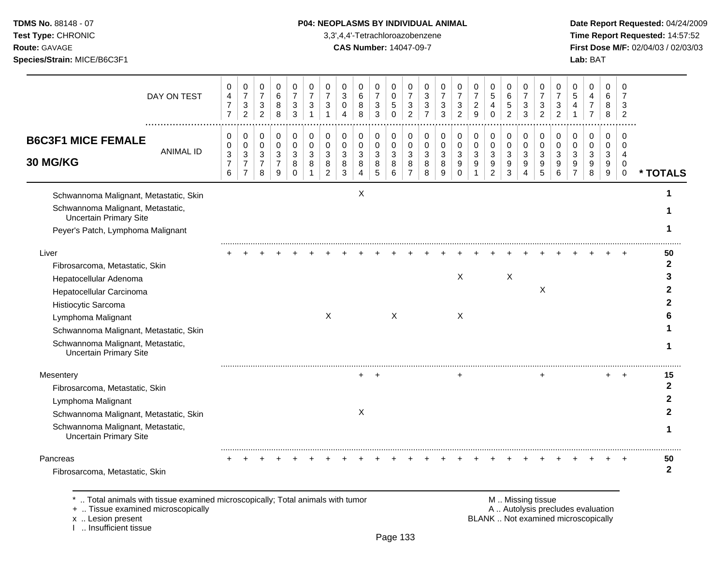## **TDMS No.** 88148 - 07 **P04: NEOPLASMS BY INDIVIDUAL ANIMAL** Date Report Requested: 04/24/2009

**Test Type:** CHRONIC 3,3',4,4'-Tetrachloroazobenzene **Time Report Requested:** 14:57:52 **Route:** GAVAGE **CAS Number:** 14047-09-7 **First Dose M/F:** 02/04/03 / 02/03/03

| DAY ON TEST                                                                                                                                                                                                                                                | 0<br>4<br>$\overline{7}$<br>$\overline{7}$    | 0<br>$\overline{7}$<br>$\sqrt{3}$<br>$\overline{2}$                        | 0<br>$\overline{7}$<br>$\mathbf 3$<br>$\overline{2}$ | 0<br>6<br>$\bf 8$<br>8                                    | 0<br>$\overline{7}$<br>$\mathbf{3}$<br>3             | 0<br>$\overline{7}$<br>3<br>$\mathbf 1$ | 0<br>$\overline{7}$<br>3<br>$\overline{1}$ | 0<br>$\mathbf{3}$<br>0<br>4     | 0<br>$\,6\,$<br>8<br>8      | 0<br>$\overline{7}$<br>$\ensuremath{\mathsf{3}}$<br>3 | 0<br>$\mathbf 0$<br>5<br>$\Omega$          | 0<br>$\overline{7}$<br>$\sqrt{3}$<br>2   | 0<br>$\mathbf{3}$<br>3<br>$\overline{7}$ | 0<br>$\overline{7}$<br>3<br>3 | 0<br>$\overline{7}$<br>$\ensuremath{\mathsf{3}}$<br>$\overline{2}$ | 0<br>$\overline{7}$<br>$\boldsymbol{2}$<br>9 | 0<br>$\sqrt{5}$<br>4<br>$\Omega$                                   | 0<br>$\,6\,$<br>$\mathbf 5$<br>$\overline{2}$             | 0<br>$\overline{7}$<br>$\sqrt{3}$<br>3     | 0<br>$\overline{7}$<br>3<br>$\overline{2}$ | 0<br>$\overline{7}$<br>3<br>$\overline{2}$ | 0<br>5<br>4             | 0<br>4<br>$\overline{7}$<br>$\overline{7}$ | 0<br>6<br>8<br>8      | 0<br>$\overline{7}$<br>3<br>$\overline{2}$ |                         |
|------------------------------------------------------------------------------------------------------------------------------------------------------------------------------------------------------------------------------------------------------------|-----------------------------------------------|----------------------------------------------------------------------------|------------------------------------------------------|-----------------------------------------------------------|------------------------------------------------------|-----------------------------------------|--------------------------------------------|---------------------------------|-----------------------------|-------------------------------------------------------|--------------------------------------------|------------------------------------------|------------------------------------------|-------------------------------|--------------------------------------------------------------------|----------------------------------------------|--------------------------------------------------------------------|-----------------------------------------------------------|--------------------------------------------|--------------------------------------------|--------------------------------------------|-------------------------|--------------------------------------------|-----------------------|--------------------------------------------|-------------------------|
| <b>B6C3F1 MICE FEMALE</b><br><b>ANIMAL ID</b><br>30 MG/KG                                                                                                                                                                                                  | 0<br>0<br>$\sqrt{3}$<br>$\boldsymbol{7}$<br>6 | $\pmb{0}$<br>$\pmb{0}$<br>$\mathbf{3}$<br>$\overline{7}$<br>$\overline{7}$ | 0<br>0<br>$\mathbf{3}$<br>$\overline{7}$<br>8        | 0<br>$\mathbf 0$<br>$\mathbf{3}$<br>$\boldsymbol{7}$<br>9 | 0<br>$\mathbf 0$<br>$\mathbf{3}$<br>8<br>$\mathbf 0$ | 0<br>$\mathbf 0$<br>3<br>8              | 0<br>0<br>3<br>8<br>$\overline{c}$         | 0<br>$\mathbf 0$<br>3<br>8<br>3 | 0<br>0<br>3<br>$\,8\,$<br>4 | 0<br>$\mathbf 0$<br>3<br>$\bf8$<br>5                  | 0<br>$\mathbf 0$<br>$\mathbf{3}$<br>8<br>6 | 0<br>$\mathbf 0$<br>$\sqrt{3}$<br>8<br>7 | 0<br>0<br>3<br>8<br>8                    | 0<br>0<br>3<br>8<br>9         | 0<br>$\mathbf 0$<br>$\mathbf{3}$<br>9<br>$\Omega$                  | 0<br>0<br>3<br>$\boldsymbol{9}$              | 0<br>$\pmb{0}$<br>$\sqrt{3}$<br>$\boldsymbol{9}$<br>$\overline{2}$ | 0<br>$\mathbf 0$<br>$\mathbf{3}$<br>$\boldsymbol{9}$<br>3 | 0<br>$\pmb{0}$<br>3<br>9<br>$\overline{4}$ | 0<br>$\mathbf 0$<br>3<br>9<br>5            | 0<br>0<br>3<br>9<br>6                      | 0<br>$\Omega$<br>3<br>9 | 0<br>$\mathbf 0$<br>3<br>9<br>8            | 0<br>0<br>3<br>9<br>9 | 0<br>$\Omega$<br>4<br>0<br>$\mathbf 0$     | * TOTALS                |
| Schwannoma Malignant, Metastatic, Skin<br>Schwannoma Malignant, Metastatic,<br>Uncertain Primary Site<br>Peyer's Patch, Lymphoma Malignant                                                                                                                 |                                               |                                                                            |                                                      |                                                           |                                                      |                                         |                                            |                                 | Χ                           |                                                       |                                            |                                          |                                          |                               |                                                                    |                                              |                                                                    |                                                           |                                            |                                            |                                            |                         |                                            |                       |                                            |                         |
| Liver<br>Fibrosarcoma, Metastatic, Skin<br>Hepatocellular Adenoma<br>Hepatocellular Carcinoma<br>Histiocytic Sarcoma<br>Lymphoma Malignant<br>Schwannoma Malignant, Metastatic, Skin<br>Schwannoma Malignant, Metastatic,<br><b>Uncertain Primary Site</b> |                                               |                                                                            |                                                      |                                                           |                                                      |                                         | X                                          |                                 |                             |                                                       | $\times$                                   |                                          |                                          |                               | $\mathsf{X}$<br>$\boldsymbol{\mathsf{X}}$                          |                                              |                                                                    | X                                                         |                                            | X                                          |                                            |                         |                                            |                       |                                            | 50<br>$\mathbf{2}$      |
| Mesentery<br>Fibrosarcoma, Metastatic, Skin<br>Lymphoma Malignant<br>Schwannoma Malignant, Metastatic, Skin<br>Schwannoma Malignant, Metastatic,<br><b>Uncertain Primary Site</b>                                                                          |                                               |                                                                            |                                                      |                                                           |                                                      |                                         |                                            |                                 | $+$<br>X                    | $\overline{+}$                                        |                                            |                                          |                                          |                               | ÷                                                                  |                                              |                                                                    |                                                           |                                            | ÷                                          |                                            |                         |                                            | +                     | $\overline{+}$                             | 15<br>$\mathbf{2}$<br>1 |
| Pancreas<br>Fibrosarcoma, Metastatic, Skin                                                                                                                                                                                                                 |                                               |                                                                            |                                                      |                                                           |                                                      |                                         |                                            |                                 |                             |                                                       |                                            |                                          |                                          |                               |                                                                    |                                              |                                                                    |                                                           |                                            |                                            |                                            |                         |                                            |                       |                                            | 50<br>$\mathbf{2}$      |

\* .. Total animals with tissue examined microscopically; Total animals with tumor <br>
+ .. Tissue examined microscopically<br>
+ .. Tissue examined microscopically

+ .. Tissue examined microscopically

x .. Lesion present<br>I .. Insufficient tissue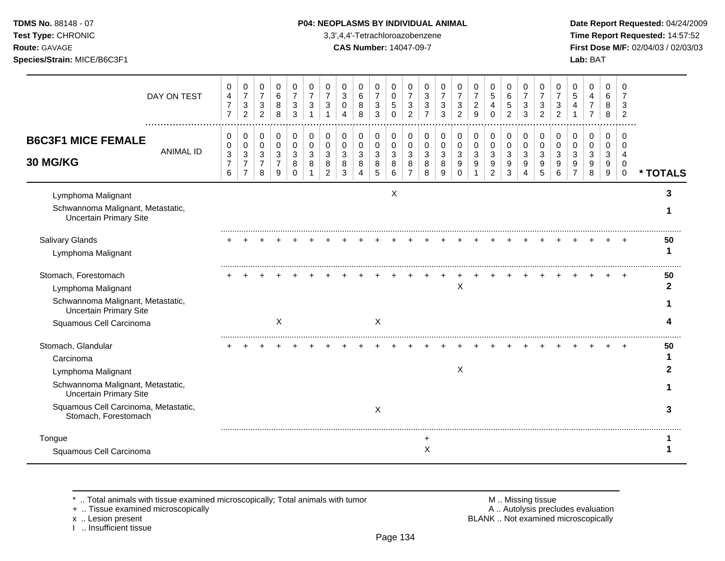**Test Type:** CHRONIC 3,3',4,4'-Tetrachloroazobenzene **Time Report Requested:** 14:57:52 **Route:** GAVAGE **CAS Number:** 14047-09-7 **First Dose M/F:** 02/04/03 / 02/03/03 **Species/Strain:** MICE/B6C3F1 **Lab:** BAT

|                                                                                          | DAY ON TEST      | 0<br>4<br>$\overline{7}$<br>$\overline{7}$                 | 0<br>$\overline{7}$<br>$\mathbf 3$<br>$\overline{c}$       | 0<br>$\overline{7}$<br>$\sqrt{3}$<br>$\overline{c}$ | 0<br>$\,6\,$<br>8<br>8                                  | 0<br>$\overline{7}$<br>3<br>3       | 0<br>$\overline{7}$<br>3    | 0<br>$\overline{7}$<br>3                  | 0<br>$\mathbf{3}$<br>$\mathbf 0$<br>4      | 0<br>$\,6\,$<br>$\bf 8$<br>8               | 0<br>$\overline{7}$<br>$\sqrt{3}$<br>3     | 0<br>$\mathbf 0$<br>$\sqrt{5}$<br>$\mathbf 0$ | 0<br>$\overline{7}$<br>3<br>$\overline{c}$ | 0<br>$\sqrt{3}$<br>$\sqrt{3}$<br>$\overline{7}$ | 0<br>$\overline{7}$<br>3<br>3   | 0<br>$\overline{7}$<br>$\mathfrak{S}$<br>$\overline{2}$ | 0<br>$\overline{7}$<br>$\overline{c}$<br>9 | 0<br>$\sqrt{5}$<br>4<br>$\Omega$                      | 0<br>$\,6\,$<br>$\sqrt{5}$<br>$\overline{2}$ | 0<br>$\overline{7}$<br>3<br>3                                  | 0<br>$\overline{7}$<br>3<br>$\overline{2}$ | 0<br>$\overline{7}$<br>3<br>$\overline{2}$ | 0<br>5                  | 0<br>4<br>$\overline{7}$        | 0<br>6<br>8<br>8                 | 0<br>$\overline{7}$<br>3<br>$\overline{2}$                    |          |
|------------------------------------------------------------------------------------------|------------------|------------------------------------------------------------|------------------------------------------------------------|-----------------------------------------------------|---------------------------------------------------------|-------------------------------------|-----------------------------|-------------------------------------------|--------------------------------------------|--------------------------------------------|--------------------------------------------|-----------------------------------------------|--------------------------------------------|-------------------------------------------------|---------------------------------|---------------------------------------------------------|--------------------------------------------|-------------------------------------------------------|----------------------------------------------|----------------------------------------------------------------|--------------------------------------------|--------------------------------------------|-------------------------|---------------------------------|----------------------------------|---------------------------------------------------------------|----------|
| <b>B6C3F1 MICE FEMALE</b><br>30 MG/KG                                                    | <b>ANIMAL ID</b> | 0<br>0<br>$\ensuremath{\mathsf{3}}$<br>$\overline{7}$<br>6 | 0<br>0<br>$\mathbf{3}$<br>$\overline{7}$<br>$\overline{7}$ | 0<br>$\mathbf 0$<br>3<br>$\overline{7}$<br>8        | 0<br>$\mathbf 0$<br>$\mathbf{3}$<br>$\overline{7}$<br>9 | 0<br>$\Omega$<br>3<br>8<br>$\Omega$ | 0<br>0<br>$\mathbf{3}$<br>8 | 0<br>$\Omega$<br>3<br>8<br>$\overline{2}$ | 0<br>$\mathbf 0$<br>$\mathbf{3}$<br>8<br>3 | 0<br>$\mathbf 0$<br>$\mathbf{3}$<br>8<br>4 | 0<br>$\mathbf 0$<br>$\mathbf{3}$<br>8<br>5 | 0<br>$\Omega$<br>$\mathbf{3}$<br>8<br>6       | 0<br>$\mathbf 0$<br>3<br>8                 | 0<br>$\mathbf 0$<br>3<br>8<br>8                 | 0<br>$\mathbf 0$<br>3<br>8<br>9 | 0<br>$\mathbf 0$<br>$\mathbf{3}$<br>9<br>$\Omega$       | 0<br>0<br>3<br>9                           | 0<br>$\pmb{0}$<br>$\mathbf{3}$<br>9<br>$\overline{2}$ | 0<br>$\mathbf 0$<br>3<br>9<br>3              | 0<br>$\mathbf 0$<br>$\sqrt{3}$<br>9<br>$\overline{\mathbf{4}}$ | 0<br>$\Omega$<br>3<br>9<br>5               | 0<br>$\Omega$<br>3<br>9<br>6               | 0<br>$\Omega$<br>3<br>9 | 0<br>$\mathbf 0$<br>3<br>9<br>8 | 0<br>0<br>$\mathbf{3}$<br>9<br>9 | O<br>$\Omega$<br>$\overline{4}$<br>$\mathbf 0$<br>$\mathbf 0$ | * TOTALS |
| Lymphoma Malignant                                                                       |                  |                                                            |                                                            |                                                     |                                                         |                                     |                             |                                           |                                            |                                            |                                            | X                                             |                                            |                                                 |                                 |                                                         |                                            |                                                       |                                              |                                                                |                                            |                                            |                         |                                 |                                  |                                                               | 3        |
| Schwannoma Malignant, Metastatic,<br><b>Uncertain Primary Site</b>                       |                  |                                                            |                                                            |                                                     |                                                         |                                     |                             |                                           |                                            |                                            |                                            |                                               |                                            |                                                 |                                 |                                                         |                                            |                                                       |                                              |                                                                |                                            |                                            |                         |                                 |                                  |                                                               |          |
| Salivary Glands<br>Lymphoma Malignant                                                    |                  |                                                            |                                                            |                                                     |                                                         |                                     |                             |                                           |                                            |                                            |                                            |                                               |                                            |                                                 |                                 |                                                         |                                            |                                                       |                                              |                                                                |                                            |                                            |                         |                                 |                                  |                                                               | 50       |
| Stomach, Forestomach                                                                     |                  |                                                            |                                                            |                                                     |                                                         |                                     |                             |                                           |                                            |                                            |                                            |                                               |                                            |                                                 |                                 |                                                         |                                            |                                                       |                                              |                                                                |                                            |                                            |                         |                                 |                                  |                                                               | 50       |
| Lymphoma Malignant                                                                       |                  |                                                            |                                                            |                                                     |                                                         |                                     |                             |                                           |                                            |                                            |                                            |                                               |                                            |                                                 |                                 | X                                                       |                                            |                                                       |                                              |                                                                |                                            |                                            |                         |                                 |                                  |                                                               | 2        |
| Schwannoma Malignant, Metastatic,<br><b>Uncertain Primary Site</b>                       |                  |                                                            |                                                            |                                                     |                                                         |                                     |                             |                                           |                                            |                                            |                                            |                                               |                                            |                                                 |                                 |                                                         |                                            |                                                       |                                              |                                                                |                                            |                                            |                         |                                 |                                  |                                                               |          |
| Squamous Cell Carcinoma                                                                  |                  |                                                            |                                                            |                                                     | $\boldsymbol{\mathsf{X}}$                               |                                     |                             |                                           |                                            |                                            | X                                          |                                               |                                            |                                                 |                                 |                                                         |                                            |                                                       |                                              |                                                                |                                            |                                            |                         |                                 |                                  |                                                               |          |
| Stomach, Glandular<br>Carcinoma                                                          |                  |                                                            |                                                            |                                                     |                                                         |                                     |                             |                                           |                                            |                                            |                                            |                                               |                                            |                                                 |                                 | X                                                       |                                            |                                                       |                                              |                                                                |                                            |                                            |                         |                                 |                                  |                                                               | 50       |
| Lymphoma Malignant<br>Schwannoma Malignant, Metastatic,<br><b>Uncertain Primary Site</b> |                  |                                                            |                                                            |                                                     |                                                         |                                     |                             |                                           |                                            |                                            |                                            |                                               |                                            |                                                 |                                 |                                                         |                                            |                                                       |                                              |                                                                |                                            |                                            |                         |                                 |                                  |                                                               |          |
| Squamous Cell Carcinoma, Metastatic,<br>Stomach, Forestomach                             |                  |                                                            |                                                            |                                                     |                                                         |                                     |                             |                                           |                                            |                                            | X                                          |                                               |                                            |                                                 |                                 |                                                         |                                            |                                                       |                                              |                                                                |                                            |                                            |                         |                                 |                                  |                                                               |          |
| Tongue                                                                                   |                  |                                                            |                                                            |                                                     |                                                         |                                     |                             |                                           |                                            |                                            |                                            |                                               |                                            | +                                               |                                 |                                                         |                                            |                                                       |                                              |                                                                |                                            |                                            |                         |                                 |                                  |                                                               |          |
| Squamous Cell Carcinoma                                                                  |                  |                                                            |                                                            |                                                     |                                                         |                                     |                             |                                           |                                            |                                            |                                            |                                               |                                            | X                                               |                                 |                                                         |                                            |                                                       |                                              |                                                                |                                            |                                            |                         |                                 |                                  |                                                               |          |
|                                                                                          |                  |                                                            |                                                            |                                                     |                                                         |                                     |                             |                                           |                                            |                                            |                                            |                                               |                                            |                                                 |                                 |                                                         |                                            |                                                       |                                              |                                                                |                                            |                                            |                         |                                 |                                  |                                                               |          |

\* .. Total animals with tissue examined microscopically; Total animals with tumor **M** metally more than M .. Missing tissue<br>  $\blacksquare$  Tissue examined microscopically

+ .. Tissue examined microscopically

x .. Lesion present<br>I .. Insufficient tissue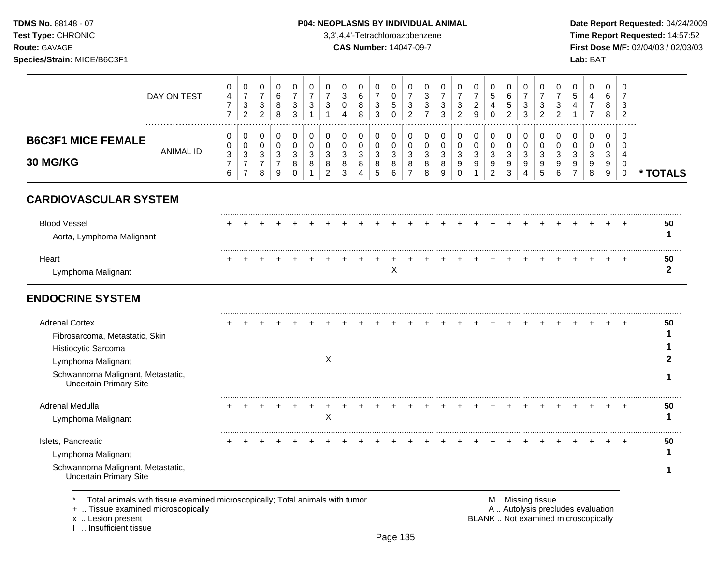**Test Type:** CHRONIC 3,3',4,4'-Tetrachloroazobenzene **Time Report Requested:** 14:57:52 **Route:** GAVAGE **CAS Number:** 14047-09-7 **First Dose M/F:** 02/04/03 / 02/03/03 **Species/Strain:** MICE/B6C3F1 **Lab:** BAT

|                                                                                                                                                                            | DAY ON TEST      | 0<br>$\overline{4}$<br>$\overline{7}$<br>$\overline{7}$ | 0<br>$\overline{7}$<br>$\ensuremath{\mathsf{3}}$<br>$\overline{c}$   | 0<br>$\boldsymbol{7}$<br>$\sqrt{3}$<br>$\overline{2}$ | 0<br>$\,6$<br>$\bf 8$<br>8                 | 0<br>$\overline{7}$<br>$\mathbf{3}$<br>3       | 0<br>$\overline{7}$<br>3<br>$\overline{1}$ | 0<br>$\overline{7}$<br>3<br>1                | 0<br>3<br>0<br>$\overline{A}$   | 0<br>$\,6\,$<br>8<br>8             | 0<br>$\overline{7}$<br>$\sqrt{3}$<br>3       | 0<br>$\pmb{0}$<br>$\sqrt{5}$<br>$\Omega$ | 0<br>$\overline{7}$<br>$\sqrt{3}$<br>$\overline{2}$ | 0<br>$\ensuremath{\mathsf{3}}$<br>$\ensuremath{\mathsf{3}}$<br>$\overline{7}$ | 0<br>$\overline{7}$<br>3<br>3   | 0<br>$\overline{7}$<br>$\ensuremath{\mathsf{3}}$<br>$\overline{2}$ | 0<br>$\overline{7}$<br>$\boldsymbol{2}$<br>9 | 0<br>$\sqrt{5}$<br>4<br>$\Omega$                     | 0<br>$\,6\,$<br>$\sqrt{5}$<br>$\overline{2}$        | 0<br>$\overline{7}$<br>3<br>3 | 0<br>$\overline{7}$<br>3<br>$\overline{2}$ | 0<br>$\overline{7}$<br>3<br>$\overline{2}$ | 0<br>5<br>4<br>1        | 0<br>4<br>$\overline{7}$<br>$\overline{7}$ | 0<br>6<br>8<br>8                     | $\mathbf 0$<br>$\overline{7}$<br>3<br>$\overline{2}$ |                    |
|----------------------------------------------------------------------------------------------------------------------------------------------------------------------------|------------------|---------------------------------------------------------|----------------------------------------------------------------------|-------------------------------------------------------|--------------------------------------------|------------------------------------------------|--------------------------------------------|----------------------------------------------|---------------------------------|------------------------------------|----------------------------------------------|------------------------------------------|-----------------------------------------------------|-------------------------------------------------------------------------------|---------------------------------|--------------------------------------------------------------------|----------------------------------------------|------------------------------------------------------|-----------------------------------------------------|-------------------------------|--------------------------------------------|--------------------------------------------|-------------------------|--------------------------------------------|--------------------------------------|------------------------------------------------------|--------------------|
| <b>B6C3F1 MICE FEMALE</b><br><b>30 MG/KG</b>                                                                                                                               | <b>ANIMAL ID</b> | 0<br>0<br>$\mathbf{3}$<br>$\overline{7}$<br>6           | 0<br>$\mathbf 0$<br>$\mathbf{3}$<br>$\overline{7}$<br>$\overline{7}$ | 0<br>0<br>3<br>$\overline{7}$<br>8                    | $\pmb{0}$<br>0<br>3<br>$\overline{7}$<br>9 | $\pmb{0}$<br>$\mathbf 0$<br>3<br>8<br>$\Omega$ | $\pmb{0}$<br>$\mathbf 0$<br>3<br>8         | 0<br>$\mathbf 0$<br>3<br>8<br>$\overline{2}$ | 0<br>$\mathbf 0$<br>3<br>8<br>3 | 0<br>0<br>3<br>8<br>$\overline{A}$ | 0<br>$\mathbf 0$<br>$\mathfrak{Z}$<br>8<br>5 | 0<br>0<br>$\sqrt{3}$<br>8<br>6           | 0<br>$\mathbf 0$<br>3<br>8<br>$\overline{7}$        | $\pmb{0}$<br>0<br>3<br>8<br>8                                                 | 0<br>$\mathbf 0$<br>3<br>8<br>9 | $\pmb{0}$<br>$\pmb{0}$<br>$\mathfrak{S}$<br>9<br>$\Omega$          | 0<br>0<br>3<br>9<br>1                        | 0<br>$\mathsf{O}\xspace$<br>3<br>9<br>$\overline{c}$ | 0<br>$\mathbf 0$<br>$\mathbf{3}$<br>9<br>$\sqrt{3}$ | 0<br>0<br>3<br>9<br>4         | $\pmb{0}$<br>$\mathbf 0$<br>3<br>9<br>5    | 0<br>$\Omega$<br>3<br>9<br>6               | 0<br>$\Omega$<br>3<br>9 | 0<br>$\mathbf 0$<br>3<br>9<br>8            | 0<br>0<br>3<br>9<br>$\boldsymbol{9}$ | 0<br>$\Omega$<br>$\overline{4}$<br>0<br>$\pmb{0}$    | * TOTALS           |
| <b>CARDIOVASCULAR SYSTEM</b>                                                                                                                                               |                  |                                                         |                                                                      |                                                       |                                            |                                                |                                            |                                              |                                 |                                    |                                              |                                          |                                                     |                                                                               |                                 |                                                                    |                                              |                                                      |                                                     |                               |                                            |                                            |                         |                                            |                                      |                                                      |                    |
| <b>Blood Vessel</b><br>Aorta, Lymphoma Malignant                                                                                                                           |                  |                                                         |                                                                      |                                                       |                                            |                                                |                                            |                                              |                                 |                                    |                                              |                                          |                                                     |                                                                               |                                 |                                                                    |                                              |                                                      |                                                     |                               |                                            |                                            |                         |                                            |                                      |                                                      | 50<br>1            |
| Heart<br>Lymphoma Malignant                                                                                                                                                |                  |                                                         |                                                                      |                                                       |                                            |                                                |                                            |                                              |                                 |                                    |                                              | X                                        |                                                     |                                                                               |                                 |                                                                    |                                              |                                                      |                                                     |                               |                                            |                                            |                         |                                            |                                      |                                                      | 50<br>$\mathbf{2}$ |
| <b>ENDOCRINE SYSTEM</b>                                                                                                                                                    |                  |                                                         |                                                                      |                                                       |                                            |                                                |                                            |                                              |                                 |                                    |                                              |                                          |                                                     |                                                                               |                                 |                                                                    |                                              |                                                      |                                                     |                               |                                            |                                            |                         |                                            |                                      |                                                      |                    |
| <b>Adrenal Cortex</b><br>Fibrosarcoma, Metastatic, Skin<br>Histiocytic Sarcoma<br>Lymphoma Malignant<br>Schwannoma Malignant, Metastatic,<br><b>Uncertain Primary Site</b> |                  |                                                         |                                                                      |                                                       |                                            |                                                |                                            | X                                            |                                 |                                    |                                              |                                          |                                                     |                                                                               |                                 |                                                                    |                                              |                                                      |                                                     |                               |                                            |                                            |                         |                                            |                                      |                                                      | 50                 |
| Adrenal Medulla<br>Lymphoma Malignant                                                                                                                                      |                  |                                                         |                                                                      |                                                       |                                            |                                                |                                            | X                                            |                                 |                                    |                                              |                                          |                                                     |                                                                               |                                 |                                                                    |                                              |                                                      |                                                     |                               |                                            |                                            |                         |                                            |                                      |                                                      | 50<br>1            |
| Islets, Pancreatic<br>Lymphoma Malignant<br>Schwannoma Malignant, Metastatic,<br><b>Uncertain Primary Site</b>                                                             |                  |                                                         |                                                                      |                                                       |                                            |                                                |                                            |                                              |                                 |                                    |                                              |                                          |                                                     |                                                                               |                                 |                                                                    |                                              |                                                      |                                                     |                               |                                            |                                            |                         |                                            |                                      |                                                      | 50                 |

\* .. Total animals with tissue examined microscopically; Total animals with tumor **M** . Missing tissue M .. Missing tissue<br>
+ .. Tissue examined microscopically<br>
+ .. Tissue examined microscopically + .. Tissue examined microscopically

x .. Lesion present<br>I .. Insufficient tissue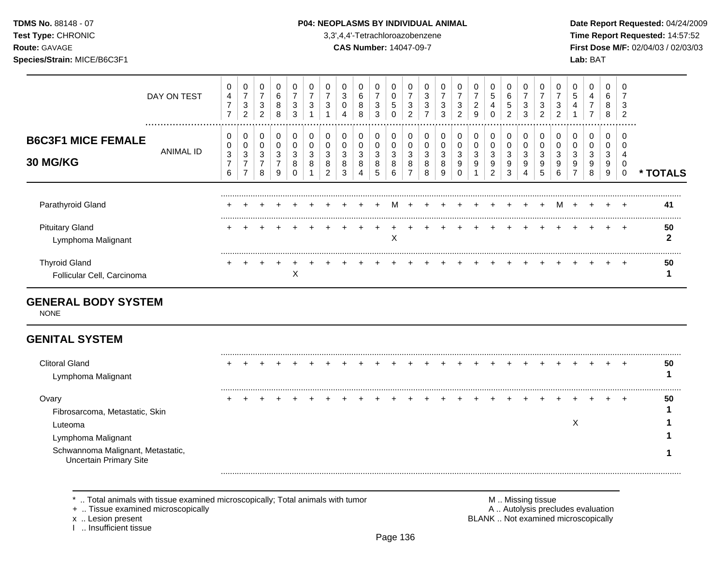## **TDMS No.** 88148 - 07 **P04: NEOPLASMS BY INDIVIDUAL ANIMAL** Date Report Requested: 04/24/2009

**Test Type:** CHRONIC 3,3',4,4'-Tetrachloroazobenzene **Time Report Requested:** 14:57:52 **Route:** GAVAGE **CAS Number:** 14047-09-7 **First Dose M/F:** 02/04/03 / 02/03/03

|                                                    | DAY ON TEST   | 0<br>$\overline{4}$<br>$\overline{7}$<br>$\overline{ }$    | 0<br>$\overline{ }$<br>3<br>$\overline{2}$      | 0<br>$\overline{ }$<br>3<br>2 | $\mathbf 0$<br>6<br>8<br>8 | 0<br>3<br>3      | 0<br>⇁<br>3 | 3           | 0<br>3<br>0<br>4      | 6<br>8<br>8 | 0<br>⇁<br>3<br>3      | 0<br>U<br>5<br>0      | 0<br>3<br>$\overline{2}$ | 0<br>3<br>3<br>$\overline{ }$ | 3<br>3      | 0<br>$\overline{ }$<br>3<br>$\overline{2}$ | $\overline{ }$<br>2<br>9 | 0<br>5<br>4<br>0      | 0<br>6<br>5<br>2      | 0<br>3<br>3           | 0<br>⇁<br>3<br>2      | 3<br>2 | 0<br>5                             | 0<br>4<br>⇁<br>$\overline{ }$ | 0<br>6<br>8<br>8      | 0<br>3<br>$\overline{2}$ |               |
|----------------------------------------------------|---------------|------------------------------------------------------------|-------------------------------------------------|-------------------------------|----------------------------|------------------|-------------|-------------|-----------------------|-------------|-----------------------|-----------------------|--------------------------|-------------------------------|-------------|--------------------------------------------|--------------------------|-----------------------|-----------------------|-----------------------|-----------------------|--------|------------------------------------|-------------------------------|-----------------------|--------------------------|---------------|
| <b>B6C3F1 MICE FEMALE</b><br><b>30 MG/KG</b>       | <br>ANIMAL ID | 0<br>0<br>$\ensuremath{\mathsf{3}}$<br>$\overline{ }$<br>6 | 0<br>0<br>3<br>$\overline{ }$<br>$\overline{ }$ | 0<br>0<br>3<br>8              | 0<br>0<br>3<br>7<br>9      | 0<br>0<br>3<br>8 | 0<br>3<br>8 | C<br>8<br>2 | 0<br>0<br>3<br>8<br>3 | 0<br>3<br>8 | 0<br>0<br>3<br>8<br>5 | 0<br>0<br>3<br>8<br>6 | 0<br>0<br>3<br>8         | 0<br>0<br>3<br>8<br>8         | J<br>8<br>9 | 0<br>0<br>3<br>9                           | 0<br>3<br>9              | 0<br>0<br>3<br>9<br>2 | 0<br>0<br>3<br>9<br>3 | 0<br>0<br>3<br>9<br>4 | 0<br>0<br>3<br>9<br>5 | C<br>9 | 0<br>0<br>3<br>9<br>$\overline{ }$ | 0<br>0<br>3<br>9<br>8         | 0<br>0<br>3<br>9<br>9 | .<br>0                   | <b>TOTALS</b> |
| Parathyroid Gland                                  |               |                                                            |                                                 |                               |                            |                  |             |             |                       |             |                       | м                     |                          |                               |             | $+$ $+$                                    |                          | $+$                   |                       | $+$                   | $\div$                | м      | $\div$                             |                               |                       |                          | 41<br>        |
| <b>Pituitary Gland</b><br>Lymphoma Malignant       |               |                                                            |                                                 |                               |                            |                  |             |             |                       |             |                       | X                     |                          |                               |             |                                            |                          |                       |                       |                       |                       |        |                                    |                               |                       | $\div$                   | 50            |
| <b>Thyroid Gland</b><br>Follicular Cell, Carcinoma |               |                                                            |                                                 |                               |                            | X                |             |             |                       |             |                       |                       |                          |                               |             |                                            |                          |                       |                       |                       |                       |        |                                    |                               |                       |                          | 50            |

# **GENERAL BODY SYSTEM**

NONE

# **GENITAL SYSTEM**

| <b>Clitoral Gland</b><br>Lymphoma Malignant                        |  |  |  |  |  |  |  |  |  |  |   |  | 50 |
|--------------------------------------------------------------------|--|--|--|--|--|--|--|--|--|--|---|--|----|
|                                                                    |  |  |  |  |  |  |  |  |  |  |   |  |    |
| Ovary                                                              |  |  |  |  |  |  |  |  |  |  |   |  | 50 |
| Fibrosarcoma, Metastatic, Skin                                     |  |  |  |  |  |  |  |  |  |  |   |  |    |
| Luteoma                                                            |  |  |  |  |  |  |  |  |  |  | ↗ |  |    |
| Lymphoma Malignant                                                 |  |  |  |  |  |  |  |  |  |  |   |  |    |
| Schwannoma Malignant, Metastatic,<br><b>Uncertain Primary Site</b> |  |  |  |  |  |  |  |  |  |  |   |  |    |
|                                                                    |  |  |  |  |  |  |  |  |  |  |   |  |    |
|                                                                    |  |  |  |  |  |  |  |  |  |  |   |  |    |

\* .. Total animals with tissue examined microscopically; Total animals with tumor <br>
+ .. Tissue examined microscopically<br>
+ .. Tissue examined microscopically

+ .. Tissue examined microscopically

x .. Lesion present **BLANK** .. Not examined microscopically

I .. Insufficient tissue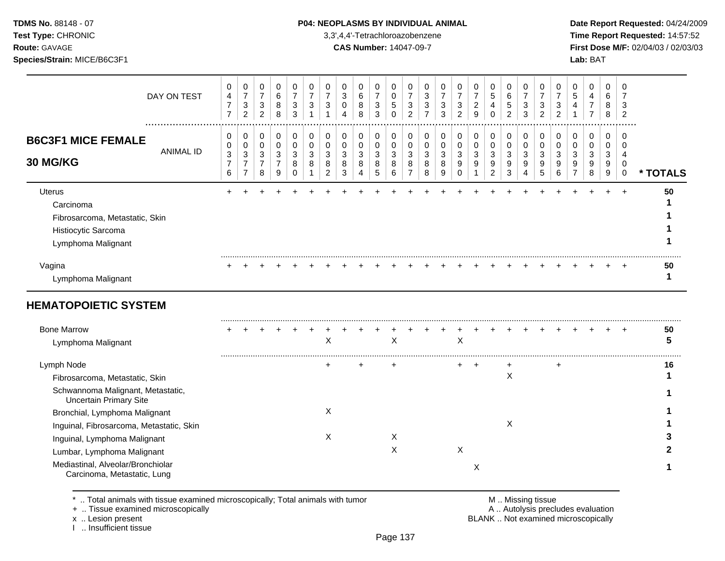## **TDMS No.** 88148 - 07 **P04: NEOPLASMS BY INDIVIDUAL ANIMAL** Date Report Requested: 04/24/2009

**Test Type:** CHRONIC 3,3',4,4'-Tetrachloroazobenzene **Time Report Requested:** 14:57:52 **Route:** GAVAGE **CAS Number:** 14047-09-7 **First Dose M/F:** 02/04/03 / 02/03/03

| DAY ON TEST                                                                                        | 0<br>4<br>$\overline{7}$<br>$\overline{7}$    | 0<br>$\overline{7}$<br>3<br>$\overline{2}$        | 0<br>$\boldsymbol{7}$<br>$\ensuremath{\mathsf{3}}$<br>$\overline{c}$ | 0<br>6<br>8<br>8                              | 0<br>$\overline{7}$<br>3<br>3   | 0<br>$\overline{7}$<br>3<br>1 | 0<br>$\overline{7}$<br>3           | 0<br>$\ensuremath{\mathsf{3}}$<br>0<br>4 | 0<br>$6\phantom{1}6$<br>8<br>8 | 0<br>$\overline{7}$<br>3<br>3 | 0<br>$\mathbf 0$<br>5<br>$\Omega$ | 0<br>$\overline{7}$<br>3<br>$\overline{2}$    | 0<br>3<br>3<br>$\overline{7}$ | 0<br>$\overline{7}$<br>3<br>3 | 0<br>$\overline{7}$<br>3<br>$\overline{2}$ | 0<br>$\overline{7}$<br>$\overline{c}$<br>9 | 0<br>$\sqrt{5}$<br>$\overline{4}$<br>$\Omega$ | 0<br>6<br>5<br>$\overline{2}$   | 0<br>$\overline{7}$<br>3<br>3    | 0<br>$\overline{7}$<br>3<br>2 | 0<br>$\overline{7}$<br>3<br>2 | 0<br>5<br>4                        | 0<br>4<br>7<br>7            | 0<br>6<br>8<br>8          | 0<br>3<br>$\overline{2}$               |          |
|----------------------------------------------------------------------------------------------------|-----------------------------------------------|---------------------------------------------------|----------------------------------------------------------------------|-----------------------------------------------|---------------------------------|-------------------------------|------------------------------------|------------------------------------------|--------------------------------|-------------------------------|-----------------------------------|-----------------------------------------------|-------------------------------|-------------------------------|--------------------------------------------|--------------------------------------------|-----------------------------------------------|---------------------------------|----------------------------------|-------------------------------|-------------------------------|------------------------------------|-----------------------------|---------------------------|----------------------------------------|----------|
| <b>B6C3F1 MICE FEMALE</b><br><b>ANIMAL ID</b><br>30 MG/KG                                          | 0<br>0<br>$\mathbf{3}$<br>$\overline{7}$<br>6 | 0<br>0<br>3<br>$\boldsymbol{7}$<br>$\overline{7}$ | 0<br>0<br>$\mathbf{3}$<br>$\overline{7}$<br>8                        | 0<br>0<br>$\mathbf{3}$<br>$\overline{7}$<br>9 | 0<br>0<br>3<br>8<br>$\mathbf 0$ | 0<br>0<br>3<br>8              | 0<br>0<br>3<br>8<br>$\overline{c}$ | 0<br>0<br>3<br>8<br>3                    | 0<br>0<br>3<br>8<br>4          | 0<br>0<br>3<br>8<br>5         | 0<br>0<br>3<br>8<br>6             | 0<br>0<br>$\mathbf{3}$<br>8<br>$\overline{7}$ | 0<br>0<br>3<br>8<br>8         | 0<br>0<br>3<br>8<br>9         | 0<br>$\mathbf 0$<br>3<br>9<br>0            | 0<br>0<br>3<br>9                           | 0<br>0<br>3<br>9<br>$\overline{2}$            | 0<br>0<br>3<br>$\mathsf g$<br>3 | 0<br>0<br>$\mathbf{3}$<br>9<br>4 | 0<br>0<br>3<br>9<br>5         | 0<br>0<br>3<br>9<br>6         | 0<br>0<br>3<br>9<br>$\overline{7}$ | 0<br>0<br>3<br>9<br>$\,8\,$ | 0<br>0<br>3<br>9<br>$9\,$ | 0<br>$\Omega$<br>4<br>$\mathbf 0$<br>0 | * TOTALS |
| Uterus<br>Carcinoma<br>Fibrosarcoma, Metastatic, Skin<br>Histiocytic Sarcoma<br>Lymphoma Malignant |                                               |                                                   |                                                                      |                                               |                                 |                               |                                    |                                          |                                |                               |                                   |                                               |                               |                               |                                            |                                            |                                               |                                 |                                  |                               |                               |                                    |                             |                           | $\div$                                 | 50       |
| Vagina<br>Lymphoma Malignant                                                                       |                                               |                                                   |                                                                      |                                               |                                 |                               |                                    |                                          |                                |                               |                                   |                                               |                               |                               |                                            |                                            |                                               |                                 |                                  |                               |                               |                                    |                             |                           |                                        | 50<br>1  |
| <b>HEMATOPOIETIC SYSTEM</b>                                                                        |                                               |                                                   |                                                                      |                                               |                                 |                               |                                    |                                          |                                |                               |                                   |                                               |                               |                               |                                            |                                            |                                               |                                 |                                  |                               |                               |                                    |                             |                           |                                        |          |
| <b>Bone Marrow</b><br>Lymphoma Malignant                                                           |                                               |                                                   |                                                                      |                                               |                                 |                               | Χ                                  |                                          |                                |                               | Χ                                 |                                               |                               |                               | X                                          |                                            |                                               |                                 |                                  |                               |                               |                                    |                             |                           |                                        | 50<br>5  |
| Lymph Node                                                                                         |                                               |                                                   |                                                                      |                                               |                                 |                               | ÷                                  |                                          |                                |                               |                                   |                                               |                               |                               | $\ddot{}$                                  | $\ddot{}$                                  |                                               |                                 |                                  |                               | +                             |                                    |                             |                           |                                        | 16       |
| Fibrosarcoma, Metastatic, Skin                                                                     |                                               |                                                   |                                                                      |                                               |                                 |                               |                                    |                                          |                                |                               |                                   |                                               |                               |                               |                                            |                                            |                                               | X                               |                                  |                               |                               |                                    |                             |                           |                                        |          |
| Schwannoma Malignant, Metastatic,<br><b>Uncertain Primary Site</b>                                 |                                               |                                                   |                                                                      |                                               |                                 |                               |                                    |                                          |                                |                               |                                   |                                               |                               |                               |                                            |                                            |                                               |                                 |                                  |                               |                               |                                    |                             |                           |                                        |          |
| Bronchial, Lymphoma Malignant                                                                      |                                               |                                                   |                                                                      |                                               |                                 |                               | X                                  |                                          |                                |                               |                                   |                                               |                               |                               |                                            |                                            |                                               |                                 |                                  |                               |                               |                                    |                             |                           |                                        |          |
| Inguinal, Fibrosarcoma, Metastatic, Skin                                                           |                                               |                                                   |                                                                      |                                               |                                 |                               |                                    |                                          |                                |                               |                                   |                                               |                               |                               |                                            |                                            |                                               | X                               |                                  |                               |                               |                                    |                             |                           |                                        |          |
| Inguinal, Lymphoma Malignant                                                                       |                                               |                                                   |                                                                      |                                               |                                 |                               | X                                  |                                          |                                |                               | Χ                                 |                                               |                               |                               |                                            |                                            |                                               |                                 |                                  |                               |                               |                                    |                             |                           |                                        |          |
| Lumbar, Lymphoma Malignant                                                                         |                                               |                                                   |                                                                      |                                               |                                 |                               |                                    |                                          |                                |                               | X                                 |                                               |                               |                               | $\mathsf{X}$                               |                                            |                                               |                                 |                                  |                               |                               |                                    |                             |                           |                                        |          |
| Mediastinal, Alveolar/Bronchiolar<br>Carcinoma, Metastatic, Lung                                   |                                               |                                                   |                                                                      |                                               |                                 |                               |                                    |                                          |                                |                               |                                   |                                               |                               |                               |                                            | X                                          |                                               |                                 |                                  |                               |                               |                                    |                             |                           |                                        |          |

 $*$  .. Total animals with tissue examined microscopically; Total animals with tumor  $\blacksquare$  M .. Missing tissue

x .. Lesion present<br>I .. Insufficient tissue

+ .. Tissue examined microscopically  $\blacksquare$  A .. Autolysis precludes evaluation M .. Missing tissue<br>A .. Autolysis precludes evaluation<br>BLANK .. Not examined microscopically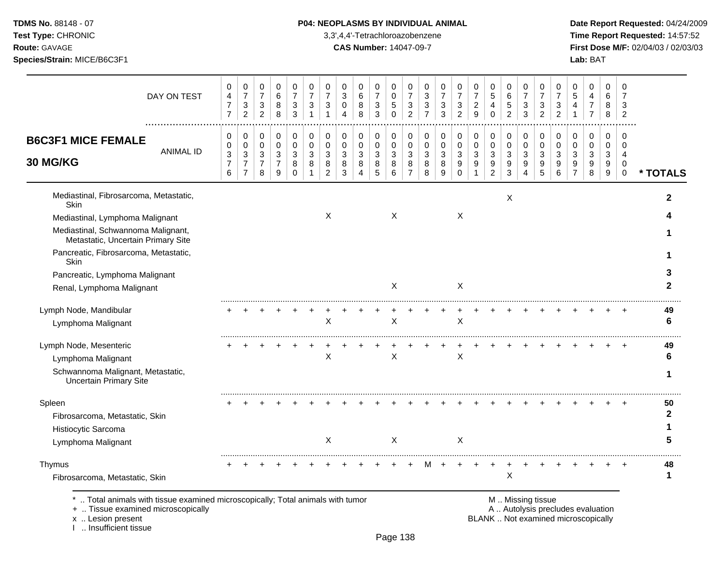## **TDMS No.** 88148 - 07 **P04: NEOPLASMS BY INDIVIDUAL ANIMAL** Date Report Requested: 04/24/2009

**Test Type:** CHRONIC 3,3',4,4'-Tetrachloroazobenzene **Time Report Requested:** 14:57:52 **Route:** GAVAGE **CAS Number:** 14047-09-7 **First Dose M/F:** 02/04/03 / 02/03/03

| DAY ON TEST                                                                                                        | 0<br>$\overline{\mathbf{4}}$<br>$\overline{7}$<br>$\overline{7}$ | 0<br>$\overline{7}$<br>$\mathbf{3}$<br>$\overline{2}$              | 0<br>$\boldsymbol{7}$<br>$\mathbf{3}$<br>$\overline{c}$ | $\mathbf 0$<br>$\,6\,$<br>8<br>8                     | 0<br>$\overline{7}$<br>3<br>3          | 0<br>$\overline{7}$<br>3<br>$\overline{1}$ | 0<br>$\overline{7}$<br>3<br>1             | 0<br>$\ensuremath{\mathsf{3}}$<br>0<br>4 | 0<br>$\,6$<br>8<br>8                         | 0<br>$\overline{7}$<br>$\mathbf{3}$<br>3 | $\mathbf 0$<br>$\mathbf 0$<br>5<br>$\Omega$ | 0<br>$\overline{7}$<br>$\mathbf{3}$<br>$\overline{2}$ | 0<br>$\sqrt{3}$<br>3<br>$\overline{7}$ | 0<br>$\overline{7}$<br>3<br>3 | 0<br>$\overline{7}$<br>3<br>$\overline{2}$         | 0<br>$\overline{7}$<br>$\overline{c}$<br>9     | 0<br>$\sqrt{5}$<br>4<br>$\Omega$                          | $\mathbf 0$<br>$\,6\,$<br>$\,$ 5 $\,$<br>$\overline{2}$ | 0<br>$\overline{7}$<br>3<br>3 | 0<br>$\overline{7}$<br>3<br>$\overline{2}$ | 0<br>$\overline{7}$<br>3<br>$\overline{2}$ | 0<br>5<br>4             | 0<br>4<br>$\overline{7}$<br>$\overline{7}$ | 0<br>6<br>8<br>8                | 0<br>$\overline{7}$<br>3<br>$\overline{c}$                    |              |
|--------------------------------------------------------------------------------------------------------------------|------------------------------------------------------------------|--------------------------------------------------------------------|---------------------------------------------------------|------------------------------------------------------|----------------------------------------|--------------------------------------------|-------------------------------------------|------------------------------------------|----------------------------------------------|------------------------------------------|---------------------------------------------|-------------------------------------------------------|----------------------------------------|-------------------------------|----------------------------------------------------|------------------------------------------------|-----------------------------------------------------------|---------------------------------------------------------|-------------------------------|--------------------------------------------|--------------------------------------------|-------------------------|--------------------------------------------|---------------------------------|---------------------------------------------------------------|--------------|
| <b>B6C3F1 MICE FEMALE</b><br><b>ANIMAL ID</b><br>30 MG/KG                                                          | 0<br>$\,0\,$<br>$\ensuremath{\mathsf{3}}$<br>$\overline{7}$<br>6 | 0<br>$\pmb{0}$<br>$\mathbf{3}$<br>$\overline{7}$<br>$\overline{7}$ | 0<br>$\pmb{0}$<br>3<br>$\overline{7}$<br>8              | $\mathbf 0$<br>$\pmb{0}$<br>3<br>$\overline{7}$<br>9 | 0<br>$\Omega$<br>3<br>8<br>$\mathbf 0$ | 0<br>$\mathbf 0$<br>3<br>8                 | 0<br>$\Omega$<br>3<br>8<br>$\overline{c}$ | 0<br>$\mathbf 0$<br>3<br>8<br>3          | 0<br>$\mathbf 0$<br>3<br>8<br>$\overline{4}$ | 0<br>$\pmb{0}$<br>3<br>$\bf 8$<br>5      | 0<br>$\mathbf 0$<br>3<br>8<br>6             | 0<br>$\mathbf 0$<br>3<br>8<br>$\overline{7}$          | 0<br>$\mathbf 0$<br>3<br>8<br>8        | 0<br>$\Omega$<br>3<br>8<br>9  | 0<br>$\mathbf 0$<br>$\sqrt{3}$<br>9<br>$\mathbf 0$ | 0<br>$\boldsymbol{0}$<br>3<br>$\boldsymbol{9}$ | 0<br>$\pmb{0}$<br>3<br>$\boldsymbol{9}$<br>$\overline{c}$ | 0<br>$\pmb{0}$<br>3<br>9<br>3                           | 0<br>$\pmb{0}$<br>3<br>9<br>4 | 0<br>$\mathbf 0$<br>3<br>9<br>5            | 0<br>$\Omega$<br>3<br>9<br>6               | 0<br>$\Omega$<br>3<br>9 | 0<br>$\mathbf 0$<br>3<br>9<br>8            | 0<br>$\mathbf 0$<br>3<br>9<br>9 | 0<br>$\Omega$<br>$\overline{4}$<br>$\mathbf 0$<br>$\mathbf 0$ | * TOTALS     |
| Mediastinal, Fibrosarcoma, Metastatic,<br>Skin                                                                     |                                                                  |                                                                    |                                                         |                                                      |                                        |                                            |                                           |                                          |                                              |                                          |                                             |                                                       |                                        |                               |                                                    |                                                |                                                           | X                                                       |                               |                                            |                                            |                         |                                            |                                 |                                                               | 2            |
| Mediastinal, Lymphoma Malignant<br>Mediastinal, Schwannoma Malignant,<br>Metastatic, Uncertain Primary Site        |                                                                  |                                                                    |                                                         |                                                      |                                        |                                            | X                                         |                                          |                                              |                                          | $\times$                                    |                                                       |                                        |                               | X                                                  |                                                |                                                           |                                                         |                               |                                            |                                            |                         |                                            |                                 |                                                               |              |
| Pancreatic, Fibrosarcoma, Metastatic,<br>Skin                                                                      |                                                                  |                                                                    |                                                         |                                                      |                                        |                                            |                                           |                                          |                                              |                                          |                                             |                                                       |                                        |                               |                                                    |                                                |                                                           |                                                         |                               |                                            |                                            |                         |                                            |                                 |                                                               |              |
| Pancreatic, Lymphoma Malignant<br>Renal, Lymphoma Malignant                                                        |                                                                  |                                                                    |                                                         |                                                      |                                        |                                            |                                           |                                          |                                              |                                          | $\mathsf{X}$                                |                                                       |                                        |                               | $\mathsf{X}$                                       |                                                |                                                           |                                                         |                               |                                            |                                            |                         |                                            |                                 |                                                               | $\mathbf{2}$ |
| Lymph Node, Mandibular<br>Lymphoma Malignant                                                                       |                                                                  |                                                                    |                                                         |                                                      |                                        |                                            | X                                         |                                          |                                              |                                          | $\boldsymbol{\mathsf{X}}$                   |                                                       |                                        |                               | $\boldsymbol{\mathsf{X}}$                          |                                                |                                                           |                                                         |                               |                                            |                                            |                         |                                            |                                 |                                                               | 49<br>6      |
| Lymph Node, Mesenteric<br>Lymphoma Malignant<br>Schwannoma Malignant, Metastatic,<br><b>Uncertain Primary Site</b> |                                                                  |                                                                    |                                                         |                                                      |                                        |                                            | X                                         |                                          |                                              |                                          | X                                           |                                                       |                                        |                               | X                                                  |                                                |                                                           |                                                         |                               |                                            |                                            |                         |                                            |                                 |                                                               | 49<br>6<br>1 |
| Spleen<br>Fibrosarcoma, Metastatic, Skin<br>Histiocytic Sarcoma<br>Lymphoma Malignant                              |                                                                  |                                                                    |                                                         |                                                      |                                        |                                            | $\mathsf{X}$                              |                                          |                                              |                                          | $\sf X$                                     |                                                       |                                        |                               | X                                                  |                                                |                                                           |                                                         |                               |                                            |                                            |                         |                                            |                                 |                                                               | 50<br>2      |
| Thymus<br>Fibrosarcoma, Metastatic, Skin                                                                           |                                                                  |                                                                    |                                                         |                                                      |                                        |                                            |                                           |                                          |                                              |                                          |                                             |                                                       |                                        |                               |                                                    |                                                |                                                           | $\boldsymbol{\mathsf{X}}$                               |                               |                                            |                                            |                         |                                            |                                 |                                                               | 48<br>1      |

\* .. Total animals with tissue examined microscopically; Total animals with tumor **M** . M . Missing tissue examined microscopically<br>
+ .. Tissue examined microscopically

+ .. Tissue examined microscopically

x .. Lesion present<br>I .. Insufficient tissue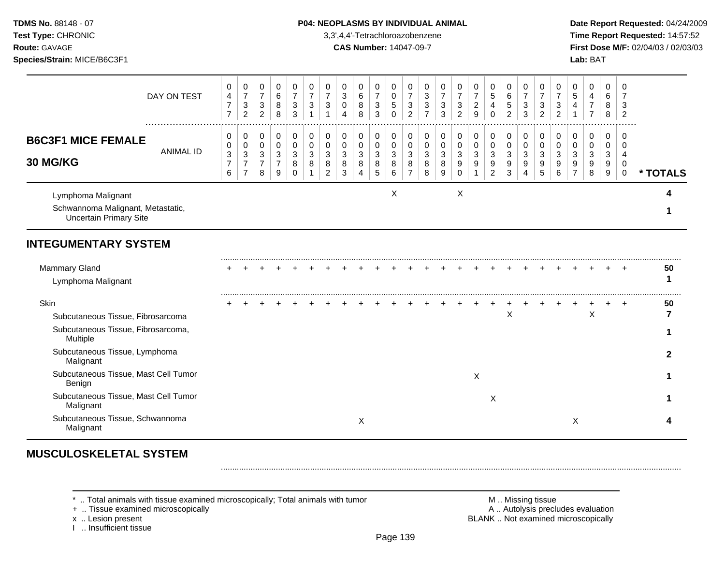**Test Type:** CHRONIC 3,3',4,4'-Tetrachloroazobenzene **Time Report Requested:** 14:57:52 **Route:** GAVAGE **CAS Number:** 14047-09-7 **First Dose M/F:** 02/04/03 / 02/03/03 **Species/Strain:** MICE/B6C3F1 **Lab:** BAT

|                                                                                          | DAY ON TEST          | 0<br>$\overline{4}$<br>$\overline{7}$<br>$\overline{7}$ | 0<br>$\boldsymbol{7}$<br>$\mathbf{3}$<br>$\overline{2}$ | 0<br>$\overline{7}$<br>$\mathbf{3}$<br>2     | 0<br>6<br>8<br>8                          | 0<br>$\overline{7}$<br>3<br>3   | 0<br>$\overline{7}$<br>$\ensuremath{\mathsf{3}}$ | $\pmb{0}$<br>$\overline{7}$<br>$\sqrt{3}$        | 0<br>3<br>$\mathsf{O}\xspace$<br>$\overline{4}$ | 0<br>$\,6\,$<br>$\bf 8$<br>8                          | 0<br>$\overline{7}$<br>$\sqrt{3}$<br>3 | 0<br>$\mathbf 0$<br>$\sqrt{5}$<br>$\Omega$ | 0<br>$\overline{7}$<br>$\mathbf{3}$<br>$\overline{2}$ | 0<br>3<br>3<br>$\overline{7}$   | $\pmb{0}$<br>$\overline{7}$<br>$\ensuremath{\mathsf{3}}$<br>3 | 0<br>$\overline{7}$<br>$\mathbf{3}$<br>$\overline{2}$  | 0<br>$\boldsymbol{7}$<br>$\overline{c}$<br>9 | 0<br>5<br>$\overline{4}$<br>$\Omega$         | 0<br>6<br>5<br>2             | 0<br>$\overline{7}$<br>3<br>3 | 0<br>$\overline{7}$<br>3<br>$\overline{2}$ | 0<br>$\overline{7}$<br>$\sqrt{3}$<br>$\overline{2}$ | 0<br>5<br>4                        | 0<br>$\overline{4}$<br>$\boldsymbol{7}$<br>$\overline{7}$ | $\mathbf 0$<br>6<br>8<br>8                               | 0<br>7<br>3<br>$\overline{2}$                 |          |
|------------------------------------------------------------------------------------------|----------------------|---------------------------------------------------------|---------------------------------------------------------|----------------------------------------------|-------------------------------------------|---------------------------------|--------------------------------------------------|--------------------------------------------------|-------------------------------------------------|-------------------------------------------------------|----------------------------------------|--------------------------------------------|-------------------------------------------------------|---------------------------------|---------------------------------------------------------------|--------------------------------------------------------|----------------------------------------------|----------------------------------------------|------------------------------|-------------------------------|--------------------------------------------|-----------------------------------------------------|------------------------------------|-----------------------------------------------------------|----------------------------------------------------------|-----------------------------------------------|----------|
| <b>B6C3F1 MICE FEMALE</b><br>30 MG/KG                                                    | <br><b>ANIMAL ID</b> | 0<br>0<br>$\sqrt{3}$<br>$\overline{7}$<br>6             | 0<br>0<br>3<br>$\overline{7}$<br>$\overline{7}$         | 0<br>$\mathbf 0$<br>3<br>$\overline{7}$<br>8 | 0<br>$\Omega$<br>3<br>$\overline{7}$<br>9 | 0<br>$\mathbf 0$<br>3<br>8<br>0 | 0<br>$\mathbf 0$<br>3<br>8                       | $\,0\,$<br>$\pmb{0}$<br>3<br>8<br>$\overline{2}$ | 0<br>$\mathbf 0$<br>3<br>8<br>3                 | 0<br>$\pmb{0}$<br>$\mathbf{3}$<br>8<br>$\overline{4}$ | 0<br>$\mathbf 0$<br>3<br>8<br>5        | 0<br>$\Omega$<br>3<br>8<br>6               | 0<br>$\mathbf 0$<br>3<br>8                            | 0<br>$\mathbf 0$<br>3<br>8<br>8 | $\pmb{0}$<br>$\pmb{0}$<br>$\mathbf{3}$<br>8<br>9              | 0<br>$\boldsymbol{0}$<br>$\mathbf{3}$<br>9<br>$\Omega$ | 0<br>$\pmb{0}$<br>$\mathbf{3}$<br>9          | 0<br>$\mathbf 0$<br>3<br>9<br>$\overline{2}$ | 0<br>$\Omega$<br>3<br>9<br>3 | 0<br>$\mathbf 0$<br>3<br>9    | 0<br>$\mathbf 0$<br>3<br>9<br>5            | 0<br>$\mathbf 0$<br>3<br>9<br>6                     | 0<br>0<br>3<br>9<br>$\overline{7}$ | 0<br>$\pmb{0}$<br>3<br>9<br>8                             | $\mathbf 0$<br>$\mathbf 0$<br>3<br>9<br>$\boldsymbol{9}$ | $\Omega$<br>$\Omega$<br>4<br>0<br>$\mathbf 0$ | * TOTALS |
| Lymphoma Malignant<br>Schwannoma Malignant, Metastatic,<br><b>Uncertain Primary Site</b> |                      |                                                         |                                                         |                                              |                                           |                                 |                                                  |                                                  |                                                 |                                                       |                                        | X                                          |                                                       |                                 |                                                               | Χ                                                      |                                              |                                              |                              |                               |                                            |                                                     |                                    |                                                           |                                                          |                                               |          |
| <b>INTEGUMENTARY SYSTEM</b>                                                              |                      |                                                         |                                                         |                                              |                                           |                                 |                                                  |                                                  |                                                 |                                                       |                                        |                                            |                                                       |                                 |                                                               |                                                        |                                              |                                              |                              |                               |                                            |                                                     |                                    |                                                           |                                                          |                                               |          |
| Mammary Gland<br>Lymphoma Malignant                                                      |                      |                                                         |                                                         |                                              |                                           |                                 |                                                  |                                                  |                                                 |                                                       |                                        |                                            |                                                       |                                 |                                                               |                                                        |                                              |                                              |                              |                               |                                            |                                                     |                                    |                                                           |                                                          | $\div$                                        | 50<br>1  |
| Skin<br>Subcutaneous Tissue, Fibrosarcoma                                                |                      |                                                         |                                                         |                                              |                                           |                                 |                                                  |                                                  |                                                 |                                                       |                                        |                                            |                                                       |                                 |                                                               |                                                        |                                              |                                              | $\mathsf X$                  |                               |                                            |                                                     |                                    | $\pmb{\times}$                                            |                                                          | $\pm$                                         | 50       |
| Subcutaneous Tissue, Fibrosarcoma,<br>Multiple<br>Subcutaneous Tissue, Lymphoma          |                      |                                                         |                                                         |                                              |                                           |                                 |                                                  |                                                  |                                                 |                                                       |                                        |                                            |                                                       |                                 |                                                               |                                                        |                                              |                                              |                              |                               |                                            |                                                     |                                    |                                                           |                                                          |                                               | 2        |
| Malignant<br>Subcutaneous Tissue, Mast Cell Tumor<br>Benign                              |                      |                                                         |                                                         |                                              |                                           |                                 |                                                  |                                                  |                                                 |                                                       |                                        |                                            |                                                       |                                 |                                                               |                                                        | X                                            |                                              |                              |                               |                                            |                                                     |                                    |                                                           |                                                          |                                               |          |
| Subcutaneous Tissue, Mast Cell Tumor<br>Malignant                                        |                      |                                                         |                                                         |                                              |                                           |                                 |                                                  |                                                  |                                                 |                                                       |                                        |                                            |                                                       |                                 |                                                               |                                                        |                                              | X                                            |                              |                               |                                            |                                                     |                                    |                                                           |                                                          |                                               |          |
| Subcutaneous Tissue, Schwannoma<br>Malignant                                             |                      |                                                         |                                                         |                                              |                                           |                                 |                                                  |                                                  |                                                 | Χ                                                     |                                        |                                            |                                                       |                                 |                                                               |                                                        |                                              |                                              |                              |                               |                                            |                                                     | Χ                                  |                                                           |                                                          |                                               |          |

# **MUSCULOSKELETAL SYSTEM**

\* .. Total animals with tissue examined microscopically; Total animals with tumor <br>
+ .. Tissue examined microscopically<br>
+ .. Tissue examined microscopically

+ .. Tissue examined microscopically<br>x .. Lesion present

I .. Insufficient tissue

BLANK .. Not examined microscopically

.........................................................................................................................................................................................................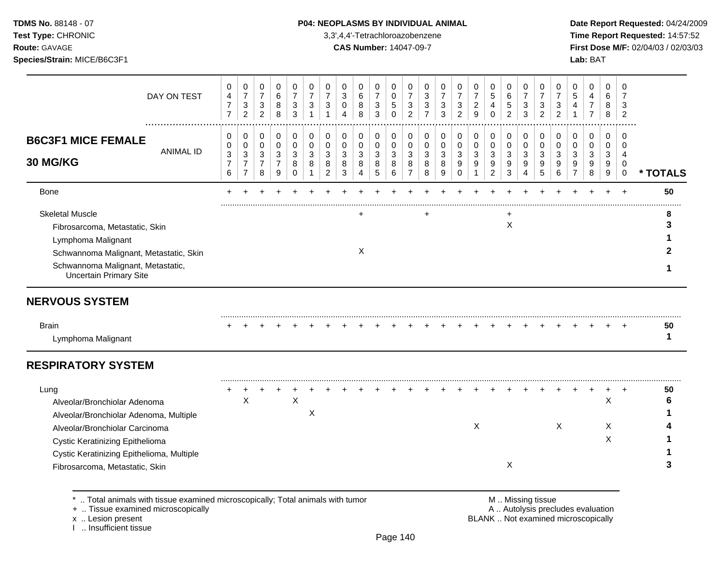**Test Type:** CHRONIC 3,3',4,4'-Tetrachloroazobenzene **Time Report Requested:** 14:57:52 **Route:** GAVAGE **CAS Number:** 14047-09-7 **First Dose M/F:** 02/04/03 / 02/03/03 **Species/Strain:** MICE/B6C3F1 **Lab:** BAT

| DAY ON TEST                                                                 | 0<br>4<br>$\overline{7}$<br>$\overline{7}$ | 0<br>$\overline{7}$<br>3<br>$\overline{2}$ | 0<br>$\overline{7}$<br>$\mathbf{3}$<br>$\overline{2}$ | 0<br>6<br>8<br>8                        | 0<br>$\overline{7}$<br>$\sqrt{3}$<br>3 | 0<br>$\overline{7}$<br>3<br>$\mathbf{1}$ | 0<br>$\overline{7}$<br>3<br>$\mathbf{1}$ | $\Omega$<br>$\mathbf{3}$<br>$\mathbf 0$<br>4 | 0<br>6<br>8<br>8           | 0<br>$\overline{7}$<br>$\mathbf{3}$<br>3 | 0<br>$\mathbf 0$<br>$\sqrt{5}$<br>$\Omega$ | 0<br>$\overline{7}$<br>$\ensuremath{\mathsf{3}}$<br>$\overline{c}$ | 0<br>3<br>3<br>$\overline{7}$ | 0<br>$\overline{7}$<br>3<br>3 | $\Omega$<br>$\overline{7}$<br>3<br>$\overline{2}$ | 0<br>$\overline{7}$<br>$\overline{c}$<br>9 | 0<br>5<br>4<br>$\Omega$               | 0<br>6<br>5<br>$\overline{2}$         | $\mathbf 0$<br>$\overline{7}$<br>3<br>3 | 0<br>$\overline{7}$<br>3<br>$\overline{2}$ | $\mathbf 0$<br>$\overline{7}$<br>3<br>$\overline{c}$ | $\Omega$<br>5<br>4<br>$\mathbf{1}$ | 0<br>4<br>$\overline{7}$<br>$\overline{7}$ | 0<br>6<br>8<br>8                     | $\Omega$<br>7<br>3<br>2        |          |
|-----------------------------------------------------------------------------|--------------------------------------------|--------------------------------------------|-------------------------------------------------------|-----------------------------------------|----------------------------------------|------------------------------------------|------------------------------------------|----------------------------------------------|----------------------------|------------------------------------------|--------------------------------------------|--------------------------------------------------------------------|-------------------------------|-------------------------------|---------------------------------------------------|--------------------------------------------|---------------------------------------|---------------------------------------|-----------------------------------------|--------------------------------------------|------------------------------------------------------|------------------------------------|--------------------------------------------|--------------------------------------|--------------------------------|----------|
| <b>B6C3F1 MICE FEMALE</b><br><b>ANIMAL ID</b><br>30 MG/KG                   | 0<br>0<br>3<br>7                           | 0<br>0<br>3<br>$\overline{7}$              | 0<br>0<br>3<br>$\overline{7}$                         | 0<br>$\mathbf 0$<br>3<br>$\overline{7}$ | 0<br>$\pmb{0}$<br>3<br>8               | 0<br>$\mathbf 0$<br>3<br>8               | 0<br>$\mathbf 0$<br>3<br>8               | 0<br>$\mathbf 0$<br>3<br>8                   | 0<br>$\mathbf 0$<br>3<br>8 | 0<br>$\mathbf 0$<br>$\mathbf{3}$<br>8    | 0<br>$\mathbf 0$<br>3<br>8                 | 0<br>$\mathbf 0$<br>3<br>8                                         | 0<br>$\mathbf 0$<br>3<br>8    | 0<br>$\mathbf 0$<br>3<br>8    | 0<br>$\mathbf 0$<br>3<br>9                        | 0<br>$\mathbf 0$<br>3<br>9                 | 0<br>$\mathbf 0$<br>$\mathbf{3}$<br>9 | 0<br>$\mathbf 0$<br>$\mathbf{3}$<br>9 | 0<br>$\mathbf 0$<br>3<br>9              | 0<br>$\mathbf 0$<br>3<br>9                 | 0<br>$\mathbf 0$<br>3<br>9                           | 0<br>$\Omega$<br>3<br>9            | 0<br>$\mathbf 0$<br>3<br>9                 | $\mathbf 0$<br>$\mathbf 0$<br>3<br>9 | $\Omega$<br>$\Omega$<br>4<br>0 |          |
|                                                                             | 6                                          | $\overline{7}$                             | 8                                                     | 9                                       | $\mathbf 0$                            | 1                                        | $\overline{c}$                           | 3                                            | 4                          | 5                                        | 6                                          | $\overline{7}$                                                     | 8                             | 9                             | $\mathbf 0$                                       | $\mathbf{1}$                               | $\overline{2}$                        | 3                                     | 4                                       | 5                                          | 6                                                    | $\overline{7}$                     | 8                                          | 9                                    | $\mathbf 0$                    | * TOTALS |
| Bone                                                                        |                                            |                                            |                                                       |                                         |                                        |                                          |                                          |                                              |                            |                                          |                                            |                                                                    |                               |                               |                                                   |                                            |                                       |                                       |                                         |                                            |                                                      |                                    |                                            |                                      | $\ddot{}$                      | 50       |
| <b>Skeletal Muscle</b>                                                      |                                            |                                            |                                                       |                                         |                                        |                                          |                                          |                                              | $\ddot{}$                  |                                          |                                            |                                                                    | $\ddot{}$                     |                               |                                                   |                                            |                                       |                                       |                                         |                                            |                                                      |                                    |                                            |                                      |                                |          |
| Fibrosarcoma, Metastatic, Skin                                              |                                            |                                            |                                                       |                                         |                                        |                                          |                                          |                                              |                            |                                          |                                            |                                                                    |                               |                               |                                                   |                                            |                                       | $\boldsymbol{\mathsf{X}}$             |                                         |                                            |                                                      |                                    |                                            |                                      |                                | 3        |
| Lymphoma Malignant                                                          |                                            |                                            |                                                       |                                         |                                        |                                          |                                          |                                              |                            |                                          |                                            |                                                                    |                               |                               |                                                   |                                            |                                       |                                       |                                         |                                            |                                                      |                                    |                                            |                                      |                                |          |
| Schwannoma Malignant, Metastatic, Skin                                      |                                            |                                            |                                                       |                                         |                                        |                                          |                                          |                                              | Χ                          |                                          |                                            |                                                                    |                               |                               |                                                   |                                            |                                       |                                       |                                         |                                            |                                                      |                                    |                                            |                                      |                                |          |
| Schwannoma Malignant, Metastatic,<br><b>Uncertain Primary Site</b>          |                                            |                                            |                                                       |                                         |                                        |                                          |                                          |                                              |                            |                                          |                                            |                                                                    |                               |                               |                                                   |                                            |                                       |                                       |                                         |                                            |                                                      |                                    |                                            |                                      |                                |          |
| <b>NERVOUS SYSTEM</b>                                                       |                                            |                                            |                                                       |                                         |                                        |                                          |                                          |                                              |                            |                                          |                                            |                                                                    |                               |                               |                                                   |                                            |                                       |                                       |                                         |                                            |                                                      |                                    |                                            |                                      |                                |          |
| <b>Brain</b>                                                                |                                            |                                            |                                                       |                                         |                                        |                                          |                                          |                                              |                            |                                          |                                            |                                                                    |                               |                               |                                                   |                                            |                                       |                                       |                                         |                                            |                                                      |                                    |                                            |                                      |                                | 50       |
| Lymphoma Malignant                                                          |                                            |                                            |                                                       |                                         |                                        |                                          |                                          |                                              |                            |                                          |                                            |                                                                    |                               |                               |                                                   |                                            |                                       |                                       |                                         |                                            |                                                      |                                    |                                            |                                      |                                | 1        |
| <b>RESPIRATORY SYSTEM</b>                                                   |                                            |                                            |                                                       |                                         |                                        |                                          |                                          |                                              |                            |                                          |                                            |                                                                    |                               |                               |                                                   |                                            |                                       |                                       |                                         |                                            |                                                      |                                    |                                            |                                      |                                |          |
| Lung                                                                        |                                            |                                            |                                                       |                                         |                                        |                                          |                                          |                                              |                            |                                          |                                            |                                                                    |                               |                               |                                                   |                                            |                                       |                                       |                                         |                                            |                                                      |                                    |                                            |                                      |                                | 50       |
| Alveolar/Bronchiolar Adenoma                                                |                                            | X                                          |                                                       |                                         | X                                      |                                          |                                          |                                              |                            |                                          |                                            |                                                                    |                               |                               |                                                   |                                            |                                       |                                       |                                         |                                            |                                                      |                                    |                                            | $\mathsf X$                          |                                | 6        |
| Alveolar/Bronchiolar Adenoma, Multiple                                      |                                            |                                            |                                                       |                                         |                                        | Χ                                        |                                          |                                              |                            |                                          |                                            |                                                                    |                               |                               |                                                   |                                            |                                       |                                       |                                         |                                            |                                                      |                                    |                                            |                                      |                                |          |
| Alveolar/Bronchiolar Carcinoma                                              |                                            |                                            |                                                       |                                         |                                        |                                          |                                          |                                              |                            |                                          |                                            |                                                                    |                               |                               |                                                   | X                                          |                                       |                                       |                                         |                                            | X                                                    |                                    |                                            | X                                    |                                |          |
| Cystic Keratinizing Epithelioma                                             |                                            |                                            |                                                       |                                         |                                        |                                          |                                          |                                              |                            |                                          |                                            |                                                                    |                               |                               |                                                   |                                            |                                       |                                       |                                         |                                            |                                                      |                                    |                                            | X                                    |                                |          |
|                                                                             |                                            |                                            |                                                       |                                         |                                        |                                          |                                          |                                              |                            |                                          |                                            |                                                                    |                               |                               |                                                   |                                            |                                       | X                                     |                                         |                                            |                                                      |                                    |                                            |                                      |                                |          |
| Cystic Keratinizing Epithelioma, Multiple<br>Fibrosarcoma, Metastatic, Skin |                                            |                                            |                                                       |                                         |                                        |                                          |                                          |                                              |                            |                                          |                                            |                                                                    |                               |                               |                                                   |                                            |                                       |                                       |                                         |                                            |                                                      |                                    |                                            |                                      |                                | 3        |

+ .. Tissue examined microscopically<br>x .. Lesion present

I .. Insufficient tissue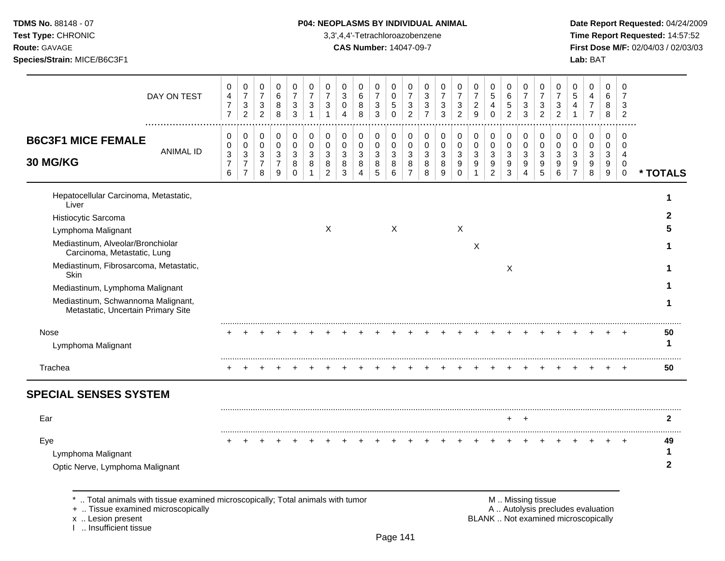# **TDMS No.** 88148 - 07 **P04: NEOPLASMS BY INDIVIDUAL ANIMAL** Date Report Requested: 04/24/2009

**Test Type:** CHRONIC 3,3',4,4'-Tetrachloroazobenzene **Time Report Requested:** 14:57:52 **Route:** GAVAGE **CAS Number:** 14047-09-7 **First Dose M/F:** 02/04/03 / 02/03/03

| DAY ON TEST                                                                                                                                                                                  | 0<br>4<br>$\overline{7}$<br>$\overline{7}$ | 0<br>$\overline{7}$<br>$\ensuremath{\mathsf{3}}$<br>$\mathfrak{p}$ | 0<br>$\overline{7}$<br>3<br>$\overline{2}$ | 0<br>6<br>8<br>8                             | 0<br>$\overline{7}$<br>3<br>3 | 0<br>$\overline{7}$<br>3<br>$\mathbf{1}$ | 0<br>$\overline{7}$<br>3<br>$\overline{1}$ | 0<br>3<br>$\Omega$<br>Δ | 0<br>6<br>8<br>8                | 0<br>$\overline{7}$<br>3<br>3 | 0<br>0<br>5<br>$\Omega$ | 0<br>$\overline{7}$<br>$\ensuremath{\mathsf{3}}$<br>$\overline{2}$ | 0<br>3<br>3<br>$\overline{7}$ | 0<br>$\overline{7}$<br>3<br>3 | 0<br>$\overline{7}$<br>3<br>$\mathcal{P}$ | 0<br>$\overline{7}$<br>$\overline{c}$<br>9 | 0<br>$\sqrt{5}$<br>4<br>$\Omega$ | 0<br>6<br>5<br>2      | 0<br>$\overline{7}$<br>3<br>3                  | 0<br>$\overline{7}$<br>3<br>$\overline{2}$ | 0<br>$\overline{7}$<br>3<br>$\overline{c}$ | 0<br>5<br>4<br>1             | 0<br>4<br>$\overline{7}$<br>$\overline{7}$ | 0<br>6<br>8<br>8      | $\mathbf 0$<br>$\overline{7}$<br>3<br>$\overline{2}$   |                         |
|----------------------------------------------------------------------------------------------------------------------------------------------------------------------------------------------|--------------------------------------------|--------------------------------------------------------------------|--------------------------------------------|----------------------------------------------|-------------------------------|------------------------------------------|--------------------------------------------|-------------------------|---------------------------------|-------------------------------|-------------------------|--------------------------------------------------------------------|-------------------------------|-------------------------------|-------------------------------------------|--------------------------------------------|----------------------------------|-----------------------|------------------------------------------------|--------------------------------------------|--------------------------------------------|------------------------------|--------------------------------------------|-----------------------|--------------------------------------------------------|-------------------------|
| <b>B6C3F1 MICE FEMALE</b><br><b>ANIMAL ID</b><br>30 MG/KG                                                                                                                                    | 0<br>0<br>3<br>$\overline{7}$<br>6         | 0<br>0<br>$\mathbf{3}$<br>$\overline{7}$<br>$\overline{7}$         | 0<br>0<br>3<br>$\overline{7}$<br>8         | 0<br>$\mathbf 0$<br>3<br>$\overline{7}$<br>9 | 0<br>0<br>3<br>8<br>$\Omega$  | 0<br>0<br>3<br>8<br>1                    | 0<br>0<br>3<br>8<br>$\overline{c}$         | 0<br>0<br>3<br>8<br>3   | 0<br>$\mathbf 0$<br>3<br>8<br>4 | 0<br>0<br>3<br>8<br>5         | 0<br>0<br>3<br>8<br>6   | 0<br>0<br>3<br>8<br>$\overline{7}$                                 | 0<br>0<br>3<br>8<br>8         | 0<br>0<br>3<br>8<br>9         | 0<br>0<br>3<br>9<br>0                     | 0<br>0<br>3<br>9                           | 0<br>0<br>3<br>9<br>2            | 0<br>0<br>3<br>9<br>3 | 0<br>$\mathbf 0$<br>3<br>$\boldsymbol{9}$<br>4 | 0<br>0<br>3<br>9<br>5                      | 0<br>0<br>3<br>9<br>6                      | 0<br>$\Omega$<br>3<br>9<br>7 | 0<br>0<br>3<br>9<br>8                      | 0<br>0<br>3<br>9<br>9 | 0<br>0<br>$\overline{4}$<br>$\mathbf 0$<br>$\mathbf 0$ | * TOTALS                |
| Hepatocellular Carcinoma, Metastatic,<br>Liver<br>Histiocytic Sarcoma<br>Lymphoma Malignant<br>Mediastinum, Alveolar/Bronchiolar                                                             |                                            |                                                                    |                                            |                                              |                               |                                          | X                                          |                         |                                 |                               | X                       |                                                                    |                               |                               | $\boldsymbol{\mathsf{X}}$                 | X                                          |                                  |                       |                                                |                                            |                                            |                              |                                            |                       |                                                        | 2                       |
| Carcinoma, Metastatic, Lung<br>Mediastinum, Fibrosarcoma, Metastatic,<br>Skin<br>Mediastinum, Lymphoma Malignant<br>Mediastinum, Schwannoma Malignant,<br>Metastatic, Uncertain Primary Site |                                            |                                                                    |                                            |                                              |                               |                                          |                                            |                         |                                 |                               |                         |                                                                    |                               |                               |                                           |                                            |                                  | X                     |                                                |                                            |                                            |                              |                                            |                       |                                                        | 1                       |
| Nose<br>Lymphoma Malignant                                                                                                                                                                   |                                            |                                                                    |                                            |                                              |                               |                                          |                                            |                         |                                 |                               |                         |                                                                    |                               |                               |                                           |                                            |                                  |                       |                                                |                                            |                                            |                              |                                            |                       |                                                        | 50<br>1                 |
| Trachea                                                                                                                                                                                      |                                            |                                                                    |                                            |                                              |                               |                                          |                                            |                         |                                 |                               |                         |                                                                    |                               |                               |                                           |                                            |                                  |                       |                                                |                                            |                                            |                              |                                            |                       |                                                        | 50                      |
| <b>SPECIAL SENSES SYSTEM</b>                                                                                                                                                                 |                                            |                                                                    |                                            |                                              |                               |                                          |                                            |                         |                                 |                               |                         |                                                                    |                               |                               |                                           |                                            |                                  |                       |                                                |                                            |                                            |                              |                                            |                       |                                                        |                         |
| Ear                                                                                                                                                                                          |                                            |                                                                    |                                            |                                              |                               |                                          |                                            |                         |                                 |                               |                         |                                                                    |                               |                               |                                           |                                            |                                  |                       | <b>+</b>                                       |                                            |                                            |                              |                                            |                       |                                                        | 2                       |
| Eye<br>Lymphoma Malignant<br>Optic Nerve, Lymphoma Malignant                                                                                                                                 |                                            |                                                                    |                                            |                                              |                               |                                          |                                            |                         |                                 |                               |                         |                                                                    |                               |                               |                                           |                                            |                                  |                       |                                                |                                            |                                            |                              |                                            |                       |                                                        | 49<br>1<br>$\mathbf{2}$ |
| *  Total animals with tissue examined microscopically; Total animals with tumor                                                                                                              |                                            |                                                                    |                                            |                                              |                               |                                          |                                            |                         |                                 |                               |                         |                                                                    |                               |                               |                                           |                                            |                                  |                       | M  Missing tissue                              |                                            |                                            |                              |                                            |                       |                                                        |                         |

x .. Lesion present<br>I .. Insufficient tissue

+ .. Tissue examined microscopically and the state of the state of the state of the A .. Autolysis precludes evaluation BLANK .. Not examined microscopically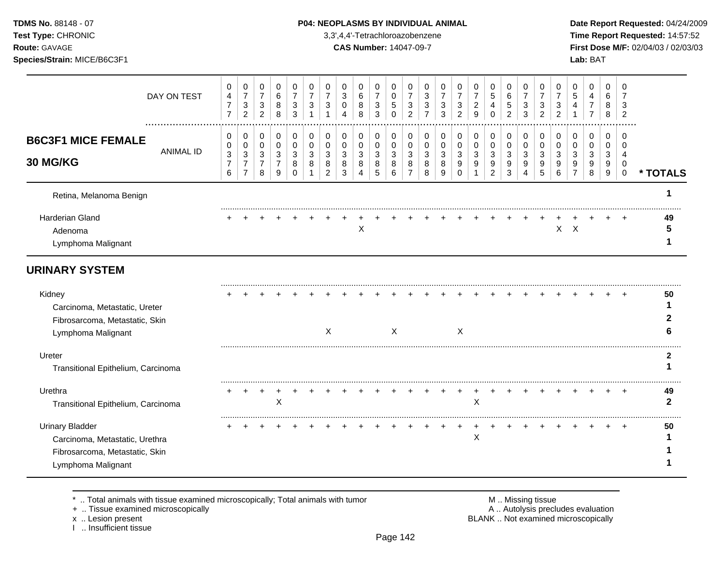**Test Type:** CHRONIC 3,3',4,4'-Tetrachloroazobenzene **Time Report Requested:** 14:57:52 **Route:** GAVAGE **CAS Number:** 14047-09-7 **First Dose M/F:** 02/04/03 / 02/03/03 **Species/Strain:** MICE/B6C3F1 **Lab:** BAT

|                                                                                                                  | DAY ON TEST      | 0<br>$\overline{4}$<br>$\overline{7}$<br>$\overline{7}$ | 0<br>$\overline{7}$<br>$\ensuremath{\mathsf{3}}$<br>$\overline{2}$ | 0<br>$\overline{7}$<br>$\sqrt{3}$<br>$\overline{2}$   | 0<br>6<br>8<br>8                              | 0<br>$\overline{7}$<br>$\sqrt{3}$<br>3             | 0<br>$\overline{7}$<br>3<br>$\mathbf{1}$ | 0<br>$\overline{7}$<br>3<br>$\overline{1}$ | 0<br>3<br>0<br>4      | 0<br>$\,6\,$<br>8<br>8             | 0<br>$\overline{7}$<br>$\sqrt{3}$<br>$\overline{3}$ | 0<br>0<br>$\mathbf 5$<br>$\Omega$ | 0<br>$\overline{7}$<br>$\ensuremath{\mathsf{3}}$<br>$\overline{2}$ | 0<br>3<br>$\mathbf{3}$<br>$\overline{7}$ | 0<br>$\overline{7}$<br>3<br>3 | 0<br>$\overline{7}$<br>3<br>$\overline{2}$ | 0<br>$\overline{7}$<br>$\overline{c}$<br>9 | 0<br>$\sqrt{5}$<br>4<br>$\Omega$               | 0<br>6<br>$\mathbf 5$<br>$\overline{2}$ | 0<br>$\overline{7}$<br>3<br>3   | 0<br>$\overline{7}$<br>3<br>$\overline{2}$ | 0<br>$\overline{7}$<br>3<br>$\overline{2}$ | 0<br>5<br>4<br>$\mathbf 1$ | 0<br>4<br>7<br>$\overline{7}$ | 0<br>6<br>8<br>8          | 0<br>$\overline{7}$<br>3<br>2                  |              |
|------------------------------------------------------------------------------------------------------------------|------------------|---------------------------------------------------------|--------------------------------------------------------------------|-------------------------------------------------------|-----------------------------------------------|----------------------------------------------------|------------------------------------------|--------------------------------------------|-----------------------|------------------------------------|-----------------------------------------------------|-----------------------------------|--------------------------------------------------------------------|------------------------------------------|-------------------------------|--------------------------------------------|--------------------------------------------|------------------------------------------------|-----------------------------------------|---------------------------------|--------------------------------------------|--------------------------------------------|----------------------------|-------------------------------|---------------------------|------------------------------------------------|--------------|
| <b>B6C3F1 MICE FEMALE</b><br>30 MG/KG                                                                            | <b>ANIMAL ID</b> | 0<br>0<br>$\mathbf{3}$<br>$\overline{7}$<br>6           | 0<br>0<br>$\sqrt{3}$<br>$\overline{7}$<br>$\overline{7}$           | 0<br>$\mathbf 0$<br>$\sqrt{3}$<br>$\overline{7}$<br>8 | 0<br>0<br>$\mathbf{3}$<br>$\overline{7}$<br>9 | 0<br>$\mathbf 0$<br>$\sqrt{3}$<br>8<br>$\mathbf 0$ | 0<br>0<br>3<br>8                         | 0<br>0<br>3<br>8<br>$\overline{c}$         | 0<br>0<br>3<br>8<br>3 | 0<br>0<br>3<br>8<br>$\overline{4}$ | 0<br>$\mathbf 0$<br>3<br>8<br>$\sqrt{5}$            | 0<br>0<br>3<br>8<br>6             | 0<br>0<br>3<br>8<br>$\overline{7}$                                 | 0<br>0<br>3<br>8<br>8                    | 0<br>0<br>3<br>8<br>9         | 0<br>0<br>3<br>9<br>$\mathbf 0$            | 0<br>0<br>3<br>9                           | 0<br>$\mathbf 0$<br>3<br>9<br>$\boldsymbol{2}$ | 0<br>0<br>3<br>9<br>3                   | 0<br>$\mathbf 0$<br>3<br>9<br>4 | 0<br>0<br>3<br>9<br>5                      | 0<br>0<br>3<br>9<br>6                      | 0<br>0<br>3<br>9           | 0<br>0<br>3<br>9<br>8         | 0<br>0<br>3<br>9<br>$9\,$ | 0<br>$\Omega$<br>4<br>$\mathbf 0$<br>$\pmb{0}$ | * TOTALS     |
| Retina, Melanoma Benign                                                                                          |                  |                                                         |                                                                    |                                                       |                                               |                                                    |                                          |                                            |                       |                                    |                                                     |                                   |                                                                    |                                          |                               |                                            |                                            |                                                |                                         |                                 |                                            |                                            |                            |                               |                           |                                                |              |
| Harderian Gland<br>Adenoma<br>Lymphoma Malignant                                                                 |                  |                                                         |                                                                    |                                                       |                                               |                                                    |                                          |                                            |                       | X                                  |                                                     |                                   |                                                                    |                                          |                               |                                            |                                            |                                                |                                         |                                 |                                            |                                            | $X$ $X$                    |                               |                           |                                                | 49<br>5      |
| <b>URINARY SYSTEM</b>                                                                                            |                  |                                                         |                                                                    |                                                       |                                               |                                                    |                                          |                                            |                       |                                    |                                                     |                                   |                                                                    |                                          |                               |                                            |                                            |                                                |                                         |                                 |                                            |                                            |                            |                               |                           |                                                |              |
| Kidney<br>Carcinoma, Metastatic, Ureter<br>Fibrosarcoma, Metastatic, Skin<br>Lymphoma Malignant                  |                  |                                                         |                                                                    |                                                       |                                               |                                                    |                                          | X                                          |                       |                                    |                                                     | $\mathsf{X}$                      |                                                                    |                                          |                               | $\boldsymbol{\mathsf{X}}$                  |                                            |                                                |                                         |                                 |                                            |                                            |                            |                               |                           |                                                | 50           |
| Ureter<br>Transitional Epithelium, Carcinoma                                                                     |                  |                                                         |                                                                    |                                                       |                                               |                                                    |                                          |                                            |                       |                                    |                                                     |                                   |                                                                    |                                          |                               |                                            |                                            |                                                |                                         |                                 |                                            |                                            |                            |                               |                           |                                                | $\mathbf{2}$ |
| Urethra<br>Transitional Epithelium, Carcinoma                                                                    |                  |                                                         |                                                                    |                                                       | $\boldsymbol{\mathsf{X}}$                     |                                                    |                                          |                                            |                       |                                    |                                                     |                                   |                                                                    |                                          |                               |                                            | X                                          |                                                |                                         |                                 |                                            |                                            |                            |                               |                           |                                                | 49<br>2      |
| <b>Urinary Bladder</b><br>Carcinoma, Metastatic, Urethra<br>Fibrosarcoma, Metastatic, Skin<br>Lymphoma Malignant |                  |                                                         |                                                                    |                                                       |                                               |                                                    |                                          |                                            |                       |                                    |                                                     |                                   |                                                                    |                                          |                               |                                            | X                                          |                                                |                                         |                                 |                                            |                                            |                            |                               |                           |                                                | 50           |

\* .. Total animals with tissue examined microscopically; Total animals with tumor <br>
+ .. Tissue examined microscopically<br>
+ .. Tissue examined microscopically

+ .. Tissue examined microscopically

x .. Lesion present<br>I .. Insufficient tissue